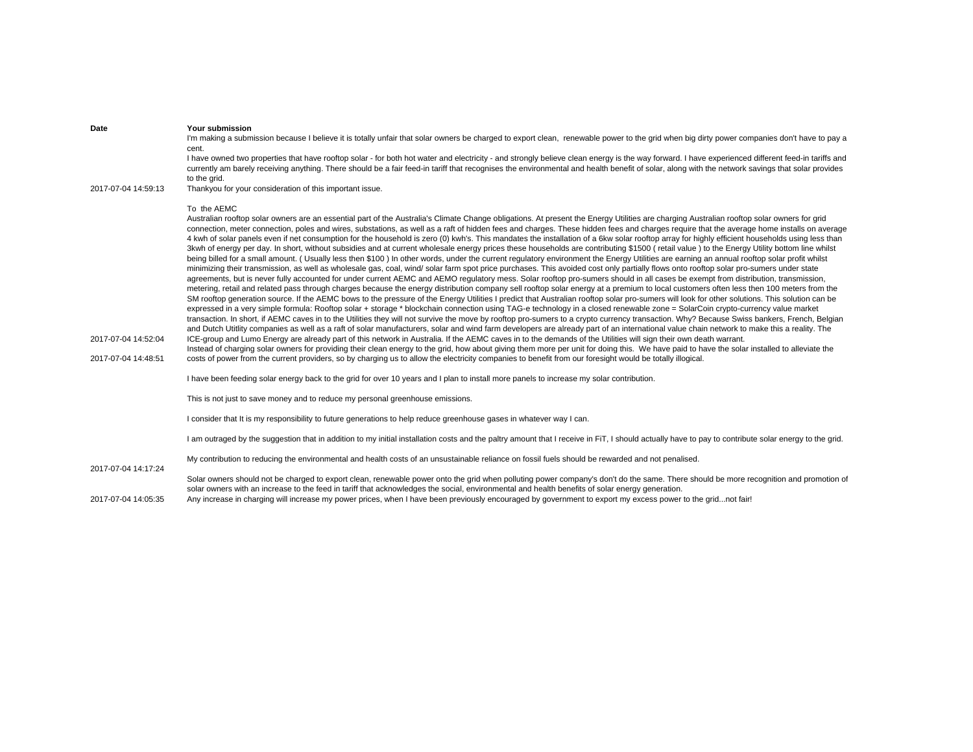| Date                | Your submission<br>I'm making a submission because I believe it is totally unfair that solar owners be charged to export clean, renewable power to the grid when big dirty power companies don't have to pay a<br>cent.                                                                                                                                                                                                                                                                                                                                                                                                                                                                                                                                                                                                                                                                                                                                                                                                                                                                                                                                                                                                                                                                                                                                                                                                                                                                                                                                                                                                                                                                                                                                                                                                                                                                                                                                                                                                                                                                                                                                                                                                                                                                                                                                                                                                                                                                                                                                                                                                                                                                                                             |
|---------------------|-------------------------------------------------------------------------------------------------------------------------------------------------------------------------------------------------------------------------------------------------------------------------------------------------------------------------------------------------------------------------------------------------------------------------------------------------------------------------------------------------------------------------------------------------------------------------------------------------------------------------------------------------------------------------------------------------------------------------------------------------------------------------------------------------------------------------------------------------------------------------------------------------------------------------------------------------------------------------------------------------------------------------------------------------------------------------------------------------------------------------------------------------------------------------------------------------------------------------------------------------------------------------------------------------------------------------------------------------------------------------------------------------------------------------------------------------------------------------------------------------------------------------------------------------------------------------------------------------------------------------------------------------------------------------------------------------------------------------------------------------------------------------------------------------------------------------------------------------------------------------------------------------------------------------------------------------------------------------------------------------------------------------------------------------------------------------------------------------------------------------------------------------------------------------------------------------------------------------------------------------------------------------------------------------------------------------------------------------------------------------------------------------------------------------------------------------------------------------------------------------------------------------------------------------------------------------------------------------------------------------------------------------------------------------------------------------------------------------------------|
|                     | I have owned two properties that have rooftop solar - for both hot water and electricity - and strongly believe clean energy is the way forward. I have experienced different feed-in tariffs and<br>currently am barely receiving anything. There should be a fair feed-in tariff that recognises the environmental and health benefit of solar, along with the network savings that solar provides<br>to the grid.                                                                                                                                                                                                                                                                                                                                                                                                                                                                                                                                                                                                                                                                                                                                                                                                                                                                                                                                                                                                                                                                                                                                                                                                                                                                                                                                                                                                                                                                                                                                                                                                                                                                                                                                                                                                                                                                                                                                                                                                                                                                                                                                                                                                                                                                                                                |
| 2017-07-04 14:59:13 | Thankyou for your consideration of this important issue.                                                                                                                                                                                                                                                                                                                                                                                                                                                                                                                                                                                                                                                                                                                                                                                                                                                                                                                                                                                                                                                                                                                                                                                                                                                                                                                                                                                                                                                                                                                                                                                                                                                                                                                                                                                                                                                                                                                                                                                                                                                                                                                                                                                                                                                                                                                                                                                                                                                                                                                                                                                                                                                                            |
| 2017-07-04 14:52:04 | To the AEMC<br>Australian rooftop solar owners are an essential part of the Australia's Climate Change obligations. At present the Energy Utilities are charging Australian rooftop solar owners for grid<br>connection, meter connection, poles and wires, substations, as well as a raft of hidden fees and charges. These hidden fees and charges require that the average home installs on average<br>4 kwh of solar panels even if net consumption for the household is zero (0) kwh's. This mandates the installation of a 6kw solar rooftop array for highly efficient households using less than<br>3kwh of energy per day. In short, without subsidies and at current wholesale energy prices these households are contributing \$1500 (retail value) to the Energy Utility bottom line whilst<br>being billed for a small amount. (Usually less then \$100) In other words, under the current regulatory environment the Energy Utilities are earning an annual rooftop solar profit whilst<br>minimizing their transmission, as well as wholesale gas, coal, wind/ solar farm spot price purchases. This avoided cost only partially flows onto rooftop solar pro-sumers under state<br>agreements, but is never fully accounted for under current AEMC and AEMO regulatory mess. Solar rooftop pro-sumers should in all cases be exempt from distribution, transmission,<br>metering, retail and related pass through charges because the energy distribution company sell rooftop solar energy at a premium to local customers often less then 100 meters from the<br>SM rooftop generation source. If the AEMC bows to the pressure of the Energy Utilities I predict that Australian rooftop solar pro-sumers will look for other solutions. This solution can be<br>expressed in a very simple formula: Rooftop solar + storage * blockchain connection using TAG-e technology in a closed renewable zone = SolarCoin crypto-currency value market<br>transaction. In short, if AEMC caves in to the Utilities they will not survive the move by rooftop pro-sumers to a crypto currency transaction. Why? Because Swiss bankers, French, Belgian<br>and Dutch Utitlity companies as well as a raft of solar manufacturers, solar and wind farm developers are already part of an international value chain network to make this a reality. The<br>ICE-group and Lumo Energy are already part of this network in Australia. If the AEMC caves in to the demands of the Utilities will sign their own death warrant.<br>Instead of charging solar owners for providing their clean energy to the grid, how about giving them more per unit for doing this. We have paid to have the solar installed to alleviate the |
| 2017-07-04 14:48:51 | costs of power from the current providers, so by charging us to allow the electricity companies to benefit from our foresight would be totally illogical.                                                                                                                                                                                                                                                                                                                                                                                                                                                                                                                                                                                                                                                                                                                                                                                                                                                                                                                                                                                                                                                                                                                                                                                                                                                                                                                                                                                                                                                                                                                                                                                                                                                                                                                                                                                                                                                                                                                                                                                                                                                                                                                                                                                                                                                                                                                                                                                                                                                                                                                                                                           |
|                     | I have been feeding solar energy back to the grid for over 10 years and I plan to install more panels to increase my solar contribution.                                                                                                                                                                                                                                                                                                                                                                                                                                                                                                                                                                                                                                                                                                                                                                                                                                                                                                                                                                                                                                                                                                                                                                                                                                                                                                                                                                                                                                                                                                                                                                                                                                                                                                                                                                                                                                                                                                                                                                                                                                                                                                                                                                                                                                                                                                                                                                                                                                                                                                                                                                                            |
|                     | This is not just to save money and to reduce my personal greenhouse emissions.                                                                                                                                                                                                                                                                                                                                                                                                                                                                                                                                                                                                                                                                                                                                                                                                                                                                                                                                                                                                                                                                                                                                                                                                                                                                                                                                                                                                                                                                                                                                                                                                                                                                                                                                                                                                                                                                                                                                                                                                                                                                                                                                                                                                                                                                                                                                                                                                                                                                                                                                                                                                                                                      |
|                     | I consider that It is my responsibility to future generations to help reduce greenhouse gases in whatever way I can.                                                                                                                                                                                                                                                                                                                                                                                                                                                                                                                                                                                                                                                                                                                                                                                                                                                                                                                                                                                                                                                                                                                                                                                                                                                                                                                                                                                                                                                                                                                                                                                                                                                                                                                                                                                                                                                                                                                                                                                                                                                                                                                                                                                                                                                                                                                                                                                                                                                                                                                                                                                                                |
|                     | I am outraged by the suggestion that in addition to my initial installation costs and the paltry amount that I receive in FiT, I should actually have to pay to contribute solar energy to the grid.                                                                                                                                                                                                                                                                                                                                                                                                                                                                                                                                                                                                                                                                                                                                                                                                                                                                                                                                                                                                                                                                                                                                                                                                                                                                                                                                                                                                                                                                                                                                                                                                                                                                                                                                                                                                                                                                                                                                                                                                                                                                                                                                                                                                                                                                                                                                                                                                                                                                                                                                |
| 2017-07-04 14:17:24 | My contribution to reducing the environmental and health costs of an unsustainable reliance on fossil fuels should be rewarded and not penalised.                                                                                                                                                                                                                                                                                                                                                                                                                                                                                                                                                                                                                                                                                                                                                                                                                                                                                                                                                                                                                                                                                                                                                                                                                                                                                                                                                                                                                                                                                                                                                                                                                                                                                                                                                                                                                                                                                                                                                                                                                                                                                                                                                                                                                                                                                                                                                                                                                                                                                                                                                                                   |
|                     | Solar owners should not be charged to export clean, renewable power onto the grid when polluting power company's don't do the same. There should be more recognition and promotion of<br>solar owners with an increase to the feed in tariff that acknowledges the social, environmental and health benefits of solar energy generation.                                                                                                                                                                                                                                                                                                                                                                                                                                                                                                                                                                                                                                                                                                                                                                                                                                                                                                                                                                                                                                                                                                                                                                                                                                                                                                                                                                                                                                                                                                                                                                                                                                                                                                                                                                                                                                                                                                                                                                                                                                                                                                                                                                                                                                                                                                                                                                                            |
|                     | $\mathbf{r} = \mathbf{r} \mathbf{r}$ , and the set of the set of the set of the set of the set of the set of the set of the set of the set of the set of the set of the set of the set of the set of the set of the set of the set of the se<br>the contract of the contract of the contract of the contract of the contract of the contract of the contract of                                                                                                                                                                                                                                                                                                                                                                                                                                                                                                                                                                                                                                                                                                                                                                                                                                                                                                                                                                                                                                                                                                                                                                                                                                                                                                                                                                                                                                                                                                                                                                                                                                                                                                                                                                                                                                                                                                                                                                                                                                                                                                                                                                                                                                                                                                                                                                     |

2017-07-04 14:05:35 Any increase in charging will increase my power prices, when I have been previously encouraged by government to export my excess power to the grid...not fair!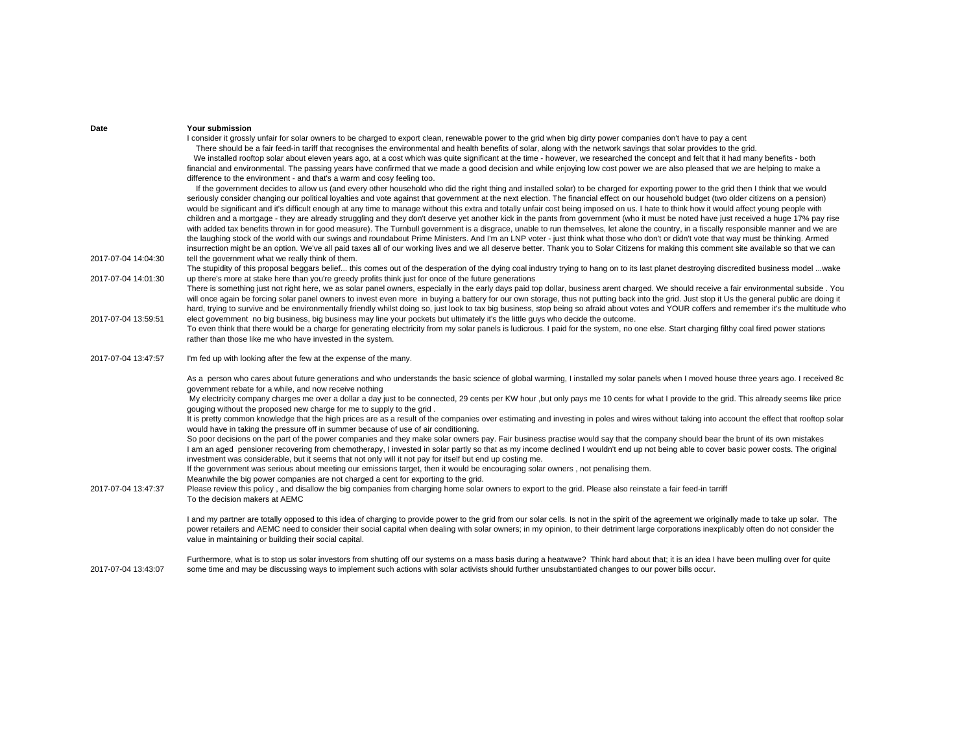| Date                | Your submission                                                                                                                                                                                                                                |
|---------------------|------------------------------------------------------------------------------------------------------------------------------------------------------------------------------------------------------------------------------------------------|
|                     | I consider it grossly unfair for solar owners to be charged to export clean, renewable power to the grid when big dirty power companies don't have to pay a cent                                                                               |
|                     | There should be a fair feed-in tariff that recognises the environmental and health benefits of solar, along with the network savings that solar provides to the grid.                                                                          |
|                     | We installed rooftop solar about eleven years ago, at a cost which was quite significant at the time - however, we researched the concept and felt that it had many benefits - both                                                            |
|                     | financial and environmental. The passing years have confirmed that we made a good decision and while enjoying low cost power we are also pleased that we are helping to make a                                                                 |
|                     | difference to the environment - and that's a warm and cosy feeling too.                                                                                                                                                                        |
|                     | If the government decides to allow us (and every other household who did the right thing and installed solar) to be charged for exporting power to the grid then I think that we would                                                         |
|                     | seriously consider changing our political loyalties and vote against that government at the next election. The financial effect on our household budget (two older citizens on a pension)                                                      |
|                     | would be significant and it's difficult enough at any time to manage without this extra and totally unfair cost being imposed on us. I hate to think how it would affect young people with                                                     |
|                     | children and a mortgage - they are already struggling and they don't deserve yet another kick in the pants from government (who it must be noted have just received a huge 17% pay rise                                                        |
|                     | with added tax benefits thrown in for good measure). The Turnbull government is a disgrace, unable to run themselves, let alone the country, in a fiscally responsible manner and we are                                                       |
|                     | the laughing stock of the world with our swings and roundabout Prime Ministers. And I'm an LNP voter - just think what those who don't or didn't vote that way must be thinking. Armed                                                         |
|                     | insurrection might be an option. We've all paid taxes all of our working lives and we all deserve better. Thank you to Solar Citizens for making this comment site available so that we can                                                    |
| 2017-07-04 14:04:30 | tell the government what we really think of them.                                                                                                                                                                                              |
|                     | The stupidity of this proposal beggars belief this comes out of the desperation of the dying coal industry trying to hang on to its last planet destroying discredited business model wake                                                     |
| 2017-07-04 14:01:30 | up there's more at stake here than you're greedy profits think just for once of the future generations                                                                                                                                         |
|                     | There is something just not right here, we as solar panel owners, especially in the early days paid top dollar, business arent charged. We should receive a fair environmental subside. You                                                    |
|                     | will once again be forcing solar panel owners to invest even more in buying a battery for our own storage, thus not putting back into the grid. Just stop it Us the general public are doing it                                                |
|                     | hard, trying to survive and be environmentally friendly whilst doing so, just look to tax big business, stop being so afraid about votes and YOUR coffers and remember it's the multitude who                                                  |
| 2017-07-04 13:59:51 | elect government no big business, big business may line your pockets but ultimately it's the little guys who decide the outcome.                                                                                                               |
|                     | To even think that there would be a charge for generating electricity from my solar panels is ludicrous. I paid for the system, no one else. Start charging filthy coal fired power stations                                                   |
|                     | rather than those like me who have invested in the system.                                                                                                                                                                                     |
| 2017-07-04 13:47:57 | I'm fed up with looking after the few at the expense of the many.                                                                                                                                                                              |
|                     |                                                                                                                                                                                                                                                |
|                     | As a person who cares about future generations and who understands the basic science of global warming, I installed my solar panels when I moved house three years ago. I received 8c                                                          |
|                     | government rebate for a while, and now receive nothing                                                                                                                                                                                         |
|                     | My electricity company charges me over a dollar a day just to be connected, 29 cents per KW hour ,but only pays me 10 cents for what I provide to the grid. This already seems like price                                                      |
|                     | gouging without the proposed new charge for me to supply to the grid.                                                                                                                                                                          |
|                     | It is pretty common knowledge that the high prices are as a result of the companies over estimating and investing in poles and wires without taking into account the effect that rooftop solar                                                 |
|                     | would have in taking the pressure off in summer because of use of air conditioning.                                                                                                                                                            |
|                     | So poor decisions on the part of the power companies and they make solar owners pay. Fair business practise would say that the company should bear the brunt of its own mistakes                                                               |
|                     | I am an aged pensioner recovering from chemotherapy, I invested in solar partly so that as my income declined I wouldn't end up not being able to cover basic power costs. The original                                                        |
|                     | investment was considerable, but it seems that not only will it not pay for itself but end up costing me.<br>If the government was serious about meeting our emissions target, then it would be encouraging solar owners, not penalising them. |
|                     | Meanwhile the big power companies are not charged a cent for exporting to the grid.                                                                                                                                                            |
| 2017-07-04 13:47:37 | Please review this policy, and disallow the big companies from charging home solar owners to export to the grid. Please also reinstate a fair feed-in tarriff                                                                                  |
|                     | To the decision makers at AEMC                                                                                                                                                                                                                 |
|                     |                                                                                                                                                                                                                                                |
|                     | I and my partner are totally opposed to this idea of charging to provide power to the grid from our solar cells. Is not in the spirit of the agreement we originally made to take up solar. The                                                |
|                     | power retailers and AEMC need to consider their social capital when dealing with solar owners; in my opinion, to their detriment large corporations inexplicably often do not consider the                                                     |
|                     |                                                                                                                                                                                                                                                |
|                     | value in maintaining or building their social capital.                                                                                                                                                                                         |
|                     | Furthermore, what is to stop us solar investors from shutting off our systems on a mass basis during a heatwave? Think hard about that; it is an idea I have been mulling over for quite                                                       |

2017-07-04 13:43:07 some time and may be discussing ways to implement such actions with solar activists should further unsubstantiated changes to our power bills occur.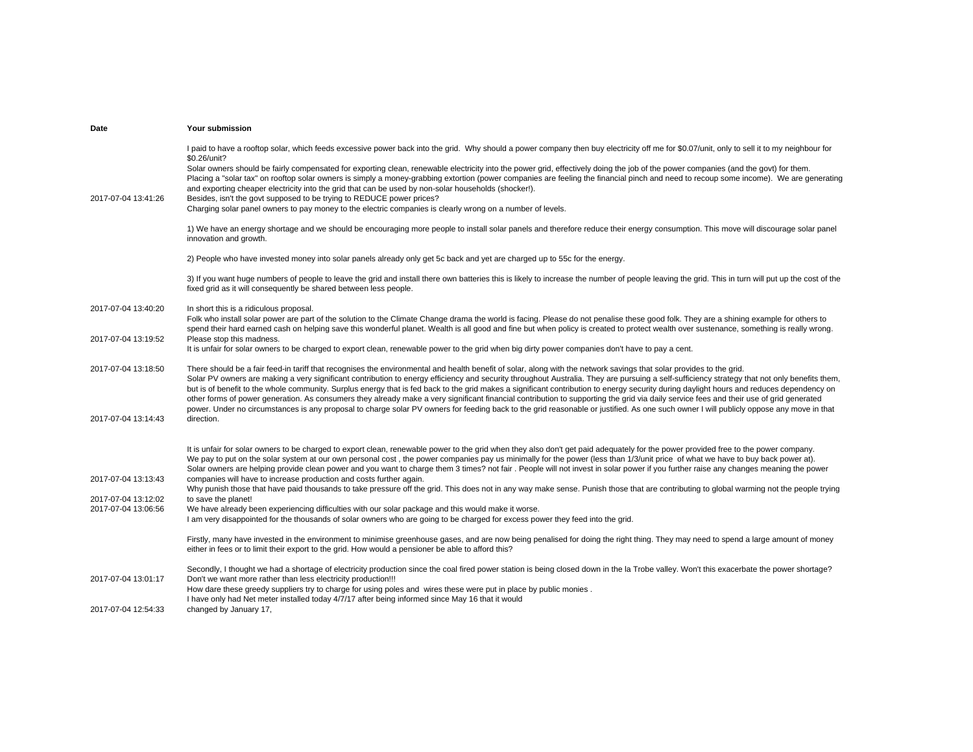| Date                                       | Your submission                                                                                                                                                                                                                                                                                                                                                                                                                                                                                                                                                                                                                                                                                                                                                                                                                                                                                                                                          |
|--------------------------------------------|----------------------------------------------------------------------------------------------------------------------------------------------------------------------------------------------------------------------------------------------------------------------------------------------------------------------------------------------------------------------------------------------------------------------------------------------------------------------------------------------------------------------------------------------------------------------------------------------------------------------------------------------------------------------------------------------------------------------------------------------------------------------------------------------------------------------------------------------------------------------------------------------------------------------------------------------------------|
| 2017-07-04 13:41:26                        | I paid to have a rooftop solar, which feeds excessive power back into the grid. Why should a power company then buy electricity off me for \$0.07/unit, only to sell it to my neighbour for<br>\$0.26/unit?<br>Solar owners should be fairly compensated for exporting clean, renewable electricity into the power grid, effectively doing the job of the power companies (and the govt) for them.<br>Placing a "solar tax" on rooftop solar owners is simply a money-grabbing extortion (power companies are feeling the financial pinch and need to recoup some income). We are generating<br>and exporting cheaper electricity into the grid that can be used by non-solar households (shocker!).<br>Besides, isn't the govt supposed to be trying to REDUCE power prices?<br>Charging solar panel owners to pay money to the electric companies is clearly wrong on a number of levels.                                                              |
|                                            | 1) We have an energy shortage and we should be encouraging more people to install solar panels and therefore reduce their energy consumption. This move will discourage solar panel<br>innovation and growth.                                                                                                                                                                                                                                                                                                                                                                                                                                                                                                                                                                                                                                                                                                                                            |
|                                            | 2) People who have invested money into solar panels already only get 5c back and yet are charged up to 55c for the energy.                                                                                                                                                                                                                                                                                                                                                                                                                                                                                                                                                                                                                                                                                                                                                                                                                               |
|                                            | 3) If you want huge numbers of people to leave the grid and install there own batteries this is likely to increase the number of people leaving the grid. This in turn will put up the cost of the<br>fixed grid as it will consequently be shared between less people.                                                                                                                                                                                                                                                                                                                                                                                                                                                                                                                                                                                                                                                                                  |
| 2017-07-04 13:40:20                        | In short this is a ridiculous proposal.<br>Folk who install solar power are part of the solution to the Climate Change drama the world is facing. Please do not penalise these good folk. They are a shining example for others to<br>spend their hard earned cash on helping save this wonderful planet. Wealth is all good and fine but when policy is created to protect wealth over sustenance, something is really wrong.                                                                                                                                                                                                                                                                                                                                                                                                                                                                                                                           |
| 2017-07-04 13:19:52                        | Please stop this madness.<br>It is unfair for solar owners to be charged to export clean, renewable power to the grid when big dirty power companies don't have to pay a cent.                                                                                                                                                                                                                                                                                                                                                                                                                                                                                                                                                                                                                                                                                                                                                                           |
| 2017-07-04 13:18:50                        | There should be a fair feed-in tariff that recognises the environmental and health benefit of solar, along with the network savings that solar provides to the grid.<br>Solar PV owners are making a very significant contribution to energy efficiency and security throughout Australia. They are pursuing a self-sufficiency strategy that not only benefits them,<br>but is of benefit to the whole community. Surplus energy that is fed back to the grid makes a significant contribution to energy security during daylight hours and reduces dependency on<br>other forms of power generation. As consumers they already make a very significant financial contribution to supporting the grid via daily service fees and their use of grid generated<br>power. Under no circumstances is any proposal to charge solar PV owners for feeding back to the grid reasonable or justified. As one such owner I will publicly oppose any move in that |
| 2017-07-04 13:14:43                        | direction.                                                                                                                                                                                                                                                                                                                                                                                                                                                                                                                                                                                                                                                                                                                                                                                                                                                                                                                                               |
|                                            | It is unfair for solar owners to be charged to export clean, renewable power to the grid when they also don't get paid adequately for the power provided free to the power company.<br>We pay to put on the solar system at our own personal cost, the power companies pay us minimally for the power (less than 1/3/unit price of what we have to buy back power at).<br>Solar owners are helping provide clean power and you want to charge them 3 times? not fair. People will not invest in solar power if you further raise any changes meaning the power                                                                                                                                                                                                                                                                                                                                                                                           |
| 2017-07-04 13:13:43                        | companies will have to increase production and costs further again.<br>Why punish those that have paid thousands to take pressure off the grid. This does not in any way make sense. Punish those that are contributing to global warming not the people trying                                                                                                                                                                                                                                                                                                                                                                                                                                                                                                                                                                                                                                                                                          |
| 2017-07-04 13:12:02<br>2017-07-04 13:06:56 | to save the planet!<br>We have already been experiencing difficulties with our solar package and this would make it worse.<br>I am very disappointed for the thousands of solar owners who are going to be charged for excess power they feed into the grid.                                                                                                                                                                                                                                                                                                                                                                                                                                                                                                                                                                                                                                                                                             |
|                                            | Firstly, many have invested in the environment to minimise greenhouse gases, and are now being penalised for doing the right thing. They may need to spend a large amount of money<br>either in fees or to limit their export to the grid. How would a pensioner be able to afford this?                                                                                                                                                                                                                                                                                                                                                                                                                                                                                                                                                                                                                                                                 |
| 2017-07-04 13:01:17                        | Secondly, I thought we had a shortage of electricity production since the coal fired power station is being closed down in the la Trobe valley. Won't this exacerbate the power shortage?<br>Don't we want more rather than less electricity production!!!<br>How dare these greedy suppliers try to charge for using poles and wires these were put in place by public monies.                                                                                                                                                                                                                                                                                                                                                                                                                                                                                                                                                                          |
| 2017-07-04 12:54:33                        | I have only had Net meter installed today 4/7/17 after being informed since May 16 that it would<br>changed by January 17,                                                                                                                                                                                                                                                                                                                                                                                                                                                                                                                                                                                                                                                                                                                                                                                                                               |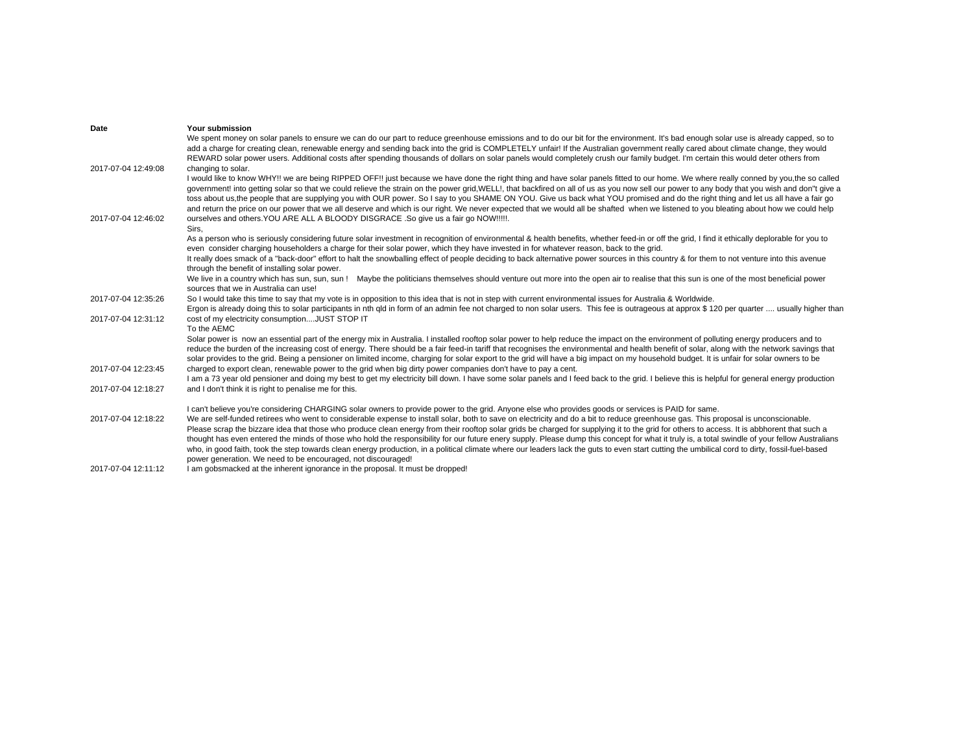| Date                | Your submission                                                                                                                                                                                |
|---------------------|------------------------------------------------------------------------------------------------------------------------------------------------------------------------------------------------|
|                     | We spent money on solar panels to ensure we can do our part to reduce greenhouse emissions and to do our bit for the environment. It's bad enough solar use is already capped, so to           |
|                     | add a charge for creating clean, renewable energy and sending back into the grid is COMPLETELY unfair! If the Australian government really cared about climate change, they would              |
|                     | REWARD solar power users. Additional costs after spending thousands of dollars on solar panels would completely crush our family budget. I'm certain this would deter others from              |
| 2017-07-04 12:49:08 | changing to solar.                                                                                                                                                                             |
|                     | I would like to know WHY!! we are being RIPPED OFF!! just because we have done the right thing and have solar panels fitted to our home. We where really conned by you, the so called          |
|                     | government! into getting solar so that we could relieve the strain on the power grid, WELL!, that backfired on all of us as you now sell our power to any body that you wish and don"t give a  |
|                     | toss about us, the people that are supplying you with OUR power. So I say to you SHAME ON YOU. Give us back what YOU promised and do the right thing and let us all have a fair go             |
|                     | and return the price on our power that we all deserve and which is our right. We never expected that we would all be shafted when we listened to you bleating about how we could help          |
| 2017-07-04 12:46:02 | ourselves and others. YOU ARE ALL A BLOODY DISGRACE . So give us a fair go NOW !!!!!.                                                                                                          |
|                     | Sirs,                                                                                                                                                                                          |
|                     | As a person who is seriously considering future solar investment in recognition of environmental & health benefits, whether feed-in or off the grid, I find it ethically deplorable for you to |
|                     | even consider charging householders a charge for their solar power, which they have invested in for whatever reason, back to the grid.                                                         |
|                     | It really does smack of a "back-door" effort to halt the snowballing effect of people deciding to back alternative power sources in this country & for them to not venture into this avenue    |
|                     | through the benefit of installing solar power.                                                                                                                                                 |
|                     | Maybe the politicians themselves should venture out more into the open air to realise that this sun is one of the most beneficial power<br>We live in a country which has sun, sun, sun!       |
|                     | sources that we in Australia can use!                                                                                                                                                          |
| 2017-07-04 12:35:26 | So I would take this time to say that my vote is in opposition to this idea that is not in step with current environmental issues for Australia & Worldwide.                                   |
|                     | Ergon is already doing this to solar participants in nth gld in form of an admin fee not charged to non solar users. This fee is outrageous at approx \$120 per quarter  usually higher than   |
| 2017-07-04 12:31:12 | cost of my electricity consumptionJUST STOP IT                                                                                                                                                 |
|                     | To the AEMC                                                                                                                                                                                    |
|                     | Solar power is now an essential part of the energy mix in Australia. I installed rooftop solar power to help reduce the impact on the environment of polluting energy producers and to         |
|                     | reduce the burden of the increasing cost of energy. There should be a fair feed-in tariff that recognises the environmental and health benefit of solar, along with the network savings that   |
|                     | solar provides to the grid. Being a pensioner on limited income, charging for solar export to the grid will have a big impact on my household budget. It is unfair for solar owners to be      |
| 2017-07-04 12:23:45 | charged to export clean, renewable power to the grid when big dirty power companies don't have to pay a cent.                                                                                  |
|                     | I am a 73 year old pensioner and doing my best to get my electricity bill down. I have some solar panels and I feed back to the grid. I believe this is helpful for general energy production  |
| 2017-07-04 12:18:27 | and I don't think it is right to penalise me for this.                                                                                                                                         |
|                     | I can't believe you're considering CHARGING solar owners to provide power to the grid. Anyone else who provides goods or services is PAID for same.                                            |
| 2017-07-04 12:18:22 | We are self-funded retirees who went to considerable expense to install solar, both to save on electricity and do a bit to reduce greenhouse gas. This proposal is unconscionable.             |
|                     | Please scrap the bizzare idea that those who produce clean energy from their rooftop solar grids be charged for supplying it to the grid for others to access. It is abbhorent that such a     |
|                     | thought has even entered the minds of those who hold the responsibility for our future enery supply. Please dump this concept for what it truly is, a total swindle of your fellow Australians |
|                     | who, in good faith, took the step towards clean energy production, in a political climate where our leaders lack the guts to even start cutting the umbilical cord to dirty, fossil-fuel-based |
|                     | power generation. We need to be encouraged, not discouraged!                                                                                                                                   |
| 2017-07-04 12:11:12 | I am gobsmacked at the inherent ignorance in the proposal. It must be dropped!                                                                                                                 |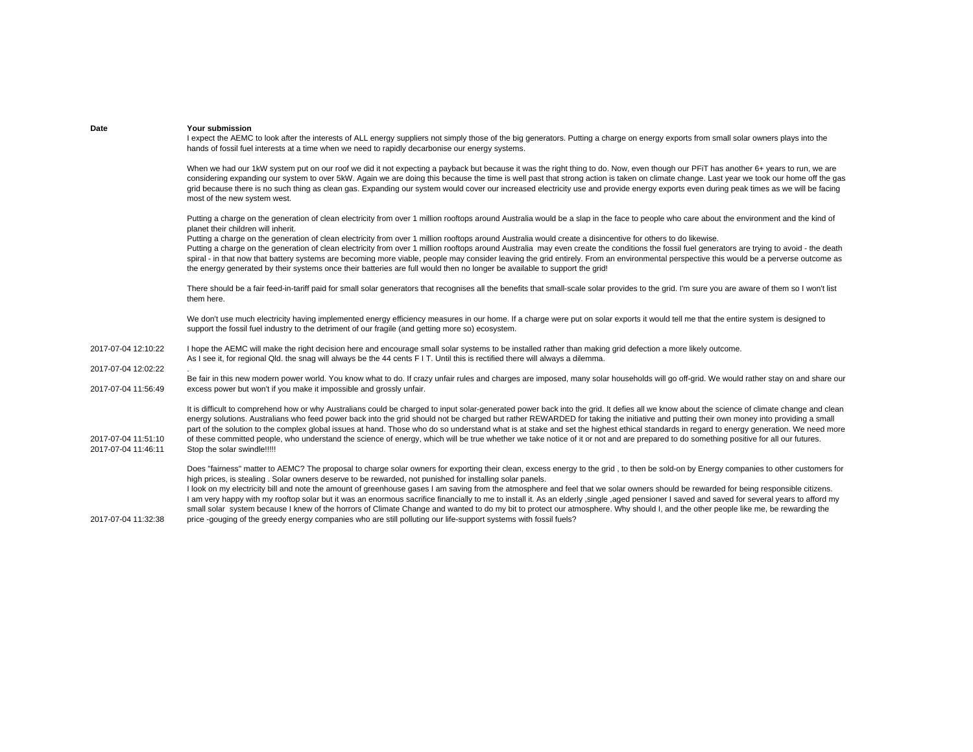| Date                                       | Your submission<br>I expect the AEMC to look after the interests of ALL energy suppliers not simply those of the big generators. Putting a charge on energy exports from small solar owners plays into the<br>hands of fossil fuel interests at a time when we need to rapidly decarbonise our energy systems.                                                                                                                                                                                                                                                                                                                                                                                                                                                                                                                                                                                                                                                                                              |
|--------------------------------------------|-------------------------------------------------------------------------------------------------------------------------------------------------------------------------------------------------------------------------------------------------------------------------------------------------------------------------------------------------------------------------------------------------------------------------------------------------------------------------------------------------------------------------------------------------------------------------------------------------------------------------------------------------------------------------------------------------------------------------------------------------------------------------------------------------------------------------------------------------------------------------------------------------------------------------------------------------------------------------------------------------------------|
|                                            | When we had our 1kW system put on our roof we did it not expecting a payback but because it was the right thing to do. Now, even though our PFiT has another 6+ years to run, we are<br>considering expanding our system to over 5kW. Again we are doing this because the time is well past that strong action is taken on climate change. Last year we took our home off the gas<br>grid because there is no such thing as clean gas. Expanding our system would cover our increased electricity use and provide energy exports even during peak times as we will be facing<br>most of the new system west.                                                                                                                                                                                                                                                                                                                                                                                                |
|                                            | Putting a charge on the generation of clean electricity from over 1 million rooftops around Australia would be a slap in the face to people who care about the environment and the kind of<br>planet their children will inherit.<br>Putting a charge on the generation of clean electricity from over 1 million rooftops around Australia would create a disincentive for others to do likewise.<br>Putting a charge on the generation of clean electricity from over 1 million rooftops around Australia may even create the conditions the fossil fuel generators are trying to avoid - the death<br>spiral - in that now that battery systems are becoming more viable, people may consider leaving the grid entirely. From an environmental perspective this would be a perverse outcome as<br>the energy generated by their systems once their batteries are full would then no longer be available to support the grid!                                                                              |
|                                            | There should be a fair feed-in-tariff paid for small solar generators that recognises all the benefits that small-scale solar provides to the grid. I'm sure you are aware of them so I won't list<br>them here.                                                                                                                                                                                                                                                                                                                                                                                                                                                                                                                                                                                                                                                                                                                                                                                            |
|                                            | We don't use much electricity having implemented energy efficiency measures in our home. If a charge were put on solar exports it would tell me that the entire system is designed to<br>support the fossil fuel industry to the detriment of our fragile (and getting more so) ecosystem.                                                                                                                                                                                                                                                                                                                                                                                                                                                                                                                                                                                                                                                                                                                  |
| 2017-07-04 12:10:22                        | I hope the AEMC will make the right decision here and encourage small solar systems to be installed rather than making grid defection a more likely outcome.<br>As I see it, for regional Qld, the snag will always be the 44 cents FIT. Until this is rectified there will always a dilemma.                                                                                                                                                                                                                                                                                                                                                                                                                                                                                                                                                                                                                                                                                                               |
| 2017-07-04 12:02:22<br>2017-07-04 11:56:49 | Be fair in this new modern power world. You know what to do. If crazy unfair rules and charges are imposed, many solar households will go off-grid. We would rather stay on and share our<br>excess power but won't if you make it impossible and grossly unfair.                                                                                                                                                                                                                                                                                                                                                                                                                                                                                                                                                                                                                                                                                                                                           |
| 2017-07-04 11:51:10<br>2017-07-04 11:46:11 | It is difficult to comprehend how or why Australians could be charged to input solar-generated power back into the grid. It defies all we know about the science of climate change and clean<br>energy solutions. Australians who feed power back into the grid should not be charged but rather REWARDED for taking the initiative and putting their own money into providing a small<br>part of the solution to the complex global issues at hand. Those who do so understand what is at stake and set the highest ethical standards in regard to energy generation. We need more<br>of these committed people, who understand the science of energy, which will be true whether we take notice of it or not and are prepared to do something positive for all our futures.<br>Stop the solar swindle!!!!!                                                                                                                                                                                                |
| 2017-07-04 11:32:38                        | Does "fairness" matter to AEMC? The proposal to charge solar owners for exporting their clean, excess energy to the grid, to then be sold-on by Energy companies to other customers for<br>high prices, is stealing . Solar owners deserve to be rewarded, not punished for installing solar panels.<br>I look on my electricity bill and note the amount of greenhouse gases I am saving from the atmosphere and feel that we solar owners should be rewarded for being responsible citizens.<br>I am very happy with my rooftop solar but it was an enormous sacrifice financially to me to install it. As an elderly, single, aged pensioner I saved and saved for several years to afford my<br>small solar system because I knew of the horrors of Climate Change and wanted to do my bit to protect our atmosphere. Why should I, and the other people like me, be rewarding the<br>price -qouging of the greedy energy companies who are still polluting our life-support systems with fossil fuels? |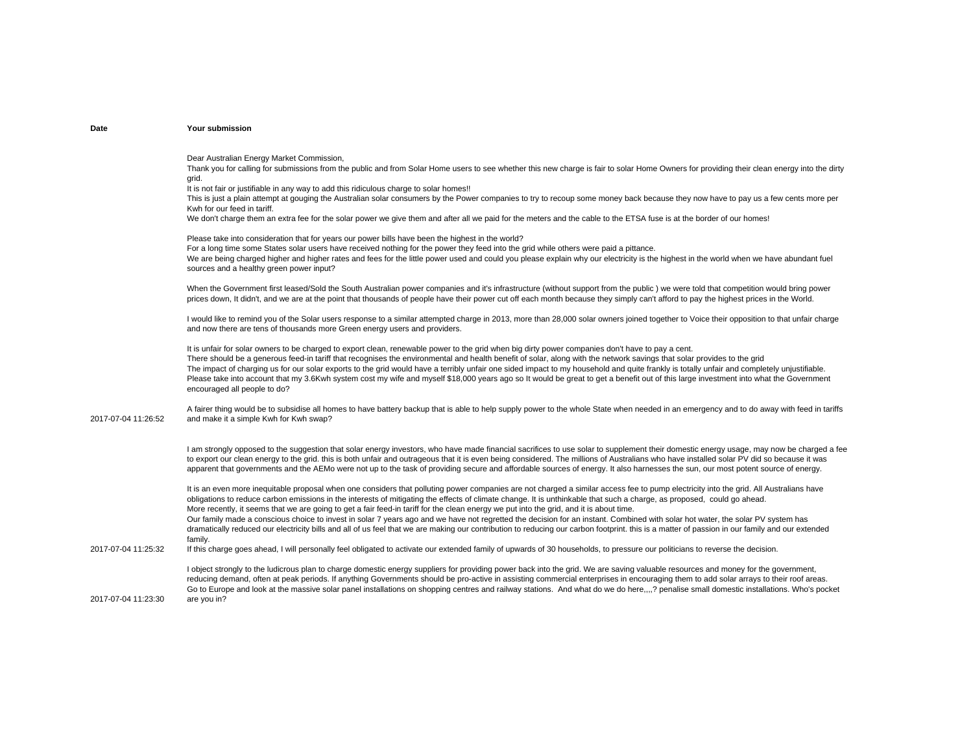Dear Australian Energy Market Commission,

Thank you for calling for submissions from the public and from Solar Home users to see whether this new charge is fair to solar Home Owners for providing their clean energy into the dirty grid.

It is not fair or justifiable in any way to add this ridiculous charge to solar homes!!

This is just a plain attempt at gouging the Australian solar consumers by the Power companies to try to recoup some money back because they now have to pay us a few cents more per Kwh for our feed in tariff.

We don't charge them an extra fee for the solar power we give them and after all we paid for the meters and the cable to the ETSA fuse is at the border of our homes!

Please take into consideration that for years our power bills have been the highest in the world? For a long time some States solar users have received nothing for the power they feed into the grid while others were paid a pittance. We are being charged higher and higher rates and fees for the little power used and could you please explain why our electricity is the highest in the world when we have abundant fuel sources and a healthy green power input?

When the Government first leased/Sold the South Australian power companies and it's infrastructure (without support from the public) we were told that competition would bring power prices down, It didn't, and we are at the point that thousands of people have their power cut off each month because they simply can't afford to pay the highest prices in the World.

I would like to remind you of the Solar users response to a similar attempted charge in 2013, more than 28,000 solar owners joined together to Voice their opposition to that unfair charge and now there are tens of thousands more Green energy users and providers.

It is unfair for solar owners to be charged to export clean, renewable power to the grid when big dirty power companies don't have to pay a cent. There should be a generous feed-in tariff that recognises the environmental and health benefit of solar, along with the network sayings that solar provides to the grid The impact of charging us for our solar exports to the grid would have a terribly unfair one sided impact to my household and quite frankly is totally unfair and completely unjustifiable. Please take into account that my 3.6Kwh system cost my wife and myself \$18,000 years ago so It would be great to get a benefit out of this large investment into what the Government encouraged all people to do?

2017-07-04 11:26:52A fairer thing would be to subsidise all homes to have battery backup that is able to help supply power to the whole State when needed in an emergency and to do away with feed in tariffs and make it a simple Kwh for Kwh swap?

> I am strongly opposed to the suggestion that solar energy investors, who have made financial sacrifices to use solar to supplement their domestic energy usage, may now be charged a fee to export our clean energy to the grid. this is both unfair and outrageous that it is even being considered. The millions of Australians who have installed solar PV did so because it was apparent that governments and the AEMo were not up to the task of providing secure and affordable sources of energy. It also harnesses the sun, our most potent source of energy.

It is an even more inequitable proposal when one considers that polluting power companies are not charged a similar access fee to pump electricity into the grid. All Australians have obligations to reduce carbon emissions in the interests of mitigating the effects of climate change. It is unthinkable that such a charge, as proposed, could go ahead. More recently, it seems that we are going to get a fair feed-in tariff for the clean energy we put into the grid, and it is about time.

Our family made a conscious choice to invest in solar 7 years ago and we have not regretted the decision for an instant. Combined with solar hot water, the solar PV system has dramatically reduced our electricity bills and all of us feel that we are making our contribution to reducing our carbon footprint. this is a matter of passion in our family and our extended family.

2017-07-04 11:25:32If this charge goes ahead, I will personally feel obligated to activate our extended family of upwards of 30 households, to pressure our politicians to reverse the decision.

> I object strongly to the ludicrous plan to charge domestic energy suppliers for providing power back into the grid. We are saving valuable resources and money for the government, reducing demand, often at peak periods. If anything Governments should be pro-active in assisting commercial enterprises in encouraging them to add solar arrays to their roof areas. Go to Europe and look at the massive solar panel installations on shopping centres and railway stations. And what do we do here....? penalise small domestic installations. Who's pocket are you in?

2017-07-04 11:23:30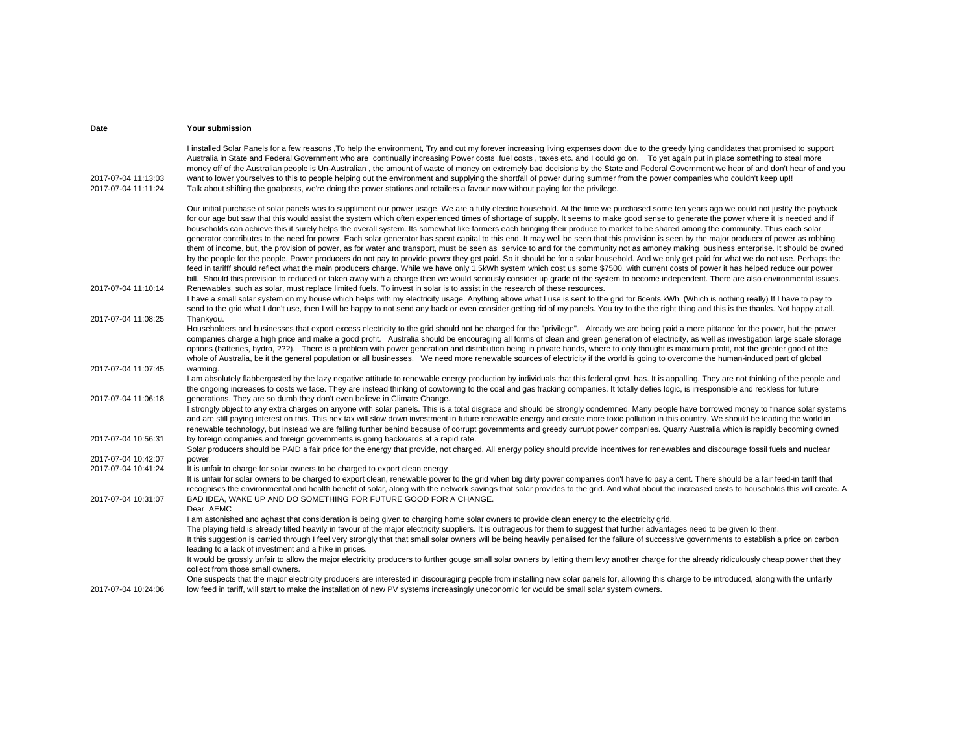| Date                                       | Your submission                                                                                                                                                                                                                                                                                                                                                                                                                                                                                                                                                                                                                                                                                                                                                                                                                                                                                                                                                                                                                                                                                                                                                                                                                                                                                                                                                                                                                                                                                                                               |
|--------------------------------------------|-----------------------------------------------------------------------------------------------------------------------------------------------------------------------------------------------------------------------------------------------------------------------------------------------------------------------------------------------------------------------------------------------------------------------------------------------------------------------------------------------------------------------------------------------------------------------------------------------------------------------------------------------------------------------------------------------------------------------------------------------------------------------------------------------------------------------------------------------------------------------------------------------------------------------------------------------------------------------------------------------------------------------------------------------------------------------------------------------------------------------------------------------------------------------------------------------------------------------------------------------------------------------------------------------------------------------------------------------------------------------------------------------------------------------------------------------------------------------------------------------------------------------------------------------|
| 2017-07-04 11:13:03<br>2017-07-04 11:11:24 | I installed Solar Panels for a few reasons To help the environment, Try and cut my forever increasing living expenses down due to the greedy lying candidates that promised to support<br>Australia in State and Federal Government who are continually increasing Power costs, fuel costs, taxes etc. and I could go on. To yet again put in place something to steal more<br>money off of the Australian people is Un-Australian, the amount of waste of money on extremely bad decisions by the State and Federal Government we hear of and don't hear of and you<br>want to lower yourselves to this to people helping out the environment and supplying the shortfall of power during summer from the power companies who couldn't keep up!!<br>Talk about shifting the goalposts, we're doing the power stations and retailers a favour now without paying for the privilege.                                                                                                                                                                                                                                                                                                                                                                                                                                                                                                                                                                                                                                                           |
|                                            | Our initial purchase of solar panels was to suppliment our power usage. We are a fully electric household. At the time we purchased some ten years ago we could not justify the payback<br>for our age but saw that this would assist the system which often experienced times of shortage of supply. It seems to make good sense to generate the power where it is needed and if<br>households can achieve this it surely helps the overall system. Its somewhat like farmers each bringing their produce to market to be shared among the community. Thus each solar<br>generator contributes to the need for power. Each solar generator has spent capital to this end. It may well be seen that this provision is seen by the major producer of power as robbing<br>them of income, but, the provision of power, as for water and transport, must be seen as service to and for the community not as amoney making business enterprise. It should be owned<br>by the people for the people. Power producers do not pay to provide power they get paid. So it should be for a solar household. And we only get paid for what we do not use. Perhaps the<br>feed in tarifff should reflect what the main producers charge. While we have only 1.5kWh system which cost us some \$7500, with current costs of power it has helped reduce our power<br>bill. Should this provision to reduced or taken away with a charge then we would seriously consider up grade of the system to become independent. There are also environmental issues. |
| 2017-07-04 11:10:14                        | Renewables, such as solar, must replace limited fuels. To invest in solar is to assist in the research of these resources.<br>I have a small solar system on my house which helps with my electricity usage. Anything above what I use is sent to the grid for 6cents kWh. (Which is nothing really) If I have to pay to<br>send to the grid what I don't use, then I will be happy to not send any back or even consider getting rid of my panels. You try to the the right thing and this is the thanks. Not happy at all.                                                                                                                                                                                                                                                                                                                                                                                                                                                                                                                                                                                                                                                                                                                                                                                                                                                                                                                                                                                                                  |
| 2017-07-04 11:08:25                        | Thankyou.<br>Householders and businesses that export excess electricity to the grid should not be charged for the "privilege". Already we are being paid a mere pittance for the power, but the power<br>companies charge a high price and make a good profit. Australia should be encouraging all forms of clean and green generation of electricity, as well as investigation large scale storage<br>options (batteries, hydro, ???). There is a problem with power generation and distribution being in private hands, where to only thought is maximum profit, not the greater good of the<br>whole of Australia, be it the general population or all businesses. We need more renewable sources of electricity if the world is going to overcome the human-induced part of global                                                                                                                                                                                                                                                                                                                                                                                                                                                                                                                                                                                                                                                                                                                                                        |
| 2017-07-04 11:07:45                        | warming.<br>I am absolutely flabbergasted by the lazy negative attitude to renewable energy production by individuals that this federal govt. has. It is appalling. They are not thinking of the people and<br>the ongoing increases to costs we face. They are instead thinking of cowtowing to the coal and gas fracking companies. It totally defies logic, is irresponsible and reckless for future                                                                                                                                                                                                                                                                                                                                                                                                                                                                                                                                                                                                                                                                                                                                                                                                                                                                                                                                                                                                                                                                                                                                       |
| 2017-07-04 11:06:18                        | generations. They are so dumb they don't even believe in Climate Change.<br>I strongly object to any extra charges on anyone with solar panels. This is a total disgrace and should be strongly condemned. Many people have borrowed money to finance solar systems<br>and are still paying interest on this. This nex tax will slow down investment in future renewable energy and create more toxic pollution in this country. We should be leading the world in<br>renewable technology, but instead we are falling further behind because of corrupt governments and greedy currupt power companies. Quarry Australia which is rapidly becoming owned                                                                                                                                                                                                                                                                                                                                                                                                                                                                                                                                                                                                                                                                                                                                                                                                                                                                                     |
| 2017-07-04 10:56:31                        | by foreign companies and foreign governments is going backwards at a rapid rate.<br>Solar producers should be PAID a fair price for the energy that provide, not charged. All energy policy should provide incentives for renewables and discourage fossil fuels and nuclear                                                                                                                                                                                                                                                                                                                                                                                                                                                                                                                                                                                                                                                                                                                                                                                                                                                                                                                                                                                                                                                                                                                                                                                                                                                                  |
| 2017-07-04 10:42:07                        | power.                                                                                                                                                                                                                                                                                                                                                                                                                                                                                                                                                                                                                                                                                                                                                                                                                                                                                                                                                                                                                                                                                                                                                                                                                                                                                                                                                                                                                                                                                                                                        |
| 2017-07-04 10:41:24                        | It is unfair to charge for solar owners to be charged to export clean energy<br>It is unfair for solar owners to be charged to export clean, renewable power to the grid when big dirty power companies don't have to pay a cent. There should be a fair feed-in tariff that<br>recognises the environmental and health benefit of solar, along with the network savings that solar provides to the grid. And what about the increased costs to households this will create. A                                                                                                                                                                                                                                                                                                                                                                                                                                                                                                                                                                                                                                                                                                                                                                                                                                                                                                                                                                                                                                                                |
| 2017-07-04 10:31:07                        | BAD IDEA, WAKE UP AND DO SOMETHING FOR FUTURE GOOD FOR A CHANGE.<br>Dear AEMC<br>I am astonished and aghast that consideration is being given to charging home solar owners to provide clean energy to the electricity grid.<br>The playing field is already tilted heavily in favour of the major electricity suppliers. It is outrageous for them to suggest that further advantages need to be given to them.<br>It this suggestion is carried through I feel very strongly that that small solar owners will be being heavily penalised for the failure of successive governments to establish a price on carbon<br>leading to a lack of investment and a hike in prices.                                                                                                                                                                                                                                                                                                                                                                                                                                                                                                                                                                                                                                                                                                                                                                                                                                                                 |
|                                            | It would be grossly unfair to allow the major electricity producers to further gouge small solar owners by letting them levy another charge for the already ridiculously cheap power that they<br>collect from those small owners.                                                                                                                                                                                                                                                                                                                                                                                                                                                                                                                                                                                                                                                                                                                                                                                                                                                                                                                                                                                                                                                                                                                                                                                                                                                                                                            |
| 2017-07-04 10:24:06                        | One suspects that the major electricity producers are interested in discouraging people from installing new solar panels for, allowing this charge to be introduced, along with the unfairly<br>low feed in tariff, will start to make the installation of new PV systems increasingly uneconomic for would be small solar system owners.                                                                                                                                                                                                                                                                                                                                                                                                                                                                                                                                                                                                                                                                                                                                                                                                                                                                                                                                                                                                                                                                                                                                                                                                     |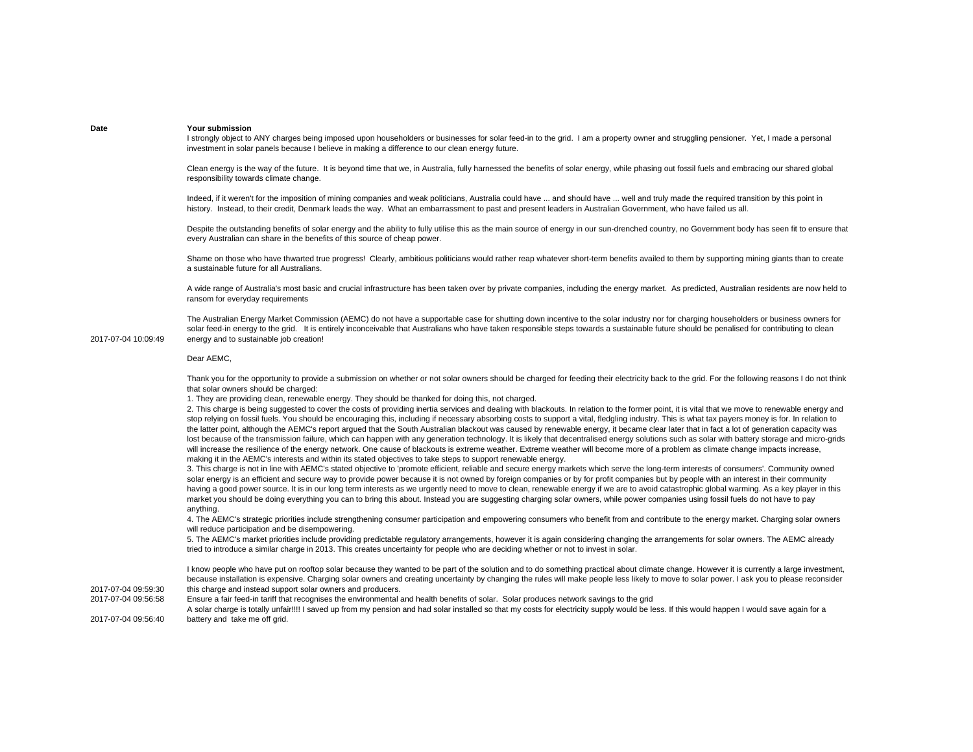I strongly object to ANY charges being imposed upon householders or businesses for solar feed-in to the grid. I am a property owner and struggling pensioner. Yet, I made a personal investment in solar panels because I believe in making a difference to our clean energy future.

Clean energy is the way of the future. It is beyond time that we, in Australia, fully harnessed the benefits of solar energy, while phasing out fossil fuels and embracing our shared global responsibility towards climate change.

Indeed, if it weren't for the imposition of mining companies and weak politicians, Australia could have ... and should have ... well and truly made the required transition by this point in history. Instead, to their credit, Denmark leads the way. What an embarrassment to past and present leaders in Australian Government, who have failed us all.

Despite the outstanding benefits of solar energy and the ability to fully utilise this as the main source of energy in our sun-drenched country, no Government body has seen fit to ensure that every Australian can share in the benefits of this source of cheap power.

Shame on those who have thwarted true progress! Clearly, ambitious politicians would rather reap whatever short-term benefits availed to them by supporting mining giants than to create a sustainable future for all Australians.

A wide range of Australia's most basic and crucial infrastructure has been taken over by private companies, including the energy market. As predicted, Australian residents are now held to ransom for everyday requirements

The Australian Energy Market Commission (AEMC) do not have a supportable case for shutting down incentive to the solar industry nor for charging householders or business owners for solar feed-in energy to the grid. It is entirely inconceivable that Australians who have taken responsible steps towards a sustainable future should be penalised for contributing to clean energy and to sustainable job creation!

## Dear AEMC,

Thank you for the opportunity to provide a submission on whether or not solar owners should be charged for feeding their electricity back to the grid. For the following reasons I do not think that solar owners should be charged:

1. They are providing clean, renewable energy. They should be thanked for doing this, not charged.

2. This charge is being suggested to cover the costs of providing inertia services and dealing with blackouts. In relation to the former point, it is vital that we move to renewable energy and stop relying on fossil fuels. You should be encouraging this, including if necessary absorbing costs to support a vital, fledgling industry. This is what tax payers money is for. In relation to the latter point, although the AEMC's report argued that the South Australian blackout was caused by renewable energy, it became clear later that in fact a lot of generation capacity was lost because of the transmission failure, which can happen with any generation technology. It is likely that decentralised energy solutions such as solar with battery storage and micro-grids will increase the resilience of the energy network. One cause of blackouts is extreme weather. Extreme weather will become more of a problem as climate change impacts increase, making it in the AEMC's interests and within its stated objectives to take steps to support renewable energy.

3. This charge is not in line with AEMC's stated objective to 'promote efficient, reliable and secure energy markets which serve the long-term interests of consumers'. Community owned solar energy is an efficient and secure way to provide power because it is not owned by foreign companies or by for profit companies but by people with an interest in their community having a good power source. It is in our long term interests as we urgently need to move to clean, renewable energy if we are to avoid catastrophic global warming. As a key player in this market you should be doing everything you can to bring this about. Instead you are suggesting charging solar owners, while power companies using fossil fuels do not have to pay anything.

4. The AEMC's strategic priorities include strengthening consumer participation and empowering consumers who benefit from and contribute to the energy market. Charging solar owners will reduce participation and be disempowering.

5. The AEMC's market priorities include providing predictable regulatory arrangements, however it is again considering changing the arrangements for solar owners. The AEMC already tried to introduce a similar charge in 2013. This creates uncertainty for people who are deciding whether or not to invest in solar.

I know people who have put on rooftop solar because they wanted to be part of the solution and to do something practical about climate change. However it is currently a large investment, because installation is expensive. Charging solar owners and creating uncertainty by changing the rules will make people less likely to move to solar power. I ask you to please reconsider this charge and instead support solar owners and producers.

2017-07-04 09:56:58 Ensure a fair feed-in tariff that recognises the environmental and health benefits of solar. Solar produces network savings to the grid

2017-07-04 09:56:40A solar charge is totally unfair!!!! I saved up from my pension and had solar installed so that my costs for electricity supply would be less. If this would happen I would save again for a battery and take me off grid.

2017-07-04 10:09:49

2017-07-04 09:59:30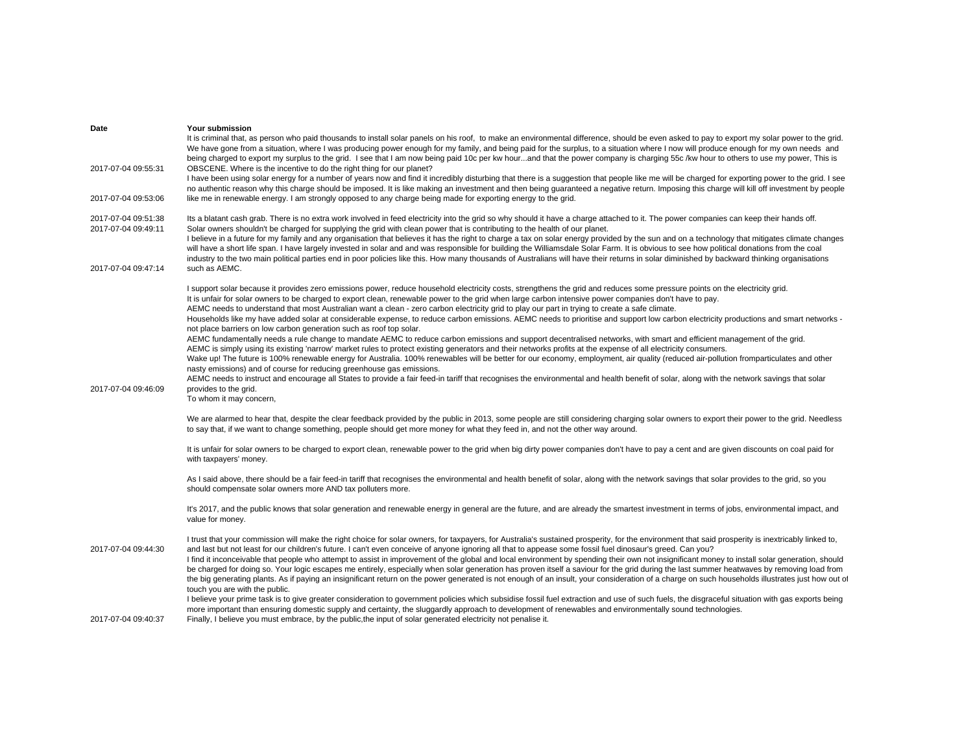| Date                                       | Your submission                                                                                                                                                                                                                                                                                                                                                                                                                                                                                                                                                                                                                                                                                                                                                                                                                                                                                                       |
|--------------------------------------------|-----------------------------------------------------------------------------------------------------------------------------------------------------------------------------------------------------------------------------------------------------------------------------------------------------------------------------------------------------------------------------------------------------------------------------------------------------------------------------------------------------------------------------------------------------------------------------------------------------------------------------------------------------------------------------------------------------------------------------------------------------------------------------------------------------------------------------------------------------------------------------------------------------------------------|
| 2017-07-04 09:55:31                        | It is criminal that, as person who paid thousands to install solar panels on his roof, to make an environmental difference, should be even asked to pay to export my solar power to the grid.<br>We have gone from a situation, where I was producing power enough for my family, and being paid for the surplus, to a situation where I now will produce enough for my own needs and<br>being charged to export my surplus to the grid. I see that I am now being paid 10c per kw hourand that the power company is charging 55c /kw hour to others to use my power, This is<br>OBSCENE. Where is the incentive to do the right thing for our planet?                                                                                                                                                                                                                                                                |
|                                            | I have been using solar energy for a number of years now and find it incredibly disturbing that there is a suggestion that people like me will be charged for exporting power to the grid. I see<br>no authentic reason why this charge should be imposed. It is like making an investment and then being quaranteed a negative return. Imposing this charge will kill off investment by people                                                                                                                                                                                                                                                                                                                                                                                                                                                                                                                       |
| 2017-07-04 09:53:06                        | like me in renewable energy. I am strongly opposed to any charge being made for exporting energy to the grid.                                                                                                                                                                                                                                                                                                                                                                                                                                                                                                                                                                                                                                                                                                                                                                                                         |
| 2017-07-04 09:51:38<br>2017-07-04 09:49:11 | Its a blatant cash grab. There is no extra work involved in feed electricity into the grid so why should it have a charge attached to it. The power companies can keep their hands off.<br>Solar owners shouldn't be charged for supplying the grid with clean power that is contributing to the health of our planet.<br>I believe in a future for my family and any organisation that believes it has the right to charge a tax on solar energy provided by the sun and on a technology that mitigates climate changes<br>will have a short life span. I have largely invested in solar and and was responsible for building the Williamsdale Solar Farm. It is obvious to see how political donations from the coal<br>industry to the two main political parties end in poor policies like this. How many thousands of Australians will have their returns in solar diminished by backward thinking organisations |
| 2017-07-04 09:47:14                        | such as AEMC.                                                                                                                                                                                                                                                                                                                                                                                                                                                                                                                                                                                                                                                                                                                                                                                                                                                                                                         |
|                                            | I support solar because it provides zero emissions power, reduce household electricity costs, strengthens the grid and reduces some pressure points on the electricity grid.<br>It is unfair for solar owners to be charged to export clean, renewable power to the grid when large carbon intensive power companies don't have to pay.<br>AEMC needs to understand that most Australian want a clean - zero carbon electricity grid to play our part in trying to create a safe climate.<br>Households like my have added solar at considerable expense, to reduce carbon emissions. AEMC needs to prioritise and support low carbon electricity productions and smart networks -                                                                                                                                                                                                                                    |
|                                            | not place barriers on low carbon generation such as roof top solar.<br>AEMC fundamentally needs a rule change to mandate AEMC to reduce carbon emissions and support decentralised networks, with smart and efficient management of the grid.<br>AEMC is simply using its existing 'narrow' market rules to protect existing generators and their networks profits at the expense of all electricity consumers.<br>Wake up! The future is 100% renewable energy for Australia. 100% renewables will be better for our economy, employment, air quality (reduced air-pollution fromparticulates and other<br>nasty emissions) and of course for reducing greenhouse gas emissions.                                                                                                                                                                                                                                     |
| 2017-07-04 09:46:09                        | AEMC needs to instruct and encourage all States to provide a fair feed-in tariff that recognises the environmental and health benefit of solar, along with the network savings that solar<br>provides to the grid.<br>To whom it may concern,                                                                                                                                                                                                                                                                                                                                                                                                                                                                                                                                                                                                                                                                         |
|                                            | We are alarmed to hear that, despite the clear feedback provided by the public in 2013, some people are still considering charging solar owners to export their power to the grid. Needless<br>to say that, if we want to change something, people should get more money for what they feed in, and not the other way around.                                                                                                                                                                                                                                                                                                                                                                                                                                                                                                                                                                                         |
|                                            | It is unfair for solar owners to be charged to export clean, renewable power to the grid when big dirty power companies don't have to pay a cent and are given discounts on coal paid for<br>with taxpayers' money.                                                                                                                                                                                                                                                                                                                                                                                                                                                                                                                                                                                                                                                                                                   |
|                                            | As I said above, there should be a fair feed-in tariff that recognises the environmental and health benefit of solar, along with the network savings that solar provides to the grid, so you<br>should compensate solar owners more AND tax polluters more.                                                                                                                                                                                                                                                                                                                                                                                                                                                                                                                                                                                                                                                           |
|                                            | It's 2017, and the public knows that solar generation and renewable energy in general are the future, and are already the smartest investment in terms of jobs, environmental impact, and<br>value for money.                                                                                                                                                                                                                                                                                                                                                                                                                                                                                                                                                                                                                                                                                                         |
| 2017-07-04 09:44:30                        | I trust that your commission will make the right choice for solar owners, for taxpayers, for Australia's sustained prosperity, for the environment that said prosperity is inextricably linked to,<br>and last but not least for our children's future. I can't even conceive of anyone ignoring all that to appease some fossil fuel dinosaur's greed. Can you?<br>I find it inconceivable that people who attempt to assist in improvement of the global and local environment by spending their own not insignificant money to install solar generation, should                                                                                                                                                                                                                                                                                                                                                    |
|                                            | be charged for doing so. Your logic escapes me entirely, especially when solar generation has proven itself a saviour for the grid during the last summer heatwaves by removing load from<br>the big generating plants. As if paying an insignificant return on the power generated is not enough of an insult, your consideration of a charge on such households illustrates just how out of<br>touch you are with the public.                                                                                                                                                                                                                                                                                                                                                                                                                                                                                       |
| 2017-07-04 09:40:37                        | I believe your prime task is to give greater consideration to government policies which subsidise fossil fuel extraction and use of such fuels, the disgraceful situation with gas exports being<br>more important than ensuring domestic supply and certainty, the sluggardly approach to development of renewables and environmentally sound technologies.<br>Finally, I believe you must embrace, by the public, the input of solar generated electricity not penalise it.                                                                                                                                                                                                                                                                                                                                                                                                                                         |
|                                            |                                                                                                                                                                                                                                                                                                                                                                                                                                                                                                                                                                                                                                                                                                                                                                                                                                                                                                                       |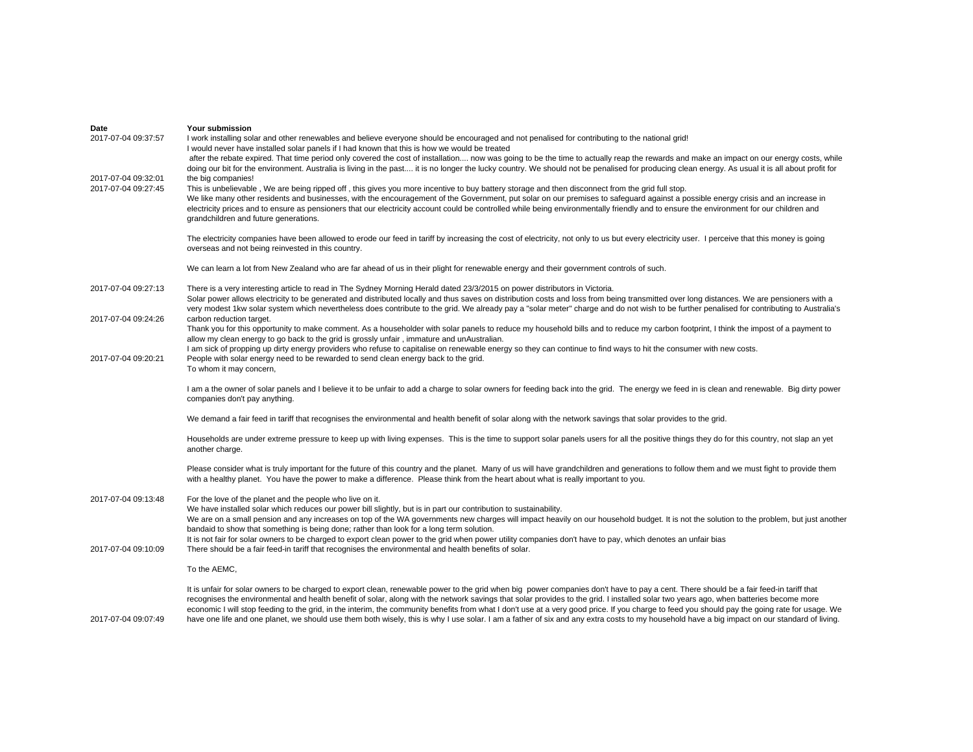| Date                | Your submission                                                                                                                                                                                  |
|---------------------|--------------------------------------------------------------------------------------------------------------------------------------------------------------------------------------------------|
| 2017-07-04 09:37:57 | I work installing solar and other renewables and believe everyone should be encouraged and not penalised for contributing to the national grid!                                                  |
|                     | I would never have installed solar panels if I had known that this is how we would be treated                                                                                                    |
|                     | after the rebate expired. That time period only covered the cost of installation now was going to be the time to actually reap the rewards and make an impact on our energy costs, while         |
|                     | doing our bit for the environment. Australia is living in the past it is no longer the lucky country. We should not be penalised for producing clean energy. As usual it is all about profit for |
| 2017-07-04 09:32:01 | the big companies!                                                                                                                                                                               |
| 2017-07-04 09:27:45 | This is unbelievable, We are being ripped off, this gives you more incentive to buy battery storage and then disconnect from the grid full stop.                                                 |
|                     | We like many other residents and businesses, with the encouragement of the Government, put solar on our premises to safeguard against a possible energy crisis and an increase in                |
|                     | electricity prices and to ensure as pensioners that our electricity account could be controlled while being environmentally friendly and to ensure the environment for our children and          |
|                     | grandchildren and future generations.                                                                                                                                                            |
|                     |                                                                                                                                                                                                  |
|                     | The electricity companies have been allowed to erode our feed in tariff by increasing the cost of electricity, not only to us but every electricity user. I perceive that this money is going    |
|                     | overseas and not being reinvested in this country.                                                                                                                                               |
|                     |                                                                                                                                                                                                  |
|                     | We can learn a lot from New Zealand who are far ahead of us in their plight for renewable energy and their government controls of such.                                                          |
|                     |                                                                                                                                                                                                  |
| 2017-07-04 09:27:13 | There is a very interesting article to read in The Sydney Morning Herald dated 23/3/2015 on power distributors in Victoria.                                                                      |
|                     | Solar power allows electricity to be generated and distributed locally and thus saves on distribution costs and loss from being transmitted over long distances. We are pensioners with a        |
|                     | very modest 1kw solar system which nevertheless does contribute to the grid. We already pay a "solar meter" charge and do not wish to be further penalised for contributing to Australia's       |
| 2017-07-04 09:24:26 | carbon reduction target.                                                                                                                                                                         |
|                     | Thank you for this opportunity to make comment. As a householder with solar panels to reduce my household bills and to reduce my carbon footprint, I think the impost of a payment to            |
|                     | allow my clean energy to go back to the grid is grossly unfair, immature and unAustralian.                                                                                                       |
|                     |                                                                                                                                                                                                  |
|                     | I am sick of propping up dirty energy providers who refuse to capitalise on renewable energy so they can continue to find ways to hit the consumer with new costs.                               |
| 2017-07-04 09:20:21 | People with solar energy need to be rewarded to send clean energy back to the grid.                                                                                                              |
|                     | To whom it may concern,                                                                                                                                                                          |
|                     | I am a the owner of solar panels and I believe it to be unfair to add a charge to solar owners for feeding back into the grid. The energy we feed in is clean and renewable. Big dirty power     |
|                     | companies don't pay anything.                                                                                                                                                                    |
|                     |                                                                                                                                                                                                  |
|                     | We demand a fair feed in tariff that recognises the environmental and health benefit of solar along with the network savings that solar provides to the grid.                                    |
|                     |                                                                                                                                                                                                  |
|                     | Households are under extreme pressure to keep up with living expenses. This is the time to support solar panels users for all the positive things they do for this country, not slap an yet      |
|                     | another charge.                                                                                                                                                                                  |
|                     |                                                                                                                                                                                                  |
|                     | Please consider what is truly important for the future of this country and the planet. Many of us will have grandchildren and generations to follow them and we must fight to provide them       |
|                     | with a healthy planet. You have the power to make a difference. Please think from the heart about what is really important to you.                                                               |
|                     |                                                                                                                                                                                                  |
| 2017-07-04 09:13:48 | For the love of the planet and the people who live on it.                                                                                                                                        |
|                     | We have installed solar which reduces our power bill slightly, but is in part our contribution to sustainability.                                                                                |
|                     | We are on a small pension and any increases on top of the WA governments new charges will impact heavily on our household budget. It is not the solution to the problem, but just another        |
|                     | bandaid to show that something is being done; rather than look for a long term solution.                                                                                                         |
|                     | It is not fair for solar owners to be charged to export clean power to the grid when power utility companies don't have to pay, which denotes an unfair bias                                     |
| 2017-07-04 09:10:09 | There should be a fair feed-in tariff that recognises the environmental and health benefits of solar.                                                                                            |
|                     |                                                                                                                                                                                                  |
|                     | To the AEMC,                                                                                                                                                                                     |
|                     |                                                                                                                                                                                                  |
|                     | It is unfair for solar owners to be charged to export clean, renewable power to the grid when big power companies don't have to pay a cent. There should be a fair feed-in tariff that           |
|                     | recognises the environmental and health benefit of solar, along with the network savings that solar provides to the grid. I installed solar two years ago, when batteries become more            |
|                     | economic I will stop feeding to the grid, in the interim, the community benefits from what I don't use at a very good price. If you charge to feed you should pay the going rate for usage. We   |
| 2017-07-04 09:07:49 | have one life and one planet, we should use them both wisely, this is why I use solar. I am a father of six and any extra costs to my household have a big impact on our standard of living.     |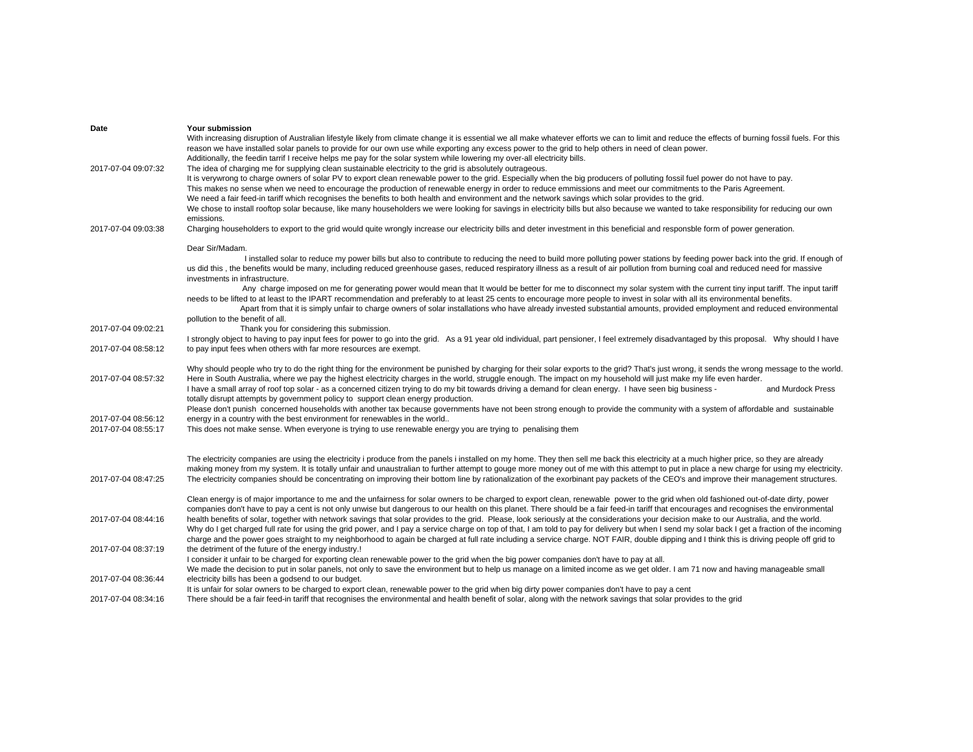| Date                | Your submission                                                                                                                                                                                     |
|---------------------|-----------------------------------------------------------------------------------------------------------------------------------------------------------------------------------------------------|
|                     | With increasing disruption of Australian lifestyle likely from climate change it is essential we all make whatever efforts we can to limit and reduce the effects of burning fossil fuels. For this |
|                     | reason we have installed solar panels to provide for our own use while exporting any excess power to the grid to help others in need of clean power.                                                |
|                     | Additionally, the feedin tarrif I receive helps me pay for the solar system while lowering my over-all electricity bills.                                                                           |
| 2017-07-04 09:07:32 | The idea of charging me for supplying clean sustainable electricity to the grid is absolutely outrageous.                                                                                           |
|                     | It is verywrong to charge owners of solar PV to export clean renewable power to the grid. Especially when the big producers of polluting fossil fuel power do not have to pay.                      |
|                     | This makes no sense when we need to encourage the production of renewable energy in order to reduce emmissions and meet our commitments to the Paris Agreement.                                     |
|                     | We need a fair feed-in tariff which recognises the benefits to both health and environment and the network savings which solar provides to the grid.                                                |
|                     | We chose to install rooftop solar because, like many householders we were looking for savings in electricity bills but also because we wanted to take responsibility for reducing our own           |
|                     | emissions.                                                                                                                                                                                          |
| 2017-07-04 09:03:38 | Charging householders to export to the grid would quite wrongly increase our electricity bills and deter investment in this beneficial and responsble form of power generation.                     |
|                     |                                                                                                                                                                                                     |
|                     | Dear Sir/Madam.                                                                                                                                                                                     |
|                     | I installed solar to reduce my power bills but also to contribute to reducing the need to build more polluting power stations by feeding power back into the grid. If enough of                     |
|                     | us did this, the benefits would be many, including reduced greenhouse gases, reduced respiratory illness as a result of air pollution from burning coal and reduced need for massive                |
|                     | investments in infrastructure.                                                                                                                                                                      |
|                     | Any charge imposed on me for generating power would mean that It would be better for me to disconnect my solar system with the current tiny input tariff. The input tariff                          |
|                     | needs to be lifted to at least to the IPART recommendation and preferably to at least 25 cents to encourage more people to invest in solar with all its environmental benefits.                     |
|                     | Apart from that it is simply unfair to charge owners of solar installations who have already invested substantial amounts, provided employment and reduced environmental                            |
|                     | pollution to the benefit of all.                                                                                                                                                                    |
| 2017-07-04 09:02:21 | Thank you for considering this submission.                                                                                                                                                          |
|                     | I strongly object to having to pay input fees for power to go into the grid. As a 91 year old individual, part pensioner, I feel extremely disadvantaged by this proposal. Why should I have        |
| 2017-07-04 08:58:12 | to pay input fees when others with far more resources are exempt.                                                                                                                                   |
|                     |                                                                                                                                                                                                     |
|                     | Why should people who try to do the right thing for the environment be punished by charging for their solar exports to the grid? That's just wrong, it sends the wrong message to the world.        |
| 2017-07-04 08:57:32 | Here in South Australia, where we pay the highest electricity charges in the world, struggle enough. The impact on my household will just make my life even harder.                                 |
|                     | I have a small array of roof top solar - as a concerned citizen trying to do my bit towards driving a demand for clean energy. I have seen big business -<br>and Murdock Press                      |
|                     | totally disrupt attempts by government policy to support clean energy production.                                                                                                                   |
|                     | Please don't punish concerned households with another tax because governments have not been strong enough to provide the community with a system of affordable and sustainable                      |
|                     |                                                                                                                                                                                                     |
| 2017-07-04 08:56:12 | energy in a country with the best environment for renewables in the world                                                                                                                           |
| 2017-07-04 08:55:17 | This does not make sense. When everyone is trying to use renewable energy you are trying to penalising them                                                                                         |
|                     |                                                                                                                                                                                                     |
|                     |                                                                                                                                                                                                     |
|                     | The electricity companies are using the electricity i produce from the panels i installed on my home. They then sell me back this electricity at a much higher price, so they are already           |
|                     | making money from my system. It is totally unfair and unaustralian to further attempt to gouge more money out of me with this attempt to put in place a new charge for using my electricity.        |
| 2017-07-04 08:47:25 | The electricity companies should be concentrating on improving their bottom line by rationalization of the exorbinant pay packets of the CEO's and improve their management structures.             |
|                     |                                                                                                                                                                                                     |
|                     | Clean energy is of major importance to me and the unfairness for solar owners to be charged to export clean, renewable power to the grid when old fashioned out-of-date dirty, power                |
|                     | companies don't have to pay a cent is not only unwise but dangerous to our health on this planet. There should be a fair feed-in tariff that encourages and recognises the environmental            |
| 2017-07-04 08:44:16 | health benefits of solar, together with network savings that solar provides to the grid. Please, look seriously at the considerations your decision make to our Australia, and the world.           |
|                     | Why do I get charged full rate for using the grid power, and I pay a service charge on top of that, I am told to pay for delivery but when I send my solar back I get a fraction of the incoming    |
|                     | charge and the power goes straight to my neighborhood to again be charged at full rate including a service charge. NOT FAIR, double dipping and I think this is driving people off grid to          |
| 2017-07-04 08:37:19 | the detriment of the future of the energy industry.!                                                                                                                                                |
|                     | I consider it unfair to be charged for exporting clean renewable power to the grid when the big power companies don't have to pay at all.                                                           |
|                     | We made the decision to put in solar panels, not only to save the environment but to help us manage on a limited income as we get older. I am 71 now and having manageable small                    |
| 2017-07-04 08:36:44 | electricity bills has been a godsend to our budget.                                                                                                                                                 |
|                     | It is unfair for solar owners to be charged to export clean, renewable power to the grid when big dirty power companies don't have to pay a cent                                                    |
| 2017-07-04 08:34:16 | There should be a fair feed-in tariff that recognises the environmental and health benefit of solar, along with the network savings that solar provides to the grid                                 |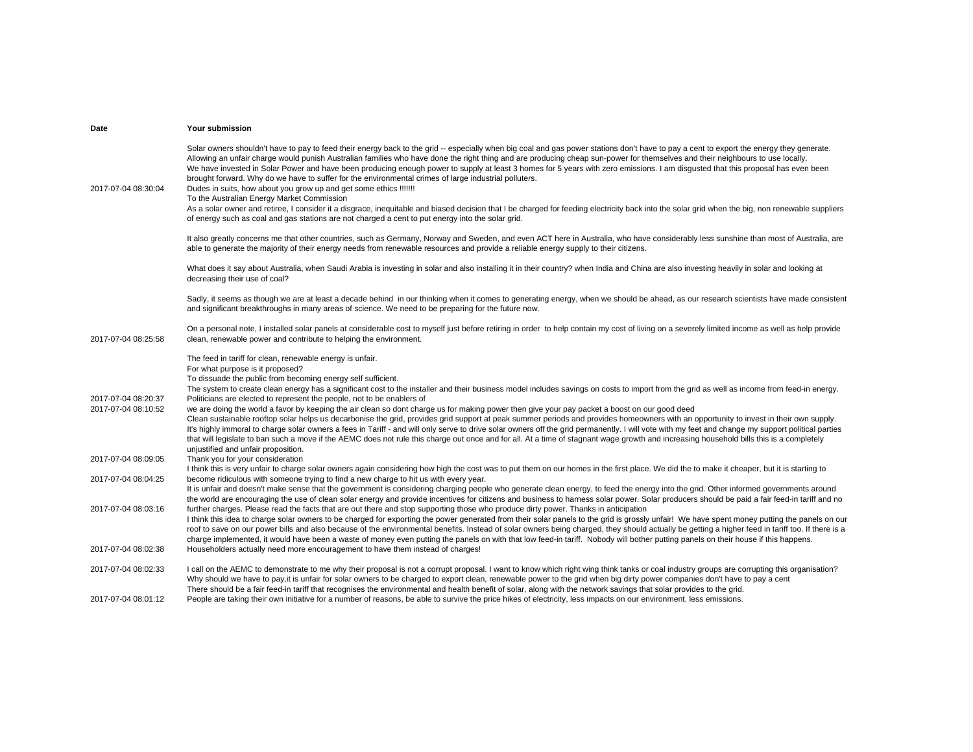| Date                                       | Your submission                                                                                                                                                                                                                                                                                                                                                                                                                                                                                                                                                                                                                                                                                                                                                                                                                                                                                                                                                                                |
|--------------------------------------------|------------------------------------------------------------------------------------------------------------------------------------------------------------------------------------------------------------------------------------------------------------------------------------------------------------------------------------------------------------------------------------------------------------------------------------------------------------------------------------------------------------------------------------------------------------------------------------------------------------------------------------------------------------------------------------------------------------------------------------------------------------------------------------------------------------------------------------------------------------------------------------------------------------------------------------------------------------------------------------------------|
| 2017-07-04 08:30:04                        | Solar owners shouldn't have to pay to feed their energy back to the grid -- especially when big coal and gas power stations don't have to pay a cent to export the energy they generate.<br>Allowing an unfair charge would punish Australian families who have done the right thing and are producing cheap sun-power for themselves and their neighbours to use locally.<br>We have invested in Solar Power and have been producing enough power to supply at least 3 homes for 5 years with zero emissions. I am disgusted that this proposal has even been<br>brought forward. Why do we have to suffer for the environmental crimes of large industrial polluters.<br>Dudes in suits, how about you grow up and get some ethics !!!!!!!<br>To the Australian Energy Market Commission<br>As a solar owner and retiree, I consider it a disgrace, inequitable and biased decision that I be charged for feeding electricity back into the solar grid when the big, non renewable suppliers |
|                                            | of energy such as coal and gas stations are not charged a cent to put energy into the solar grid.                                                                                                                                                                                                                                                                                                                                                                                                                                                                                                                                                                                                                                                                                                                                                                                                                                                                                              |
|                                            | It also greatly concerns me that other countries, such as Germany, Norway and Sweden, and even ACT here in Australia, who have considerably less sunshine than most of Australia, are<br>able to generate the majority of their energy needs from renewable resources and provide a reliable energy supply to their citizens.                                                                                                                                                                                                                                                                                                                                                                                                                                                                                                                                                                                                                                                                  |
|                                            | What does it say about Australia, when Saudi Arabia is investing in solar and also installing it in their country? when India and China are also investing heavily in solar and looking at<br>decreasing their use of coal?                                                                                                                                                                                                                                                                                                                                                                                                                                                                                                                                                                                                                                                                                                                                                                    |
|                                            | Sadly, it seems as though we are at least a decade behind in our thinking when it comes to generating energy, when we should be ahead, as our research scientists have made consistent<br>and significant breakthroughs in many areas of science. We need to be preparing for the future now.                                                                                                                                                                                                                                                                                                                                                                                                                                                                                                                                                                                                                                                                                                  |
| 2017-07-04 08:25:58                        | On a personal note, I installed solar panels at considerable cost to myself just before retiring in order to help contain my cost of living on a severely limited income as well as help provide<br>clean, renewable power and contribute to helping the environment.                                                                                                                                                                                                                                                                                                                                                                                                                                                                                                                                                                                                                                                                                                                          |
|                                            | The feed in tariff for clean, renewable energy is unfair.<br>For what purpose is it proposed?<br>To dissuade the public from becoming energy self sufficient.                                                                                                                                                                                                                                                                                                                                                                                                                                                                                                                                                                                                                                                                                                                                                                                                                                  |
|                                            | The system to create clean energy has a significant cost to the installer and their business model includes savings on costs to import from the grid as well as income from feed-in energy.                                                                                                                                                                                                                                                                                                                                                                                                                                                                                                                                                                                                                                                                                                                                                                                                    |
| 2017-07-04 08:20:37<br>2017-07-04 08:10:52 | Politicians are elected to represent the people, not to be enablers of<br>we are doing the world a favor by keeping the air clean so dont charge us for making power then give your pay packet a boost on our good deed<br>Clean sustainable rooftop solar helps us decarbonise the grid, provides grid support at peak summer periods and provides homeowners with an opportunity to invest in their own supply.<br>It's highly immoral to charge solar owners a fees in Tariff - and will only serve to drive solar owners off the grid permanently. I will vote with my feet and change my support political parties<br>that will legislate to ban such a move if the AEMC does not rule this charge out once and for all. At a time of stagnant wage growth and increasing household bills this is a completely<br>unjustified and unfair proposition.                                                                                                                                     |
| 2017-07-04 08:09:05                        | Thank you for your consideration<br>I think this is very unfair to charge solar owners again considering how high the cost was to put them on our homes in the first place. We did the to make it cheaper, but it is starting to                                                                                                                                                                                                                                                                                                                                                                                                                                                                                                                                                                                                                                                                                                                                                               |
| 2017-07-04 08:04:25                        | become ridiculous with someone trying to find a new charge to hit us with every year.<br>It is unfair and doesn't make sense that the government is considering charging people who generate clean energy, to feed the energy into the grid. Other informed governments around                                                                                                                                                                                                                                                                                                                                                                                                                                                                                                                                                                                                                                                                                                                 |
| 2017-07-04 08:03:16                        | the world are encouraging the use of clean solar energy and provide incentives for citizens and business to harness solar power. Solar producers should be paid a fair feed-in tariff and no<br>further charges. Please read the facts that are out there and stop supporting those who produce dirty power. Thanks in anticipation<br>I think this idea to charge solar owners to be charged for exporting the power generated from their solar panels to the grid is grossly unfair! We have spent money putting the panels on our<br>roof to save on our power bills and also because of the environmental benefits. Instead of solar owners being charged, they should actually be getting a higher feed in tariff too. If there is a<br>charge implemented, it would have been a waste of money even putting the panels on with that low feed-in tariff. Nobody will bother putting panels on their house if this happens.                                                                |
| 2017-07-04 08:02:38                        | Householders actually need more encouragement to have them instead of charges!                                                                                                                                                                                                                                                                                                                                                                                                                                                                                                                                                                                                                                                                                                                                                                                                                                                                                                                 |
| 2017-07-04 08:02:33                        | I call on the AEMC to demonstrate to me why their proposal is not a corrupt proposal. I want to know which right wing think tanks or coal industry groups are corrupting this organisation?<br>Why should we have to pay, it is unfair for solar owners to be charged to export clean, renewable power to the grid when big dirty power companies don't have to pay a cent<br>There should be a fair feed-in tariff that recognises the environmental and health benefit of solar, along with the network savings that solar provides to the grid.                                                                                                                                                                                                                                                                                                                                                                                                                                             |
| 2017-07-04 08:01:12                        | People are taking their own initiative for a number of reasons, be able to survive the price hikes of electricity, less impacts on our environment, less emissions.                                                                                                                                                                                                                                                                                                                                                                                                                                                                                                                                                                                                                                                                                                                                                                                                                            |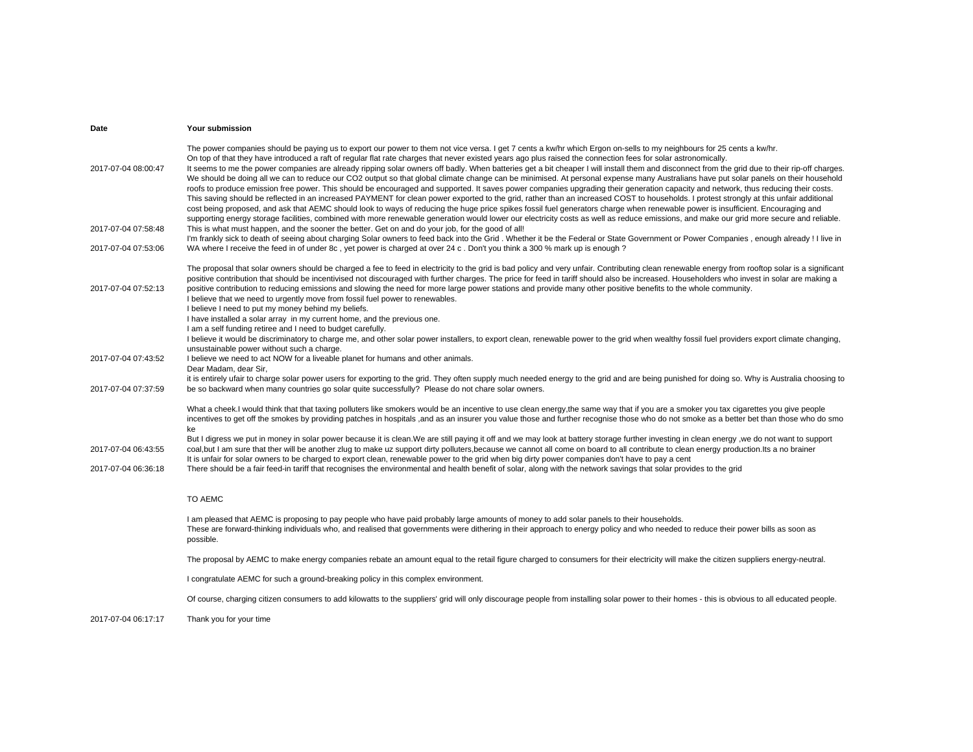| Date                | Your submission                                                                                                                                                                                                                                                                                                                                                                                                                                                                                                                                                                                                                                                                                                                                                                                                                                                                                                                                                                                                                                                                                                                                                                                                                                                                                                                                                                                                                                                                                     |
|---------------------|-----------------------------------------------------------------------------------------------------------------------------------------------------------------------------------------------------------------------------------------------------------------------------------------------------------------------------------------------------------------------------------------------------------------------------------------------------------------------------------------------------------------------------------------------------------------------------------------------------------------------------------------------------------------------------------------------------------------------------------------------------------------------------------------------------------------------------------------------------------------------------------------------------------------------------------------------------------------------------------------------------------------------------------------------------------------------------------------------------------------------------------------------------------------------------------------------------------------------------------------------------------------------------------------------------------------------------------------------------------------------------------------------------------------------------------------------------------------------------------------------------|
| 2017-07-04 08:00:47 | The power companies should be paying us to export our power to them not vice versa. I get 7 cents a kw/hr which Ergon on-sells to my neighbours for 25 cents a kw/hr.<br>On top of that they have introduced a raft of regular flat rate charges that never existed years ago plus raised the connection fees for solar astronomically.<br>It seems to me the power companies are already ripping solar owners off badly. When batteries get a bit cheaper I will install them and disconnect from the grid due to their rip-off charges.<br>We should be doing all we can to reduce our CO2 output so that global climate change can be minimised. At personal expense many Australians have put solar panels on their household<br>roofs to produce emission free power. This should be encouraged and supported. It saves power companies upgrading their generation capacity and network, thus reducing their costs.<br>This saving should be reflected in an increased PAYMENT for clean power exported to the grid, rather than an increased COST to households. I protest strongly at this unfair additional<br>cost being proposed, and ask that AEMC should look to ways of reducing the huge price spikes fossil fuel generators charge when renewable power is insufficient. Encouraging and<br>supporting energy storage facilities, combined with more renewable generation would lower our electricity costs as well as reduce emissions, and make our grid more secure and reliable. |
| 2017-07-04 07:58:48 | This is what must happen, and the sooner the better. Get on and do your job, for the good of all!<br>I'm frankly sick to death of seeing about charging Solar owners to feed back into the Grid. Whether it be the Federal or State Government or Power Companies, enough already! I live in                                                                                                                                                                                                                                                                                                                                                                                                                                                                                                                                                                                                                                                                                                                                                                                                                                                                                                                                                                                                                                                                                                                                                                                                        |
| 2017-07-04 07:53:06 | WA where I receive the feed in of under 8c, yet power is charged at over 24 c. Don't you think a 300 % mark up is enough?                                                                                                                                                                                                                                                                                                                                                                                                                                                                                                                                                                                                                                                                                                                                                                                                                                                                                                                                                                                                                                                                                                                                                                                                                                                                                                                                                                           |
| 2017-07-04 07:52:13 | The proposal that solar owners should be charged a fee to feed in electricity to the grid is bad policy and very unfair. Contributing clean renewable energy from rooftop solar is a significant<br>positive contribution that should be incentivised not discouraged with further charges. The price for feed in tariff should also be increased. Householders who invest in solar are making a<br>positive contribution to reducing emissions and slowing the need for more large power stations and provide many other positive benefits to the whole community.<br>I believe that we need to urgently move from fossil fuel power to renewables.<br>I believe I need to put my money behind my beliefs.<br>I have installed a solar array in my current home, and the previous one.<br>I am a self funding retiree and I need to budget carefully.                                                                                                                                                                                                                                                                                                                                                                                                                                                                                                                                                                                                                                              |
|                     | I believe it would be discriminatory to charge me, and other solar power installers, to export clean, renewable power to the grid when wealthy fossil fuel providers export climate changing,                                                                                                                                                                                                                                                                                                                                                                                                                                                                                                                                                                                                                                                                                                                                                                                                                                                                                                                                                                                                                                                                                                                                                                                                                                                                                                       |
| 2017-07-04 07:43:52 | unsustainable power without such a charge.<br>I believe we need to act NOW for a liveable planet for humans and other animals.<br>Dear Madam, dear Sir,                                                                                                                                                                                                                                                                                                                                                                                                                                                                                                                                                                                                                                                                                                                                                                                                                                                                                                                                                                                                                                                                                                                                                                                                                                                                                                                                             |
| 2017-07-04 07:37:59 | it is entirely ufair to charge solar power users for exporting to the grid. They often supply much needed energy to the grid and are being punished for doing so. Why is Australia choosing to<br>be so backward when many countries go solar quite successfully? Please do not chare solar owners.                                                                                                                                                                                                                                                                                                                                                                                                                                                                                                                                                                                                                                                                                                                                                                                                                                                                                                                                                                                                                                                                                                                                                                                                 |
|                     | What a cheek. I would think that that taxing polluters like smokers would be an incentive to use clean energy, the same way that if you are a smoker you tax cigarettes you give people<br>incentives to get off the smokes by providing patches in hospitals ,and as an insurer you value those and further recognise those who do not smoke as a better bet than those who do smo<br>ke<br>But I digress we put in money in solar power because it is clean.We are still paying it off and we may look at battery storage further investing in clean energy, we do not want to support                                                                                                                                                                                                                                                                                                                                                                                                                                                                                                                                                                                                                                                                                                                                                                                                                                                                                                            |
| 2017-07-04 06:43:55 | coal, but I am sure that ther will be another zlug to make uz support dirty polluters, because we cannot all come on board to all contribute to clean energy production. Its a no brainer<br>It is unfair for solar owners to be charged to export clean, renewable power to the grid when big dirty power companies don't have to pay a cent                                                                                                                                                                                                                                                                                                                                                                                                                                                                                                                                                                                                                                                                                                                                                                                                                                                                                                                                                                                                                                                                                                                                                       |
| 2017-07-04 06:36:18 | There should be a fair feed-in tariff that recognises the environmental and health benefit of solar, along with the network savings that solar provides to the grid                                                                                                                                                                                                                                                                                                                                                                                                                                                                                                                                                                                                                                                                                                                                                                                                                                                                                                                                                                                                                                                                                                                                                                                                                                                                                                                                 |
|                     | TO AEMC                                                                                                                                                                                                                                                                                                                                                                                                                                                                                                                                                                                                                                                                                                                                                                                                                                                                                                                                                                                                                                                                                                                                                                                                                                                                                                                                                                                                                                                                                             |
|                     | I am pleased that AEMC is proposing to pay people who have paid probably large amounts of money to add solar panels to their households.<br>These are forward-thinking individuals who, and realised that governments were dithering in their approach to energy policy and who needed to reduce their power bills as soon as<br>possible.                                                                                                                                                                                                                                                                                                                                                                                                                                                                                                                                                                                                                                                                                                                                                                                                                                                                                                                                                                                                                                                                                                                                                          |
|                     | The proposal by AEMC to make energy companies rebate an amount equal to the retail figure charged to consumers for their electricity will make the citizen suppliers energy-neutral.                                                                                                                                                                                                                                                                                                                                                                                                                                                                                                                                                                                                                                                                                                                                                                                                                                                                                                                                                                                                                                                                                                                                                                                                                                                                                                                |
|                     | I congratulate AEMC for such a ground-breaking policy in this complex environment.                                                                                                                                                                                                                                                                                                                                                                                                                                                                                                                                                                                                                                                                                                                                                                                                                                                                                                                                                                                                                                                                                                                                                                                                                                                                                                                                                                                                                  |
|                     | Of course, charging citizen consumers to add kilowatts to the suppliers' grid will only discourage people from installing solar power to their homes - this is obvious to all educated people.                                                                                                                                                                                                                                                                                                                                                                                                                                                                                                                                                                                                                                                                                                                                                                                                                                                                                                                                                                                                                                                                                                                                                                                                                                                                                                      |
| 2017-07-04 06:17:17 | Thank you for your time                                                                                                                                                                                                                                                                                                                                                                                                                                                                                                                                                                                                                                                                                                                                                                                                                                                                                                                                                                                                                                                                                                                                                                                                                                                                                                                                                                                                                                                                             |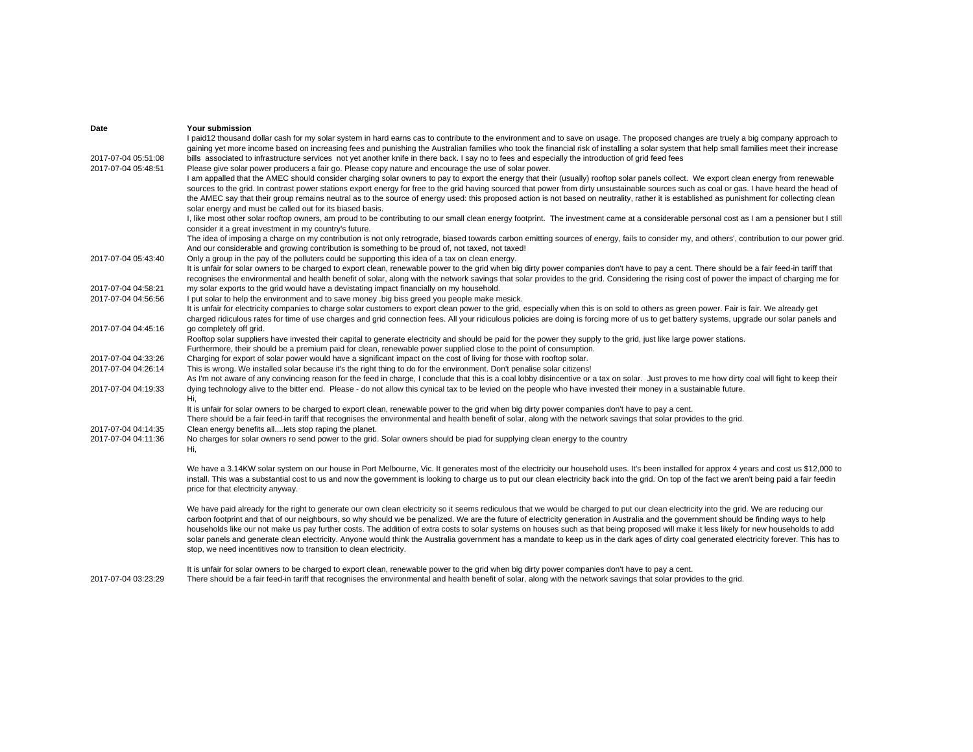| Date                                       | Your submission                                                                                                                                                                                                                                                                                                                                                                                                                                                                                                                                                                                                                                                                                                                                                                                                                                                                                                                                                                                                                                                                                                                                                                                                                                                                                                                                                                                                                                                                                                                                                                                                                                                                                                                                                       |
|--------------------------------------------|-----------------------------------------------------------------------------------------------------------------------------------------------------------------------------------------------------------------------------------------------------------------------------------------------------------------------------------------------------------------------------------------------------------------------------------------------------------------------------------------------------------------------------------------------------------------------------------------------------------------------------------------------------------------------------------------------------------------------------------------------------------------------------------------------------------------------------------------------------------------------------------------------------------------------------------------------------------------------------------------------------------------------------------------------------------------------------------------------------------------------------------------------------------------------------------------------------------------------------------------------------------------------------------------------------------------------------------------------------------------------------------------------------------------------------------------------------------------------------------------------------------------------------------------------------------------------------------------------------------------------------------------------------------------------------------------------------------------------------------------------------------------------|
| 2017-07-04 05:51:08<br>2017-07-04 05:48:51 | I paid12 thousand dollar cash for my solar system in hard earns cas to contribute to the environment and to save on usage. The proposed changes are truely a big company approach to<br>gaining yet more income based on increasing fees and punishing the Australian families who took the financial risk of installing a solar system that help small families meet their increase<br>bills associated to infrastructure services not yet another knife in there back. I say no to fees and especially the introduction of grid feed fees<br>Please give solar power producers a fair go. Please copy nature and encourage the use of solar power.<br>I am appalled that the AMEC should consider charging solar owners to pay to export the energy that their (usually) rooftop solar panels collect. We export clean energy from renewable<br>sources to the grid. In contrast power stations export energy for free to the grid having sourced that power from dirty unsustainable sources such as coal or gas. I have heard the head of<br>the AMEC say that their group remains neutral as to the source of energy used: this proposed action is not based on neutrality, rather it is established as punishment for collecting clean<br>solar energy and must be called out for its biased basis.<br>I, like most other solar rooftop owners, am proud to be contributing to our small clean energy footprint. The investment came at a considerable personal cost as I am a pensioner but I still<br>consider it a great investment in my country's future.<br>The idea of imposing a charge on my contribution is not only retrograde, biased towards carbon emitting sources of energy, fails to consider my, and others', contribution to our power grid. |
| 2017-07-04 05:43:40                        | And our considerable and growing contribution is something to be proud of, not taxed, not taxed!<br>Only a group in the pay of the polluters could be supporting this idea of a tax on clean energy.<br>It is unfair for solar owners to be charged to export clean, renewable power to the grid when big dirty power companies don't have to pay a cent. There should be a fair feed-in tariff that                                                                                                                                                                                                                                                                                                                                                                                                                                                                                                                                                                                                                                                                                                                                                                                                                                                                                                                                                                                                                                                                                                                                                                                                                                                                                                                                                                  |
| 2017-07-04 04:58:21                        | recognises the environmental and health benefit of solar, along with the network savings that solar provides to the grid. Considering the rising cost of power the impact of charging me for<br>my solar exports to the grid would have a devistating impact financially on my household.                                                                                                                                                                                                                                                                                                                                                                                                                                                                                                                                                                                                                                                                                                                                                                                                                                                                                                                                                                                                                                                                                                                                                                                                                                                                                                                                                                                                                                                                             |
| 2017-07-04 04:56:56                        | I put solar to help the environment and to save money .big biss greed you people make mesick.<br>It is unfair for electricity companies to charge solar customers to export clean power to the grid, especially when this is on sold to others as green power. Fair is fair. We already get<br>charged ridiculous rates for time of use charges and grid connection fees. All your ridiculous policies are doing is forcing more of us to get battery systems, upgrade our solar panels and                                                                                                                                                                                                                                                                                                                                                                                                                                                                                                                                                                                                                                                                                                                                                                                                                                                                                                                                                                                                                                                                                                                                                                                                                                                                           |
| 2017-07-04 04:45:16                        | go completely off grid.<br>Rooftop solar suppliers have invested their capital to generate electricity and should be paid for the power they supply to the grid, just like large power stations.                                                                                                                                                                                                                                                                                                                                                                                                                                                                                                                                                                                                                                                                                                                                                                                                                                                                                                                                                                                                                                                                                                                                                                                                                                                                                                                                                                                                                                                                                                                                                                      |
| 2017-07-04 04:33:26<br>2017-07-04 04:26:14 | Furthermore, their should be a premium paid for clean, renewable power supplied close to the point of consumption.<br>Charging for export of solar power would have a significant impact on the cost of living for those with rooftop solar.<br>This is wrong. We installed solar because it's the right thing to do for the environment. Don't penalise solar citizens!                                                                                                                                                                                                                                                                                                                                                                                                                                                                                                                                                                                                                                                                                                                                                                                                                                                                                                                                                                                                                                                                                                                                                                                                                                                                                                                                                                                              |
| 2017-07-04 04:19:33                        | As I'm not aware of any convincing reason for the feed in charge, I conclude that this is a coal lobby disincentive or a tax on solar. Just proves to me how dirty coal will fight to keep their<br>dying technology alive to the bitter end. Please - do not allow this cynical tax to be levied on the people who have invested their money in a sustainable future.<br>Hi,                                                                                                                                                                                                                                                                                                                                                                                                                                                                                                                                                                                                                                                                                                                                                                                                                                                                                                                                                                                                                                                                                                                                                                                                                                                                                                                                                                                         |
|                                            | It is unfair for solar owners to be charged to export clean, renewable power to the grid when big dirty power companies don't have to pay a cent.<br>There should be a fair feed-in tariff that recognises the environmental and health benefit of solar, along with the network savings that solar provides to the grid.                                                                                                                                                                                                                                                                                                                                                                                                                                                                                                                                                                                                                                                                                                                                                                                                                                                                                                                                                                                                                                                                                                                                                                                                                                                                                                                                                                                                                                             |
| 2017-07-04 04:14:35<br>2017-07-04 04:11:36 | Clean energy benefits alllets stop raping the planet.<br>No charges for solar owners ro send power to the grid. Solar owners should be piad for supplying clean energy to the country<br>Hi,                                                                                                                                                                                                                                                                                                                                                                                                                                                                                                                                                                                                                                                                                                                                                                                                                                                                                                                                                                                                                                                                                                                                                                                                                                                                                                                                                                                                                                                                                                                                                                          |
|                                            | We have a 3.14KW solar system on our house in Port Melbourne, Vic. It generates most of the electricity our household uses. It's been installed for approx 4 years and cost us \$12,000 to<br>install. This was a substantial cost to us and now the government is looking to charge us to put our clean electricity back into the grid. On top of the fact we aren't being paid a fair feedin<br>price for that electricity anyway.                                                                                                                                                                                                                                                                                                                                                                                                                                                                                                                                                                                                                                                                                                                                                                                                                                                                                                                                                                                                                                                                                                                                                                                                                                                                                                                                  |
|                                            | We have paid already for the right to generate our own clean electricity so it seems rediculous that we would be charged to put our clean electricity into the grid. We are reducing our<br>carbon footprint and that of our neighbours, so why should we be penalized. We are the future of electricity generation in Australia and the government should be finding ways to help<br>households like our not make us pay further costs. The addition of extra costs to solar systems on houses such as that being proposed will make it less likely for new households to add<br>solar panels and generate clean electricity. Anyone would think the Australia government has a mandate to keep us in the dark ages of dirty coal generated electricity forever. This has to<br>stop, we need incentitives now to transition to clean electricity.                                                                                                                                                                                                                                                                                                                                                                                                                                                                                                                                                                                                                                                                                                                                                                                                                                                                                                                   |
|                                            | It is unfair for solar owners to be charged to export clean, renewable power to the grid when big dirty power companies don't have to pay a cent.                                                                                                                                                                                                                                                                                                                                                                                                                                                                                                                                                                                                                                                                                                                                                                                                                                                                                                                                                                                                                                                                                                                                                                                                                                                                                                                                                                                                                                                                                                                                                                                                                     |

2017-07-04 03:23:29There should be a fair feed-in tariff that recognises the environmental and health benefit of solar, along with the network savings that solar provides to the grid.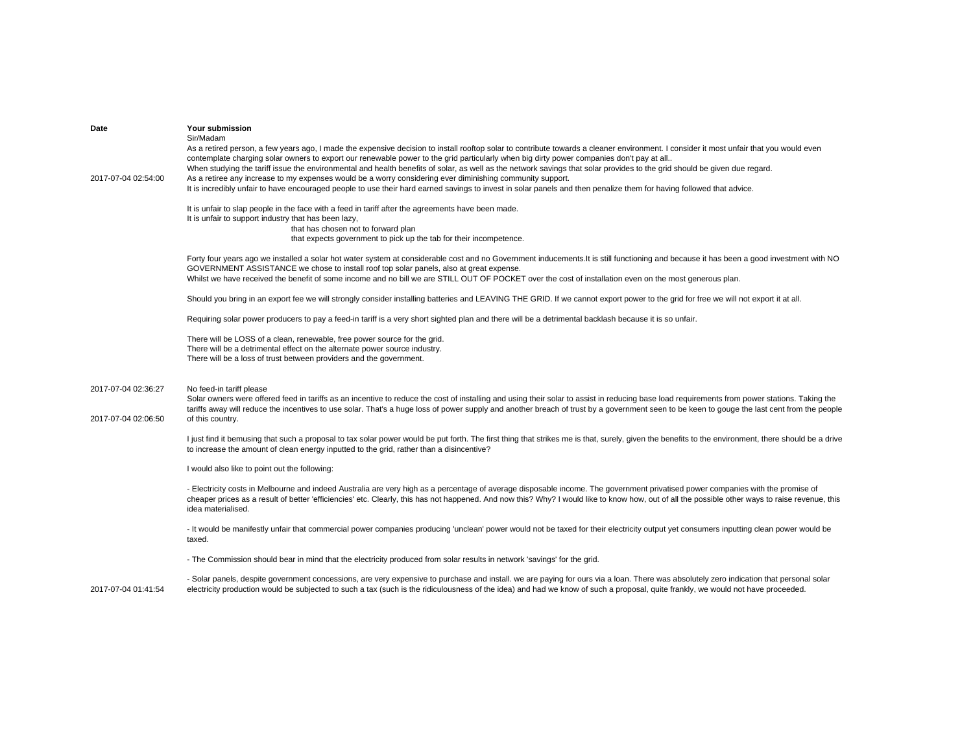| Date<br>2017-07-04 02:54:00                | Your submission<br>Sir/Madam<br>As a retired person, a few years ago, I made the expensive decision to install rooftop solar to contribute towards a cleaner environment. I consider it most unfair that you would even<br>contemplate charging solar owners to export our renewable power to the grid particularly when big dirty power companies don't pay at all<br>When studying the tariff issue the environmental and health benefits of solar, as well as the network savings that solar provides to the grid should be given due regard.<br>As a retiree any increase to my expenses would be a worry considering ever diminishing community support.<br>It is incredibly unfair to have encouraged people to use their hard earned savings to invest in solar panels and then penalize them for having followed that advice. |
|--------------------------------------------|---------------------------------------------------------------------------------------------------------------------------------------------------------------------------------------------------------------------------------------------------------------------------------------------------------------------------------------------------------------------------------------------------------------------------------------------------------------------------------------------------------------------------------------------------------------------------------------------------------------------------------------------------------------------------------------------------------------------------------------------------------------------------------------------------------------------------------------|
|                                            | It is unfair to slap people in the face with a feed in tariff after the agreements have been made.<br>It is unfair to support industry that has been lazy,<br>that has chosen not to forward plan<br>that expects government to pick up the tab for their incompetence.                                                                                                                                                                                                                                                                                                                                                                                                                                                                                                                                                               |
|                                            | Forty four years ago we installed a solar hot water system at considerable cost and no Government inducements. It is still functioning and because it has been a good investment with NO<br>GOVERNMENT ASSISTANCE we chose to install roof top solar panels, also at great expense.<br>Whilst we have received the benefit of some income and no bill we are STILL OUT OF POCKET over the cost of installation even on the most generous plan.                                                                                                                                                                                                                                                                                                                                                                                        |
|                                            | Should you bring in an export fee we will strongly consider installing batteries and LEAVING THE GRID. If we cannot export power to the grid for free we will not export it at all.                                                                                                                                                                                                                                                                                                                                                                                                                                                                                                                                                                                                                                                   |
|                                            | Requiring solar power producers to pay a feed-in tariff is a very short sighted plan and there will be a detrimental backlash because it is so unfair.                                                                                                                                                                                                                                                                                                                                                                                                                                                                                                                                                                                                                                                                                |
|                                            | There will be LOSS of a clean, renewable, free power source for the grid.<br>There will be a detrimental effect on the alternate power source industry.<br>There will be a loss of trust between providers and the government.                                                                                                                                                                                                                                                                                                                                                                                                                                                                                                                                                                                                        |
| 2017-07-04 02:36:27<br>2017-07-04 02:06:50 | No feed-in tariff please<br>Solar owners were offered feed in tariffs as an incentive to reduce the cost of installing and using their solar to assist in reducing base load requirements from power stations. Taking the<br>tariffs away will reduce the incentives to use solar. That's a huge loss of power supply and another breach of trust by a government seen to be keen to gouge the last cent from the people<br>of this country.                                                                                                                                                                                                                                                                                                                                                                                          |
|                                            | I just find it bemusing that such a proposal to tax solar power would be put forth. The first thing that strikes me is that, surely, given the benefits to the environment, there should be a drive<br>to increase the amount of clean energy inputted to the grid, rather than a disincentive?                                                                                                                                                                                                                                                                                                                                                                                                                                                                                                                                       |
|                                            | I would also like to point out the following:                                                                                                                                                                                                                                                                                                                                                                                                                                                                                                                                                                                                                                                                                                                                                                                         |
|                                            | - Electricity costs in Melbourne and indeed Australia are very high as a percentage of average disposable income. The government privatised power companies with the promise of<br>cheaper prices as a result of better 'efficiencies' etc. Clearly, this has not happened. And now this? Why? I would like to know how, out of all the possible other ways to raise revenue, this<br>idea materialised.                                                                                                                                                                                                                                                                                                                                                                                                                              |
|                                            | - It would be manifestly unfair that commercial power companies producing 'unclean' power would not be taxed for their electricity output yet consumers inputting clean power would be<br>taxed.                                                                                                                                                                                                                                                                                                                                                                                                                                                                                                                                                                                                                                      |
|                                            | - The Commission should bear in mind that the electricity produced from solar results in network 'savings' for the grid.                                                                                                                                                                                                                                                                                                                                                                                                                                                                                                                                                                                                                                                                                                              |
|                                            | . Solar nangle deepite government concessions, are very expensive to purchase and install, we are naving for ours via a loan. There was absolutely zero indication that personal solar.                                                                                                                                                                                                                                                                                                                                                                                                                                                                                                                                                                                                                                               |

2017-07-04 01:41:54

- Solar panels, despite government concessions, are very expensive to purchase and install. we are paying for ours via a loan. There was absolutely zero indication that personal solar electricity production would be subjected to such a tax (such is the ridiculousness of the idea) and had we know of such a proposal, quite frankly, we would not have proceeded.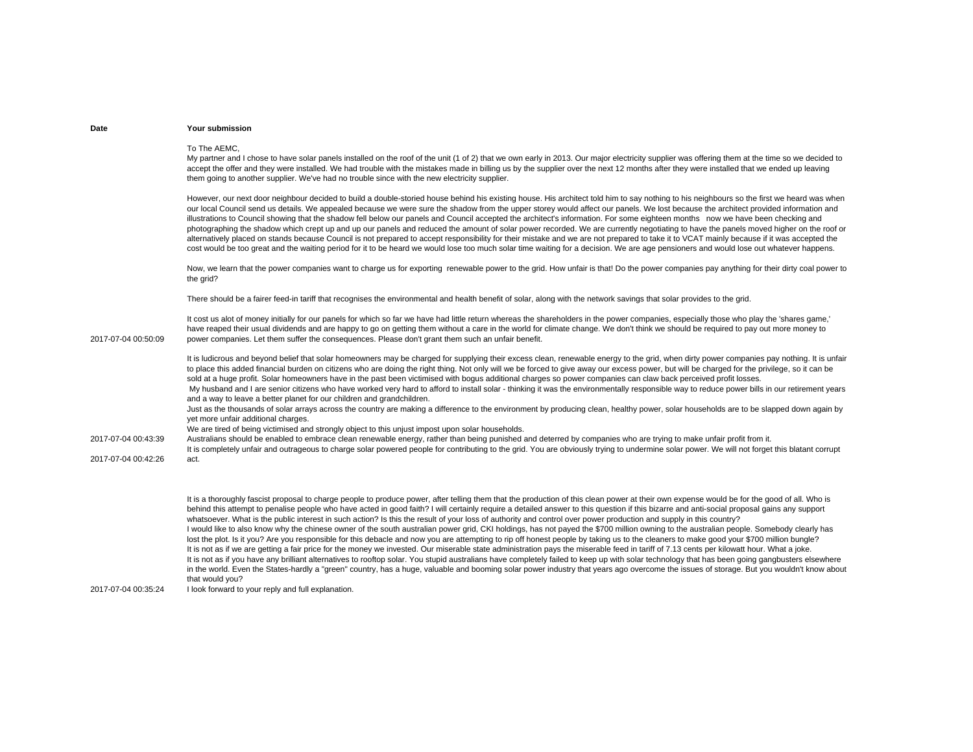#### To The AEMC,

My partner and I chose to have solar panels installed on the roof of the unit (1 of 2) that we own early in 2013. Our major electricity supplier was offering them at the time so we decided to accept the offer and they were installed. We had trouble with the mistakes made in billing us by the supplier over the next 12 months after they were installed that we ended up leaving them going to another supplier. We've had no trouble since with the new electricity supplier.

However, our next door neighbour decided to build a double-storied house behind his existing house. His architect told him to say nothing to his neighbours so the first we heard was when our local Council send us details. We appealed because we were sure the shadow from the upper storey would affect our panels. We lost because the architect provided information and illustrations to Council showing that the shadow fell below our panels and Council accepted the architect's information. For some eighteen months now we have been checking and photographing the shadow which crept up and up our panels and reduced the amount of solar power recorded. We are currently negotiating to have the panels moved higher on the roof or alternatively placed on stands because Council is not prepared to accept responsibility for their mistake and we are not prepared to take it to VCAT mainly because if it was accepted the cost would be too great and the waiting period for it to be heard we would lose too much solar time waiting for a decision. We are age pensioners and would lose out whatever happens.

Now, we learn that the power companies want to charge us for exporting renewable power to the grid. How unfair is that! Do the power companies pay anything for their dirty coal power to the grid?

There should be a fairer feed-in tariff that recognises the environmental and health benefit of solar, along with the network savings that solar provides to the grid.

It cost us alot of money initially for our panels for which so far we have had little return whereas the shareholders in the power companies, especially those who play the 'shares game,' have reaped their usual dividends and are happy to go on getting them without a care in the world for climate change. We don't think we should be required to pay out more money to power companies. Let them suffer the consequences. Please don't grant them such an unfair benefit.

It is ludicrous and beyond belief that solar homeowners may be charged for supplying their excess clean, renewable energy to the grid, when dirty power companies pay nothing. It is unfair to place this added financial burden on citizens who are doing the right thing. Not only will we be forced to give away our excess power, but will be charged for the privilege, so it can be sold at a huge profit. Solar homeowners have in the past been victimised with bogus additional charges so power companies can claw back perceived profit losses. My husband and I are senior citizens who have worked very hard to afford to install solar - thinking it was the environmentally responsible way to reduce power bills in our retirement years and a way to leave a better planet for our children and grandchildren.

Just as the thousands of solar arrays across the country are making a difference to the environment by producing clean, healthy power, solar households are to be slapped down again by yet more unfair additional charges.

We are tired of being victimised and strongly object to this unjust impost upon solar households.

2017-07-04 00:43:39Australians should be enabled to embrace clean renewable energy, rather than being punished and deterred by companies who are trying to make unfair profit from it. It is completely unfair and outrageous to charge solar powered people for contributing to the grid. You are obviously trying to undermine solar power. We will not forget this blatant corrupt act.

2017-07-04 00:42:26

2017-07-04 00:50:09

It is a thoroughly fascist proposal to charge people to produce power, after telling them that the production of this clean power at their own expense would be for the good of all. Who is behind this attempt to penalise people who have acted in good faith? I will certainly require a detailed answer to this question if this bizarre and anti-social proposal gains any support whatsoever. What is the public interest in such action? Is this the result of your loss of authority and control over power production and supply in this country? I would like to also know why the chinese owner of the south australian power grid, CKI holdings, has not payed the \$700 million owning to the australian people. Somebody clearly has lost the plot. Is it you? Are you responsible for this debacle and now you are attempting to rip off honest people by taking us to the cleaners to make good your \$700 million bungle? It is not as if we are getting a fair price for the money we invested. Our miserable state administration pays the miserable feed in tariff of 7.13 cents per kilowatt hour. What a joke. It is not as if you have any brilliant alternatives to rooftop solar. You stupid australians have completely failed to keep up with solar technology that has been going gangbusters elsewhere in the world. Even the States-hardly a "green" country, has a huge, valuable and booming solar power industry that years ago overcome the issues of storage. But you wouldn't know about that would you?

2017-07-04 00:35:24I look forward to your reply and full explanation.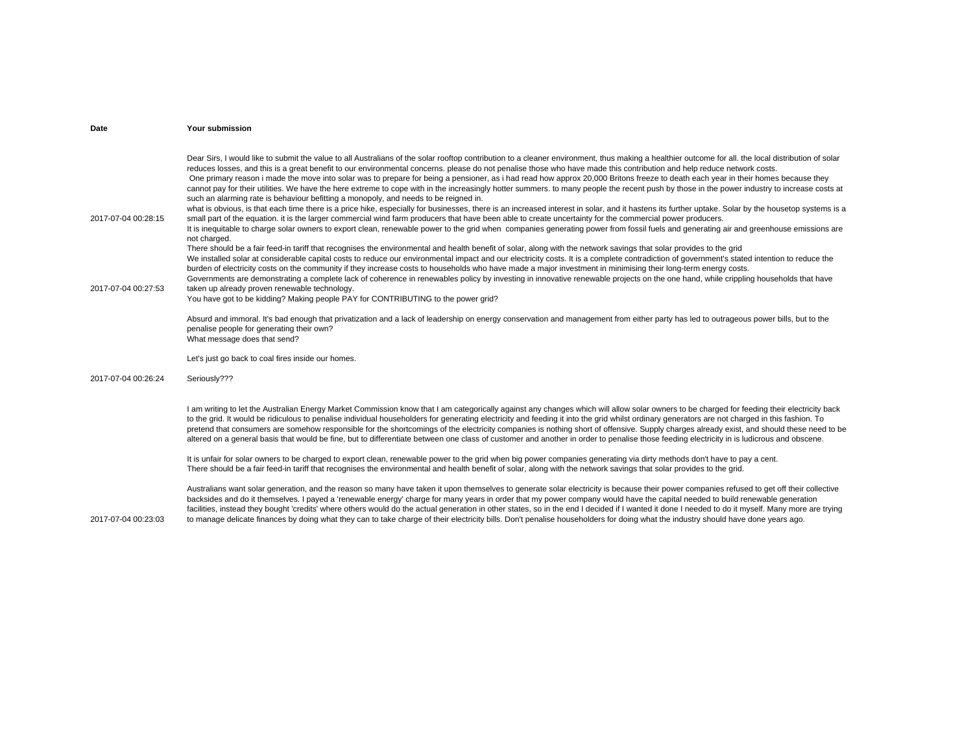| Date                                       | <b>Your submission</b>                                                                                                                                                                                                                                                                                                                                                                                                                                                                                                                                                                                                                                                                                                                                                                                                                                                                                                                                                                                                                                                                                                                                                                                                                                                                                                                                                                                                                                                                                                                                                                                                                                                                                                                                                                                                                                                                                                                                                                                                                                                                                                                                                                                                                                                                                          |
|--------------------------------------------|-----------------------------------------------------------------------------------------------------------------------------------------------------------------------------------------------------------------------------------------------------------------------------------------------------------------------------------------------------------------------------------------------------------------------------------------------------------------------------------------------------------------------------------------------------------------------------------------------------------------------------------------------------------------------------------------------------------------------------------------------------------------------------------------------------------------------------------------------------------------------------------------------------------------------------------------------------------------------------------------------------------------------------------------------------------------------------------------------------------------------------------------------------------------------------------------------------------------------------------------------------------------------------------------------------------------------------------------------------------------------------------------------------------------------------------------------------------------------------------------------------------------------------------------------------------------------------------------------------------------------------------------------------------------------------------------------------------------------------------------------------------------------------------------------------------------------------------------------------------------------------------------------------------------------------------------------------------------------------------------------------------------------------------------------------------------------------------------------------------------------------------------------------------------------------------------------------------------------------------------------------------------------------------------------------------------|
| 2017-07-04 00:28:15<br>2017-07-04 00:27:53 | Dear Sirs, I would like to submit the value to all Australians of the solar rooftop contribution to a cleaner environment, thus making a healthier outcome for all, the local distribution of solar<br>reduces losses, and this is a great benefit to our environmental concerns. please do not penalise those who have made this contribution and help reduce network costs.<br>One primary reason i made the move into solar was to prepare for being a pensioner, as i had read how approx 20,000 Britons freeze to death each year in their homes because they<br>cannot pay for their utilities. We have the here extreme to cope with in the increasingly hotter summers, to many people the recent push by those in the power industry to increase costs at<br>such an alarming rate is behaviour befitting a monopoly, and needs to be reigned in.<br>what is obvious, is that each time there is a price hike, especially for businesses, there is an increased interest in solar, and it hastens its further uptake. Solar by the housetop systems is a<br>small part of the equation. it is the larger commercial wind farm producers that have been able to create uncertainty for the commercial power producers.<br>It is inequitable to charge solar owners to export clean, renewable power to the grid when companies generating power from fossil fuels and generating air and greenhouse emissions are<br>not charged.<br>There should be a fair feed-in tariff that recognises the environmental and health benefit of solar, along with the network savings that solar provides to the grid<br>We installed solar at considerable capital costs to reduce our environmental impact and our electricity costs. It is a complete contradiction of government's stated intention to reduce the<br>burden of electricity costs on the community if they increase costs to households who have made a major investment in minimising their long-term energy costs.<br>Governments are demonstrating a complete lack of coherence in renewables policy by investing in innovative renewable projects on the one hand, while crippling households that have<br>taken up already proven renewable technology.<br>You have got to be kidding? Making people PAY for CONTRIBUTING to the power grid? |
|                                            | Absurd and immoral. It's bad enough that privatization and a lack of leadership on energy conservation and management from either party has led to outrageous power bills, but to the<br>penalise people for generating their own?<br>What message does that send?                                                                                                                                                                                                                                                                                                                                                                                                                                                                                                                                                                                                                                                                                                                                                                                                                                                                                                                                                                                                                                                                                                                                                                                                                                                                                                                                                                                                                                                                                                                                                                                                                                                                                                                                                                                                                                                                                                                                                                                                                                              |
|                                            | Let's just go back to coal fires inside our homes.                                                                                                                                                                                                                                                                                                                                                                                                                                                                                                                                                                                                                                                                                                                                                                                                                                                                                                                                                                                                                                                                                                                                                                                                                                                                                                                                                                                                                                                                                                                                                                                                                                                                                                                                                                                                                                                                                                                                                                                                                                                                                                                                                                                                                                                              |
| 2017-07-04 00:26:24                        | Seriously???                                                                                                                                                                                                                                                                                                                                                                                                                                                                                                                                                                                                                                                                                                                                                                                                                                                                                                                                                                                                                                                                                                                                                                                                                                                                                                                                                                                                                                                                                                                                                                                                                                                                                                                                                                                                                                                                                                                                                                                                                                                                                                                                                                                                                                                                                                    |
|                                            | I am writing to let the Australian Energy Market Commission know that I am categorically against any changes which will allow solar owners to be charged for feeding their electricity back<br>to the grid. It would be ridiculous to penalise individual householders for generating electricity and feeding it into the grid whilst ordinary generators are not charged in this fashion. To<br>pretend that consumers are somehow responsible for the shortcomings of the electricity companies is nothing short of offensive. Supply charges already exist, and should these need to be<br>altered on a general basis that would be fine, but to differentiate between one class of customer and another in order to penalise those feeding electricity in is ludicrous and obscene.                                                                                                                                                                                                                                                                                                                                                                                                                                                                                                                                                                                                                                                                                                                                                                                                                                                                                                                                                                                                                                                                                                                                                                                                                                                                                                                                                                                                                                                                                                                         |
|                                            | It is unfair for solar owners to be charged to export clean, renewable power to the grid when big power companies generating via dirty methods don't have to pay a cent.<br>There should be a fair feed-in tariff that recognises the environmental and health benefit of solar, along with the network savings that solar provides to the grid.                                                                                                                                                                                                                                                                                                                                                                                                                                                                                                                                                                                                                                                                                                                                                                                                                                                                                                                                                                                                                                                                                                                                                                                                                                                                                                                                                                                                                                                                                                                                                                                                                                                                                                                                                                                                                                                                                                                                                                |
| 2017-07-04 00:23:03                        | Australians want solar generation, and the reason so many have taken it upon themselves to generate solar electricity is because their power companies refused to get off their collective<br>backsides and do it themselves. I payed a 'renewable energy' charge for many years in order that my power company would have the capital needed to build renewable generation<br>facilities, instead they bought 'credits' where others would do the actual generation in other states, so in the end I decided if I wanted it done I needed to do it myself. Many more are trying<br>to manage delicate finances by doing what they can to take charge of their electricity bills. Don't penalise householders for doing what the industry should have done years ago.                                                                                                                                                                                                                                                                                                                                                                                                                                                                                                                                                                                                                                                                                                                                                                                                                                                                                                                                                                                                                                                                                                                                                                                                                                                                                                                                                                                                                                                                                                                                           |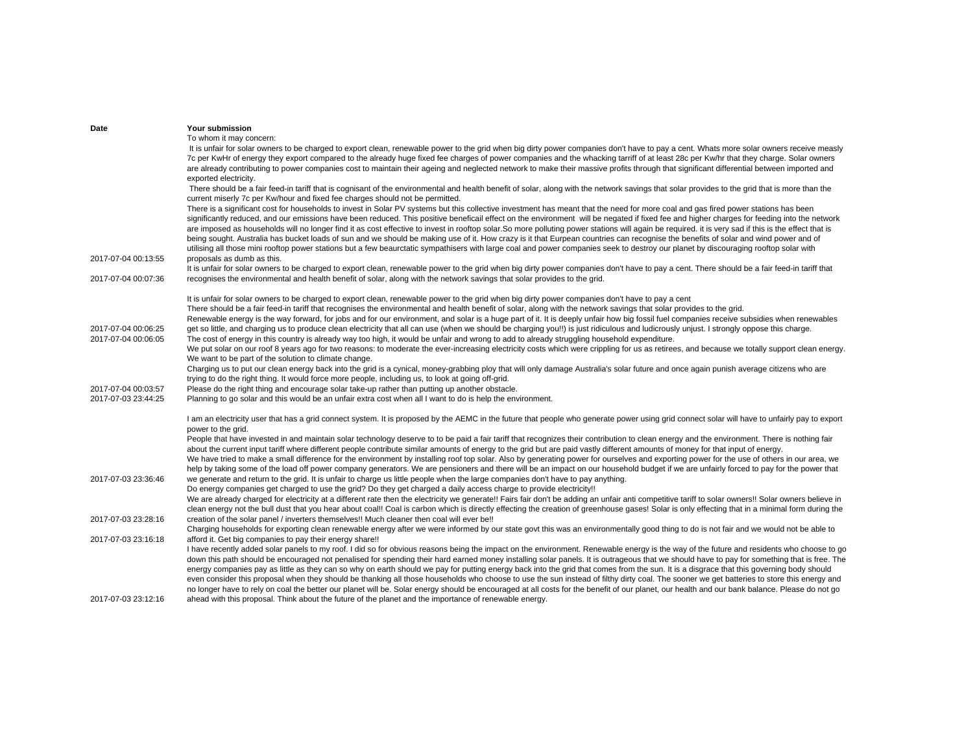| Date                | Your submission                                                                                                                                                                                                                                                                                                                                                                                                                                                                                                                                                                                                                                                                                                                                                                                                                                                                                                                                                           |
|---------------------|---------------------------------------------------------------------------------------------------------------------------------------------------------------------------------------------------------------------------------------------------------------------------------------------------------------------------------------------------------------------------------------------------------------------------------------------------------------------------------------------------------------------------------------------------------------------------------------------------------------------------------------------------------------------------------------------------------------------------------------------------------------------------------------------------------------------------------------------------------------------------------------------------------------------------------------------------------------------------|
|                     | To whom it may concern:                                                                                                                                                                                                                                                                                                                                                                                                                                                                                                                                                                                                                                                                                                                                                                                                                                                                                                                                                   |
|                     | It is unfair for solar owners to be charged to export clean, renewable power to the grid when big dirty power companies don't have to pay a cent. Whats more solar owners receive measly<br>7c per KwHr of energy they export compared to the already huge fixed fee charges of power companies and the whacking tarriff of at least 28c per Kw/hr that they charge. Solar owners                                                                                                                                                                                                                                                                                                                                                                                                                                                                                                                                                                                         |
|                     | are already contributing to power companies cost to maintain their ageing and neglected network to make their massive profits through that significant differential between imported and                                                                                                                                                                                                                                                                                                                                                                                                                                                                                                                                                                                                                                                                                                                                                                                  |
|                     | exported electricity.                                                                                                                                                                                                                                                                                                                                                                                                                                                                                                                                                                                                                                                                                                                                                                                                                                                                                                                                                     |
|                     | There should be a fair feed-in tariff that is cognisant of the environmental and health benefit of solar, along with the network savings that solar provides to the grid that is more than the<br>current miserly 7c per Kw/hour and fixed fee charges should not be permitted.                                                                                                                                                                                                                                                                                                                                                                                                                                                                                                                                                                                                                                                                                           |
|                     | There is a significant cost for households to invest in Solar PV systems but this collective investment has meant that the need for more coal and gas fired power stations has been<br>significantly reduced, and our emissions have been reduced. This positive beneficail effect on the environment will be negated if fixed fee and higher charges for feeding into the network<br>are imposed as households will no longer find it as cost effective to invest in rooftop solar. So more polluting power stations will again be required, it is very sad if this is the effect that is<br>being sought. Australia has bucket loads of sun and we should be making use of it. How crazy is it that Eurpean countries can recognise the benefits of solar and wind power and of<br>utilising all those mini rooftop power stations but a few beaurctatic sympathisers with large coal and power companies seek to destroy our planet by discouraging rooftop solar with |
| 2017-07-04 00:13:55 | proposals as dumb as this.                                                                                                                                                                                                                                                                                                                                                                                                                                                                                                                                                                                                                                                                                                                                                                                                                                                                                                                                                |
| 2017-07-04 00:07:36 | It is unfair for solar owners to be charged to export clean, renewable power to the grid when big dirty power companies don't have to pay a cent. There should be a fair feed-in tariff that<br>recognises the environmental and health benefit of solar, along with the network savings that solar provides to the grid.                                                                                                                                                                                                                                                                                                                                                                                                                                                                                                                                                                                                                                                 |
|                     |                                                                                                                                                                                                                                                                                                                                                                                                                                                                                                                                                                                                                                                                                                                                                                                                                                                                                                                                                                           |
|                     | It is unfair for solar owners to be charged to export clean, renewable power to the grid when big dirty power companies don't have to pay a cent<br>There should be a fair feed-in tariff that recognises the environmental and health benefit of solar, along with the network savings that solar provides to the grid.                                                                                                                                                                                                                                                                                                                                                                                                                                                                                                                                                                                                                                                  |
|                     | Renewable energy is the way forward, for jobs and for our environment, and solar is a huge part of it. It is deeply unfair how big fossil fuel companies receive subsidies when renewables                                                                                                                                                                                                                                                                                                                                                                                                                                                                                                                                                                                                                                                                                                                                                                                |
| 2017-07-04 00:06:25 | get so little, and charging us to produce clean electricity that all can use (when we should be charging you!!) is just ridiculous and ludicrously unjust. I strongly oppose this charge.                                                                                                                                                                                                                                                                                                                                                                                                                                                                                                                                                                                                                                                                                                                                                                                 |
| 2017-07-04 00:06:05 | The cost of energy in this country is already way too high, it would be unfair and wrong to add to already struggling household expenditure.                                                                                                                                                                                                                                                                                                                                                                                                                                                                                                                                                                                                                                                                                                                                                                                                                              |
|                     | We put solar on our roof 8 years ago for two reasons: to moderate the ever-increasing electricity costs which were crippling for us as retirees, and because we totally support clean energy.                                                                                                                                                                                                                                                                                                                                                                                                                                                                                                                                                                                                                                                                                                                                                                             |
|                     | We want to be part of the solution to climate change.<br>Charging us to put our clean energy back into the grid is a cynical, money-grabbing ploy that will only damage Australia's solar future and once again punish average citizens who are                                                                                                                                                                                                                                                                                                                                                                                                                                                                                                                                                                                                                                                                                                                           |
|                     | trying to do the right thing. It would force more people, including us, to look at going off-grid.                                                                                                                                                                                                                                                                                                                                                                                                                                                                                                                                                                                                                                                                                                                                                                                                                                                                        |
| 2017-07-04 00:03:57 | Please do the right thing and encourage solar take-up rather than putting up another obstacle.                                                                                                                                                                                                                                                                                                                                                                                                                                                                                                                                                                                                                                                                                                                                                                                                                                                                            |
| 2017-07-03 23:44:25 | Planning to go solar and this would be an unfair extra cost when all I want to do is help the environment.                                                                                                                                                                                                                                                                                                                                                                                                                                                                                                                                                                                                                                                                                                                                                                                                                                                                |
|                     |                                                                                                                                                                                                                                                                                                                                                                                                                                                                                                                                                                                                                                                                                                                                                                                                                                                                                                                                                                           |
|                     | I am an electricity user that has a grid connect system. It is proposed by the AEMC in the future that people who generate power using grid connect solar will have to unfairly pay to export<br>power to the grid.                                                                                                                                                                                                                                                                                                                                                                                                                                                                                                                                                                                                                                                                                                                                                       |
|                     | People that have invested in and maintain solar technology deserve to to be paid a fair tariff that recognizes their contribution to clean energy and the environment. There is nothing fair                                                                                                                                                                                                                                                                                                                                                                                                                                                                                                                                                                                                                                                                                                                                                                              |
|                     | about the current input tariff where different people contribute similar amounts of energy to the grid but are paid vastly different amounts of money for that input of energy.                                                                                                                                                                                                                                                                                                                                                                                                                                                                                                                                                                                                                                                                                                                                                                                           |
|                     | We have tried to make a small difference for the environment by installing roof top solar. Also by generating power for ourselves and exporting power for the use of others in our area, we                                                                                                                                                                                                                                                                                                                                                                                                                                                                                                                                                                                                                                                                                                                                                                               |
|                     | help by taking some of the load off power company generators. We are pensioners and there will be an impact on our household budget if we are unfairly forced to pay for the power that                                                                                                                                                                                                                                                                                                                                                                                                                                                                                                                                                                                                                                                                                                                                                                                   |
| 2017-07-03 23:36:46 | we generate and return to the grid. It is unfair to charge us little people when the large companies don't have to pay anything.                                                                                                                                                                                                                                                                                                                                                                                                                                                                                                                                                                                                                                                                                                                                                                                                                                          |
|                     | Do energy companies get charged to use the grid? Do they get charged a daily access charge to provide electricity!!                                                                                                                                                                                                                                                                                                                                                                                                                                                                                                                                                                                                                                                                                                                                                                                                                                                       |
|                     | We are already charged for electricity at a different rate then the electricity we generate!! Fairs fair don't be adding an unfair anti competitive tariff to solar owners!! Solar owners believe in<br>clean energy not the bull dust that you hear about coal!! Coal is carbon which is directly effecting the creation of greenhouse gases! Solar is only effecting that in a minimal form during the                                                                                                                                                                                                                                                                                                                                                                                                                                                                                                                                                                  |
| 2017-07-03 23:28:16 | creation of the solar panel / inverters themselves!! Much cleaner then coal will ever be!!                                                                                                                                                                                                                                                                                                                                                                                                                                                                                                                                                                                                                                                                                                                                                                                                                                                                                |
|                     | Charging households for exporting clean renewable energy after we were informed by our state govt this was an environmentally good thing to do is not fair and we would not be able to                                                                                                                                                                                                                                                                                                                                                                                                                                                                                                                                                                                                                                                                                                                                                                                    |
| 2017-07-03 23:16:18 | afford it. Get big companies to pay their energy share!!                                                                                                                                                                                                                                                                                                                                                                                                                                                                                                                                                                                                                                                                                                                                                                                                                                                                                                                  |
|                     | I have recently added solar panels to my roof. I did so for obvious reasons being the impact on the environment. Renewable energy is the way of the future and residents who choose to go                                                                                                                                                                                                                                                                                                                                                                                                                                                                                                                                                                                                                                                                                                                                                                                 |
|                     | down this path should be encouraged not penalised for spending their hard earned money installing solar panels. It is outrageous that we should have to pay for something that is free. The                                                                                                                                                                                                                                                                                                                                                                                                                                                                                                                                                                                                                                                                                                                                                                               |
|                     | energy companies pay as little as they can so why on earth should we pay for putting energy back into the grid that comes from the sun. It is a disgrace that this governing body should                                                                                                                                                                                                                                                                                                                                                                                                                                                                                                                                                                                                                                                                                                                                                                                  |
|                     | even consider this proposal when they should be thanking all those households who choose to use the sun instead of filthy dirty coal. The sooner we get batteries to store this energy and                                                                                                                                                                                                                                                                                                                                                                                                                                                                                                                                                                                                                                                                                                                                                                                |
|                     | no longer have to rely on coal the better our planet will be. Solar energy should be encouraged at all costs for the benefit of our planet, our health and our bank balance. Please do not go                                                                                                                                                                                                                                                                                                                                                                                                                                                                                                                                                                                                                                                                                                                                                                             |
| 2017-07-03 23:12:16 | ahead with this proposal. Think about the future of the planet and the importance of renewable energy.                                                                                                                                                                                                                                                                                                                                                                                                                                                                                                                                                                                                                                                                                                                                                                                                                                                                    |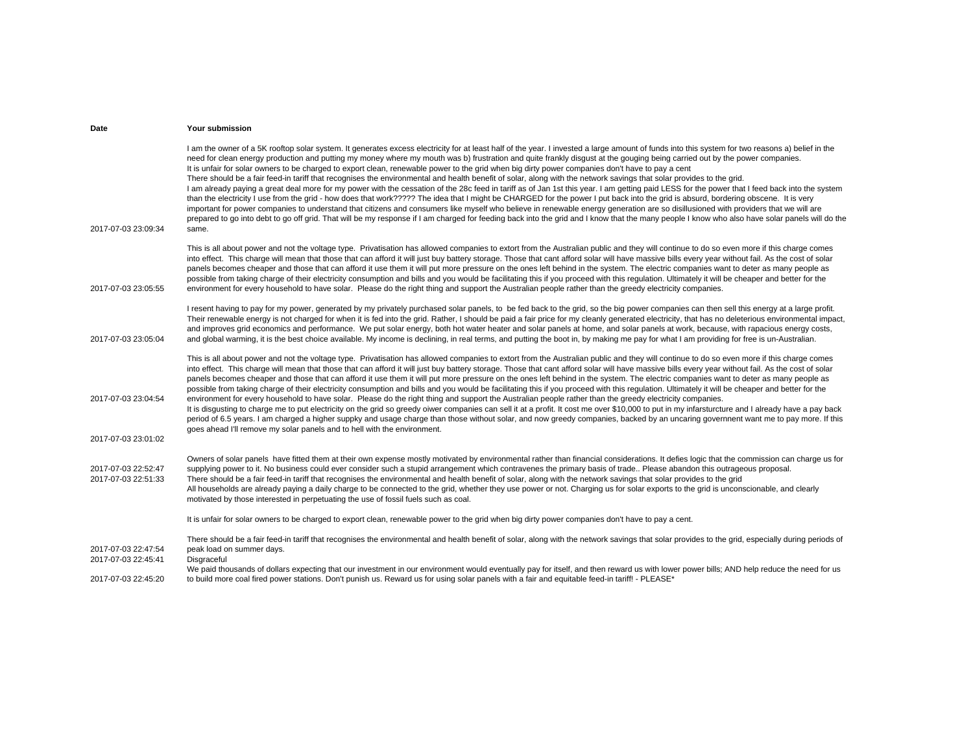| 2017-07-03 23:09:34                                               | I am the owner of a 5K rooftop solar system. It generates excess electricity for at least half of the year. I invested a large amount of funds into this system for two reasons a) belief in the<br>need for clean energy production and putting my money where my mouth was b) frustration and quite frankly disqust at the gouging being carried out by the power companies.<br>It is unfair for solar owners to be charged to export clean, renewable power to the grid when big dirty power companies don't have to pay a cent<br>There should be a fair feed-in tariff that recognises the environmental and health benefit of solar, along with the network savings that solar provides to the grid.<br>I am already paying a great deal more for my power with the cessation of the 28c feed in tariff as of Jan 1st this year. I am getting paid LESS for the power that I feed back into the system<br>than the electricity I use from the grid - how does that work????? The idea that I might be CHARGED for the power I put back into the grid is absurd, bordering obscene. It is very<br>important for power companies to understand that citizens and consumers like myself who believe in renewable energy generation are so disillusioned with providers that we will are<br>prepared to go into debt to go off grid. That will be my response if I am charged for feeding back into the grid and I know that the many people I know who also have solar panels will do the<br>same. |
|-------------------------------------------------------------------|-------------------------------------------------------------------------------------------------------------------------------------------------------------------------------------------------------------------------------------------------------------------------------------------------------------------------------------------------------------------------------------------------------------------------------------------------------------------------------------------------------------------------------------------------------------------------------------------------------------------------------------------------------------------------------------------------------------------------------------------------------------------------------------------------------------------------------------------------------------------------------------------------------------------------------------------------------------------------------------------------------------------------------------------------------------------------------------------------------------------------------------------------------------------------------------------------------------------------------------------------------------------------------------------------------------------------------------------------------------------------------------------------------------------------------------------------------------------------------------------------------|
| 2017-07-03 23:05:55                                               | This is all about power and not the voltage type. Privatisation has allowed companies to extort from the Australian public and they will continue to do so even more if this charge comes<br>into effect. This charge will mean that those that can afford it will just buy battery storage. Those that cant afford solar will have massive bills every year without fail. As the cost of solar<br>panels becomes cheaper and those that can afford it use them it will put more pressure on the ones left behind in the system. The electric companies want to deter as many people as<br>possible from taking charge of their electricity consumption and bills and you would be facilitating this if you proceed with this regulation. Ultimately it will be cheaper and better for the<br>environment for every household to have solar. Please do the right thing and support the Australian people rather than the greedy electricity companies.                                                                                                                                                                                                                                                                                                                                                                                                                                                                                                                                                |
| 2017-07-03 23:05:04                                               | I resent having to pay for my power, generated by my privately purchased solar panels, to be fed back to the grid, so the big power companies can then sell this energy at a large profit.<br>Their renewable energy is not charged for when it is fed into the grid. Rather, I should be paid a fair price for my cleanly generated electricity, that has no deleterious environmental impact,<br>and improves grid economics and performance. We put solar energy, both hot water heater and solar panels at home, and solar panels at work, because, with rapacious energy costs,<br>and global warming, it is the best choice available. My income is declining, in real terms, and putting the boot in, by making me pay for what I am providing for free is un-Australian.                                                                                                                                                                                                                                                                                                                                                                                                                                                                                                                                                                                                                                                                                                                      |
| 2017-07-03 23:04:54<br>2017-07-03 23:01:02                        | This is all about power and not the voltage type. Privatisation has allowed companies to extort from the Australian public and they will continue to do so even more if this charge comes<br>into effect. This charge will mean that those that can afford it will just buy battery storage. Those that cant afford solar will have massive bills every year without fail. As the cost of solar<br>panels becomes cheaper and those that can afford it use them it will put more pressure on the ones left behind in the system. The electric companies want to deter as many people as<br>possible from taking charge of their electricity consumption and bills and you would be facilitating this if you proceed with this regulation. Ultimately it will be cheaper and better for the<br>environment for every household to have solar. Please do the right thing and support the Australian people rather than the greedy electricity companies.<br>It is disgusting to charge me to put electricity on the grid so greedy oiwer companies can sell it at a profit. It cost me over \$10,000 to put in my infarsturcture and I already have a pay back<br>period of 6.5 years. I am charged a higher suppky and usage charge than those without solar, and now greedy companies, backed by an uncaring governnent want me to pay more. If this<br>goes ahead I'll remove my solar panels and to hell with the environment.                                                                      |
| 2017-07-03 22:52:47<br>2017-07-03 22:51:33                        | Owners of solar panels have fitted them at their own expense mostly motivated by environmental rather than financial considerations. It defies logic that the commission can charge us for<br>supplying power to it. No business could ever consider such a stupid arrangement which contravenes the primary basis of trade Please abandon this outrageous proposal.<br>There should be a fair feed-in tariff that recognises the environmental and health benefit of solar, along with the network savings that solar provides to the grid<br>All households are already paying a daily charge to be connected to the grid, whether they use power or not. Charging us for solar exports to the grid is unconscionable, and clearly<br>motivated by those interested in perpetuating the use of fossil fuels such as coal.                                                                                                                                                                                                                                                                                                                                                                                                                                                                                                                                                                                                                                                                           |
|                                                                   | It is unfair for solar owners to be charged to export clean, renewable power to the grid when big dirty power companies don't have to pay a cent.                                                                                                                                                                                                                                                                                                                                                                                                                                                                                                                                                                                                                                                                                                                                                                                                                                                                                                                                                                                                                                                                                                                                                                                                                                                                                                                                                     |
| 2017-07-03 22:47:54<br>2017-07-03 22:45:41<br>2017-07-03 22:45:20 | There should be a fair feed-in tariff that recognises the environmental and health benefit of solar, along with the network savings that solar provides to the grid, especially during periods of<br>peak load on summer days.<br>Disgraceful<br>We paid thousands of dollars expecting that our investment in our environment would eventually pay for itself, and then reward us with lower power bills; AND help reduce the need for us<br>to build more coal fired power stations. Don't punish us. Reward us for using solar panels with a fair and equitable feed-in tariff! - PLEASE*                                                                                                                                                                                                                                                                                                                                                                                                                                                                                                                                                                                                                                                                                                                                                                                                                                                                                                          |
|                                                                   |                                                                                                                                                                                                                                                                                                                                                                                                                                                                                                                                                                                                                                                                                                                                                                                                                                                                                                                                                                                                                                                                                                                                                                                                                                                                                                                                                                                                                                                                                                       |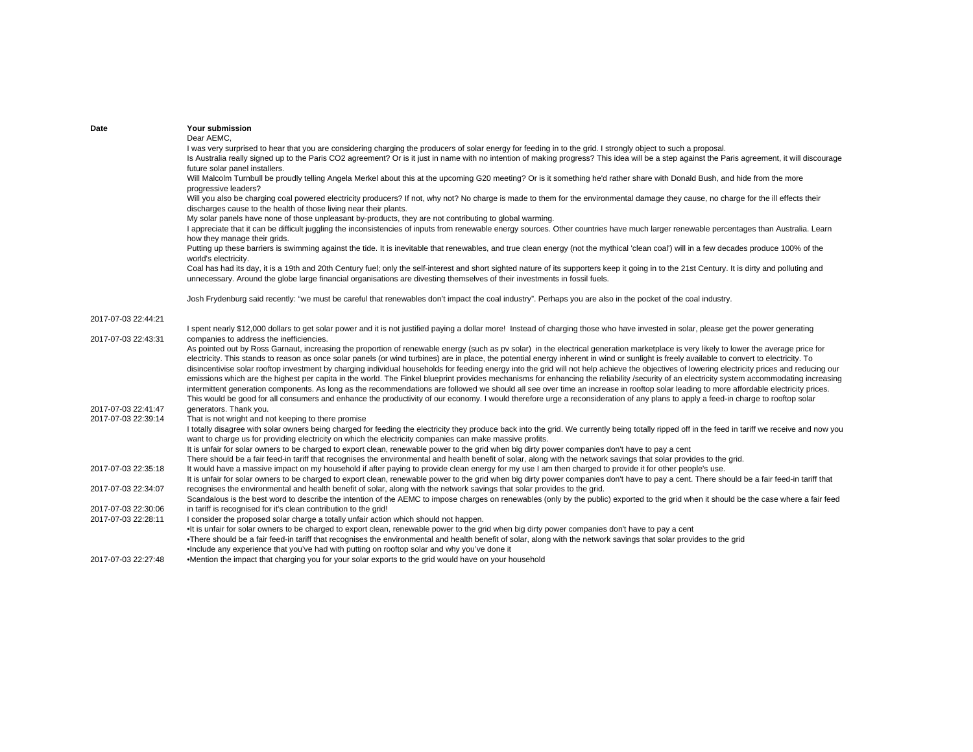| Date                | Your submission                                                                                                                                                                                                                                                                                                                                                                                                                                                                                                                                                                                                                                                                                                                                                                                                                                                                                                                                                                                                                                                                                                                                                            |
|---------------------|----------------------------------------------------------------------------------------------------------------------------------------------------------------------------------------------------------------------------------------------------------------------------------------------------------------------------------------------------------------------------------------------------------------------------------------------------------------------------------------------------------------------------------------------------------------------------------------------------------------------------------------------------------------------------------------------------------------------------------------------------------------------------------------------------------------------------------------------------------------------------------------------------------------------------------------------------------------------------------------------------------------------------------------------------------------------------------------------------------------------------------------------------------------------------|
|                     | Dear AEMC,                                                                                                                                                                                                                                                                                                                                                                                                                                                                                                                                                                                                                                                                                                                                                                                                                                                                                                                                                                                                                                                                                                                                                                 |
|                     | I was very surprised to hear that you are considering charging the producers of solar energy for feeding in to the grid. I strongly object to such a proposal.<br>Is Australia really signed up to the Paris CO2 agreement? Or is it just in name with no intention of making progress? This idea will be a step against the Paris agreement, it will discourage<br>future solar panel installers.                                                                                                                                                                                                                                                                                                                                                                                                                                                                                                                                                                                                                                                                                                                                                                         |
|                     | Will Malcolm Turnbull be proudly telling Angela Merkel about this at the upcoming G20 meeting? Or is it something he'd rather share with Donald Bush, and hide from the more<br>progressive leaders?                                                                                                                                                                                                                                                                                                                                                                                                                                                                                                                                                                                                                                                                                                                                                                                                                                                                                                                                                                       |
|                     | Will you also be charging coal powered electricity producers? If not, why not? No charge is made to them for the environmental damage they cause, no charge for the ill effects their<br>discharges cause to the health of those living near their plants.                                                                                                                                                                                                                                                                                                                                                                                                                                                                                                                                                                                                                                                                                                                                                                                                                                                                                                                 |
|                     | My solar panels have none of those unpleasant by-products, they are not contributing to global warming.<br>I appreciate that it can be difficult juggling the inconsistencies of inputs from renewable energy sources. Other countries have much larger renewable percentages than Australia. Learn<br>how they manage their grids.                                                                                                                                                                                                                                                                                                                                                                                                                                                                                                                                                                                                                                                                                                                                                                                                                                        |
|                     | Putting up these barriers is swimming against the tide. It is inevitable that renewables, and true clean energy (not the mythical 'clean coal') will in a few decades produce 100% of the<br>world's electricity.                                                                                                                                                                                                                                                                                                                                                                                                                                                                                                                                                                                                                                                                                                                                                                                                                                                                                                                                                          |
|                     | Coal has had its day, it is a 19th and 20th Century fuel; only the self-interest and short sighted nature of its supporters keep it going in to the 21st Century. It is dirty and polluting and<br>unnecessary. Around the globe large financial organisations are divesting themselves of their investments in fossil fuels.                                                                                                                                                                                                                                                                                                                                                                                                                                                                                                                                                                                                                                                                                                                                                                                                                                              |
|                     | Josh Frydenburg said recently: "we must be careful that renewables don't impact the coal industry". Perhaps you are also in the pocket of the coal industry.                                                                                                                                                                                                                                                                                                                                                                                                                                                                                                                                                                                                                                                                                                                                                                                                                                                                                                                                                                                                               |
| 2017-07-03 22:44:21 |                                                                                                                                                                                                                                                                                                                                                                                                                                                                                                                                                                                                                                                                                                                                                                                                                                                                                                                                                                                                                                                                                                                                                                            |
| 2017-07-03 22:43:31 | I spent nearly \$12,000 dollars to get solar power and it is not justified paying a dollar more! Instead of charging those who have invested in solar, please get the power generating<br>companies to address the inefficiencies.                                                                                                                                                                                                                                                                                                                                                                                                                                                                                                                                                                                                                                                                                                                                                                                                                                                                                                                                         |
|                     | As pointed out by Ross Garnaut, increasing the proportion of renewable energy (such as pv solar) in the electrical generation marketplace is very likely to lower the average price for<br>electricity. This stands to reason as once solar panels (or wind turbines) are in place, the potential energy inherent in wind or sunlight is freely available to convert to electricity. To<br>disincentivise solar rooftop investment by charging individual households for feeding energy into the grid will not help achieve the objectives of lowering electricity prices and reducing our<br>emissions which are the highest per capita in the world. The Finkel blueprint provides mechanisms for enhancing the reliability /security of an electricity system accommodating increasing<br>intermittent generation components. As long as the recommendations are followed we should all see over time an increase in rooftop solar leading to more affordable electricity prices.<br>This would be good for all consumers and enhance the productivity of our economy. I would therefore urge a reconsideration of any plans to apply a feed-in charge to rooftop solar |
| 2017-07-03 22:41:47 | generators. Thank you.                                                                                                                                                                                                                                                                                                                                                                                                                                                                                                                                                                                                                                                                                                                                                                                                                                                                                                                                                                                                                                                                                                                                                     |
| 2017-07-03 22:39:14 | That is not wright and not keeping to there promise<br>I totally disagree with solar owners being charged for feeding the electricity they produce back into the grid. We currently being totally ripped off in the feed in tariff we receive and now you<br>want to charge us for providing electricity on which the electricity companies can make massive profits.                                                                                                                                                                                                                                                                                                                                                                                                                                                                                                                                                                                                                                                                                                                                                                                                      |
|                     | It is unfair for solar owners to be charged to export clean, renewable power to the grid when big dirty power companies don't have to pay a cent<br>There should be a fair feed-in tariff that recognises the environmental and health benefit of solar, along with the network savings that solar provides to the grid.                                                                                                                                                                                                                                                                                                                                                                                                                                                                                                                                                                                                                                                                                                                                                                                                                                                   |
| 2017-07-03 22:35:18 | It would have a massive impact on my household if after paying to provide clean energy for my use I am then charged to provide it for other people's use.                                                                                                                                                                                                                                                                                                                                                                                                                                                                                                                                                                                                                                                                                                                                                                                                                                                                                                                                                                                                                  |
|                     | It is unfair for solar owners to be charged to export clean, renewable power to the grid when big dirty power companies don't have to pay a cent. There should be a fair feed-in tariff that                                                                                                                                                                                                                                                                                                                                                                                                                                                                                                                                                                                                                                                                                                                                                                                                                                                                                                                                                                               |
| 2017-07-03 22:34:07 | recognises the environmental and health benefit of solar, along with the network savings that solar provides to the grid.<br>Scandalous is the best word to describe the intention of the AEMC to impose charges on renewables (only by the public) exported to the grid when it should be the case where a fair feed                                                                                                                                                                                                                                                                                                                                                                                                                                                                                                                                                                                                                                                                                                                                                                                                                                                      |
| 2017-07-03 22:30:06 | in tariff is recognised for it's clean contribution to the grid!                                                                                                                                                                                                                                                                                                                                                                                                                                                                                                                                                                                                                                                                                                                                                                                                                                                                                                                                                                                                                                                                                                           |
| 2017-07-03 22:28:11 | I consider the proposed solar charge a totally unfair action which should not happen.                                                                                                                                                                                                                                                                                                                                                                                                                                                                                                                                                                                                                                                                                                                                                                                                                                                                                                                                                                                                                                                                                      |
|                     | . It is unfair for solar owners to be charged to export clean, renewable power to the grid when big dirty power companies don't have to pay a cent<br>•There should be a fair feed-in tariff that recognises the environmental and health benefit of solar, along with the network savings that solar provides to the grid                                                                                                                                                                                                                                                                                                                                                                                                                                                                                                                                                                                                                                                                                                                                                                                                                                                 |
|                     | •Include any experience that you've had with putting on rooftop solar and why you've done it                                                                                                                                                                                                                                                                                                                                                                                                                                                                                                                                                                                                                                                                                                                                                                                                                                                                                                                                                                                                                                                                               |
| 2017-07-03 22:27:48 | •Mention the impact that charging you for your solar exports to the grid would have on your household                                                                                                                                                                                                                                                                                                                                                                                                                                                                                                                                                                                                                                                                                                                                                                                                                                                                                                                                                                                                                                                                      |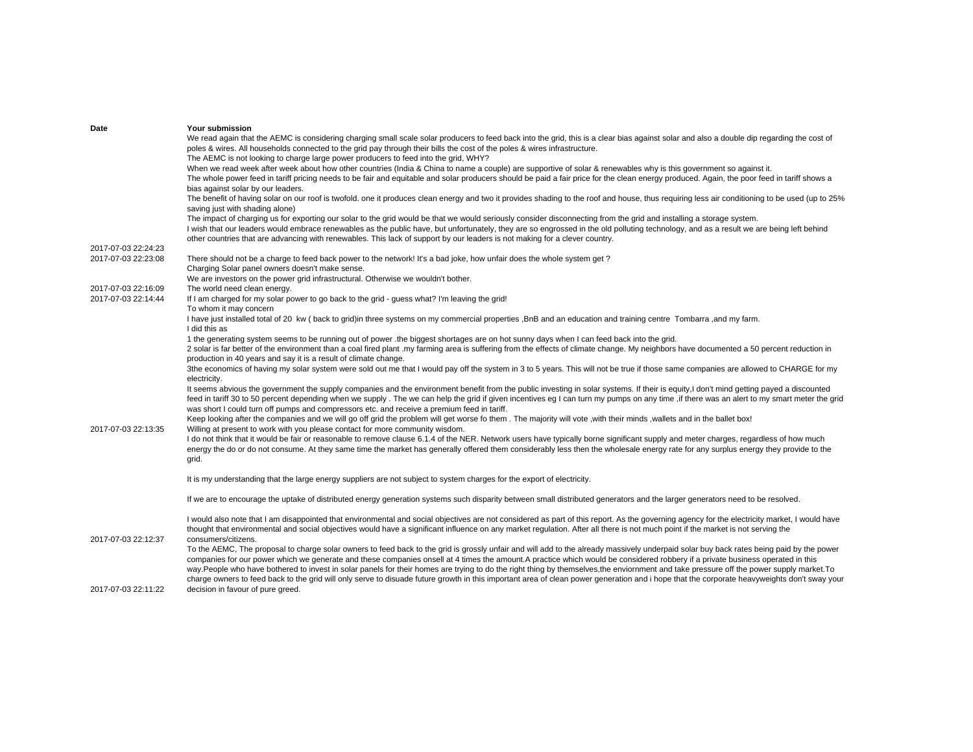| Date                | <b>Your submission</b>                                                                                                                                                                         |
|---------------------|------------------------------------------------------------------------------------------------------------------------------------------------------------------------------------------------|
|                     | We read again that the AEMC is considering charging small scale solar producers to feed back into the grid, this is a clear bias against solar and also a double dip regarding the cost of     |
|                     | poles & wires. All households connected to the grid pay through their bills the cost of the poles & wires infrastructure.                                                                      |
|                     | The AEMC is not looking to charge large power producers to feed into the grid, WHY?                                                                                                            |
|                     | When we read week after week about how other countries (India & China to name a couple) are supportive of solar & renewables why is this government so against it.                             |
|                     | The whole power feed in tariff pricing needs to be fair and equitable and solar producers should be paid a fair price for the clean energy produced. Again, the poor feed in tariff shows a    |
|                     | bias against solar by our leaders.                                                                                                                                                             |
|                     | The benefit of having solar on our roof is twofold. one it produces clean energy and two it provides shading to the roof and house, thus requiring less air conditioning to be used (up to 25% |
|                     | saving just with shading alone)                                                                                                                                                                |
|                     | The impact of charging us for exporting our solar to the grid would be that we would seriously consider disconnecting from the grid and installing a storage system.                           |
|                     | I wish that our leaders would embrace renewables as the public have, but unfortunately, they are so engrossed in the old polluting technology, and as a result we are being left behind        |
|                     | other countries that are advancing with renewables. This lack of support by our leaders is not making for a clever country.                                                                    |
| 2017-07-03 22:24:23 |                                                                                                                                                                                                |
| 2017-07-03 22:23:08 | There should not be a charge to feed back power to the network! It's a bad joke, how unfair does the whole system get?                                                                         |
|                     | Charging Solar panel owners doesn't make sense.                                                                                                                                                |
|                     | We are investors on the power grid infrastructural. Otherwise we wouldn't bother.                                                                                                              |
| 2017-07-03 22:16:09 | The world need clean energy.                                                                                                                                                                   |
| 2017-07-03 22:14:44 | If I am charged for my solar power to go back to the grid - guess what? I'm leaving the grid!                                                                                                  |
|                     |                                                                                                                                                                                                |
|                     | To whom it may concern                                                                                                                                                                         |
|                     | I have just installed total of 20 kw (back to grid) in three systems on my commercial properties , BnB and an education and training centre Tombarra, and my farm.<br>I did this as            |
|                     | 1 the generating system seems to be running out of power .the biggest shortages are on hot sunny days when I can feed back into the grid.                                                      |
|                     |                                                                                                                                                                                                |
|                     | 2 solar is far better of the environment than a coal fired plant .my farming area is suffering from the effects of climate change. My neighbors have documented a 50 percent reduction in      |
|                     | production in 40 years and say it is a result of climate change.                                                                                                                               |
|                     | 3the economics of having my solar system were sold out me that I would pay off the system in 3 to 5 years. This will not be true if those same companies are allowed to CHARGE for my          |
|                     | electricity.                                                                                                                                                                                   |
|                     | It seems abvious the government the supply companies and the environment benefit from the public investing in solar systems. If their is equity,I don't mind getting payed a discounted        |
|                     | feed in tariff 30 to 50 percent depending when we supply. The we can help the grid if given incentives eg I can turn my pumps on any time, if there was an alert to my smart meter the grid    |
|                     | was short I could turn off pumps and compressors etc. and receive a premium feed in tariff.                                                                                                    |
|                     | Keep looking after the companies and we will go off grid the problem will get worse fo them. The majority will vote, with their minds, wallets and in the ballet box!                          |
| 2017-07-03 22:13:35 | Willing at present to work with you please contact for more community wisdom.                                                                                                                  |
|                     | I do not think that it would be fair or reasonable to remove clause 6.1.4 of the NER. Network users have typically borne significant supply and meter charges, regardless of how much          |
|                     | energy the do or do not consume. At they same time the market has generally offered them considerably less then the wholesale energy rate for any surplus energy they provide to the           |
|                     | grid.                                                                                                                                                                                          |
|                     |                                                                                                                                                                                                |
|                     | It is my understanding that the large energy suppliers are not subject to system charges for the export of electricity.                                                                        |
|                     | If we are to encourage the uptake of distributed energy generation systems such disparity between small distributed generators and the larger generators need to be resolved.                  |
|                     |                                                                                                                                                                                                |
|                     | I would also note that I am disappointed that environmental and social objectives are not considered as part of this report. As the governing agency for the electricity market, I would have  |
|                     | thought that environmental and social objectives would have a significant influence on any market regulation. After all there is not much point if the market is not serving the               |
| 2017-07-03 22:12:37 | consumers/citizens.                                                                                                                                                                            |
|                     | To the AEMC, The proposal to charge solar owners to feed back to the grid is grossly unfair and will add to the already massively underpaid solar buy back rates being paid by the power       |
|                     | companies for our power which we generate and these companies onsell at 4 times the amount.A practice which would be considered robbery if a private business operated in this                 |
|                     | way.People who have bothered to invest in solar panels for their homes are trying to do the right thing by themselves, the enviornment and take pressure off the power supply market.To        |
|                     | charge owners to feed back to the grid will only serve to disuade future growth in this important area of clean power generation and i hope that the corporate heavyweights don't sway your    |
| 2017-07-03 22:11:22 | decision in favour of pure greed.                                                                                                                                                              |
|                     |                                                                                                                                                                                                |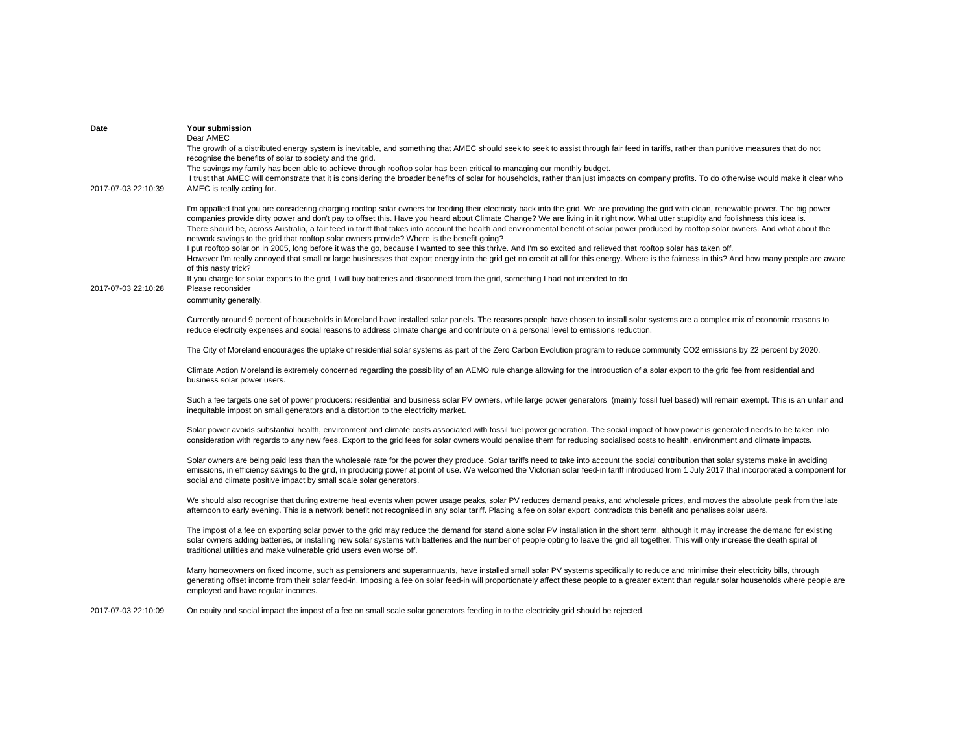| Date                | Your submission<br>Dear AMEC<br>The growth of a distributed energy system is inevitable, and something that AMEC should seek to seek to assist through fair feed in tariffs, rather than punitive measures that do not<br>recognise the benefits of solar to society and the grid.<br>The savings my family has been able to achieve through rooftop solar has been critical to managing our monthly budget.                                                                                                                                                                                                                                                                                                                                                                                                                                                                                                                                                                                                                                                                                                                                                                                                                                                 |
|---------------------|--------------------------------------------------------------------------------------------------------------------------------------------------------------------------------------------------------------------------------------------------------------------------------------------------------------------------------------------------------------------------------------------------------------------------------------------------------------------------------------------------------------------------------------------------------------------------------------------------------------------------------------------------------------------------------------------------------------------------------------------------------------------------------------------------------------------------------------------------------------------------------------------------------------------------------------------------------------------------------------------------------------------------------------------------------------------------------------------------------------------------------------------------------------------------------------------------------------------------------------------------------------|
| 2017-07-03 22:10:39 | I trust that AMEC will demonstrate that it is considering the broader benefits of solar for households, rather than just impacts on company profits. To do otherwise would make it clear who<br>AMEC is really acting for.                                                                                                                                                                                                                                                                                                                                                                                                                                                                                                                                                                                                                                                                                                                                                                                                                                                                                                                                                                                                                                   |
| 2017-07-03 22:10:28 | I'm appalled that you are considering charging rooftop solar owners for feeding their electricity back into the grid. We are providing the grid with clean, renewable power. The big power<br>companies provide dirty power and don't pay to offset this. Have you heard about Climate Change? We are living in it right now. What utter stupidity and foolishness this idea is.<br>There should be, across Australia, a fair feed in tariff that takes into account the health and environmental benefit of solar power produced by rooftop solar owners. And what about the<br>network savings to the grid that rooftop solar owners provide? Where is the benefit going?<br>I put rooftop solar on in 2005, long before it was the go, because I wanted to see this thrive. And I'm so excited and relieved that rooftop solar has taken off.<br>However I'm really annoyed that small or large businesses that export energy into the grid get no credit at all for this energy. Where is the fairness in this? And how many people are aware<br>of this nasty trick?<br>If you charge for solar exports to the grid, I will buy batteries and disconnect from the grid, something I had not intended to do<br>Please reconsider<br>community generally. |
|                     | Currently around 9 percent of households in Moreland have installed solar panels. The reasons people have chosen to install solar systems are a complex mix of economic reasons to<br>reduce electricity expenses and social reasons to address climate change and contribute on a personal level to emissions reduction.                                                                                                                                                                                                                                                                                                                                                                                                                                                                                                                                                                                                                                                                                                                                                                                                                                                                                                                                    |
|                     | The City of Moreland encourages the uptake of residential solar systems as part of the Zero Carbon Evolution program to reduce community CO2 emissions by 22 percent by 2020.                                                                                                                                                                                                                                                                                                                                                                                                                                                                                                                                                                                                                                                                                                                                                                                                                                                                                                                                                                                                                                                                                |
|                     | Climate Action Moreland is extremely concerned regarding the possibility of an AEMO rule change allowing for the introduction of a solar export to the grid fee from residential and<br>business solar power users.                                                                                                                                                                                                                                                                                                                                                                                                                                                                                                                                                                                                                                                                                                                                                                                                                                                                                                                                                                                                                                          |
|                     | Such a fee targets one set of power producers: residential and business solar PV owners, while large power generators (mainly fossil fuel based) will remain exempt. This is an unfair and<br>inequitable impost on small generators and a distortion to the electricity market.                                                                                                                                                                                                                                                                                                                                                                                                                                                                                                                                                                                                                                                                                                                                                                                                                                                                                                                                                                             |
|                     | Solar power avoids substantial health, environment and climate costs associated with fossil fuel power generation. The social impact of how power is generated needs to be taken into<br>consideration with regards to any new fees. Export to the grid fees for solar owners would penalise them for reducing socialised costs to health, environment and climate impacts.                                                                                                                                                                                                                                                                                                                                                                                                                                                                                                                                                                                                                                                                                                                                                                                                                                                                                  |
|                     | Solar owners are being paid less than the wholesale rate for the power they produce. Solar tariffs need to take into account the social contribution that solar systems make in avoiding<br>emissions, in efficiency savings to the grid, in producing power at point of use. We welcomed the Victorian solar feed-in tariff introduced from 1 July 2017 that incorporated a component for<br>social and climate positive impact by small scale solar generators.                                                                                                                                                                                                                                                                                                                                                                                                                                                                                                                                                                                                                                                                                                                                                                                            |
|                     | We should also recognise that during extreme heat events when power usage peaks, solar PV reduces demand peaks, and wholesale prices, and moves the absolute peak from the late<br>afternoon to early evening. This is a network benefit not recognised in any solar tariff. Placing a fee on solar export contradicts this benefit and penalises solar users.                                                                                                                                                                                                                                                                                                                                                                                                                                                                                                                                                                                                                                                                                                                                                                                                                                                                                               |
|                     | The impost of a fee on exporting solar power to the grid may reduce the demand for stand alone solar PV installation in the short term, although it may increase the demand for existing<br>solar owners adding batteries, or installing new solar systems with batteries and the number of people opting to leave the grid all together. This will only increase the death spiral of<br>traditional utilities and make vulnerable grid users even worse off.                                                                                                                                                                                                                                                                                                                                                                                                                                                                                                                                                                                                                                                                                                                                                                                                |
|                     | Many homeowners on fixed income, such as pensioners and superannuants, have installed small solar PV systems specifically to reduce and minimise their electricity bills, through<br>generating offset income from their solar feed-in. Imposing a fee on solar feed-in will proportionately affect these people to a greater extent than regular solar households where people are<br>employed and have regular incomes.                                                                                                                                                                                                                                                                                                                                                                                                                                                                                                                                                                                                                                                                                                                                                                                                                                    |
| 2017-07-03 22:10:09 | On equity and social impact the impost of a fee on small scale solar generators feeding in to the electricity grid should be rejected.                                                                                                                                                                                                                                                                                                                                                                                                                                                                                                                                                                                                                                                                                                                                                                                                                                                                                                                                                                                                                                                                                                                       |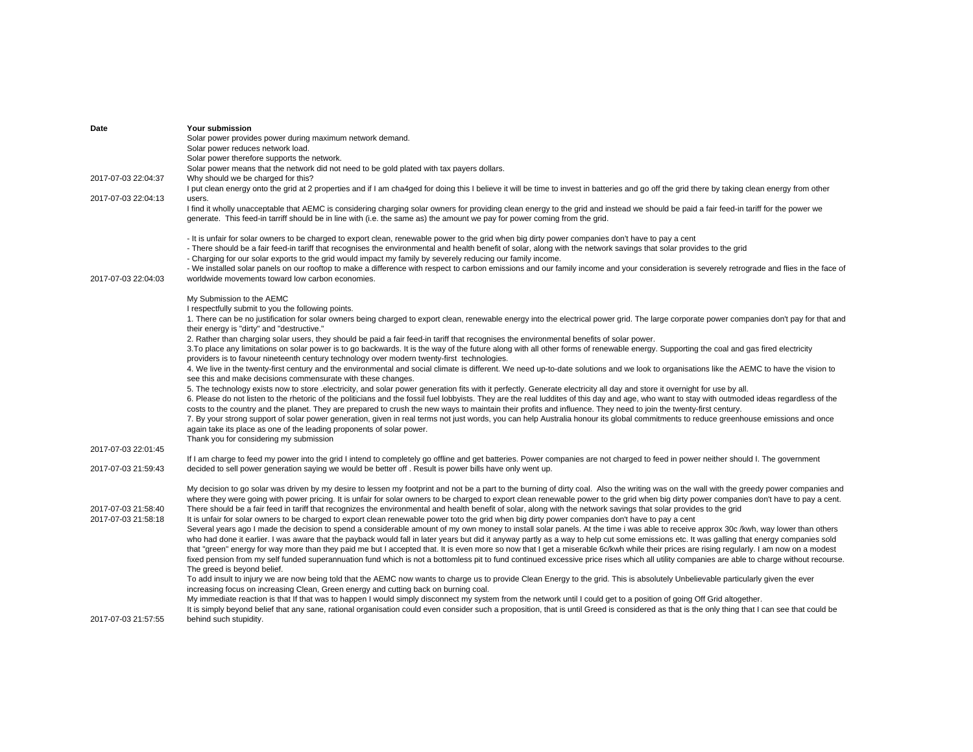| Date                | Your submission                                                                                                                                                                                                                                                                                                        |
|---------------------|------------------------------------------------------------------------------------------------------------------------------------------------------------------------------------------------------------------------------------------------------------------------------------------------------------------------|
|                     | Solar power provides power during maximum network demand.                                                                                                                                                                                                                                                              |
|                     | Solar power reduces network load.                                                                                                                                                                                                                                                                                      |
|                     | Solar power therefore supports the network.                                                                                                                                                                                                                                                                            |
|                     | Solar power means that the network did not need to be gold plated with tax payers dollars.                                                                                                                                                                                                                             |
| 2017-07-03 22:04:37 | Why should we be charged for this?                                                                                                                                                                                                                                                                                     |
|                     | I put clean energy onto the grid at 2 properties and if I am cha4ged for doing this I believe it will be time to invest in batteries and go off the grid there by taking clean energy from other                                                                                                                       |
| 2017-07-03 22:04:13 | users.                                                                                                                                                                                                                                                                                                                 |
|                     | I find it wholly unacceptable that AEMC is considering charging solar owners for providing clean energy to the grid and instead we should be paid a fair feed-in tariff for the power we<br>generate. This feed-in tarriff should be in line with (i.e. the same as) the amount we pay for power coming from the grid. |
|                     | - It is unfair for solar owners to be charged to export clean, renewable power to the grid when big dirty power companies don't have to pay a cent                                                                                                                                                                     |
|                     | - There should be a fair feed-in tariff that recognises the environmental and health benefit of solar, along with the network savings that solar provides to the grid                                                                                                                                                  |
|                     | - Charging for our solar exports to the grid would impact my family by severely reducing our family income.                                                                                                                                                                                                            |
|                     |                                                                                                                                                                                                                                                                                                                        |
|                     | - We installed solar panels on our rooftop to make a difference with respect to carbon emissions and our family income and your consideration is severely retrograde and flies in the face of                                                                                                                          |
| 2017-07-03 22:04:03 | worldwide movements toward low carbon economies.                                                                                                                                                                                                                                                                       |
|                     | My Submission to the AEMC                                                                                                                                                                                                                                                                                              |
|                     | I respectfully submit to you the following points.                                                                                                                                                                                                                                                                     |
|                     | 1. There can be no justification for solar owners being charged to export clean, renewable energy into the electrical power grid. The large corporate power companies don't pay for that and                                                                                                                           |
|                     | their energy is "dirty" and "destructive."                                                                                                                                                                                                                                                                             |
|                     | 2. Rather than charging solar users, they should be paid a fair feed-in tariff that recognises the environmental benefits of solar power.                                                                                                                                                                              |
|                     | 3. To place any limitations on solar power is to go backwards. It is the way of the future along with all other forms of renewable energy. Supporting the coal and gas fired electricity                                                                                                                               |
|                     | providers is to favour nineteenth century technology over modern twenty-first technologies.                                                                                                                                                                                                                            |
|                     | 4. We live in the twenty-first century and the environmental and social climate is different. We need up-to-date solutions and we look to organisations like the AEMC to have the vision to                                                                                                                            |
|                     | see this and make decisions commensurate with these changes.                                                                                                                                                                                                                                                           |
|                     | 5. The technology exists now to store electricity, and solar power generation fits with it perfectly. Generate electricity all day and store it overnight for use by all.                                                                                                                                              |
|                     | 6. Please do not listen to the rhetoric of the politicians and the fossil fuel lobbyists. They are the real luddites of this day and age, who want to stay with outmoded ideas regardless of the                                                                                                                       |
|                     | costs to the country and the planet. They are prepared to crush the new ways to maintain their profits and influence. They need to join the twenty-first century.                                                                                                                                                      |
|                     | 7. By your strong support of solar power generation, given in real terms not just words, you can help Australia honour its global commitments to reduce greenhouse emissions and once                                                                                                                                  |
|                     | again take its place as one of the leading proponents of solar power.                                                                                                                                                                                                                                                  |
|                     | Thank you for considering my submission                                                                                                                                                                                                                                                                                |
| 2017-07-03 22:01:45 |                                                                                                                                                                                                                                                                                                                        |
|                     | If I am charge to feed my power into the grid I intend to completely go offline and get batteries. Power companies are not charged to feed in power neither should I. The government                                                                                                                                   |
| 2017-07-03 21:59:43 | decided to sell power generation saying we would be better off. Result is power bills have only went up.                                                                                                                                                                                                               |
|                     |                                                                                                                                                                                                                                                                                                                        |
|                     | My decision to go solar was driven by my desire to lessen my footprint and not be a part to the burning of dirty coal. Also the writing was on the wall with the greedy power companies and                                                                                                                            |
|                     | where they were going with power pricing. It is unfair for solar owners to be charged to export clean renewable power to the grid when big dirty power companies don't have to pay a cent.                                                                                                                             |
| 2017-07-03 21:58:40 | There should be a fair feed in tariff that recognizes the environmental and health benefit of solar, along with the network savings that solar provides to the grid                                                                                                                                                    |
| 2017-07-03 21:58:18 | It is unfair for solar owners to be charged to export clean renewable power toto the grid when big dirty power companies don't have to pay a cent                                                                                                                                                                      |
|                     | Several years ago I made the decision to spend a considerable amount of my own money to install solar panels. At the time i was able to receive approx 30c /kwh, way lower than others                                                                                                                                 |
|                     | who had done it earlier. I was aware that the payback would fall in later years but did it anyway partly as a way to help cut some emissions etc. It was galling that energy companies sold                                                                                                                            |
|                     | that "green" energy for way more than they paid me but I accepted that. It is even more so now that I get a miserable 6c/kwh while their prices are rising regularly. I am now on a modest                                                                                                                             |
|                     | fixed pension from my self funded superannuation fund which is not a bottomless pit to fund continued excessive price rises which all utility companies are able to charge without recourse.                                                                                                                           |
|                     | The greed is beyond belief.                                                                                                                                                                                                                                                                                            |
|                     | To add insult to injury we are now being told that the AEMC now wants to charge us to provide Clean Energy to the grid. This is absolutely Unbelievable particularly given the ever                                                                                                                                    |
|                     | increasing focus on increasing Clean, Green energy and cutting back on burning coal.                                                                                                                                                                                                                                   |
|                     | My immediate reaction is that If that was to happen I would simply disconnect my system from the network until I could get to a position of going Off Grid altogether.                                                                                                                                                 |
|                     | It is simply beyond belief that any sane, rational organisation could even consider such a proposition, that is until Greed is considered as that is the only thing that I can see that could be                                                                                                                       |
| 2017-07-03 21:57:55 | behind such stupidity.                                                                                                                                                                                                                                                                                                 |
|                     |                                                                                                                                                                                                                                                                                                                        |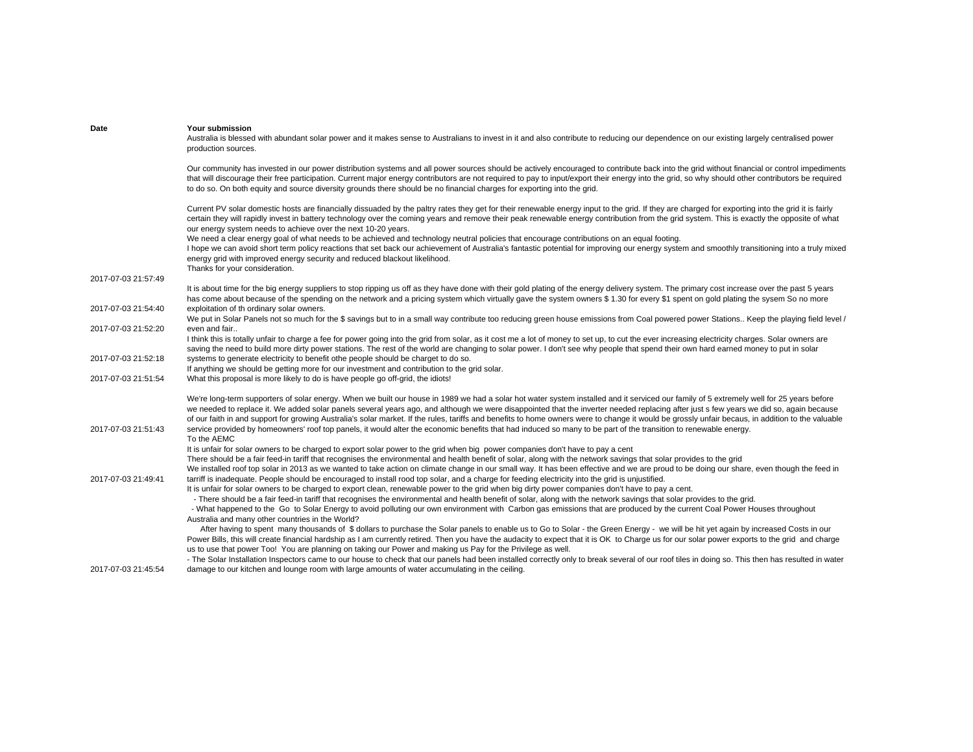| Date                | Your submission<br>Australia is blessed with abundant solar power and it makes sense to Australians to invest in it and also contribute to reducing our dependence on our existing largely centralised power<br>production sources.                                                                                                                                                                                                                                                                                                                                                     |
|---------------------|-----------------------------------------------------------------------------------------------------------------------------------------------------------------------------------------------------------------------------------------------------------------------------------------------------------------------------------------------------------------------------------------------------------------------------------------------------------------------------------------------------------------------------------------------------------------------------------------|
|                     | Our community has invested in our power distribution systems and all power sources should be actively encouraged to contribute back into the grid without financial or control impediments<br>that will discourage their free participation. Current major energy contributors are not required to pay to input/export their energy into the grid, so why should other contributors be required<br>to do so. On both equity and source diversity grounds there should be no financial charges for exporting into the grid.                                                              |
|                     | Current PV solar domestic hosts are financially dissuaded by the paltry rates they get for their renewable energy input to the grid. If they are charged for exporting into the grid it is fairly<br>certain they will rapidly invest in battery technology over the coming years and remove their peak renewable energy contribution from the grid system. This is exactly the opposite of what<br>our energy system needs to achieve over the next 10-20 years.                                                                                                                       |
|                     | We need a clear energy goal of what needs to be achieved and technology neutral policies that encourage contributions on an equal footing.<br>I hope we can avoid short term policy reactions that set back our achievement of Australia's fantastic potential for improving our energy system and smoothly transitioning into a truly mixed<br>energy grid with improved energy security and reduced blackout likelihood.<br>Thanks for your consideration.                                                                                                                            |
| 2017-07-03 21:57:49 |                                                                                                                                                                                                                                                                                                                                                                                                                                                                                                                                                                                         |
|                     | It is about time for the big energy suppliers to stop ripping us off as they have done with their gold plating of the energy delivery system. The primary cost increase over the past 5 years<br>has come about because of the spending on the network and a pricing system which virtually gave the system owners \$1.30 for every \$1 spent on gold plating the sysem So no more                                                                                                                                                                                                      |
| 2017-07-03 21:54:40 | exploitation of th ordinary solar owners.                                                                                                                                                                                                                                                                                                                                                                                                                                                                                                                                               |
| 2017-07-03 21:52:20 | We put in Solar Panels not so much for the \$ savings but to in a small way contribute too reducing green house emissions from Coal powered power Stations Keep the playing field level /<br>even and fair                                                                                                                                                                                                                                                                                                                                                                              |
|                     | I think this is totally unfair to charge a fee for power going into the grid from solar, as it cost me a lot of money to set up, to cut the ever increasing electricity charges. Solar owners are<br>saving the need to build more dirty power stations. The rest of the world are changing to solar power. I don't see why people that spend their own hard earned money to put in solar                                                                                                                                                                                               |
| 2017-07-03 21:52:18 | systems to generate electricity to benefit othe people should be charget to do so.<br>If anything we should be getting more for our investment and contribution to the grid solar.                                                                                                                                                                                                                                                                                                                                                                                                      |
| 2017-07-03 21:51:54 | What this proposal is more likely to do is have people go off-grid, the idiots!                                                                                                                                                                                                                                                                                                                                                                                                                                                                                                         |
|                     | We're long-term supporters of solar energy. When we built our house in 1989 we had a solar hot water system installed and it serviced our family of 5 extremely well for 25 years before<br>we needed to replace it. We added solar panels several years ago, and although we were disappointed that the inverter needed replacing after just s few years we did so, again because<br>of our faith in and support for growing Australia's solar market. If the rules, tariffs and benefits to home owners were to change it would be grossly unfair becaus, in addition to the valuable |
| 2017-07-03 21:51:43 | service provided by homeowners' roof top panels, it would alter the economic benefits that had induced so many to be part of the transition to renewable energy.<br>To the AEMC                                                                                                                                                                                                                                                                                                                                                                                                         |
|                     | It is unfair for solar owners to be charged to export solar power to the grid when big power companies don't have to pay a cent                                                                                                                                                                                                                                                                                                                                                                                                                                                         |
|                     | There should be a fair feed-in tariff that recognises the environmental and health benefit of solar, along with the network savings that solar provides to the grid                                                                                                                                                                                                                                                                                                                                                                                                                     |
| 2017-07-03 21:49:41 | We installed roof top solar in 2013 as we wanted to take action on climate change in our small way. It has been effective and we are proud to be doing our share, even though the feed in<br>tarriff is inadequate. People should be encouraged to install rood top solar, and a charge for feeding electricity into the grid is unjustified.                                                                                                                                                                                                                                           |
|                     | It is unfair for solar owners to be charged to export clean, renewable power to the grid when big dirty power companies don't have to pay a cent.                                                                                                                                                                                                                                                                                                                                                                                                                                       |
|                     | - There should be a fair feed-in tariff that recognises the environmental and health benefit of solar, along with the network savings that solar provides to the grid.                                                                                                                                                                                                                                                                                                                                                                                                                  |
|                     | - What happened to the Go to Solar Energy to avoid polluting our own environment with Carbon gas emissions that are produced by the current Coal Power Houses throughout                                                                                                                                                                                                                                                                                                                                                                                                                |
|                     | Australia and many other countries in the World?                                                                                                                                                                                                                                                                                                                                                                                                                                                                                                                                        |
|                     | After having to spent many thousands of \$ dollars to purchase the Solar panels to enable us to Go to Solar - the Green Energy - we will be hit yet again by increased Costs in our                                                                                                                                                                                                                                                                                                                                                                                                     |
|                     | Power Bills, this will create financial hardship as I am currently retired. Then you have the audacity to expect that it is OK to Charge us for our solar power exports to the grid and charge<br>us to use that power Too! You are planning on taking our Power and making us Pay for the Privilege as well.                                                                                                                                                                                                                                                                           |
|                     | - The Solar Installation Inspectors came to our house to check that our panels had been installed correctly only to break several of our roof tiles in doing so. This then has resulted in water                                                                                                                                                                                                                                                                                                                                                                                        |
| 2017-07-03 21:45:54 | damage to our kitchen and lounge room with large amounts of water accumulating in the ceiling.                                                                                                                                                                                                                                                                                                                                                                                                                                                                                          |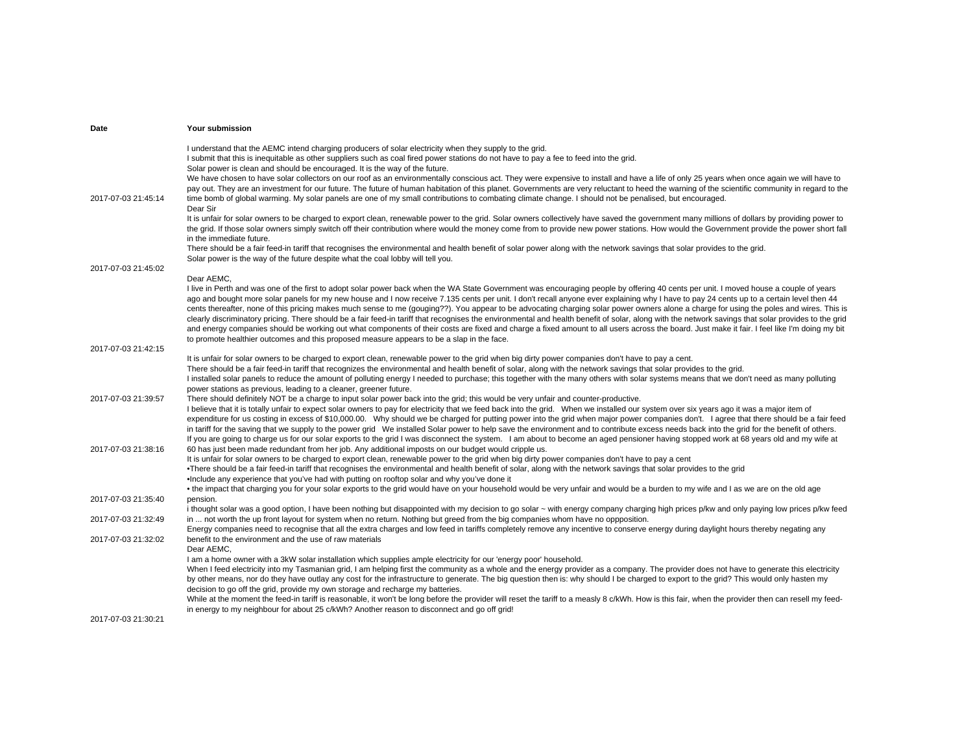| Date                | Your submission                                                                                                                                                                                                                                                                                                                                                  |
|---------------------|------------------------------------------------------------------------------------------------------------------------------------------------------------------------------------------------------------------------------------------------------------------------------------------------------------------------------------------------------------------|
|                     | I understand that the AEMC intend charging producers of solar electricity when they supply to the grid.                                                                                                                                                                                                                                                          |
|                     | I submit that this is inequitable as other suppliers such as coal fired power stations do not have to pay a fee to feed into the grid.                                                                                                                                                                                                                           |
|                     | Solar power is clean and should be encouraged. It is the way of the future.                                                                                                                                                                                                                                                                                      |
|                     | We have chosen to have solar collectors on our roof as an environmentally conscious act. They were expensive to install and have a life of only 25 years when once again we will have to                                                                                                                                                                         |
| 2017-07-03 21:45:14 | pay out. They are an investment for our future. The future of human habitation of this planet. Governments are very reluctant to heed the warning of the scientific community in regard to the<br>time bomb of global warming. My solar panels are one of my small contributions to combating climate change. I should not be penalised, but encouraged.         |
|                     | Dear Sir                                                                                                                                                                                                                                                                                                                                                         |
|                     | It is unfair for solar owners to be charged to export clean, renewable power to the grid. Solar owners collectively have saved the government many millions of dollars by providing power to                                                                                                                                                                     |
|                     | the grid. If those solar owners simply switch off their contribution where would the money come from to provide new power stations. How would the Government provide the power short fall                                                                                                                                                                        |
|                     | in the immediate future.                                                                                                                                                                                                                                                                                                                                         |
|                     | There should be a fair feed-in tariff that recognises the environmental and health benefit of solar power along with the network savings that solar provides to the grid.                                                                                                                                                                                        |
|                     | Solar power is the way of the future despite what the coal lobby will tell you.                                                                                                                                                                                                                                                                                  |
| 2017-07-03 21:45:02 |                                                                                                                                                                                                                                                                                                                                                                  |
|                     | Dear AEMC,<br>I live in Perth and was one of the first to adopt solar power back when the WA State Government was encouraging people by offering 40 cents per unit. I moved house a couple of years                                                                                                                                                              |
|                     | ago and bought more solar panels for my new house and I now receive 7.135 cents per unit. I don't recall anyone ever explaining why I have to pay 24 cents up to a certain level then 44                                                                                                                                                                         |
|                     | cents thereafter, none of this pricing makes much sense to me (gouging??). You appear to be advocating charging solar power owners alone a charge for using the poles and wires. This is                                                                                                                                                                         |
|                     | clearly discriminatory pricing. There should be a fair feed-in tariff that recognises the environmental and health benefit of solar, along with the network savings that solar provides to the grid                                                                                                                                                              |
|                     | and energy companies should be working out what components of their costs are fixed and charge a fixed amount to all users across the board. Just make it fair. I feel like I'm doing my bit                                                                                                                                                                     |
|                     | to promote healthier outcomes and this proposed measure appears to be a slap in the face.                                                                                                                                                                                                                                                                        |
| 2017-07-03 21:42:15 |                                                                                                                                                                                                                                                                                                                                                                  |
|                     | It is unfair for solar owners to be charged to export clean, renewable power to the grid when big dirty power companies don't have to pay a cent.                                                                                                                                                                                                                |
|                     | There should be a fair feed-in tariff that recognizes the environmental and health benefit of solar, along with the network savings that solar provides to the grid.<br>I installed solar panels to reduce the amount of polluting energy I needed to purchase; this together with the many others with solar systems means that we don't need as many polluting |
|                     | power stations as previous, leading to a cleaner, greener future.                                                                                                                                                                                                                                                                                                |
| 2017-07-03 21:39:57 | There should definitely NOT be a charge to input solar power back into the grid; this would be very unfair and counter-productive.                                                                                                                                                                                                                               |
|                     | I believe that it is totally unfair to expect solar owners to pay for electricity that we feed back into the grid. When we installed our system over six years ago it was a major item of                                                                                                                                                                        |
|                     | expenditure for us costing in excess of \$10,000.00. Why should we be charged for putting power into the grid when major power companies don't. I agree that there should be a fair feed                                                                                                                                                                         |
|                     | in tariff for the saving that we supply to the power grid We installed Solar power to help save the environment and to contribute excess needs back into the grid for the benefit of others.                                                                                                                                                                     |
|                     | If you are going to charge us for our solar exports to the grid I was disconnect the system. I am about to become an aged pensioner having stopped work at 68 years old and my wife at                                                                                                                                                                           |
| 2017-07-03 21:38:16 | 60 has just been made redundant from her job. Any additional imposts on our budget would cripple us.<br>It is unfair for solar owners to be charged to export clean, renewable power to the grid when big dirty power companies don't have to pay a cent                                                                                                         |
|                     | •There should be a fair feed-in tariff that recognises the environmental and health benefit of solar, along with the network savings that solar provides to the grid                                                                                                                                                                                             |
|                     | •Include any experience that you've had with putting on rooftop solar and why you've done it                                                                                                                                                                                                                                                                     |
|                     | • the impact that charging you for your solar exports to the grid would have on your household would be very unfair and would be a burden to my wife and I as we are on the old age                                                                                                                                                                              |
| 2017-07-03 21:35:40 | pension.                                                                                                                                                                                                                                                                                                                                                         |
|                     | i thought solar was a good option, I have been nothing but disappointed with my decision to go solar ~ with energy company charging high prices p/kw and only paying low prices p/kw feed                                                                                                                                                                        |
| 2017-07-03 21:32:49 | in  not worth the up front layout for system when no return. Nothing but greed from the big companies whom have no oppposition.                                                                                                                                                                                                                                  |
|                     | Energy companies need to recognise that all the extra charges and low feed in tariffs completely remove any incentive to conserve energy during daylight hours thereby negating any                                                                                                                                                                              |
| 2017-07-03 21:32:02 | benefit to the environment and the use of raw materials<br>Dear AEMC.                                                                                                                                                                                                                                                                                            |
|                     | I am a home owner with a 3kW solar installation which supplies ample electricity for our 'energy poor' household.                                                                                                                                                                                                                                                |
|                     | When I feed electricity into my Tasmanian grid, I am helping first the community as a whole and the energy provider as a company. The provider does not have to generate this electricity                                                                                                                                                                        |
|                     | by other means, nor do they have outlay any cost for the infrastructure to generate. The big question then is: why should I be charged to export to the grid? This would only hasten my                                                                                                                                                                          |
|                     | decision to go off the grid, provide my own storage and recharge my batteries.                                                                                                                                                                                                                                                                                   |
|                     | While at the moment the feed-in tariff is reasonable, it won't be long before the provider will reset the tariff to a measly 8 c/kWh. How is this fair, when the provider then can resell my feed-                                                                                                                                                               |
|                     | in energy to my neighbour for about 25 c/kWh? Another reason to disconnect and go off grid!                                                                                                                                                                                                                                                                      |
| 2017-07-03 21:30:21 |                                                                                                                                                                                                                                                                                                                                                                  |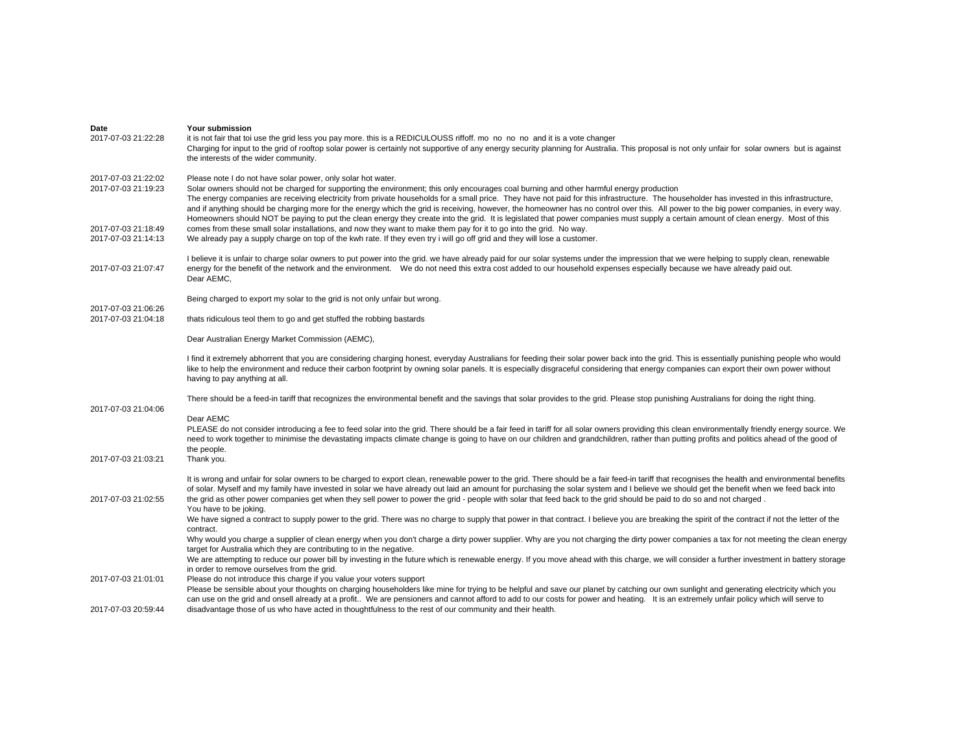| Date                                       | Your submission                                                                                                                                                                                                                                                                                                                                                                                                                                                                                                                                                                                                                                                                                                                                                                           |
|--------------------------------------------|-------------------------------------------------------------------------------------------------------------------------------------------------------------------------------------------------------------------------------------------------------------------------------------------------------------------------------------------------------------------------------------------------------------------------------------------------------------------------------------------------------------------------------------------------------------------------------------------------------------------------------------------------------------------------------------------------------------------------------------------------------------------------------------------|
| 2017-07-03 21:22:28                        | it is not fair that toi use the grid less you pay more, this is a REDICULOUSS riffoff, mo no no no and it is a vote changer<br>Charging for input to the grid of rooftop solar power is certainly not supportive of any energy security planning for Australia. This proposal is not only unfair for solar owners but is against<br>the interests of the wider community.                                                                                                                                                                                                                                                                                                                                                                                                                 |
| 2017-07-03 21:22:02<br>2017-07-03 21:19:23 | Please note I do not have solar power, only solar hot water.<br>Solar owners should not be charged for supporting the environment; this only encourages coal burning and other harmful energy production<br>The energy companies are receiving electricity from private households for a small price. They have not paid for this infrastructure. The householder has invested in this infrastructure,<br>and if anything should be charging more for the energy which the grid is receiving, however, the homeowner has no control over this. All power to the big power companies, in every way.<br>Homeowners should NOT be paying to put the clean energy they create into the grid. It is legislated that power companies must supply a certain amount of clean energy. Most of this |
| 2017-07-03 21:18:49<br>2017-07-03 21:14:13 | comes from these small solar installations, and now they want to make them pay for it to go into the grid. No way.<br>We already pay a supply charge on top of the kwh rate. If they even try i will go off grid and they will lose a customer.                                                                                                                                                                                                                                                                                                                                                                                                                                                                                                                                           |
| 2017-07-03 21:07:47                        | I believe it is unfair to charge solar owners to put power into the grid. we have already paid for our solar systems under the impression that we were helping to supply clean, renewable<br>energy for the benefit of the network and the environment. We do not need this extra cost added to our household expenses especially because we have already paid out.<br>Dear AEMC.                                                                                                                                                                                                                                                                                                                                                                                                         |
|                                            | Being charged to export my solar to the grid is not only unfair but wrong.                                                                                                                                                                                                                                                                                                                                                                                                                                                                                                                                                                                                                                                                                                                |
| 2017-07-03 21:06:26<br>2017-07-03 21:04:18 | thats ridiculous teol them to go and get stuffed the robbing bastards                                                                                                                                                                                                                                                                                                                                                                                                                                                                                                                                                                                                                                                                                                                     |
|                                            | Dear Australian Energy Market Commission (AEMC),                                                                                                                                                                                                                                                                                                                                                                                                                                                                                                                                                                                                                                                                                                                                          |
|                                            | I find it extremely abhorrent that you are considering charging honest, everyday Australians for feeding their solar power back into the grid. This is essentially punishing people who would<br>like to help the environment and reduce their carbon footprint by owning solar panels. It is especially disgraceful considering that energy companies can export their own power without<br>having to pay anything at all.                                                                                                                                                                                                                                                                                                                                                               |
| 2017-07-03 21:04:06                        | There should be a feed-in tariff that recognizes the environmental benefit and the savings that solar provides to the grid. Please stop punishing Australians for doing the right thing.                                                                                                                                                                                                                                                                                                                                                                                                                                                                                                                                                                                                  |
|                                            | Dear AEMC<br>PLEASE do not consider introducing a fee to feed solar into the grid. There should be a fair feed in tariff for all solar owners providing this clean environmentally friendly energy source. We<br>need to work together to minimise the devastating impacts climate change is going to have on our children and grandchildren, rather than putting profits and politics ahead of the good of<br>the people.                                                                                                                                                                                                                                                                                                                                                                |
| 2017-07-03 21:03:21                        | Thank you.                                                                                                                                                                                                                                                                                                                                                                                                                                                                                                                                                                                                                                                                                                                                                                                |
| 2017-07-03 21:02:55                        | It is wrong and unfair for solar owners to be charged to export clean, renewable power to the grid. There should be a fair feed-in tariff that recognises the health and environmental benefits<br>of solar. Myself and my family have invested in solar we have already out laid an amount for purchasing the solar system and I believe we should get the benefit when we feed back into<br>the grid as other power companies get when they sell power to power the grid - people with solar that feed back to the grid should be paid to do so and not charged.                                                                                                                                                                                                                        |
|                                            | You have to be joking.<br>We have signed a contract to supply power to the grid. There was no charge to supply that power in that contract. I believe you are breaking the spirit of the contract if not the letter of the                                                                                                                                                                                                                                                                                                                                                                                                                                                                                                                                                                |
|                                            | contract.<br>Why would you charge a supplier of clean energy when you don't charge a dirty power supplier. Why are you not charging the dirty power companies a tax for not meeting the clean energy                                                                                                                                                                                                                                                                                                                                                                                                                                                                                                                                                                                      |
|                                            | target for Australia which they are contributing to in the negative.                                                                                                                                                                                                                                                                                                                                                                                                                                                                                                                                                                                                                                                                                                                      |
|                                            | We are attempting to reduce our power bill by investing in the future which is renewable energy. If you move ahead with this charge, we will consider a further investment in battery storage<br>in order to remove ourselves from the grid.                                                                                                                                                                                                                                                                                                                                                                                                                                                                                                                                              |
| 2017-07-03 21:01:01                        | Please do not introduce this charge if you value your voters support                                                                                                                                                                                                                                                                                                                                                                                                                                                                                                                                                                                                                                                                                                                      |
| 2017-07-03 20:59:44                        | Please be sensible about your thoughts on charging householders like mine for trying to be helpful and save our planet by catching our own sunlight and generating electricity which you<br>can use on the grid and onsell already at a profit We are pensioners and cannot afford to add to our costs for power and heating. It is an extremely unfair policy which will serve to<br>disadvantage those of us who have acted in thoughtfulness to the rest of our community and their health.                                                                                                                                                                                                                                                                                            |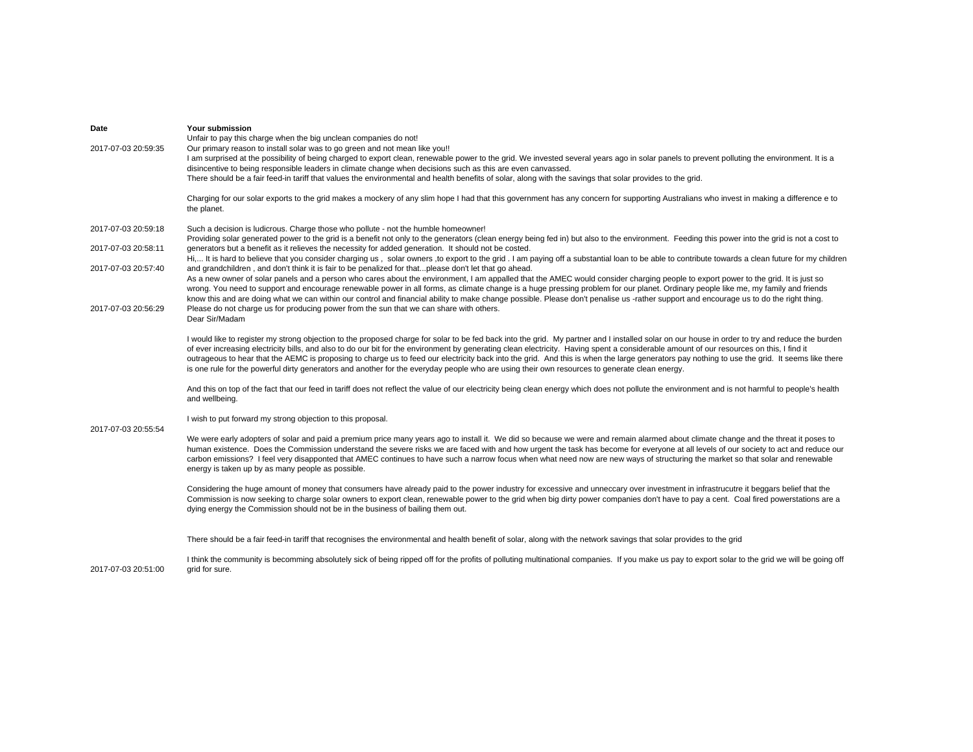| Date<br>2017-07-03 20:59:35                                                              | Your submission<br>Unfair to pay this charge when the big unclean companies do not!<br>Our primary reason to install solar was to go green and not mean like you!!<br>I am surprised at the possibility of being charged to export clean, renewable power to the grid. We invested several years ago in solar panels to prevent polluting the environment. It is a<br>disincentive to being responsible leaders in climate change when decisions such as this are even canvassed.<br>There should be a fair feed-in tariff that values the environmental and health benefits of solar, along with the savings that solar provides to the grid.                                                                                                                                                                                                                                                                                                                                                                                                                                                                                                                                                                                                                                                                                                                                               |
|------------------------------------------------------------------------------------------|----------------------------------------------------------------------------------------------------------------------------------------------------------------------------------------------------------------------------------------------------------------------------------------------------------------------------------------------------------------------------------------------------------------------------------------------------------------------------------------------------------------------------------------------------------------------------------------------------------------------------------------------------------------------------------------------------------------------------------------------------------------------------------------------------------------------------------------------------------------------------------------------------------------------------------------------------------------------------------------------------------------------------------------------------------------------------------------------------------------------------------------------------------------------------------------------------------------------------------------------------------------------------------------------------------------------------------------------------------------------------------------------|
|                                                                                          | Charging for our solar exports to the grid makes a mockery of any slim hope I had that this government has any concern for supporting Australians who invest in making a difference e to<br>the planet.                                                                                                                                                                                                                                                                                                                                                                                                                                                                                                                                                                                                                                                                                                                                                                                                                                                                                                                                                                                                                                                                                                                                                                                      |
| 2017-07-03 20:59:18<br>2017-07-03 20:58:11<br>2017-07-03 20:57:40<br>2017-07-03 20:56:29 | Such a decision is ludicrous. Charge those who pollute - not the humble homeowner!<br>Providing solar generated power to the grid is a benefit not only to the generators (clean energy being fed in) but also to the environment. Feeding this power into the grid is not a cost to<br>generators but a benefit as it relieves the necessity for added generation. It should not be costed.<br>Hi, It is hard to believe that you consider charging us, solar owners, to export to the grid. I am paying off a substantial loan to be able to contribute towards a clean future for my children<br>and grandchildren, and don't think it is fair to be penalized for thatplease don't let that go ahead.<br>As a new owner of solar panels and a person who cares about the environment, I am appalled that the AMEC would consider charging people to export power to the grid. It is just so<br>wrong. You need to support and encourage renewable power in all forms, as climate change is a huge pressing problem for our planet. Ordinary people like me, my family and friends<br>know this and are doing what we can within our control and financial ability to make change possible. Please don't penalise us -rather support and encourage us to do the right thing.<br>Please do not charge us for producing power from the sun that we can share with others.<br>Dear Sir/Madam |
| 2017-07-03 20:55:54                                                                      | I would like to register my strong objection to the proposed charge for solar to be fed back into the grid. My partner and I installed solar on our house in order to try and reduce the burden<br>of ever increasing electricity bills, and also to do our bit for the environment by generating clean electricity. Having spent a considerable amount of our resources on this, I find it<br>outrageous to hear that the AEMC is proposing to charge us to feed our electricity back into the grid. And this is when the large generators pay nothing to use the grid. It seems like there<br>is one rule for the powerful dirty generators and another for the everyday people who are using their own resources to generate clean energy.<br>And this on top of the fact that our feed in tariff does not reflect the value of our electricity being clean energy which does not pollute the environment and is not harmful to people's health<br>and wellbeing.                                                                                                                                                                                                                                                                                                                                                                                                                         |
|                                                                                          | I wish to put forward my strong objection to this proposal.<br>We were early adopters of solar and paid a premium price many years ago to install it. We did so because we were and remain alarmed about climate change and the threat it poses to<br>human existence. Does the Commission understand the severe risks we are faced with and how urgent the task has become for everyone at all levels of our society to act and reduce our<br>carbon emissions? I feel very disapponted that AMEC continues to have such a narrow focus when what need now are new ways of structuring the market so that solar and renewable<br>energy is taken up by as many people as possible.<br>Considering the huge amount of money that consumers have already paid to the power industry for excessive and unneccary over investment in infrastrucutre it beggars belief that the<br>Commission is now seeking to charge solar owners to export clean, renewable power to the grid when big dirty power companies don't have to pay a cent. Coal fired powerstations are a<br>dying energy the Commission should not be in the business of bailing them out.                                                                                                                                                                                                                                       |
| 2017-07-03 20:51:00                                                                      | There should be a fair feed-in tariff that recognises the environmental and health benefit of solar, along with the network savings that solar provides to the grid<br>I think the community is becomming absolutely sick of being ripped off for the profits of polluting multinational companies. If you make us pay to export solar to the grid we will be going off<br>grid for sure.                                                                                                                                                                                                                                                                                                                                                                                                                                                                                                                                                                                                                                                                                                                                                                                                                                                                                                                                                                                                    |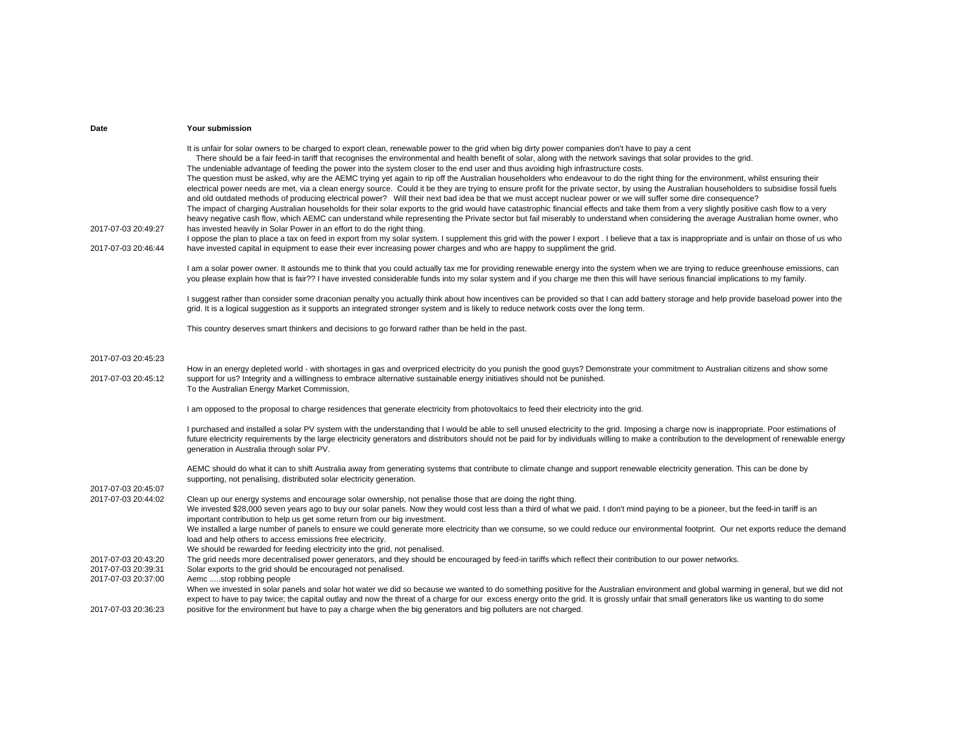| Date                                       | Your submission                                                                                                                                                                                                                                                                                                                                                                                                                                                                                                                                                                                                                                                                                                                                                                                                                                                                                                                                                                                                                                                                                                                                                                                                                                                                                                                                                                                                                                                                                                                                                                                                                                                                                                                                                                                                        |
|--------------------------------------------|------------------------------------------------------------------------------------------------------------------------------------------------------------------------------------------------------------------------------------------------------------------------------------------------------------------------------------------------------------------------------------------------------------------------------------------------------------------------------------------------------------------------------------------------------------------------------------------------------------------------------------------------------------------------------------------------------------------------------------------------------------------------------------------------------------------------------------------------------------------------------------------------------------------------------------------------------------------------------------------------------------------------------------------------------------------------------------------------------------------------------------------------------------------------------------------------------------------------------------------------------------------------------------------------------------------------------------------------------------------------------------------------------------------------------------------------------------------------------------------------------------------------------------------------------------------------------------------------------------------------------------------------------------------------------------------------------------------------------------------------------------------------------------------------------------------------|
| 2017-07-03 20:49:27<br>2017-07-03 20:46:44 | It is unfair for solar owners to be charged to export clean, renewable power to the grid when big dirty power companies don't have to pay a cent<br>There should be a fair feed-in tariff that recognises the environmental and health benefit of solar, along with the network savings that solar provides to the grid.<br>The undeniable advantage of feeding the power into the system closer to the end user and thus avoiding high infrastructure costs.<br>The question must be asked, why are the AEMC trying yet again to rip off the Australian householders who endeavour to do the right thing for the environment, whilst ensuring their<br>electrical power needs are met, via a clean energy source. Could it be they are trying to ensure profit for the private sector, by using the Australian householders to subsidise fossil fuels<br>and old outdated methods of producing electrical power? Will their next bad idea be that we must accept nuclear power or we will suffer some dire consequence?<br>The impact of charging Australian households for their solar exports to the grid would have catastrophic financial effects and take them from a very slightly positive cash flow to a very<br>heavy negative cash flow, which AEMC can understand while representing the Private sector but fail miserably to understand when considering the average Australian home owner, who<br>has invested heavily in Solar Power in an effort to do the right thing.<br>I oppose the plan to place a tax on feed in export from my solar system. I supplement this grid with the power I export. I believe that a tax is inappropriate and is unfair on those of us who<br>have invested capital in equipment to ease their ever increasing power charges and who are happy to suppliment the grid. |
|                                            | I am a solar power owner. It astounds me to think that you could actually tax me for providing renewable energy into the system when we are trying to reduce greenhouse emissions, can<br>you please explain how that is fair?? I have invested considerable funds into my solar system and if you charge me then this will have serious financial implications to my family.                                                                                                                                                                                                                                                                                                                                                                                                                                                                                                                                                                                                                                                                                                                                                                                                                                                                                                                                                                                                                                                                                                                                                                                                                                                                                                                                                                                                                                          |
|                                            | I suggest rather than consider some draconian penalty you actually think about how incentives can be provided so that I can add battery storage and help provide baseload power into the<br>grid. It is a logical suggestion as it supports an integrated stronger system and is likely to reduce network costs over the long term.                                                                                                                                                                                                                                                                                                                                                                                                                                                                                                                                                                                                                                                                                                                                                                                                                                                                                                                                                                                                                                                                                                                                                                                                                                                                                                                                                                                                                                                                                    |
|                                            | This country deserves smart thinkers and decisions to go forward rather than be held in the past.                                                                                                                                                                                                                                                                                                                                                                                                                                                                                                                                                                                                                                                                                                                                                                                                                                                                                                                                                                                                                                                                                                                                                                                                                                                                                                                                                                                                                                                                                                                                                                                                                                                                                                                      |
| 2017-07-03 20:45:23<br>2017-07-03 20:45:12 | How in an energy depleted world - with shortages in gas and overpriced electricity do you punish the good guys? Demonstrate your commitment to Australian citizens and show some<br>support for us? Integrity and a willingness to embrace alternative sustainable energy initiatives should not be punished.<br>To the Australian Energy Market Commission,                                                                                                                                                                                                                                                                                                                                                                                                                                                                                                                                                                                                                                                                                                                                                                                                                                                                                                                                                                                                                                                                                                                                                                                                                                                                                                                                                                                                                                                           |
|                                            | I am opposed to the proposal to charge residences that generate electricity from photovoltaics to feed their electricity into the grid.                                                                                                                                                                                                                                                                                                                                                                                                                                                                                                                                                                                                                                                                                                                                                                                                                                                                                                                                                                                                                                                                                                                                                                                                                                                                                                                                                                                                                                                                                                                                                                                                                                                                                |
|                                            | I purchased and installed a solar PV system with the understanding that I would be able to sell unused electricity to the grid. Imposing a charge now is inappropriate. Poor estimations of<br>future electricity requirements by the large electricity generators and distributors should not be paid for by individuals willing to make a contribution to the development of renewable energy<br>generation in Australia through solar PV.                                                                                                                                                                                                                                                                                                                                                                                                                                                                                                                                                                                                                                                                                                                                                                                                                                                                                                                                                                                                                                                                                                                                                                                                                                                                                                                                                                           |
| 2017-07-03 20:45:07                        | AEMC should do what it can to shift Australia away from generating systems that contribute to climate change and support renewable electricity generation. This can be done by<br>supporting, not penalising, distributed solar electricity generation.                                                                                                                                                                                                                                                                                                                                                                                                                                                                                                                                                                                                                                                                                                                                                                                                                                                                                                                                                                                                                                                                                                                                                                                                                                                                                                                                                                                                                                                                                                                                                                |
| 2017-07-03 20:44:02                        | Clean up our energy systems and encourage solar ownership, not penalise those that are doing the right thing.<br>We invested \$28,000 seven years ago to buy our solar panels. Now they would cost less than a third of what we paid. I don't mind paying to be a pioneer, but the feed-in tariff is an<br>important contribution to help us get some return from our big investment.<br>We installed a large number of panels to ensure we could generate more electricity than we consume, so we could reduce our environmental footprint. Our net exports reduce the demand<br>load and help others to access emissions free electricity.<br>We should be rewarded for feeding electricity into the grid, not penalised.                                                                                                                                                                                                                                                                                                                                                                                                                                                                                                                                                                                                                                                                                                                                                                                                                                                                                                                                                                                                                                                                                            |
| 2017-07-03 20:43:20<br>2017-07-03 20:39:31 | The grid needs more decentralised power generators, and they should be encouraged by feed-in tariffs which reflect their contribution to our power networks.<br>Solar exports to the grid should be encouraged not penalised.                                                                                                                                                                                                                                                                                                                                                                                                                                                                                                                                                                                                                                                                                                                                                                                                                                                                                                                                                                                                                                                                                                                                                                                                                                                                                                                                                                                                                                                                                                                                                                                          |
| 2017-07-03 20:37:00<br>2017-07-03 20:36:23 | Aemc stop robbing people<br>When we invested in solar panels and solar hot water we did so because we wanted to do something positive for the Australian environment and global warming in general, but we did not<br>expect to have to pay twice; the capital outlay and now the threat of a charge for our excess energy onto the grid. It is grossly unfair that small generators like us wanting to do some<br>positive for the environment but have to pay a charge when the big generators and big polluters are not charged.                                                                                                                                                                                                                                                                                                                                                                                                                                                                                                                                                                                                                                                                                                                                                                                                                                                                                                                                                                                                                                                                                                                                                                                                                                                                                    |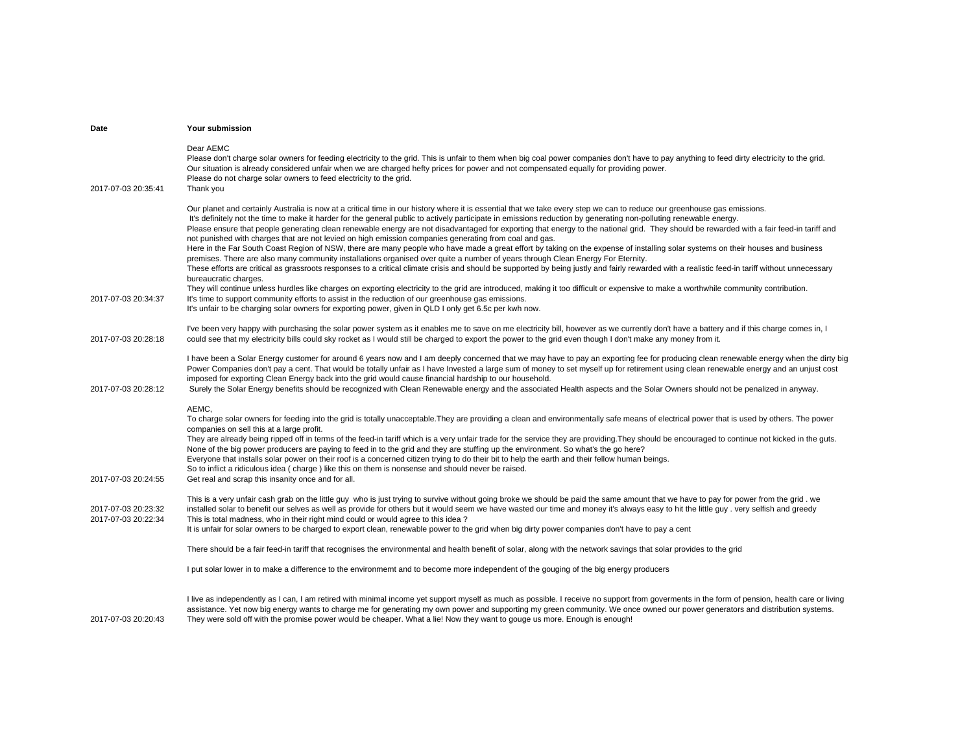| Date                                       | Your submission                                                                                                                                                                                                                                                                                                                                                                                                                                                                                                                                                                                                                                                                                                                                                                                                                                                                                                                                                                                                                                                                                                                                                                                                                                                                                                                                                                                                                                                                                       |
|--------------------------------------------|-------------------------------------------------------------------------------------------------------------------------------------------------------------------------------------------------------------------------------------------------------------------------------------------------------------------------------------------------------------------------------------------------------------------------------------------------------------------------------------------------------------------------------------------------------------------------------------------------------------------------------------------------------------------------------------------------------------------------------------------------------------------------------------------------------------------------------------------------------------------------------------------------------------------------------------------------------------------------------------------------------------------------------------------------------------------------------------------------------------------------------------------------------------------------------------------------------------------------------------------------------------------------------------------------------------------------------------------------------------------------------------------------------------------------------------------------------------------------------------------------------|
| 2017-07-03 20:35:41                        | Dear AEMC<br>Please don't charge solar owners for feeding electricity to the grid. This is unfair to them when big coal power companies don't have to pay anything to feed dirty electricity to the grid.<br>Our situation is already considered unfair when we are charged hefty prices for power and not compensated equally for providing power.<br>Please do not charge solar owners to feed electricity to the grid.<br>Thank you                                                                                                                                                                                                                                                                                                                                                                                                                                                                                                                                                                                                                                                                                                                                                                                                                                                                                                                                                                                                                                                                |
| 2017-07-03 20:34:37                        | Our planet and certainly Australia is now at a critical time in our history where it is essential that we take every step we can to reduce our greenhouse gas emissions.<br>It's definitely not the time to make it harder for the general public to actively participate in emissions reduction by generating non-polluting renewable energy.<br>Please ensure that people generating clean renewable energy are not disadvantaged for exporting that energy to the national grid. They should be rewarded with a fair feed-in tariff and<br>not punished with charges that are not levied on high emission companies generating from coal and gas.<br>Here in the Far South Coast Region of NSW, there are many people who have made a great effort by taking on the expense of installing solar systems on their houses and business<br>premises. There are also many community installations organised over quite a number of years through Clean Energy For Eternity.<br>These efforts are critical as grassroots responses to a critical climate crisis and should be supported by being justly and fairly rewarded with a realistic feed-in tariff without unnecessary<br>bureaucratic charges.<br>They will continue unless hurdles like charges on exporting electricity to the grid are introduced, making it too difficult or expensive to make a worthwhile community contribution.<br>It's time to support community efforts to assist in the reduction of our greenhouse gas emissions. |
|                                            | It's unfair to be charging solar owners for exporting power, given in QLD I only get 6.5c per kwh now.                                                                                                                                                                                                                                                                                                                                                                                                                                                                                                                                                                                                                                                                                                                                                                                                                                                                                                                                                                                                                                                                                                                                                                                                                                                                                                                                                                                                |
| 2017-07-03 20:28:18                        | I've been very happy with purchasing the solar power system as it enables me to save on me electricity bill, however as we currently don't have a battery and if this charge comes in, I<br>could see that my electricity bills could sky rocket as I would still be charged to export the power to the grid even though I don't make any money from it.                                                                                                                                                                                                                                                                                                                                                                                                                                                                                                                                                                                                                                                                                                                                                                                                                                                                                                                                                                                                                                                                                                                                              |
| 2017-07-03 20:28:12                        | I have been a Solar Energy customer for around 6 years now and I am deeply concerned that we may have to pay an exporting fee for producing clean renewable energy when the dirty big<br>Power Companies don't pay a cent. That would be totally unfair as I have Invested a large sum of money to set myself up for retirement using clean renewable energy and an unjust cost<br>imposed for exporting Clean Energy back into the grid would cause financial hardship to our household.<br>Surely the Solar Energy benefits should be recognized with Clean Renewable energy and the associated Health aspects and the Solar Owners should not be penalized in anyway.                                                                                                                                                                                                                                                                                                                                                                                                                                                                                                                                                                                                                                                                                                                                                                                                                              |
| 2017-07-03 20:24:55                        | AEMC.<br>To charge solar owners for feeding into the grid is totally unacceptable. They are providing a clean and environmentally safe means of electrical power that is used by others. The power<br>companies on sell this at a large profit.<br>They are already being ripped off in terms of the feed-in tariff which is a very unfair trade for the service they are providing. They should be encouraged to continue not kicked in the guts.<br>None of the big power producers are paying to feed in to the grid and they are stuffing up the environment. So what's the go here?<br>Everyone that installs solar power on their roof is a concerned citizen trying to do their bit to help the earth and their fellow human beings.<br>So to inflict a ridiculous idea (charge) like this on them is nonsense and should never be raised.<br>Get real and scrap this insanity once and for all.                                                                                                                                                                                                                                                                                                                                                                                                                                                                                                                                                                                               |
| 2017-07-03 20:23:32<br>2017-07-03 20:22:34 | This is a very unfair cash grab on the little guy who is just trying to survive without going broke we should be paid the same amount that we have to pay for power from the grid. we<br>installed solar to benefit our selves as well as provide for others but it would seem we have wasted our time and money it's always easy to hit the little guy . very selfish and greedy<br>This is total madness, who in their right mind could or would agree to this idea?<br>It is unfair for solar owners to be charged to export clean, renewable power to the grid when big dirty power companies don't have to pay a cent                                                                                                                                                                                                                                                                                                                                                                                                                                                                                                                                                                                                                                                                                                                                                                                                                                                                            |
|                                            | There should be a fair feed-in tariff that recognises the environmental and health benefit of solar, along with the network savings that solar provides to the grid                                                                                                                                                                                                                                                                                                                                                                                                                                                                                                                                                                                                                                                                                                                                                                                                                                                                                                                                                                                                                                                                                                                                                                                                                                                                                                                                   |
|                                            | I put solar lower in to make a difference to the environmemt and to become more independent of the gouging of the big energy producers                                                                                                                                                                                                                                                                                                                                                                                                                                                                                                                                                                                                                                                                                                                                                                                                                                                                                                                                                                                                                                                                                                                                                                                                                                                                                                                                                                |
| 2017-07-03 20:20:43                        | I live as independently as I can, I am retired with minimal income yet support myself as much as possible. I receive no support from goverments in the form of pension, health care or living<br>assistance. Yet now big energy wants to charge me for generating my own power and supporting my green community. We once owned our power generators and distribution systems.<br>They were sold off with the promise power would be cheaper. What a lie! Now they want to gouge us more. Enough is enough!                                                                                                                                                                                                                                                                                                                                                                                                                                                                                                                                                                                                                                                                                                                                                                                                                                                                                                                                                                                           |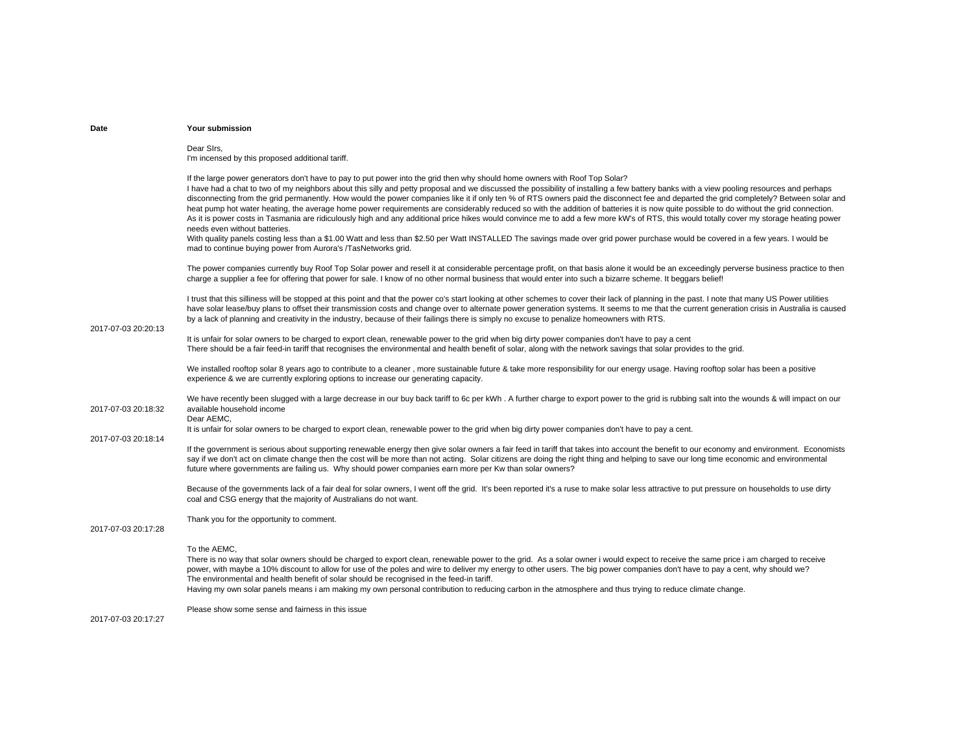| Date                | Your submission                                                                                                                                                                                                                                                                                                                                                                                                                                                                                                                                                                                                                                                                                                                                                                                                                                                                                                                            |
|---------------------|--------------------------------------------------------------------------------------------------------------------------------------------------------------------------------------------------------------------------------------------------------------------------------------------------------------------------------------------------------------------------------------------------------------------------------------------------------------------------------------------------------------------------------------------------------------------------------------------------------------------------------------------------------------------------------------------------------------------------------------------------------------------------------------------------------------------------------------------------------------------------------------------------------------------------------------------|
|                     | Dear Sirs,<br>I'm incensed by this proposed additional tariff.                                                                                                                                                                                                                                                                                                                                                                                                                                                                                                                                                                                                                                                                                                                                                                                                                                                                             |
|                     | If the large power generators don't have to pay to put power into the grid then why should home owners with Roof Top Solar?<br>I have had a chat to two of my neighbors about this silly and petty proposal and we discussed the possibility of installing a few battery banks with a view pooling resources and perhaps<br>disconnecting from the grid permanently. How would the power companies like it if only ten % of RTS owners paid the disconnect fee and departed the grid completely? Between solar and<br>heat pump hot water heating, the average home power requirements are considerably reduced so with the addition of batteries it is now quite possible to do without the grid connection.<br>As it is power costs in Tasmania are ridiculously high and any additional price hikes would convince me to add a few more kW's of RTS, this would totally cover my storage heating power<br>needs even without batteries. |
|                     | With quality panels costing less than a \$1.00 Watt and less than \$2.50 per Watt INSTALLED The savings made over grid power purchase would be covered in a few years. I would be<br>mad to continue buying power from Aurora's /TasNetworks grid.                                                                                                                                                                                                                                                                                                                                                                                                                                                                                                                                                                                                                                                                                         |
|                     | The power companies currently buy Roof Top Solar power and resell it at considerable percentage profit, on that basis alone it would be an exceedingly perverse business practice to then<br>charge a supplier a fee for offering that power for sale. I know of no other normal business that would enter into such a bizarre scheme. It beggars belief!                                                                                                                                                                                                                                                                                                                                                                                                                                                                                                                                                                                  |
| 2017-07-03 20:20:13 | I trust that this silliness will be stopped at this point and that the power co's start looking at other schemes to cover their lack of planning in the past. I note that many US Power utilities<br>have solar lease/buy plans to offset their transmission costs and change over to alternate power generation systems. It seems to me that the current generation crisis in Australia is caused<br>by a lack of planning and creativity in the industry, because of their failings there is simply no excuse to penalize homeowners with RTS.                                                                                                                                                                                                                                                                                                                                                                                           |
|                     | It is unfair for solar owners to be charged to export clean, renewable power to the grid when big dirty power companies don't have to pay a cent<br>There should be a fair feed-in tariff that recognises the environmental and health benefit of solar, along with the network savings that solar provides to the grid.                                                                                                                                                                                                                                                                                                                                                                                                                                                                                                                                                                                                                   |
|                     | We installed rooftop solar 8 years ago to contribute to a cleaner, more sustainable future & take more responsibility for our energy usage. Having rooftop solar has been a positive<br>experience & we are currently exploring options to increase our generating capacity.                                                                                                                                                                                                                                                                                                                                                                                                                                                                                                                                                                                                                                                               |
| 2017-07-03 20:18:32 | We have recently been slugged with a large decrease in our buy back tariff to 6c per kWh. A further charge to export power to the grid is rubbing salt into the wounds & will impact on our<br>available household income<br>Dear AEMC,                                                                                                                                                                                                                                                                                                                                                                                                                                                                                                                                                                                                                                                                                                    |
|                     | It is unfair for solar owners to be charged to export clean, renewable power to the grid when big dirty power companies don't have to pay a cent.                                                                                                                                                                                                                                                                                                                                                                                                                                                                                                                                                                                                                                                                                                                                                                                          |
| 2017-07-03 20:18:14 | If the government is serious about supporting renewable energy then give solar owners a fair feed in tariff that takes into account the benefit to our economy and environment. Economists<br>say if we don't act on climate change then the cost will be more than not acting. Solar citizens are doing the right thing and helping to save our long time economic and environmental<br>future where governments are failing us. Why should power companies earn more per Kw than solar owners?                                                                                                                                                                                                                                                                                                                                                                                                                                           |
|                     | Because of the governments lack of a fair deal for solar owners, I went off the grid. It's been reported it's a ruse to make solar less attractive to put pressure on households to use dirty<br>coal and CSG energy that the majority of Australians do not want.                                                                                                                                                                                                                                                                                                                                                                                                                                                                                                                                                                                                                                                                         |
| 2017-07-03 20:17:28 | Thank you for the opportunity to comment.                                                                                                                                                                                                                                                                                                                                                                                                                                                                                                                                                                                                                                                                                                                                                                                                                                                                                                  |
|                     | To the AEMC,<br>There is no way that solar owners should be charged to export clean, renewable power to the grid. As a solar owner i would expect to receive the same price i am charged to receive<br>power, with maybe a 10% discount to allow for use of the poles and wire to deliver my energy to other users. The big power companies don't have to pay a cent, why should we?<br>The environmental and health benefit of solar should be recognised in the feed-in tariff.<br>Having my own solar panels means i am making my own personal contribution to reducing carbon in the atmosphere and thus trying to reduce climate change.                                                                                                                                                                                                                                                                                              |
| 2017-07-03 20:17:27 | Please show some sense and fairness in this issue                                                                                                                                                                                                                                                                                                                                                                                                                                                                                                                                                                                                                                                                                                                                                                                                                                                                                          |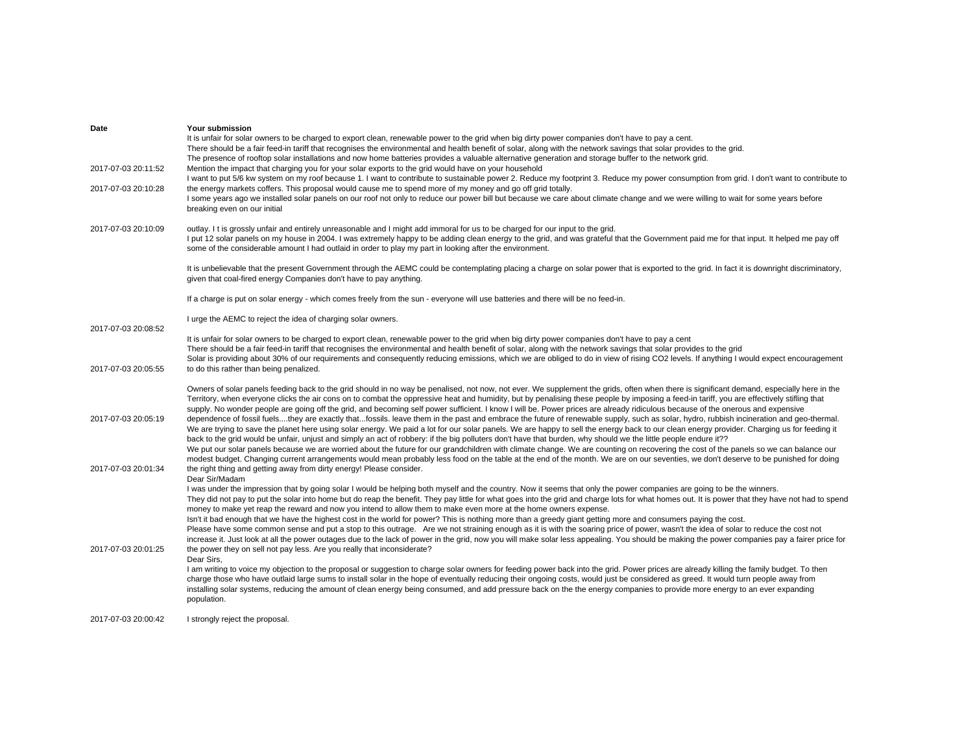| Date<br>2017-07-03 20:11:52<br>2017-07-03 20:10:28 | Your submission<br>It is unfair for solar owners to be charged to export clean, renewable power to the grid when big dirty power companies don't have to pay a cent.<br>There should be a fair feed-in tariff that recognises the environmental and health benefit of solar, along with the network savings that solar provides to the grid.<br>The presence of rooftop solar installations and now home batteries provides a valuable alternative generation and storage buffer to the network grid.<br>Mention the impact that charging you for your solar exports to the grid would have on your household<br>I want to put 5/6 kw system on my roof because 1. I want to contribute to sustainable power 2. Reduce my footprint 3. Reduce my power consumption from grid. I don't want to contribute to<br>the energy markets coffers. This proposal would cause me to spend more of my money and go off grid totally.<br>I some years ago we installed solar panels on our roof not only to reduce our power bill but because we care about climate change and we were willing to wait for some years before<br>breaking even on our initial                                                                                                                                                                                                                                                                                                                                                                                                                                                                                                                                                                                   |
|----------------------------------------------------|-------------------------------------------------------------------------------------------------------------------------------------------------------------------------------------------------------------------------------------------------------------------------------------------------------------------------------------------------------------------------------------------------------------------------------------------------------------------------------------------------------------------------------------------------------------------------------------------------------------------------------------------------------------------------------------------------------------------------------------------------------------------------------------------------------------------------------------------------------------------------------------------------------------------------------------------------------------------------------------------------------------------------------------------------------------------------------------------------------------------------------------------------------------------------------------------------------------------------------------------------------------------------------------------------------------------------------------------------------------------------------------------------------------------------------------------------------------------------------------------------------------------------------------------------------------------------------------------------------------------------------------------------------------------------------------------------------------------------------------|
| 2017-07-03 20:10:09                                | outlay. It is grossly unfair and entirely unreasonable and I might add immoral for us to be charged for our input to the grid.<br>I put 12 solar panels on my house in 2004. I was extremely happy to be adding clean energy to the grid, and was grateful that the Government paid me for that input. It helped me pay off<br>some of the considerable amount I had outlaid in order to play my part in looking after the environment.                                                                                                                                                                                                                                                                                                                                                                                                                                                                                                                                                                                                                                                                                                                                                                                                                                                                                                                                                                                                                                                                                                                                                                                                                                                                                             |
|                                                    | It is unbelievable that the present Government through the AEMC could be contemplating placing a charge on solar power that is exported to the grid. In fact it is downright discriminatory,<br>given that coal-fired energy Companies don't have to pay anything.                                                                                                                                                                                                                                                                                                                                                                                                                                                                                                                                                                                                                                                                                                                                                                                                                                                                                                                                                                                                                                                                                                                                                                                                                                                                                                                                                                                                                                                                  |
|                                                    | If a charge is put on solar energy - which comes freely from the sun - everyone will use batteries and there will be no feed-in.                                                                                                                                                                                                                                                                                                                                                                                                                                                                                                                                                                                                                                                                                                                                                                                                                                                                                                                                                                                                                                                                                                                                                                                                                                                                                                                                                                                                                                                                                                                                                                                                    |
| 2017-07-03 20:08:52                                | I urge the AEMC to reject the idea of charging solar owners.                                                                                                                                                                                                                                                                                                                                                                                                                                                                                                                                                                                                                                                                                                                                                                                                                                                                                                                                                                                                                                                                                                                                                                                                                                                                                                                                                                                                                                                                                                                                                                                                                                                                        |
| 2017-07-03 20:05:55                                | It is unfair for solar owners to be charged to export clean, renewable power to the grid when big dirty power companies don't have to pay a cent<br>There should be a fair feed-in tariff that recognises the environmental and health benefit of solar, along with the network savings that solar provides to the grid<br>Solar is providing about 30% of our requirements and consequently reducing emissions, which we are obliged to do in view of rising CO2 levels. If anything I would expect encouragement<br>to do this rather than being penalized.                                                                                                                                                                                                                                                                                                                                                                                                                                                                                                                                                                                                                                                                                                                                                                                                                                                                                                                                                                                                                                                                                                                                                                       |
| 2017-07-03 20:05:19                                | Owners of solar panels feeding back to the grid should in no way be penalised, not now, not ever. We supplement the grids, often when there is significant demand, especially here in the<br>Territory, when everyone clicks the air cons on to combat the oppressive heat and humidity, but by penalising these people by imposing a feed-in tariff, you are effectively stifling that<br>supply. No wonder people are going off the grid, and becoming self power sufficient. I know I will be. Power prices are already ridiculous because of the onerous and expensive<br>dependence of fossil fuelsthey are exactly thatfossils. leave them in the past and embrace the future of renewable supply, such as solar, hydro, rubbish incineration and geo-thermal.<br>We are trying to save the planet here using solar energy. We paid a lot for our solar panels. We are happy to sell the energy back to our clean energy provider. Charging us for feeding it<br>back to the grid would be unfair, unjust and simply an act of robbery: if the big polluters don't have that burden, why should we the little people endure it??<br>We put our solar panels because we are worried about the future for our grandchildren with climate change. We are counting on recovering the cost of the panels so we can balance our<br>modest budget. Changing current arrangements would mean probably less food on the table at the end of the month. We are on our seventies, we don't deserve to be punished for doing                                                                                                                                                                                                              |
| 2017-07-03 20:01:34                                | the right thing and getting away from dirty energy! Please consider.<br>Dear Sir/Madam                                                                                                                                                                                                                                                                                                                                                                                                                                                                                                                                                                                                                                                                                                                                                                                                                                                                                                                                                                                                                                                                                                                                                                                                                                                                                                                                                                                                                                                                                                                                                                                                                                              |
| 2017-07-03 20:01:25                                | I was under the impression that by going solar I would be helping both myself and the country. Now it seems that only the power companies are going to be the winners.<br>They did not pay to put the solar into home but do reap the benefit. They pay little for what goes into the grid and charge lots for what homes out. It is power that they have not had to spend<br>money to make yet reap the reward and now you intend to allow them to make even more at the home owners expense.<br>Isn't it bad enough that we have the highest cost in the world for power? This is nothing more than a greedy giant getting more and consumers paying the cost.<br>Please have some common sense and put a stop to this outrage. Are we not straining enough as it is with the soaring price of power, wasn't the idea of solar to reduce the cost not<br>increase it. Just look at all the power outages due to the lack of power in the grid, now you will make solar less appealing. You should be making the power companies pay a fairer price for<br>the power they on sell not pay less. Are you really that inconsiderate?<br>Dear Sirs.<br>I am writing to voice my objection to the proposal or suggestion to charge solar owners for feeding power back into the grid. Power prices are already killing the family budget. To then<br>charge those who have outlaid large sums to install solar in the hope of eventually reducing their ongoing costs, would just be considered as greed. It would turn people away from<br>installing solar systems, reducing the amount of clean energy being consumed, and add pressure back on the the energy companies to provide more energy to an ever expanding<br>population. |
| 2017-07-03 20:00:42                                | I strongly reject the proposal.                                                                                                                                                                                                                                                                                                                                                                                                                                                                                                                                                                                                                                                                                                                                                                                                                                                                                                                                                                                                                                                                                                                                                                                                                                                                                                                                                                                                                                                                                                                                                                                                                                                                                                     |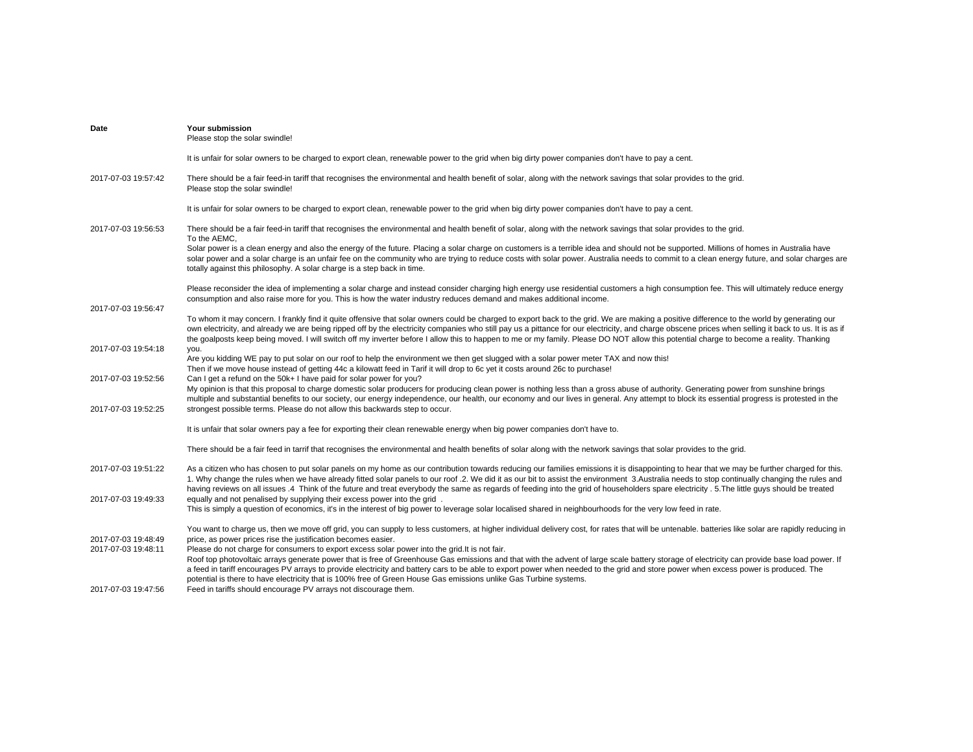| Date                                       | Your submission<br>Please stop the solar swindle!                                                                                                                                                                                                                                                                                                                                                                                                                                                                                                                                                         |
|--------------------------------------------|-----------------------------------------------------------------------------------------------------------------------------------------------------------------------------------------------------------------------------------------------------------------------------------------------------------------------------------------------------------------------------------------------------------------------------------------------------------------------------------------------------------------------------------------------------------------------------------------------------------|
|                                            | It is unfair for solar owners to be charged to export clean, renewable power to the grid when big dirty power companies don't have to pay a cent.                                                                                                                                                                                                                                                                                                                                                                                                                                                         |
| 2017-07-03 19:57:42                        | There should be a fair feed-in tariff that recognises the environmental and health benefit of solar, along with the network savings that solar provides to the grid.<br>Please stop the solar swindle!                                                                                                                                                                                                                                                                                                                                                                                                    |
|                                            | It is unfair for solar owners to be charged to export clean, renewable power to the grid when big dirty power companies don't have to pay a cent.                                                                                                                                                                                                                                                                                                                                                                                                                                                         |
| 2017-07-03 19:56:53                        | There should be a fair feed-in tariff that recognises the environmental and health benefit of solar, along with the network savings that solar provides to the grid.<br>To the AEMC,                                                                                                                                                                                                                                                                                                                                                                                                                      |
|                                            | Solar power is a clean energy and also the energy of the future. Placing a solar charge on customers is a terrible idea and should not be supported. Millions of homes in Australia have<br>solar power and a solar charge is an unfair fee on the community who are trying to reduce costs with solar power. Australia needs to commit to a clean energy future, and solar charges are<br>totally against this philosophy. A solar charge is a step back in time.                                                                                                                                        |
|                                            | Please reconsider the idea of implementing a solar charge and instead consider charging high energy use residential customers a high consumption fee. This will ultimately reduce energy<br>consumption and also raise more for you. This is how the water industry reduces demand and makes additional income.                                                                                                                                                                                                                                                                                           |
| 2017-07-03 19:56:47                        | To whom it may concern. I frankly find it quite offensive that solar owners could be charged to export back to the grid. We are making a positive difference to the world by generating our<br>own electricity, and already we are being ripped off by the electricity companies who still pay us a pittance for our electricity, and charge obscene prices when selling it back to us. It is as if<br>the goalposts keep being moved. I will switch off my inverter before I allow this to happen to me or my family. Please DO NOT allow this potential charge to become a reality. Thanking            |
| 2017-07-03 19:54:18                        | you.<br>Are you kidding WE pay to put solar on our roof to help the environment we then get slugged with a solar power meter TAX and now this!<br>Then if we move house instead of getting 44c a kilowatt feed in Tarif it will drop to 6c yet it costs around 26c to purchase!                                                                                                                                                                                                                                                                                                                           |
| 2017-07-03 19:52:56<br>2017-07-03 19:52:25 | Can I get a refund on the 50k+ I have paid for solar power for you?<br>My opinion is that this proposal to charge domestic solar producers for producing clean power is nothing less than a gross abuse of authority. Generating power from sunshine brings<br>multiple and substantial benefits to our society, our energy independence, our health, our economy and our lives in general. Any attempt to block its essential progress is protested in the<br>strongest possible terms. Please do not allow this backwards step to occur.                                                                |
|                                            | It is unfair that solar owners pay a fee for exporting their clean renewable energy when big power companies don't have to.                                                                                                                                                                                                                                                                                                                                                                                                                                                                               |
|                                            | There should be a fair feed in tarrif that recognises the environmental and health benefits of solar along with the network savings that solar provides to the grid.                                                                                                                                                                                                                                                                                                                                                                                                                                      |
|                                            |                                                                                                                                                                                                                                                                                                                                                                                                                                                                                                                                                                                                           |
| 2017-07-03 19:51:22                        | As a citizen who has chosen to put solar panels on my home as our contribution towards reducing our families emissions it is disappointing to hear that we may be further charged for this.<br>1. Why change the rules when we have already fitted solar panels to our roof .2. We did it as our bit to assist the environment 3. Australia needs to stop continually changing the rules and<br>having reviews on all issues .4 Think of the future and treat everybody the same as regards of feeding into the grid of householders spare electricity . 5. The little guys should be treated             |
| 2017-07-03 19:49:33                        | equally and not penalised by supplying their excess power into the grid.<br>This is simply a question of economics, it's in the interest of big power to leverage solar localised shared in neighbourhoods for the very low feed in rate.                                                                                                                                                                                                                                                                                                                                                                 |
| 2017-07-03 19:48:49                        | You want to charge us, then we move off grid, you can supply to less customers, at higher individual delivery cost, for rates that will be untenable, batteries like solar are rapidly reducing in<br>price, as power prices rise the justification becomes easier.                                                                                                                                                                                                                                                                                                                                       |
| 2017-07-03 19:48:11                        | Please do not charge for consumers to export excess solar power into the grid. It is not fair.<br>Roof top photovoltaic arrays generate power that is free of Greenhouse Gas emissions and that with the advent of large scale battery storage of electricity can provide base load power. If<br>a feed in tariff encourages PV arrays to provide electricity and battery cars to be able to export power when needed to the grid and store power when excess power is produced. The<br>potential is there to have electricity that is 100% free of Green House Gas emissions unlike Gas Turbine systems. |
| 2017-07-03 19:47:56                        | Feed in tariffs should encourage PV arrays not discourage them.                                                                                                                                                                                                                                                                                                                                                                                                                                                                                                                                           |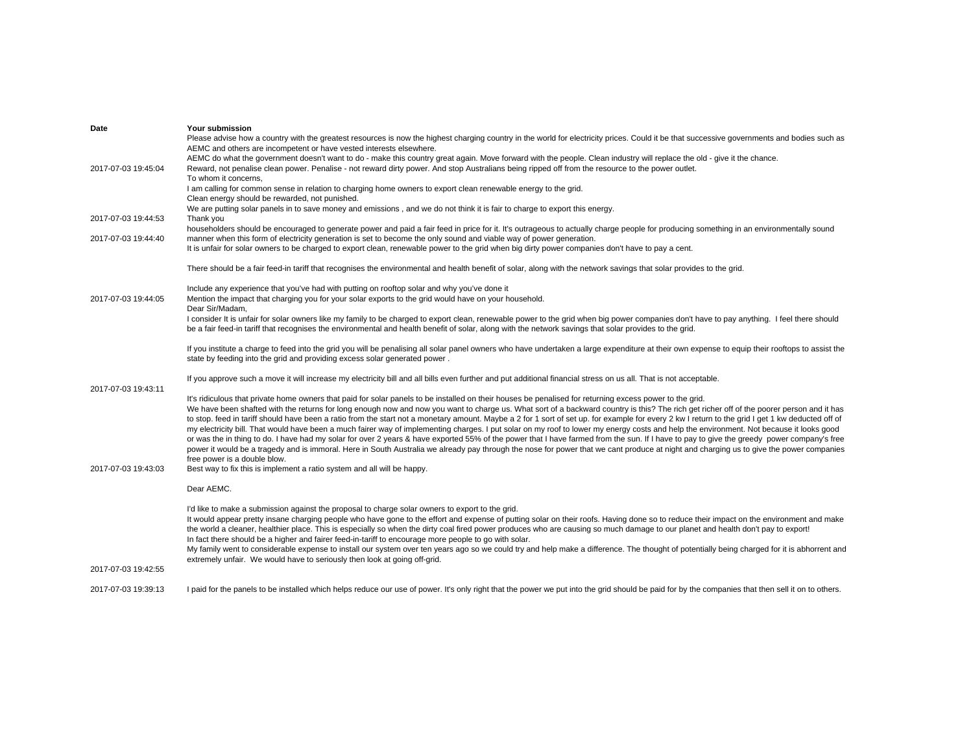| Date                | Your submission                                                                                                                                                                                                                                                           |
|---------------------|---------------------------------------------------------------------------------------------------------------------------------------------------------------------------------------------------------------------------------------------------------------------------|
|                     | Please advise how a country with the greatest resources is now the highest charging country in the world for electricity prices. Could it be that successive governments and bodies such as                                                                               |
|                     | AEMC and others are incompetent or have vested interests elsewhere.                                                                                                                                                                                                       |
|                     | AEMC do what the government doesn't want to do - make this country great again. Move forward with the people. Clean industry will replace the old - give it the chance.                                                                                                   |
| 2017-07-03 19:45:04 | Reward, not penalise clean power. Penalise - not reward dirty power. And stop Australians being ripped off from the resource to the power outlet.                                                                                                                         |
|                     | To whom it concerns,                                                                                                                                                                                                                                                      |
|                     | I am calling for common sense in relation to charging home owners to export clean renewable energy to the grid.                                                                                                                                                           |
|                     | Clean energy should be rewarded, not punished.                                                                                                                                                                                                                            |
|                     | We are putting solar panels in to save money and emissions, and we do not think it is fair to charge to export this energy.                                                                                                                                               |
| 2017-07-03 19:44:53 | Thank you                                                                                                                                                                                                                                                                 |
|                     | householders should be encouraged to generate power and paid a fair feed in price for it. It's outrageous to actually charge people for producing something in an environmentally sound                                                                                   |
| 2017-07-03 19:44:40 | manner when this form of electricity generation is set to become the only sound and viable way of power generation.                                                                                                                                                       |
|                     | It is unfair for solar owners to be charged to export clean, renewable power to the grid when big dirty power companies don't have to pay a cent.                                                                                                                         |
|                     |                                                                                                                                                                                                                                                                           |
|                     | There should be a fair feed-in tariff that recognises the environmental and health benefit of solar, along with the network savings that solar provides to the grid.                                                                                                      |
|                     |                                                                                                                                                                                                                                                                           |
|                     | Include any experience that you've had with putting on rooftop solar and why you've done it                                                                                                                                                                               |
| 2017-07-03 19:44:05 | Mention the impact that charging you for your solar exports to the grid would have on your household.                                                                                                                                                                     |
|                     | Dear Sir/Madam.                                                                                                                                                                                                                                                           |
|                     | I consider It is unfair for solar owners like my family to be charged to export clean, renewable power to the grid when big power companies don't have to pay anything. I feel there should                                                                               |
|                     | be a fair feed-in tariff that recognises the environmental and health benefit of solar, along with the network savings that solar provides to the grid.                                                                                                                   |
|                     | If you institute a charge to feed into the grid you will be penalising all solar panel owners who have undertaken a large expenditure at their own expense to equip their rooftops to assist the                                                                          |
|                     | state by feeding into the grid and providing excess solar generated power.                                                                                                                                                                                                |
|                     |                                                                                                                                                                                                                                                                           |
|                     | If you approve such a move it will increase my electricity bill and all bills even further and put additional financial stress on us all. That is not acceptable.                                                                                                         |
| 2017-07-03 19:43:11 |                                                                                                                                                                                                                                                                           |
|                     | It's ridiculous that private home owners that paid for solar panels to be installed on their houses be penalised for returning excess power to the grid.                                                                                                                  |
|                     | We have been shafted with the returns for long enough now and now you want to charge us. What sort of a backward country is this? The rich get richer off of the poorer person and it has                                                                                 |
|                     | to stop, feed in tariff should have been a ratio from the start not a monetary amount. Maybe a 2 for 1 sort of set up, for example for every 2 kw I return to the grid I get 1 kw deducted off of                                                                         |
|                     | my electricity bill. That would have been a much fairer way of implementing charges. I put solar on my roof to lower my energy costs and help the environment. Not because it looks good                                                                                  |
|                     | or was the in thing to do. I have had my solar for over 2 years & have exported 55% of the power that I have farmed from the sun. If I have to pay to give the greedy power company's free                                                                                |
|                     | power it would be a tragedy and is immoral. Here in South Australia we already pay through the nose for power that we cant produce at night and charging us to give the power companies                                                                                   |
|                     | free power is a double blow.                                                                                                                                                                                                                                              |
| 2017-07-03 19:43:03 | Best way to fix this is implement a ratio system and all will be happy.                                                                                                                                                                                                   |
|                     |                                                                                                                                                                                                                                                                           |
|                     | Dear AEMC.                                                                                                                                                                                                                                                                |
|                     |                                                                                                                                                                                                                                                                           |
|                     | I'd like to make a submission against the proposal to charge solar owners to export to the grid.                                                                                                                                                                          |
|                     | It would appear pretty insane charging people who have gone to the effort and expense of putting solar on their roofs. Having done so to reduce their impact on the environment and make                                                                                  |
|                     | the world a cleaner, healthier place. This is especially so when the dirty coal fired power produces who are causing so much damage to our planet and health don't pay to export!                                                                                         |
|                     | In fact there should be a higher and fairer feed-in-tariff to encourage more people to go with solar.                                                                                                                                                                     |
|                     | My family went to considerable expense to install our system over ten years ago so we could try and help make a difference. The thought of potentially being charged for it is abhorrent and<br>extremely unfair. We would have to seriously then look at going off-grid. |
| 2017-07-03 19:42:55 |                                                                                                                                                                                                                                                                           |
|                     |                                                                                                                                                                                                                                                                           |
| 2017-07-03 19:39:13 | I paid for the panels to be installed which helps reduce our use of power. It's only right that the power we put into the grid should be paid for by the companies that then sell it on to others.                                                                        |
|                     |                                                                                                                                                                                                                                                                           |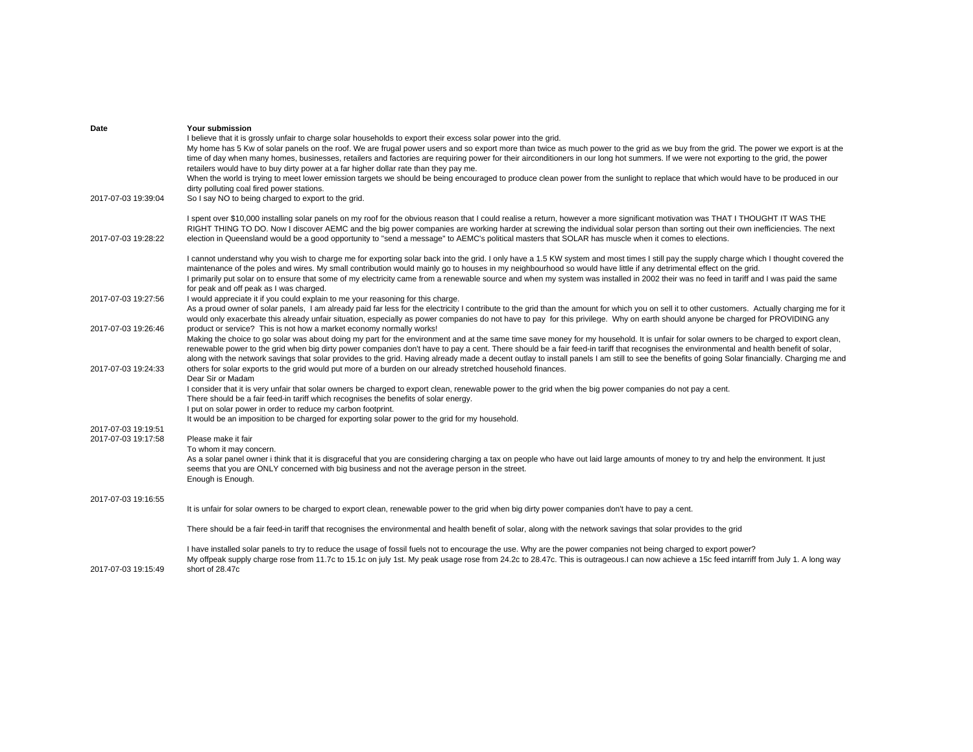| Date                                       | Your submission<br>I believe that it is grossly unfair to charge solar households to export their excess solar power into the grid.<br>My home has 5 Kw of solar panels on the roof. We are frugal power users and so export more than twice as much power to the grid as we buy from the grid. The power we export is at the<br>time of day when many homes, businesses, retailers and factories are requiring power for their airconditioners in our long hot summers. If we were not exporting to the grid, the power<br>retailers would have to buy dirty power at a far higher dollar rate than they pay me.                                                                                                                                                                 |
|--------------------------------------------|-----------------------------------------------------------------------------------------------------------------------------------------------------------------------------------------------------------------------------------------------------------------------------------------------------------------------------------------------------------------------------------------------------------------------------------------------------------------------------------------------------------------------------------------------------------------------------------------------------------------------------------------------------------------------------------------------------------------------------------------------------------------------------------|
|                                            | When the world is trying to meet lower emission targets we should be being encouraged to produce clean power from the sunlight to replace that which would have to be produced in our<br>dirty polluting coal fired power stations.                                                                                                                                                                                                                                                                                                                                                                                                                                                                                                                                               |
| 2017-07-03 19:39:04                        | So I say NO to being charged to export to the grid.                                                                                                                                                                                                                                                                                                                                                                                                                                                                                                                                                                                                                                                                                                                               |
| 2017-07-03 19:28:22                        | I spent over \$10,000 installing solar panels on my roof for the obvious reason that I could realise a return, however a more significant motivation was THAT I THOUGHT IT WAS THE<br>RIGHT THING TO DO. Now I discover AEMC and the big power companies are working harder at screwing the individual solar person than sorting out their own inefficiencies. The next<br>election in Queensland would be a good opportunity to "send a message" to AEMC's political masters that SOLAR has muscle when it comes to elections.                                                                                                                                                                                                                                                   |
|                                            | I cannot understand why you wish to charge me for exporting solar back into the grid. I only have a 1.5 KW system and most times I still pay the supply charge which I thought covered the<br>maintenance of the poles and wires. My small contribution would mainly go to houses in my neighbourhood so would have little if any detrimental effect on the grid.<br>I primarily put solar on to ensure that some of my electricity came from a renewable source and when my system was installed in 2002 their was no feed in tariff and I was paid the same<br>for peak and off peak as I was charged.                                                                                                                                                                          |
| 2017-07-03 19:27:56                        | I would appreciate it if you could explain to me your reasoning for this charge.<br>As a proud owner of solar panels, I am already paid far less for the electricity I contribute to the grid than the amount for which you on sell it to other customers. Actually charging me for it<br>would only exacerbate this already unfair situation, especially as power companies do not have to pay for this privilege. Why on earth should anyone be charged for PROVIDING any                                                                                                                                                                                                                                                                                                       |
| 2017-07-03 19:26:46<br>2017-07-03 19:24:33 | product or service? This is not how a market economy normally works!<br>Making the choice to go solar was about doing my part for the environment and at the same time save money for my household. It is unfair for solar owners to be charged to export clean,<br>renewable power to the grid when big dirty power companies don't have to pay a cent. There should be a fair feed-in tariff that recognises the environmental and health benefit of solar,<br>along with the network savings that solar provides to the grid. Having already made a decent outlay to install panels I am still to see the benefits of going Solar financially. Charging me and<br>others for solar exports to the grid would put more of a burden on our already stretched household finances. |
|                                            | Dear Sir or Madam<br>I consider that it is very unfair that solar owners be charged to export clean, renewable power to the grid when the big power companies do not pay a cent.<br>There should be a fair feed-in tariff which recognises the benefits of solar energy.<br>I put on solar power in order to reduce my carbon footprint.<br>It would be an imposition to be charged for exporting solar power to the grid for my household.                                                                                                                                                                                                                                                                                                                                       |
| 2017-07-03 19:19:51<br>2017-07-03 19:17:58 | Please make it fair                                                                                                                                                                                                                                                                                                                                                                                                                                                                                                                                                                                                                                                                                                                                                               |
|                                            | To whom it may concern.<br>As a solar panel owner i think that it is disgraceful that you are considering charging a tax on people who have out laid large amounts of money to try and help the environment. It just<br>seems that you are ONLY concerned with big business and not the average person in the street.<br>Enough is Enough.                                                                                                                                                                                                                                                                                                                                                                                                                                        |
| 2017-07-03 19:16:55                        |                                                                                                                                                                                                                                                                                                                                                                                                                                                                                                                                                                                                                                                                                                                                                                                   |
|                                            | It is unfair for solar owners to be charged to export clean, renewable power to the grid when big dirty power companies don't have to pay a cent.                                                                                                                                                                                                                                                                                                                                                                                                                                                                                                                                                                                                                                 |
|                                            | There should be a fair feed-in tariff that recognises the environmental and health benefit of solar, along with the network savings that solar provides to the grid                                                                                                                                                                                                                                                                                                                                                                                                                                                                                                                                                                                                               |
| 2017-07-03 19:15:49                        | I have installed solar panels to try to reduce the usage of fossil fuels not to encourage the use. Why are the power companies not being charged to export power?<br>My offpeak supply charge rose from 11.7c to 15.1c on july 1st. My peak usage rose from 24.2c to 28.47c. This is outrageous.I can now achieve a 15c feed intarriff from July 1. A long way<br>short of 28.47c                                                                                                                                                                                                                                                                                                                                                                                                 |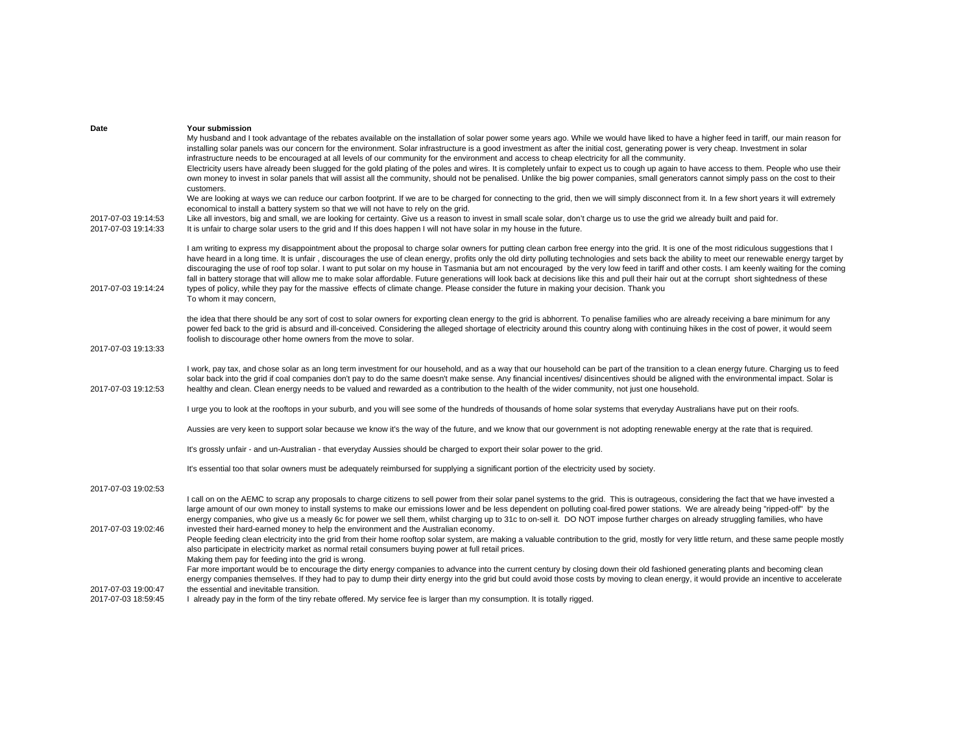| Date                                       | Your submission                                                                                                                                                                                                                                                                                                                                                                                                                                                                                                                                                                                                                                                                                                                                                                                                                                                                                                                                                           |
|--------------------------------------------|---------------------------------------------------------------------------------------------------------------------------------------------------------------------------------------------------------------------------------------------------------------------------------------------------------------------------------------------------------------------------------------------------------------------------------------------------------------------------------------------------------------------------------------------------------------------------------------------------------------------------------------------------------------------------------------------------------------------------------------------------------------------------------------------------------------------------------------------------------------------------------------------------------------------------------------------------------------------------|
|                                            | My husband and I took advantage of the rebates available on the installation of solar power some years ago. While we would have liked to have a higher feed in tariff, our main reason for<br>installing solar panels was our concern for the environment. Solar infrastructure is a good investment as after the initial cost, generating power is very cheap. Investment in solar<br>infrastructure needs to be encouraged at all levels of our community for the environment and access to cheap electricity for all the community.                                                                                                                                                                                                                                                                                                                                                                                                                                    |
|                                            | Electricity users have already been slugged for the gold plating of the poles and wires. It is completely unfair to expect us to cough up again to have access to them. People who use their<br>own money to invest in solar panels that will assist all the community, should not be penalised. Unlike the big power companies, small generators cannot simply pass on the cost to their<br>customers.                                                                                                                                                                                                                                                                                                                                                                                                                                                                                                                                                                   |
|                                            | We are looking at ways we can reduce our carbon footprint. If we are to be charged for connecting to the grid, then we will simply disconnect from it. In a few short years it will extremely<br>economical to install a battery system so that we will not have to rely on the grid.                                                                                                                                                                                                                                                                                                                                                                                                                                                                                                                                                                                                                                                                                     |
| 2017-07-03 19:14:53<br>2017-07-03 19:14:33 | Like all investors, big and small, we are looking for certainty. Give us a reason to invest in small scale solar, don't charge us to use the grid we already built and paid for.<br>It is unfair to charge solar users to the grid and If this does happen I will not have solar in my house in the future.                                                                                                                                                                                                                                                                                                                                                                                                                                                                                                                                                                                                                                                               |
| 2017-07-03 19:14:24                        | I am writing to express my disappointment about the proposal to charge solar owners for putting clean carbon free energy into the grid. It is one of the most ridiculous suggestions that I<br>have heard in a long time. It is unfair, discourages the use of clean energy, profits only the old dirty polluting technologies and sets back the ability to meet our renewable energy target by<br>discouraging the use of roof top solar. I want to put solar on my house in Tasmania but am not encouraged by the very low feed in tariff and other costs. I am keenly waiting for the coming<br>fall in battery storage that will allow me to make solar affordable. Future generations will look back at decisions like this and pull their hair out at the corrupt short sightedness of these<br>types of policy, while they pay for the massive effects of climate change. Please consider the future in making your decision. Thank you<br>To whom it may concern, |
| 2017-07-03 19:13:33                        | the idea that there should be any sort of cost to solar owners for exporting clean energy to the grid is abhorrent. To penalise families who are already receiving a bare minimum for any<br>power fed back to the grid is absurd and ill-conceived. Considering the alleged shortage of electricity around this country along with continuing hikes in the cost of power, it would seem<br>foolish to discourage other home owners from the move to solar.                                                                                                                                                                                                                                                                                                                                                                                                                                                                                                               |
| 2017-07-03 19:12:53                        | I work, pay tax, and chose solar as an long term investment for our household, and as a way that our household can be part of the transition to a clean energy future. Charging us to feed<br>solar back into the grid if coal companies don't pay to do the same doesn't make sense. Any financial incentives/ disincentives should be aligned with the environmental impact. Solar is<br>healthy and clean. Clean energy needs to be valued and rewarded as a contribution to the health of the wider community, not just one household.                                                                                                                                                                                                                                                                                                                                                                                                                                |
|                                            | I urge you to look at the rooftops in your suburb, and you will see some of the hundreds of thousands of home solar systems that everyday Australians have put on their roofs.                                                                                                                                                                                                                                                                                                                                                                                                                                                                                                                                                                                                                                                                                                                                                                                            |
|                                            | Aussies are very keen to support solar because we know it's the way of the future, and we know that our government is not adopting renewable energy at the rate that is required.                                                                                                                                                                                                                                                                                                                                                                                                                                                                                                                                                                                                                                                                                                                                                                                         |
|                                            | It's grossly unfair - and un-Australian - that everyday Aussies should be charged to export their solar power to the grid.                                                                                                                                                                                                                                                                                                                                                                                                                                                                                                                                                                                                                                                                                                                                                                                                                                                |
|                                            | It's essential too that solar owners must be adequately reimbursed for supplying a significant portion of the electricity used by society.                                                                                                                                                                                                                                                                                                                                                                                                                                                                                                                                                                                                                                                                                                                                                                                                                                |
| 2017-07-03 19:02:53                        |                                                                                                                                                                                                                                                                                                                                                                                                                                                                                                                                                                                                                                                                                                                                                                                                                                                                                                                                                                           |
| 2017-07-03 19:02:46                        | I call on on the AEMC to scrap any proposals to charge citizens to sell power from their solar panel systems to the grid. This is outrageous, considering the fact that we have invested a<br>large amount of our own money to install systems to make our emissions lower and be less dependent on polluting coal-fired power stations. We are already being "ripped-off" by the<br>energy companies, who give us a measly 6c for power we sell them, whilst charging up to 31c to on-sell it. DO NOT impose further charges on already struggling families, who have<br>invested their hard-earned money to help the environment and the Australian economy.                                                                                                                                                                                                                                                                                                            |
|                                            | People feeding clean electricity into the grid from their home rooftop solar system, are making a valuable contribution to the grid, mostly for very little return, and these same people mostly<br>also participate in electricity market as normal retail consumers buying power at full retail prices.<br>Making them pay for feeding into the grid is wrong.                                                                                                                                                                                                                                                                                                                                                                                                                                                                                                                                                                                                          |
| 2017-07-03 19:00:47                        | Far more important would be to encourage the dirty energy companies to advance into the current century by closing down their old fashioned generating plants and becoming clean<br>energy companies themselves. If they had to pay to dump their dirty energy into the grid but could avoid those costs by moving to clean energy, it would provide an incentive to accelerate<br>the essential and inevitable transition.                                                                                                                                                                                                                                                                                                                                                                                                                                                                                                                                               |
| 2017-07-03 18:59:45                        | I already pay in the form of the tiny rebate offered. My service fee is larger than my consumption. It is totally rigged.                                                                                                                                                                                                                                                                                                                                                                                                                                                                                                                                                                                                                                                                                                                                                                                                                                                 |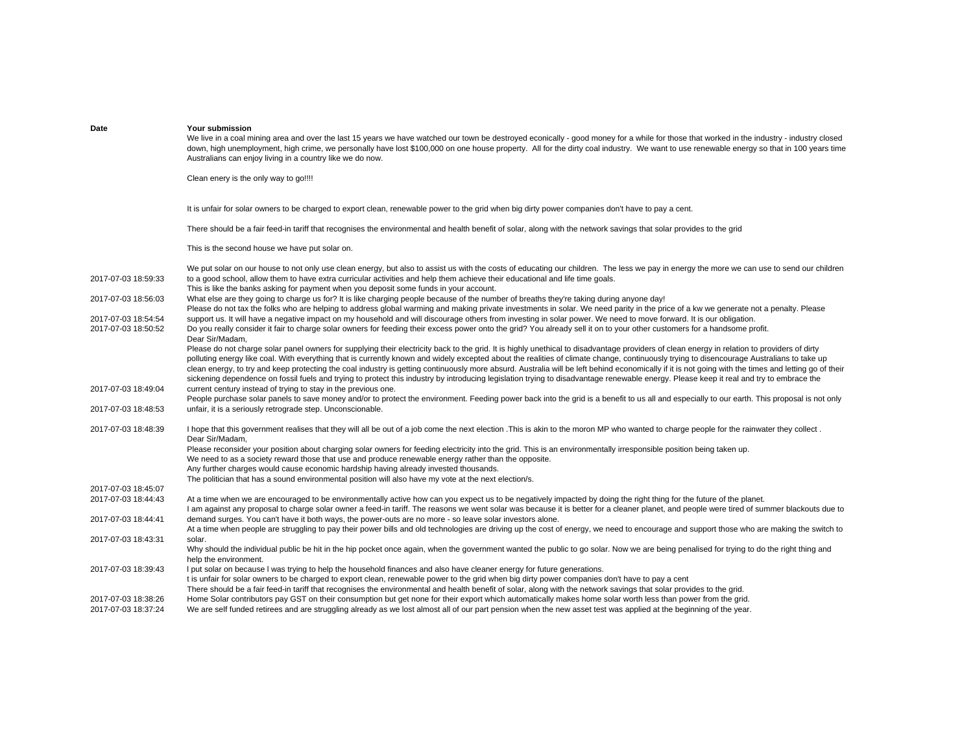| Date                                       | Your submission<br>We live in a coal mining area and over the last 15 years we have watched our town be destroyed econically - good money for a while for those that worked in the industry - industry closed<br>down, high unemployment, high crime, we personally have lost \$100,000 on one house property. All for the dirty coal industry. We want to use renewable energy so that in 100 years time<br>Australians can enjoy living in a country like we do now.                                                                                                                                                                                                                                                                                                                       |
|--------------------------------------------|----------------------------------------------------------------------------------------------------------------------------------------------------------------------------------------------------------------------------------------------------------------------------------------------------------------------------------------------------------------------------------------------------------------------------------------------------------------------------------------------------------------------------------------------------------------------------------------------------------------------------------------------------------------------------------------------------------------------------------------------------------------------------------------------|
|                                            | Clean enery is the only way to go!!!!                                                                                                                                                                                                                                                                                                                                                                                                                                                                                                                                                                                                                                                                                                                                                        |
|                                            | It is unfair for solar owners to be charged to export clean, renewable power to the grid when big dirty power companies don't have to pay a cent.                                                                                                                                                                                                                                                                                                                                                                                                                                                                                                                                                                                                                                            |
|                                            | There should be a fair feed-in tariff that recognises the environmental and health benefit of solar, along with the network savings that solar provides to the grid                                                                                                                                                                                                                                                                                                                                                                                                                                                                                                                                                                                                                          |
|                                            | This is the second house we have put solar on.                                                                                                                                                                                                                                                                                                                                                                                                                                                                                                                                                                                                                                                                                                                                               |
| 2017-07-03 18:59:33                        | We put solar on our house to not only use clean energy, but also to assist us with the costs of educating our children. The less we pay in energy the more we can use to send our children<br>to a good school, allow them to have extra curricular activities and help them achieve their educational and life time goals.<br>This is like the banks asking for payment when you deposit some funds in your account.                                                                                                                                                                                                                                                                                                                                                                        |
| 2017-07-03 18:56:03                        | What else are they going to charge us for? It is like charging people because of the number of breaths they're taking during anyone day!<br>Please do not tax the folks who are helping to address global warming and making private investments in solar. We need parity in the price of a kw we generate not a penalty. Please                                                                                                                                                                                                                                                                                                                                                                                                                                                             |
| 2017-07-03 18:54:54<br>2017-07-03 18:50:52 | support us. It will have a negative impact on my household and will discourage others from investing in solar power. We need to move forward. It is our obligation.<br>Do you really consider it fair to charge solar owners for feeding their excess power onto the grid? You already sell it on to your other customers for a handsome profit.<br>Dear Sir/Madam,                                                                                                                                                                                                                                                                                                                                                                                                                          |
|                                            | Please do not charge solar panel owners for supplying their electricity back to the grid. It is highly unethical to disadvantage providers of clean energy in relation to providers of dirty<br>polluting energy like coal. With everything that is currently known and widely excepted about the realities of climate change, continuously trying to disencourage Australians to take up<br>clean energy, to try and keep protecting the coal industry is getting continuously more absurd. Australia will be left behind economically if it is not going with the times and letting go of their<br>sickening dependence on fossil fuels and trying to protect this industry by introducing legislation trying to disadvantage renewable energy. Please keep it real and try to embrace the |
| 2017-07-03 18:49:04                        | current century instead of trying to stay in the previous one.<br>People purchase solar panels to save money and/or to protect the environment. Feeding power back into the grid is a benefit to us all and especially to our earth. This proposal is not only                                                                                                                                                                                                                                                                                                                                                                                                                                                                                                                               |
| 2017-07-03 18:48:53                        | unfair, it is a seriously retrograde step. Unconscionable.                                                                                                                                                                                                                                                                                                                                                                                                                                                                                                                                                                                                                                                                                                                                   |
| 2017-07-03 18:48:39                        | I hope that this government realises that they will all be out of a job come the next election. This is akin to the moron MP who wanted to charge people for the rainwater they collect.<br>Dear Sir/Madam.<br>Please reconsider your position about charging solar owners for feeding electricity into the grid. This is an environmentally irresponsible position being taken up.<br>We need to as a society reward those that use and produce renewable energy rather than the opposite.                                                                                                                                                                                                                                                                                                  |
|                                            | Any further charges would cause economic hardship having already invested thousands.<br>The politician that has a sound environmental position will also have my vote at the next election/s.                                                                                                                                                                                                                                                                                                                                                                                                                                                                                                                                                                                                |
| 2017-07-03 18:45:07                        |                                                                                                                                                                                                                                                                                                                                                                                                                                                                                                                                                                                                                                                                                                                                                                                              |
| 2017-07-03 18:44:43                        | At a time when we are encouraged to be environmentally active how can you expect us to be negatively impacted by doing the right thing for the future of the planet.<br>I am against any proposal to charge solar owner a feed-in tariff. The reasons we went solar was because it is better for a cleaner planet, and people were tired of summer blackouts due to                                                                                                                                                                                                                                                                                                                                                                                                                          |
| 2017-07-03 18:44:41                        | demand surges. You can't have it both ways, the power-outs are no more - so leave solar investors alone.<br>At a time when people are struggling to pay their power bills and old technologies are driving up the cost of energy, we need to encourage and support those who are making the switch to                                                                                                                                                                                                                                                                                                                                                                                                                                                                                        |
| 2017-07-03 18:43:31                        | solar.<br>Why should the individual public be hit in the hip pocket once again, when the government wanted the public to go solar. Now we are being penalised for trying to do the right thing and<br>help the environment.                                                                                                                                                                                                                                                                                                                                                                                                                                                                                                                                                                  |
| 2017-07-03 18:39:43                        | I put solar on because I was trying to help the household finances and also have cleaner energy for future generations.<br>t is unfair for solar owners to be charged to export clean, renewable power to the grid when big dirty power companies don't have to pay a cent<br>There should be a fair feed-in tariff that recognises the environmental and health benefit of solar, along with the network savings that solar provides to the grid.                                                                                                                                                                                                                                                                                                                                           |
| 2017-07-03 18:38:26<br>2017-07-03 18:37:24 | Home Solar contributors pay GST on their consumption but get none for their export which automatically makes home solar worth less than power from the grid.<br>We are self funded retirees and are struggling already as we lost almost all of our part pension when the new asset test was applied at the beginning of the year.                                                                                                                                                                                                                                                                                                                                                                                                                                                           |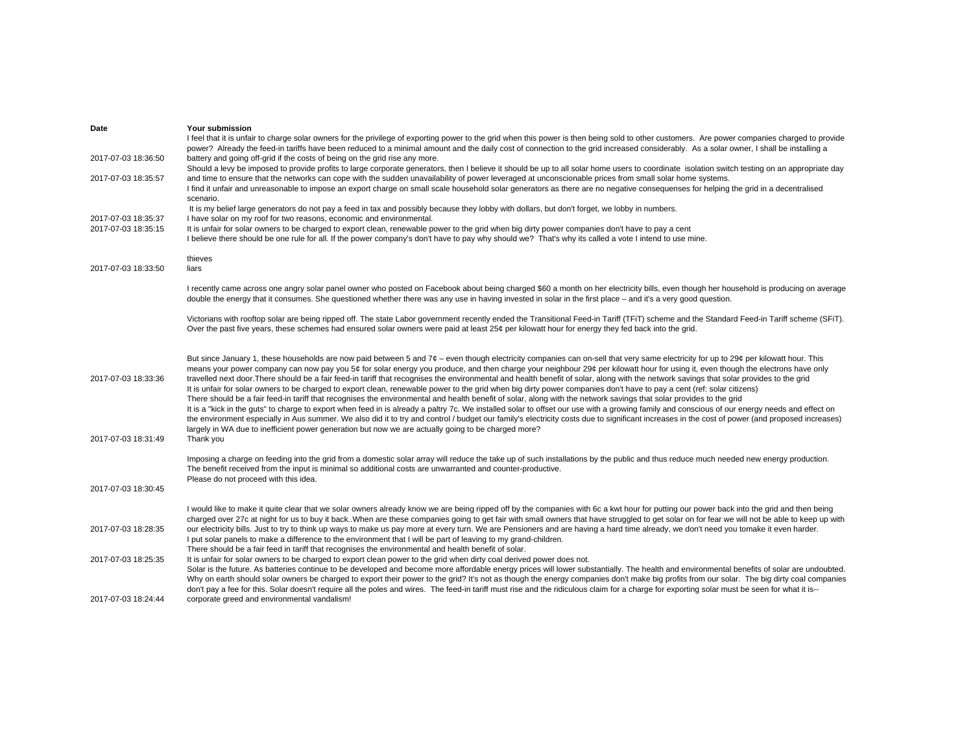| Date                                       | Your submission                                                                                                                                                                                                                                                                                                                                                                                                                                                                                                                                                                                                                                                                                                                                                                                                                                                                                                                                                                                                                                                                                                                                                                                                                                                                                                                                                                                                                                 |
|--------------------------------------------|-------------------------------------------------------------------------------------------------------------------------------------------------------------------------------------------------------------------------------------------------------------------------------------------------------------------------------------------------------------------------------------------------------------------------------------------------------------------------------------------------------------------------------------------------------------------------------------------------------------------------------------------------------------------------------------------------------------------------------------------------------------------------------------------------------------------------------------------------------------------------------------------------------------------------------------------------------------------------------------------------------------------------------------------------------------------------------------------------------------------------------------------------------------------------------------------------------------------------------------------------------------------------------------------------------------------------------------------------------------------------------------------------------------------------------------------------|
|                                            | I feel that it is unfair to charge solar owners for the privilege of exporting power to the grid when this power is then being sold to other customers. Are power companies charged to provide<br>power? Already the feed-in tariffs have been reduced to a minimal amount and the daily cost of connection to the grid increased considerably. As a solar owner, I shall be installing a                                                                                                                                                                                                                                                                                                                                                                                                                                                                                                                                                                                                                                                                                                                                                                                                                                                                                                                                                                                                                                                       |
| 2017-07-03 18:36:50                        | battery and going off-grid if the costs of being on the grid rise any more.                                                                                                                                                                                                                                                                                                                                                                                                                                                                                                                                                                                                                                                                                                                                                                                                                                                                                                                                                                                                                                                                                                                                                                                                                                                                                                                                                                     |
| 2017-07-03 18:35:57                        | Should a levy be imposed to provide profits to large corporate generators, then I believe it should be up to all solar home users to coordinate isolation switch testing on an appropriate day<br>and time to ensure that the networks can cope with the sudden unavailability of power leveraged at unconscionable prices from small solar home systems.<br>I find it unfair and unreasonable to impose an export charge on small scale household solar generators as there are no negative consequenses for helping the grid in a decentralised                                                                                                                                                                                                                                                                                                                                                                                                                                                                                                                                                                                                                                                                                                                                                                                                                                                                                               |
|                                            | scenario.                                                                                                                                                                                                                                                                                                                                                                                                                                                                                                                                                                                                                                                                                                                                                                                                                                                                                                                                                                                                                                                                                                                                                                                                                                                                                                                                                                                                                                       |
|                                            | It is my belief large generators do not pay a feed in tax and possibly because they lobby with dollars, but don't forget, we lobby in numbers.                                                                                                                                                                                                                                                                                                                                                                                                                                                                                                                                                                                                                                                                                                                                                                                                                                                                                                                                                                                                                                                                                                                                                                                                                                                                                                  |
| 2017-07-03 18:35:37<br>2017-07-03 18:35:15 | I have solar on my roof for two reasons, economic and environmental.<br>It is unfair for solar owners to be charged to export clean, renewable power to the grid when big dirty power companies don't have to pay a cent                                                                                                                                                                                                                                                                                                                                                                                                                                                                                                                                                                                                                                                                                                                                                                                                                                                                                                                                                                                                                                                                                                                                                                                                                        |
|                                            | I believe there should be one rule for all. If the power company's don't have to pay why should we? That's why its called a vote I intend to use mine.                                                                                                                                                                                                                                                                                                                                                                                                                                                                                                                                                                                                                                                                                                                                                                                                                                                                                                                                                                                                                                                                                                                                                                                                                                                                                          |
|                                            | thieves                                                                                                                                                                                                                                                                                                                                                                                                                                                                                                                                                                                                                                                                                                                                                                                                                                                                                                                                                                                                                                                                                                                                                                                                                                                                                                                                                                                                                                         |
| 2017-07-03 18:33:50                        | liars                                                                                                                                                                                                                                                                                                                                                                                                                                                                                                                                                                                                                                                                                                                                                                                                                                                                                                                                                                                                                                                                                                                                                                                                                                                                                                                                                                                                                                           |
|                                            | I recently came across one angry solar panel owner who posted on Facebook about being charged \$60 a month on her electricity bills, even though her household is producing on average<br>double the energy that it consumes. She questioned whether there was any use in having invested in solar in the first place – and it's a very good question.                                                                                                                                                                                                                                                                                                                                                                                                                                                                                                                                                                                                                                                                                                                                                                                                                                                                                                                                                                                                                                                                                          |
|                                            | Victorians with rooftop solar are being ripped off. The state Labor government recently ended the Transitional Feed-in Tariff (TFiT) scheme and the Standard Feed-in Tariff scheme (SFiT).<br>Over the past five years, these schemes had ensured solar owners were paid at least 25¢ per kilowatt hour for energy they fed back into the grid.                                                                                                                                                                                                                                                                                                                                                                                                                                                                                                                                                                                                                                                                                                                                                                                                                                                                                                                                                                                                                                                                                                 |
| 2017-07-03 18:33:36<br>2017-07-03 18:31:49 | But since January 1, these households are now paid between 5 and $7¢$ – even though electricity companies can on-sell that very same electricity for up to 29¢ per kilowatt hour. This<br>means your power company can now pay you 5¢ for solar energy you produce, and then charge your neighbour 29¢ per kilowatt hour for using it, even though the electrons have only<br>travelled next door. There should be a fair feed-in tariff that recognises the environmental and health benefit of solar, along with the network savings that solar provides to the grid<br>It is unfair for solar owners to be charged to export clean, renewable power to the grid when big dirty power companies don't have to pay a cent (ref: solar citizens)<br>There should be a fair feed-in tariff that recognises the environmental and health benefit of solar, along with the network savings that solar provides to the grid<br>It is a "kick in the guts" to charge to export when feed in is already a paltry 7c. We installed solar to offset our use with a growing family and conscious of our energy needs and effect on<br>the environment especially in Aus summer. We also did it to try and control / budget our family's electricity costs due to significant increases in the cost of power (and proposed increases)<br>largely in WA due to inefficient power generation but now we are actually going to be charged more?<br>Thank you |
|                                            | Imposing a charge on feeding into the grid from a domestic solar array will reduce the take up of such installations by the public and thus reduce much needed new energy production.                                                                                                                                                                                                                                                                                                                                                                                                                                                                                                                                                                                                                                                                                                                                                                                                                                                                                                                                                                                                                                                                                                                                                                                                                                                           |
|                                            | The benefit received from the input is minimal so additional costs are unwarranted and counter-productive.<br>Please do not proceed with this idea.                                                                                                                                                                                                                                                                                                                                                                                                                                                                                                                                                                                                                                                                                                                                                                                                                                                                                                                                                                                                                                                                                                                                                                                                                                                                                             |
| 2017-07-03 18:30:45                        |                                                                                                                                                                                                                                                                                                                                                                                                                                                                                                                                                                                                                                                                                                                                                                                                                                                                                                                                                                                                                                                                                                                                                                                                                                                                                                                                                                                                                                                 |
|                                            | I would like to make it quite clear that we solar owners already know we are being ripped off by the companies with 6c a kwt hour for putting our power back into the grid and then being                                                                                                                                                                                                                                                                                                                                                                                                                                                                                                                                                                                                                                                                                                                                                                                                                                                                                                                                                                                                                                                                                                                                                                                                                                                       |
|                                            | charged over 27c at night for us to buy it back. When are these companies going to get fair with small owners that have struggled to get solar on for fear we will not be able to keep up with                                                                                                                                                                                                                                                                                                                                                                                                                                                                                                                                                                                                                                                                                                                                                                                                                                                                                                                                                                                                                                                                                                                                                                                                                                                  |
| 2017-07-03 18:28:35                        | our electricity bills. Just to try to think up ways to make us pay more at every turn. We are Pensioners and are having a hard time already, we don't need you tomake it even harder.<br>I put solar panels to make a difference to the environment that I will be part of leaving to my grand-children.                                                                                                                                                                                                                                                                                                                                                                                                                                                                                                                                                                                                                                                                                                                                                                                                                                                                                                                                                                                                                                                                                                                                        |
| 2017-07-03 18:25:35                        | There should be a fair feed in tariff that recognises the environmental and health benefit of solar.<br>It is unfair for solar owners to be charged to export clean power to the grid when dirty coal derived power does not.                                                                                                                                                                                                                                                                                                                                                                                                                                                                                                                                                                                                                                                                                                                                                                                                                                                                                                                                                                                                                                                                                                                                                                                                                   |
|                                            | Solar is the future. As batteries continue to be developed and become more affordable energy prices will lower substantially. The health and environmental benefits of solar are undoubted.<br>Why on earth should solar owners be charged to export their power to the grid? It's not as though the energy companies don't make big profits from our solar. The big dirty coal companies<br>don't pay a fee for this. Solar doesn't require all the poles and wires. The feed-in tariff must rise and the ridiculous claim for a charge for exporting solar must be seen for what it is--                                                                                                                                                                                                                                                                                                                                                                                                                                                                                                                                                                                                                                                                                                                                                                                                                                                      |
| 2017-07-03 18:24:44                        | corporate greed and environmental vandalism!                                                                                                                                                                                                                                                                                                                                                                                                                                                                                                                                                                                                                                                                                                                                                                                                                                                                                                                                                                                                                                                                                                                                                                                                                                                                                                                                                                                                    |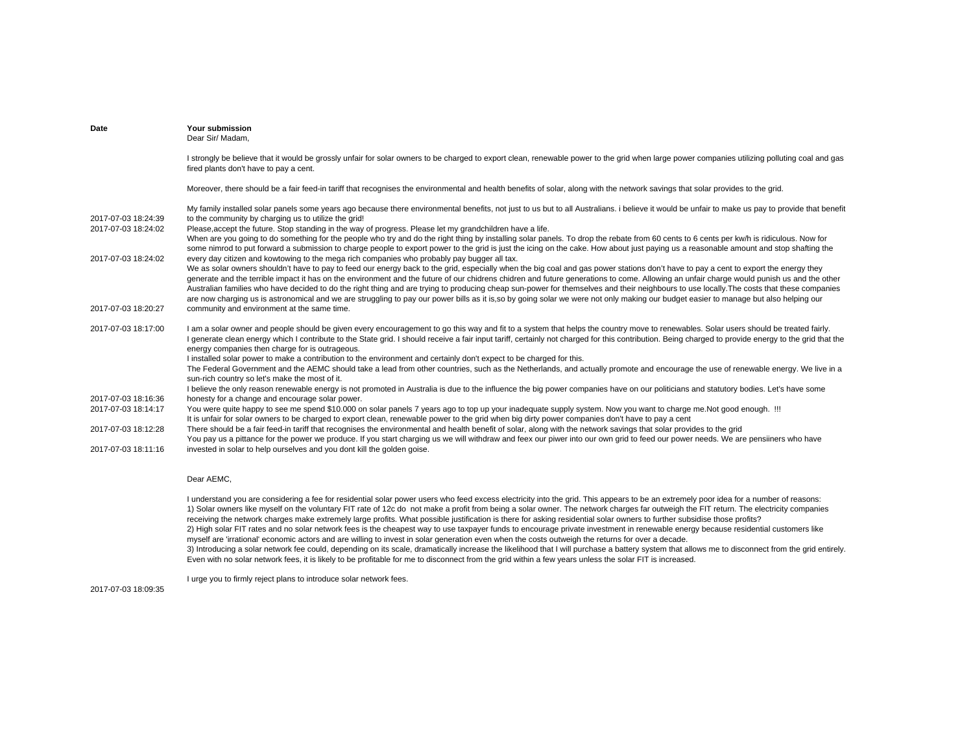| Date                | Your submission<br>Dear Sir/ Madam,                                                                                                                                                                                                                                                                                                                                                                                                                                                                                                                                                                                                                                                                                                                                                                                                                                    |
|---------------------|------------------------------------------------------------------------------------------------------------------------------------------------------------------------------------------------------------------------------------------------------------------------------------------------------------------------------------------------------------------------------------------------------------------------------------------------------------------------------------------------------------------------------------------------------------------------------------------------------------------------------------------------------------------------------------------------------------------------------------------------------------------------------------------------------------------------------------------------------------------------|
|                     | I strongly be believe that it would be grossly unfair for solar owners to be charged to export clean, renewable power to the grid when large power companies utilizing polluting coal and gas<br>fired plants don't have to pay a cent.                                                                                                                                                                                                                                                                                                                                                                                                                                                                                                                                                                                                                                |
|                     | Moreover, there should be a fair feed-in tariff that recognises the environmental and health benefits of solar, along with the network savings that solar provides to the grid.                                                                                                                                                                                                                                                                                                                                                                                                                                                                                                                                                                                                                                                                                        |
| 2017-07-03 18:24:39 | My family installed solar panels some years ago because there environmental benefits, not just to us but to all Australians. i believe it would be unfair to make us pay to provide that benefit<br>to the community by charging us to utilize the grid!                                                                                                                                                                                                                                                                                                                                                                                                                                                                                                                                                                                                               |
| 2017-07-03 18:24:02 | Please, accept the future. Stop standing in the way of progress. Please let my grandchildren have a life.<br>When are you going to do something for the people who try and do the right thing by installing solar panels. To drop the rebate from 60 cents to 6 cents per kw/h is ridiculous. Now for<br>some nimrod to put forward a submission to charge people to export power to the grid is just the icing on the cake. How about just paying us a reasonable amount and stop shafting the                                                                                                                                                                                                                                                                                                                                                                        |
| 2017-07-03 18:24:02 | every day citizen and kowtowing to the mega rich companies who probably pay bugger all tax.<br>We as solar owners shouldn't have to pay to feed our energy back to the grid, especially when the big coal and gas power stations don't have to pay a cent to export the energy they<br>generate and the terrible impact it has on the environment and the future of our chidrens chidren and future generations to come. Allowing an unfair charge would punish us and the other<br>Australian families who have decided to do the right thing and are trying to producing cheap sun-power for themselves and their neighbours to use locally. The costs that these companies<br>are now charging us is astronomical and we are struggling to pay our power bills as it is, so by going solar we were not only making our budget easier to manage but also helping our |
| 2017-07-03 18:20:27 | community and environment at the same time.                                                                                                                                                                                                                                                                                                                                                                                                                                                                                                                                                                                                                                                                                                                                                                                                                            |
| 2017-07-03 18:17:00 | I am a solar owner and people should be given every encouragement to go this way and fit to a system that helps the country move to renewables. Solar users should be treated fairly.<br>I generate clean energy which I contribute to the State grid. I should receive a fair input tariff, certainly not charged for this contribution. Being charged to provide energy to the grid that the<br>energy companies then charge for is outrageous.<br>I installed solar power to make a contribution to the environment and certainly don't expect to be charged for this.                                                                                                                                                                                                                                                                                              |
|                     | The Federal Government and the AEMC should take a lead from other countries, such as the Netherlands, and actually promote and encourage the use of renewable energy. We live in a<br>sun-rich country so let's make the most of it.                                                                                                                                                                                                                                                                                                                                                                                                                                                                                                                                                                                                                                   |
| 2017-07-03 18:16:36 | I believe the only reason renewable energy is not promoted in Australia is due to the influence the big power companies have on our politicians and statutory bodies. Let's have some<br>honesty for a change and encourage solar power.                                                                                                                                                                                                                                                                                                                                                                                                                                                                                                                                                                                                                               |
| 2017-07-03 18:14:17 | You were quite happy to see me spend \$10.000 on solar panels 7 years ago to top up your inadequate supply system. Now you want to charge me. Not good enough. !!!<br>It is unfair for solar owners to be charged to export clean, renewable power to the grid when big dirty power companies don't have to pay a cent                                                                                                                                                                                                                                                                                                                                                                                                                                                                                                                                                 |
| 2017-07-03 18:12:28 | There should be a fair feed-in tariff that recognises the environmental and health benefit of solar, along with the network savings that solar provides to the grid<br>You pay us a pittance for the power we produce. If you start charging us we will withdraw and feex our piwer into our own grid to feed our power needs. We are pensiiners who have                                                                                                                                                                                                                                                                                                                                                                                                                                                                                                              |
| 2017-07-03 18:11:16 | invested in solar to help ourselves and you dont kill the golden goise.                                                                                                                                                                                                                                                                                                                                                                                                                                                                                                                                                                                                                                                                                                                                                                                                |

# Dear AEMC,

I understand you are considering a fee for residential solar power users who feed excess electricity into the grid. This appears to be an extremely poor idea for a number of reasons: 1) Solar owners like myself on the voluntary FIT rate of 12c do not make a profit from being a solar owner. The network charges far outweigh the FIT return. The electricity companies receiving the network charges make extremely large profits. What possible justification is there for asking residential solar owners to further subsidise those profits? 2) High solar FIT rates and no solar network fees is the cheapest way to use taxpayer funds to encourage private investment in renewable energy because residential customers like myself are 'irrational' economic actors and are willing to invest in solar generation even when the costs outweigh the returns for over a decade. 3) Introducing a solar network fee could, depending on its scale, dramatically increase the likelihood that I will purchase a battery system that allows me to disconnect from the grid entirely. Even with no solar network fees, it is likely to be profitable for me to disconnect from the grid within a few years unless the solar FIT is increased.

I urge you to firmly reject plans to introduce solar network fees.

2017-07-03 18:09:35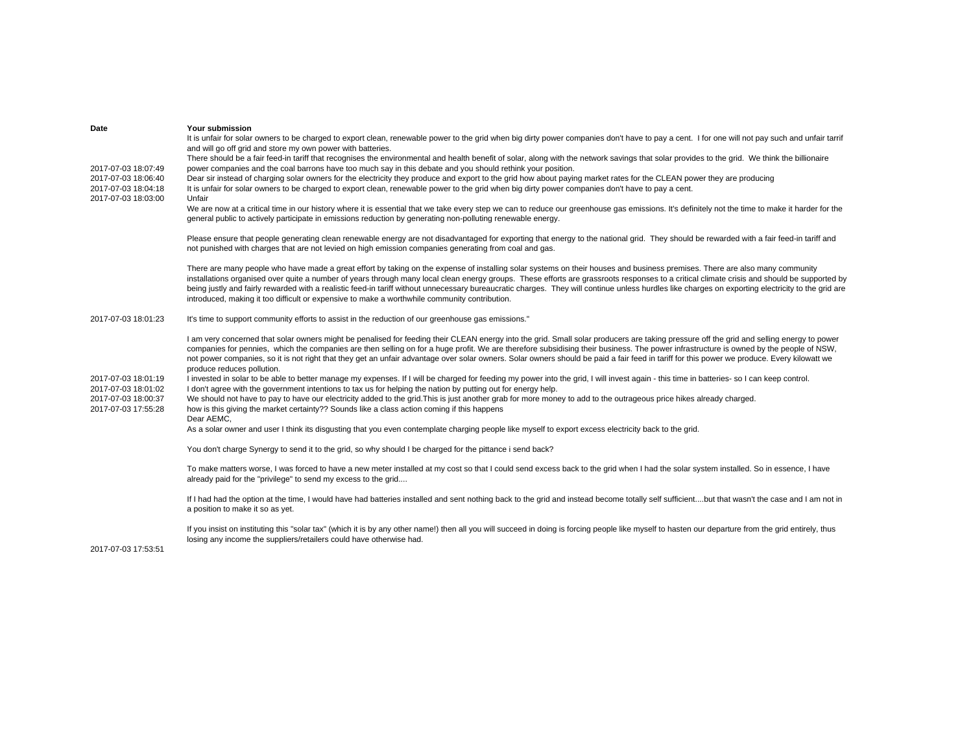| Date                                                                                     | Your submission<br>It is unfair for solar owners to be charged to export clean, renewable power to the grid when big dirty power companies don't have to pay a cent. I for one will not pay such and unfair tarrif<br>and will go off grid and store my own power with batteries.                                                                                                                                                                                                                                                                                                                                                                                                  |
|------------------------------------------------------------------------------------------|------------------------------------------------------------------------------------------------------------------------------------------------------------------------------------------------------------------------------------------------------------------------------------------------------------------------------------------------------------------------------------------------------------------------------------------------------------------------------------------------------------------------------------------------------------------------------------------------------------------------------------------------------------------------------------|
| 2017-07-03 18:07:49<br>2017-07-03 18:06:40<br>2017-07-03 18:04:18<br>2017-07-03 18:03:00 | There should be a fair feed-in tariff that recognises the environmental and health benefit of solar, along with the network savings that solar provides to the grid. We think the billionaire<br>power companies and the coal barrons have too much say in this debate and you should rethink your position.<br>Dear sir instead of charging solar owners for the electricity they produce and export to the grid how about paying market rates for the CLEAN power they are producing<br>It is unfair for solar owners to be charged to export clean, renewable power to the grid when big dirty power companies don't have to pay a cent.<br>Unfair                              |
|                                                                                          | We are now at a critical time in our history where it is essential that we take every step we can to reduce our greenhouse gas emissions. It's definitely not the time to make it harder for the<br>general public to actively participate in emissions reduction by generating non-polluting renewable energy.                                                                                                                                                                                                                                                                                                                                                                    |
|                                                                                          | Please ensure that people generating clean renewable energy are not disadvantaged for exporting that energy to the national grid. They should be rewarded with a fair feed-in tariff and<br>not punished with charges that are not levied on high emission companies generating from coal and gas.                                                                                                                                                                                                                                                                                                                                                                                 |
|                                                                                          | There are many people who have made a great effort by taking on the expense of installing solar systems on their houses and business premises. There are also many community<br>installations organised over quite a number of years through many local clean energy groups. These efforts are grassroots responses to a critical climate crisis and should be supported by<br>being justly and fairly rewarded with a realistic feed-in tariff without unnecessary bureaucratic charges. They will continue unless hurdles like charges on exporting electricity to the grid are<br>introduced, making it too difficult or expensive to make a worthwhile community contribution. |
| 2017-07-03 18:01:23                                                                      | It's time to support community efforts to assist in the reduction of our greenhouse gas emissions."                                                                                                                                                                                                                                                                                                                                                                                                                                                                                                                                                                                |
|                                                                                          | I am very concerned that solar owners might be penalised for feeding their CLEAN energy into the grid. Small solar producers are taking pressure off the grid and selling energy to power<br>companies for pennies, which the companies are then selling on for a huge profit. We are therefore subsidising their business. The power infrastructure is owned by the people of NSW,<br>not power companies, so it is not right that they get an unfair advantage over solar owners. Solar owners should be paid a fair feed in tariff for this power we produce. Every kilowatt we<br>produce reduces pollution.                                                                   |
| 2017-07-03 18:01:19<br>2017-07-03 18:01:02                                               | I invested in solar to be able to better manage my expenses. If I will be charged for feeding my power into the grid, I will invest again - this time in batteries- so I can keep control.<br>I don't agree with the government intentions to tax us for helping the nation by putting out for energy help.                                                                                                                                                                                                                                                                                                                                                                        |
| 2017-07-03 18:00:37<br>2017-07-03 17:55:28                                               | We should not have to pay to have our electricity added to the grid. This is just another grab for more money to add to the outrageous price hikes already charged.<br>how is this giving the market certainty?? Sounds like a class action coming if this happens<br>Dear AEMC.                                                                                                                                                                                                                                                                                                                                                                                                   |
|                                                                                          | As a solar owner and user I think its disgusting that you even contemplate charging people like myself to export excess electricity back to the grid.                                                                                                                                                                                                                                                                                                                                                                                                                                                                                                                              |
|                                                                                          | You don't charge Synergy to send it to the grid, so why should I be charged for the pittance i send back?                                                                                                                                                                                                                                                                                                                                                                                                                                                                                                                                                                          |
|                                                                                          | To make matters worse, I was forced to have a new meter installed at my cost so that I could send excess back to the grid when I had the solar system installed. So in essence, I have<br>already paid for the "privilege" to send my excess to the grid                                                                                                                                                                                                                                                                                                                                                                                                                           |
|                                                                                          | If I had had the option at the time, I would have had batteries installed and sent nothing back to the grid and instead become totally self sufficientbut that wasn't the case and I am not in<br>a position to make it so as yet.                                                                                                                                                                                                                                                                                                                                                                                                                                                 |
| 2017-07-03 17:53:51                                                                      | If you insist on instituting this "solar tax" (which it is by any other name!) then all you will succeed in doing is forcing people like myself to hasten our departure from the grid entirely, thus<br>losing any income the suppliers/retailers could have otherwise had.                                                                                                                                                                                                                                                                                                                                                                                                        |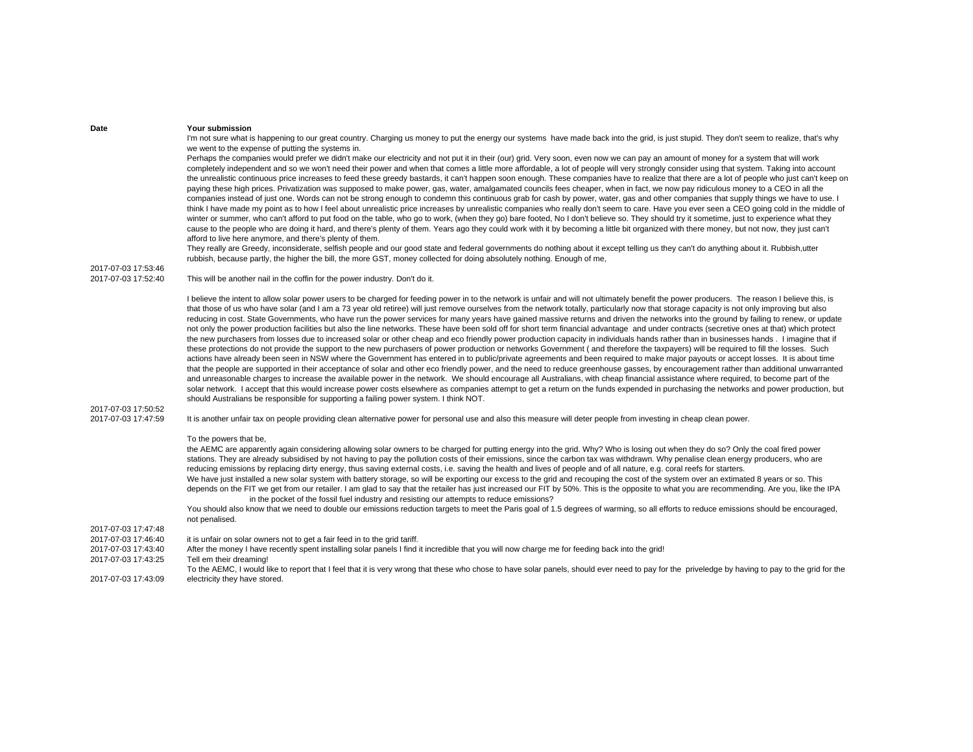I'm not sure what is happening to our great country. Charging us money to put the energy our systems have made back into the grid, is just stupid. They don't seem to realize, that's why we went to the expense of putting the systems in.

Perhaps the companies would prefer we didn't make our electricity and not put it in their (our) grid. Very soon, even now we can pay an amount of money for a system that will work completely independent and so we won't need their power and when that comes a little more affordable, a lot of people will very strongly consider using that system. Taking into account the unrealistic continuous price increases to feed these greedy bastards, it can't happen soon enough. These companies have to realize that there are a lot of people who just can't keep on paying these high prices. Privatization was supposed to make power, gas, water, amalgamated councils fees cheaper, when in fact, we now pay ridiculous money to a CEO in all the companies instead of just one. Words can not be strong enough to condemn this continuous grab for cash by power, water, gas and other companies that supply things we have to use. I think I have made my point as to how I feel about unrealistic price increases by unrealistic companies who really don't seem to care. Have you ever seen a CEO going cold in the middle of winter or summer, who can't afford to put food on the table, who go to work, (when they go) bare footed, No I don't believe so. They should try it sometime, just to experience what they cause to the people who are doing it hard, and there's plenty of them. Years ago they could work with it by becoming a little bit organized with there money, but not now, they just can't afford to live here anymore, and there's plenty of them.

They really are Greedy, inconsiderate, selfish people and our good state and federal governments do nothing about it except telling us they can't do anything about it. Rubbish,utter rubbish, because partly, the higher the bill, the more GST, money collected for doing absolutely nothing. Enough of me,

2017-07-03 17:53:46

2017-07-03 17:52:40 This will be another nail in the coffin for the power industry. Don't do it.

I believe the intent to allow solar power users to be charged for feeding power in to the network is unfair and will not ultimately benefit the power producers. The reason I believe this, is that those of us who have solar (and I am a 73 year old retiree) will just remove ourselves from the network totally, particularly now that storage capacity is not only improving but also reducing in cost. State Governments, who have run the power services for many years have gained massive returns and driven the networks into the ground by failing to renew, or update not only the power production facilities but also the line networks. These have been sold off for short term financial advantage and under contracts (secretive ones at that) which protect the new purchasers from losses due to increased solar or other cheap and eco friendly power production capacity in individuals hands rather than in businesses hands . I imagine that if these protections do not provide the support to the new purchasers of power production or networks Government ( and therefore the taxpayers) will be required to fill the losses. Such actions have already been seen in NSW where the Government has entered in to public/private agreements and been required to make major payouts or accept losses. It is about time that the people are supported in their acceptance of solar and other eco friendly power, and the need to reduce greenhouse gasses, by encouragement rather than additional unwarranted and unreasonable charges to increase the available power in the network. We should encourage all Australians, with cheap financial assistance where required, to become part of the solar network. I accept that this would increase power costs elsewhere as companies attempt to get a return on the funds expended in purchasing the networks and power production, but should Australians be responsible for supporting a failing power system. I think NOT.

2017-07-03 17:50:52

2017-07-03 17:47:59 It is another unfair tax on people providing clean alternative power for personal use and also this measure will deter people from investing in cheap clean power.

To the powers that be,

the AEMC are apparently again considering allowing solar owners to be charged for putting energy into the grid. Why? Who is losing out when they do so? Only the coal fired power stations. They are already subsidised by not having to pay the pollution costs of their emissions, since the carbon tax was withdrawn. Why penalise clean energy producers, who are reducing emissions by replacing dirty energy, thus saving external costs, i.e. saving the health and lives of people and of all nature, e.g. coral reefs for starters. We have just installed a new solar system with battery storage, so will be exporting our excess to the grid and recouping the cost of the system over an extimated 8 years or so. This depends on the FIT we get from our retailer. I am glad to say that the retailer has just increased our FIT by 50%. This is the opposite to what you are recommending. Are you, like the IPA in the pocket of the fossil fuel industry and resisting our attempts to reduce emissions?

You should also know that we need to double our emissions reduction targets to meet the Paris goal of 1.5 degrees of warming, so all efforts to reduce emissions should be encouraged. not penalised.

2017-07-03 17:47:48

- 2017-07-03 17:46:40 it is unfair on solar owners not to get a fair feed in to the grid tariff.
- 2017-07-03 17:43:40 After the money I have recently spent installing solar panels I find it incredible that you will now charge me for feeding back into the grid!<br>2017-07-03 17:43:25 Tell em their dreaming!
- Tell em their dreaming!
- 2017-07-03 17:43:09To the AEMC, I would like to report that I feel that it is very wrong that these who chose to have solar panels, should ever need to pay for the priveledge by having to pay to the grid for the electricity they have stored.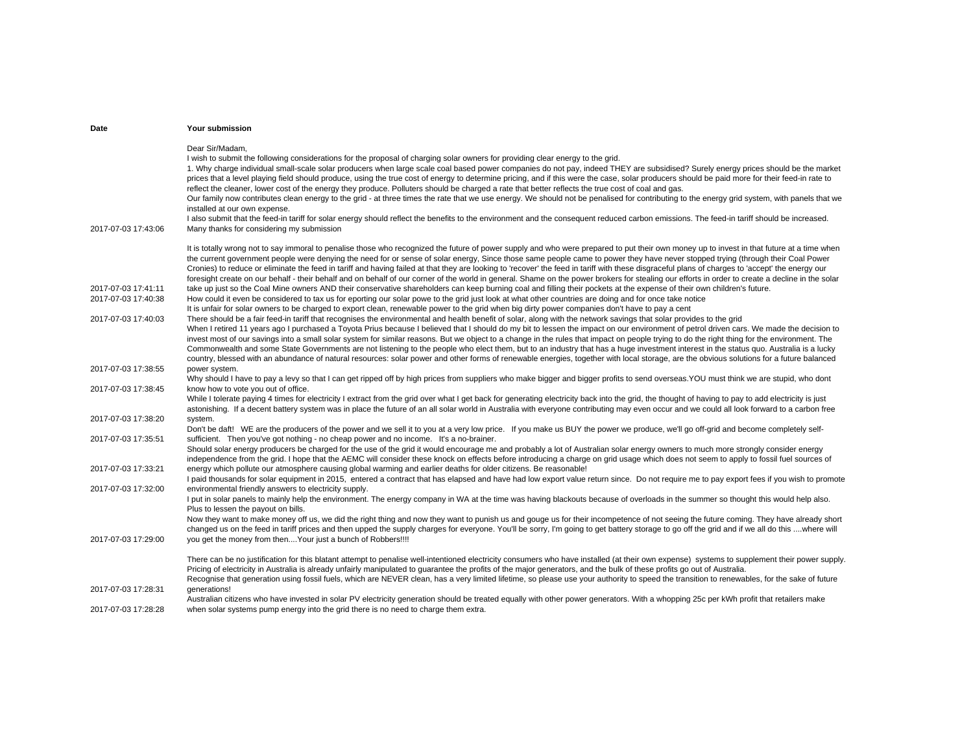| Date                                                              | <b>Your submission</b>                                                                                                                                                                                                                                                                                                                                                                                                                                                                                                                                                                                                                                                                                                                                                                                                                                                                                                                                                                                                                                                                                                                                                                                                                                                                                                                                                                                                                                                                                                                                                                                                                                                                                                                                                                                                                                                                                                                                                                                                                                                                                                                                                                                                                   |
|-------------------------------------------------------------------|------------------------------------------------------------------------------------------------------------------------------------------------------------------------------------------------------------------------------------------------------------------------------------------------------------------------------------------------------------------------------------------------------------------------------------------------------------------------------------------------------------------------------------------------------------------------------------------------------------------------------------------------------------------------------------------------------------------------------------------------------------------------------------------------------------------------------------------------------------------------------------------------------------------------------------------------------------------------------------------------------------------------------------------------------------------------------------------------------------------------------------------------------------------------------------------------------------------------------------------------------------------------------------------------------------------------------------------------------------------------------------------------------------------------------------------------------------------------------------------------------------------------------------------------------------------------------------------------------------------------------------------------------------------------------------------------------------------------------------------------------------------------------------------------------------------------------------------------------------------------------------------------------------------------------------------------------------------------------------------------------------------------------------------------------------------------------------------------------------------------------------------------------------------------------------------------------------------------------------------|
| 2017-07-03 17:43:06                                               | Dear Sir/Madam,<br>I wish to submit the following considerations for the proposal of charging solar owners for providing clear energy to the grid.<br>1. Why charge individual small-scale solar producers when large scale coal based power companies do not pay, indeed THEY are subsidised? Surely energy prices should be the market<br>prices that a level playing field should produce, using the true cost of energy to determine pricing, and if this were the case, solar producers should be paid more for their feed-in rate to<br>reflect the cleaner, lower cost of the energy they produce. Polluters should be charged a rate that better reflects the true cost of coal and gas.<br>Our family now contributes clean energy to the grid - at three times the rate that we use energy. We should not be penalised for contributing to the energy grid system, with panels that we<br>installed at our own expense.<br>I also submit that the feed-in tariff for solar energy should reflect the benefits to the environment and the consequent reduced carbon emissions. The feed-in tariff should be increased.<br>Many thanks for considering my submission                                                                                                                                                                                                                                                                                                                                                                                                                                                                                                                                                                                                                                                                                                                                                                                                                                                                                                                                                                                                                                                             |
| 2017-07-03 17:41:11<br>2017-07-03 17:40:38<br>2017-07-03 17:40:03 | It is totally wrong not to say immoral to penalise those who recognized the future of power supply and who were prepared to put their own money up to invest in that future at a time when<br>the current government people were denying the need for or sense of solar energy. Since those same people came to power they have never stopped trying (through their Coal Power<br>Cronies) to reduce or eliminate the feed in tariff and having failed at that they are looking to 'recover' the feed in tariff with these disgraceful plans of charges to 'accept' the energy our<br>foresight create on our behalf - their behalf and on behalf of our corner of the world in general. Shame on the power brokers for stealing our efforts in order to create a decline in the solar<br>take up just so the Coal Mine owners AND their conservative shareholders can keep burning coal and filling their pockets at the expense of their own children's future.<br>How could it even be considered to tax us for eporting our solar powe to the grid just look at what other countries are doing and for once take notice<br>It is unfair for solar owners to be charged to export clean, renewable power to the grid when big dirty power companies don't have to pay a cent<br>There should be a fair feed-in tariff that recognises the environmental and health benefit of solar, along with the network savings that solar provides to the grid<br>When I retired 11 years ago I purchased a Toyota Prius because I believed that I should do my bit to lessen the impact on our environment of petrol driven cars. We made the decision to<br>invest most of our savings into a small solar system for similar reasons. But we object to a change in the rules that impact on people trying to do the right thing for the environment. The<br>Commonwealth and some State Governments are not listening to the people who elect them, but to an industry that has a huge investment interest in the status quo. Australia is a lucky<br>country, blessed with an abundance of natural resources: solar power and other forms of renewable energies, together with local storage, are the obvious solutions for a future balanced |
| 2017-07-03 17:38:55                                               | power system.<br>Why should I have to pay a levy so that I can get ripped off by high prices from suppliers who make bigger and bigger profits to send overseas. YOU must think we are stupid, who dont                                                                                                                                                                                                                                                                                                                                                                                                                                                                                                                                                                                                                                                                                                                                                                                                                                                                                                                                                                                                                                                                                                                                                                                                                                                                                                                                                                                                                                                                                                                                                                                                                                                                                                                                                                                                                                                                                                                                                                                                                                  |
| 2017-07-03 17:38:45                                               | know how to vote you out of office.<br>While I tolerate paying 4 times for electricity I extract from the grid over what I get back for generating electricity back into the grid, the thought of having to pay to add electricity is just<br>astonishing. If a decent battery system was in place the future of an all solar world in Australia with everyone contributing may even occur and we could all look forward to a carbon free                                                                                                                                                                                                                                                                                                                                                                                                                                                                                                                                                                                                                                                                                                                                                                                                                                                                                                                                                                                                                                                                                                                                                                                                                                                                                                                                                                                                                                                                                                                                                                                                                                                                                                                                                                                                |
| 2017-07-03 17:38:20                                               | system.<br>Don't be daft! WE are the producers of the power and we sell it to you at a very low price. If you make us BUY the power we produce, we'll go off-grid and become completely self-                                                                                                                                                                                                                                                                                                                                                                                                                                                                                                                                                                                                                                                                                                                                                                                                                                                                                                                                                                                                                                                                                                                                                                                                                                                                                                                                                                                                                                                                                                                                                                                                                                                                                                                                                                                                                                                                                                                                                                                                                                            |
| 2017-07-03 17:35:51                                               | sufficient. Then you've got nothing - no cheap power and no income. It's a no-brainer.<br>Should solar energy producers be charged for the use of the grid it would encourage me and probably a lot of Australian solar energy owners to much more strongly consider energy<br>independence from the grid. I hope that the AEMC will consider these knock on effects before introducing a charge on grid usage which does not seem to apply to fossil fuel sources of                                                                                                                                                                                                                                                                                                                                                                                                                                                                                                                                                                                                                                                                                                                                                                                                                                                                                                                                                                                                                                                                                                                                                                                                                                                                                                                                                                                                                                                                                                                                                                                                                                                                                                                                                                    |
| 2017-07-03 17:33:21                                               | energy which pollute our atmosphere causing global warming and earlier deaths for older citizens. Be reasonable!<br>I paid thousands for solar equipment in 2015, entered a contract that has elapsed and have had low export value return since. Do not require me to pay export fees if you wish to promote                                                                                                                                                                                                                                                                                                                                                                                                                                                                                                                                                                                                                                                                                                                                                                                                                                                                                                                                                                                                                                                                                                                                                                                                                                                                                                                                                                                                                                                                                                                                                                                                                                                                                                                                                                                                                                                                                                                            |
| 2017-07-03 17:32:00                                               | environmental friendly answers to electricity supply.<br>I put in solar panels to mainly help the environment. The energy company in WA at the time was having blackouts because of overloads in the summer so thought this would help also.<br>Plus to lessen the payout on bills.<br>Now they want to make money off us, we did the right thing and now they want to punish us and gouge us for their incompetence of not seeing the future coming. They have already short                                                                                                                                                                                                                                                                                                                                                                                                                                                                                                                                                                                                                                                                                                                                                                                                                                                                                                                                                                                                                                                                                                                                                                                                                                                                                                                                                                                                                                                                                                                                                                                                                                                                                                                                                            |
| 2017-07-03 17:29:00                                               | changed us on the feed in tariff prices and then upped the supply charges for everyone. You'll be sorry, I'm going to get battery storage to go off the grid and if we all do this where will<br>you get the money from then Your just a bunch of Robbers!!!!                                                                                                                                                                                                                                                                                                                                                                                                                                                                                                                                                                                                                                                                                                                                                                                                                                                                                                                                                                                                                                                                                                                                                                                                                                                                                                                                                                                                                                                                                                                                                                                                                                                                                                                                                                                                                                                                                                                                                                            |
|                                                                   | There can be no justification for this blatant attempt to penalise well-intentioned electricity consumers who have installed (at their own expense) systems to supplement their power supply.<br>Pricing of electricity in Australia is already unfairly manipulated to quarantee the profits of the major generators, and the bulk of these profits go out of Australia.<br>Recognise that generation using fossil fuels, which are NEVER clean, has a very limited lifetime, so please use your authority to speed the transition to renewables, for the sake of future                                                                                                                                                                                                                                                                                                                                                                                                                                                                                                                                                                                                                                                                                                                                                                                                                                                                                                                                                                                                                                                                                                                                                                                                                                                                                                                                                                                                                                                                                                                                                                                                                                                                |
| 2017-07-03 17:28:31                                               | generations!<br>Australian citizens who have invested in solar PV electricity generation should be treated equally with other power generators. With a whopping 25c per kWh profit that retailers make                                                                                                                                                                                                                                                                                                                                                                                                                                                                                                                                                                                                                                                                                                                                                                                                                                                                                                                                                                                                                                                                                                                                                                                                                                                                                                                                                                                                                                                                                                                                                                                                                                                                                                                                                                                                                                                                                                                                                                                                                                   |
| 2017-07-03 17:28:28                                               | when solar systems pump energy into the grid there is no need to charge them extra.                                                                                                                                                                                                                                                                                                                                                                                                                                                                                                                                                                                                                                                                                                                                                                                                                                                                                                                                                                                                                                                                                                                                                                                                                                                                                                                                                                                                                                                                                                                                                                                                                                                                                                                                                                                                                                                                                                                                                                                                                                                                                                                                                      |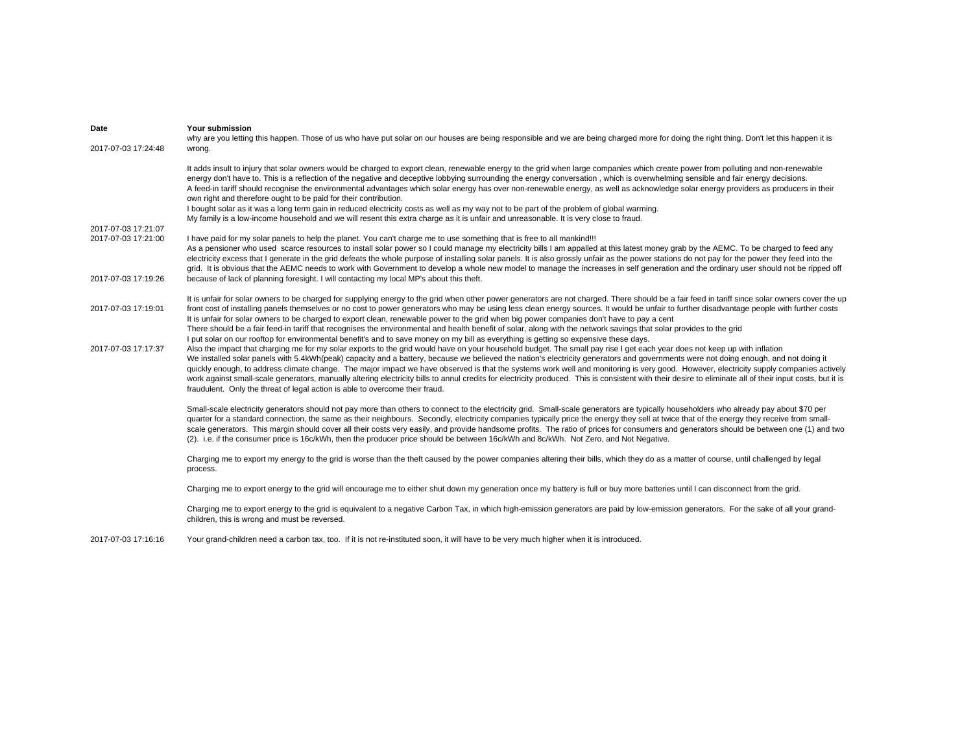| Date<br>2017-07-03 17:24:48                                       | Your submission<br>why are you letting this happen. Those of us who have put solar on our houses are being responsible and we are being charged more for doing the right thing. Don't let this happen it is<br>wrong.                                                                                                                                                                                                                                                                                                                                                                                                                                                                                                                                                                                                                                                                                                    |
|-------------------------------------------------------------------|--------------------------------------------------------------------------------------------------------------------------------------------------------------------------------------------------------------------------------------------------------------------------------------------------------------------------------------------------------------------------------------------------------------------------------------------------------------------------------------------------------------------------------------------------------------------------------------------------------------------------------------------------------------------------------------------------------------------------------------------------------------------------------------------------------------------------------------------------------------------------------------------------------------------------|
|                                                                   | It adds insult to injury that solar owners would be charged to export clean, renewable energy to the grid when large companies which create power from polluting and non-renewable<br>energy don't have to. This is a reflection of the negative and deceptive lobbying surrounding the energy conversation, which is overwhelming sensible and fair energy decisions.<br>A feed-in tariff should recognise the environmental advantages which solar energy has over non-renewable energy, as well as acknowledge solar energy providers as producers in their<br>own right and therefore ought to be paid for their contribution.<br>I bought solar as it was a long term gain in reduced electricity costs as well as my way not to be part of the problem of global warming.<br>My family is a low-income household and we will resent this extra charge as it is unfair and unreasonable. It is very close to fraud. |
| 2017-07-03 17:21:07<br>2017-07-03 17:21:00<br>2017-07-03 17:19:26 | I have paid for my solar panels to help the planet. You can't charge me to use something that is free to all mankind!!!<br>As a pensioner who used scarce resources to install solar power so I could manage my electricity bills I am appalled at this latest money grab by the AEMC. To be charged to feed any<br>electricity excess that I generate in the grid defeats the whole purpose of installing solar panels. It is also grossly unfair as the power stations do not pay for the power they feed into the<br>grid. It is obvious that the AEMC needs to work with Government to develop a whole new model to manage the increases in self generation and the ordinary user should not be ripped off<br>because of lack of planning foresight. I will contacting my local MP's about this theft.                                                                                                               |
| 2017-07-03 17:19:01                                               | It is unfair for solar owners to be charged for supplying energy to the grid when other power generators are not charged. There should be a fair feed in tariff since solar owners cover the up<br>front cost of installing panels themselves or no cost to power generators who may be using less clean energy sources. It would be unfair to further disadvantage people with further costs<br>It is unfair for solar owners to be charged to export clean, renewable power to the grid when big power companies don't have to pay a cent<br>There should be a fair feed-in tariff that recognises the environmental and health benefit of solar, along with the network savings that solar provides to the grid<br>I put solar on our rooftop for environmental benefit's and to save money on my bill as everything is getting so expensive these days.                                                              |
| 2017-07-03 17:17:37                                               | Also the impact that charging me for my solar exports to the grid would have on your household budget. The small pay rise I get each year does not keep up with inflation<br>We installed solar panels with 5.4kWh(peak) capacity and a battery, because we believed the nation's electricity generators and governments were not doing enough, and not doing it<br>quickly enough, to address climate change. The major impact we have observed is that the systems work well and monitoring is very good. However, electricity supply companies actively<br>work against small-scale generators, manually altering electricity bills to annul credits for electricity produced. This is consistent with their desire to eliminate all of their input costs, but it is<br>fraudulent. Only the threat of legal action is able to overcome their fraud.                                                                  |
|                                                                   | Small-scale electricity generators should not pay more than others to connect to the electricity grid. Small-scale generators are typically householders who already pay about \$70 per<br>quarter for a standard connection, the same as their neighbours. Secondly, electricity companies typically price the energy they sell at twice that of the energy they receive from small-<br>scale generators. This margin should cover all their costs very easily, and provide handsome profits. The ratio of prices for consumers and generators should be between one (1) and two<br>(2). i.e. if the consumer price is 16c/kWh, then the producer price should be between 16c/kWh and 8c/kWh. Not Zero, and Not Negative.                                                                                                                                                                                               |
|                                                                   | Charging me to export my energy to the grid is worse than the theft caused by the power companies altering their bills, which they do as a matter of course, until challenged by legal<br>process.                                                                                                                                                                                                                                                                                                                                                                                                                                                                                                                                                                                                                                                                                                                       |
|                                                                   | Charging me to export energy to the grid will encourage me to either shut down my generation once my battery is full or buy more batteries until I can disconnect from the grid.                                                                                                                                                                                                                                                                                                                                                                                                                                                                                                                                                                                                                                                                                                                                         |
|                                                                   | Charging me to export energy to the grid is equivalent to a negative Carbon Tax, in which high-emission generators are paid by low-emission generators. For the sake of all your grand-<br>children, this is wrong and must be reversed.                                                                                                                                                                                                                                                                                                                                                                                                                                                                                                                                                                                                                                                                                 |

2017-07-03 17:16:16 Your grand-children need a carbon tax, too. If it is not re-instituted soon, it will have to be very much higher when it is introduced.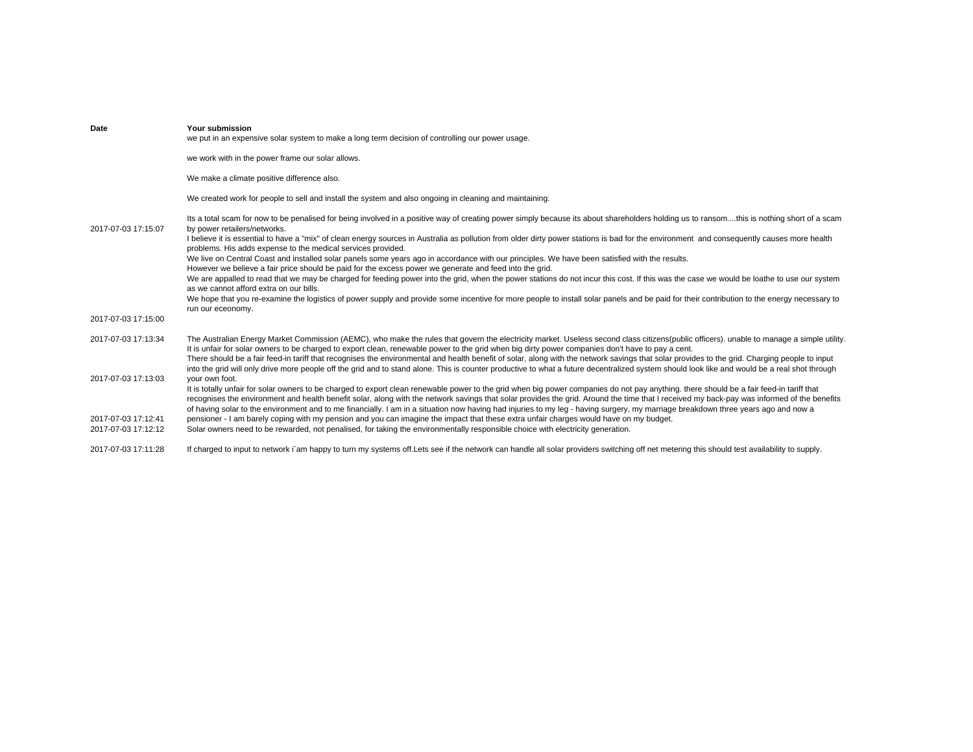| Date                | Your submission<br>we put in an expensive solar system to make a long term decision of controlling our power usage.                                                                                                                                                                                                                                                                                                                                                                                                                                                         |
|---------------------|-----------------------------------------------------------------------------------------------------------------------------------------------------------------------------------------------------------------------------------------------------------------------------------------------------------------------------------------------------------------------------------------------------------------------------------------------------------------------------------------------------------------------------------------------------------------------------|
|                     | we work with in the power frame our solar allows.                                                                                                                                                                                                                                                                                                                                                                                                                                                                                                                           |
|                     | We make a climate positive difference also.                                                                                                                                                                                                                                                                                                                                                                                                                                                                                                                                 |
|                     | We created work for people to sell and install the system and also ongoing in cleaning and maintaining.                                                                                                                                                                                                                                                                                                                                                                                                                                                                     |
| 2017-07-03 17:15:07 | Its a total scam for now to be penalised for being involved in a positive way of creating power simply because its about shareholders holding us to ransomthis is nothing short of a scam<br>by power retailers/networks.                                                                                                                                                                                                                                                                                                                                                   |
|                     | I believe it is essential to have a "mix" of clean energy sources in Australia as pollution from older dirty power stations is bad for the environment and consequently causes more health<br>problems. His adds expense to the medical services provided.                                                                                                                                                                                                                                                                                                                  |
|                     | We live on Central Coast and installed solar panels some years ago in accordance with our principles. We have been satisfied with the results.<br>However we believe a fair price should be paid for the excess power we generate and feed into the grid.                                                                                                                                                                                                                                                                                                                   |
|                     | We are appalled to read that we may be charged for feeding power into the grid, when the power stations do not incur this cost. If this was the case we would be loathe to use our system                                                                                                                                                                                                                                                                                                                                                                                   |
|                     | as we cannot afford extra on our bills.<br>We hope that you re-examine the logistics of power supply and provide some incentive for more people to install solar panels and be paid for their contribution to the energy necessary to<br>run our eceonomy.                                                                                                                                                                                                                                                                                                                  |
| 2017-07-03 17:15:00 |                                                                                                                                                                                                                                                                                                                                                                                                                                                                                                                                                                             |
| 2017-07-03 17:13:34 | The Australian Energy Market Commission (AEMC), who make the rules that govern the electricity market. Useless second class citizens(public officers), unable to manage a simple utility.<br>It is unfair for solar owners to be charged to export clean, renewable power to the grid when big dirty power companies don't have to pay a cent.                                                                                                                                                                                                                              |
|                     | There should be a fair feed-in tariff that recognises the environmental and health benefit of solar, along with the network savings that solar provides to the grid. Charging people to input<br>into the grid will only drive more people off the grid and to stand alone. This is counter productive to what a future decentralized system should look like and would be a real shot through                                                                                                                                                                              |
| 2017-07-03 17:13:03 | your own foot.                                                                                                                                                                                                                                                                                                                                                                                                                                                                                                                                                              |
|                     | It is totally unfair for solar owners to be charged to export clean renewable power to the grid when big power companies do not pay anything. there should be a fair feed-in tariff that<br>recognises the environment and health benefit solar, along with the network savings that solar provides the grid. Around the time that I received my back-pay was informed of the benefits<br>of having solar to the environment and to me financially. I am in a situation now having had injuries to my leg - having surgery, my marriage breakdown three years ago and now a |
| 2017-07-03 17:12:41 | pensioner - I am barely coping with my pension and you can imagine the impact that these extra unfair charges would have on my budget.                                                                                                                                                                                                                                                                                                                                                                                                                                      |
| 2017-07-03 17:12:12 | Solar owners need to be rewarded, not penalised, for taking the environmentally responsible choice with electricity generation.                                                                                                                                                                                                                                                                                                                                                                                                                                             |
| 2017-07-03 17:11:28 | If charged to input to network i`am happy to turn my systems off. Lets see if the network can handle all solar providers switching off net metering this should test availability to supply.                                                                                                                                                                                                                                                                                                                                                                                |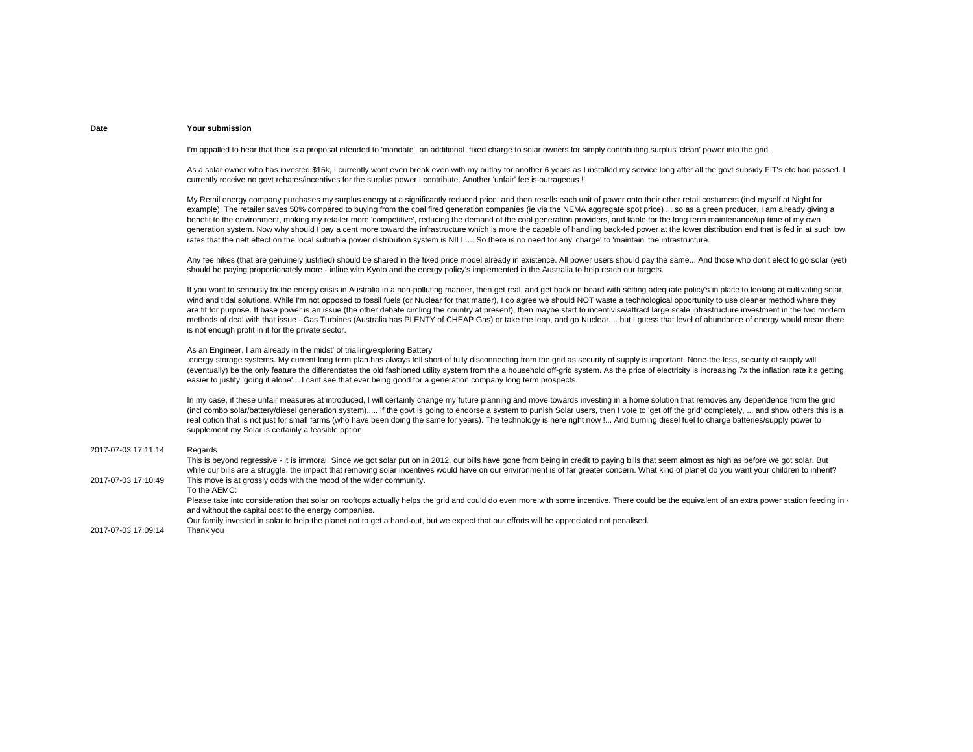I'm appalled to hear that their is a proposal intended to 'mandate' an additional fixed charge to solar owners for simply contributing surplus 'clean' power into the grid.

As a solar owner who has invested \$15k, I currently wont even break even with my outlay for another 6 years as I installed my service long after all the govt subsidy FIT's etc had passed. I currently receive no govt rebates/incentives for the surplus power I contribute. Another 'unfair' fee is outrageous !'

My Retail energy company purchases my surplus energy at a significantly reduced price, and then resells each unit of power onto their other retail costumers (incl myself at Night for example). The retailer saves 50% compared to buying from the coal fired generation companies (ie via the NEMA aggregate spot price) ... so as a green producer, I am already giving a benefit to the environment, making my retailer more 'competitive', reducing the demand of the coal generation providers, and liable for the long term maintenance/up time of my own generation system. Now why should I pay a cent more toward the infrastructure which is more the capable of handling back-fed power at the lower distribution end that is fed in at such low rates that the nett effect on the local suburbia power distribution system is NILL.... So there is no need for any 'charge' to 'maintain' the infrastructure.

Any fee hikes (that are genuinely justified) should be shared in the fixed price model already in existence. All power users should pay the same... And those who don't elect to go solar (yet) should be paying proportionately more - inline with Kyoto and the energy policy's implemented in the Australia to help reach our targets.

If you want to seriously fix the energy crisis in Australia in a non-polluting manner, then get real, and get back on board with setting adequate policy's in place to looking at cultivating solar, wind and tidal solutions. While I'm not opposed to fossil fuels (or Nuclear for that matter), I do agree we should NOT waste a technological opportunity to use cleaner method where they are fit for purpose. If base power is an issue (the other debate circling the country at present), then maybe start to incentivise/attract large scale infrastructure investment in the two modern methods of deal with that issue - Gas Turbines (Australia has PLENTY of CHEAP Gas) or take the leap, and go Nuclear.... but I guess that level of abundance of energy would mean there is not enough profit in it for the private sector.

# As an Engineer, I am already in the midst' of trialling/exploring Battery

energy storage systems. My current long term plan has always fell short of fully disconnecting from the grid as security of supply is important. None-the-less, security of supply will (eventually) be the only feature the differentiates the old fashioned utility system from the a household off-grid system. As the price of electricity is increasing 7x the inflation rate it's getting easier to justify 'going it alone'... I cant see that ever being good for a generation company long term prospects.

In my case, if these unfair measures at introduced, I will certainly change my future planning and move towards investing in a home solution that removes any dependence from the grid (incl combo solar/battery/diesel generation system)..... If the govt is going to endorse a system to punish Solar users, then I vote to 'get off the grid' completely, ... and show others this is a real option that is not just for small farms (who have been doing the same for years). The technology is here right now !... And burning diesel fuel to charge batteries/supply power to supplement my Solar is certainly a feasible option.

#### 2017-07-03 17:11:14 Regards

2017-07-03 17:10:49This is beyond regressive - it is immoral. Since we got solar put on in 2012, our bills have gone from being in credit to paying bills that seem almost as high as before we got solar. But while our bills are a struggle, the impact that removing solar incentives would have on our environment is of far greater concern. What kind of planet do you want your children to inherit? This move is at grossly odds with the mood of the wider community. To the AEMC:Please take into consideration that solar on rooftops actually helps the grid and could do even more with some incentive. There could be the equivalent of an extra power station feeding in and without the capital cost to the energy companies. Our family invested in solar to help the planet not to get a hand-out, but we expect that our efforts will be appreciated not penalised.

2017-07-03 17:09:14 Thank you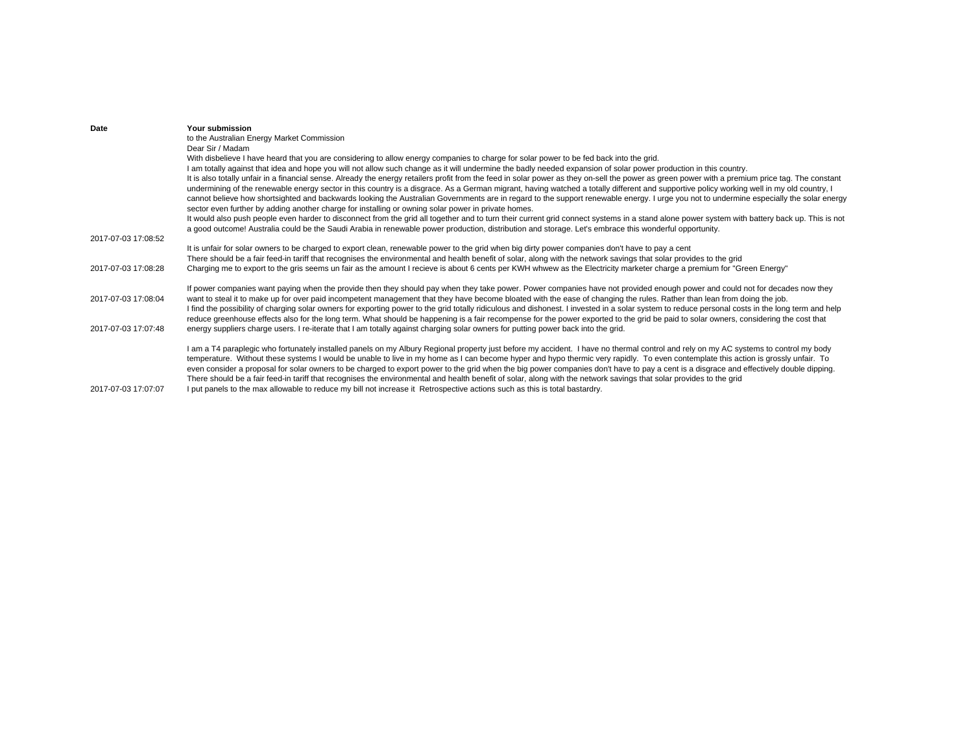| to the Australian Energy Market Commission<br>Dear Sir / Madam<br>With disbelieve I have heard that you are considering to allow energy companies to charge for solar power to be fed back into the grid.<br>I am totally against that idea and hope you will not allow such change as it will undermine the badly needed expansion of solar power production in this country.<br>It is also totally unfair in a financial sense. Already the energy retailers profit from the feed in solar power as they on-sell the power as green power with a premium price tag. The constant<br>undermining of the renewable energy sector in this country is a disgrace. As a German migrant, having watched a totally different and supportive policy working well in my old country, I<br>cannot believe how shortsighted and backwards looking the Australian Governments are in regard to the support renewable energy. I urge you not to undermine especially the solar energy<br>sector even further by adding another charge for installing or owning solar power in private homes.<br>It would also push people even harder to disconnect from the grid all together and to turn their current grid connect systems in a stand alone power system with battery back up. This is not<br>a good outcome! Australia could be the Saudi Arabia in renewable power production, distribution and storage. Let's embrace this wonderful opportunity.<br>It is unfair for solar owners to be charged to export clean, renewable power to the grid when big dirty power companies don't have to pay a cent<br>There should be a fair feed-in tariff that recognises the environmental and health benefit of solar, along with the network savings that solar provides to the grid<br>Charging me to export to the gris seems un fair as the amount I recieve is about 6 cents per KWH whwew as the Electricity marketer charge a premium for "Green Energy"<br>If power companies want paying when the provide then they should pay when they take power. Power companies have not provided enough power and could not for decades now they<br>want to steal it to make up for over paid incompetent management that they have become bloated with the ease of changing the rules. Rather than lean from doing the job.<br>I find the possibility of charging solar owners for exporting power to the grid totally ridiculous and dishonest. I invested in a solar system to reduce personal costs in the long term and help<br>reduce greenhouse effects also for the long term. What should be happening is a fair recompense for the power exported to the grid be paid to solar owners, considering the cost that<br>energy suppliers charge users. I re-iterate that I am totally against charging solar owners for putting power back into the grid.<br>I am a T4 paraplegic who fortunately installed panels on my Albury Regional property just before my accident. I have no thermal control and rely on my AC systems to control my body<br>temperature. Without these systems I would be unable to live in my home as I can become hyper and hypo thermic very rapidly. To even contemplate this action is grossly unfair. To | Date                | Your submission                                                                                                                                                                         |
|--------------------------------------------------------------------------------------------------------------------------------------------------------------------------------------------------------------------------------------------------------------------------------------------------------------------------------------------------------------------------------------------------------------------------------------------------------------------------------------------------------------------------------------------------------------------------------------------------------------------------------------------------------------------------------------------------------------------------------------------------------------------------------------------------------------------------------------------------------------------------------------------------------------------------------------------------------------------------------------------------------------------------------------------------------------------------------------------------------------------------------------------------------------------------------------------------------------------------------------------------------------------------------------------------------------------------------------------------------------------------------------------------------------------------------------------------------------------------------------------------------------------------------------------------------------------------------------------------------------------------------------------------------------------------------------------------------------------------------------------------------------------------------------------------------------------------------------------------------------------------------------------------------------------------------------------------------------------------------------------------------------------------------------------------------------------------------------------------------------------------------------------------------------------------------------------------------------------------------------------------------------------------------------------------------------------------------------------------------------------------------------------------------------------------------------------------------------------------------------------------------------------------------------------------------------------------------------------------------------------------------------------------------------------------------------------------------------------------------------------------------------------------------------------------------------------------------------------------------------------------------------------------------------------------------------------------------------------------------------------------------------------------------------------------------------------------------------------------------------------------------------------------------------------------------------------------------------------------------|---------------------|-----------------------------------------------------------------------------------------------------------------------------------------------------------------------------------------|
|                                                                                                                                                                                                                                                                                                                                                                                                                                                                                                                                                                                                                                                                                                                                                                                                                                                                                                                                                                                                                                                                                                                                                                                                                                                                                                                                                                                                                                                                                                                                                                                                                                                                                                                                                                                                                                                                                                                                                                                                                                                                                                                                                                                                                                                                                                                                                                                                                                                                                                                                                                                                                                                                                                                                                                                                                                                                                                                                                                                                                                                                                                                                                                                                                                |                     |                                                                                                                                                                                         |
|                                                                                                                                                                                                                                                                                                                                                                                                                                                                                                                                                                                                                                                                                                                                                                                                                                                                                                                                                                                                                                                                                                                                                                                                                                                                                                                                                                                                                                                                                                                                                                                                                                                                                                                                                                                                                                                                                                                                                                                                                                                                                                                                                                                                                                                                                                                                                                                                                                                                                                                                                                                                                                                                                                                                                                                                                                                                                                                                                                                                                                                                                                                                                                                                                                |                     |                                                                                                                                                                                         |
|                                                                                                                                                                                                                                                                                                                                                                                                                                                                                                                                                                                                                                                                                                                                                                                                                                                                                                                                                                                                                                                                                                                                                                                                                                                                                                                                                                                                                                                                                                                                                                                                                                                                                                                                                                                                                                                                                                                                                                                                                                                                                                                                                                                                                                                                                                                                                                                                                                                                                                                                                                                                                                                                                                                                                                                                                                                                                                                                                                                                                                                                                                                                                                                                                                |                     |                                                                                                                                                                                         |
|                                                                                                                                                                                                                                                                                                                                                                                                                                                                                                                                                                                                                                                                                                                                                                                                                                                                                                                                                                                                                                                                                                                                                                                                                                                                                                                                                                                                                                                                                                                                                                                                                                                                                                                                                                                                                                                                                                                                                                                                                                                                                                                                                                                                                                                                                                                                                                                                                                                                                                                                                                                                                                                                                                                                                                                                                                                                                                                                                                                                                                                                                                                                                                                                                                |                     |                                                                                                                                                                                         |
|                                                                                                                                                                                                                                                                                                                                                                                                                                                                                                                                                                                                                                                                                                                                                                                                                                                                                                                                                                                                                                                                                                                                                                                                                                                                                                                                                                                                                                                                                                                                                                                                                                                                                                                                                                                                                                                                                                                                                                                                                                                                                                                                                                                                                                                                                                                                                                                                                                                                                                                                                                                                                                                                                                                                                                                                                                                                                                                                                                                                                                                                                                                                                                                                                                |                     |                                                                                                                                                                                         |
|                                                                                                                                                                                                                                                                                                                                                                                                                                                                                                                                                                                                                                                                                                                                                                                                                                                                                                                                                                                                                                                                                                                                                                                                                                                                                                                                                                                                                                                                                                                                                                                                                                                                                                                                                                                                                                                                                                                                                                                                                                                                                                                                                                                                                                                                                                                                                                                                                                                                                                                                                                                                                                                                                                                                                                                                                                                                                                                                                                                                                                                                                                                                                                                                                                |                     |                                                                                                                                                                                         |
|                                                                                                                                                                                                                                                                                                                                                                                                                                                                                                                                                                                                                                                                                                                                                                                                                                                                                                                                                                                                                                                                                                                                                                                                                                                                                                                                                                                                                                                                                                                                                                                                                                                                                                                                                                                                                                                                                                                                                                                                                                                                                                                                                                                                                                                                                                                                                                                                                                                                                                                                                                                                                                                                                                                                                                                                                                                                                                                                                                                                                                                                                                                                                                                                                                |                     |                                                                                                                                                                                         |
|                                                                                                                                                                                                                                                                                                                                                                                                                                                                                                                                                                                                                                                                                                                                                                                                                                                                                                                                                                                                                                                                                                                                                                                                                                                                                                                                                                                                                                                                                                                                                                                                                                                                                                                                                                                                                                                                                                                                                                                                                                                                                                                                                                                                                                                                                                                                                                                                                                                                                                                                                                                                                                                                                                                                                                                                                                                                                                                                                                                                                                                                                                                                                                                                                                | 2017-07-03 17:08:52 |                                                                                                                                                                                         |
|                                                                                                                                                                                                                                                                                                                                                                                                                                                                                                                                                                                                                                                                                                                                                                                                                                                                                                                                                                                                                                                                                                                                                                                                                                                                                                                                                                                                                                                                                                                                                                                                                                                                                                                                                                                                                                                                                                                                                                                                                                                                                                                                                                                                                                                                                                                                                                                                                                                                                                                                                                                                                                                                                                                                                                                                                                                                                                                                                                                                                                                                                                                                                                                                                                |                     |                                                                                                                                                                                         |
|                                                                                                                                                                                                                                                                                                                                                                                                                                                                                                                                                                                                                                                                                                                                                                                                                                                                                                                                                                                                                                                                                                                                                                                                                                                                                                                                                                                                                                                                                                                                                                                                                                                                                                                                                                                                                                                                                                                                                                                                                                                                                                                                                                                                                                                                                                                                                                                                                                                                                                                                                                                                                                                                                                                                                                                                                                                                                                                                                                                                                                                                                                                                                                                                                                |                     |                                                                                                                                                                                         |
|                                                                                                                                                                                                                                                                                                                                                                                                                                                                                                                                                                                                                                                                                                                                                                                                                                                                                                                                                                                                                                                                                                                                                                                                                                                                                                                                                                                                                                                                                                                                                                                                                                                                                                                                                                                                                                                                                                                                                                                                                                                                                                                                                                                                                                                                                                                                                                                                                                                                                                                                                                                                                                                                                                                                                                                                                                                                                                                                                                                                                                                                                                                                                                                                                                | 2017-07-03 17:08:28 |                                                                                                                                                                                         |
|                                                                                                                                                                                                                                                                                                                                                                                                                                                                                                                                                                                                                                                                                                                                                                                                                                                                                                                                                                                                                                                                                                                                                                                                                                                                                                                                                                                                                                                                                                                                                                                                                                                                                                                                                                                                                                                                                                                                                                                                                                                                                                                                                                                                                                                                                                                                                                                                                                                                                                                                                                                                                                                                                                                                                                                                                                                                                                                                                                                                                                                                                                                                                                                                                                |                     |                                                                                                                                                                                         |
|                                                                                                                                                                                                                                                                                                                                                                                                                                                                                                                                                                                                                                                                                                                                                                                                                                                                                                                                                                                                                                                                                                                                                                                                                                                                                                                                                                                                                                                                                                                                                                                                                                                                                                                                                                                                                                                                                                                                                                                                                                                                                                                                                                                                                                                                                                                                                                                                                                                                                                                                                                                                                                                                                                                                                                                                                                                                                                                                                                                                                                                                                                                                                                                                                                | 2017-07-03 17:08:04 |                                                                                                                                                                                         |
|                                                                                                                                                                                                                                                                                                                                                                                                                                                                                                                                                                                                                                                                                                                                                                                                                                                                                                                                                                                                                                                                                                                                                                                                                                                                                                                                                                                                                                                                                                                                                                                                                                                                                                                                                                                                                                                                                                                                                                                                                                                                                                                                                                                                                                                                                                                                                                                                                                                                                                                                                                                                                                                                                                                                                                                                                                                                                                                                                                                                                                                                                                                                                                                                                                | 2017-07-03 17:07:48 |                                                                                                                                                                                         |
| There should be a fair feed-in tariff that recognises the environmental and health benefit of solar, along with the network savings that solar provides to the grid                                                                                                                                                                                                                                                                                                                                                                                                                                                                                                                                                                                                                                                                                                                                                                                                                                                                                                                                                                                                                                                                                                                                                                                                                                                                                                                                                                                                                                                                                                                                                                                                                                                                                                                                                                                                                                                                                                                                                                                                                                                                                                                                                                                                                                                                                                                                                                                                                                                                                                                                                                                                                                                                                                                                                                                                                                                                                                                                                                                                                                                            |                     | even consider a proposal for solar owners to be charged to export power to the grid when the big power companies don't have to pay a cent is a disgrace and effectively double dipping. |
| I put panels to the max allowable to reduce my bill not increase it Retrospective actions such as this is total bastardry.                                                                                                                                                                                                                                                                                                                                                                                                                                                                                                                                                                                                                                                                                                                                                                                                                                                                                                                                                                                                                                                                                                                                                                                                                                                                                                                                                                                                                                                                                                                                                                                                                                                                                                                                                                                                                                                                                                                                                                                                                                                                                                                                                                                                                                                                                                                                                                                                                                                                                                                                                                                                                                                                                                                                                                                                                                                                                                                                                                                                                                                                                                     | 2017-07-03 17:07:07 |                                                                                                                                                                                         |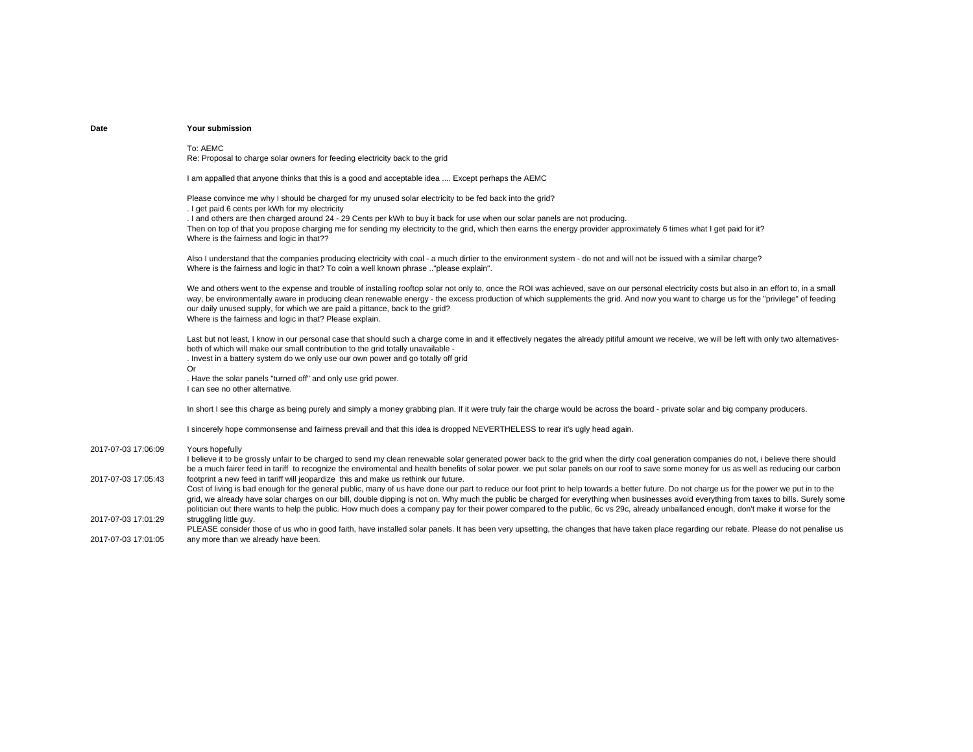To: AEMCRe: Proposal to charge solar owners for feeding electricity back to the grid

I am appalled that anyone thinks that this is a good and acceptable idea .... Except perhaps the AEMC

Please convince me why I should be charged for my unused solar electricity to be fed back into the grid? . I get paid 6 cents per kWh for my electricity . I and others are then charged around 24 - 29 Cents per kWh to buy it back for use when our solar panels are not producing.

Then on top of that you propose charging me for sending my electricity to the grid, which then earns the energy provider approximately 6 times what I get paid for it? Where is the fairness and logic in that??

Also I understand that the companies producing electricity with coal - a much dirtier to the environment system - do not and will not be issued with a similar charge? Where is the fairness and logic in that? To coin a well known phrase .."please explain".

We and others went to the expense and trouble of installing rooftop solar not only to, once the ROI was achieved, save on our personal electricity costs but also in an effort to, in a small way, be environmentally aware in producing clean renewable energy - the excess production of which supplements the grid. And now you want to charge us for the "privilege" of feeding our daily unused supply, for which we are paid a pittance, back to the grid? Where is the fairness and logic in that? Please explain.

Last but not least. I know in our personal case that should such a charge come in and it effectively negates the already pitiful amount we receive, we will be left with only two alternativesboth of which will make our small contribution to the grid totally unavailable -. Invest in a battery system do we only use our own power and go totally off grid Or

. Have the solar panels "turned off" and only use grid power. I can see no other alternative.

In short I see this charge as being purely and simply a money grabbing plan. If it were truly fair the charge would be across the board - private solar and big company producers.

I sincerely hope commonsense and fairness prevail and that this idea is dropped NEVERTHELESS to rear it's ugly head again.

### 2017-07-03 17:06:09Yours hopefully

2017-07-03 17:05:43I believe it to be grossly unfair to be charged to send my clean renewable solar generated power back to the grid when the dirty coal generation companies do not, i believe there should be a much fairer feed in tariff to recognize the enviromental and health benefits of solar power. we put solar panels on our roof to save some money for us as well as reducing our carbon footprint a new feed in tariff will jeopardize this and make us rethink our future. 2017-07-03 17:01:29Cost of living is bad enough for the general public, many of us have done our part to reduce our foot print to help towards a better future. Do not charge us for the power we put in to the grid, we already have solar charges on our bill, double dipping is not on. Why much the public be charged for everything when businesses avoid everything from taxes to bills. Surely some politician out there wants to help the public. How much does a company pay for their power compared to the public, 6c vs 29c, already unballanced enough, don't make it worse for the struggling little guy. PLEASE consider those of us who in good faith, have installed solar panels. It has been very upsetting, the changes that have taken place regarding our rebate. Please do not penalise us

2017-07-03 17:01:05any more than we already have been.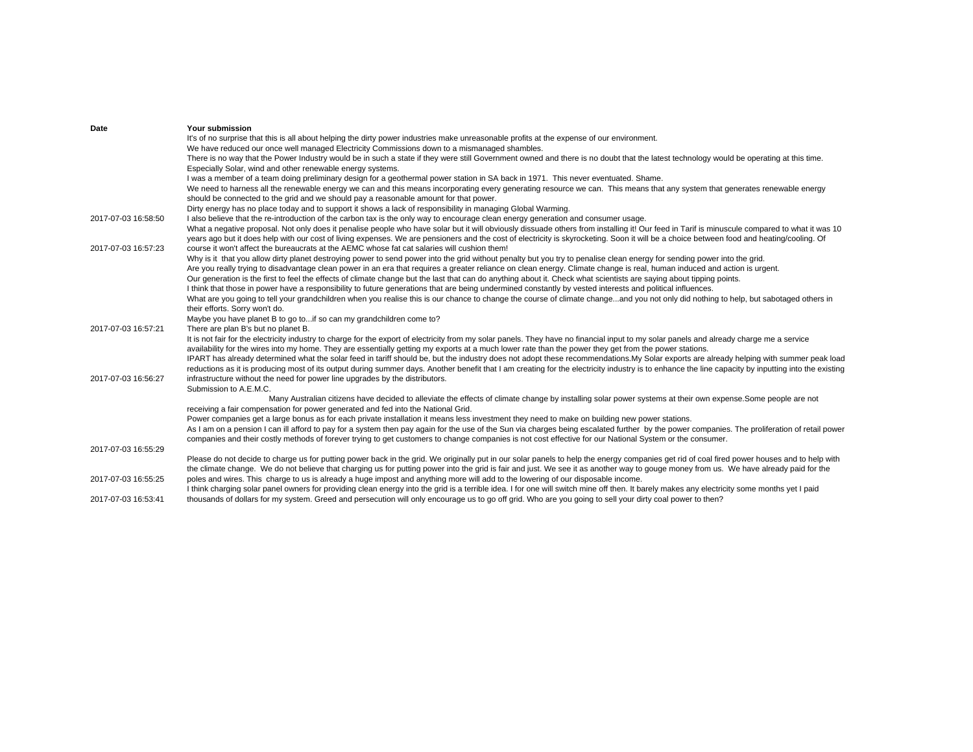| Date                | Your submission                                                                                                                                                                                                                                                       |
|---------------------|-----------------------------------------------------------------------------------------------------------------------------------------------------------------------------------------------------------------------------------------------------------------------|
|                     | It's of no surprise that this is all about helping the dirty power industries make unreasonable profits at the expense of our environment.                                                                                                                            |
|                     | We have reduced our once well managed Electricity Commissions down to a mismanaged shambles.                                                                                                                                                                          |
|                     | There is no way that the Power Industry would be in such a state if they were still Government owned and there is no doubt that the latest technology would be operating at this time.                                                                                |
|                     | Especially Solar, wind and other renewable energy systems.                                                                                                                                                                                                            |
|                     | I was a member of a team doing preliminary design for a geothermal power station in SA back in 1971. This never eventuated. Shame.                                                                                                                                    |
|                     | We need to harness all the renewable energy we can and this means incorporating every generating resource we can. This means that any system that generates renewable energy<br>should be connected to the grid and we should pay a reasonable amount for that power. |
|                     | Dirty energy has no place today and to support it shows a lack of responsibility in managing Global Warming.                                                                                                                                                          |
| 2017-07-03 16:58:50 | I also believe that the re-introduction of the carbon tax is the only way to encourage clean energy generation and consumer usage.                                                                                                                                    |
|                     | What a negative proposal. Not only does it penalise people who have solar but it will obviously dissuade others from installing it! Our feed in Tarif is minuscule compared to what it was 10                                                                         |
|                     | years ago but it does help with our cost of living expenses. We are pensioners and the cost of electricity is skyrocketing. Soon it will be a choice between food and heating/cooling. Of                                                                             |
| 2017-07-03 16:57:23 | course it won't affect the bureaucrats at the AEMC whose fat cat salaries will cushion them!                                                                                                                                                                          |
|                     | Why is it that you allow dirty planet destroying power to send power into the grid without penalty but you try to penalise clean energy for sending power into the grid.                                                                                              |
|                     | Are you really trying to disadvantage clean power in an era that requires a greater reliance on clean energy. Climate change is real, human induced and action is urgent.                                                                                             |
|                     | Our generation is the first to feel the effects of climate change but the last that can do anything about it. Check what scientists are saying about tipping points.                                                                                                  |
|                     | I think that those in power have a responsibility to future generations that are being undermined constantly by vested interests and political influences.                                                                                                            |
|                     | What are you going to tell your grandchildren when you realise this is our chance to change the course of climate changeand you not only did nothing to help, but sabotaged others in                                                                                 |
|                     | their efforts. Sorry won't do.                                                                                                                                                                                                                                        |
|                     | Maybe you have planet B to go toif so can my grandchildren come to?                                                                                                                                                                                                   |
| 2017-07-03 16:57:21 | There are plan B's but no planet B.                                                                                                                                                                                                                                   |
|                     | It is not fair for the electricity industry to charge for the export of electricity from my solar panels. They have no financial input to my solar panels and already charge me a service                                                                             |
|                     | availability for the wires into my home. They are essentially getting my exports at a much lower rate than the power they get from the power stations.                                                                                                                |
|                     | IPART has already determined what the solar feed in tariff should be, but the industry does not adopt these recommendations. My Solar exports are already helping with summer peak load                                                                               |
|                     | reductions as it is producing most of its output during summer days. Another benefit that I am creating for the electricity industry is to enhance the line capacity by inputting into the existing                                                                   |
| 2017-07-03 16:56:27 | infrastructure without the need for power line upgrades by the distributors.                                                                                                                                                                                          |
|                     | Submission to A.E.M.C.                                                                                                                                                                                                                                                |
|                     | Many Australian citizens have decided to alleviate the effects of climate change by installing solar power systems at their own expense. Some people are not                                                                                                          |
|                     | receiving a fair compensation for power generated and fed into the National Grid.                                                                                                                                                                                     |
|                     | Power companies get a large bonus as for each private installation it means less investment they need to make on building new power stations.                                                                                                                         |
|                     | As I am on a pension I can ill afford to pay for a system then pay again for the use of the Sun via charges being escalated further by the power companies. The proliferation of retail power                                                                         |
|                     | companies and their costly methods of forever trying to get customers to change companies is not cost effective for our National System or the consumer.                                                                                                              |
| 2017-07-03 16:55:29 |                                                                                                                                                                                                                                                                       |
|                     | Please do not decide to charge us for putting power back in the grid. We originally put in our solar panels to help the energy companies get rid of coal fired power houses and to help with                                                                          |
|                     | the climate change. We do not believe that charging us for putting power into the grid is fair and just. We see it as another way to gouge money from us. We have already paid for the                                                                                |
| 2017-07-03 16:55:25 | poles and wires. This charge to us is already a huge impost and anything more will add to the lowering of our disposable income.                                                                                                                                      |
|                     | I think charging solar panel owners for providing clean energy into the grid is a terrible idea. I for one will switch mine off then. It barely makes any electricity some months yet I paid                                                                          |
| 2017-07-03 16:53:41 | thousands of dollars for my system. Greed and persecution will only encourage us to go off grid. Who are you going to sell your dirty coal power to then?                                                                                                             |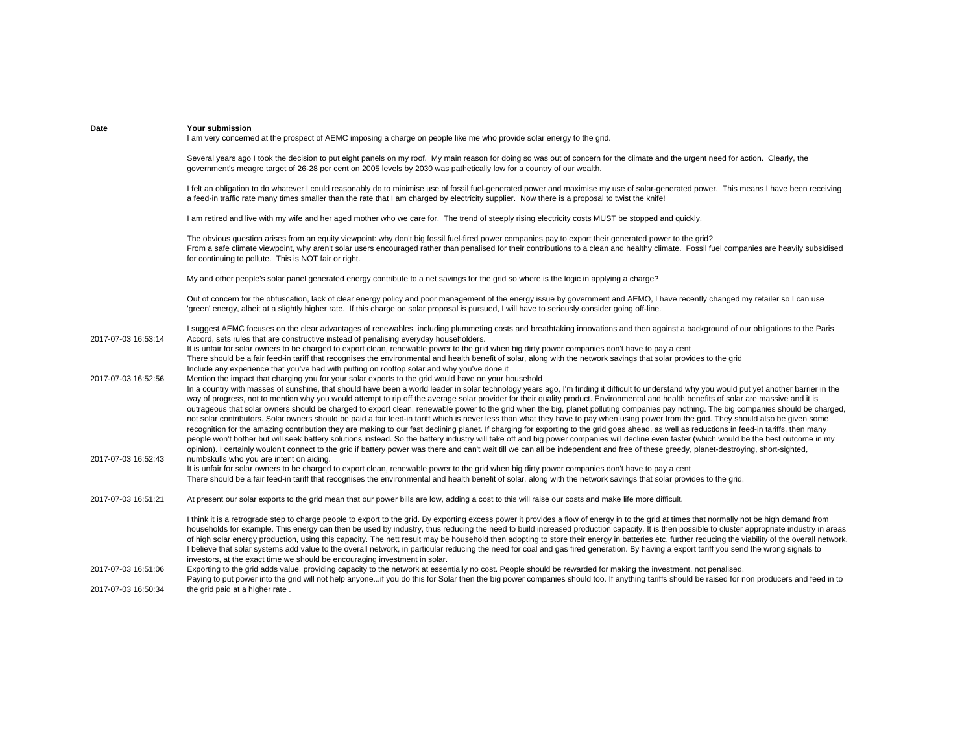| Date                | Your submission<br>I am very concerned at the prospect of AEMC imposing a charge on people like me who provide solar energy to the grid.                                                                                                                                                                                                                                                                                                                                                                                                                                                                                                                                                                                                                                                                                                                                                                                                                                                                                                                                                                                                                                                                                                                                                                                                                                                                                                                                                                                                                                      |
|---------------------|-------------------------------------------------------------------------------------------------------------------------------------------------------------------------------------------------------------------------------------------------------------------------------------------------------------------------------------------------------------------------------------------------------------------------------------------------------------------------------------------------------------------------------------------------------------------------------------------------------------------------------------------------------------------------------------------------------------------------------------------------------------------------------------------------------------------------------------------------------------------------------------------------------------------------------------------------------------------------------------------------------------------------------------------------------------------------------------------------------------------------------------------------------------------------------------------------------------------------------------------------------------------------------------------------------------------------------------------------------------------------------------------------------------------------------------------------------------------------------------------------------------------------------------------------------------------------------|
|                     | Several years ago I took the decision to put eight panels on my roof. My main reason for doing so was out of concern for the climate and the urgent need for action. Clearly, the<br>government's meagre target of 26-28 per cent on 2005 levels by 2030 was pathetically low for a country of our wealth.                                                                                                                                                                                                                                                                                                                                                                                                                                                                                                                                                                                                                                                                                                                                                                                                                                                                                                                                                                                                                                                                                                                                                                                                                                                                    |
|                     | I felt an obligation to do whatever I could reasonably do to minimise use of fossil fuel-generated power and maximise my use of solar-generated power. This means I have been receiving<br>a feed-in traffic rate many times smaller than the rate that I am charged by electricity supplier. Now there is a proposal to twist the knife!                                                                                                                                                                                                                                                                                                                                                                                                                                                                                                                                                                                                                                                                                                                                                                                                                                                                                                                                                                                                                                                                                                                                                                                                                                     |
|                     | I am retired and live with my wife and her aged mother who we care for. The trend of steeply rising electricity costs MUST be stopped and quickly.                                                                                                                                                                                                                                                                                                                                                                                                                                                                                                                                                                                                                                                                                                                                                                                                                                                                                                                                                                                                                                                                                                                                                                                                                                                                                                                                                                                                                            |
|                     | The obvious question arises from an equity viewpoint: why don't big fossil fuel-fired power companies pay to export their generated power to the grid?<br>From a safe climate viewpoint, why aren't solar users encouraged rather than penalised for their contributions to a clean and healthy climate. Fossil fuel companies are heavily subsidised<br>for continuing to pollute. This is NOT fair or right.                                                                                                                                                                                                                                                                                                                                                                                                                                                                                                                                                                                                                                                                                                                                                                                                                                                                                                                                                                                                                                                                                                                                                                |
|                     | My and other people's solar panel generated energy contribute to a net savings for the grid so where is the logic in applying a charge?                                                                                                                                                                                                                                                                                                                                                                                                                                                                                                                                                                                                                                                                                                                                                                                                                                                                                                                                                                                                                                                                                                                                                                                                                                                                                                                                                                                                                                       |
|                     | Out of concern for the obfuscation, lack of clear energy policy and poor management of the energy issue by government and AEMO, I have recently changed my retailer so I can use<br>'green' energy, albeit at a slightly higher rate. If this charge on solar proposal is pursued, I will have to seriously consider going off-line.                                                                                                                                                                                                                                                                                                                                                                                                                                                                                                                                                                                                                                                                                                                                                                                                                                                                                                                                                                                                                                                                                                                                                                                                                                          |
| 2017-07-03 16:53:14 | I suggest AEMC focuses on the clear advantages of renewables, including plummeting costs and breathtaking innovations and then against a background of our obligations to the Paris<br>Accord, sets rules that are constructive instead of penalising everyday householders.<br>It is unfair for solar owners to be charged to export clean, renewable power to the grid when big dirty power companies don't have to pay a cent<br>There should be a fair feed-in tariff that recognises the environmental and health benefit of solar, along with the network savings that solar provides to the grid                                                                                                                                                                                                                                                                                                                                                                                                                                                                                                                                                                                                                                                                                                                                                                                                                                                                                                                                                                       |
| 2017-07-03 16:52:56 | Include any experience that you've had with putting on rooftop solar and why you've done it<br>Mention the impact that charging you for your solar exports to the grid would have on your household<br>In a country with masses of sunshine, that should have been a world leader in solar technology years ago, I'm finding it difficult to understand why you would put yet another barrier in the<br>way of progress, not to mention why you would attempt to rip off the average solar provider for their quality product. Environmental and health benefits of solar are massive and it is<br>outrageous that solar owners should be charged to export clean, renewable power to the grid when the big, planet polluting companies pay nothing. The big companies should be charged,<br>not solar contributors. Solar owners should be paid a fair feed-in tariff which is never less than what they have to pay when using power from the grid. They should also be given some<br>recognition for the amazing contribution they are making to our fast declining planet. If charging for exporting to the grid goes ahead, as well as reductions in feed-in tariffs, then many<br>people won't bother but will seek battery solutions instead. So the battery industry will take off and big power companies will decline even faster (which would be the best outcome in my<br>opinion). I certainly wouldn't connect to the grid if battery power was there and can't wait till we can all be independent and free of these greedy, planet-destroying, short-sighted, |
| 2017-07-03 16:52:43 | numbskulls who you are intent on aiding.<br>It is unfair for solar owners to be charged to export clean, renewable power to the grid when big dirty power companies don't have to pay a cent<br>There should be a fair feed-in tariff that recognises the environmental and health benefit of solar, along with the network savings that solar provides to the grid.                                                                                                                                                                                                                                                                                                                                                                                                                                                                                                                                                                                                                                                                                                                                                                                                                                                                                                                                                                                                                                                                                                                                                                                                          |
| 2017-07-03 16:51:21 | At present our solar exports to the grid mean that our power bills are low, adding a cost to this will raise our costs and make life more difficult.                                                                                                                                                                                                                                                                                                                                                                                                                                                                                                                                                                                                                                                                                                                                                                                                                                                                                                                                                                                                                                                                                                                                                                                                                                                                                                                                                                                                                          |
|                     | I think it is a retrograde step to charge people to export to the grid. By exporting excess power it provides a flow of energy in to the grid at times that normally not be high demand from<br>households for example. This energy can then be used by industry, thus reducing the need to build increased production capacity. It is then possible to cluster appropriate industry in areas<br>of high solar energy production, using this capacity. The nett result may be household then adopting to store their energy in batteries etc, further reducing the viability of the overall network.<br>I believe that solar systems add value to the overall network, in particular reducing the need for coal and gas fired generation. By having a export tariff you send the wrong signals to<br>investors, at the exact time we should be encouraging investment in solar.                                                                                                                                                                                                                                                                                                                                                                                                                                                                                                                                                                                                                                                                                               |
| 2017-07-03 16:51:06 | Exporting to the grid adds value, providing capacity to the network at essentially no cost. People should be rewarded for making the investment, not penalised.<br>Paying to put power into the grid will not help anyoneif you do this for Solar then the big power companies should too. If anything tariffs should be raised for non producers and feed in to                                                                                                                                                                                                                                                                                                                                                                                                                                                                                                                                                                                                                                                                                                                                                                                                                                                                                                                                                                                                                                                                                                                                                                                                              |
| 2017-07-03 16:50:34 | the grid paid at a higher rate.                                                                                                                                                                                                                                                                                                                                                                                                                                                                                                                                                                                                                                                                                                                                                                                                                                                                                                                                                                                                                                                                                                                                                                                                                                                                                                                                                                                                                                                                                                                                               |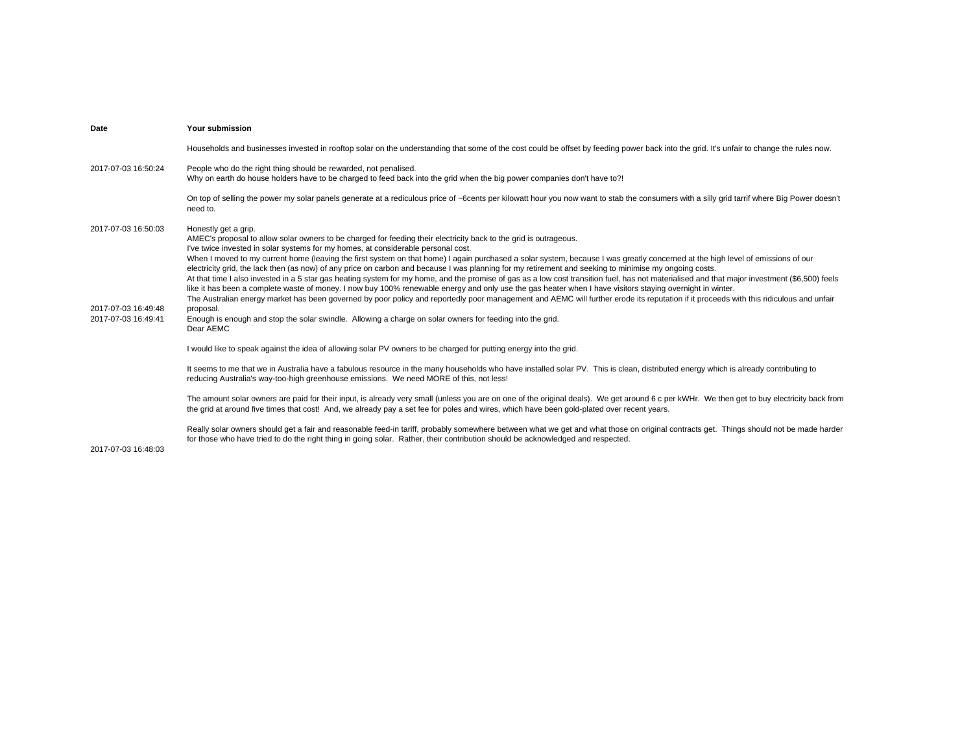| Date                                                              | Your submission                                                                                                                                                                                                                                                                                                                                                                                                                                                                                                                                                                                                                                                                                                                                                                                                                                                                                                                                                                                                                                                                                                                                                                                                                                                            |
|-------------------------------------------------------------------|----------------------------------------------------------------------------------------------------------------------------------------------------------------------------------------------------------------------------------------------------------------------------------------------------------------------------------------------------------------------------------------------------------------------------------------------------------------------------------------------------------------------------------------------------------------------------------------------------------------------------------------------------------------------------------------------------------------------------------------------------------------------------------------------------------------------------------------------------------------------------------------------------------------------------------------------------------------------------------------------------------------------------------------------------------------------------------------------------------------------------------------------------------------------------------------------------------------------------------------------------------------------------|
|                                                                   | Households and businesses invested in rooftop solar on the understanding that some of the cost could be offset by feeding power back into the grid. It's unfair to change the rules now.                                                                                                                                                                                                                                                                                                                                                                                                                                                                                                                                                                                                                                                                                                                                                                                                                                                                                                                                                                                                                                                                                   |
| 2017-07-03 16:50:24                                               | People who do the right thing should be rewarded, not penalised.<br>Why on earth do house holders have to be charged to feed back into the grid when the big power companies don't have to?!                                                                                                                                                                                                                                                                                                                                                                                                                                                                                                                                                                                                                                                                                                                                                                                                                                                                                                                                                                                                                                                                               |
|                                                                   | On top of selling the power my solar panels generate at a rediculous price of ~6cents per kilowatt hour you now want to stab the consumers with a silly grid tarrif where Big Power doesn't<br>need to.                                                                                                                                                                                                                                                                                                                                                                                                                                                                                                                                                                                                                                                                                                                                                                                                                                                                                                                                                                                                                                                                    |
| 2017-07-03 16:50:03<br>2017-07-03 16:49:48<br>2017-07-03 16:49:41 | Honestly get a grip.<br>AMEC's proposal to allow solar owners to be charged for feeding their electricity back to the grid is outrageous.<br>I've twice invested in solar systems for my homes, at considerable personal cost.<br>When I moved to my current home (leaving the first system on that home) I again purchased a solar system, because I was greatly concerned at the high level of emissions of our<br>electricity grid, the lack then (as now) of any price on carbon and because I was planning for my retirement and seeking to minimise my ongoing costs.<br>At that time I also invested in a 5 star gas heating system for my home, and the promise of gas as a low cost transition fuel, has not materialised and that major investment (\$6,500) feels<br>like it has been a complete waste of money. I now buy 100% renewable energy and only use the gas heater when I have visitors staying overnight in winter.<br>The Australian energy market has been governed by poor policy and reportedly poor management and AEMC will further erode its reputation if it proceeds with this ridiculous and unfair<br>proposal.<br>Enough is enough and stop the solar swindle. Allowing a charge on solar owners for feeding into the grid.<br>Dear AEMC |
|                                                                   | I would like to speak against the idea of allowing solar PV owners to be charged for putting energy into the grid.                                                                                                                                                                                                                                                                                                                                                                                                                                                                                                                                                                                                                                                                                                                                                                                                                                                                                                                                                                                                                                                                                                                                                         |
|                                                                   | It seems to me that we in Australia have a fabulous resource in the many households who have installed solar PV. This is clean, distributed energy which is already contributing to<br>reducing Australia's way-too-high greenhouse emissions. We need MORE of this, not less!                                                                                                                                                                                                                                                                                                                                                                                                                                                                                                                                                                                                                                                                                                                                                                                                                                                                                                                                                                                             |
|                                                                   | The amount solar owners are paid for their input, is already very small (unless you are on one of the original deals). We get around 6 c per kWHr. We then get to buy electricity back from<br>the grid at around five times that cost! And, we already pay a set fee for poles and wires, which have been gold-plated over recent years.                                                                                                                                                                                                                                                                                                                                                                                                                                                                                                                                                                                                                                                                                                                                                                                                                                                                                                                                  |
|                                                                   | Really solar owners should get a fair and reasonable feed-in tariff, probably somewhere between what we get and what those on original contracts get. Things should not be made harder<br>for those who have tried to do the right thing in going solar. Rather, their contribution should be acknowledged and respected.                                                                                                                                                                                                                                                                                                                                                                                                                                                                                                                                                                                                                                                                                                                                                                                                                                                                                                                                                  |

2017-07-03 16:48:03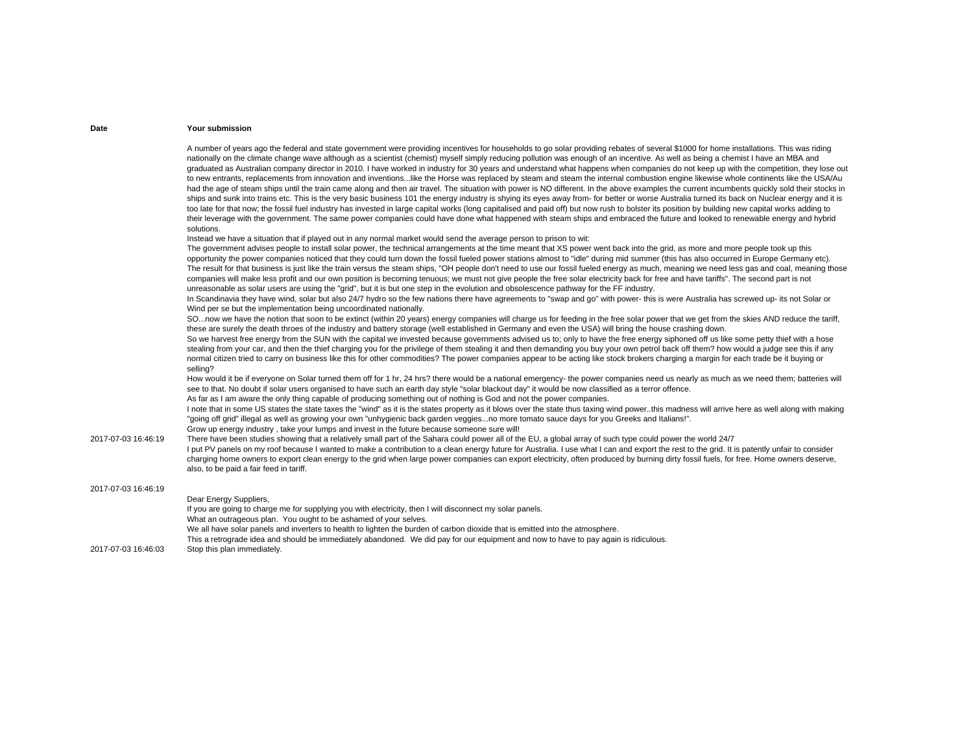|                     | A number of years ago the federal and state government were providing incentives for households to go solar providing rebates of several \$1000 for home installations. This was riding<br>nationally on the climate change wave although as a scientist (chemist) myself simply reducing pollution was enough of an incentive. As well as being a chemist I have an MBA and<br>graduated as Australian company director in 2010. I have worked in industry for 30 years and understand what happens when companies do not keep up with the competition, they lose out<br>to new entrants, replacements from innovation and inventionslike the Horse was replaced by steam and steam the internal combustion engine likewise whole continents like the USA/Au<br>had the age of steam ships until the train came along and then air travel. The situation with power is NO different. In the above examples the current incumbents quickly sold their stocks in<br>ships and sunk into trains etc. This is the very basic business 101 the energy industry is shying its eyes away from- for better or worse Australia turned its back on Nuclear energy and it is<br>too late for that now; the fossil fuel industry has invested in large capital works (long capitalised and paid off) but now rush to bolster its position by building new capital works adding to<br>their leverage with the government. The same power companies could have done what happened with steam ships and embraced the future and looked to renewable energy and hybrid<br>solutions. |
|---------------------|-----------------------------------------------------------------------------------------------------------------------------------------------------------------------------------------------------------------------------------------------------------------------------------------------------------------------------------------------------------------------------------------------------------------------------------------------------------------------------------------------------------------------------------------------------------------------------------------------------------------------------------------------------------------------------------------------------------------------------------------------------------------------------------------------------------------------------------------------------------------------------------------------------------------------------------------------------------------------------------------------------------------------------------------------------------------------------------------------------------------------------------------------------------------------------------------------------------------------------------------------------------------------------------------------------------------------------------------------------------------------------------------------------------------------------------------------------------------------------------------------------------------------------------------------------------------------|
|                     | Instead we have a situation that if played out in any normal market would send the average person to prison to wit:                                                                                                                                                                                                                                                                                                                                                                                                                                                                                                                                                                                                                                                                                                                                                                                                                                                                                                                                                                                                                                                                                                                                                                                                                                                                                                                                                                                                                                                   |
|                     | The government advises people to install solar power, the technical arrangements at the time meant that XS power went back into the grid, as more and more people took up this<br>opportunity the power companies noticed that they could turn down the fossil fueled power stations almost to "idle" during mid summer (this has also occurred in Europe Germany etc).<br>The result for that business is just like the train versus the steam ships, "OH people don't need to use our fossil fueled energy as much, meaning we need less gas and coal, meaning those<br>companies will make less profit and our own position is becoming tenuous; we must not give people the free solar electricity back for free and have tariffs". The second part is not<br>unreasonable as solar users are using the "grid", but it is but one step in the evolution and obsolescence pathway for the FF industry.                                                                                                                                                                                                                                                                                                                                                                                                                                                                                                                                                                                                                                                             |
|                     | In Scandinavia they have wind, solar but also 24/7 hydro so the few nations there have agreements to "swap and go" with power- this is were Australia has screwed up- its not Solar or<br>Wind per se but the implementation being uncoordinated nationally.                                                                                                                                                                                                                                                                                                                                                                                                                                                                                                                                                                                                                                                                                                                                                                                                                                                                                                                                                                                                                                                                                                                                                                                                                                                                                                          |
|                     | SOnow we have the notion that soon to be extinct (within 20 years) energy companies will charge us for feeding in the free solar power that we get from the skies AND reduce the tariff,<br>these are surely the death throes of the industry and battery storage (well established in Germany and even the USA) will bring the house crashing down.                                                                                                                                                                                                                                                                                                                                                                                                                                                                                                                                                                                                                                                                                                                                                                                                                                                                                                                                                                                                                                                                                                                                                                                                                  |
|                     | So we harvest free energy from the SUN with the capital we invested because governments advised us to; only to have the free energy siphoned off us like some petty thief with a hose<br>stealing from your car, and then the thief charging you for the privilege of them stealing it and then demanding you buy your own petrol back off them? how would a judge see this if any<br>normal citizen tried to carry on business like this for other commodities? The power companies appear to be acting like stock brokers charging a margin for each trade be it buying or<br>selling?                                                                                                                                                                                                                                                                                                                                                                                                                                                                                                                                                                                                                                                                                                                                                                                                                                                                                                                                                                              |
|                     | How would it be if everyone on Solar turned them off for 1 hr, 24 hrs? there would be a national emergency- the power companies need us nearly as much as we need them; batteries will<br>see to that. No doubt if solar users organised to have such an earth day style "solar blackout day" it would be now classified as a terror offence.                                                                                                                                                                                                                                                                                                                                                                                                                                                                                                                                                                                                                                                                                                                                                                                                                                                                                                                                                                                                                                                                                                                                                                                                                         |
|                     | As far as I am aware the only thing capable of producing something out of nothing is God and not the power companies.                                                                                                                                                                                                                                                                                                                                                                                                                                                                                                                                                                                                                                                                                                                                                                                                                                                                                                                                                                                                                                                                                                                                                                                                                                                                                                                                                                                                                                                 |
|                     | I note that in some US states the state taxes the "wind" as it is the states property as it blows over the state thus taxing wind powerthis madness will arrive here as well along with making<br>"going off grid" illegal as well as growing your own "unhygienic back garden veggiesno more tomato sauce days for you Greeks and Italians!".<br>Grow up energy industry, take your lumps and invest in the future because someone sure will!                                                                                                                                                                                                                                                                                                                                                                                                                                                                                                                                                                                                                                                                                                                                                                                                                                                                                                                                                                                                                                                                                                                        |
| 2017-07-03 16:46:19 | There have been studies showing that a relatively small part of the Sahara could power all of the EU, a global array of such type could power the world 24/7<br>I put PV panels on my roof because I wanted to make a contribution to a clean energy future for Australia. I use what I can and export the rest to the grid. It is patently unfair to consider<br>charging home owners to export clean energy to the grid when large power companies can export electricity, often produced by burning dirty fossil fuels, for free. Home owners deserve,<br>also, to be paid a fair feed in tariff.                                                                                                                                                                                                                                                                                                                                                                                                                                                                                                                                                                                                                                                                                                                                                                                                                                                                                                                                                                  |
| 2017-07-03 16:46:19 |                                                                                                                                                                                                                                                                                                                                                                                                                                                                                                                                                                                                                                                                                                                                                                                                                                                                                                                                                                                                                                                                                                                                                                                                                                                                                                                                                                                                                                                                                                                                                                       |
|                     | Dear Energy Suppliers,<br>If you are going to charge me for supplying you with electricity, then I will disconnect my solar panels.<br>What an outrageous plan. You ought to be ashamed of your selves.<br>We all have solar panels and inverters to health to lighten the burden of carbon dioxide that is emitted into the atmosphere.                                                                                                                                                                                                                                                                                                                                                                                                                                                                                                                                                                                                                                                                                                                                                                                                                                                                                                                                                                                                                                                                                                                                                                                                                              |
| 2017-07-03 16:46:03 | This a retrograde idea and should be immediately abandoned. We did pay for our equipment and now to have to pay again is ridiculous.<br>Stop this plan immediately.                                                                                                                                                                                                                                                                                                                                                                                                                                                                                                                                                                                                                                                                                                                                                                                                                                                                                                                                                                                                                                                                                                                                                                                                                                                                                                                                                                                                   |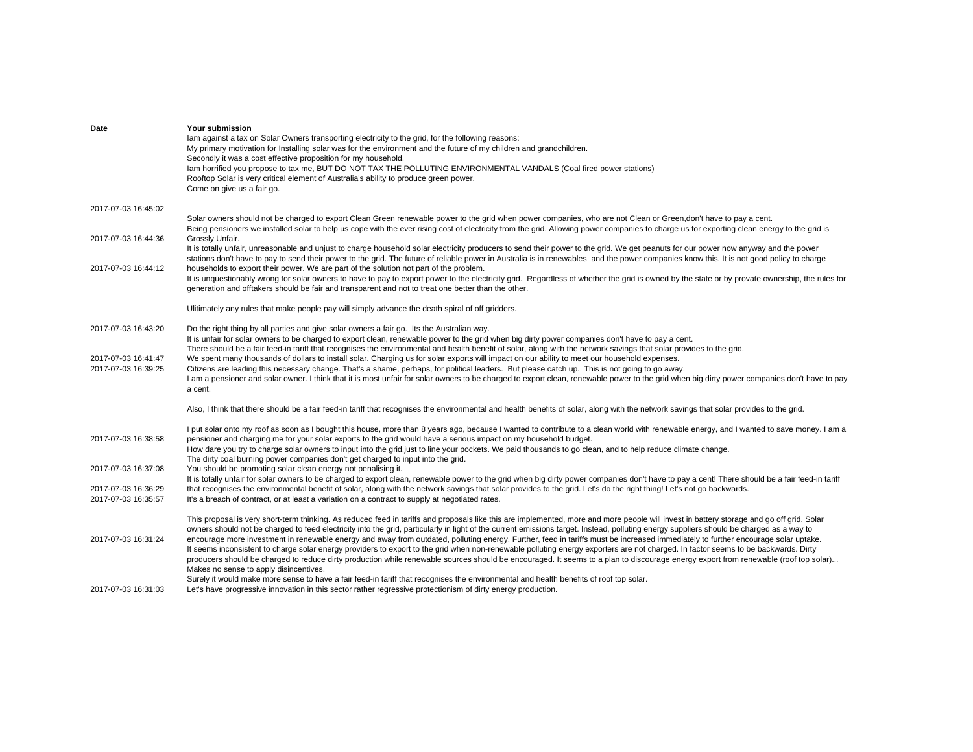| Date                | Your submission                                                                                                                                                                                 |
|---------------------|-------------------------------------------------------------------------------------------------------------------------------------------------------------------------------------------------|
|                     | lam against a tax on Solar Owners transporting electricity to the grid, for the following reasons:                                                                                              |
|                     | My primary motivation for Installing solar was for the environment and the future of my children and grandchildren.                                                                             |
|                     | Secondly it was a cost effective proposition for my household.                                                                                                                                  |
|                     | lam horrified you propose to tax me, BUT DO NOT TAX THE POLLUTING ENVIRONMENTAL VANDALS (Coal fired power stations)                                                                             |
|                     | Rooftop Solar is very critical element of Australia's ability to produce green power.                                                                                                           |
|                     | Come on give us a fair go.                                                                                                                                                                      |
|                     |                                                                                                                                                                                                 |
| 2017-07-03 16:45:02 |                                                                                                                                                                                                 |
|                     | Solar owners should not be charged to export Clean Green renewable power to the grid when power companies, who are not Clean or Green,don't have to pay a cent.                                 |
|                     |                                                                                                                                                                                                 |
|                     | Being pensioners we installed solar to help us cope with the ever rising cost of electricity from the grid. Allowing power companies to charge us for exporting clean energy to the grid is     |
| 2017-07-03 16:44:36 | Grossly Unfair.                                                                                                                                                                                 |
|                     | It is totally unfair, unreasonable and unjust to charge household solar electricity producers to send their power to the grid. We get peanuts for our power now anyway and the power            |
|                     | stations don't have to pay to send their power to the grid. The future of reliable power in Australia is in renewables and the power companies know this. It is not good policy to charge       |
| 2017-07-03 16:44:12 | households to export their power. We are part of the solution not part of the problem.                                                                                                          |
|                     | It is unquestionably wrong for solar owners to have to pay to export power to the electricity grid. Regardless of whether the grid is owned by the state or by provate ownership, the rules for |
|                     | generation and offtakers should be fair and transparent and not to treat one better than the other.                                                                                             |
|                     |                                                                                                                                                                                                 |
|                     | Ulitimately any rules that make people pay will simply advance the death spiral of off gridders.                                                                                                |
| 2017-07-03 16:43:20 | Do the right thing by all parties and give solar owners a fair go. Its the Australian way.                                                                                                      |
|                     | It is unfair for solar owners to be charged to export clean, renewable power to the grid when big dirty power companies don't have to pay a cent.                                               |
|                     | There should be a fair feed-in tariff that recognises the environmental and health benefit of solar, along with the network savings that solar provides to the grid.                            |
|                     |                                                                                                                                                                                                 |
| 2017-07-03 16:41:47 | We spent many thousands of dollars to install solar. Charging us for solar exports will impact on our ability to meet our household expenses.                                                   |
| 2017-07-03 16:39:25 | Citizens are leading this necessary change. That's a shame, perhaps, for political leaders. But please catch up. This is not going to go away.                                                  |
|                     | I am a pensioner and solar owner. I think that it is most unfair for solar owners to be charged to export clean, renewable power to the grid when big dirty power companies don't have to pay   |
|                     | a cent.                                                                                                                                                                                         |
|                     | Also, I think that there should be a fair feed-in tariff that recognises the environmental and health benefits of solar, along with the network savings that solar provides to the grid.        |
|                     |                                                                                                                                                                                                 |
|                     | I put solar onto my roof as soon as I bought this house, more than 8 years ago, because I wanted to contribute to a clean world with renewable energy, and I wanted to save money. I am a       |
| 2017-07-03 16:38:58 | pensioner and charging me for your solar exports to the grid would have a serious impact on my household budget.                                                                                |
|                     | How dare you try to charge solar owners to input into the grid, just to line your pockets. We paid thousands to go clean, and to help reduce climate change.                                    |
|                     | The dirty coal burning power companies don't get charged to input into the grid.                                                                                                                |
| 2017-07-03 16:37:08 | You should be promoting solar clean energy not penalising it.                                                                                                                                   |
|                     | It is totally unfair for solar owners to be charged to export clean, renewable power to the grid when big dirty power companies don't have to pay a cent! There should be a fair feed-in tariff |
| 2017-07-03 16:36:29 | that recognises the environmental benefit of solar, along with the network savings that solar provides to the grid. Let's do the right thing! Let's not go backwards.                           |
| 2017-07-03 16:35:57 | It's a breach of contract, or at least a variation on a contract to supply at negotiated rates.                                                                                                 |
|                     |                                                                                                                                                                                                 |
|                     | This proposal is very short-term thinking. As reduced feed in tariffs and proposals like this are implemented, more and more people will invest in battery storage and go off grid. Solar       |
|                     | owners should not be charged to feed electricity into the grid, particularly in light of the current emissions target. Instead, polluting energy suppliers should be charged as a way to        |
| 2017-07-03 16:31:24 | encourage more investment in renewable energy and away from outdated, polluting energy. Further, feed in tariffs must be increased immediately to further encourage solar uptake.               |
|                     | It seems inconsistent to charge solar energy providers to export to the grid when non-renewable polluting energy exporters are not charged. In factor seems to be backwards. Dirty              |
|                     | producers should be charged to reduce dirty production while renewable sources should be encouraged. It seems to a plan to discourage energy export from renewable (roof top solar)             |
|                     | Makes no sense to apply disincentives.                                                                                                                                                          |
|                     | Surely it would make more sense to have a fair feed-in tariff that recognises the environmental and health benefits of roof top solar.                                                          |
| 2017-07-03 16:31:03 | Let's have progressive innovation in this sector rather regressive protectionism of dirty energy production.                                                                                    |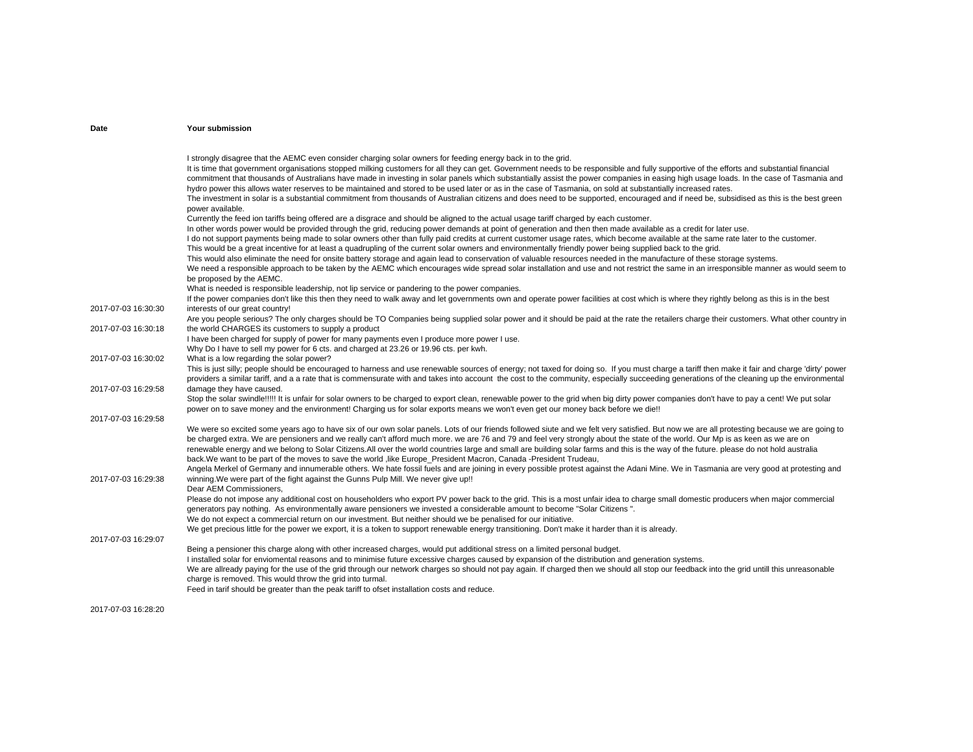# 2017-07-03 16:30:30I strongly disagree that the AEMC even consider charging solar owners for feeding energy back in to the grid. It is time that government organisations stopped milking customers for all they can get. Government needs to be responsible and fully supportive of the efforts and substantial financial commitment that thousands of Australians have made in investing in solar panels which substantially assist the power companies in easing high usage loads. In the case of Tasmania and hydro power this allows water reserves to be maintained and stored to be used later or as in the case of Tasmania, on sold at substantially increased rates. The investment in solar is a substantial commitment from thousands of Australian citizens and does need to be supported, encouraged and if need be, subsidised as this is the best green power available. Currently the feed ion tariffs being offered are a disgrace and should be aligned to the actual usage tariff charged by each customer. In other words power would be provided through the grid, reducing power demands at point of generation and then then made available as a credit for later use. I do not support payments being made to solar owners other than fully paid credits at current customer usage rates, which become available at the same rate later to the customer. This would be a great incentive for at least a quadrupling of the current solar owners and environmentally friendly power being supplied back to the grid. This would also eliminate the need for onsite battery storage and again lead to conservation of valuable resources needed in the manufacture of these storage systems. We need a responsible approach to be taken by the AEMC which encourages wide spread solar installation and use and not restrict the same in an irresponsible manner as would seem to be proposed by the AEMC. What is needed is responsible leadership, not lip service or pandering to the power companies. If the power companies don't like this then they need to walk away and let governments own and operate power facilities at cost which is where they rightly belong as this is in the best interests of our great country! 2017-07-03 16:30:18Are you people serious? The only charges should be TO Companies being supplied solar power and it should be paid at the rate the retailers charge their customers. What other country in the world CHARGES its customers to supply a product 2017-07-03 16:30:02I have been charged for supply of power for many payments even I produce more power I use. Why Do I have to sell my power for 6 cts. and charged at 23.26 or 19.96 cts. per kwh. What is a low regarding the solar power? 2017-07-03 16:29:58This is just silly; people should be encouraged to harness and use renewable sources of energy; not taxed for doing so. If you must charge a tariff then make it fair and charge 'dirty' power providers a similar tariff, and a a rate that is commensurate with and takes into account the cost to the community, especially succeeding generations of the cleaning up the environmental damage they have caused. 2017-07-03 16:29:58Stop the solar swindle!!!!! It is unfair for solar owners to be charged to export clean, renewable power to the grid when big dirty power companies don't have to pay a cent! We put solar power on to save money and the environment! Charging us for solar exports means we won't even get our money back before we die!! 2017-07-03 16:29:38We were so excited some vears ago to have six of our own solar panels. Lots of our friends followed siute and we felt very satisfied. But now we are all protesting because we are going to be charged extra. We are pensioners and we really can't afford much more. we are 76 and 79 and feel very strongly about the state of the world. Our Mp is as keen as we are on renewable energy and we belong to Solar Citizens.All over the world countries large and small are building solar farms and this is the way of the future. please do not hold australia back.We want to be part of the moves to save the world , like Europe President Macron, Canada -President Trudeau, Angela Merkel of Germany and innumerable others. We hate fossil fuels and are joining in every possible protest against the Adani Mine. We in Tasmania are very good at protesting and winning. We were part of the fight against the Gunns Pulp Mill. We never give up!! 2017-07-03 16:29:07Dear AEM Commissioners, Please do not impose any additional cost on householders who export PV power back to the grid. This is a most unfair idea to charge small domestic producers when major commercial generators pay nothing. As environmentally aware pensioners we invested a considerable amount to become "Solar Citizens ". We do not expect a commercial return on our investment. But neither should we be penalised for our initiative. We get precious little for the power we export, it is a token to support renewable energy transitioning. Don't make it harder than it is already. Being a pensioner this charge along with other increased charges, would put additional stress on a limited personal budget. I installed solar for enviomental reasons and to minimise future excessive charges caused by expansion of the distribution and generation systems. We are allready paying for the use of the grid through our network charges so should not pay again. If charged then we should all stop our feedback into the grid untill this unreasonable charge is removed. This would throw the grid into turmal. Feed in tarif should be greater than the peak tariff to ofset installation costs and reduce.

2017-07-03 16:28:20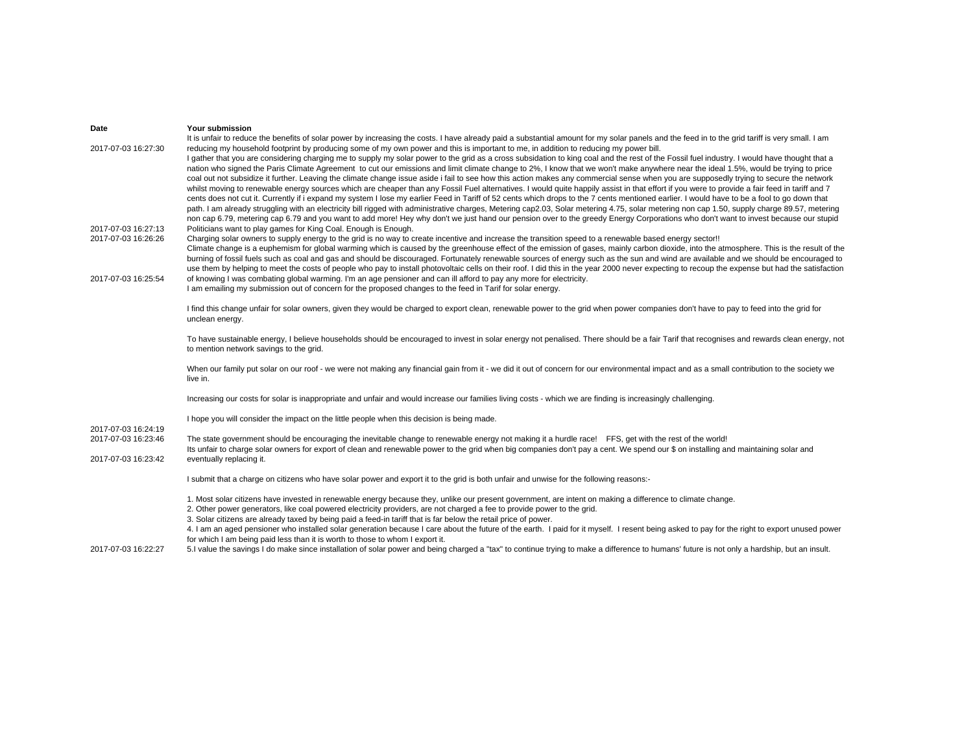| Date                                                              | Your submission                                                                                                                                                                                                                                                                                                                                                                                                                                                                                                                                                                                                                                                                                                                                                                                                                                                                                                                                                                                                                                                                                                                                                                                                                                                                                                                                                                                                                                                                                                                                                                                                                                                                                                                                                                                                                                                                                                                                 |
|-------------------------------------------------------------------|-------------------------------------------------------------------------------------------------------------------------------------------------------------------------------------------------------------------------------------------------------------------------------------------------------------------------------------------------------------------------------------------------------------------------------------------------------------------------------------------------------------------------------------------------------------------------------------------------------------------------------------------------------------------------------------------------------------------------------------------------------------------------------------------------------------------------------------------------------------------------------------------------------------------------------------------------------------------------------------------------------------------------------------------------------------------------------------------------------------------------------------------------------------------------------------------------------------------------------------------------------------------------------------------------------------------------------------------------------------------------------------------------------------------------------------------------------------------------------------------------------------------------------------------------------------------------------------------------------------------------------------------------------------------------------------------------------------------------------------------------------------------------------------------------------------------------------------------------------------------------------------------------------------------------------------------------|
| 2017-07-03 16:27:30<br>2017-07-03 16:27:13<br>2017-07-03 16:26:26 | It is unfair to reduce the benefits of solar power by increasing the costs. I have already paid a substantial amount for my solar panels and the feed in to the grid tariff is very small. I am<br>reducing my household footprint by producing some of my own power and this is important to me, in addition to reducing my power bill.<br>I gather that you are considering charging me to supply my solar power to the grid as a cross subsidation to king coal and the rest of the Fossil fuel industry. I would have thought that a<br>nation who signed the Paris Climate Agreement to cut our emissions and limit climate change to 2%, I know that we won't make anywhere near the ideal 1.5%, would be trying to price<br>coal out not subsidize it further. Leaving the climate change issue aside i fail to see how this action makes any commercial sense when you are supposedly trying to secure the network<br>whilst moving to renewable energy sources which are cheaper than any Fossil Fuel alternatives. I would quite happily assist in that effort if you were to provide a fair feed in tariff and 7<br>cents does not cut it. Currently if i expand my system I lose my earlier Feed in Tariff of 52 cents which drops to the 7 cents mentioned earlier. I would have to be a fool to go down that<br>path. I am already struggling with an electricity bill rigged with administrative charges, Metering cap2.03, Solar metering 4.75, solar metering non cap 1.50, supply charge 89.57, metering<br>non cap 6.79, metering cap 6.79 and you want to add more! Hey why don't we just hand our pension over to the greedy Energy Corporations who don't want to invest because our stupid<br>Politicians want to play games for King Coal. Enough is Enough.<br>Charging solar owners to supply energy to the grid is no way to create incentive and increase the transition speed to a renewable based energy sector!! |
| 2017-07-03 16:25:54                                               | Climate change is a euphemism for global warming which is caused by the greenhouse effect of the emission of gases, mainly carbon dioxide, into the atmosphere. This is the result of the<br>burning of fossil fuels such as coal and gas and should be discouraged. Fortunately renewable sources of energy such as the sun and wind are available and we should be encouraged to<br>use them by helping to meet the costs of people who pay to install photovoltaic cells on their roof. I did this in the year 2000 never expecting to recoup the expense but had the satisfaction<br>of knowing I was combating global warming. I'm an age pensioner and can ill afford to pay any more for electricity.<br>I am emailing my submission out of concern for the proposed changes to the feed in Tarif for solar energy.                                                                                                                                                                                                                                                                                                                                                                                                                                                                                                                                                                                                                                                                                                                                                                                                                                                                                                                                                                                                                                                                                                                      |
|                                                                   | I find this change unfair for solar owners, given they would be charged to export clean, renewable power to the grid when power companies don't have to pay to feed into the grid for<br>unclean energy.                                                                                                                                                                                                                                                                                                                                                                                                                                                                                                                                                                                                                                                                                                                                                                                                                                                                                                                                                                                                                                                                                                                                                                                                                                                                                                                                                                                                                                                                                                                                                                                                                                                                                                                                        |
|                                                                   | To have sustainable energy, I believe households should be encouraged to invest in solar energy not penalised. There should be a fair Tarif that recognises and rewards clean energy, not<br>to mention network savings to the grid.                                                                                                                                                                                                                                                                                                                                                                                                                                                                                                                                                                                                                                                                                                                                                                                                                                                                                                                                                                                                                                                                                                                                                                                                                                                                                                                                                                                                                                                                                                                                                                                                                                                                                                            |
|                                                                   | When our family put solar on our roof - we were not making any financial gain from it - we did it out of concern for our environmental impact and as a small contribution to the society we<br>live in.                                                                                                                                                                                                                                                                                                                                                                                                                                                                                                                                                                                                                                                                                                                                                                                                                                                                                                                                                                                                                                                                                                                                                                                                                                                                                                                                                                                                                                                                                                                                                                                                                                                                                                                                         |
|                                                                   | Increasing our costs for solar is inappropriate and unfair and would increase our families living costs - which we are finding is increasingly challenging.                                                                                                                                                                                                                                                                                                                                                                                                                                                                                                                                                                                                                                                                                                                                                                                                                                                                                                                                                                                                                                                                                                                                                                                                                                                                                                                                                                                                                                                                                                                                                                                                                                                                                                                                                                                     |
|                                                                   | I hope you will consider the impact on the little people when this decision is being made.                                                                                                                                                                                                                                                                                                                                                                                                                                                                                                                                                                                                                                                                                                                                                                                                                                                                                                                                                                                                                                                                                                                                                                                                                                                                                                                                                                                                                                                                                                                                                                                                                                                                                                                                                                                                                                                      |
| 2017-07-03 16:24:19<br>2017-07-03 16:23:46<br>2017-07-03 16:23:42 | The state government should be encouraging the inevitable change to renewable energy not making it a hurdle race! FFS, get with the rest of the world!<br>Its unfair to charge solar owners for export of clean and renewable power to the grid when big companies don't pay a cent. We spend our \$ on installing and maintaining solar and<br>eventually replacing it.                                                                                                                                                                                                                                                                                                                                                                                                                                                                                                                                                                                                                                                                                                                                                                                                                                                                                                                                                                                                                                                                                                                                                                                                                                                                                                                                                                                                                                                                                                                                                                        |
|                                                                   | I submit that a charge on citizens who have solar power and export it to the grid is both unfair and unwise for the following reasons:-                                                                                                                                                                                                                                                                                                                                                                                                                                                                                                                                                                                                                                                                                                                                                                                                                                                                                                                                                                                                                                                                                                                                                                                                                                                                                                                                                                                                                                                                                                                                                                                                                                                                                                                                                                                                         |
|                                                                   | 1. Most solar citizens have invested in renewable energy because they, unlike our present government, are intent on making a difference to climate change.<br>2. Other power generators, like coal powered electricity providers, are not charged a fee to provide power to the grid.<br>3. Solar citizens are already taxed by being paid a feed-in tariff that is far below the retail price of power.<br>4. I am an aged pensioner who installed solar generation because I care about the future of the earth. I paid for it myself. I resent being asked to pay for the right to export unused power<br>for which I am being paid less than it is worth to those to whom I export it.                                                                                                                                                                                                                                                                                                                                                                                                                                                                                                                                                                                                                                                                                                                                                                                                                                                                                                                                                                                                                                                                                                                                                                                                                                                      |
| 2017-07-03 16:22:27                                               | 5.I value the savings I do make since installation of solar power and being charged a "tax" to continue trying to make a difference to humans' future is not only a hardship, but an insult.                                                                                                                                                                                                                                                                                                                                                                                                                                                                                                                                                                                                                                                                                                                                                                                                                                                                                                                                                                                                                                                                                                                                                                                                                                                                                                                                                                                                                                                                                                                                                                                                                                                                                                                                                    |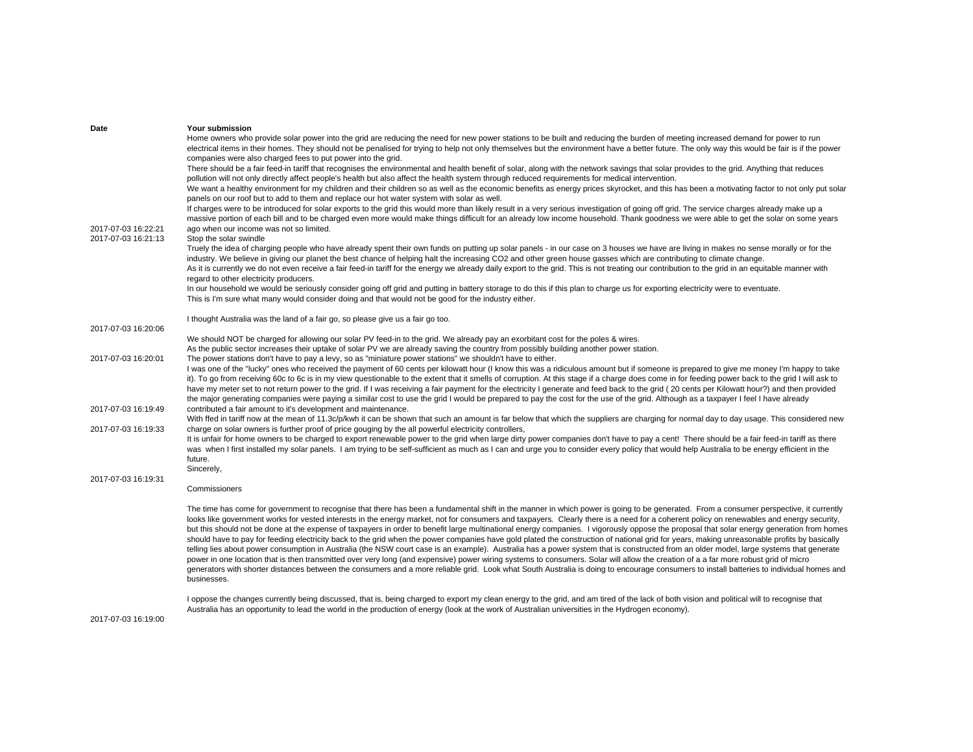| Date                | Your submission                                                                                                                                                                                                                                                                                                                                                                                                                                                                                                                                                                  |
|---------------------|----------------------------------------------------------------------------------------------------------------------------------------------------------------------------------------------------------------------------------------------------------------------------------------------------------------------------------------------------------------------------------------------------------------------------------------------------------------------------------------------------------------------------------------------------------------------------------|
|                     | Home owners who provide solar power into the grid are reducing the need for new power stations to be built and reducing the burden of meeting increased demand for power to run                                                                                                                                                                                                                                                                                                                                                                                                  |
|                     | electrical items in their homes. They should not be penalised for trying to help not only themselves but the environment have a better future. The only way this would be fair is if the power                                                                                                                                                                                                                                                                                                                                                                                   |
|                     | companies were also charged fees to put power into the grid.                                                                                                                                                                                                                                                                                                                                                                                                                                                                                                                     |
|                     | There should be a fair feed-in tariff that recognises the environmental and health benefit of solar, along with the network savings that solar provides to the grid. Anything that reduces                                                                                                                                                                                                                                                                                                                                                                                       |
|                     | pollution will not only directly affect people's health but also affect the health system through reduced requirements for medical intervention.                                                                                                                                                                                                                                                                                                                                                                                                                                 |
|                     | We want a healthy environment for my children and their children so as well as the economic benefits as energy prices skyrocket, and this has been a motivating factor to not only put solar<br>panels on our roof but to add to them and replace our hot water system with solar as well.                                                                                                                                                                                                                                                                                       |
| 2017-07-03 16:22:21 | If charges were to be introduced for solar exports to the grid this would more than likely result in a very serious investigation of going off grid. The service charges already make up a<br>massive portion of each bill and to be charged even more would make things difficult for an already low income household. Thank goodness we were able to get the solar on some years<br>ago when our income was not so limited.                                                                                                                                                    |
| 2017-07-03 16:21:13 | Stop the solar swindle                                                                                                                                                                                                                                                                                                                                                                                                                                                                                                                                                           |
|                     | Truely the idea of charging people who have already spent their own funds on putting up solar panels - in our case on 3 houses we have are living in makes no sense morally or for the                                                                                                                                                                                                                                                                                                                                                                                           |
|                     | industry. We believe in giving our planet the best chance of helping halt the increasing CO2 and other green house gasses which are contributing to climate change.<br>As it is currently we do not even receive a fair feed-in tariff for the energy we already daily export to the grid. This is not treating our contribution to the grid in an equitable manner with                                                                                                                                                                                                         |
|                     | regard to other electricity producers.                                                                                                                                                                                                                                                                                                                                                                                                                                                                                                                                           |
|                     | In our household we would be seriously consider going off grid and putting in battery storage to do this if this plan to charge us for exporting electricity were to eventuate.                                                                                                                                                                                                                                                                                                                                                                                                  |
|                     | This is I'm sure what many would consider doing and that would not be good for the industry either.                                                                                                                                                                                                                                                                                                                                                                                                                                                                              |
|                     |                                                                                                                                                                                                                                                                                                                                                                                                                                                                                                                                                                                  |
|                     | I thought Australia was the land of a fair go, so please give us a fair go too.                                                                                                                                                                                                                                                                                                                                                                                                                                                                                                  |
| 2017-07-03 16:20:06 |                                                                                                                                                                                                                                                                                                                                                                                                                                                                                                                                                                                  |
|                     | We should NOT be charged for allowing our solar PV feed-in to the grid. We already pay an exorbitant cost for the poles & wires.                                                                                                                                                                                                                                                                                                                                                                                                                                                 |
|                     | As the public sector increases their uptake of solar PV we are already saving the country from possibly building another power station.                                                                                                                                                                                                                                                                                                                                                                                                                                          |
| 2017-07-03 16:20:01 | The power stations don't have to pay a levy, so as "miniature power stations" we shouldn't have to either.                                                                                                                                                                                                                                                                                                                                                                                                                                                                       |
|                     | I was one of the "lucky" ones who received the payment of 60 cents per kilowatt hour (I know this was a ridiculous amount but if someone is prepared to give me money I'm happy to take                                                                                                                                                                                                                                                                                                                                                                                          |
|                     | it). To go from receiving 60c to 6c is in my view questionable to the extent that it smells of corruption. At this stage if a charge does come in for feeding power back to the grid I will ask to                                                                                                                                                                                                                                                                                                                                                                               |
|                     | have my meter set to not return power to the grid. If I was receiving a fair payment for the electricity I generate and feed back to the grid (20 cents per Kilowatt hour?) and then provided                                                                                                                                                                                                                                                                                                                                                                                    |
|                     | the major generating companies were paying a similar cost to use the grid I would be prepared to pay the cost for the use of the grid. Although as a taxpayer I feel I have already                                                                                                                                                                                                                                                                                                                                                                                              |
| 2017-07-03 16:19:49 | contributed a fair amount to it's development and maintenance.                                                                                                                                                                                                                                                                                                                                                                                                                                                                                                                   |
|                     | With ffed in tariff now at the mean of 11.3c/p/kwh it can be shown that such an amount is far below that which the suppliers are charging for normal day to day usage. This considered new                                                                                                                                                                                                                                                                                                                                                                                       |
| 2017-07-03 16:19:33 | charge on solar owners is further proof of price gouging by the all powerful electricity controllers,                                                                                                                                                                                                                                                                                                                                                                                                                                                                            |
|                     | It is unfair for home owners to be charged to export renewable power to the grid when large dirty power companies don't have to pay a cent! There should be a fair feed-in tariff as there<br>was when I first installed my solar panels. I am trying to be self-sufficient as much as I can and urge you to consider every policy that would help Australia to be energy efficient in the                                                                                                                                                                                       |
|                     | future.                                                                                                                                                                                                                                                                                                                                                                                                                                                                                                                                                                          |
|                     | Sincerely,                                                                                                                                                                                                                                                                                                                                                                                                                                                                                                                                                                       |
| 2017-07-03 16:19:31 | Commissioners                                                                                                                                                                                                                                                                                                                                                                                                                                                                                                                                                                    |
|                     |                                                                                                                                                                                                                                                                                                                                                                                                                                                                                                                                                                                  |
|                     | The time has come for government to recognise that there has been a fundamental shift in the manner in which power is going to be generated. From a consumer perspective, it currently<br>looks like government works for vested interests in the energy market, not for consumers and taxpayers. Clearly there is a need for a coherent policy on renewables and energy security,<br>but this should not be done at the expense of taxpayers in order to benefit large multinational energy companies. I vigorously oppose the proposal that solar energy generation from homes |
|                     | should have to pay for feeding electricity back to the grid when the power companies have gold plated the construction of national grid for years, making unreasonable profits by basically<br>telling lies about power consumption in Australia (the NSW court case is an example). Australia has a power system that is constructed from an older model, large systems that generate                                                                                                                                                                                           |
|                     | power in one location that is then transmitted over very long (and expensive) power wiring systems to consumers. Solar will allow the creation of a a far more robust grid of micro                                                                                                                                                                                                                                                                                                                                                                                              |
|                     | generators with shorter distances between the consumers and a more reliable grid. Look what South Australia is doing to encourage consumers to install batteries to individual homes and                                                                                                                                                                                                                                                                                                                                                                                         |
|                     | businesses.                                                                                                                                                                                                                                                                                                                                                                                                                                                                                                                                                                      |
|                     |                                                                                                                                                                                                                                                                                                                                                                                                                                                                                                                                                                                  |
|                     | I oppose the changes currently being discussed, that is, being charged to export my clean energy to the grid, and am tired of the lack of both vision and political will to recognise that                                                                                                                                                                                                                                                                                                                                                                                       |
|                     | Australia has an opportunity to lead the world in the production of energy (look at the work of Australian universities in the Hydrogen economy).                                                                                                                                                                                                                                                                                                                                                                                                                                |
| 2017-07-03 16:19:00 |                                                                                                                                                                                                                                                                                                                                                                                                                                                                                                                                                                                  |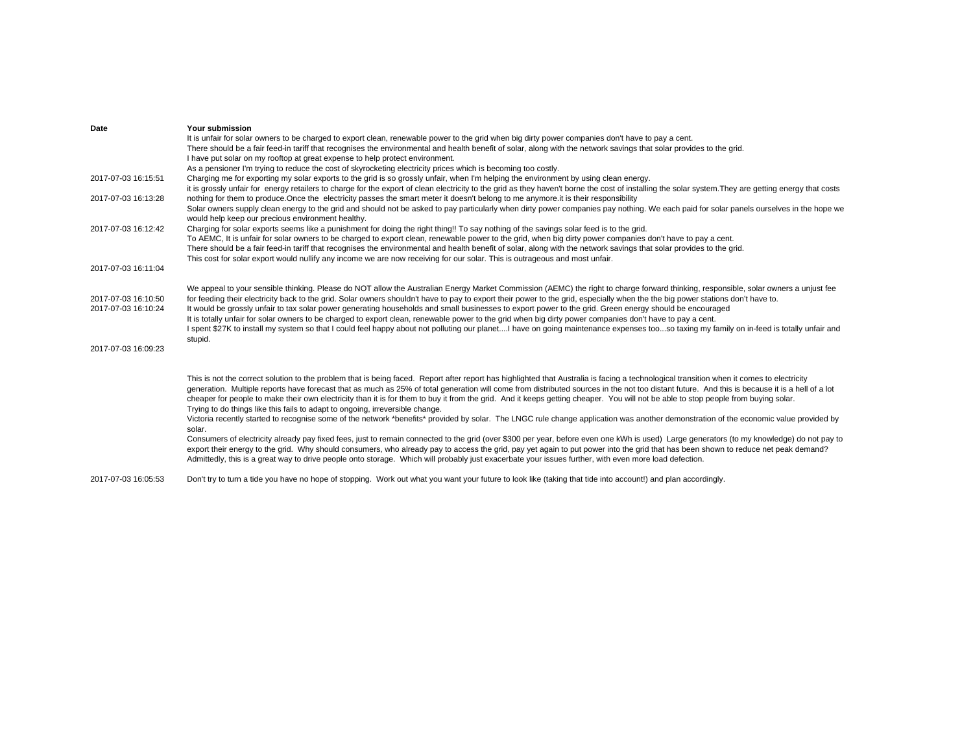| Date                | Your submission                                                                                                                                                                                       |
|---------------------|-------------------------------------------------------------------------------------------------------------------------------------------------------------------------------------------------------|
|                     | It is unfair for solar owners to be charged to export clean, renewable power to the grid when big dirty power companies don't have to pay a cent.                                                     |
|                     | There should be a fair feed-in tariff that recognises the environmental and health benefit of solar, along with the network savings that solar provides to the grid.                                  |
|                     | I have put solar on my rooftop at great expense to help protect environment.                                                                                                                          |
|                     | As a pensioner I'm trying to reduce the cost of skyrocketing electricity prices which is becoming too costly.                                                                                         |
| 2017-07-03 16:15:51 | Charging me for exporting my solar exports to the grid is so grossly unfair, when I'm helping the environment by using clean energy.                                                                  |
|                     | it is grossly unfair for energy retailers to charge for the export of clean electricity to the grid as they haven't borne the cost of installing the solar system. They are getting energy that costs |
| 2017-07-03 16:13:28 | nothing for them to produce. Once the electricity passes the smart meter it doesn't belong to me anymore it is their responsibility                                                                   |
|                     | Solar owners supply clean energy to the grid and should not be asked to pay particularly when dirty power companies pay nothing. We each paid for solar panels ourselves in the hope we               |
|                     | would help keep our precious environment healthy.                                                                                                                                                     |
| 2017-07-03 16:12:42 | Charging for solar exports seems like a punishment for doing the right thing!! To say nothing of the savings solar feed is to the grid.                                                               |
|                     | To AEMC, It is unfair for solar owners to be charged to export clean, renewable power to the grid, when big dirty power companies don't have to pay a cent.                                           |
|                     | There should be a fair feed-in tariff that recognises the environmental and health benefit of solar, along with the network savings that solar provides to the grid.                                  |
|                     | This cost for solar export would nullify any income we are now receiving for our solar. This is outrageous and most unfair.                                                                           |
| 2017-07-03 16:11:04 |                                                                                                                                                                                                       |
|                     |                                                                                                                                                                                                       |
|                     | We appeal to your sensible thinking. Please do NOT allow the Australian Energy Market Commission (AEMC) the right to charge forward thinking, responsible, solar owners a unjust fee                  |
| 2017-07-03 16:10:50 | for feeding their electricity back to the grid. Solar owners shouldn't have to pay to export their power to the grid, especially when the the big power stations don't have to.                       |
| 2017-07-03 16:10:24 | It would be grossly unfair to tax solar power generating households and small businesses to export power to the grid. Green energy should be encouraged                                               |
|                     | It is totally unfair for solar owners to be charged to export clean, renewable power to the grid when big dirty power companies don't have to pay a cent.                                             |
|                     | I spent \$27K to install my system so that I could feel happy about not polluting our planetI have on going maintenance expenses tooso taxing my family on in-feed is totally unfair and              |
|                     | stupid.                                                                                                                                                                                               |
| 2017-07-03 16:09:23 |                                                                                                                                                                                                       |
|                     |                                                                                                                                                                                                       |
|                     |                                                                                                                                                                                                       |
|                     | This is not the correct solution to the problem that is being faced. Report after report has highlighted that Australia is facing a technological transition when it comes to electricity             |
|                     | generation. Multiple reports have forecast that as much as 25% of total generation will come from distributed sources in the not too distant future. And this is because it is a hell of a lot        |
|                     | cheaper for people to make their own electricity than it is for them to buy it from the grid. And it keeps getting cheaper. You will not be able to stop people from buying solar.                    |
|                     | Trying to do things like this fails to adapt to ongoing, irreversible change.                                                                                                                         |
|                     | Victoria recently started to recognise some of the network *benefits* provided by solar. The LNGC rule change application was another demonstration of the economic value provided by                 |
|                     | solar.                                                                                                                                                                                                |
|                     | Consumers of electricity already pay fixed fees, just to remain connected to the grid (over \$300 per year, before even one kWh is used) Large generators (to my knowledge) do not pay to             |
|                     | export their energy to the grid. Why should consumers, who already pay to access the grid, pay yet again to put power into the grid that has been shown to reduce net peak demand?                    |
|                     | Admittedly, this is a great way to drive people onto storage. Which will probably just exacerbate your issues further, with even more load defection.                                                 |
|                     |                                                                                                                                                                                                       |
|                     |                                                                                                                                                                                                       |

2017-07-03 16:05:53 Don't try to turn a tide you have no hope of stopping. Work out what you want your future to look like (taking that tide into account!) and plan accordingly.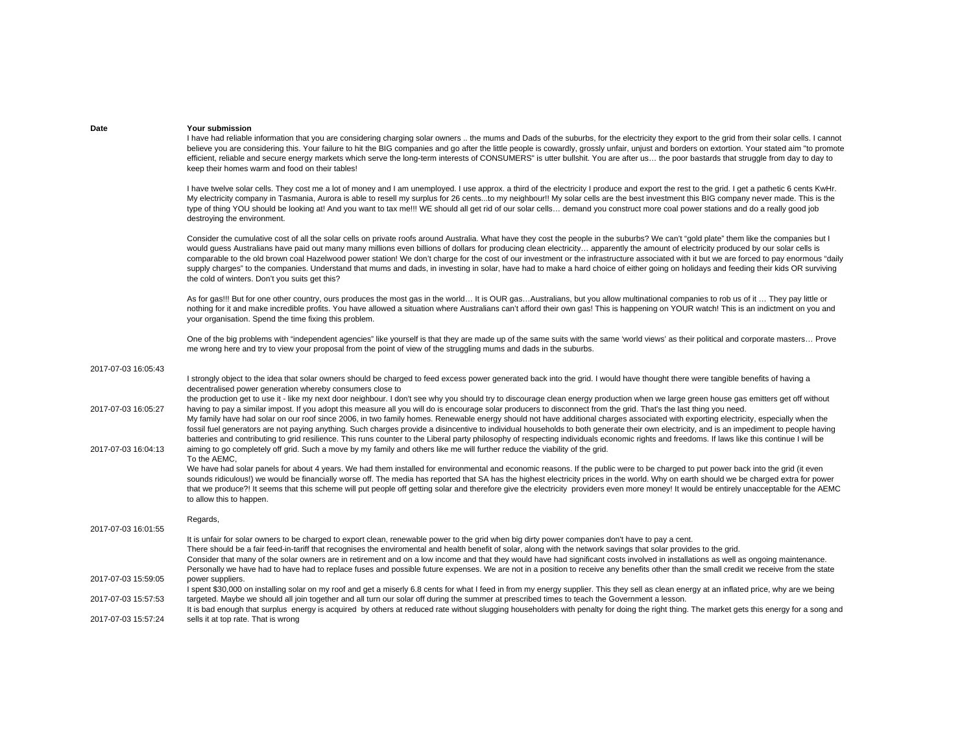| Date | <b>Your submission</b> |
|------|------------------------|
|      |                        |

I have had reliable information that you are considering charging solar owners .. the mums and Dads of the suburbs, for the electricity they export to the grid from their solar cells. I cannot believe you are considering this. Your failure to hit the BIG companies and go after the little people is cowardly, grossly unfair, unjust and borders on extortion. Your stated aim "to promote efficient, reliable and secure energy markets which serve the long-term interests of CONSUMERS" is utter bullshit. You are after us… the poor bastards that struggle from day to day to keep their homes warm and food on their tables!

I have twelve solar cells. They cost me a lot of money and I am unemployed. I use approx. a third of the electricity I produce and export the rest to the grid. I get a pathetic 6 cents KwHr. My electricity company in Tasmania, Aurora is able to resell my surplus for 26 cents...to my neighbour!! My solar cells are the best investment this BIG company never made. This is the type of thing YOU should be looking at! And you want to tax me!!! WE should all get rid of our solar cells… demand you construct more coal power stations and do a really good job destroying the environment.

Consider the cumulative cost of all the solar cells on private roofs around Australia. What have they cost the people in the suburbs? We can't "gold plate" them like the companies but I would guess Australians have paid out many many millions even billions of dollars for producing clean electricity... apparently the amount of electricity produced by our solar cells is comparable to the old brown coal Hazelwood power station! We don't charge for the cost of our investment or the infrastructure associated with it but we are forced to pay enormous "daily supply charges" to the companies. Understand that mums and dads, in investing in solar, have had to make a hard choice of either going on holidays and feeding their kids OR surviving the cold of winters. Don't you suits get this?

As for gas!!! But for one other country, ours produces the most gas in the world... It is OUR gas...Australians, but you allow multinational companies to rob us of it ... They pay little or nothing for it and make incredible profits. You have allowed a situation where Australians can't afford their own gas! This is happening on YOUR watch! This is an indictment on you and your organisation. Spend the time fixing this problem.

One of the big problems with "independent agencies" like yourself is that they are made up of the same suits with the same 'world views' as their political and corporate masters… Prove me wrong here and try to view your proposal from the point of view of the struggling mums and dads in the suburbs.

| 2017-07-03 16:05:43 |                                                                                                                                                                                                                                                 |
|---------------------|-------------------------------------------------------------------------------------------------------------------------------------------------------------------------------------------------------------------------------------------------|
|                     | I strongly object to the idea that solar owners should be charged to feed excess power generated back into the grid. I would have thought there were tangible benefits of having a<br>decentralised power generation whereby consumers close to |
|                     | the production get to use it - like my next door neighbour. I don't see why you should try to discourage clean energy production when we large green house gas emitters get off without                                                         |
| 2017-07-03 16:05:27 | having to pay a similar impost. If you adopt this measure all you will do is encourage solar producers to disconnect from the grid. That's the last thing you need.                                                                             |
|                     | My family have had solar on our roof since 2006, in two family homes. Renewable energy should not have additional charges associated with exporting electricity, especially when the                                                            |
|                     | fossil fuel generators are not paying anything. Such charges provide a disincentive to individual households to both generate their own electricity, and is an impediment to people having                                                      |
|                     | batteries and contributing to grid resilience. This runs counter to the Liberal party philosophy of respecting individuals economic rights and freedoms. If laws like this continue I will be                                                   |
| 2017-07-03 16:04:13 | aiming to go completely off grid. Such a move by my family and others like me will further reduce the viability of the grid.                                                                                                                    |
|                     | To the AEMC,                                                                                                                                                                                                                                    |
|                     | We have had solar panels for about 4 years. We had them installed for environmental and economic reasons. If the public were to be charged to put power back into the grid (it even                                                             |
|                     | sounds ridiculous!) we would be financially worse off. The media has reported that SA has the highest electricity prices in the world. Why on earth should we be charged extra for power                                                        |
|                     | that we produce?! It seems that this scheme will put people off getting solar and therefore give the electricity providers even more money! It would be entirely unacceptable for the AEMC                                                      |
|                     | to allow this to happen.                                                                                                                                                                                                                        |
|                     | Regards,                                                                                                                                                                                                                                        |
| 2017-07-03 16:01:55 |                                                                                                                                                                                                                                                 |
|                     | It is unfair for solar owners to be charged to export clean, renewable power to the grid when big dirty power companies don't have to pay a cent.                                                                                               |
|                     | There should be a fair feed-in-tariff that recognises the enviromental and health benefit of solar, along with the network savings that solar provides to the grid.                                                                             |
|                     | Consider that many of the solar owners are in retirement and on a low income and that they would have had significant costs involved in installations as well as ongoing maintenance.                                                           |
|                     | Personally we have had to have had to replace fuses and possible future expenses. We are not in a position to receive any benefits other than the small credit we receive from the state                                                        |
| 2017-07-03 15:59:05 | power suppliers.                                                                                                                                                                                                                                |
|                     | I spent \$30,000 on installing solar on my roof and get a miserly 6.8 cents for what I feed in from my energy supplier. This they sell as clean energy at an inflated price, why are we being                                                   |
| 2017-07-03 15:57:53 | targeted. Maybe we should all join together and all turn our solar off during the summer at prescribed times to teach the Government a lesson.                                                                                                  |
|                     | It is bad enough that surplus energy is acquired by others at reduced rate without slugging householders with penalty for doing the right thing. The market gets this energy for a song and                                                     |
| 2017-07-03 15:57:24 | sells it at top rate. That is wrong                                                                                                                                                                                                             |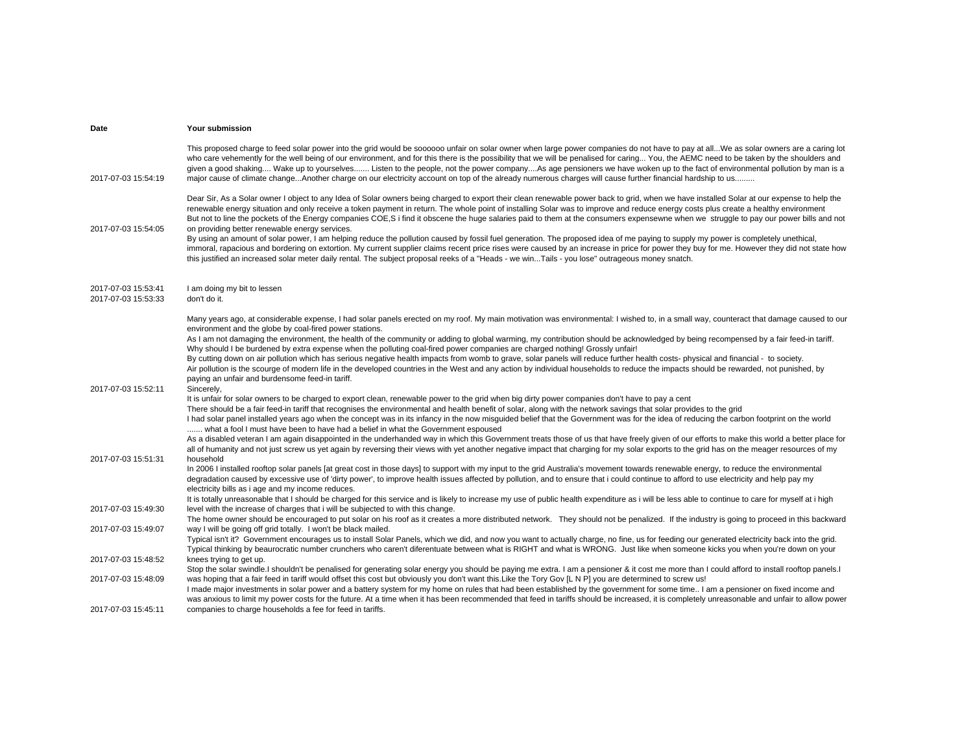| Date                                       | Your submission                                                                                                                                                                                                                                                                                                                                                                                                                                                                                                                                                                                                                                                                                                                                                                                                                                                                                                                                                                                                                                                                                                                                                    |
|--------------------------------------------|--------------------------------------------------------------------------------------------------------------------------------------------------------------------------------------------------------------------------------------------------------------------------------------------------------------------------------------------------------------------------------------------------------------------------------------------------------------------------------------------------------------------------------------------------------------------------------------------------------------------------------------------------------------------------------------------------------------------------------------------------------------------------------------------------------------------------------------------------------------------------------------------------------------------------------------------------------------------------------------------------------------------------------------------------------------------------------------------------------------------------------------------------------------------|
| 2017-07-03 15:54:19                        | This proposed charge to feed solar power into the grid would be soooooo unfair on solar owner when large power companies do not have to pay at allWe as solar owners are a caring lot<br>who care vehemently for the well being of our environment, and for this there is the possibility that we will be penalised for caring You, the AEMC need to be taken by the shoulders and<br>given a good shaking Wake up to yourselves Listen to the people, not the power companyAs age pensioners we have woken up to the fact of environmental pollution by man is a<br>major cause of climate changeAnother charge on our electricity account on top of the already numerous charges will cause further financial hardship to us                                                                                                                                                                                                                                                                                                                                                                                                                                     |
| 2017-07-03 15:54:05                        | Dear Sir, As a Solar owner I object to any Idea of Solar owners being charged to export their clean renewable power back to grid, when we have installed Solar at our expense to help the<br>renewable energy situation and only receive a token payment in return. The whole point of installing Solar was to improve and reduce energy costs plus create a healthy environment<br>But not to line the pockets of the Energy companies COE,S i find it obscene the huge salaries paid to them at the consumers expensewne when we struggle to pay our power bills and not<br>on providing better renewable energy services.<br>By using an amount of solar power, I am helping reduce the pollution caused by fossil fuel generation. The proposed idea of me paying to supply my power is completely unethical,<br>immoral, rapacious and bordering on extortion. My current supplier claims recent price rises were caused by an increase in price for power they buy for me. However they did not state how<br>this justified an increased solar meter daily rental. The subject proposal reeks of a "Heads - we winTails - you lose" outrageous money snatch. |
| 2017-07-03 15:53:41<br>2017-07-03 15:53:33 | I am doing my bit to lessen<br>don't do it.                                                                                                                                                                                                                                                                                                                                                                                                                                                                                                                                                                                                                                                                                                                                                                                                                                                                                                                                                                                                                                                                                                                        |
|                                            | Many years ago, at considerable expense, I had solar panels erected on my roof. My main motivation was environmental: I wished to, in a small way, counteract that damage caused to our<br>environment and the globe by coal-fired power stations.<br>As I am not damaging the environment, the health of the community or adding to global warming, my contribution should be acknowledged by being recompensed by a fair feed-in tariff.<br>Why should I be burdened by extra expense when the polluting coal-fired power companies are charged nothing! Grossly unfair!<br>By cutting down on air pollution which has serious negative health impacts from womb to grave, solar panels will reduce further health costs- physical and financial - to society.<br>Air pollution is the scourge of modern life in the developed countries in the West and any action by individual households to reduce the impacts should be rewarded, not punished, by<br>paying an unfair and burdensome feed-in tariff.                                                                                                                                                       |
| 2017-07-03 15:52:11                        | Sincerely,<br>It is unfair for solar owners to be charged to export clean, renewable power to the grid when big dirty power companies don't have to pay a cent<br>There should be a fair feed-in tariff that recognises the environmental and health benefit of solar, along with the network savings that solar provides to the grid<br>I had solar panel installed years ago when the concept was in its infancy in the now misguided belief that the Government was for the idea of reducing the carbon footprint on the world<br>what a fool I must have been to have had a belief in what the Government espoused<br>As a disabled veteran I am again disappointed in the underhanded way in which this Government treats those of us that have freely given of our efforts to make this world a better place for<br>all of humanity and not just screw us yet again by reversing their views with yet another negative impact that charging for my solar exports to the grid has on the meager resources of my                                                                                                                                               |
| 2017-07-03 15:51:31                        | household<br>In 2006 I installed rooftop solar panels [at great cost in those days] to support with my input to the grid Australia's movement towards renewable energy, to reduce the environmental<br>degradation caused by excessive use of 'dirty power', to improve health issues affected by pollution, and to ensure that i could continue to afford to use electricity and help pay my<br>electricity bills as i age and my income reduces.<br>It is totally unreasonable that I should be charged for this service and is likely to increase my use of public health expenditure as i will be less able to continue to care for myself at i high                                                                                                                                                                                                                                                                                                                                                                                                                                                                                                           |
| 2017-07-03 15:49:30                        | level with the increase of charges that i will be subjected to with this change.<br>The home owner should be encouraged to put solar on his roof as it creates a more distributed network. They should not be penalized. If the industry is going to proceed in this backward                                                                                                                                                                                                                                                                                                                                                                                                                                                                                                                                                                                                                                                                                                                                                                                                                                                                                      |
| 2017-07-03 15:49:07                        | way I will be going off grid totally. I won't be black mailed.<br>Typical isn't it? Government encourages us to install Solar Panels, which we did, and now you want to actually charge, no fine, us for feeding our generated electricity back into the grid.<br>Typical thinking by beaurocratic number crunchers who caren't diferentuate between what is RIGHT and what is WRONG. Just like when someone kicks you when you're down on your                                                                                                                                                                                                                                                                                                                                                                                                                                                                                                                                                                                                                                                                                                                    |
| 2017-07-03 15:48:52                        | knees trying to get up.<br>Stop the solar swindle.I shouldn't be penalised for generating solar energy you should be paying me extra. I am a pensioner & it cost me more than I could afford to install rooftop panels.I                                                                                                                                                                                                                                                                                                                                                                                                                                                                                                                                                                                                                                                                                                                                                                                                                                                                                                                                           |
| 2017-07-03 15:48:09                        | was hoping that a fair feed in tariff would offset this cost but obviously you don't want this. Like the Tory Gov [L N P] you are determined to screw us!<br>I made major investments in solar power and a battery system for my home on rules that had been established by the government for some time I am a pensioner on fixed income and<br>was anxious to limit my power costs for the future. At a time when it has been recommended that feed in tariffs should be increased, it is completely unreasonable and unfair to allow power                                                                                                                                                                                                                                                                                                                                                                                                                                                                                                                                                                                                                      |
| 2017-07-03 15:45:11                        | companies to charge households a fee for feed in tariffs.                                                                                                                                                                                                                                                                                                                                                                                                                                                                                                                                                                                                                                                                                                                                                                                                                                                                                                                                                                                                                                                                                                          |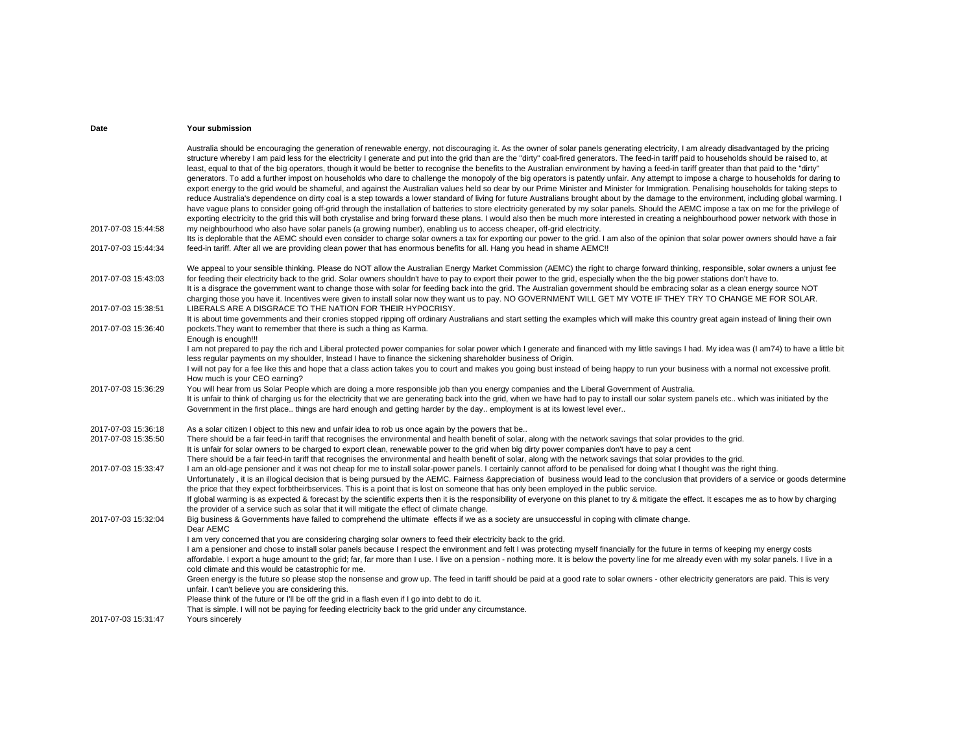|                     | Australia should be encouraging the generation of renewable energy, not discouraging it. As the owner of solar panels generating electricity, I am already disadvantaged by the pricing<br>structure whereby I am paid less for the electricity I generate and put into the grid than are the "dirty" coal-fired generators. The feed-in tariff paid to households should be raised to, at<br>least, equal to that of the big operators, though it would be better to recognise the benefits to the Australian environment by having a feed-in tariff greater than that paid to the "dirty"<br>generators. To add a further impost on households who dare to challenge the monopoly of the big operators is patently unfair. Any attempt to impose a charge to households for daring to<br>export energy to the grid would be shameful, and against the Australian values held so dear by our Prime Minister and Minister for Immigration. Penalising households for taking steps to<br>reduce Australia's dependence on dirty coal is a step towards a lower standard of living for future Australians brought about by the damage to the environment, including global warming. I<br>have vague plans to consider going off-grid through the installation of batteries to store electricity generated by my solar panels. Should the AEMC impose a tax on me for the privilege of<br>exporting electricity to the grid this will both crystalise and bring forward these plans. I would also then be much more interested in creating a neighbourhood power network with those in |
|---------------------|-------------------------------------------------------------------------------------------------------------------------------------------------------------------------------------------------------------------------------------------------------------------------------------------------------------------------------------------------------------------------------------------------------------------------------------------------------------------------------------------------------------------------------------------------------------------------------------------------------------------------------------------------------------------------------------------------------------------------------------------------------------------------------------------------------------------------------------------------------------------------------------------------------------------------------------------------------------------------------------------------------------------------------------------------------------------------------------------------------------------------------------------------------------------------------------------------------------------------------------------------------------------------------------------------------------------------------------------------------------------------------------------------------------------------------------------------------------------------------------------------------------------------------------------------------------------------------------|
| 2017-07-03 15:44:58 | my neighbourhood who also have solar panels (a growing number), enabling us to access cheaper, off-grid electricity.<br>Its is deplorable that the AEMC should even consider to charge solar owners a tax for exporting our power to the grid. I am also of the opinion that solar power owners should have a fair                                                                                                                                                                                                                                                                                                                                                                                                                                                                                                                                                                                                                                                                                                                                                                                                                                                                                                                                                                                                                                                                                                                                                                                                                                                                  |
| 2017-07-03 15:44:34 | feed-in tariff. After all we are providing clean power that has enormous benefits for all. Hang you head in shame AEMC!!                                                                                                                                                                                                                                                                                                                                                                                                                                                                                                                                                                                                                                                                                                                                                                                                                                                                                                                                                                                                                                                                                                                                                                                                                                                                                                                                                                                                                                                            |
| 2017-07-03 15:43:03 | We appeal to your sensible thinking. Please do NOT allow the Australian Energy Market Commission (AEMC) the right to charge forward thinking, responsible, solar owners a unjust fee<br>for feeding their electricity back to the grid. Solar owners shouldn't have to pay to export their power to the grid, especially when the the big power stations don't have to.<br>It is a disgrace the government want to change those with solar for feeding back into the grid. The Australian government should be embracing solar as a clean energy source NOT<br>charging those you have it. Incentives were given to install solar now they want us to pay. NO GOVERNMENT WILL GET MY VOTE IF THEY TRY TO CHANGE ME FOR SOLAR.                                                                                                                                                                                                                                                                                                                                                                                                                                                                                                                                                                                                                                                                                                                                                                                                                                                       |
| 2017-07-03 15:38:51 | LIBERALS ARE A DISGRACE TO THE NATION FOR THEIR HYPOCRISY.<br>It is about time governments and their cronies stopped ripping off ordinary Australians and start setting the examples which will make this country great again instead of lining their own                                                                                                                                                                                                                                                                                                                                                                                                                                                                                                                                                                                                                                                                                                                                                                                                                                                                                                                                                                                                                                                                                                                                                                                                                                                                                                                           |
| 2017-07-03 15:36:40 | pockets. They want to remember that there is such a thing as Karma.<br>Enough is enough!!!                                                                                                                                                                                                                                                                                                                                                                                                                                                                                                                                                                                                                                                                                                                                                                                                                                                                                                                                                                                                                                                                                                                                                                                                                                                                                                                                                                                                                                                                                          |
|                     | I am not prepared to pay the rich and Liberal protected power companies for solar power which I generate and financed with my little savings I had. My idea was (I am74) to have a little bit<br>less regular payments on my shoulder, Instead I have to finance the sickening shareholder business of Origin.                                                                                                                                                                                                                                                                                                                                                                                                                                                                                                                                                                                                                                                                                                                                                                                                                                                                                                                                                                                                                                                                                                                                                                                                                                                                      |
|                     | I will not pay for a fee like this and hope that a class action takes you to court and makes you going bust instead of being happy to run your business with a normal not excessive profit.<br>How much is your CEO earning?                                                                                                                                                                                                                                                                                                                                                                                                                                                                                                                                                                                                                                                                                                                                                                                                                                                                                                                                                                                                                                                                                                                                                                                                                                                                                                                                                        |
| 2017-07-03 15:36:29 | You will hear from us Solar People which are doing a more responsible job than you energy companies and the Liberal Government of Australia.<br>It is unfair to think of charging us for the electricity that we are generating back into the grid, when we have had to pay to install our solar system panels etc. which was initiated by the<br>Government in the first place things are hard enough and getting harder by the day employment is at its lowest level ever                                                                                                                                                                                                                                                                                                                                                                                                                                                                                                                                                                                                                                                                                                                                                                                                                                                                                                                                                                                                                                                                                                         |
| 2017-07-03 15:36:18 | As a solar citizen I object to this new and unfair idea to rob us once again by the powers that be                                                                                                                                                                                                                                                                                                                                                                                                                                                                                                                                                                                                                                                                                                                                                                                                                                                                                                                                                                                                                                                                                                                                                                                                                                                                                                                                                                                                                                                                                  |
| 2017-07-03 15:35:50 | There should be a fair feed-in tariff that recognises the environmental and health benefit of solar, along with the network savings that solar provides to the grid.<br>It is unfair for solar owners to be charged to export clean, renewable power to the grid when big dirty power companies don't have to pay a cent<br>There should be a fair feed-in tariff that recognises the environmental and health benefit of solar, along with the network savings that solar provides to the grid.                                                                                                                                                                                                                                                                                                                                                                                                                                                                                                                                                                                                                                                                                                                                                                                                                                                                                                                                                                                                                                                                                    |
| 2017-07-03 15:33:47 | I am an old-age pensioner and it was not cheap for me to install solar-power panels. I certainly cannot afford to be penalised for doing what I thought was the right thing.<br>Unfortunately, it is an illogical decision that is being pursued by the AEMC. Fairness &appreciation of business would lead to the conclusion that providers of a service or goods determine<br>the price that they expect forbtheirbservices. This is a point that is lost on someone that has only been employed in the public service.<br>If global warming is as expected & forecast by the scientific experts then it is the responsibility of everyone on this planet to try & mitigate the effect. It escapes me as to how by charging                                                                                                                                                                                                                                                                                                                                                                                                                                                                                                                                                                                                                                                                                                                                                                                                                                                       |
|                     | the provider of a service such as solar that it will mitigate the effect of climate change.                                                                                                                                                                                                                                                                                                                                                                                                                                                                                                                                                                                                                                                                                                                                                                                                                                                                                                                                                                                                                                                                                                                                                                                                                                                                                                                                                                                                                                                                                         |
| 2017-07-03 15:32:04 | Big business & Governments have failed to comprehend the ultimate effects if we as a society are unsuccessful in coping with climate change.<br>Dear AEMC                                                                                                                                                                                                                                                                                                                                                                                                                                                                                                                                                                                                                                                                                                                                                                                                                                                                                                                                                                                                                                                                                                                                                                                                                                                                                                                                                                                                                           |
|                     | I am very concerned that you are considering charging solar owners to feed their electricity back to the grid.<br>I am a pensioner and chose to install solar panels because I respect the environment and felt I was protecting myself financially for the future in terms of keeping my energy costs<br>affordable. I export a huge amount to the grid; far, far more than I use. I live on a pension - nothing more. It is below the poverty line for me already even with my solar panels. I live in a<br>cold climate and this would be catastrophic for me.<br>Green energy is the future so please stop the nonsense and grow up. The feed in tariff should be paid at a good rate to solar owners - other electricity generators are paid. This is very<br>unfair. I can't believe you are considering this.<br>Please think of the future or I'll be off the grid in a flash even if I go into debt to do it.                                                                                                                                                                                                                                                                                                                                                                                                                                                                                                                                                                                                                                                              |
| 2017-07-03 15:31:47 | That is simple. I will not be paying for feeding electricity back to the grid under any circumstance.<br>Yours sincerely                                                                                                                                                                                                                                                                                                                                                                                                                                                                                                                                                                                                                                                                                                                                                                                                                                                                                                                                                                                                                                                                                                                                                                                                                                                                                                                                                                                                                                                            |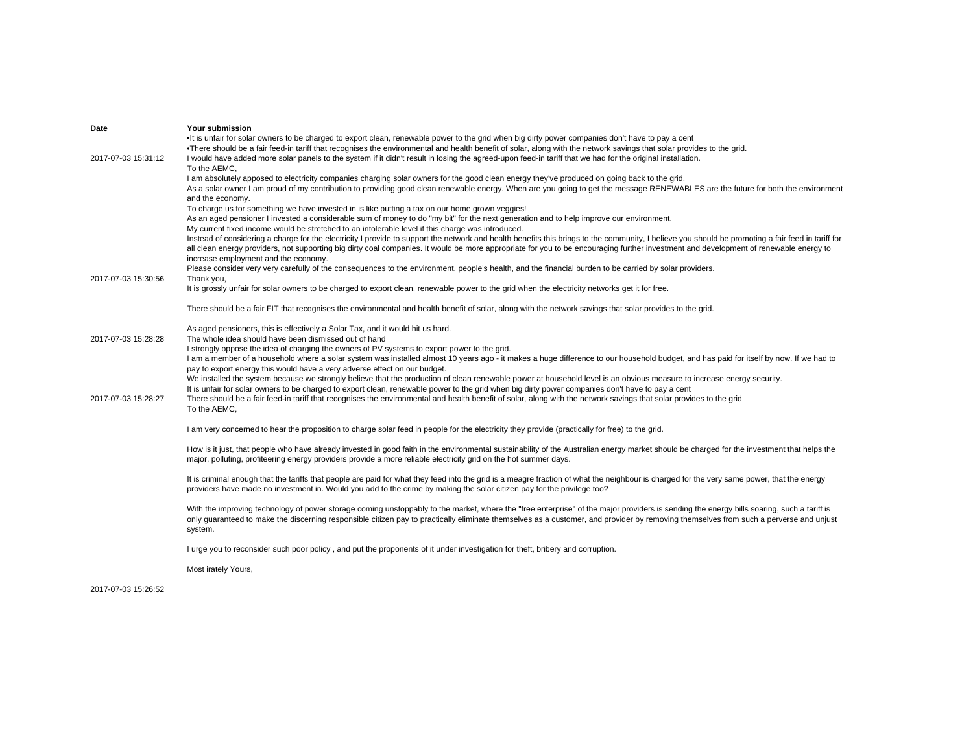| Date                | <b>Your submission</b>                                                                                                                                                                                                                                                                                                                                                                                                                                                                                   |
|---------------------|----------------------------------------------------------------------------------------------------------------------------------------------------------------------------------------------------------------------------------------------------------------------------------------------------------------------------------------------------------------------------------------------------------------------------------------------------------------------------------------------------------|
| 2017-07-03 15:31:12 | •It is unfair for solar owners to be charged to export clean, renewable power to the grid when big dirty power companies don't have to pay a cent<br>•There should be a fair feed-in tariff that recognises the environmental and health benefit of solar, along with the network savings that solar provides to the grid.<br>I would have added more solar panels to the system if it didn't result in losing the agreed-upon feed-in tariff that we had for the original installation.<br>To the AEMC. |
|                     | I am absolutely apposed to electricity companies charging solar owners for the good clean energy they've produced on going back to the grid.<br>As a solar owner I am proud of my contribution to providing good clean renewable energy. When are you going to get the message RENEWABLES are the future for both the environment<br>and the economy.                                                                                                                                                    |
|                     | To charge us for something we have invested in is like putting a tax on our home grown veggies!<br>As an aged pensioner I invested a considerable sum of money to do "my bit" for the next generation and to help improve our environment.<br>My current fixed income would be stretched to an intolerable level if this charge was introduced.                                                                                                                                                          |
|                     | Instead of considering a charge for the electricity I provide to support the network and health benefits this brings to the community, I believe you should be promoting a fair feed in tariff for<br>all clean energy providers, not supporting big dirty coal companies. It would be more appropriate for you to be encouraging further investment and development of renewable energy to<br>increase employment and the economy.                                                                      |
| 2017-07-03 15:30:56 | Please consider very very carefully of the consequences to the environment, people's health, and the financial burden to be carried by solar providers.<br>Thank you,                                                                                                                                                                                                                                                                                                                                    |
|                     | It is grossly unfair for solar owners to be charged to export clean, renewable power to the grid when the electricity networks get it for free.                                                                                                                                                                                                                                                                                                                                                          |
|                     | There should be a fair FIT that recognises the environmental and health benefit of solar, along with the network savings that solar provides to the grid.                                                                                                                                                                                                                                                                                                                                                |
| 2017-07-03 15:28:28 | As aged pensioners, this is effectively a Solar Tax, and it would hit us hard.<br>The whole idea should have been dismissed out of hand                                                                                                                                                                                                                                                                                                                                                                  |
|                     | I strongly oppose the idea of charging the owners of PV systems to export power to the grid.<br>I am a member of a household where a solar system was installed almost 10 years ago - it makes a huge difference to our household budget, and has paid for itself by now. If we had to<br>pay to export energy this would have a very adverse effect on our budget.                                                                                                                                      |
|                     | We installed the system because we strongly believe that the production of clean renewable power at household level is an obvious measure to increase energy security.<br>It is unfair for solar owners to be charged to export clean, renewable power to the grid when big dirty power companies don't have to pay a cent                                                                                                                                                                               |
| 2017-07-03 15:28:27 | There should be a fair feed-in tariff that recognises the environmental and health benefit of solar, along with the network savings that solar provides to the grid<br>To the AEMC,                                                                                                                                                                                                                                                                                                                      |
|                     | I am very concerned to hear the proposition to charge solar feed in people for the electricity they provide (practically for free) to the grid.                                                                                                                                                                                                                                                                                                                                                          |
|                     | How is it just, that people who have already invested in good faith in the environmental sustainability of the Australian energy market should be charged for the investment that helps the<br>major, polluting, profiteering energy providers provide a more reliable electricity grid on the hot summer days.                                                                                                                                                                                          |
|                     | It is criminal enough that the tariffs that people are paid for what they feed into the grid is a meagre fraction of what the neighbour is charged for the very same power, that the energy<br>providers have made no investment in. Would you add to the crime by making the solar citizen pay for the privilege too?                                                                                                                                                                                   |
|                     | With the improving technology of power storage coming unstoppably to the market, where the "free enterprise" of the major providers is sending the energy bills soaring, such a tariff is<br>only guaranteed to make the discerning responsible citizen pay to practically eliminate themselves as a customer, and provider by removing themselves from such a perverse and unjust<br>system.                                                                                                            |
|                     | I urge you to reconsider such poor policy, and put the proponents of it under investigation for theft, bribery and corruption.                                                                                                                                                                                                                                                                                                                                                                           |
|                     | Most irately Yours,                                                                                                                                                                                                                                                                                                                                                                                                                                                                                      |

2017-07-03 15:26:52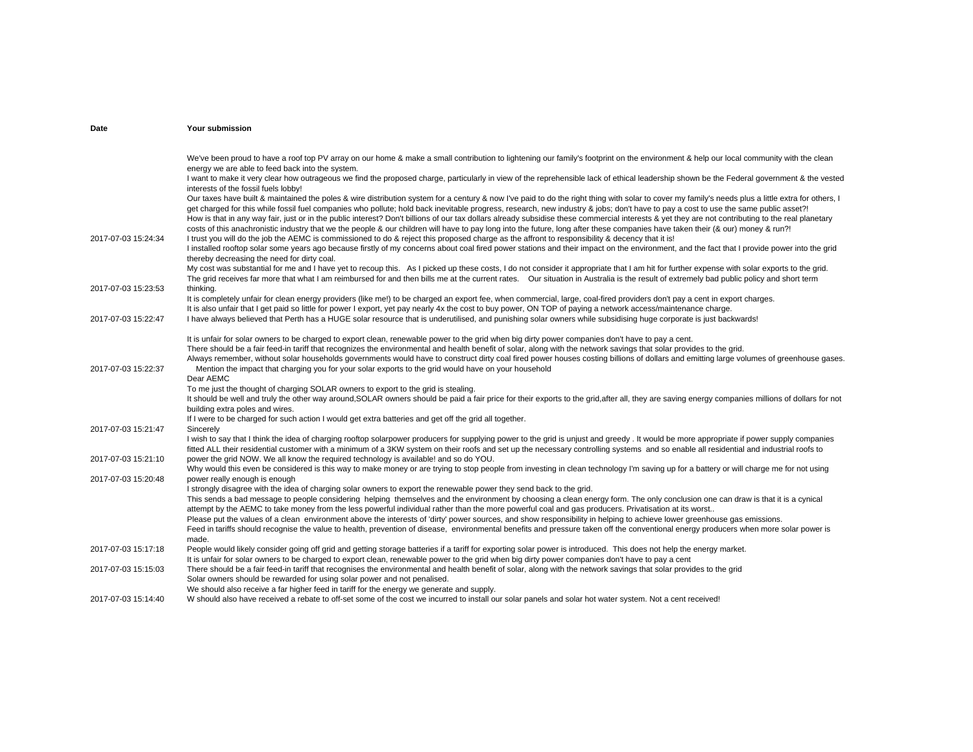|                     | We've been proud to have a roof top PV array on our home & make a small contribution to lightening our family's footprint on the environment & help our local community with the clean                                                                                                                                                          |
|---------------------|-------------------------------------------------------------------------------------------------------------------------------------------------------------------------------------------------------------------------------------------------------------------------------------------------------------------------------------------------|
|                     | energy we are able to feed back into the system.                                                                                                                                                                                                                                                                                                |
|                     | I want to make it very clear how outrageous we find the proposed charge, particularly in view of the reprehensible lack of ethical leadership shown be the Federal government & the vested                                                                                                                                                      |
|                     | interests of the fossil fuels lobby!                                                                                                                                                                                                                                                                                                            |
|                     | Our taxes have built & maintained the poles & wire distribution system for a century & now I've paid to do the right thing with solar to cover my family's needs plus a little extra for others, I                                                                                                                                              |
|                     | get charged for this while fossil fuel companies who pollute; hold back inevitable progress, research, new industry & jobs; don't have to pay a cost to use the same public asset?!                                                                                                                                                             |
|                     | How is that in any way fair, just or in the public interest? Don't billions of our tax dollars already subsidise these commercial interests & yet they are not contributing to the real planetary                                                                                                                                               |
| 2017-07-03 15:24:34 | costs of this anachronistic industry that we the people & our children will have to pay long into the future, long after these companies have taken their (& our) money & run?!                                                                                                                                                                 |
|                     | I trust you will do the job the AEMC is commissioned to do & reject this proposed charge as the affront to responsibility & decency that it is!<br>I installed rooftop solar some years ago because firstly of my concerns about coal fired power stations and their impact on the environment, and the fact that I provide power into the grid |
|                     | thereby decreasing the need for dirty coal.                                                                                                                                                                                                                                                                                                     |
|                     | My cost was substantial for me and I have yet to recoup this. As I picked up these costs, I do not consider it appropriate that I am hit for further expense with solar exports to the grid.                                                                                                                                                    |
|                     | The grid receives far more that what I am reimbursed for and then bills me at the current rates. Our situation in Australia is the result of extremely bad public policy and short term                                                                                                                                                         |
| 2017-07-03 15:23:53 | thinking.                                                                                                                                                                                                                                                                                                                                       |
|                     | It is completely unfair for clean energy providers (like me!) to be charged an export fee, when commercial, large, coal-fired providers don't pay a cent in export charges.                                                                                                                                                                     |
|                     | It is also unfair that I get paid so little for power I export, yet pay nearly 4x the cost to buy power, ON TOP of paying a network access/maintenance charge.                                                                                                                                                                                  |
| 2017-07-03 15:22:47 | I have always believed that Perth has a HUGE solar resource that is underutilised, and punishing solar owners while subsidising huge corporate is just backwards!                                                                                                                                                                               |
|                     | It is unfair for solar owners to be charged to export clean, renewable power to the grid when big dirty power companies don't have to pay a cent.                                                                                                                                                                                               |
|                     | There should be a fair feed-in tariff that recognizes the environmental and health benefit of solar, along with the network savings that solar provides to the grid.                                                                                                                                                                            |
|                     | Always remember, without solar households governments would have to construct dirty coal fired power houses costing billions of dollars and emitting large volumes of greenhouse gases.                                                                                                                                                         |
| 2017-07-03 15:22:37 | Mention the impact that charging you for your solar exports to the grid would have on your household                                                                                                                                                                                                                                            |
|                     | Dear AEMC<br>To me just the thought of charging SOLAR owners to export to the grid is stealing.                                                                                                                                                                                                                                                 |
|                     | It should be well and truly the other way around, SOLAR owners should be paid a fair price for their exports to the grid, after all, they are saving energy companies millions of dollars for not                                                                                                                                               |
|                     | building extra poles and wires.                                                                                                                                                                                                                                                                                                                 |
|                     | If I were to be charged for such action I would get extra batteries and get off the grid all together.                                                                                                                                                                                                                                          |
| 2017-07-03 15:21:47 | Sincerely                                                                                                                                                                                                                                                                                                                                       |
|                     | I wish to say that I think the idea of charging rooftop solarpower producers for supplying power to the grid is unjust and greedy. It would be more appropriate if power supply companies                                                                                                                                                       |
|                     | fitted ALL their residential customer with a minimum of a 3KW system on their roofs and set up the necessary controlling systems and so enable all residential and industrial roofs to                                                                                                                                                          |
| 2017-07-03 15:21:10 | power the grid NOW. We all know the required technology is available! and so do YOU.                                                                                                                                                                                                                                                            |
|                     | Why would this even be considered is this way to make money or are trying to stop people from investing in clean technology I'm saving up for a battery or will charge me for not using                                                                                                                                                         |
| 2017-07-03 15:20:48 | power really enough is enough<br>I strongly disagree with the idea of charging solar owners to export the renewable power they send back to the grid.                                                                                                                                                                                           |
|                     | This sends a bad message to people considering helping themselves and the environment by choosing a clean energy form. The only conclusion one can draw is that it is a cynical                                                                                                                                                                 |
|                     | attempt by the AEMC to take money from the less powerful individual rather than the more powerful coal and gas producers. Privatisation at its worst                                                                                                                                                                                            |
|                     | Please put the values of a clean environment above the interests of 'dirty' power sources, and show responsibility in helping to achieve lower greenhouse gas emissions.                                                                                                                                                                        |
|                     | Feed in tariffs should recognise the value to health, prevention of disease, environmental benefits and pressure taken off the conventional energy producers when more solar power is                                                                                                                                                           |
|                     | made.                                                                                                                                                                                                                                                                                                                                           |
| 2017-07-03 15:17:18 | People would likely consider going off grid and getting storage batteries if a tariff for exporting solar power is introduced. This does not help the energy market.                                                                                                                                                                            |
|                     | It is unfair for solar owners to be charged to export clean, renewable power to the grid when big dirty power companies don't have to pay a cent                                                                                                                                                                                                |
| 2017-07-03 15:15:03 | There should be a fair feed-in tariff that recognises the environmental and health benefit of solar, along with the network savings that solar provides to the grid<br>Solar owners should be rewarded for using solar power and not penalised.                                                                                                 |
|                     | We should also receive a far higher feed in tariff for the energy we generate and supply.                                                                                                                                                                                                                                                       |
| 2017-07-03 15:14:40 | W should also have received a rebate to off-set some of the cost we incurred to install our solar panels and solar hot water system. Not a cent received!                                                                                                                                                                                       |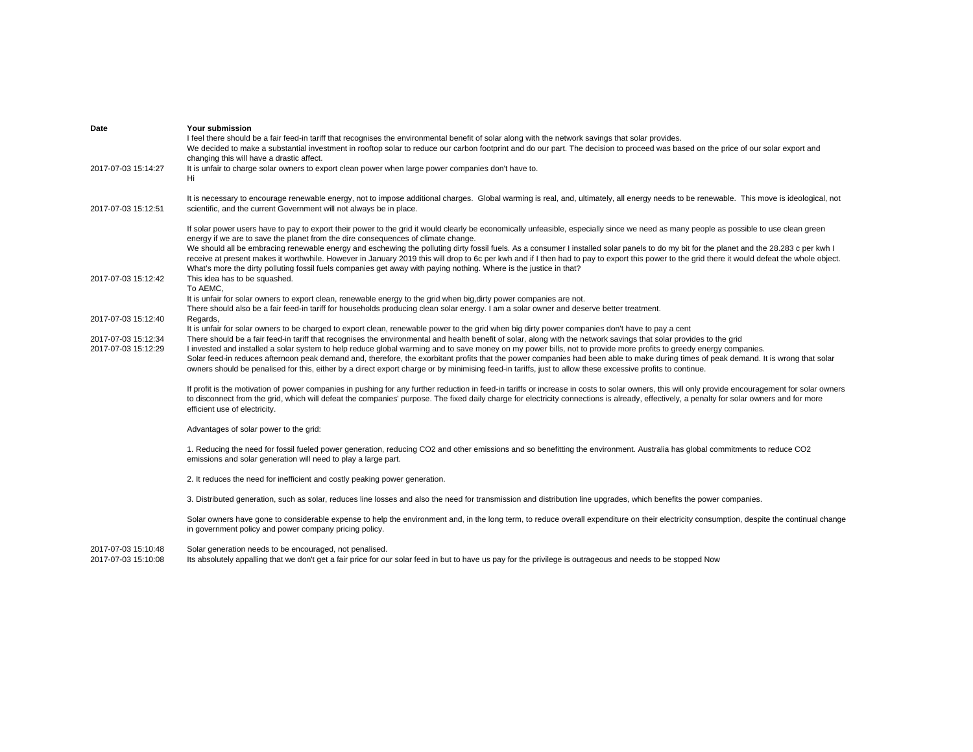| Date                                       | Your submission<br>I feel there should be a fair feed-in tariff that recognises the environmental benefit of solar along with the network savings that solar provides.<br>We decided to make a substantial investment in rooftop solar to reduce our carbon footprint and do our part. The decision to proceed was based on the price of our solar export and<br>changing this will have a drastic affect.                                                                                                                                                                                                                                                                                                                                                                                                                                           |
|--------------------------------------------|------------------------------------------------------------------------------------------------------------------------------------------------------------------------------------------------------------------------------------------------------------------------------------------------------------------------------------------------------------------------------------------------------------------------------------------------------------------------------------------------------------------------------------------------------------------------------------------------------------------------------------------------------------------------------------------------------------------------------------------------------------------------------------------------------------------------------------------------------|
| 2017-07-03 15:14:27                        | It is unfair to charge solar owners to export clean power when large power companies don't have to.<br>Hi                                                                                                                                                                                                                                                                                                                                                                                                                                                                                                                                                                                                                                                                                                                                            |
| 2017-07-03 15:12:51                        | It is necessary to encourage renewable energy, not to impose additional charges. Global warming is real, and, ultimately, all energy needs to be renewable. This move is ideological, not<br>scientific, and the current Government will not always be in place.                                                                                                                                                                                                                                                                                                                                                                                                                                                                                                                                                                                     |
|                                            | If solar power users have to pay to export their power to the grid it would clearly be economically unfeasible, especially since we need as many people as possible to use clean green<br>energy if we are to save the planet from the dire consequences of climate change.<br>We should all be embracing renewable energy and eschewing the polluting dirty fossil fuels. As a consumer I installed solar panels to do my bit for the planet and the 28.283 c per kwh I<br>receive at present makes it worthwhile. However in January 2019 this will drop to 6c per kwh and if I then had to pay to export this power to the grid there it would defeat the whole object.<br>What's more the dirty polluting fossil fuels companies get away with paying nothing. Where is the justice in that?                                                     |
| 2017-07-03 15:12:42                        | This idea has to be squashed.<br>To AEMC,<br>It is unfair for solar owners to export clean, renewable energy to the grid when big, dirty power companies are not.<br>There should also be a fair feed-in tariff for households producing clean solar energy. I am a solar owner and deserve better treatment.                                                                                                                                                                                                                                                                                                                                                                                                                                                                                                                                        |
| 2017-07-03 15:12:40                        | Regards,                                                                                                                                                                                                                                                                                                                                                                                                                                                                                                                                                                                                                                                                                                                                                                                                                                             |
| 2017-07-03 15:12:34<br>2017-07-03 15:12:29 | It is unfair for solar owners to be charged to export clean, renewable power to the grid when big dirty power companies don't have to pay a cent<br>There should be a fair feed-in tariff that recognises the environmental and health benefit of solar, along with the network savings that solar provides to the grid<br>I invested and installed a solar system to help reduce global warming and to save money on my power bills, not to provide more profits to greedy energy companies.<br>Solar feed-in reduces afternoon peak demand and, therefore, the exorbitant profits that the power companies had been able to make during times of peak demand. It is wrong that solar<br>owners should be penalised for this, either by a direct export charge or by minimising feed-in tariffs, just to allow these excessive profits to continue. |
|                                            | If profit is the motivation of power companies in pushing for any further reduction in feed-in tariffs or increase in costs to solar owners, this will only provide encouragement for solar owners<br>to disconnect from the grid, which will defeat the companies' purpose. The fixed daily charge for electricity connections is already, effectively, a penalty for solar owners and for more<br>efficient use of electricity.                                                                                                                                                                                                                                                                                                                                                                                                                    |
|                                            | Advantages of solar power to the grid:                                                                                                                                                                                                                                                                                                                                                                                                                                                                                                                                                                                                                                                                                                                                                                                                               |
|                                            | 1. Reducing the need for fossil fueled power generation, reducing CO2 and other emissions and so benefitting the environment. Australia has global commitments to reduce CO2<br>emissions and solar generation will need to play a large part.                                                                                                                                                                                                                                                                                                                                                                                                                                                                                                                                                                                                       |
|                                            | 2. It reduces the need for inefficient and costly peaking power generation.                                                                                                                                                                                                                                                                                                                                                                                                                                                                                                                                                                                                                                                                                                                                                                          |
|                                            | 3. Distributed generation, such as solar, reduces line losses and also the need for transmission and distribution line upgrades, which benefits the power companies.                                                                                                                                                                                                                                                                                                                                                                                                                                                                                                                                                                                                                                                                                 |
|                                            | Solar owners have gone to considerable expense to help the environment and, in the long term, to reduce overall expenditure on their electricity consumption, despite the continual change<br>in government policy and power company pricing policy.                                                                                                                                                                                                                                                                                                                                                                                                                                                                                                                                                                                                 |
| 2017-07-03 15:10:48                        | Solar generation needs to be encouraged, not penalised.                                                                                                                                                                                                                                                                                                                                                                                                                                                                                                                                                                                                                                                                                                                                                                                              |

2017-07-03 15:10:08 2017-07-03 15:10:08 Its absolutely appalling that we don't get a fair price for our solar feed in but to have us pay for the privilege is outrageous and needs to be stopped Now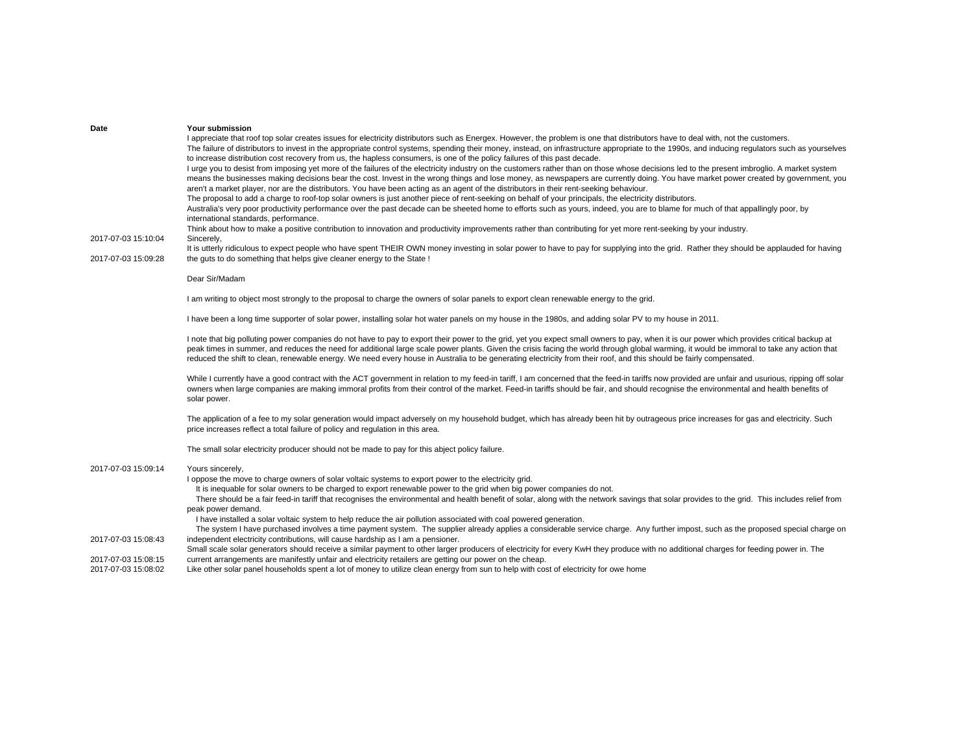| Date                | Your submission                                                                                                                                                                                                                                                                                                         |
|---------------------|-------------------------------------------------------------------------------------------------------------------------------------------------------------------------------------------------------------------------------------------------------------------------------------------------------------------------|
|                     | I appreciate that roof top solar creates issues for electricity distributors such as Energex. However, the problem is one that distributors have to deal with, not the customers.                                                                                                                                       |
|                     | The failure of distributors to invest in the appropriate control systems, spending their money, instead, on infrastructure appropriate to the 1990s, and inducing regulators such as yourselves                                                                                                                         |
|                     | to increase distribution cost recovery from us, the hapless consumers, is one of the policy failures of this past decade.                                                                                                                                                                                               |
|                     | I urge you to desist from imposing yet more of the failures of the electricity industry on the customers rather than on those whose decisions led to the present imbroglio. A market system                                                                                                                             |
|                     | means the businesses making decisions bear the cost. Invest in the wrong things and lose money, as newspapers are currently doing. You have market power created by government, you                                                                                                                                     |
|                     | aren't a market player, nor are the distributors. You have been acting as an agent of the distributors in their rent-seeking behaviour.<br>The proposal to add a charge to roof-top solar owners is just another piece of rent-seeking on behalf of your principals, the electricity distributors.                      |
|                     | Australia's very poor productivity performance over the past decade can be sheeted home to efforts such as yours, indeed, you are to blame for much of that appallingly poor, by                                                                                                                                        |
|                     | international standards, performance.                                                                                                                                                                                                                                                                                   |
|                     | Think about how to make a positive contribution to innovation and productivity improvements rather than contributing for yet more rent-seeking by your industry.                                                                                                                                                        |
| 2017-07-03 15:10:04 | Sincerely,                                                                                                                                                                                                                                                                                                              |
|                     | It is utterly ridiculous to expect people who have spent THEIR OWN money investing in solar power to have to pay for supplying into the grid. Rather they should be applauded for having                                                                                                                                |
| 2017-07-03 15:09:28 | the guts to do something that helps give cleaner energy to the State !                                                                                                                                                                                                                                                  |
|                     | Dear Sir/Madam                                                                                                                                                                                                                                                                                                          |
|                     |                                                                                                                                                                                                                                                                                                                         |
|                     | I am writing to object most strongly to the proposal to charge the owners of solar panels to export clean renewable energy to the grid.                                                                                                                                                                                 |
|                     |                                                                                                                                                                                                                                                                                                                         |
|                     | I have been a long time supporter of solar power, installing solar hot water panels on my house in the 1980s, and adding solar PV to my house in 2011.                                                                                                                                                                  |
|                     | I note that big polluting power companies do not have to pay to export their power to the grid, yet you expect small owners to pay, when it is our power which provides critical backup at                                                                                                                              |
|                     | peak times in summer, and reduces the need for additional large scale power plants. Given the crisis facing the world through global warming, it would be immoral to take any action that                                                                                                                               |
|                     | reduced the shift to clean, renewable energy. We need every house in Australia to be generating electricity from their roof, and this should be fairly compensated.                                                                                                                                                     |
|                     | While I currently have a good contract with the ACT government in relation to my feed-in tariff, I am concerned that the feed-in tariffs now provided are unfair and usurious, ripping off solar                                                                                                                        |
|                     | owners when large companies are making immoral profits from their control of the market. Feed-in tariffs should be fair, and should recognise the environmental and health benefits of                                                                                                                                  |
|                     | solar power.                                                                                                                                                                                                                                                                                                            |
|                     |                                                                                                                                                                                                                                                                                                                         |
|                     | The application of a fee to my solar generation would impact adversely on my household budget, which has already been hit by outrageous price increases for gas and electricity. Such                                                                                                                                   |
|                     | price increases reflect a total failure of policy and regulation in this area.                                                                                                                                                                                                                                          |
|                     | The small solar electricity producer should not be made to pay for this abject policy failure.                                                                                                                                                                                                                          |
|                     |                                                                                                                                                                                                                                                                                                                         |
| 2017-07-03 15:09:14 | Yours sincerely,                                                                                                                                                                                                                                                                                                        |
|                     | I oppose the move to charge owners of solar voltaic systems to export power to the electricity grid.                                                                                                                                                                                                                    |
|                     | It is inequable for solar owners to be charged to export renewable power to the grid when big power companies do not.<br>There should be a fair feed-in tariff that recognises the environmental and health benefit of solar, along with the network savings that solar provides to the grid. This includes relief from |
|                     | peak power demand.                                                                                                                                                                                                                                                                                                      |
|                     | I have installed a solar voltaic system to help reduce the air pollution associated with coal powered generation.                                                                                                                                                                                                       |
|                     | The system I have purchased involves a time payment system. The supplier already applies a considerable service charge. Any further impost, such as the proposed special charge on                                                                                                                                      |
| 2017-07-03 15:08:43 | independent electricity contributions, will cause hardship as I am a pensioner.                                                                                                                                                                                                                                         |
|                     | Small scale solar generators should receive a similar payment to other larger producers of electricity for every KwH they produce with no additional charges for feeding power in. The                                                                                                                                  |
| 2017-07-03 15:08:15 | current arrangements are manifestly unfair and electricity retailers are getting our power on the cheap.                                                                                                                                                                                                                |
| 2017-07-03 15:08:02 | Like other solar panel households spent a lot of money to utilize clean energy from sun to help with cost of electricity for owe home                                                                                                                                                                                   |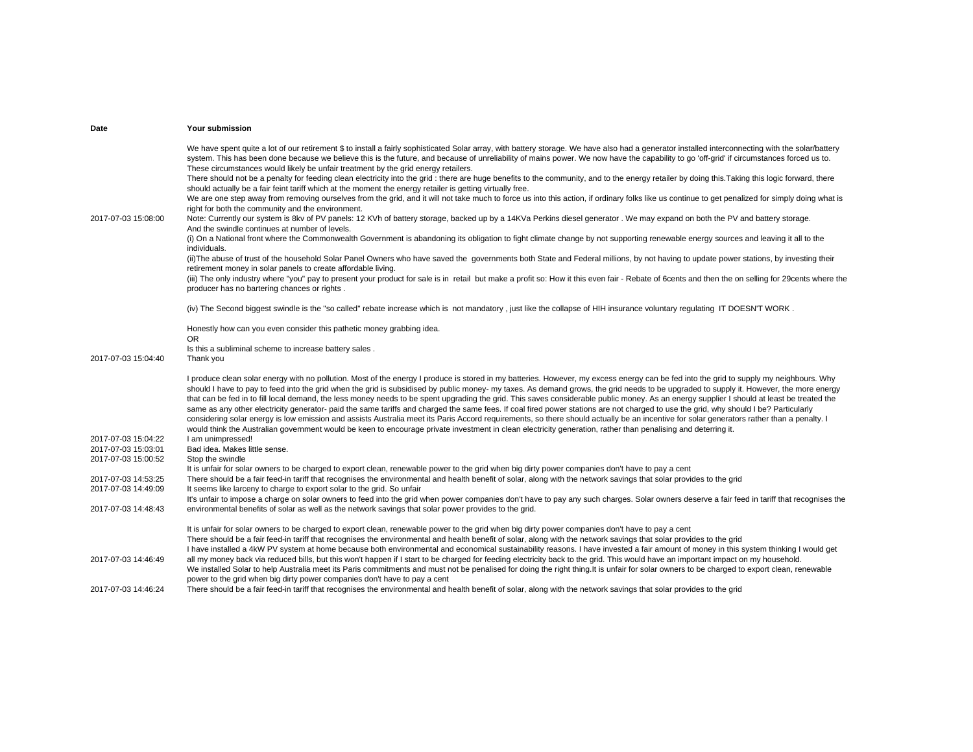| Date                                       | Your submission                                                                                                                                                                                                                                                                                                                                                                                                                                                                                                                                                                                                                                                                                                                                                                                                                                                                                                                                                                                                                                                                                                                                                                                                                                                                                                                                                                                                                                                                                                                                                                                                                                                                                                                                                                                                                                                                                                                                                                                                         |
|--------------------------------------------|-------------------------------------------------------------------------------------------------------------------------------------------------------------------------------------------------------------------------------------------------------------------------------------------------------------------------------------------------------------------------------------------------------------------------------------------------------------------------------------------------------------------------------------------------------------------------------------------------------------------------------------------------------------------------------------------------------------------------------------------------------------------------------------------------------------------------------------------------------------------------------------------------------------------------------------------------------------------------------------------------------------------------------------------------------------------------------------------------------------------------------------------------------------------------------------------------------------------------------------------------------------------------------------------------------------------------------------------------------------------------------------------------------------------------------------------------------------------------------------------------------------------------------------------------------------------------------------------------------------------------------------------------------------------------------------------------------------------------------------------------------------------------------------------------------------------------------------------------------------------------------------------------------------------------------------------------------------------------------------------------------------------------|
| 2017-07-03 15:08:00                        | We have spent quite a lot of our retirement \$ to install a fairly sophisticated Solar array, with battery storage. We have also had a generator installed interconnecting with the solar/battery<br>system. This has been done because we believe this is the future, and because of unreliability of mains power. We now have the capability to go 'off-grid' if circumstances forced us to.<br>These circumstances would likely be unfair treatment by the grid energy retailers.<br>There should not be a penalty for feeding clean electricity into the grid : there are huge benefits to the community, and to the energy retailer by doing this. Taking this logic forward, there<br>should actually be a fair feint tariff which at the moment the energy retailer is getting virtually free.<br>We are one step away from removing ourselves from the grid, and it will not take much to force us into this action, if ordinary folks like us continue to get penalized for simply doing what is<br>right for both the community and the environment.<br>Note: Currently our system is 8kv of PV panels: 12 KVh of battery storage, backed up by a 14KVa Perkins diesel generator. We may expand on both the PV and battery storage.<br>And the swindle continues at number of levels.<br>(i) On a National front where the Commonwealth Government is abandoning its obligation to fight climate change by not supporting renewable energy sources and leaving it all to the<br>individuals.<br>(ii) The abuse of trust of the household Solar Panel Owners who have saved the governments both State and Federal millions, by not having to update power stations, by investing their<br>retirement money in solar panels to create affordable living.<br>(iii) The only industry where "you" pay to present your product for sale is in retail but make a profit so: How it this even fair - Rebate of 6cents and then the on selling for 29cents where the<br>producer has no bartering chances or rights. |
|                                            | (iv) The Second biggest swindle is the "so called" rebate increase which is not mandatory, just like the collapse of HIH insurance voluntary regulating IT DOESN'T WORK.                                                                                                                                                                                                                                                                                                                                                                                                                                                                                                                                                                                                                                                                                                                                                                                                                                                                                                                                                                                                                                                                                                                                                                                                                                                                                                                                                                                                                                                                                                                                                                                                                                                                                                                                                                                                                                                |
| 2017-07-03 15:04:40                        | Honestly how can you even consider this pathetic money grabbing idea.<br>OR.<br>Is this a subliminal scheme to increase battery sales.<br>Thank you                                                                                                                                                                                                                                                                                                                                                                                                                                                                                                                                                                                                                                                                                                                                                                                                                                                                                                                                                                                                                                                                                                                                                                                                                                                                                                                                                                                                                                                                                                                                                                                                                                                                                                                                                                                                                                                                     |
|                                            | I produce clean solar energy with no pollution. Most of the energy I produce is stored in my batteries. However, my excess energy can be fed into the grid to supply my neighbours. Why<br>should I have to pay to feed into the grid when the grid is subsidised by public money- my taxes. As demand grows, the grid needs to be upgraded to supply it. However, the more energy<br>that can be fed in to fill local demand, the less money needs to be spent upgrading the grid. This saves considerable public money. As an energy supplier I should at least be treated the<br>same as any other electricity generator- paid the same tariffs and charged the same fees. If coal fired power stations are not charged to use the grid, why should I be? Particularly<br>considering solar energy is low emission and assists Australia meet its Paris Accord requirements, so there should actually be an incentive for solar generators rather than a penalty. I<br>would think the Australian government would be keen to encourage private investment in clean electricity generation, rather than penalising and deterring it.                                                                                                                                                                                                                                                                                                                                                                                                                                                                                                                                                                                                                                                                                                                                                                                                                                                                                 |
| 2017-07-03 15:04:22<br>2017-07-03 15:03:01 | I am unimpressed!<br>Bad idea. Makes little sense.                                                                                                                                                                                                                                                                                                                                                                                                                                                                                                                                                                                                                                                                                                                                                                                                                                                                                                                                                                                                                                                                                                                                                                                                                                                                                                                                                                                                                                                                                                                                                                                                                                                                                                                                                                                                                                                                                                                                                                      |
| 2017-07-03 15:00:52                        | Stop the swindle                                                                                                                                                                                                                                                                                                                                                                                                                                                                                                                                                                                                                                                                                                                                                                                                                                                                                                                                                                                                                                                                                                                                                                                                                                                                                                                                                                                                                                                                                                                                                                                                                                                                                                                                                                                                                                                                                                                                                                                                        |
| 2017-07-03 14:53:25<br>2017-07-03 14:49:09 | It is unfair for solar owners to be charged to export clean, renewable power to the grid when big dirty power companies don't have to pay a cent<br>There should be a fair feed-in tariff that recognises the environmental and health benefit of solar, along with the network savings that solar provides to the grid<br>It seems like larceny to charge to export solar to the grid. So unfair                                                                                                                                                                                                                                                                                                                                                                                                                                                                                                                                                                                                                                                                                                                                                                                                                                                                                                                                                                                                                                                                                                                                                                                                                                                                                                                                                                                                                                                                                                                                                                                                                       |
| 2017-07-03 14:48:43                        | It's unfair to impose a charge on solar owners to feed into the grid when power companies don't have to pay any such charges. Solar owners deserve a fair feed in tariff that recognises the<br>environmental benefits of solar as well as the network savings that solar power provides to the grid.                                                                                                                                                                                                                                                                                                                                                                                                                                                                                                                                                                                                                                                                                                                                                                                                                                                                                                                                                                                                                                                                                                                                                                                                                                                                                                                                                                                                                                                                                                                                                                                                                                                                                                                   |
|                                            | It is unfair for solar owners to be charged to export clean, renewable power to the grid when big dirty power companies don't have to pay a cent<br>There should be a fair feed-in tariff that recognises the environmental and health benefit of solar, along with the network savings that solar provides to the grid<br>I have installed a 4kW PV system at home because both environmental and economical sustainability reasons. I have invested a fair amount of money in this system thinking I would get                                                                                                                                                                                                                                                                                                                                                                                                                                                                                                                                                                                                                                                                                                                                                                                                                                                                                                                                                                                                                                                                                                                                                                                                                                                                                                                                                                                                                                                                                                        |
| 2017-07-03 14:46:49                        | all my money back via reduced bills, but this won't happen if I start to be charged for feeding electricity back to the grid. This would have an important impact on my household.<br>We installed Solar to help Australia meet its Paris commitments and must not be penalised for doing the right thing.It is unfair for solar owners to be charged to export clean, renewable<br>power to the grid when big dirty power companies don't have to pay a cent                                                                                                                                                                                                                                                                                                                                                                                                                                                                                                                                                                                                                                                                                                                                                                                                                                                                                                                                                                                                                                                                                                                                                                                                                                                                                                                                                                                                                                                                                                                                                           |
| 2017-07-03 14:46:24                        | There should be a fair feed-in tariff that recognises the environmental and health benefit of solar, along with the network savings that solar provides to the grid                                                                                                                                                                                                                                                                                                                                                                                                                                                                                                                                                                                                                                                                                                                                                                                                                                                                                                                                                                                                                                                                                                                                                                                                                                                                                                                                                                                                                                                                                                                                                                                                                                                                                                                                                                                                                                                     |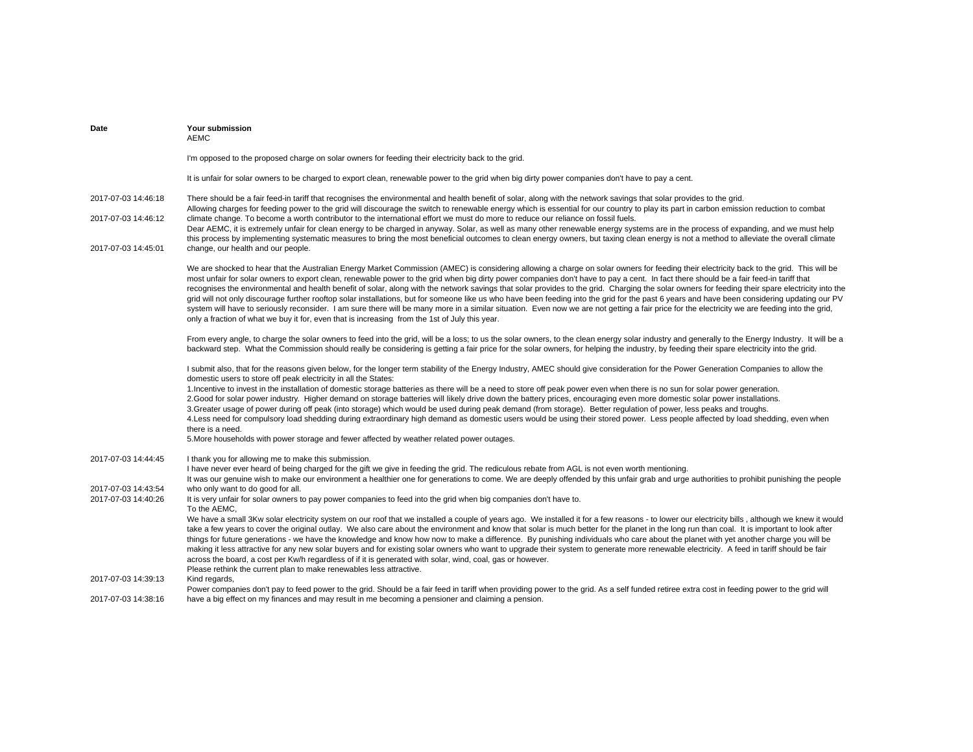| Date                                                              | <b>Your submission</b><br><b>AEMC</b>                                                                                                                                                                                                                                                                                                                                                                                                                                                                                                                                                                                                                                                                                                                                                                                                                                                                                                                                                                                                                                                                         |
|-------------------------------------------------------------------|---------------------------------------------------------------------------------------------------------------------------------------------------------------------------------------------------------------------------------------------------------------------------------------------------------------------------------------------------------------------------------------------------------------------------------------------------------------------------------------------------------------------------------------------------------------------------------------------------------------------------------------------------------------------------------------------------------------------------------------------------------------------------------------------------------------------------------------------------------------------------------------------------------------------------------------------------------------------------------------------------------------------------------------------------------------------------------------------------------------|
|                                                                   | I'm opposed to the proposed charge on solar owners for feeding their electricity back to the grid.                                                                                                                                                                                                                                                                                                                                                                                                                                                                                                                                                                                                                                                                                                                                                                                                                                                                                                                                                                                                            |
|                                                                   | It is unfair for solar owners to be charged to export clean, renewable power to the grid when big dirty power companies don't have to pay a cent.                                                                                                                                                                                                                                                                                                                                                                                                                                                                                                                                                                                                                                                                                                                                                                                                                                                                                                                                                             |
| 2017-07-03 14:46:18<br>2017-07-03 14:46:12<br>2017-07-03 14:45:01 | There should be a fair feed-in tariff that recognises the environmental and health benefit of solar, along with the network savings that solar provides to the grid.<br>Allowing charges for feeding power to the grid will discourage the switch to renewable energy which is essential for our country to play its part in carbon emission reduction to combat<br>climate change. To become a worth contributor to the international effort we must do more to reduce our reliance on fossil fuels.<br>Dear AEMC, it is extremely unfair for clean energy to be charged in anyway. Solar, as well as many other renewable energy systems are in the process of expanding, and we must help<br>this process by implementing systematic measures to bring the most beneficial outcomes to clean energy owners, but taxing clean energy is not a method to alleviate the overall climate<br>change, our health and our people.                                                                                                                                                                                 |
|                                                                   | We are shocked to hear that the Australian Energy Market Commission (AMEC) is considering allowing a charge on solar owners for feeding their electricity back to the grid. This will be<br>most unfair for solar owners to export clean, renewable power to the grid when big dirty power companies don't have to pay a cent. In fact there should be a fair feed-in tariff that<br>recognises the environmental and health benefit of solar, along with the network savings that solar provides to the grid. Charging the solar owners for feeding their spare electricity into the<br>grid will not only discourage further rooftop solar installations, but for someone like us who have been feeding into the grid for the past 6 years and have been considering updating our PV<br>system will have to seriously reconsider. I am sure there will be many more in a similar situation. Even now we are not getting a fair price for the electricity we are feeding into the grid,<br>only a fraction of what we buy it for, even that is increasing from the 1st of July this year.                    |
|                                                                   | From every angle, to charge the solar owners to feed into the grid, will be a loss; to us the solar owners, to the clean energy solar industry and generally to the Energy Industry. It will be a<br>backward step. What the Commission should really be considering is getting a fair price for the solar owners, for helping the industry, by feeding their spare electricity into the grid.                                                                                                                                                                                                                                                                                                                                                                                                                                                                                                                                                                                                                                                                                                                |
|                                                                   | I submit also, that for the reasons given below, for the longer term stability of the Energy Industry, AMEC should give consideration for the Power Generation Companies to allow the<br>domestic users to store off peak electricity in all the States:<br>1. Incentive to invest in the installation of domestic storage batteries as there will be a need to store off peak power even when there is no sun for solar power generation.<br>2. Good for solar power industry. Higher demand on storage batteries will likely drive down the battery prices, encouraging even more domestic solar power installations.<br>3. Greater usage of power during off peak (into storage) which would be used during peak demand (from storage). Better regulation of power, less peaks and troughs.<br>4.Less need for compulsory load shedding during extraordinary high demand as domestic users would be using their stored power. Less people affected by load shedding, even when<br>there is a need.<br>5. More households with power storage and fewer affected by weather related power outages.           |
| 2017-07-03 14:44:45<br>2017-07-03 14:43:54                        | I thank you for allowing me to make this submission.<br>I have never ever heard of being charged for the gift we give in feeding the grid. The rediculous rebate from AGL is not even worth mentioning.<br>It was our genuine wish to make our environment a healthier one for generations to come. We are deeply offended by this unfair grab and urge authorities to prohibit punishing the people<br>who only want to do good for all.                                                                                                                                                                                                                                                                                                                                                                                                                                                                                                                                                                                                                                                                     |
| 2017-07-03 14:40:26                                               | It is very unfair for solar owners to pay power companies to feed into the grid when big companies don't have to.<br>To the AEMC,<br>We have a small 3Kw solar electricity system on our roof that we installed a couple of years ago. We installed it for a few reasons - to lower our electricity bills, although we knew it would<br>take a few years to cover the original outlay. We also care about the environment and know that solar is much better for the planet in the long run than coal. It is important to look after<br>things for future generations - we have the knowledge and know how now to make a difference. By punishing individuals who care about the planet with yet another charge you will be<br>making it less attractive for any new solar buyers and for existing solar owners who want to upgrade their system to generate more renewable electricity. A feed in tariff should be fair<br>across the board, a cost per Kw/h regardless of if it is generated with solar, wind, coal, gas or however.<br>Please rethink the current plan to make renewables less attractive. |
| 2017-07-03 14:39:13                                               | Kind regards,<br>Power companies don't pay to feed power to the grid. Should be a fair feed in tariff when providing power to the grid. As a self funded retiree extra cost in feeding power to the grid will                                                                                                                                                                                                                                                                                                                                                                                                                                                                                                                                                                                                                                                                                                                                                                                                                                                                                                 |
| 2017-07-03 14:38:16                                               | have a big effect on my finances and may result in me becoming a pensioner and claiming a pension.                                                                                                                                                                                                                                                                                                                                                                                                                                                                                                                                                                                                                                                                                                                                                                                                                                                                                                                                                                                                            |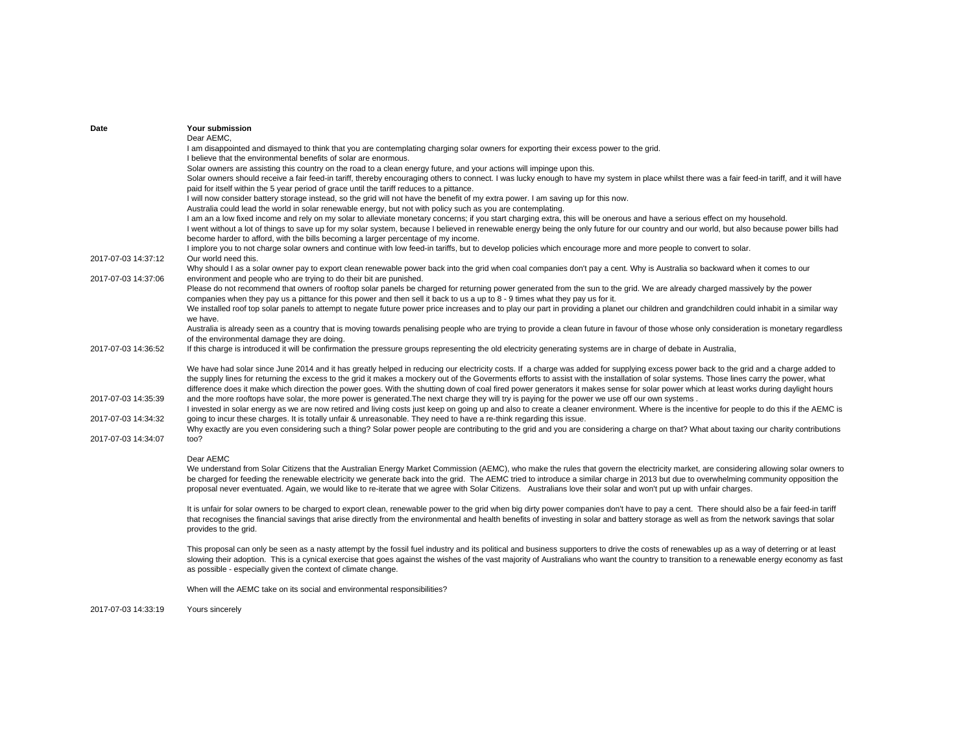| Date                | Your submission                                                                                                                                                                                                                                                                                                                                                                                                                                                                                                                                                                 |
|---------------------|---------------------------------------------------------------------------------------------------------------------------------------------------------------------------------------------------------------------------------------------------------------------------------------------------------------------------------------------------------------------------------------------------------------------------------------------------------------------------------------------------------------------------------------------------------------------------------|
|                     | Dear AEMC,                                                                                                                                                                                                                                                                                                                                                                                                                                                                                                                                                                      |
|                     | I am disappointed and dismayed to think that you are contemplating charging solar owners for exporting their excess power to the grid.<br>I believe that the environmental benefits of solar are enormous.                                                                                                                                                                                                                                                                                                                                                                      |
|                     | Solar owners are assisting this country on the road to a clean energy future, and your actions will impinge upon this.                                                                                                                                                                                                                                                                                                                                                                                                                                                          |
|                     | Solar owners should receive a fair feed-in tariff, thereby encouraging others to connect. I was lucky enough to have my system in place whilst there was a fair feed-in tariff, and it will have                                                                                                                                                                                                                                                                                                                                                                                |
|                     | paid for itself within the 5 year period of grace until the tariff reduces to a pittance.                                                                                                                                                                                                                                                                                                                                                                                                                                                                                       |
|                     | I will now consider battery storage instead, so the grid will not have the benefit of my extra power. I am saving up for this now.                                                                                                                                                                                                                                                                                                                                                                                                                                              |
|                     | Australia could lead the world in solar renewable energy, but not with policy such as you are contemplating.                                                                                                                                                                                                                                                                                                                                                                                                                                                                    |
|                     | I am an a low fixed income and rely on my solar to alleviate monetary concerns; if you start charging extra, this will be onerous and have a serious effect on my household.                                                                                                                                                                                                                                                                                                                                                                                                    |
|                     | I went without a lot of things to save up for my solar system, because I believed in renewable energy being the only future for our country and our world, but also because power bills had<br>become harder to afford, with the bills becoming a larger percentage of my income.                                                                                                                                                                                                                                                                                               |
|                     | I implore you to not charge solar owners and continue with low feed-in tariffs, but to develop policies which encourage more and more people to convert to solar.                                                                                                                                                                                                                                                                                                                                                                                                               |
| 2017-07-03 14:37:12 | Our world need this.                                                                                                                                                                                                                                                                                                                                                                                                                                                                                                                                                            |
| 2017-07-03 14:37:06 | Why should I as a solar owner pay to export clean renewable power back into the grid when coal companies don't pay a cent. Why is Australia so backward when it comes to our<br>environment and people who are trying to do their bit are punished.                                                                                                                                                                                                                                                                                                                             |
|                     | Please do not recommend that owners of rooftop solar panels be charged for returning power generated from the sun to the grid. We are already charged massively by the power<br>companies when they pay us a pittance for this power and then sell it back to us a up to $8 - 9$ times what they pay us for it.                                                                                                                                                                                                                                                                 |
|                     | We installed roof top solar panels to attempt to negate future power price increases and to play our part in providing a planet our children and grandchildren could inhabit in a similar way<br>we have.                                                                                                                                                                                                                                                                                                                                                                       |
|                     | Australia is already seen as a country that is moving towards penalising people who are trying to provide a clean future in favour of those whose only consideration is monetary regardless<br>of the environmental damage they are doing.                                                                                                                                                                                                                                                                                                                                      |
| 2017-07-03 14:36:52 | If this charge is introduced it will be confirmation the pressure groups representing the old electricity generating systems are in charge of debate in Australia,                                                                                                                                                                                                                                                                                                                                                                                                              |
|                     | We have had solar since June 2014 and it has greatly helped in reducing our electricity costs. If a charge was added for supplying excess power back to the grid and a charge added to<br>the supply lines for returning the excess to the grid it makes a mockery out of the Goverments efforts to assist with the installation of solar systems. Those lines carry the power, what<br>difference does it make which direction the power goes. With the shutting down of coal fired power generators it makes sense for solar power which at least works during daylight hours |
| 2017-07-03 14:35:39 | and the more rooftops have solar, the more power is generated. The next charge they will try is paying for the power we use off our own systems.<br>I invested in solar energy as we are now retired and living costs just keep on going up and also to create a cleaner environment. Where is the incentive for people to do this if the AEMC is                                                                                                                                                                                                                               |
| 2017-07-03 14:34:32 | going to incur these charges. It is totally unfair & unreasonable. They need to have a re-think regarding this issue.<br>Why exactly are you even considering such a thing? Solar power people are contributing to the grid and you are considering a charge on that? What about taxing our charity contributions                                                                                                                                                                                                                                                               |
| 2017-07-03 14:34:07 | too?                                                                                                                                                                                                                                                                                                                                                                                                                                                                                                                                                                            |
|                     | Dear AEMC                                                                                                                                                                                                                                                                                                                                                                                                                                                                                                                                                                       |
|                     | We understand from Solar Citizens that the Australian Energy Market Commission (AEMC), who make the rules that govern the electricity market, are considering allowing solar owners to<br>be charged for feeding the renewable electricity we generate back into the grid. The AEMC tried to introduce a similar charge in 2013 but due to overwhelming community opposition the<br>proposal never eventuated. Again, we would like to re-iterate that we agree with Solar Citizens. Australians love their solar and won't put up with unfair charges.                         |
|                     | It is unfair for solar owners to be charged to export clean, renewable power to the grid when big dirty power companies don't have to pay a cent. There should also be a fair feed-in tariff<br>that recognises the financial savings that arise directly from the environmental and health benefits of investing in solar and battery storage as well as from the network savings that solar<br>provides to the grid.                                                                                                                                                          |
|                     | This proposal can only be seen as a nasty attempt by the fossil fuel industry and its political and business supporters to drive the costs of renewables up as a way of deterring or at least<br>slowing their adoption. This is a cynical exercise that goes against the wishes of the vast majority of Australians who want the country to transition to a renewable energy economy as fast<br>as possible - especially given the context of climate change.                                                                                                                  |
|                     | When will the AEMC take on its social and environmental responsibilities?                                                                                                                                                                                                                                                                                                                                                                                                                                                                                                       |
| 2017-07-03 14:33:19 | Yours sincerely                                                                                                                                                                                                                                                                                                                                                                                                                                                                                                                                                                 |
|                     |                                                                                                                                                                                                                                                                                                                                                                                                                                                                                                                                                                                 |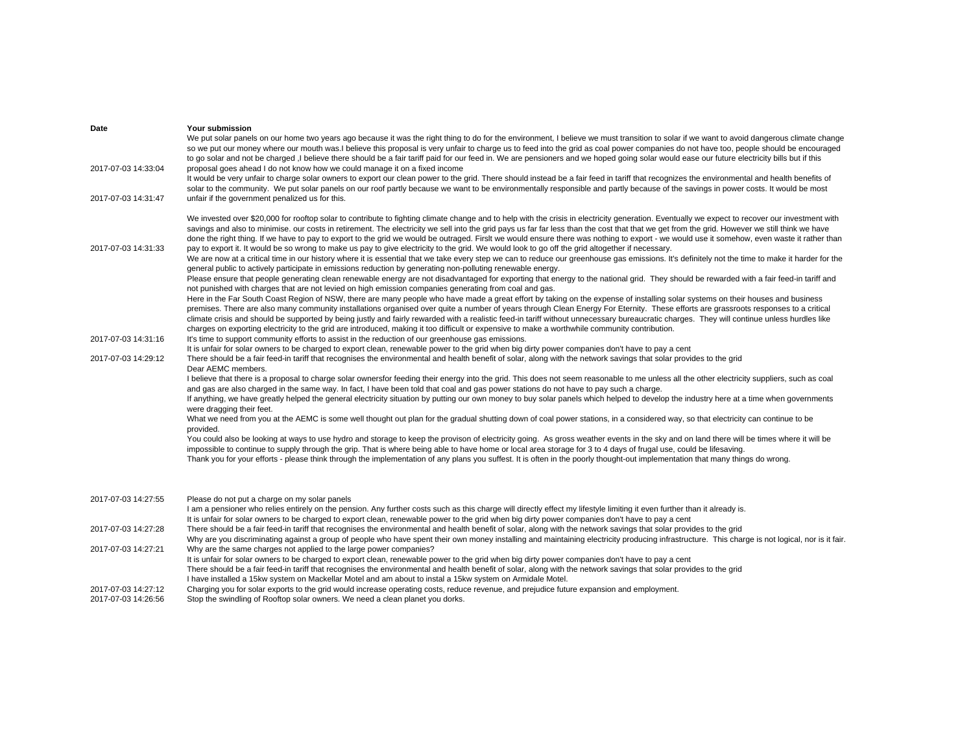| Date                | Your submission                                                                                                                                                                                                                                                                                                                                                                                                                                                                                                                                                                                                                                                                                                                                                                                                                                                                                                                                                                                                                                                                                                                                                                                                                                                                                                                                                                                                                                                                                                                                                  |
|---------------------|------------------------------------------------------------------------------------------------------------------------------------------------------------------------------------------------------------------------------------------------------------------------------------------------------------------------------------------------------------------------------------------------------------------------------------------------------------------------------------------------------------------------------------------------------------------------------------------------------------------------------------------------------------------------------------------------------------------------------------------------------------------------------------------------------------------------------------------------------------------------------------------------------------------------------------------------------------------------------------------------------------------------------------------------------------------------------------------------------------------------------------------------------------------------------------------------------------------------------------------------------------------------------------------------------------------------------------------------------------------------------------------------------------------------------------------------------------------------------------------------------------------------------------------------------------------|
| 2017-07-03 14:33:04 | We put solar panels on our home two years ago because it was the right thing to do for the environment, I believe we must transition to solar if we want to avoid dangerous climate change<br>so we put our money where our mouth was.I believe this proposal is very unfair to charge us to feed into the grid as coal power companies do not have too, people should be encouraged<br>to go solar and not be charged, I believe there should be a fair tariff paid for our feed in. We are pensioners and we hoped going solar would ease our future electricity bills but if this<br>proposal goes ahead I do not know how we could manage it on a fixed income                                                                                                                                                                                                                                                                                                                                                                                                                                                                                                                                                                                                                                                                                                                                                                                                                                                                                               |
|                     | It would be very unfair to charge solar owners to export our clean power to the grid. There should instead be a fair feed in tariff that recognizes the environmental and health benefits of<br>solar to the community. We put solar panels on our roof partly because we want to be environmentally responsible and partly because of the savings in power costs. It would be most                                                                                                                                                                                                                                                                                                                                                                                                                                                                                                                                                                                                                                                                                                                                                                                                                                                                                                                                                                                                                                                                                                                                                                              |
| 2017-07-03 14:31:47 | unfair if the government penalized us for this.                                                                                                                                                                                                                                                                                                                                                                                                                                                                                                                                                                                                                                                                                                                                                                                                                                                                                                                                                                                                                                                                                                                                                                                                                                                                                                                                                                                                                                                                                                                  |
| 2017-07-03 14:31:33 | We invested over \$20,000 for rooftop solar to contribute to fighting climate change and to help with the crisis in electricity generation. Eventually we expect to recover our investment with<br>savings and also to minimise, our costs in retirement. The electricity we sell into the grid pays us far far less than the cost that that we get from the grid. However we still think we have<br>done the right thing. If we have to pay to export to the grid we would be outraged. Firslt we would ensure there was nothing to export - we would use it somehow, even waste it rather than<br>pay to export it. It would be so wrong to make us pay to give electricity to the grid. We would look to go off the grid altogether if necessary.<br>We are now at a critical time in our history where it is essential that we take every step we can to reduce our greenhouse gas emissions. It's definitely not the time to make it harder for the<br>general public to actively participate in emissions reduction by generating non-polluting renewable energy.<br>Please ensure that people generating clean renewable energy are not disadvantaged for exporting that energy to the national grid. They should be rewarded with a fair feed-in tariff and<br>not punished with charges that are not levied on high emission companies generating from coal and gas.<br>Here in the Far South Coast Region of NSW, there are many people who have made a great effort by taking on the expense of installing solar systems on their houses and business |
|                     | premises. There are also many community installations organised over quite a number of years through Clean Energy For Eternity. These efforts are grassroots responses to a critical<br>climate crisis and should be supported by being justly and fairly rewarded with a realistic feed-in tariff without unnecessary bureaucratic charges. They will continue unless hurdles like<br>charges on exporting electricity to the grid are introduced, making it too difficult or expensive to make a worthwhile community contribution.                                                                                                                                                                                                                                                                                                                                                                                                                                                                                                                                                                                                                                                                                                                                                                                                                                                                                                                                                                                                                            |
| 2017-07-03 14:31:16 | It's time to support community efforts to assist in the reduction of our greenhouse gas emissions.                                                                                                                                                                                                                                                                                                                                                                                                                                                                                                                                                                                                                                                                                                                                                                                                                                                                                                                                                                                                                                                                                                                                                                                                                                                                                                                                                                                                                                                               |
| 2017-07-03 14:29:12 | It is unfair for solar owners to be charged to export clean, renewable power to the grid when big dirty power companies don't have to pay a cent<br>There should be a fair feed-in tariff that recognises the environmental and health benefit of solar, along with the network savings that solar provides to the grid                                                                                                                                                                                                                                                                                                                                                                                                                                                                                                                                                                                                                                                                                                                                                                                                                                                                                                                                                                                                                                                                                                                                                                                                                                          |
|                     | Dear AEMC members.                                                                                                                                                                                                                                                                                                                                                                                                                                                                                                                                                                                                                                                                                                                                                                                                                                                                                                                                                                                                                                                                                                                                                                                                                                                                                                                                                                                                                                                                                                                                               |
|                     | I believe that there is a proposal to charge solar ownersfor feeding their energy into the grid. This does not seem reasonable to me unless all the other electricity suppliers, such as coal                                                                                                                                                                                                                                                                                                                                                                                                                                                                                                                                                                                                                                                                                                                                                                                                                                                                                                                                                                                                                                                                                                                                                                                                                                                                                                                                                                    |
|                     | and gas are also charged in the same way. In fact, I have been told that coal and gas power stations do not have to pay such a charge.                                                                                                                                                                                                                                                                                                                                                                                                                                                                                                                                                                                                                                                                                                                                                                                                                                                                                                                                                                                                                                                                                                                                                                                                                                                                                                                                                                                                                           |
|                     | If anything, we have greatly helped the general electricity situation by putting our own money to buy solar panels which helped to develop the industry here at a time when governments<br>were dragging their feet.                                                                                                                                                                                                                                                                                                                                                                                                                                                                                                                                                                                                                                                                                                                                                                                                                                                                                                                                                                                                                                                                                                                                                                                                                                                                                                                                             |
|                     | What we need from you at the AEMC is some well thought out plan for the gradual shutting down of coal power stations, in a considered way, so that electricity can continue to be<br>provided.                                                                                                                                                                                                                                                                                                                                                                                                                                                                                                                                                                                                                                                                                                                                                                                                                                                                                                                                                                                                                                                                                                                                                                                                                                                                                                                                                                   |
|                     | You could also be looking at ways to use hydro and storage to keep the provison of electricity going. As gross weather events in the sky and on land there will be times where it will be                                                                                                                                                                                                                                                                                                                                                                                                                                                                                                                                                                                                                                                                                                                                                                                                                                                                                                                                                                                                                                                                                                                                                                                                                                                                                                                                                                        |
|                     | impossible to continue to supply through the grip. That is where being able to have home or local area storage for 3 to 4 days of frugal use, could be lifesaving.<br>Thank you for your efforts - please think through the implementation of any plans you suffest. It is often in the poorly thought-out implementation that many things do wrong.                                                                                                                                                                                                                                                                                                                                                                                                                                                                                                                                                                                                                                                                                                                                                                                                                                                                                                                                                                                                                                                                                                                                                                                                             |
|                     |                                                                                                                                                                                                                                                                                                                                                                                                                                                                                                                                                                                                                                                                                                                                                                                                                                                                                                                                                                                                                                                                                                                                                                                                                                                                                                                                                                                                                                                                                                                                                                  |
| 2017-07-03 14:27:55 | Please do not put a charge on my solar panels                                                                                                                                                                                                                                                                                                                                                                                                                                                                                                                                                                                                                                                                                                                                                                                                                                                                                                                                                                                                                                                                                                                                                                                                                                                                                                                                                                                                                                                                                                                    |
|                     | I am a pensioner who relies entirely on the pension. Any further costs such as this charge will directly effect my lifestyle limiting it even further than it already is.<br>It is unfair for solar owners to be charged to export clean, renewable power to the grid when big dirty power companies don't have to pay a cent                                                                                                                                                                                                                                                                                                                                                                                                                                                                                                                                                                                                                                                                                                                                                                                                                                                                                                                                                                                                                                                                                                                                                                                                                                    |
| 2017-07-03 14:27:28 | There should be a fair feed-in tariff that recognises the environmental and health benefit of solar, along with the network savings that solar provides to the grid                                                                                                                                                                                                                                                                                                                                                                                                                                                                                                                                                                                                                                                                                                                                                                                                                                                                                                                                                                                                                                                                                                                                                                                                                                                                                                                                                                                              |
|                     | Why are you discriminating against a group of people who have spent their own money installing and maintaining electricity producing infrastructure. This charge is not logical, nor is it fair.                                                                                                                                                                                                                                                                                                                                                                                                                                                                                                                                                                                                                                                                                                                                                                                                                                                                                                                                                                                                                                                                                                                                                                                                                                                                                                                                                                 |
| 2017-07-03 14:27:21 | Why are the same charges not applied to the large power companies?                                                                                                                                                                                                                                                                                                                                                                                                                                                                                                                                                                                                                                                                                                                                                                                                                                                                                                                                                                                                                                                                                                                                                                                                                                                                                                                                                                                                                                                                                               |
|                     | It is unfair for solar owners to be charged to export clean, renewable power to the grid when big dirty power companies don't have to pay a cent                                                                                                                                                                                                                                                                                                                                                                                                                                                                                                                                                                                                                                                                                                                                                                                                                                                                                                                                                                                                                                                                                                                                                                                                                                                                                                                                                                                                                 |
|                     | There should be a fair feed-in tariff that recognises the environmental and health benefit of solar, along with the network savings that solar provides to the grid<br>I have installed a 15kw system on Mackellar Motel and am about to instal a 15kw system on Armidale Motel.                                                                                                                                                                                                                                                                                                                                                                                                                                                                                                                                                                                                                                                                                                                                                                                                                                                                                                                                                                                                                                                                                                                                                                                                                                                                                 |
| 2017-07-03 14:27:12 | Charging you for solar exports to the grid would increase operating costs, reduce revenue, and prejudice future expansion and employment.                                                                                                                                                                                                                                                                                                                                                                                                                                                                                                                                                                                                                                                                                                                                                                                                                                                                                                                                                                                                                                                                                                                                                                                                                                                                                                                                                                                                                        |
| 2017-07-03 14:26:56 | Stop the swindling of Rooftop solar owners. We need a clean planet you dorks.                                                                                                                                                                                                                                                                                                                                                                                                                                                                                                                                                                                                                                                                                                                                                                                                                                                                                                                                                                                                                                                                                                                                                                                                                                                                                                                                                                                                                                                                                    |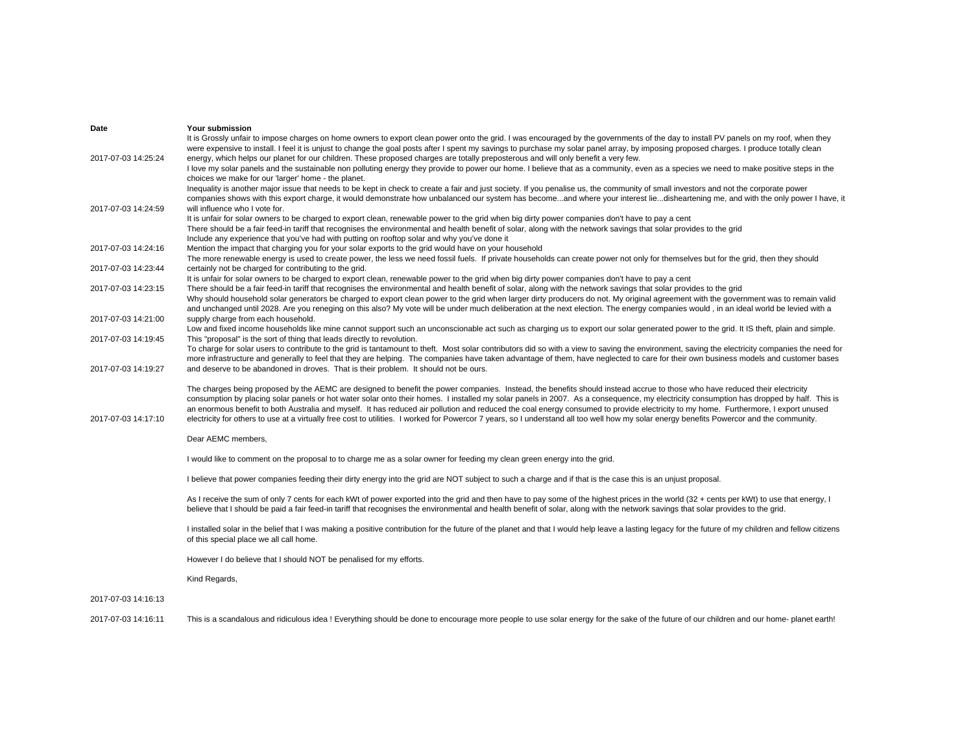| It is Grossly unfair to impose charges on home owners to export clean power onto the grid. I was encouraged by the governments of the day to install PV panels on my roof, when they<br>were expensive to install. I feel it is unjust to change the goal posts after I spent my savings to purchase my solar panel array, by imposing proposed charges. I produce totally clean<br>2017-07-03 14:25:24<br>energy, which helps our planet for our children. These proposed charges are totally preposterous and will only benefit a very few.<br>I love my solar panels and the sustainable non polluting energy they provide to power our home. I believe that as a community, even as a species we need to make positive steps in the<br>choices we make for our 'larger' home - the planet.<br>Inequality is another major issue that needs to be kept in check to create a fair and just society. If you penalise us, the community of small investors and not the corporate power<br>companies shows with this export charge, it would demonstrate how unbalanced our system has becomeand where your interest liedisheartening me, and with the only power I have, it<br>will influence who I vote for.<br>2017-07-03 14:24:59<br>It is unfair for solar owners to be charged to export clean, renewable power to the grid when big dirty power companies don't have to pay a cent<br>There should be a fair feed-in tariff that recognises the environmental and health benefit of solar, along with the network savings that solar provides to the grid<br>Include any experience that you've had with putting on rooftop solar and why you've done it<br>2017-07-03 14:24:16<br>Mention the impact that charging you for your solar exports to the grid would have on your household<br>The more renewable energy is used to create power, the less we need fossil fuels. If private households can create power not only for themselves but for the grid, then they should |
|--------------------------------------------------------------------------------------------------------------------------------------------------------------------------------------------------------------------------------------------------------------------------------------------------------------------------------------------------------------------------------------------------------------------------------------------------------------------------------------------------------------------------------------------------------------------------------------------------------------------------------------------------------------------------------------------------------------------------------------------------------------------------------------------------------------------------------------------------------------------------------------------------------------------------------------------------------------------------------------------------------------------------------------------------------------------------------------------------------------------------------------------------------------------------------------------------------------------------------------------------------------------------------------------------------------------------------------------------------------------------------------------------------------------------------------------------------------------------------------------------------------------------------------------------------------------------------------------------------------------------------------------------------------------------------------------------------------------------------------------------------------------------------------------------------------------------------------------------------------------------------------------------------------------------------------------------------------------------------------|
|                                                                                                                                                                                                                                                                                                                                                                                                                                                                                                                                                                                                                                                                                                                                                                                                                                                                                                                                                                                                                                                                                                                                                                                                                                                                                                                                                                                                                                                                                                                                                                                                                                                                                                                                                                                                                                                                                                                                                                                      |
|                                                                                                                                                                                                                                                                                                                                                                                                                                                                                                                                                                                                                                                                                                                                                                                                                                                                                                                                                                                                                                                                                                                                                                                                                                                                                                                                                                                                                                                                                                                                                                                                                                                                                                                                                                                                                                                                                                                                                                                      |
|                                                                                                                                                                                                                                                                                                                                                                                                                                                                                                                                                                                                                                                                                                                                                                                                                                                                                                                                                                                                                                                                                                                                                                                                                                                                                                                                                                                                                                                                                                                                                                                                                                                                                                                                                                                                                                                                                                                                                                                      |
|                                                                                                                                                                                                                                                                                                                                                                                                                                                                                                                                                                                                                                                                                                                                                                                                                                                                                                                                                                                                                                                                                                                                                                                                                                                                                                                                                                                                                                                                                                                                                                                                                                                                                                                                                                                                                                                                                                                                                                                      |
|                                                                                                                                                                                                                                                                                                                                                                                                                                                                                                                                                                                                                                                                                                                                                                                                                                                                                                                                                                                                                                                                                                                                                                                                                                                                                                                                                                                                                                                                                                                                                                                                                                                                                                                                                                                                                                                                                                                                                                                      |
|                                                                                                                                                                                                                                                                                                                                                                                                                                                                                                                                                                                                                                                                                                                                                                                                                                                                                                                                                                                                                                                                                                                                                                                                                                                                                                                                                                                                                                                                                                                                                                                                                                                                                                                                                                                                                                                                                                                                                                                      |
|                                                                                                                                                                                                                                                                                                                                                                                                                                                                                                                                                                                                                                                                                                                                                                                                                                                                                                                                                                                                                                                                                                                                                                                                                                                                                                                                                                                                                                                                                                                                                                                                                                                                                                                                                                                                                                                                                                                                                                                      |
|                                                                                                                                                                                                                                                                                                                                                                                                                                                                                                                                                                                                                                                                                                                                                                                                                                                                                                                                                                                                                                                                                                                                                                                                                                                                                                                                                                                                                                                                                                                                                                                                                                                                                                                                                                                                                                                                                                                                                                                      |
|                                                                                                                                                                                                                                                                                                                                                                                                                                                                                                                                                                                                                                                                                                                                                                                                                                                                                                                                                                                                                                                                                                                                                                                                                                                                                                                                                                                                                                                                                                                                                                                                                                                                                                                                                                                                                                                                                                                                                                                      |
|                                                                                                                                                                                                                                                                                                                                                                                                                                                                                                                                                                                                                                                                                                                                                                                                                                                                                                                                                                                                                                                                                                                                                                                                                                                                                                                                                                                                                                                                                                                                                                                                                                                                                                                                                                                                                                                                                                                                                                                      |
|                                                                                                                                                                                                                                                                                                                                                                                                                                                                                                                                                                                                                                                                                                                                                                                                                                                                                                                                                                                                                                                                                                                                                                                                                                                                                                                                                                                                                                                                                                                                                                                                                                                                                                                                                                                                                                                                                                                                                                                      |
|                                                                                                                                                                                                                                                                                                                                                                                                                                                                                                                                                                                                                                                                                                                                                                                                                                                                                                                                                                                                                                                                                                                                                                                                                                                                                                                                                                                                                                                                                                                                                                                                                                                                                                                                                                                                                                                                                                                                                                                      |
| certainly not be charged for contributing to the grid.<br>2017-07-03 14:23:44                                                                                                                                                                                                                                                                                                                                                                                                                                                                                                                                                                                                                                                                                                                                                                                                                                                                                                                                                                                                                                                                                                                                                                                                                                                                                                                                                                                                                                                                                                                                                                                                                                                                                                                                                                                                                                                                                                        |
| It is unfair for solar owners to be charged to export clean, renewable power to the grid when big dirty power companies don't have to pay a cent                                                                                                                                                                                                                                                                                                                                                                                                                                                                                                                                                                                                                                                                                                                                                                                                                                                                                                                                                                                                                                                                                                                                                                                                                                                                                                                                                                                                                                                                                                                                                                                                                                                                                                                                                                                                                                     |
| 2017-07-03 14:23:15<br>There should be a fair feed-in tariff that recognises the environmental and health benefit of solar, along with the network savings that solar provides to the grid<br>Why should household solar generators be charged to export clean power to the grid when larger dirty producers do not. My original agreement with the government was to remain valid                                                                                                                                                                                                                                                                                                                                                                                                                                                                                                                                                                                                                                                                                                                                                                                                                                                                                                                                                                                                                                                                                                                                                                                                                                                                                                                                                                                                                                                                                                                                                                                                   |
| and unchanged until 2028. Are you reneging on this also? My vote will be under much deliberation at the next election. The energy companies would, in an ideal world be levied with a                                                                                                                                                                                                                                                                                                                                                                                                                                                                                                                                                                                                                                                                                                                                                                                                                                                                                                                                                                                                                                                                                                                                                                                                                                                                                                                                                                                                                                                                                                                                                                                                                                                                                                                                                                                                |
| supply charge from each household.<br>2017-07-03 14:21:00                                                                                                                                                                                                                                                                                                                                                                                                                                                                                                                                                                                                                                                                                                                                                                                                                                                                                                                                                                                                                                                                                                                                                                                                                                                                                                                                                                                                                                                                                                                                                                                                                                                                                                                                                                                                                                                                                                                            |
| Low and fixed income households like mine cannot support such an unconscionable act such as charging us to export our solar generated power to the grid. It IS theft, plain and simple.                                                                                                                                                                                                                                                                                                                                                                                                                                                                                                                                                                                                                                                                                                                                                                                                                                                                                                                                                                                                                                                                                                                                                                                                                                                                                                                                                                                                                                                                                                                                                                                                                                                                                                                                                                                              |
| 2017-07-03 14:19:45<br>This "proposal" is the sort of thing that leads directly to revolution.                                                                                                                                                                                                                                                                                                                                                                                                                                                                                                                                                                                                                                                                                                                                                                                                                                                                                                                                                                                                                                                                                                                                                                                                                                                                                                                                                                                                                                                                                                                                                                                                                                                                                                                                                                                                                                                                                       |
| To charge for solar users to contribute to the grid is tantamount to theft. Most solar contributors did so with a view to saving the environment, saving the electricity companies the need for                                                                                                                                                                                                                                                                                                                                                                                                                                                                                                                                                                                                                                                                                                                                                                                                                                                                                                                                                                                                                                                                                                                                                                                                                                                                                                                                                                                                                                                                                                                                                                                                                                                                                                                                                                                      |
| more infrastructure and generally to feel that they are helping. The companies have taken advantage of them, have neglected to care for their own business models and customer bases                                                                                                                                                                                                                                                                                                                                                                                                                                                                                                                                                                                                                                                                                                                                                                                                                                                                                                                                                                                                                                                                                                                                                                                                                                                                                                                                                                                                                                                                                                                                                                                                                                                                                                                                                                                                 |
| and deserve to be abandoned in droves. That is their problem. It should not be ours.<br>2017-07-03 14:19:27                                                                                                                                                                                                                                                                                                                                                                                                                                                                                                                                                                                                                                                                                                                                                                                                                                                                                                                                                                                                                                                                                                                                                                                                                                                                                                                                                                                                                                                                                                                                                                                                                                                                                                                                                                                                                                                                          |
|                                                                                                                                                                                                                                                                                                                                                                                                                                                                                                                                                                                                                                                                                                                                                                                                                                                                                                                                                                                                                                                                                                                                                                                                                                                                                                                                                                                                                                                                                                                                                                                                                                                                                                                                                                                                                                                                                                                                                                                      |
| The charges being proposed by the AEMC are designed to benefit the power companies. Instead, the benefits should instead accrue to those who have reduced their electricity<br>consumption by placing solar panels or hot water solar onto their homes. I installed my solar panels in 2007. As a consequence, my electricity consumption has dropped by half. This is                                                                                                                                                                                                                                                                                                                                                                                                                                                                                                                                                                                                                                                                                                                                                                                                                                                                                                                                                                                                                                                                                                                                                                                                                                                                                                                                                                                                                                                                                                                                                                                                               |
| an enormous benefit to both Australia and myself. It has reduced air pollution and reduced the coal energy consumed to provide electricity to my home. Furthermore, I export unused                                                                                                                                                                                                                                                                                                                                                                                                                                                                                                                                                                                                                                                                                                                                                                                                                                                                                                                                                                                                                                                                                                                                                                                                                                                                                                                                                                                                                                                                                                                                                                                                                                                                                                                                                                                                  |
| 2017-07-03 14:17:10<br>electricity for others to use at a virtually free cost to utilities. I worked for Powercor 7 years, so I understand all too well how my solar energy benefits Powercor and the community.                                                                                                                                                                                                                                                                                                                                                                                                                                                                                                                                                                                                                                                                                                                                                                                                                                                                                                                                                                                                                                                                                                                                                                                                                                                                                                                                                                                                                                                                                                                                                                                                                                                                                                                                                                     |
|                                                                                                                                                                                                                                                                                                                                                                                                                                                                                                                                                                                                                                                                                                                                                                                                                                                                                                                                                                                                                                                                                                                                                                                                                                                                                                                                                                                                                                                                                                                                                                                                                                                                                                                                                                                                                                                                                                                                                                                      |
| Dear AEMC members,                                                                                                                                                                                                                                                                                                                                                                                                                                                                                                                                                                                                                                                                                                                                                                                                                                                                                                                                                                                                                                                                                                                                                                                                                                                                                                                                                                                                                                                                                                                                                                                                                                                                                                                                                                                                                                                                                                                                                                   |
|                                                                                                                                                                                                                                                                                                                                                                                                                                                                                                                                                                                                                                                                                                                                                                                                                                                                                                                                                                                                                                                                                                                                                                                                                                                                                                                                                                                                                                                                                                                                                                                                                                                                                                                                                                                                                                                                                                                                                                                      |
| I would like to comment on the proposal to to charge me as a solar owner for feeding my clean green energy into the grid.                                                                                                                                                                                                                                                                                                                                                                                                                                                                                                                                                                                                                                                                                                                                                                                                                                                                                                                                                                                                                                                                                                                                                                                                                                                                                                                                                                                                                                                                                                                                                                                                                                                                                                                                                                                                                                                            |
| I believe that power companies feeding their dirty energy into the grid are NOT subject to such a charge and if that is the case this is an unjust proposal.                                                                                                                                                                                                                                                                                                                                                                                                                                                                                                                                                                                                                                                                                                                                                                                                                                                                                                                                                                                                                                                                                                                                                                                                                                                                                                                                                                                                                                                                                                                                                                                                                                                                                                                                                                                                                         |
|                                                                                                                                                                                                                                                                                                                                                                                                                                                                                                                                                                                                                                                                                                                                                                                                                                                                                                                                                                                                                                                                                                                                                                                                                                                                                                                                                                                                                                                                                                                                                                                                                                                                                                                                                                                                                                                                                                                                                                                      |
| As I receive the sum of only 7 cents for each kWt of power exported into the grid and then have to pay some of the highest prices in the world (32 + cents per kWt) to use that energy, I                                                                                                                                                                                                                                                                                                                                                                                                                                                                                                                                                                                                                                                                                                                                                                                                                                                                                                                                                                                                                                                                                                                                                                                                                                                                                                                                                                                                                                                                                                                                                                                                                                                                                                                                                                                            |
| believe that I should be paid a fair feed-in tariff that recognises the environmental and health benefit of solar, along with the network savings that solar provides to the grid.                                                                                                                                                                                                                                                                                                                                                                                                                                                                                                                                                                                                                                                                                                                                                                                                                                                                                                                                                                                                                                                                                                                                                                                                                                                                                                                                                                                                                                                                                                                                                                                                                                                                                                                                                                                                   |
|                                                                                                                                                                                                                                                                                                                                                                                                                                                                                                                                                                                                                                                                                                                                                                                                                                                                                                                                                                                                                                                                                                                                                                                                                                                                                                                                                                                                                                                                                                                                                                                                                                                                                                                                                                                                                                                                                                                                                                                      |
| I installed solar in the belief that I was making a positive contribution for the future of the planet and that I would help leave a lasting legacy for the future of my children and fellow citizens                                                                                                                                                                                                                                                                                                                                                                                                                                                                                                                                                                                                                                                                                                                                                                                                                                                                                                                                                                                                                                                                                                                                                                                                                                                                                                                                                                                                                                                                                                                                                                                                                                                                                                                                                                                |
| of this special place we all call home.                                                                                                                                                                                                                                                                                                                                                                                                                                                                                                                                                                                                                                                                                                                                                                                                                                                                                                                                                                                                                                                                                                                                                                                                                                                                                                                                                                                                                                                                                                                                                                                                                                                                                                                                                                                                                                                                                                                                              |
| However I do believe that I should NOT be penalised for my efforts.                                                                                                                                                                                                                                                                                                                                                                                                                                                                                                                                                                                                                                                                                                                                                                                                                                                                                                                                                                                                                                                                                                                                                                                                                                                                                                                                                                                                                                                                                                                                                                                                                                                                                                                                                                                                                                                                                                                  |
|                                                                                                                                                                                                                                                                                                                                                                                                                                                                                                                                                                                                                                                                                                                                                                                                                                                                                                                                                                                                                                                                                                                                                                                                                                                                                                                                                                                                                                                                                                                                                                                                                                                                                                                                                                                                                                                                                                                                                                                      |
| Kind Regards,                                                                                                                                                                                                                                                                                                                                                                                                                                                                                                                                                                                                                                                                                                                                                                                                                                                                                                                                                                                                                                                                                                                                                                                                                                                                                                                                                                                                                                                                                                                                                                                                                                                                                                                                                                                                                                                                                                                                                                        |
|                                                                                                                                                                                                                                                                                                                                                                                                                                                                                                                                                                                                                                                                                                                                                                                                                                                                                                                                                                                                                                                                                                                                                                                                                                                                                                                                                                                                                                                                                                                                                                                                                                                                                                                                                                                                                                                                                                                                                                                      |
| 2017-07-03 14:16:13                                                                                                                                                                                                                                                                                                                                                                                                                                                                                                                                                                                                                                                                                                                                                                                                                                                                                                                                                                                                                                                                                                                                                                                                                                                                                                                                                                                                                                                                                                                                                                                                                                                                                                                                                                                                                                                                                                                                                                  |
| 2017-07-03 14:16:11<br>This is a scandalous and ridiculous idea! Everything should be done to encourage more people to use solar energy for the sake of the future of our children and our home- planet earth!                                                                                                                                                                                                                                                                                                                                                                                                                                                                                                                                                                                                                                                                                                                                                                                                                                                                                                                                                                                                                                                                                                                                                                                                                                                                                                                                                                                                                                                                                                                                                                                                                                                                                                                                                                       |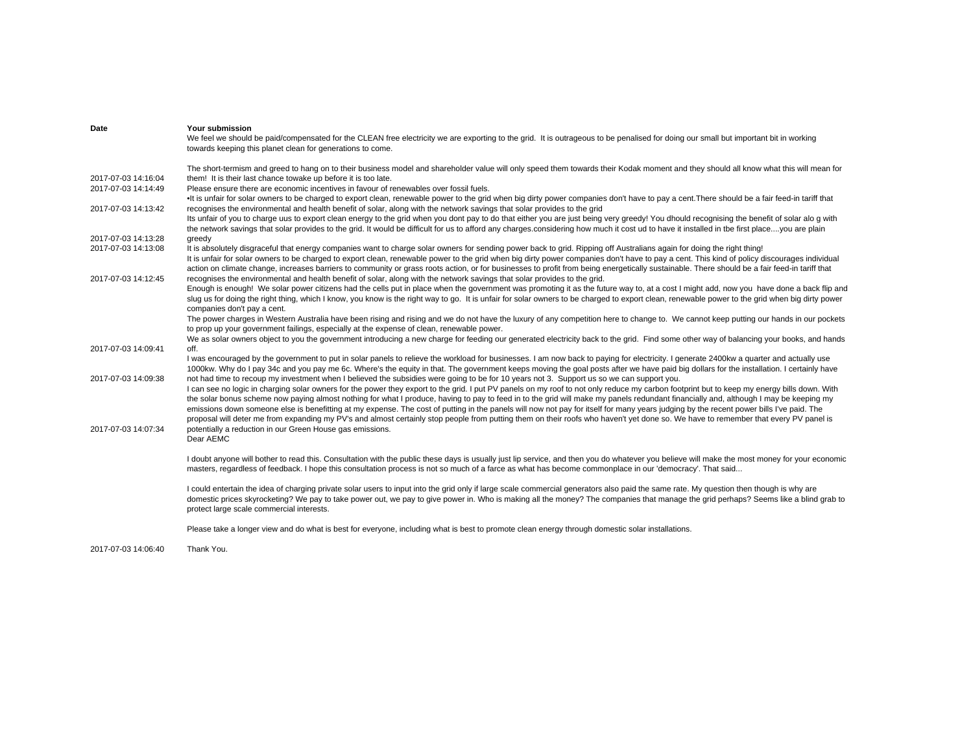| Date                                       | Your submission<br>We feel we should be paid/compensated for the CLEAN free electricity we are exporting to the grid. It is outrageous to be penalised for doing our small but important bit in working<br>towards keeping this planet clean for generations to come.                                                                                                                                                                                                                                                                                                           |
|--------------------------------------------|---------------------------------------------------------------------------------------------------------------------------------------------------------------------------------------------------------------------------------------------------------------------------------------------------------------------------------------------------------------------------------------------------------------------------------------------------------------------------------------------------------------------------------------------------------------------------------|
|                                            | The short-termism and greed to hang on to their business model and shareholder value will only speed them towards their Kodak moment and they should all know what this will mean for                                                                                                                                                                                                                                                                                                                                                                                           |
| 2017-07-03 14:16:04<br>2017-07-03 14:14:49 | them! It is their last chance towake up before it is too late.<br>Please ensure there are economic incentives in favour of renewables over fossil fuels.                                                                                                                                                                                                                                                                                                                                                                                                                        |
|                                            | . It is unfair for solar owners to be charged to export clean, renewable power to the grid when big dirty power companies don't have to pay a cent. There should be a fair feed-in tariff that                                                                                                                                                                                                                                                                                                                                                                                  |
| 2017-07-03 14:13:42                        | recognises the environmental and health benefit of solar, along with the network savings that solar provides to the grid                                                                                                                                                                                                                                                                                                                                                                                                                                                        |
|                                            | Its unfair of you to charge uus to export clean energy to the grid when you dont pay to do that either you are just being very greedy! You dhould recognising the benefit of solar alo g with<br>the network savings that solar provides to the grid. It would be difficult for us to afford any charges considering how much it cost ud to have it installed in the first placeyou are plain                                                                                                                                                                                   |
| 2017-07-03 14:13:28                        | greedy                                                                                                                                                                                                                                                                                                                                                                                                                                                                                                                                                                          |
| 2017-07-03 14:13:08                        | It is absolutely disgraceful that energy companies want to charge solar owners for sending power back to grid. Ripping off Australians again for doing the right thing!<br>It is unfair for solar owners to be charged to export clean, renewable power to the grid when big dirty power companies don't have to pay a cent. This kind of policy discourages individual<br>action on climate change, increases barriers to community or grass roots action, or for businesses to profit from being energetically sustainable. There should be a fair feed-in tariff that        |
| 2017-07-03 14:12:45                        | recognises the environmental and health benefit of solar, along with the network savings that solar provides to the grid.                                                                                                                                                                                                                                                                                                                                                                                                                                                       |
|                                            | Enough is enough! We solar power citizens had the cells put in place when the government was promoting it as the future way to, at a cost I might add, now you have done a back flip and<br>slug us for doing the right thing, which I know, you know is the right way to go. It is unfair for solar owners to be charged to export clean, renewable power to the grid when big dirty power<br>companies don't pay a cent.                                                                                                                                                      |
|                                            | The power charges in Western Australia have been rising and rising and we do not have the luxury of any competition here to change to. We cannot keep putting our hands in our pockets<br>to prop up your government failings, especially at the expense of clean, renewable power.                                                                                                                                                                                                                                                                                             |
|                                            | We as solar owners object to you the government introducing a new charge for feeding our generated electricity back to the grid. Find some other way of balancing your books, and hands                                                                                                                                                                                                                                                                                                                                                                                         |
| 2017-07-03 14:09:41                        | off.                                                                                                                                                                                                                                                                                                                                                                                                                                                                                                                                                                            |
|                                            | I was encouraged by the government to put in solar panels to relieve the workload for businesses. I am now back to paying for electricity. I generate 2400kw a quarter and actually use<br>1000kw. Why do I pay 34c and you pay me 6c. Where's the equity in that. The government keeps moving the goal posts after we have paid big dollars for the installation. I certainly have                                                                                                                                                                                             |
| 2017-07-03 14:09:38                        | not had time to recoup my investment when I believed the subsidies were going to be for 10 years not 3. Support us so we can support you.                                                                                                                                                                                                                                                                                                                                                                                                                                       |
|                                            | I can see no logic in charging solar owners for the power they export to the grid. I put PV panels on my roof to not only reduce my carbon footprint but to keep my energy bills down. With<br>the solar bonus scheme now paying almost nothing for what I produce, having to pay to feed in to the grid will make my panels redundant financially and, although I may be keeping my<br>emissions down someone else is benefitting at my expense. The cost of putting in the panels will now not pay for itself for many years judging by the recent power bills I've paid. The |
| 2017-07-03 14:07:34                        | proposal will deter me from expanding my PV's and almost certainly stop people from putting them on their roofs who haven't yet done so. We have to remember that every PV panel is<br>potentially a reduction in our Green House gas emissions.<br>Dear AEMC                                                                                                                                                                                                                                                                                                                   |
|                                            | I doubt anyone will bother to read this. Consultation with the public these days is usually just lip service, and then you do whatever you believe will make the most money for your economic<br>masters, regardless of feedback. I hope this consultation process is not so much of a farce as what has become commonplace in our 'democracy'. That said                                                                                                                                                                                                                       |
|                                            | I could entertain the idea of charging private solar users to input into the grid only if large scale commercial generators also paid the same rate. My question then though is why are<br>domestic prices skyrocketing? We pay to take power out, we pay to give power in. Who is making all the money? The companies that manage the grid perhaps? Seems like a blind grab to<br>protect large scale commercial interests.                                                                                                                                                    |
|                                            | Please take a longer view and do what is best for everyone, including what is best to promote clean energy through domestic solar installations.                                                                                                                                                                                                                                                                                                                                                                                                                                |
| 2017-07-03 14:06:40                        | Thank You.                                                                                                                                                                                                                                                                                                                                                                                                                                                                                                                                                                      |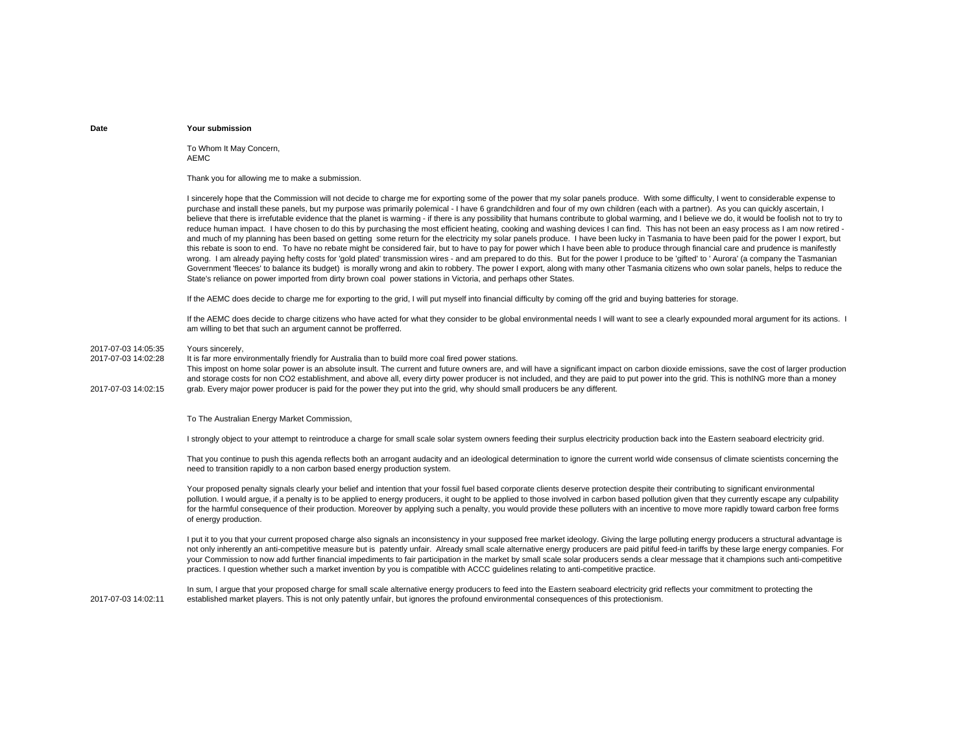To Whom It May Concern, AEMC

Thank you for allowing me to make a submission.

I sincerely hope that the Commission will not decide to charge me for exporting some of the power that my solar panels produce. With some difficulty, I went to considerable expense to purchase and install these panels, but my purpose was primarily polemical - I have 6 grandchildren and four of my own children (each with a partner). As you can quickly ascertain, I believe that there is irrefutable evidence that the planet is warming - if there is any possibility that humans contribute to global warming, and I believe we do, it would be foolish not to try to reduce human impact. I have chosen to do this by purchasing the most efficient heating, cooking and washing devices I can find. This has not been an easy process as I am now retired and much of my planning has been based on getting some return for the electricity my solar panels produce. I have been lucky in Tasmania to have been paid for the power I export, but this rebate is soon to end. To have no rebate might be considered fair, but to have to pay for power which I have been able to produce through financial care and prudence is manifestly wrong. I am already paying hefty costs for 'gold plated' transmission wires - and am prepared to do this. But for the power I produce to be 'gifted' to ' Aurora' (a company the Tasmanian Government 'fleeces' to balance its budget) is morally wrong and akin to robbery. The power I export, along with many other Tasmania citizens who own solar panels, helps to reduce the State's reliance on power imported from dirty brown coal power stations in Victoria, and perhaps other States.

If the AEMC does decide to charge me for exporting to the grid, I will put myself into financial difficulty by coming off the grid and buying batteries for storage.

If the AEMC does decide to charge citizens who have acted for what they consider to be global environmental needs I will want to see a clearly expounded moral argument for its actions. I am willing to bet that such an argument cannot be profferred.

#### 2017-07-03 14:05:35Yours sincerely,

2017-07-03 14:02:28 It is far more environmentally friendly for Australia than to build more coal fired power stations.

This impost on home solar power is an absolute insult. The current and future owners are, and will have a significant impact on carbon dioxide emissions, save the cost of larger production and storage costs for non CO2 establishment, and above all, every dirty power producer is not included, and they are paid to put power into the grid. This is nothING more than a money

2017-07-03 14:02:15grab. Every major power producer is paid for the power they put into the grid, why should small producers be any different.

To The Australian Energy Market Commission,

I strongly object to your attempt to reintroduce a charge for small scale solar system owners feeding their surplus electricity production back into the Eastern seaboard electricity grid.

That you continue to push this agenda reflects both an arrogant audacity and an ideological determination to ignore the current world wide consensus of climate scientists concerning the need to transition rapidly to a non carbon based energy production system.

Your proposed penalty signals clearly your belief and intention that your fossil fuel based corporate clients deserve protection despite their contributing to significant environmental pollution. I would argue, if a penalty is to be applied to energy producers, it ought to be applied to those involved in carbon based pollution given that they currently escape any culpability for the harmful consequence of their production. Moreover by applying such a penalty, you would provide these polluters with an incentive to move more rapidly toward carbon free forms of energy production.

I put it to you that your current proposed charge also signals an inconsistency in your supposed free market ideology. Giving the large polluting energy producers a structural advantage is not only inherently an anti-competitive measure but is patently unfair. Already small scale alternative energy producers are paid pitiful feed-in tariffs by these large energy companies. For your Commission to now add further financial impediments to fair participation in the market by small scale solar producers sends a clear message that it champions such anti-competitive practices. I question whether such a market invention by you is compatible with ACCC guidelines relating to anti-competitive practice.

2017-07-03 14:02:11In sum, I argue that your proposed charge for small scale alternative energy producers to feed into the Eastern seaboard electricity grid reflects your commitment to protecting the established market players. This is not only patently unfair, but ignores the profound environmental consequences of this protectionism.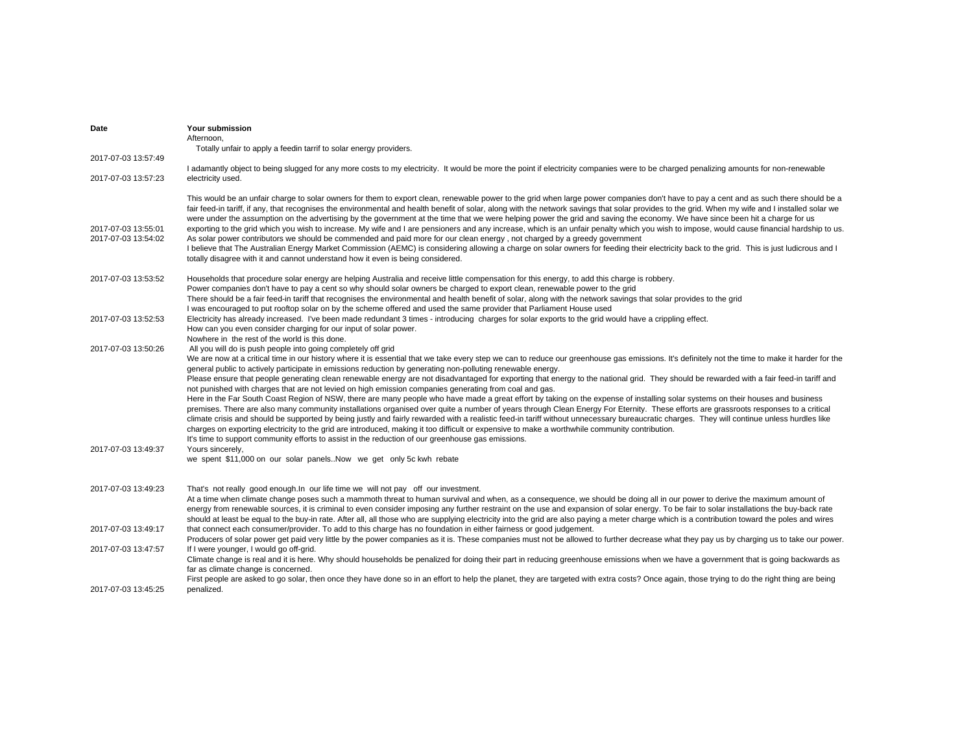| Date                | Your submission                                                                                                                                                                                                                                                             |
|---------------------|-----------------------------------------------------------------------------------------------------------------------------------------------------------------------------------------------------------------------------------------------------------------------------|
|                     | Afternoon.                                                                                                                                                                                                                                                                  |
|                     | Totally unfair to apply a feedin tarrif to solar energy providers.                                                                                                                                                                                                          |
| 2017-07-03 13:57:49 |                                                                                                                                                                                                                                                                             |
|                     | I adamantly object to being slugged for any more costs to my electricity. It would be more the point if electricity companies were to be charged penalizing amounts for non-renewable                                                                                       |
| 2017-07-03 13:57:23 | electricity used.                                                                                                                                                                                                                                                           |
|                     |                                                                                                                                                                                                                                                                             |
|                     | This would be an unfair charge to solar owners for them to export clean, renewable power to the grid when large power companies don't have to pay a cent and as such there should be a                                                                                      |
|                     | fair feed-in tariff, if any, that recognises the environmental and health benefit of solar, along with the network savings that solar provides to the grid. When my wife and I installed solar we                                                                           |
|                     | were under the assumption on the advertising by the government at the time that we were helping power the grid and saving the economy. We have since been hit a charge for us                                                                                               |
| 2017-07-03 13:55:01 | exporting to the grid which you wish to increase. My wife and I are pensioners and any increase, which is an unfair penalty which you wish to impose, would cause financial hardship to us.                                                                                 |
| 2017-07-03 13:54:02 | As solar power contributors we should be commended and paid more for our clean energy, not charged by a greedy government                                                                                                                                                   |
|                     | I believe that The Australian Energy Market Commission (AEMC) is considering allowing a charge on solar owners for feeding their electricity back to the grid. This is just ludicrous and I                                                                                 |
|                     | totally disagree with it and cannot understand how it even is being considered.                                                                                                                                                                                             |
|                     |                                                                                                                                                                                                                                                                             |
| 2017-07-03 13:53:52 | Households that procedure solar energy are helping Australia and receive little compensation for this energy, to add this charge is robbery.<br>Power companies don't have to pay a cent so why should solar owners be charged to export clean, renewable power to the grid |
|                     | There should be a fair feed-in tariff that recognises the environmental and health benefit of solar, along with the network savings that solar provides to the grid                                                                                                         |
|                     | I was encouraged to put rooftop solar on by the scheme offered and used the same provider that Parliament House used                                                                                                                                                        |
| 2017-07-03 13:52:53 | Electricity has already increased. I've been made redundant 3 times - introducing charges for solar exports to the grid would have a crippling effect.                                                                                                                      |
|                     | How can you even consider charging for our input of solar power.                                                                                                                                                                                                            |
|                     | Nowhere in the rest of the world is this done.                                                                                                                                                                                                                              |
| 2017-07-03 13:50:26 | All you will do is push people into going completely off grid                                                                                                                                                                                                               |
|                     | We are now at a critical time in our history where it is essential that we take every step we can to reduce our greenhouse gas emissions. It's definitely not the time to make it harder for the                                                                            |
|                     | general public to actively participate in emissions reduction by generating non-polluting renewable energy.                                                                                                                                                                 |
|                     | Please ensure that people generating clean renewable energy are not disadvantaged for exporting that energy to the national grid. They should be rewarded with a fair feed-in tariff and                                                                                    |
|                     | not punished with charges that are not levied on high emission companies generating from coal and gas.                                                                                                                                                                      |
|                     | Here in the Far South Coast Region of NSW, there are many people who have made a great effort by taking on the expense of installing solar systems on their houses and business                                                                                             |
|                     | premises. There are also many community installations organised over quite a number of years through Clean Energy For Eternity. These efforts are grassroots responses to a critical                                                                                        |
|                     | climate crisis and should be supported by being justly and fairly rewarded with a realistic feed-in tariff without unnecessary bureaucratic charges. They will continue unless hurdles like                                                                                 |
|                     | charges on exporting electricity to the grid are introduced, making it too difficult or expensive to make a worthwhile community contribution.                                                                                                                              |
|                     | It's time to support community efforts to assist in the reduction of our greenhouse gas emissions.                                                                                                                                                                          |
| 2017-07-03 13:49:37 | Yours sincerely,                                                                                                                                                                                                                                                            |
|                     | we spent \$11,000 on our solar panels. Now we get only 5c kwh rebate                                                                                                                                                                                                        |
|                     |                                                                                                                                                                                                                                                                             |
| 2017-07-03 13:49:23 | That's not really good enough. In our life time we will not pay off our investment.                                                                                                                                                                                         |
|                     | At a time when climate change poses such a mammoth threat to human survival and when, as a consequence, we should be doing all in our power to derive the maximum amount of                                                                                                 |
|                     | energy from renewable sources, it is criminal to even consider imposing any further restraint on the use and expansion of solar energy. To be fair to solar installations the buy-back rate                                                                                 |
|                     | should at least be equal to the buy-in rate. After all, all those who are supplying electricity into the grid are also paying a meter charge which is a contribution toward the poles and wires                                                                             |
| 2017-07-03 13:49:17 | that connect each consumer/provider. To add to this charge has no foundation in either fairness or good judgement.                                                                                                                                                          |
|                     | Producers of solar power get paid very little by the power companies as it is. These companies must not be allowed to further decrease what they pay us by charging us to take our power.                                                                                   |
| 2017-07-03 13:47:57 | If I were younger, I would go off-grid.                                                                                                                                                                                                                                     |
|                     | Climate change is real and it is here. Why should households be penalized for doing their part in reducing greenhouse emissions when we have a government that is going backwards as                                                                                        |
|                     | far as climate change is concerned.                                                                                                                                                                                                                                         |
|                     | First people are asked to go solar, then once they have done so in an effort to help the planet, they are targeted with extra costs? Once again, those trying to do the right thing are being                                                                               |
| 2017-07-03 13:45:25 | penalized.                                                                                                                                                                                                                                                                  |
|                     |                                                                                                                                                                                                                                                                             |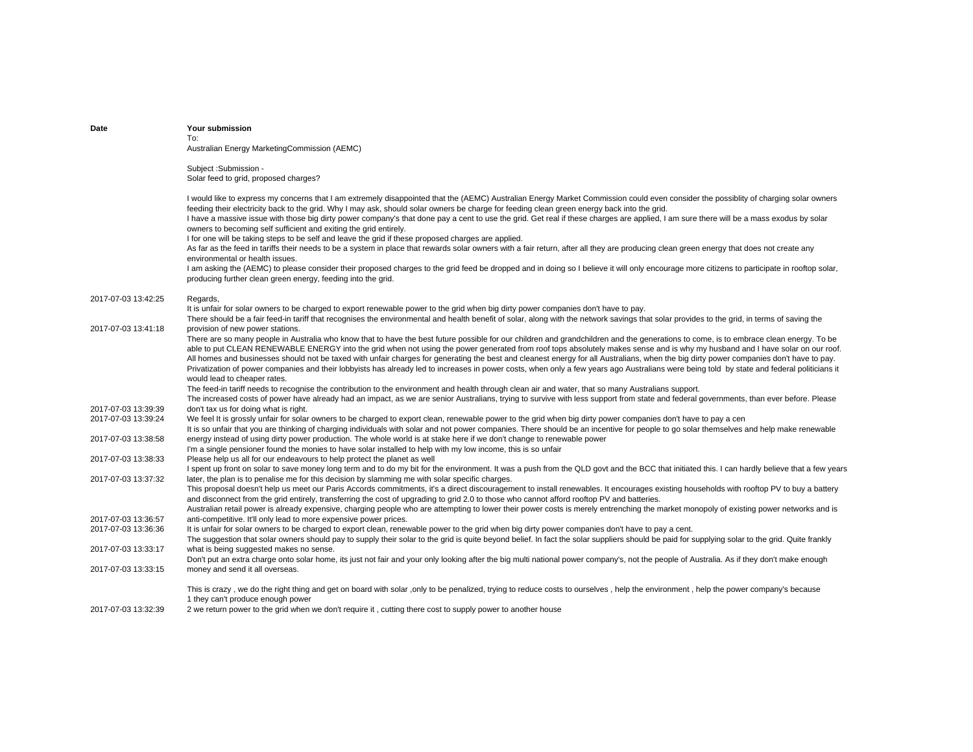| Date                                       | Your submission                                                                                                                                                                                                                                                                                                                                                                                                                                                                                                                                                                                                                                                                                                                                                                                                                                                                                        |
|--------------------------------------------|--------------------------------------------------------------------------------------------------------------------------------------------------------------------------------------------------------------------------------------------------------------------------------------------------------------------------------------------------------------------------------------------------------------------------------------------------------------------------------------------------------------------------------------------------------------------------------------------------------------------------------------------------------------------------------------------------------------------------------------------------------------------------------------------------------------------------------------------------------------------------------------------------------|
|                                            | To:<br>Australian Energy MarketingCommission (AEMC)                                                                                                                                                                                                                                                                                                                                                                                                                                                                                                                                                                                                                                                                                                                                                                                                                                                    |
|                                            |                                                                                                                                                                                                                                                                                                                                                                                                                                                                                                                                                                                                                                                                                                                                                                                                                                                                                                        |
|                                            | Subject: Submission -                                                                                                                                                                                                                                                                                                                                                                                                                                                                                                                                                                                                                                                                                                                                                                                                                                                                                  |
|                                            | Solar feed to grid, proposed charges?                                                                                                                                                                                                                                                                                                                                                                                                                                                                                                                                                                                                                                                                                                                                                                                                                                                                  |
|                                            | I would like to express my concerns that I am extremely disappointed that the (AEMC) Australian Energy Market Commission could even consider the possiblity of charging solar owners<br>feeding their electricity back to the grid. Why I may ask, should solar owners be charge for feeding clean green energy back into the grid.<br>I have a massive issue with those big dirty power company's that done pay a cent to use the grid. Get real if these charges are applied, I am sure there will be a mass exodus by solar<br>owners to becoming self sufficient and exiting the grid entirely.<br>I for one will be taking steps to be self and leave the grid if these proposed charges are applied.<br>As far as the feed in tariffs their needs to be a system in place that rewards solar owners with a fair return, after all they are producing clean green energy that does not create any |
|                                            | environmental or health issues.<br>I am asking the (AEMC) to please consider their proposed charges to the grid feed be dropped and in doing so I believe it will only encourage more citizens to participate in rooftop solar,<br>producing further clean green energy, feeding into the grid.                                                                                                                                                                                                                                                                                                                                                                                                                                                                                                                                                                                                        |
| 2017-07-03 13:42:25                        | Regards,                                                                                                                                                                                                                                                                                                                                                                                                                                                                                                                                                                                                                                                                                                                                                                                                                                                                                               |
|                                            | It is unfair for solar owners to be charged to export renewable power to the grid when big dirty power companies don't have to pay.                                                                                                                                                                                                                                                                                                                                                                                                                                                                                                                                                                                                                                                                                                                                                                    |
| 2017-07-03 13:41:18                        | There should be a fair feed-in tariff that recognises the environmental and health benefit of solar, along with the network savings that solar provides to the grid, in terms of saving the<br>provision of new power stations.                                                                                                                                                                                                                                                                                                                                                                                                                                                                                                                                                                                                                                                                        |
|                                            | There are so many people in Australia who know that to have the best future possible for our children and grandchildren and the generations to come, is to embrace clean energy. To be<br>able to put CLEAN RENEWABLE ENERGY into the grid when not using the power generated from roof tops absolutely makes sense and is why my husband and I have solar on our roof.<br>All homes and businesses should not be taxed with unfair charges for generating the best and cleanest energy for all Australians, when the big dirty power companies don't have to pay.<br>Privatization of power companies and their lobbyists has already led to increases in power costs, when only a few years ago Australians were being told by state and federal politicians it<br>would lead to cheaper rates.                                                                                                      |
|                                            | The feed-in tariff needs to recognise the contribution to the environment and health through clean air and water, that so many Australians support.<br>The increased costs of power have already had an impact, as we are senior Australians, trying to survive with less support from state and federal governments, than ever before. Please                                                                                                                                                                                                                                                                                                                                                                                                                                                                                                                                                         |
| 2017-07-03 13:39:39<br>2017-07-03 13:39:24 | don't tax us for doing what is right.<br>We feel It is grossly unfair for solar owners to be charged to export clean, renewable power to the grid when big dirty power companies don't have to pay a cen                                                                                                                                                                                                                                                                                                                                                                                                                                                                                                                                                                                                                                                                                               |
| 2017-07-03 13:38:58                        | It is so unfair that you are thinking of charging individuals with solar and not power companies. There should be an incentive for people to go solar themselves and help make renewable<br>energy instead of using dirty power production. The whole world is at stake here if we don't change to renewable power                                                                                                                                                                                                                                                                                                                                                                                                                                                                                                                                                                                     |
|                                            | I'm a single pensioner found the monies to have solar installed to help with my low income, this is so unfair                                                                                                                                                                                                                                                                                                                                                                                                                                                                                                                                                                                                                                                                                                                                                                                          |
| 2017-07-03 13:38:33                        | Please help us all for our endeavours to help protect the planet as well<br>I spent up front on solar to save money long term and to do my bit for the environment. It was a push from the QLD govt and the BCC that initiated this. I can hardly believe that a few years                                                                                                                                                                                                                                                                                                                                                                                                                                                                                                                                                                                                                             |
| 2017-07-03 13:37:32                        | later, the plan is to penalise me for this decision by slamming me with solar specific charges.<br>This proposal doesn't help us meet our Paris Accords commitments, it's a direct discouragement to install renewables. It encourages existing households with rooftop PV to buy a battery<br>and disconnect from the grid entirely, transferring the cost of upgrading to grid 2.0 to those who cannot afford rooftop PV and batteries.<br>Australian retail power is already expensive, charging people who are attempting to lower their power costs is merely entrenching the market monopoly of existing power networks and is                                                                                                                                                                                                                                                                   |
| 2017-07-03 13:36:57                        | anti-competitive. It'll only lead to more expensive power prices.                                                                                                                                                                                                                                                                                                                                                                                                                                                                                                                                                                                                                                                                                                                                                                                                                                      |
| 2017-07-03 13:36:36                        | It is unfair for solar owners to be charged to export clean, renewable power to the grid when big dirty power companies don't have to pay a cent.                                                                                                                                                                                                                                                                                                                                                                                                                                                                                                                                                                                                                                                                                                                                                      |
| 2017-07-03 13:33:17                        | The suggestion that solar owners should pay to supply their solar to the grid is quite beyond belief. In fact the solar suppliers should be paid for supplying solar to the grid. Quite frankly<br>what is being suggested makes no sense.                                                                                                                                                                                                                                                                                                                                                                                                                                                                                                                                                                                                                                                             |
|                                            | Don't put an extra charge onto solar home, its just not fair and your only looking after the big multi national power company's, not the people of Australia. As if they don't make enough                                                                                                                                                                                                                                                                                                                                                                                                                                                                                                                                                                                                                                                                                                             |
| 2017-07-03 13:33:15                        | money and send it all overseas.                                                                                                                                                                                                                                                                                                                                                                                                                                                                                                                                                                                                                                                                                                                                                                                                                                                                        |
|                                            | This is crazy, we do the right thing and get on board with solar, only to be penalized, trying to reduce costs to ourselves, help the environment, help the power company's because<br>1 they can't produce enough power                                                                                                                                                                                                                                                                                                                                                                                                                                                                                                                                                                                                                                                                               |
| 2017-07-03 13:32:39                        | 2 we return power to the grid when we don't require it, cutting there cost to supply power to another house                                                                                                                                                                                                                                                                                                                                                                                                                                                                                                                                                                                                                                                                                                                                                                                            |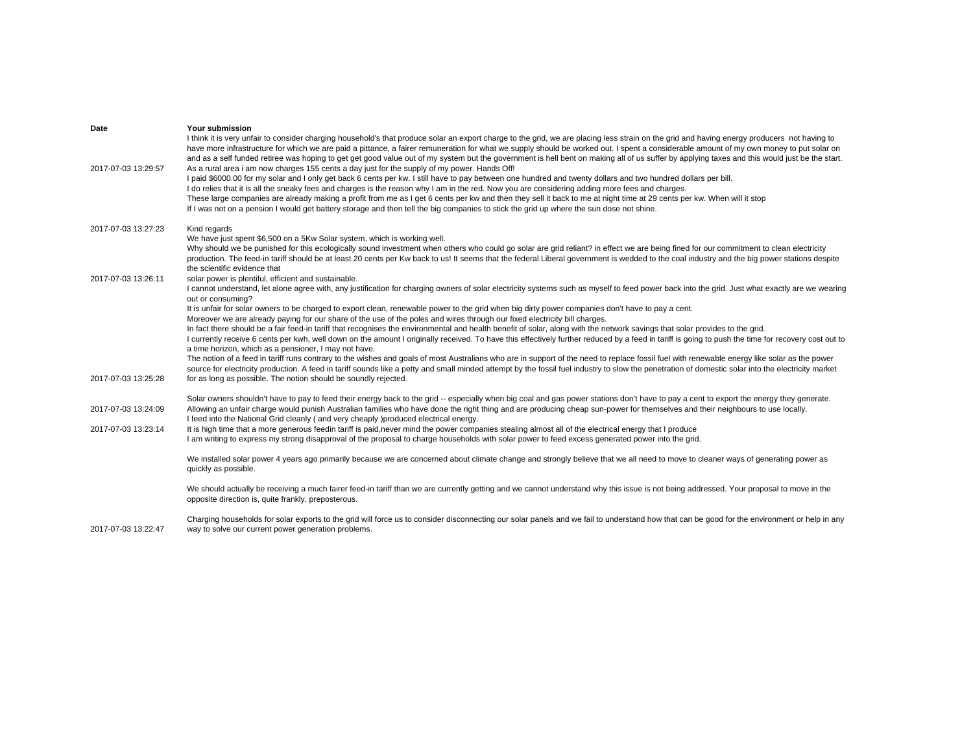| Date<br>2017-07-03 13:29:57 | Your submission<br>I think it is very unfair to consider charging household's that produce solar an export charge to the grid, we are placing less strain on the grid and having energy producers not having to<br>have more infrastructure for which we are paid a pittance, a fairer remuneration for what we supply should be worked out. I spent a considerable amount of my own money to put solar on<br>and as a self funded retiree was hoping to get get good value out of my system but the government is hell bent on making all of us suffer by applying taxes and this would just be the start.<br>As a rural area i am now charges 155 cents a day just for the supply of my power. Hands Off!<br>I paid \$6000.00 for my solar and I only get back 6 cents per kw. I still have to pay between one hundred and twenty dollars and two hundred dollars per bill.<br>I do relies that it is all the sneaky fees and charges is the reason why I am in the red. Now you are considering adding more fees and charges.<br>These large companies are already making a profit from me as I get 6 cents per kw and then they sell it back to me at night time at 29 cents per kw. When will it stop<br>If I was not on a pension I would get battery storage and then tell the big companies to stick the grid up where the sun dose not shine. |
|-----------------------------|--------------------------------------------------------------------------------------------------------------------------------------------------------------------------------------------------------------------------------------------------------------------------------------------------------------------------------------------------------------------------------------------------------------------------------------------------------------------------------------------------------------------------------------------------------------------------------------------------------------------------------------------------------------------------------------------------------------------------------------------------------------------------------------------------------------------------------------------------------------------------------------------------------------------------------------------------------------------------------------------------------------------------------------------------------------------------------------------------------------------------------------------------------------------------------------------------------------------------------------------------------------------------------------------------------------------------------------------------------|
| 2017-07-03 13:27:23         | Kind regards<br>We have just spent \$6,500 on a 5Kw Solar system, which is working well.<br>Why should we be punished for this ecologically sound investment when others who could go solar are grid reliant? in effect we are being fined for our commitment to clean electricity<br>production. The feed-in tariff should be at least 20 cents per Kw back to us! It seems that the federal Liberal government is wedded to the coal industry and the big power stations despite<br>the scientific evidence that                                                                                                                                                                                                                                                                                                                                                                                                                                                                                                                                                                                                                                                                                                                                                                                                                                     |
| 2017-07-03 13:26:11         | solar power is plentiful, efficient and sustainable.<br>I cannot understand, let alone agree with, any justification for charging owners of solar electricity systems such as myself to feed power back into the grid. Just what exactly are we wearing<br>out or consuming?                                                                                                                                                                                                                                                                                                                                                                                                                                                                                                                                                                                                                                                                                                                                                                                                                                                                                                                                                                                                                                                                           |
|                             | It is unfair for solar owners to be charged to export clean, renewable power to the grid when big dirty power companies don't have to pay a cent.                                                                                                                                                                                                                                                                                                                                                                                                                                                                                                                                                                                                                                                                                                                                                                                                                                                                                                                                                                                                                                                                                                                                                                                                      |
|                             | Moreover we are already paying for our share of the use of the poles and wires through our fixed electricity bill charges.<br>In fact there should be a fair feed-in tariff that recognises the environmental and health benefit of solar, along with the network savings that solar provides to the grid.                                                                                                                                                                                                                                                                                                                                                                                                                                                                                                                                                                                                                                                                                                                                                                                                                                                                                                                                                                                                                                             |
|                             | I currently receive 6 cents per kwh, well down on the amount I originally received. To have this effectively further reduced by a feed in tariff is going to push the time for recovery cost out to<br>a time horizon, which as a pensioner, I may not have.                                                                                                                                                                                                                                                                                                                                                                                                                                                                                                                                                                                                                                                                                                                                                                                                                                                                                                                                                                                                                                                                                           |
| 2017-07-03 13:25:28         | The notion of a feed in tariff runs contrary to the wishes and goals of most Australians who are in support of the need to replace fossil fuel with renewable energy like solar as the power<br>source for electricity production. A feed in tariff sounds like a petty and small minded attempt by the fossil fuel industry to slow the penetration of domestic solar into the electricity market<br>for as long as possible. The notion should be soundly rejected.                                                                                                                                                                                                                                                                                                                                                                                                                                                                                                                                                                                                                                                                                                                                                                                                                                                                                  |
|                             |                                                                                                                                                                                                                                                                                                                                                                                                                                                                                                                                                                                                                                                                                                                                                                                                                                                                                                                                                                                                                                                                                                                                                                                                                                                                                                                                                        |
| 2017-07-03 13:24:09         | Solar owners shouldn't have to pay to feed their energy back to the grid -- especially when big coal and gas power stations don't have to pay a cent to export the energy they generate.<br>Allowing an unfair charge would punish Australian families who have done the right thing and are producing cheap sun-power for themselves and their neighbours to use locally.<br>I feed into the National Grid cleanly (and very cheaply )produced electrical energy.                                                                                                                                                                                                                                                                                                                                                                                                                                                                                                                                                                                                                                                                                                                                                                                                                                                                                     |
| 2017-07-03 13:23:14         | It is high time that a more generous feedin tariff is paid, never mind the power companies stealing almost all of the electrical energy that I produce<br>I am writing to express my strong disapproval of the proposal to charge households with solar power to feed excess generated power into the grid.                                                                                                                                                                                                                                                                                                                                                                                                                                                                                                                                                                                                                                                                                                                                                                                                                                                                                                                                                                                                                                            |
|                             | We installed solar power 4 years ago primarily because we are concerned about climate change and strongly believe that we all need to move to cleaner ways of generating power as<br>quickly as possible.                                                                                                                                                                                                                                                                                                                                                                                                                                                                                                                                                                                                                                                                                                                                                                                                                                                                                                                                                                                                                                                                                                                                              |
|                             | We should actually be receiving a much fairer feed-in tariff than we are currently getting and we cannot understand why this issue is not being addressed. Your proposal to move in the<br>opposite direction is, quite frankly, preposterous.                                                                                                                                                                                                                                                                                                                                                                                                                                                                                                                                                                                                                                                                                                                                                                                                                                                                                                                                                                                                                                                                                                         |
| 2017-07-03 13:22:47         | Charging households for solar exports to the grid will force us to consider disconnecting our solar panels and we fail to understand how that can be good for the environment or help in any<br>way to solve our current power generation problems.                                                                                                                                                                                                                                                                                                                                                                                                                                                                                                                                                                                                                                                                                                                                                                                                                                                                                                                                                                                                                                                                                                    |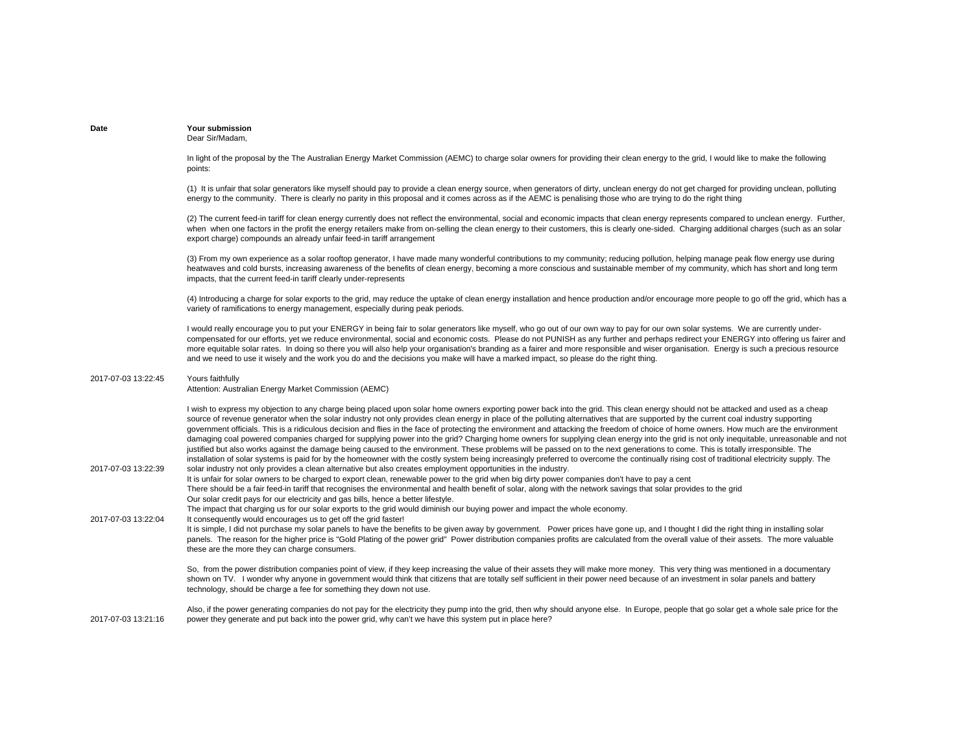## **Date Your submission**Dear Sir/Madam,

In light of the proposal by the The Australian Energy Market Commission (AEMC) to charge solar owners for providing their clean energy to the grid, I would like to make the following points:

(1) It is unfair that solar generators like myself should pay to provide a clean energy source, when generators of dirty, unclean energy do not get charged for providing unclean, polluting energy to the community. There is clearly no parity in this proposal and it comes across as if the AEMC is penalising those who are trying to do the right thing

(2) The current feed-in tariff for clean energy currently does not reflect the environmental, social and economic impacts that clean energy represents compared to unclean energy. Further, when when one factors in the profit the energy retailers make from on-selling the clean energy to their customers, this is clearly one-sided. Charging additional charges (such as an solar export charge) compounds an already unfair feed-in tariff arrangement

(3) From my own experience as a solar rooftop generator, I have made many wonderful contributions to my community; reducing pollution, helping manage peak flow energy use during heatwaves and cold bursts, increasing awareness of the benefits of clean energy, becoming a more conscious and sustainable member of my community, which has short and long term impacts, that the current feed-in tariff clearly under-represents

(4) Introducing a charge for solar exports to the grid, may reduce the uptake of clean energy installation and hence production and/or encourage more people to go off the grid, which has a variety of ramifications to energy management, especially during peak periods.

I would really encourage you to put your ENERGY in being fair to solar generators like myself, who go out of our own way to pay for our own solar systems. We are currently undercompensated for our efforts, yet we reduce environmental, social and economic costs. Please do not PUNISH as any further and perhaps redirect your ENERGY into offering us fairer and more equitable solar rates. In doing so there you will also help your organisation's branding as a fairer and more responsible and wiser organisation. Energy is such a precious resource and we need to use it wisely and the work you do and the decisions you make will have a marked impact, so please do the right thing.

#### 2017-07-03 13:22:45Yours faithfully

2017-07-03 13:22:39

Attention: Australian Energy Market Commission (AEMC)

I wish to express my objection to any charge being placed upon solar home owners exporting power back into the grid. This clean energy should not be attacked and used as a cheap source of revenue generator when the solar industry not only provides clean energy in place of the polluting alternatives that are supported by the current coal industry supporting government officials. This is a ridiculous decision and flies in the face of protecting the environment and attacking the freedom of choice of home owners. How much are the environment damaging coal powered companies charged for supplying power into the grid? Charging home owners for supplying clean energy into the grid is not only inequitable, unreasonable and not justified but also works against the damage being caused to the environment. These problems will be passed on to the next generations to come. This is totally irresponsible. The installation of solar systems is paid for by the homeowner with the costly system being increasingly preferred to overcome the continually rising cost of traditional electricity supply. The solar industry not only provides a clean alternative but also creates employment opportunities in the industry.

2017-07-03 13:22:04It is unfair for solar owners to be charged to export clean, renewable power to the grid when big dirty power companies don't have to pay a cent There should be a fair feed-in tariff that recognises the environmental and health benefit of solar, along with the network savings that solar provides to the grid Our solar credit pays for our electricity and gas bills, hence a better lifestyle. The impact that charging us for our solar exports to the grid would diminish our buying power and impact the whole economy. It consequently would encourages us to get off the grid faster!

> It is simple, I did not purchase my solar panels to have the benefits to be given away by government. Power prices have gone up, and I thought I did the right thing in installing solar panels. The reason for the higher price is "Gold Plating of the power grid" Power distribution companies profits are calculated from the overall value of their assets. The more valuable these are the more they can charge consumers.

So, from the power distribution companies point of view, if they keep increasing the value of their assets they will make more money. This very thing was mentioned in a documentary shown on TV. I wonder why anyone in government would think that citizens that are totally self sufficient in their power need because of an investment in solar panels and battery technology, should be charge a fee for something they down not use.

2017-07-03 13:21:16Also, if the power generating companies do not pay for the electricity they pump into the grid, then why should anyone else. In Europe, people that go solar get a whole sale price for the power they generate and put back into the power grid, why can't we have this system put in place here?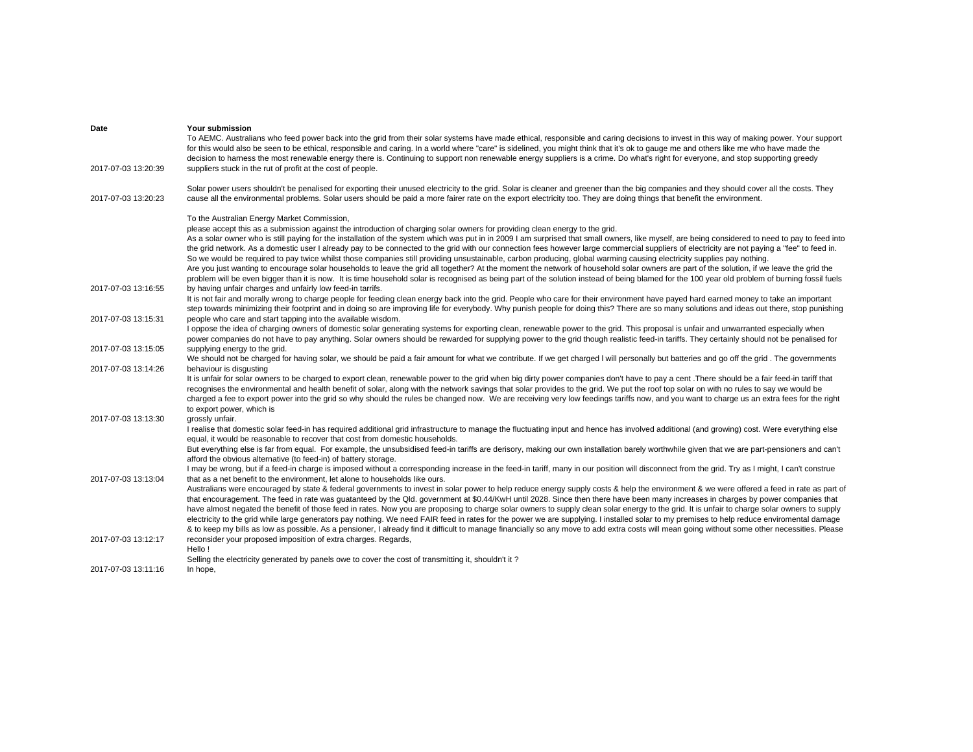| Date                | Your submission                                                                                                                                                                                                                                                                                                                                                                                                                                                                                                                                                        |
|---------------------|------------------------------------------------------------------------------------------------------------------------------------------------------------------------------------------------------------------------------------------------------------------------------------------------------------------------------------------------------------------------------------------------------------------------------------------------------------------------------------------------------------------------------------------------------------------------|
|                     | To AEMC. Australians who feed power back into the grid from their solar systems have made ethical, responsible and caring decisions to invest in this way of making power. Your support<br>for this would also be seen to be ethical, responsible and caring. In a world where "care" is sidelined, you might think that it's ok to gauge me and others like me who have made the<br>decision to harness the most renewable energy there is. Continuing to support non renewable energy suppliers is a crime. Do what's right for everyone, and stop supporting greedy |
| 2017-07-03 13:20:39 | suppliers stuck in the rut of profit at the cost of people.                                                                                                                                                                                                                                                                                                                                                                                                                                                                                                            |
| 2017-07-03 13:20:23 | Solar power users shouldn't be penalised for exporting their unused electricity to the grid. Solar is cleaner and greener than the big companies and they should cover all the costs. They<br>cause all the environmental problems. Solar users should be paid a more fairer rate on the export electricity too. They are doing things that benefit the environment.                                                                                                                                                                                                   |
|                     | To the Australian Energy Market Commission,                                                                                                                                                                                                                                                                                                                                                                                                                                                                                                                            |
|                     | please accept this as a submission against the introduction of charging solar owners for providing clean energy to the grid.                                                                                                                                                                                                                                                                                                                                                                                                                                           |
|                     | As a solar owner who is still paying for the installation of the system which was put in in 2009 I am surprised that small owners, like myself, are being considered to need to pay to feed into                                                                                                                                                                                                                                                                                                                                                                       |
|                     | the grid network. As a domestic user I already pay to be connected to the grid with our connection fees however large commercial suppliers of electricity are not paying a "fee" to feed in.                                                                                                                                                                                                                                                                                                                                                                           |
|                     | So we would be required to pay twice whilst those companies still providing unsustainable, carbon producing, global warming causing electricity supplies pay nothing.<br>Are you just wanting to encourage solar households to leave the grid all together? At the moment the network of household solar owners are part of the solution, if we leave the grid the                                                                                                                                                                                                     |
|                     | problem will be even bigger than it is now. It is time household solar is recognised as being part of the solution instead of being blamed for the 100 year old problem of burning fossil fuels                                                                                                                                                                                                                                                                                                                                                                        |
| 2017-07-03 13:16:55 | by having unfair charges and unfairly low feed-in tarrifs.                                                                                                                                                                                                                                                                                                                                                                                                                                                                                                             |
|                     | It is not fair and morally wrong to charge people for feeding clean energy back into the grid. People who care for their environment have payed hard earned money to take an important                                                                                                                                                                                                                                                                                                                                                                                 |
|                     | step towards minimizing their footprint and in doing so are improving life for everybody. Why punish people for doing this? There are so many solutions and ideas out there, stop punishing                                                                                                                                                                                                                                                                                                                                                                            |
| 2017-07-03 13:15:31 | people who care and start tapping into the available wisdom.<br>I oppose the idea of charging owners of domestic solar generating systems for exporting clean, renewable power to the grid. This proposal is unfair and unwarranted especially when                                                                                                                                                                                                                                                                                                                    |
|                     | power companies do not have to pay anything. Solar owners should be rewarded for supplying power to the grid though realistic feed-in tariffs. They certainly should not be penalised for                                                                                                                                                                                                                                                                                                                                                                              |
| 2017-07-03 13:15:05 | supplying energy to the grid.                                                                                                                                                                                                                                                                                                                                                                                                                                                                                                                                          |
|                     | We should not be charged for having solar, we should be paid a fair amount for what we contribute. If we get charged I will personally but batteries and go off the grid. The governments                                                                                                                                                                                                                                                                                                                                                                              |
| 2017-07-03 13:14:26 | behaviour is disgusting                                                                                                                                                                                                                                                                                                                                                                                                                                                                                                                                                |
|                     | It is unfair for solar owners to be charged to export clean, renewable power to the grid when big dirty power companies don't have to pay a cent. There should be a fair feed-in tariff that                                                                                                                                                                                                                                                                                                                                                                           |
|                     | recognises the environmental and health benefit of solar, along with the network savings that solar provides to the grid. We put the roof top solar on with no rules to say we would be<br>charged a fee to export power into the grid so why should the rules be changed now. We are receiving very low feedings tariffs now, and you want to charge us an extra fees for the right                                                                                                                                                                                   |
|                     | to export power, which is                                                                                                                                                                                                                                                                                                                                                                                                                                                                                                                                              |
| 2017-07-03 13:13:30 | grossly unfair.                                                                                                                                                                                                                                                                                                                                                                                                                                                                                                                                                        |
|                     | I realise that domestic solar feed-in has required additional grid infrastructure to manage the fluctuating input and hence has involved additional (and growing) cost. Were everything else                                                                                                                                                                                                                                                                                                                                                                           |
|                     | equal, it would be reasonable to recover that cost from domestic households.                                                                                                                                                                                                                                                                                                                                                                                                                                                                                           |
|                     | But everything else is far from equal. For example, the unsubsidised feed-in tariffs are derisory, making our own installation barely worthwhile given that we are part-pensioners and can't                                                                                                                                                                                                                                                                                                                                                                           |
|                     | afford the obvious alternative (to feed-in) of battery storage.<br>I may be wrong, but if a feed-in charge is imposed without a corresponding increase in the feed-in tariff, many in our position will disconnect from the grid. Try as I might, I can't construe                                                                                                                                                                                                                                                                                                     |
| 2017-07-03 13:13:04 | that as a net benefit to the environment, let alone to households like ours.                                                                                                                                                                                                                                                                                                                                                                                                                                                                                           |
|                     | Australians were encouraged by state & federal governments to invest in solar power to help reduce energy supply costs & help the environment & we were offered a feed in rate as part of                                                                                                                                                                                                                                                                                                                                                                              |
|                     | that encouragement. The feed in rate was guatanteed by the Qld. government at \$0.44/KwH until 2028. Since then there have been many increases in charges by power companies that                                                                                                                                                                                                                                                                                                                                                                                      |
|                     | have almost negated the benefit of those feed in rates. Now you are proposing to charge solar owners to supply clean solar energy to the grid. It is unfair to charge solar owners to supply                                                                                                                                                                                                                                                                                                                                                                           |
|                     | electricity to the grid while large generators pay nothing. We need FAIR feed in rates for the power we are supplying. I installed solar to my premises to help reduce enviromental damage                                                                                                                                                                                                                                                                                                                                                                             |
| 2017-07-03 13:12:17 | & to keep my bills as low as possible. As a pensioner, I already find it difficult to manage financially so any move to add extra costs will mean going without some other necessities. Please<br>reconsider your proposed imposition of extra charges. Regards,                                                                                                                                                                                                                                                                                                       |
|                     | Hello!                                                                                                                                                                                                                                                                                                                                                                                                                                                                                                                                                                 |
|                     | Selling the electricity generated by panels owe to cover the cost of transmitting it, shouldn't it?                                                                                                                                                                                                                                                                                                                                                                                                                                                                    |
| 2017-07-03 13:11:16 | In hope,                                                                                                                                                                                                                                                                                                                                                                                                                                                                                                                                                               |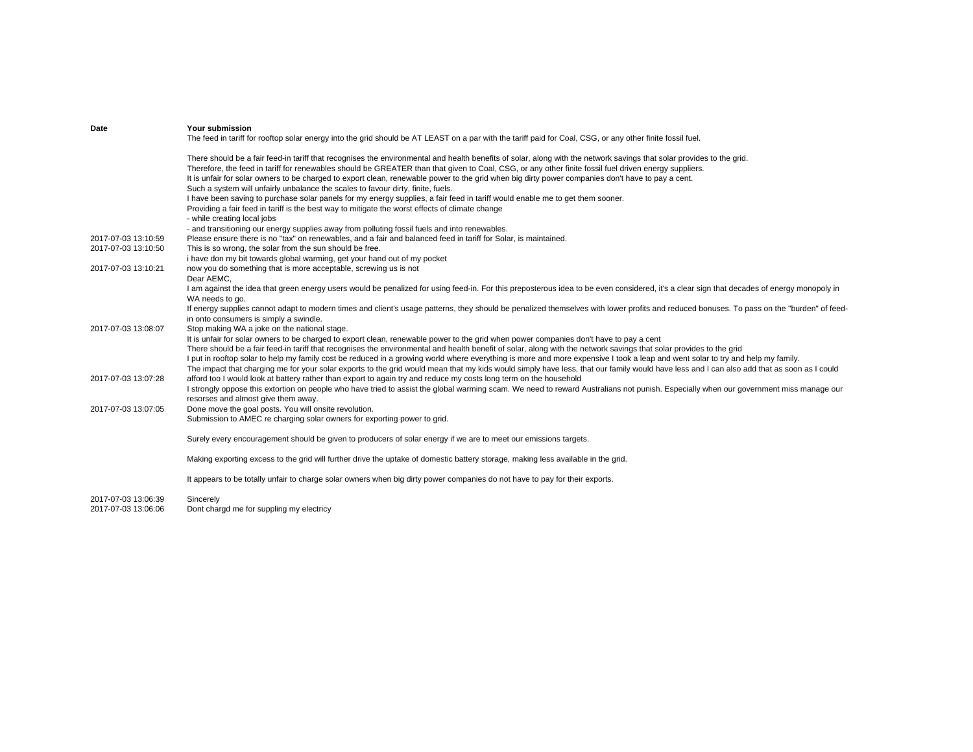| Date                | <b>Your submission</b><br>The feed in tariff for rooftop solar energy into the grid should be AT LEAST on a par with the tariff paid for Coal, CSG, or any other finite fossil fuel.                                                                                                                                                                                                                                                                                                                                                                                                                                                                                                                                                                                                                                                                                                                                                        |
|---------------------|---------------------------------------------------------------------------------------------------------------------------------------------------------------------------------------------------------------------------------------------------------------------------------------------------------------------------------------------------------------------------------------------------------------------------------------------------------------------------------------------------------------------------------------------------------------------------------------------------------------------------------------------------------------------------------------------------------------------------------------------------------------------------------------------------------------------------------------------------------------------------------------------------------------------------------------------|
|                     | There should be a fair feed-in tariff that recognises the environmental and health benefits of solar, along with the network savings that solar provides to the grid.<br>Therefore, the feed in tariff for renewables should be GREATER than that given to Coal, CSG, or any other finite fossil fuel driven energy suppliers.<br>It is unfair for solar owners to be charged to export clean, renewable power to the grid when big dirty power companies don't have to pay a cent.<br>Such a system will unfairly unbalance the scales to favour dirty, finite, fuels.<br>I have been saving to purchase solar panels for my energy supplies, a fair feed in tariff would enable me to get them sooner.<br>Providing a fair feed in tariff is the best way to mitigate the worst effects of climate change<br>- while creating local jobs<br>- and transitioning our energy supplies away from polluting fossil fuels and into renewables. |
| 2017-07-03 13:10:59 | Please ensure there is no "tax" on renewables, and a fair and balanced feed in tariff for Solar, is maintained.                                                                                                                                                                                                                                                                                                                                                                                                                                                                                                                                                                                                                                                                                                                                                                                                                             |
| 2017-07-03 13:10:50 | This is so wrong, the solar from the sun should be free.                                                                                                                                                                                                                                                                                                                                                                                                                                                                                                                                                                                                                                                                                                                                                                                                                                                                                    |
|                     | i have don my bit towards global warming, get your hand out of my pocket                                                                                                                                                                                                                                                                                                                                                                                                                                                                                                                                                                                                                                                                                                                                                                                                                                                                    |
| 2017-07-03 13:10:21 | now you do something that is more acceptable, screwing us is not                                                                                                                                                                                                                                                                                                                                                                                                                                                                                                                                                                                                                                                                                                                                                                                                                                                                            |
|                     | Dear AEMC.                                                                                                                                                                                                                                                                                                                                                                                                                                                                                                                                                                                                                                                                                                                                                                                                                                                                                                                                  |
|                     | I am against the idea that green energy users would be penalized for using feed-in. For this preposterous idea to be even considered, it's a clear sign that decades of energy monopoly in                                                                                                                                                                                                                                                                                                                                                                                                                                                                                                                                                                                                                                                                                                                                                  |
|                     | WA needs to go.                                                                                                                                                                                                                                                                                                                                                                                                                                                                                                                                                                                                                                                                                                                                                                                                                                                                                                                             |
|                     | If energy supplies cannot adapt to modern times and client's usage patterns, they should be penalized themselves with lower profits and reduced bonuses. To pass on the "burden" of feed-<br>in onto consumers is simply a swindle.                                                                                                                                                                                                                                                                                                                                                                                                                                                                                                                                                                                                                                                                                                         |
| 2017-07-03 13:08:07 | Stop making WA a joke on the national stage.                                                                                                                                                                                                                                                                                                                                                                                                                                                                                                                                                                                                                                                                                                                                                                                                                                                                                                |
|                     | It is unfair for solar owners to be charged to export clean, renewable power to the grid when power companies don't have to pay a cent                                                                                                                                                                                                                                                                                                                                                                                                                                                                                                                                                                                                                                                                                                                                                                                                      |
|                     | There should be a fair feed-in tariff that recognises the environmental and health benefit of solar, along with the network savings that solar provides to the grid                                                                                                                                                                                                                                                                                                                                                                                                                                                                                                                                                                                                                                                                                                                                                                         |
|                     | I put in rooftop solar to help my family cost be reduced in a growing world where everything is more and more expensive I took a leap and went solar to try and help my family.<br>The impact that charging me for your solar exports to the grid would mean that my kids would simply have less, that our family would have less and I can also add that as soon as I could                                                                                                                                                                                                                                                                                                                                                                                                                                                                                                                                                                |
| 2017-07-03 13:07:28 | afford too I would look at battery rather than export to again try and reduce my costs long term on the household                                                                                                                                                                                                                                                                                                                                                                                                                                                                                                                                                                                                                                                                                                                                                                                                                           |
|                     | I strongly oppose this extortion on people who have tried to assist the global warming scam. We need to reward Australians not punish. Especially when our government miss manage our<br>resorses and almost give them away.                                                                                                                                                                                                                                                                                                                                                                                                                                                                                                                                                                                                                                                                                                                |
| 2017-07-03 13:07:05 | Done move the goal posts. You will onsite revolution.                                                                                                                                                                                                                                                                                                                                                                                                                                                                                                                                                                                                                                                                                                                                                                                                                                                                                       |
|                     | Submission to AMEC re charging solar owners for exporting power to grid.                                                                                                                                                                                                                                                                                                                                                                                                                                                                                                                                                                                                                                                                                                                                                                                                                                                                    |
|                     |                                                                                                                                                                                                                                                                                                                                                                                                                                                                                                                                                                                                                                                                                                                                                                                                                                                                                                                                             |
|                     | Surely every encouragement should be given to producers of solar energy if we are to meet our emissions targets.                                                                                                                                                                                                                                                                                                                                                                                                                                                                                                                                                                                                                                                                                                                                                                                                                            |
|                     | Making exporting excess to the grid will further drive the uptake of domestic battery storage, making less available in the grid.                                                                                                                                                                                                                                                                                                                                                                                                                                                                                                                                                                                                                                                                                                                                                                                                           |
|                     | It appears to be totally unfair to charge solar owners when big dirty power companies do not have to pay for their exports.                                                                                                                                                                                                                                                                                                                                                                                                                                                                                                                                                                                                                                                                                                                                                                                                                 |
| 2017-07-03 13:06:39 | Sincerely                                                                                                                                                                                                                                                                                                                                                                                                                                                                                                                                                                                                                                                                                                                                                                                                                                                                                                                                   |
| 2017-07-03 13:06:06 | Dont chargd me for suppling my electricy                                                                                                                                                                                                                                                                                                                                                                                                                                                                                                                                                                                                                                                                                                                                                                                                                                                                                                    |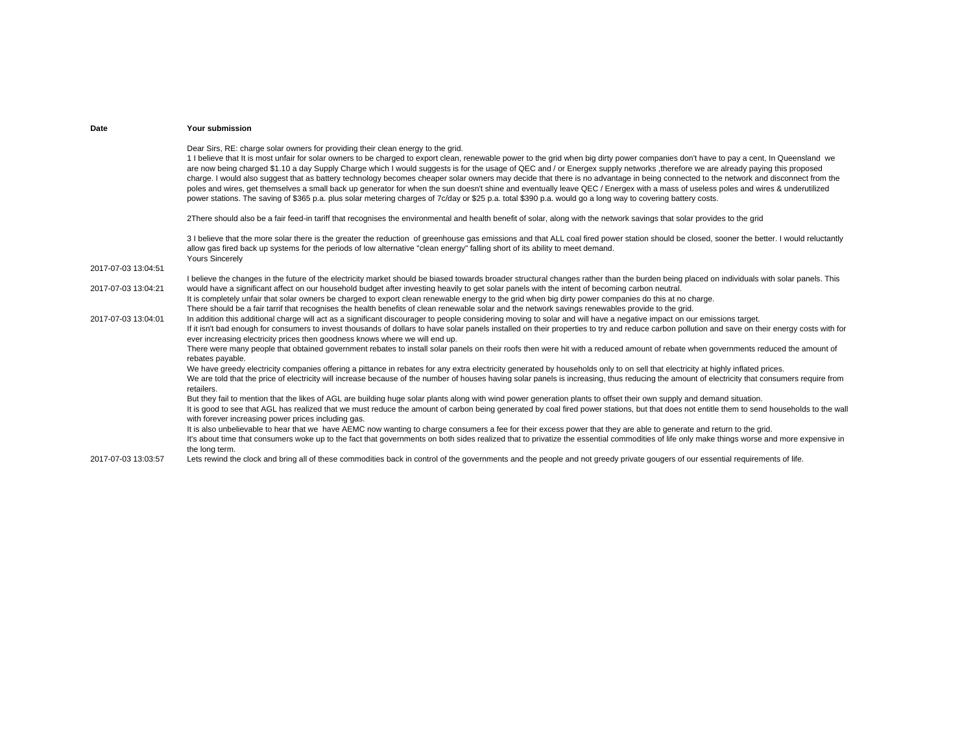| Date                | Your submission                                                                                                                                                                                                                                                                                                                                                                                                                                                                                                                                                                                                                                                                                                                                                                                                                                                                                                                                                                                              |
|---------------------|--------------------------------------------------------------------------------------------------------------------------------------------------------------------------------------------------------------------------------------------------------------------------------------------------------------------------------------------------------------------------------------------------------------------------------------------------------------------------------------------------------------------------------------------------------------------------------------------------------------------------------------------------------------------------------------------------------------------------------------------------------------------------------------------------------------------------------------------------------------------------------------------------------------------------------------------------------------------------------------------------------------|
|                     | Dear Sirs, RE: charge solar owners for providing their clean energy to the grid.<br>1 I believe that It is most unfair for solar owners to be charged to export clean, renewable power to the grid when big dirty power companies don't have to pay a cent, In Queensland we<br>are now being charged \$1.10 a day Supply Charge which I would suggests is for the usage of QEC and / or Energex supply networks, therefore we are already paying this proposed<br>charge. I would also suggest that as battery technology becomes cheaper solar owners may decide that there is no advantage in being connected to the network and disconnect from the<br>poles and wires, get themselves a small back up generator for when the sun doesn't shine and eventually leave QEC / Energex with a mass of useless poles and wires & underutilized<br>power stations. The saving of \$365 p.a. plus solar metering charges of 7c/day or \$25 p.a. total \$390 p.a. would go a long way to covering battery costs. |
|                     | 2There should also be a fair feed-in tariff that recognises the environmental and health benefit of solar, along with the network savings that solar provides to the grid                                                                                                                                                                                                                                                                                                                                                                                                                                                                                                                                                                                                                                                                                                                                                                                                                                    |
|                     | 3 I believe that the more solar there is the greater the reduction of greenhouse gas emissions and that ALL coal fired power station should be closed, sooner the better. I would reluctantly<br>allow gas fired back up systems for the periods of low alternative "clean energy" falling short of its ability to meet demand.<br><b>Yours Sincerely</b>                                                                                                                                                                                                                                                                                                                                                                                                                                                                                                                                                                                                                                                    |
| 2017-07-03 13:04:51 |                                                                                                                                                                                                                                                                                                                                                                                                                                                                                                                                                                                                                                                                                                                                                                                                                                                                                                                                                                                                              |
| 2017-07-03 13:04:21 | I believe the changes in the future of the electricity market should be biased towards broader structural changes rather than the burden being placed on individuals with solar panels. This<br>would have a significant affect on our household budget after investing heavily to get solar panels with the intent of becoming carbon neutral.<br>It is completely unfair that solar owners be charged to export clean renewable energy to the grid when big dirty power companies do this at no charge.<br>There should be a fair tarrif that recognises the health benefits of clean renewable solar and the network savings renewables provide to the grid.                                                                                                                                                                                                                                                                                                                                              |
| 2017-07-03 13:04:01 | In addition this additional charge will act as a significant discourager to people considering moving to solar and will have a negative impact on our emissions target.<br>If it isn't bad enough for consumers to invest thousands of dollars to have solar panels installed on their properties to try and reduce carbon pollution and save on their energy costs with for<br>ever increasing electricity prices then goodness knows where we will end up.<br>There were many people that obtained government rebates to install solar panels on their roofs then were hit with a reduced amount of rebate when governments reduced the amount of                                                                                                                                                                                                                                                                                                                                                          |
|                     | rebates payable.<br>We have greedy electricity companies offering a pittance in rebates for any extra electricity generated by households only to on sell that electricity at highly inflated prices.<br>We are told that the price of electricity will increase because of the number of houses having solar panels is increasing, thus reducing the amount of electricity that consumers require from<br>retailers.                                                                                                                                                                                                                                                                                                                                                                                                                                                                                                                                                                                        |
|                     | But they fail to mention that the likes of AGL are building huge solar plants along with wind power generation plants to offset their own supply and demand situation.<br>It is good to see that AGL has realized that we must reduce the amount of carbon being generated by coal fired power stations, but that does not entitle them to send households to the wall<br>with forever increasing power prices including gas.                                                                                                                                                                                                                                                                                                                                                                                                                                                                                                                                                                                |
|                     | It is also unbelievable to hear that we have AEMC now wanting to charge consumers a fee for their excess power that they are able to generate and return to the grid.<br>It's about time that consumers woke up to the fact that governments on both sides realized that to privatize the essential commodities of life only make things worse and more expensive in<br>the long term.                                                                                                                                                                                                                                                                                                                                                                                                                                                                                                                                                                                                                       |
| 2017-07-03 13:03:57 | Lets rewind the clock and bring all of these commodities back in control of the governments and the people and not greedy private gougers of our essential requirements of life.                                                                                                                                                                                                                                                                                                                                                                                                                                                                                                                                                                                                                                                                                                                                                                                                                             |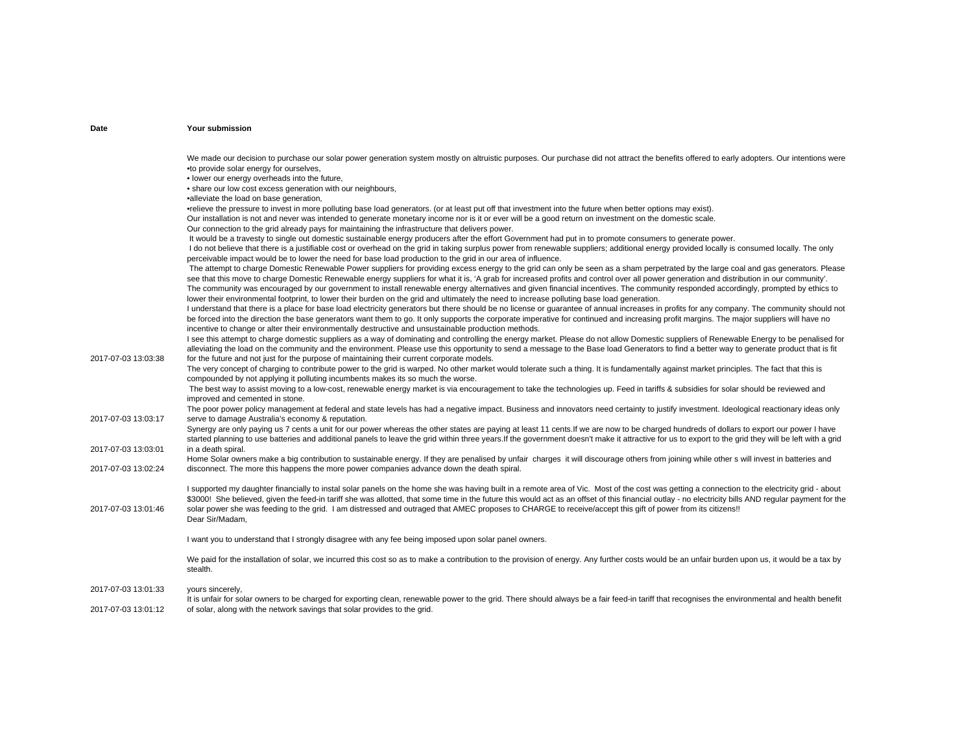We made our decision to purchase our solar power generation system mostly on altruistic purposes. Our purchase did not attract the benefits offered to early adopters. Our intentions were •to provide solar energy for ourselves, • lower our energy overheads into the future, • share our low cost excess generation with our neighbours, •alleviate the load on base generation, •relieve the pressure to invest in more polluting base load generators. (or at least put off that investment into the future when better options may exist). Our installation is not and never was intended to generate monetary income nor is it or ever will be a good return on investment on the domestic scale. Our connection to the grid already pays for maintaining the infrastructure that delivers power. It would be a travesty to single out domestic sustainable energy producers after the effort Government had put in to promote consumers to generate power. I do not believe that there is a justifiable cost or overhead on the grid in taking surplus power from renewable suppliers; additional energy provided locally is consumed locally. The only perceivable impact would be to lower the need for base load production to the grid in our area of influence.

The attempt to charge Domestic Renewable Power suppliers for providing excess energy to the grid can only be seen as a sham perpetrated by the large coal and gas generators. Please see that this move to charge Domestic Renewable energy suppliers for what it is, 'A grab for increased profits and control over all power generation and distribution in our community'. The community was encouraged by our government to install renewable energy alternatives and given financial incentives. The community responded accordingly, prompted by ethics to lower their environmental footprint, to lower their burden on the grid and ultimately the need to increase polluting base load generation.

I understand that there is a place for base load electricity generators but there should be no license or guarantee of annual increases in profits for any company. The community should not be forced into the direction the base generators want them to go. It only supports the corporate imperative for continued and increasing profit margins. The major suppliers will have no incentive to change or alter their environmentally destructive and unsustainable production methods.

2017-07-03 13:03:38I see this attempt to charge domestic suppliers as a way of dominating and controlling the energy market. Please do not allow Domestic suppliers of Renewable Energy to be penalised for alleviating the load on the community and the environment. Please use this opportunity to send a message to the Base load Generators to find a better way to generate product that is fit for the future and not just for the purpose of maintaining their current corporate models.

The very concept of charging to contribute power to the grid is warped. No other market would tolerate such a thing. It is fundamentally against market principles. The fact that this is compounded by not applying it polluting incumbents makes its so much the worse.

 The best way to assist moving to a low-cost, renewable energy market is via encouragement to take the technologies up. Feed in tariffs & subsidies for solar should be reviewed and improved and cemented in stone.

2017-07-03 13:03:17The poor power policy management at federal and state levels has had a negative impact. Business and innovators need certainty to justify investment. Ideological reactionary ideas only serve to damage Australia's economy & reputation.

2017-07-03 13:03:01Synergy are only paying us 7 cents a unit for our power whereas the other states are paying at least 11 cents.If we are now to be charged hundreds of dollars to export our power I have started planning to use batteries and additional panels to leave the grid within three years.If the government doesn't make it attractive for us to export to the grid they will be left with a grid in a death spiral.

2017-07-03 13:02:24Home Solar owners make a big contribution to sustainable energy. If they are penalised by unfair charges it will discourage others from joining while other s will invest in batteries and disconnect. The more this happens the more power companies advance down the death spiral.

2017-07-03 13:01:46I supported my daughter financially to instal solar panels on the home she was having built in a remote area of Vic. Most of the cost was getting a connection to the electricity grid - about \$3000! She believed, given the feed-in tariff she was allotted, that some time in the future this would act as an offset of this financial outlay - no electricity bills AND regular payment for the solar power she was feeding to the grid. I am distressed and outraged that AMEC proposes to CHARGE to receive/accept this gift of power from its citizens!! Dear Sir/Madam,

I want you to understand that I strongly disagree with any fee being imposed upon solar panel owners.

We paid for the installation of solar, we incurred this cost so as to make a contribution to the provision of energy. Any further costs would be an unfair burden upon us, it would be a tax by stealth.

2017-07-03 13:01:33yours sincerely,

2017-07-03 13:01:12It is unfair for solar owners to be charged for exporting clean, renewable power to the grid. There should always be a fair feed-in tariff that recognises the environmental and health benefit of solar, along with the network savings that solar provides to the grid.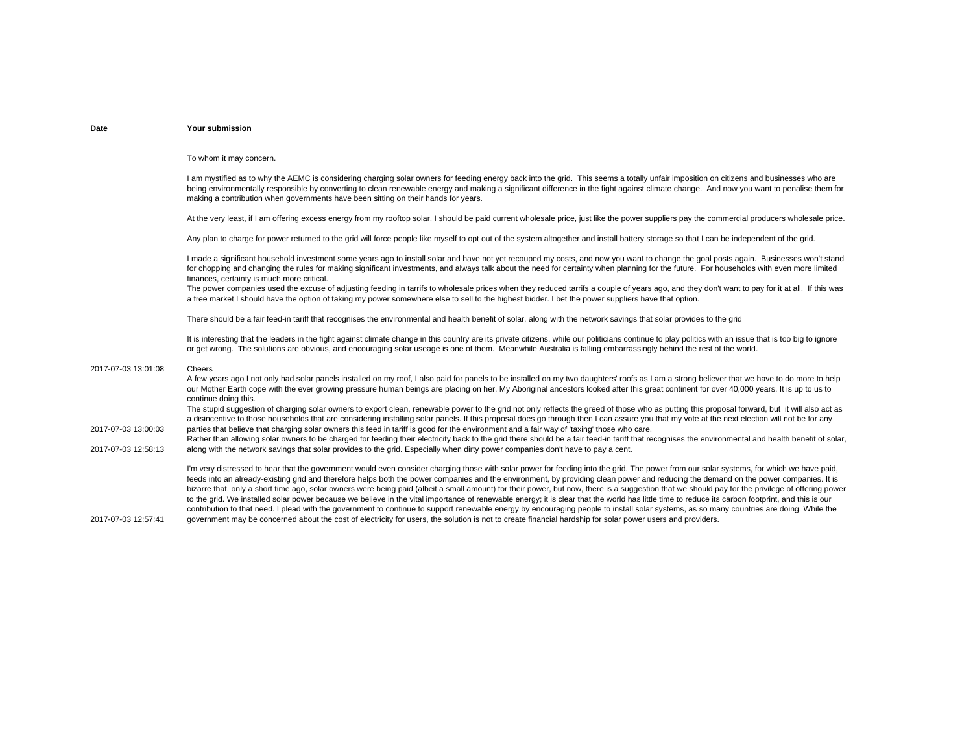To whom it may concern.

I am mystified as to why the AEMC is considering charging solar owners for feeding energy back into the grid. This seems a totally unfair imposition on citizens and businesses who are being environmentally responsible by converting to clean renewable energy and making a significant difference in the fight against climate change. And now you want to penalise them for making a contribution when governments have been sitting on their hands for years.

At the very least, if I am offering excess energy from my rooftop solar. I should be paid current wholesale price, just like the power suppliers pay the commercial producers wholesale price.

Any plan to charge for power returned to the grid will force people like myself to opt out of the system altogether and install battery storage so that I can be independent of the grid.

I made a significant household investment some vears ago to install solar and have not yet recouped my costs, and now you want to change the goal posts again. Businesses won't stand for chopping and changing the rules for making significant investments, and always talk about the need for certainty when planning for the future. For households with even more limited finances, certainty is much more critical.

The power companies used the excuse of adjusting feeding in tarrifs to wholesale prices when they reduced tarrifs a couple of years ago, and they don't want to pay for it at all. If this was a free market I should have the option of taking my power somewhere else to sell to the highest bidder. I bet the power suppliers have that option.

There should be a fair feed-in tariff that recognises the environmental and health benefit of solar, along with the network savings that solar provides to the grid

It is interesting that the leaders in the fight against climate change in this country are its private citizens, while our politicians continue to play politics with an issue that is too big to ignore or get wrong. The solutions are obvious, and encouraging solar useage is one of them. Meanwhile Australia is falling embarrassingly behind the rest of the world.

### 2017-07-03 13:01:08Cheers

A few years ago I not only had solar panels installed on my roof, I also paid for panels to be installed on my two daughters' roofs as I am a strong believer that we have to do more to help our Mother Earth cope with the ever growing pressure human beings are placing on her. My Aboriginal ancestors looked after this great continent for over 40,000 years. It is up to us to continue doing this. The stupid suggestion of charging solar owners to export clean, renewable power to the grid not only reflects the greed of those who as putting this proposal forward, but it will also act as

2017-07-03 13:00:03a disincentive to those households that are considering installing solar panels. If this proposal does go through then I can assure you that my vote at the next election will not be for any parties that believe that charging solar owners this feed in tariff is good for the environment and a fair way of 'taxing' those who care.

2017-07-03 12:58:13Rather than allowing solar owners to be charged for feeding their electricity back to the grid there should be a fair feed-in tariff that recognises the environmental and health benefit of solar. along with the network savings that solar provides to the grid. Especially when dirty power companies don't have to pay a cent.

> I'm very distressed to hear that the government would even consider charging those with solar power for feeding into the grid. The power from our solar systems, for which we have paid. feeds into an already-existing grid and therefore helps both the power companies and the environment, by providing clean power and reducing the demand on the power companies. It is bizarre that, only a short time ago, solar owners were being paid (albeit a small amount) for their power, but now, there is a suggestion that we should pay for the privilege of offering power to the grid. We installed solar power because we believe in the vital importance of renewable energy; it is clear that the world has little time to reduce its carbon footprint, and this is our contribution to that need. I plead with the government to continue to support renewable energy by encouraging people to install solar systems, as so many countries are doing. While the government may be concerned about the cost of electricity for users, the solution is not to create financial hardship for solar power users and providers.

2017-07-03 12:57:41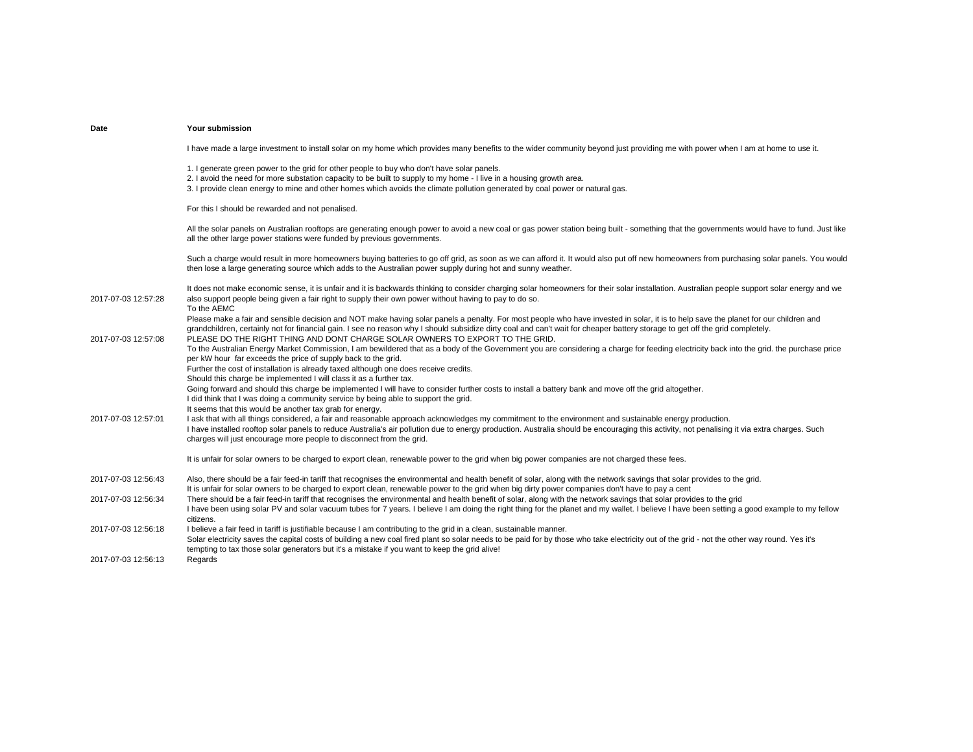| Date                | Your submission                                                                                                                                                                                                                                                                                                                                                                                                                                       |
|---------------------|-------------------------------------------------------------------------------------------------------------------------------------------------------------------------------------------------------------------------------------------------------------------------------------------------------------------------------------------------------------------------------------------------------------------------------------------------------|
|                     | I have made a large investment to install solar on my home which provides many benefits to the wider community beyond just providing me with power when I am at home to use it.                                                                                                                                                                                                                                                                       |
|                     | 1. I generate green power to the grid for other people to buy who don't have solar panels.<br>2. I avoid the need for more substation capacity to be built to supply to my home - I live in a housing growth area.<br>3. I provide clean energy to mine and other homes which avoids the climate pollution generated by coal power or natural gas.                                                                                                    |
|                     | For this I should be rewarded and not penalised.                                                                                                                                                                                                                                                                                                                                                                                                      |
|                     | All the solar panels on Australian rooftops are generating enough power to avoid a new coal or gas power station being built - something that the governments would have to fund. Just like<br>all the other large power stations were funded by previous governments.                                                                                                                                                                                |
|                     | Such a charge would result in more homeowners buying batteries to go off grid, as soon as we can afford it. It would also put off new homeowners from purchasing solar panels. You would<br>then lose a large generating source which adds to the Australian power supply during hot and sunny weather.                                                                                                                                               |
| 2017-07-03 12:57:28 | It does not make economic sense, it is unfair and it is backwards thinking to consider charging solar homeowners for their solar installation. Australian people support solar energy and we<br>also support people being given a fair right to supply their own power without having to pay to do so.<br>To the AEMC                                                                                                                                 |
| 2017-07-03 12:57:08 | Please make a fair and sensible decision and NOT make having solar panels a penalty. For most people who have invested in solar, it is to help save the planet for our children and<br>grandchildren, certainly not for financial gain. I see no reason why I should subsidize dirty coal and can't wait for cheaper battery storage to get off the grid completely.<br>PLEASE DO THE RIGHT THING AND DONT CHARGE SOLAR OWNERS TO EXPORT TO THE GRID. |
|                     | To the Australian Energy Market Commission, I am bewildered that as a body of the Government you are considering a charge for feeding electricity back into the grid. the purchase price<br>per kW hour far exceeds the price of supply back to the grid.<br>Further the cost of installation is already taxed although one does receive credits.                                                                                                     |
|                     | Should this charge be implemented I will class it as a further tax.<br>Going forward and should this charge be implemented I will have to consider further costs to install a battery bank and move off the grid altogether.<br>I did think that I was doing a community service by being able to support the grid.                                                                                                                                   |
|                     | It seems that this would be another tax grab for energy.                                                                                                                                                                                                                                                                                                                                                                                              |
| 2017-07-03 12:57:01 | I ask that with all things considered, a fair and reasonable approach acknowledges my commitment to the environment and sustainable energy production.<br>I have installed rooftop solar panels to reduce Australia's air pollution due to energy production. Australia should be encouraging this activity, not penalising it via extra charges. Such<br>charges will just encourage more people to disconnect from the grid.                        |
|                     | It is unfair for solar owners to be charged to export clean, renewable power to the grid when big power companies are not charged these fees.                                                                                                                                                                                                                                                                                                         |
| 2017-07-03 12:56:43 | Also, there should be a fair feed-in tariff that recognises the environmental and health benefit of solar, along with the network savings that solar provides to the grid.<br>It is unfair for solar owners to be charged to export clean, renewable power to the grid when big dirty power companies don't have to pay a cent                                                                                                                        |
| 2017-07-03 12:56:34 | There should be a fair feed-in tariff that recognises the environmental and health benefit of solar, along with the network savings that solar provides to the grid<br>I have been using solar PV and solar vacuum tubes for 7 years. I believe I am doing the right thing for the planet and my wallet. I believe I have been setting a good example to my fellow<br>citizens.                                                                       |
| 2017-07-03 12:56:18 | I believe a fair feed in tariff is justifiable because I am contributing to the grid in a clean, sustainable manner.<br>Solar electricity saves the capital costs of building a new coal fired plant so solar needs to be paid for by those who take electricity out of the grid - not the other way round. Yes it's<br>tempting to tax those solar generators but it's a mistake if you want to keep the grid alive!                                 |
| 2017-07-03 12:56:13 | Regards                                                                                                                                                                                                                                                                                                                                                                                                                                               |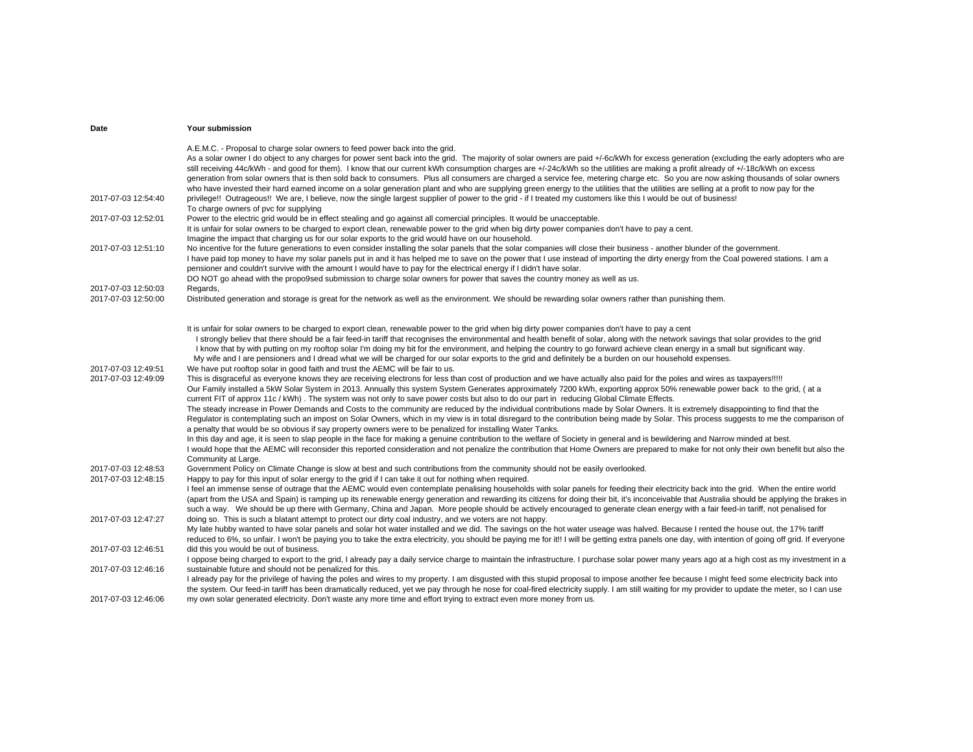| Date                                       | <b>Your submission</b>                                                                                                                                                                                                                                                                                                                                                                                                                                                                                                                                                                                                                                                                                                                                                                                                                                                                                                                                                                                                                                                                                                                                                                                                                                                                                                                                                                                                                                                                           |
|--------------------------------------------|--------------------------------------------------------------------------------------------------------------------------------------------------------------------------------------------------------------------------------------------------------------------------------------------------------------------------------------------------------------------------------------------------------------------------------------------------------------------------------------------------------------------------------------------------------------------------------------------------------------------------------------------------------------------------------------------------------------------------------------------------------------------------------------------------------------------------------------------------------------------------------------------------------------------------------------------------------------------------------------------------------------------------------------------------------------------------------------------------------------------------------------------------------------------------------------------------------------------------------------------------------------------------------------------------------------------------------------------------------------------------------------------------------------------------------------------------------------------------------------------------|
|                                            | A.E.M.C. - Proposal to charge solar owners to feed power back into the grid.<br>As a solar owner I do object to any charges for power sent back into the grid. The majority of solar owners are paid +/-6c/kWh for excess generation (excluding the early adopters who are<br>still receiving 44c/kWh - and good for them). I know that our current kWh consumption charges are +/-24c/kWh so the utilities are making a profit already of +/-18c/kWh on excess<br>generation from solar owners that is then sold back to consumers. Plus all consumers are charged a service fee, metering charge etc. So you are now asking thousands of solar owners<br>who have invested their hard earned income on a solar generation plant and who are supplying green energy to the utilities that the utilities are selling at a profit to now pay for the                                                                                                                                                                                                                                                                                                                                                                                                                                                                                                                                                                                                                                              |
| 2017-07-03 12:54:40                        | privilege!! Outrageous!! We are, I believe, now the single largest supplier of power to the grid - if I treated my customers like this I would be out of business!<br>To charge owners of pvc for supplying                                                                                                                                                                                                                                                                                                                                                                                                                                                                                                                                                                                                                                                                                                                                                                                                                                                                                                                                                                                                                                                                                                                                                                                                                                                                                      |
| 2017-07-03 12:52:01                        | Power to the electric grid would be in effect stealing and go against all comercial principles. It would be unacceptable.<br>It is unfair for solar owners to be charged to export clean, renewable power to the grid when big dirty power companies don't have to pay a cent.<br>Imagine the impact that charging us for our solar exports to the grid would have on our household.                                                                                                                                                                                                                                                                                                                                                                                                                                                                                                                                                                                                                                                                                                                                                                                                                                                                                                                                                                                                                                                                                                             |
| 2017-07-03 12:51:10                        | No incentive for the future generations to even consider installing the solar panels that the solar companies will close their business - another blunder of the government.<br>I have paid top money to have my solar panels put in and it has helped me to save on the power that I use instead of importing the dirty energy from the Coal powered stations. I am a<br>pensioner and couldn't survive with the amount I would have to pay for the electrical energy if I didn't have solar.<br>DO NOT go ahead with the propo9sed submission to charge solar owners for power that saves the country money as well as us.                                                                                                                                                                                                                                                                                                                                                                                                                                                                                                                                                                                                                                                                                                                                                                                                                                                                     |
| 2017-07-03 12:50:03<br>2017-07-03 12:50:00 | Regards,<br>Distributed generation and storage is great for the network as well as the environment. We should be rewarding solar owners rather than punishing them.                                                                                                                                                                                                                                                                                                                                                                                                                                                                                                                                                                                                                                                                                                                                                                                                                                                                                                                                                                                                                                                                                                                                                                                                                                                                                                                              |
|                                            | It is unfair for solar owners to be charged to export clean, renewable power to the grid when big dirty power companies don't have to pay a cent<br>I strongly believ that there should be a fair feed-in tariff that recognises the environmental and health benefit of solar, along with the network savings that solar provides to the grid<br>I know that by with putting on my rooftop solar I'm doing my bit for the environment, and helping the country to go forward achieve clean energy in a small but significant way.<br>My wife and I are pensioners and I dread what we will be charged for our solar exports to the grid and definitely be a burden on our household expenses.                                                                                                                                                                                                                                                                                                                                                                                                                                                                                                                                                                                                                                                                                                                                                                                                   |
| 2017-07-03 12:49:51<br>2017-07-03 12:49:09 | We have put rooftop solar in good faith and trust the AEMC will be fair to us.<br>This is disgraceful as everyone knows they are receiving electrons for less than cost of production and we have actually also paid for the poles and wires as taxpayers!!!!!<br>Our Family installed a 5kW Solar System in 2013. Annually this system System Generates approximately 7200 kWh, exporting approx 50% renewable power back to the grid, (at a<br>current FIT of approx 11c / kWh). The system was not only to save power costs but also to do our part in reducing Global Climate Effects.<br>The steady increase in Power Demands and Costs to the community are reduced by the individual contributions made by Solar Owners. It is extremely disappointing to find that the<br>Regulator is contemplating such an impost on Solar Owners, which in my view is in total disregard to the contribution being made by Solar. This process suggests to me the comparison of<br>a penalty that would be so obvious if say property owners were to be penalized for installing Water Tanks.<br>In this day and age, it is seen to slap people in the face for making a genuine contribution to the welfare of Society in general and is bewildering and Narrow minded at best.<br>I would hope that the AEMC will reconsider this reported consideration and not penalize the contribution that Home Owners are prepared to make for not only their own benefit but also the<br>Community at Large. |
| 2017-07-03 12:48:53<br>2017-07-03 12:48:15 | Government Policy on Climate Change is slow at best and such contributions from the community should not be easily overlooked.<br>Happy to pay for this input of solar energy to the grid if I can take it out for nothing when required.<br>I feel an immense sense of outrage that the AEMC would even contemplate penalising households with solar panels for feeding their electricity back into the grid. When the entire world<br>(apart from the USA and Spain) is ramping up its renewable energy generation and rewarding its citizens for doing their bit, it's inconceivable that Australia should be applying the brakes in<br>such a way. We should be up there with Germany, China and Japan. More people should be actively encouraged to generate clean energy with a fair feed-in tariff, not penalised for                                                                                                                                                                                                                                                                                                                                                                                                                                                                                                                                                                                                                                                                     |
| 2017-07-03 12:47:27                        | doing so. This is such a blatant attempt to protect our dirty coal industry, and we voters are not happy.<br>My late hubby wanted to have solar panels and solar hot water installed and we did. The savings on the hot water useage was halved. Because I rented the house out, the 17% tariff<br>reduced to 6%, so unfair. I won't be paying you to take the extra electricity, you should be paying me for it!! I will be getting extra panels one day, with intention of going off grid. If everyone                                                                                                                                                                                                                                                                                                                                                                                                                                                                                                                                                                                                                                                                                                                                                                                                                                                                                                                                                                                         |
| 2017-07-03 12:46:51                        | did this you would be out of business.<br>I oppose being charged to export to the grid, I already pay a daily service charge to maintain the infrastructure. I purchase solar power many years ago at a high cost as my investment in a                                                                                                                                                                                                                                                                                                                                                                                                                                                                                                                                                                                                                                                                                                                                                                                                                                                                                                                                                                                                                                                                                                                                                                                                                                                          |
| 2017-07-03 12:46:16                        | sustainable future and should not be penalized for this.<br>I already pay for the privilege of having the poles and wires to my property. I am disgusted with this stupid proposal to impose another fee because I might feed some electricity back into<br>the system. Our feed-in tariff has been dramatically reduced, yet we pay through he nose for coal-fired electricity supply. I am still waiting for my provider to update the meter, so I can use                                                                                                                                                                                                                                                                                                                                                                                                                                                                                                                                                                                                                                                                                                                                                                                                                                                                                                                                                                                                                                     |
| 2017-07-03 12:46:06                        | my own solar generated electricity. Don't waste any more time and effort trying to extract even more money from us.                                                                                                                                                                                                                                                                                                                                                                                                                                                                                                                                                                                                                                                                                                                                                                                                                                                                                                                                                                                                                                                                                                                                                                                                                                                                                                                                                                              |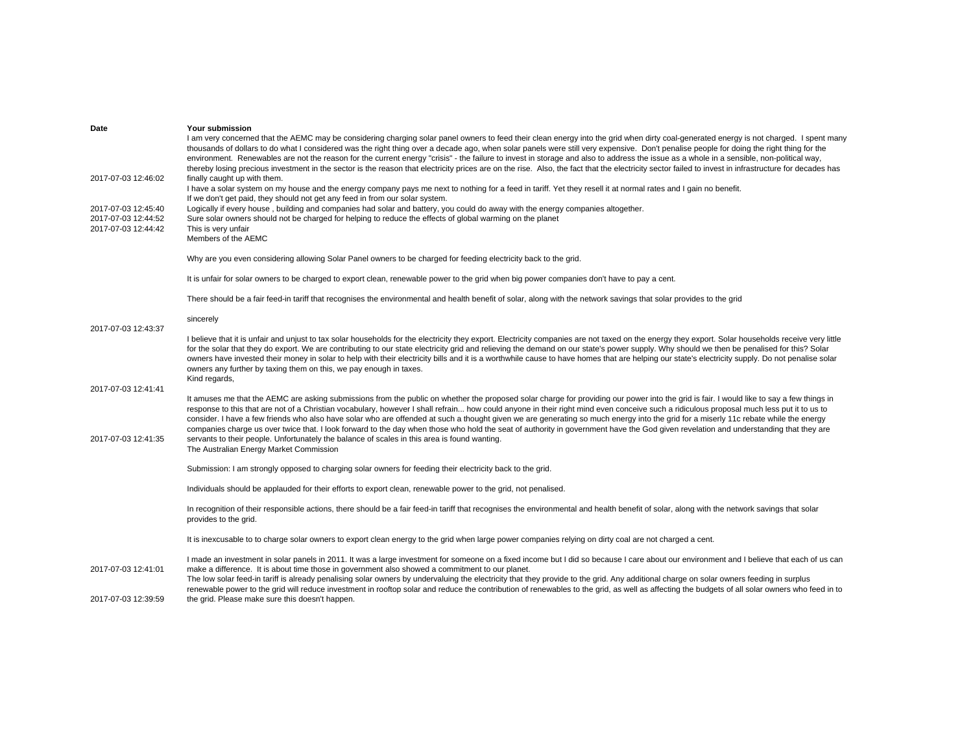| Date                | Your submission                                                                                                                                                                                                                                                                                                                                                                                                                                                                                                                                                                                                                                                                                                                                                                          |
|---------------------|------------------------------------------------------------------------------------------------------------------------------------------------------------------------------------------------------------------------------------------------------------------------------------------------------------------------------------------------------------------------------------------------------------------------------------------------------------------------------------------------------------------------------------------------------------------------------------------------------------------------------------------------------------------------------------------------------------------------------------------------------------------------------------------|
|                     | I am very concerned that the AEMC may be considering charging solar panel owners to feed their clean energy into the grid when dirty coal-generated energy is not charged. I spent many<br>thousands of dollars to do what I considered was the right thing over a decade ago, when solar panels were still very expensive. Don't penalise people for doing the right thing for the<br>environment. Renewables are not the reason for the current energy "crisis" - the failure to invest in storage and also to address the issue as a whole in a sensible, non-political way,<br>thereby losing precious investment in the sector is the reason that electricity prices are on the rise. Also, the fact that the electricity sector failed to invest in infrastructure for decades has |
| 2017-07-03 12:46:02 | finally caught up with them.<br>I have a solar system on my house and the energy company pays me next to nothing for a feed in tariff. Yet they resell it at normal rates and I gain no benefit.                                                                                                                                                                                                                                                                                                                                                                                                                                                                                                                                                                                         |
| 2017-07-03 12:45:40 | If we don't get paid, they should not get any feed in from our solar system.<br>Logically if every house, building and companies had solar and battery, you could do away with the energy companies altogether.                                                                                                                                                                                                                                                                                                                                                                                                                                                                                                                                                                          |
| 2017-07-03 12:44:52 | Sure solar owners should not be charged for helping to reduce the effects of global warming on the planet                                                                                                                                                                                                                                                                                                                                                                                                                                                                                                                                                                                                                                                                                |
| 2017-07-03 12:44:42 | This is very unfair<br>Members of the AEMC                                                                                                                                                                                                                                                                                                                                                                                                                                                                                                                                                                                                                                                                                                                                               |
|                     | Why are you even considering allowing Solar Panel owners to be charged for feeding electricity back to the grid.                                                                                                                                                                                                                                                                                                                                                                                                                                                                                                                                                                                                                                                                         |
|                     | It is unfair for solar owners to be charged to export clean, renewable power to the grid when big power companies don't have to pay a cent.                                                                                                                                                                                                                                                                                                                                                                                                                                                                                                                                                                                                                                              |
|                     | There should be a fair feed-in tariff that recognises the environmental and health benefit of solar, along with the network savings that solar provides to the grid                                                                                                                                                                                                                                                                                                                                                                                                                                                                                                                                                                                                                      |
| 2017-07-03 12:43:37 | sincerely                                                                                                                                                                                                                                                                                                                                                                                                                                                                                                                                                                                                                                                                                                                                                                                |
|                     | I believe that it is unfair and unjust to tax solar households for the electricity they export. Electricity companies are not taxed on the energy they export. Solar households receive very little<br>for the solar that they do export. We are contributing to our state electricity grid and relieving the demand on our state's power supply. Why should we then be penalised for this? Solar<br>owners have invested their money in solar to help with their electricity bills and it is a worthwhile cause to have homes that are helping our state's electricity supply. Do not penalise solar<br>owners any further by taxing them on this, we pay enough in taxes.<br>Kind regards,                                                                                             |
| 2017-07-03 12:41:41 |                                                                                                                                                                                                                                                                                                                                                                                                                                                                                                                                                                                                                                                                                                                                                                                          |
|                     | It amuses me that the AEMC are asking submissions from the public on whether the proposed solar charge for providing our power into the grid is fair. I would like to say a few things in<br>response to this that are not of a Christian vocabulary, however I shall refrain how could anyone in their right mind even conceive such a ridiculous proposal much less put it to us to<br>consider. I have a few friends who also have solar who are offended at such a thought given we are generating so much energy into the grid for a miserly 11c rebate while the energy<br>companies charge us over twice that. I look forward to the day when those who hold the seat of authority in government have the God given revelation and understanding that they are                    |
| 2017-07-03 12:41:35 | servants to their people. Unfortunately the balance of scales in this area is found wanting.<br>The Australian Energy Market Commission                                                                                                                                                                                                                                                                                                                                                                                                                                                                                                                                                                                                                                                  |
|                     | Submission: I am strongly opposed to charging solar owners for feeding their electricity back to the grid.                                                                                                                                                                                                                                                                                                                                                                                                                                                                                                                                                                                                                                                                               |
|                     | Individuals should be applauded for their efforts to export clean, renewable power to the grid, not penalised.                                                                                                                                                                                                                                                                                                                                                                                                                                                                                                                                                                                                                                                                           |
|                     | In recognition of their responsible actions, there should be a fair feed-in tariff that recognises the environmental and health benefit of solar, along with the network savings that solar<br>provides to the grid.                                                                                                                                                                                                                                                                                                                                                                                                                                                                                                                                                                     |
|                     | It is inexcusable to to charge solar owners to export clean energy to the grid when large power companies relying on dirty coal are not charged a cent.                                                                                                                                                                                                                                                                                                                                                                                                                                                                                                                                                                                                                                  |
| 2017-07-03 12:41:01 | I made an investment in solar panels in 2011. It was a large investment for someone on a fixed income but I did so because I care about our environment and I believe that each of us can<br>make a difference. It is about time those in government also showed a commitment to our planet.                                                                                                                                                                                                                                                                                                                                                                                                                                                                                             |
|                     | The low solar feed-in tariff is already penalising solar owners by undervaluing the electricity that they provide to the grid. Any additional charge on solar owners feeding in surplus<br>renewable power to the grid will reduce investment in rooftop solar and reduce the contribution of renewables to the grid, as well as affecting the budgets of all solar owners who feed in to                                                                                                                                                                                                                                                                                                                                                                                                |
| 2017-07-03 12:39:59 | the grid. Please make sure this doesn't happen.                                                                                                                                                                                                                                                                                                                                                                                                                                                                                                                                                                                                                                                                                                                                          |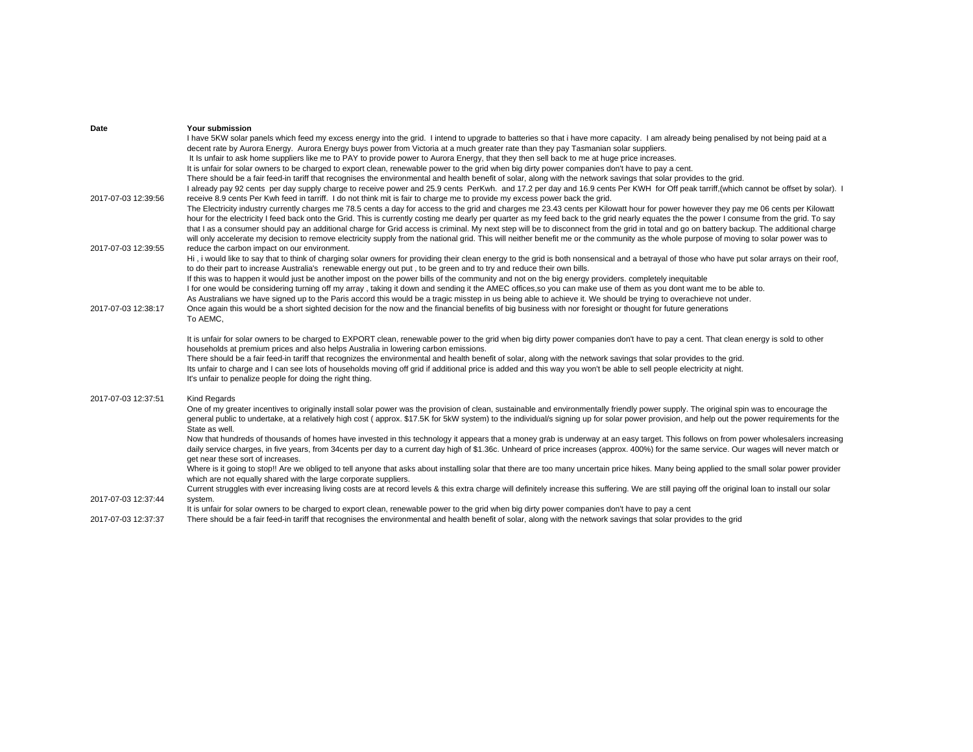| Date                | Your submission                                                                                                                                                                                                                                                                |
|---------------------|--------------------------------------------------------------------------------------------------------------------------------------------------------------------------------------------------------------------------------------------------------------------------------|
|                     | I have 5KW solar panels which feed my excess energy into the grid. I intend to upgrade to batteries so that i have more capacity. I am already being penalised by not being paid at a                                                                                          |
|                     | decent rate by Aurora Energy. Aurora Energy buys power from Victoria at a much greater rate than they pay Tasmanian solar suppliers.                                                                                                                                           |
|                     | It Is unfair to ask home suppliers like me to PAY to provide power to Aurora Energy, that they then sell back to me at huge price increases.                                                                                                                                   |
|                     | It is unfair for solar owners to be charged to export clean, renewable power to the grid when big dirty power companies don't have to pay a cent.                                                                                                                              |
|                     | There should be a fair feed-in tariff that recognises the environmental and health benefit of solar, along with the network savings that solar provides to the grid.                                                                                                           |
|                     | I already pay 92 cents per day supply charge to receive power and 25.9 cents PerKwh. and 17.2 per day and 16.9 cents Per KWH for Off peak tarriff, (which cannot be offset by solar).                                                                                          |
| 2017-07-03 12:39:56 | receive 8.9 cents Per Kwh feed in tarriff. I do not think mit is fair to charge me to provide my excess power back the grid.                                                                                                                                                   |
|                     | The Electricity industry currently charges me 78.5 cents a day for access to the grid and charges me 23.43 cents per Kilowatt hour for power however they pay me 06 cents per Kilowatt                                                                                         |
|                     | hour for the electricity I feed back onto the Grid. This is currently costing me dearly per quarter as my feed back to the grid nearly equates the the power I consume from the grid. To say                                                                                   |
|                     | that I as a consumer should pay an additional charge for Grid access is criminal. My next step will be to disconnect from the grid in total and go on battery backup. The additional charge                                                                                    |
|                     | will only accelerate my decision to remove electricity supply from the national grid. This will neither benefit me or the community as the whole purpose of moving to solar power was to                                                                                       |
| 2017-07-03 12:39:55 | reduce the carbon impact on our environment.                                                                                                                                                                                                                                   |
|                     | Hi, i would like to say that to think of charging solar owners for providing their clean energy to the grid is both nonsensical and a betrayal of those who have put solar arrays on their roof,                                                                               |
|                     | to do their part to increase Australia's renewable energy out put, to be green and to try and reduce their own bills.<br>If this was to happen it would just be another impost on the power bills of the community and not on the big energy providers, completely inequitable |
|                     | I for one would be considering turning off my array, taking it down and sending it the AMEC offices, so you can make use of them as you dont want me to be able to.                                                                                                            |
|                     | As Australians we have signed up to the Paris accord this would be a tragic misstep in us being able to achieve it. We should be trying to overachieve not under.                                                                                                              |
| 2017-07-03 12:38:17 | Once again this would be a short sighted decision for the now and the financial benefits of big business with nor foresight or thought for future generations                                                                                                                  |
|                     | To AEMC,                                                                                                                                                                                                                                                                       |
|                     |                                                                                                                                                                                                                                                                                |
|                     | It is unfair for solar owners to be charged to EXPORT clean, renewable power to the grid when big dirty power companies don't have to pay a cent. That clean energy is sold to other                                                                                           |
|                     | households at premium prices and also helps Australia in lowering carbon emissions.                                                                                                                                                                                            |
|                     | There should be a fair feed-in tariff that recognizes the environmental and health benefit of solar, along with the network savings that solar provides to the grid.                                                                                                           |
|                     | Its unfair to charge and I can see lots of households moving off grid if additional price is added and this way you won't be able to sell people electricity at night.                                                                                                         |
|                     | It's unfair to penalize people for doing the right thing.                                                                                                                                                                                                                      |
|                     |                                                                                                                                                                                                                                                                                |
| 2017-07-03 12:37:51 | Kind Regards                                                                                                                                                                                                                                                                   |
|                     | One of my greater incentives to originally install solar power was the provision of clean, sustainable and environmentally friendly power supply. The original spin was to encourage the                                                                                       |
|                     | general public to undertake, at a relatively high cost (approx. \$17.5K for 5kW system) to the individual/s signing up for solar power provision, and help out the power requirements for the                                                                                  |
|                     | State as well.                                                                                                                                                                                                                                                                 |
|                     | Now that hundreds of thousands of homes have invested in this technology it appears that a money grab is underway at an easy target. This follows on from power wholesalers increasing                                                                                         |
|                     | daily service charges, in five years, from 34cents per day to a current day high of \$1.36c. Unheard of price increases (approx. 400%) for the same service. Our wages will never match or                                                                                     |
|                     | get near these sort of increases.                                                                                                                                                                                                                                              |
|                     | Where is it going to stop!! Are we obliged to tell anyone that asks about installing solar that there are too many uncertain price hikes. Many being applied to the small solar power provider                                                                                 |
|                     | which are not equally shared with the large corporate suppliers.                                                                                                                                                                                                               |
| 2017-07-03 12:37:44 | Current struggles with ever increasing living costs are at record levels & this extra charge will definitely increase this suffering. We are still paying off the original loan to install our solar                                                                           |
|                     | system.<br>It is unfair for solar owners to be charged to export clean, renewable power to the grid when big dirty power companies don't have to pay a cent                                                                                                                    |
| 2017-07-03 12:37:37 | There should be a fair feed-in tariff that recognises the environmental and health benefit of solar, along with the network savings that solar provides to the grid                                                                                                            |
|                     |                                                                                                                                                                                                                                                                                |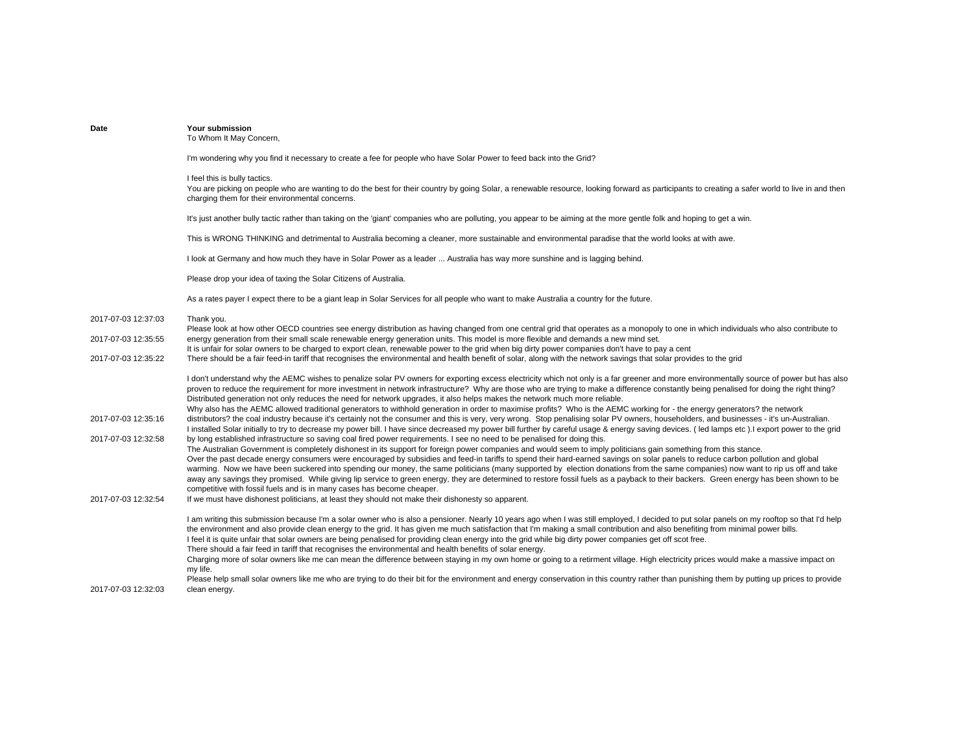| Date                | Your submission<br>To Whom It May Concern,                                                                                                                                                                                                                                                                                                                                                                                                                                                                                                                                                                                                                                                                                                                                                                                                                                                                                                                                                                                                                                                                                                   |
|---------------------|----------------------------------------------------------------------------------------------------------------------------------------------------------------------------------------------------------------------------------------------------------------------------------------------------------------------------------------------------------------------------------------------------------------------------------------------------------------------------------------------------------------------------------------------------------------------------------------------------------------------------------------------------------------------------------------------------------------------------------------------------------------------------------------------------------------------------------------------------------------------------------------------------------------------------------------------------------------------------------------------------------------------------------------------------------------------------------------------------------------------------------------------|
|                     | I'm wondering why you find it necessary to create a fee for people who have Solar Power to feed back into the Grid?                                                                                                                                                                                                                                                                                                                                                                                                                                                                                                                                                                                                                                                                                                                                                                                                                                                                                                                                                                                                                          |
|                     | I feel this is bully tactics.<br>You are picking on people who are wanting to do the best for their country by going Solar, a renewable resource, looking forward as participants to creating a safer world to live in and then<br>charging them for their environmental concerns.                                                                                                                                                                                                                                                                                                                                                                                                                                                                                                                                                                                                                                                                                                                                                                                                                                                           |
|                     | It's just another bully tactic rather than taking on the 'giant' companies who are polluting, you appear to be aiming at the more gentle folk and hoping to get a win.                                                                                                                                                                                                                                                                                                                                                                                                                                                                                                                                                                                                                                                                                                                                                                                                                                                                                                                                                                       |
|                     | This is WRONG THINKING and detrimental to Australia becoming a cleaner, more sustainable and environmental paradise that the world looks at with awe.                                                                                                                                                                                                                                                                                                                                                                                                                                                                                                                                                                                                                                                                                                                                                                                                                                                                                                                                                                                        |
|                     | I look at Germany and how much they have in Solar Power as a leader  Australia has way more sunshine and is lagging behind.                                                                                                                                                                                                                                                                                                                                                                                                                                                                                                                                                                                                                                                                                                                                                                                                                                                                                                                                                                                                                  |
|                     | Please drop your idea of taxing the Solar Citizens of Australia.                                                                                                                                                                                                                                                                                                                                                                                                                                                                                                                                                                                                                                                                                                                                                                                                                                                                                                                                                                                                                                                                             |
|                     | As a rates payer I expect there to be a giant leap in Solar Services for all people who want to make Australia a country for the future.                                                                                                                                                                                                                                                                                                                                                                                                                                                                                                                                                                                                                                                                                                                                                                                                                                                                                                                                                                                                     |
| 2017-07-03 12:37:03 | Thank you.<br>Please look at how other OECD countries see energy distribution as having changed from one central grid that operates as a monopoly to one in which individuals who also contribute to                                                                                                                                                                                                                                                                                                                                                                                                                                                                                                                                                                                                                                                                                                                                                                                                                                                                                                                                         |
| 2017-07-03 12:35:55 | energy generation from their small scale renewable energy generation units. This model is more flexible and demands a new mind set.<br>It is unfair for solar owners to be charged to export clean, renewable power to the grid when big dirty power companies don't have to pay a cent                                                                                                                                                                                                                                                                                                                                                                                                                                                                                                                                                                                                                                                                                                                                                                                                                                                      |
| 2017-07-03 12:35:22 | There should be a fair feed-in tariff that recognises the environmental and health benefit of solar, along with the network savings that solar provides to the grid                                                                                                                                                                                                                                                                                                                                                                                                                                                                                                                                                                                                                                                                                                                                                                                                                                                                                                                                                                          |
| 2017-07-03 12:35:16 | I don't understand why the AEMC wishes to penalize solar PV owners for exporting excess electricity which not only is a far greener and more environmentally source of power but has also<br>proven to reduce the requirement for more investment in network infrastructure? Why are those who are trying to make a difference constantly being penalised for doing the right thing?<br>Distributed generation not only reduces the need for network upgrades, it also helps makes the network much more reliable.<br>Why also has the AEMC allowed traditional generators to withhold generation in order to maximise profits? Who is the AEMC working for - the energy generators? the network<br>distributors? the coal industry because it's certainly not the consumer and this is very, very wrong. Stop penalising solar PV owners, householders, and businesses - it's un-Australian.                                                                                                                                                                                                                                                |
| 2017-07-03 12:32:58 | I installed Solar initially to try to decrease my power bill. I have since decreased my power bill further by careful usage & energy saving devices. (Ied lamps etc). I export power to the grid<br>by long established infrastructure so saving coal fired power requirements. I see no need to be penalised for doing this.<br>The Australian Government is completely dishonest in its support for foreign power companies and would seem to imply politicians gain something from this stance.<br>Over the past decade energy consumers were encouraged by subsidies and feed-in tariffs to spend their hard-earned savings on solar panels to reduce carbon pollution and global<br>warming. Now we have been suckered into spending our money, the same politicians (many supported by election donations from the same companies) now want to rip us off and take<br>away any savings they promised. While giving lip service to green energy, they are determined to restore fossil fuels as a payback to their backers. Green energy has been shown to be<br>competitive with fossil fuels and is in many cases has become cheaper. |
| 2017-07-03 12:32:54 | If we must have dishonest politicians, at least they should not make their dishonesty so apparent.                                                                                                                                                                                                                                                                                                                                                                                                                                                                                                                                                                                                                                                                                                                                                                                                                                                                                                                                                                                                                                           |
|                     | I am writing this submission because I'm a solar owner who is also a pensioner. Nearly 10 years ago when I was still employed, I decided to put solar panels on my rooftop so that I'd help<br>the environment and also provide clean energy to the grid. It has given me much satisfaction that I'm making a small contribution and also benefiting from minimal power bills.<br>I feel it is quite unfair that solar owners are being penalised for providing clean energy into the grid while big dirty power companies get off scot free.<br>There should a fair feed in tariff that recognises the environmental and health benefits of solar energy.<br>Charging more of solar owners like me can mean the difference between staying in my own home or going to a retirment village. High electricity prices would make a massive impact on                                                                                                                                                                                                                                                                                           |
| 2017-07-03 12:32:03 | my life.<br>Please help small solar owners like me who are trying to do their bit for the environment and energy conservation in this country rather than punishing them by putting up prices to provide<br>clean energy.                                                                                                                                                                                                                                                                                                                                                                                                                                                                                                                                                                                                                                                                                                                                                                                                                                                                                                                    |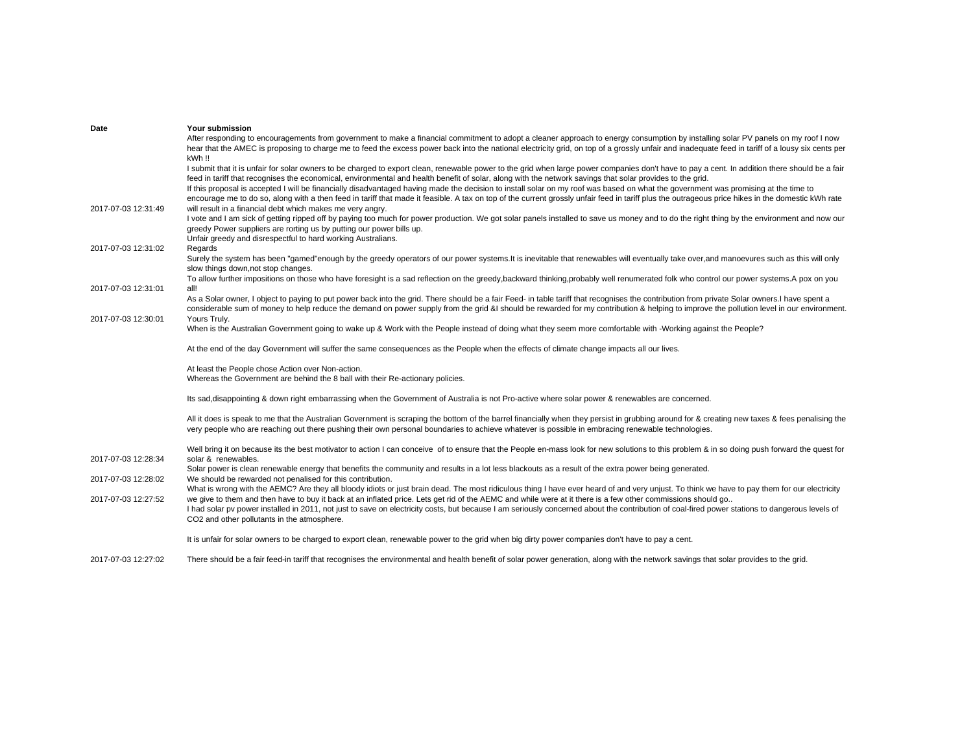|                     | Your submission                                                                                                                                                                                                                                                                                                                                                                                                                                                                                                                                                                                                                                                                                                                                         |
|---------------------|---------------------------------------------------------------------------------------------------------------------------------------------------------------------------------------------------------------------------------------------------------------------------------------------------------------------------------------------------------------------------------------------------------------------------------------------------------------------------------------------------------------------------------------------------------------------------------------------------------------------------------------------------------------------------------------------------------------------------------------------------------|
|                     | After responding to encouragements from government to make a financial commitment to adopt a cleaner approach to energy consumption by installing solar PV panels on my roof I now<br>hear that the AMEC is proposing to charge me to feed the excess power back into the national electricity grid, on top of a grossly unfair and inadequate feed in tariff of a lousy six cents per<br>kWh !!                                                                                                                                                                                                                                                                                                                                                        |
|                     | I submit that it is unfair for solar owners to be charged to export clean, renewable power to the grid when large power companies don't have to pay a cent. In addition there should be a fair<br>feed in tariff that recognises the economical, environmental and health benefit of solar, along with the network savings that solar provides to the grid.<br>If this proposal is accepted I will be financially disadvantaged having made the decision to install solar on my roof was based on what the government was promising at the time to<br>encourage me to do so, along with a then feed in tariff that made it feasible. A tax on top of the current grossly unfair feed in tariff plus the outrageous price hikes in the domestic kWh rate |
| 2017-07-03 12:31:49 | will result in a financial debt which makes me very angry.<br>I vote and I am sick of getting ripped off by paying too much for power production. We got solar panels installed to save us money and to do the right thing by the environment and now our<br>greedy Power suppliers are rorting us by putting our power bills up.<br>Unfair greedy and disrespectful to hard working Australians.                                                                                                                                                                                                                                                                                                                                                       |
| 2017-07-03 12:31:02 | Regards<br>Surely the system has been "gamed"enough by the greedy operators of our power systems.It is inevitable that renewables will eventually take over, and manoevures such as this will only<br>slow things down, not stop changes.                                                                                                                                                                                                                                                                                                                                                                                                                                                                                                               |
| 2017-07-03 12:31:01 | To allow further impositions on those who have foresight is a sad reflection on the greedy,backward thinking,probably well renumerated folk who control our power systems. A pox on you<br>all!<br>As a Solar owner, I object to paying to put power back into the grid. There should be a fair Feed- in table tariff that recognises the contribution from private Solar owners.I have spent a                                                                                                                                                                                                                                                                                                                                                         |
| 2017-07-03 12:30:01 | considerable sum of money to help reduce the demand on power supply from the grid &I should be rewarded for my contribution & helping to improve the pollution level in our environment.<br>Yours Truly.<br>When is the Australian Government going to wake up & Work with the People instead of doing what they seem more comfortable with -Working against the People?                                                                                                                                                                                                                                                                                                                                                                                |
|                     | At the end of the day Government will suffer the same consequences as the People when the effects of climate change impacts all our lives.                                                                                                                                                                                                                                                                                                                                                                                                                                                                                                                                                                                                              |
|                     | At least the People chose Action over Non-action.<br>Whereas the Government are behind the 8 ball with their Re-actionary policies.                                                                                                                                                                                                                                                                                                                                                                                                                                                                                                                                                                                                                     |
|                     |                                                                                                                                                                                                                                                                                                                                                                                                                                                                                                                                                                                                                                                                                                                                                         |
|                     | Its sad, disappointing & down right embarrassing when the Government of Australia is not Pro-active where solar power & renewables are concerned.                                                                                                                                                                                                                                                                                                                                                                                                                                                                                                                                                                                                       |
|                     | All it does is speak to me that the Australian Government is scraping the bottom of the barrel financially when they persist in grubbing around for & creating new taxes & fees penalising the<br>very people who are reaching out there pushing their own personal boundaries to achieve whatever is possible in embracing renewable technologies.                                                                                                                                                                                                                                                                                                                                                                                                     |
| 2017-07-03 12:28:34 | Well bring it on because its the best motivator to action I can conceive of to ensure that the People en-mass look for new solutions to this problem & in so doing push forward the quest for<br>solar & renewables.                                                                                                                                                                                                                                                                                                                                                                                                                                                                                                                                    |
| 2017-07-03 12:28:02 | Solar power is clean renewable energy that benefits the community and results in a lot less blackouts as a result of the extra power being generated.<br>We should be rewarded not penalised for this contribution.                                                                                                                                                                                                                                                                                                                                                                                                                                                                                                                                     |
| 2017-07-03 12:27:52 | What is wrong with the AEMC? Are they all bloody idiots or just brain dead. The most ridiculous thing I have ever heard of and very unjust. To think we have to pay them for our electricity<br>we give to them and then have to buy it back at an inflated price. Lets get rid of the AEMC and while were at it there is a few other commissions should go<br>I had solar pv power installed in 2011, not just to save on electricity costs, but because I am seriously concerned about the contribution of coal-fired power stations to dangerous levels of<br>CO2 and other pollutants in the atmosphere.                                                                                                                                            |

2017-07-03 12:27:02There should be a fair feed-in tariff that recognises the environmental and health benefit of solar power generation, along with the network savings that solar provides to the grid.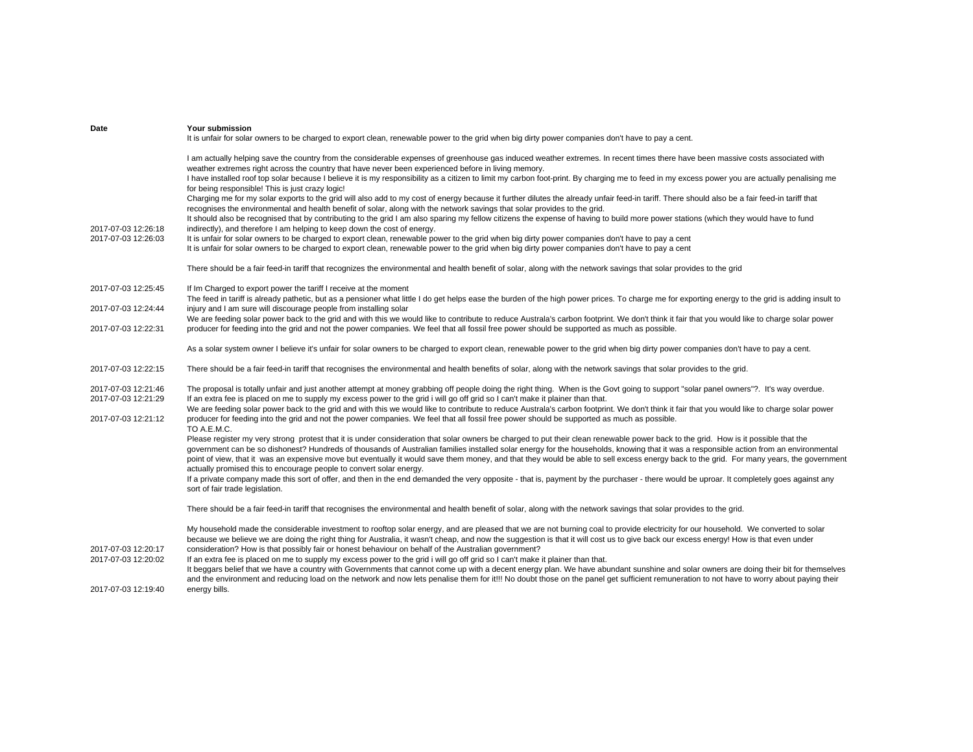| Date                                       | Your submission<br>It is unfair for solar owners to be charged to export clean, renewable power to the grid when big dirty power companies don't have to pay a cent.                                                                                                                                                                                                                                                                                                                                                                                                                                                                             |
|--------------------------------------------|--------------------------------------------------------------------------------------------------------------------------------------------------------------------------------------------------------------------------------------------------------------------------------------------------------------------------------------------------------------------------------------------------------------------------------------------------------------------------------------------------------------------------------------------------------------------------------------------------------------------------------------------------|
|                                            | I am actually helping save the country from the considerable expenses of greenhouse gas induced weather extremes. In recent times there have been massive costs associated with<br>weather extremes right across the country that have never been experienced before in living memory.                                                                                                                                                                                                                                                                                                                                                           |
|                                            | I have installed roof top solar because I believe it is my responsibility as a citizen to limit my carbon foot-print. By charging me to feed in my excess power you are actually penalising me<br>for being responsible! This is just crazy logic!                                                                                                                                                                                                                                                                                                                                                                                               |
|                                            | Charging me for my solar exports to the grid will also add to my cost of energy because it further dilutes the already unfair feed-in tariff. There should also be a fair feed-in tariff that<br>recognises the environmental and health benefit of solar, along with the network savings that solar provides to the grid.                                                                                                                                                                                                                                                                                                                       |
| 2017-07-03 12:26:18                        | It should also be recognised that by contributing to the grid I am also sparing my fellow citizens the expense of having to build more power stations (which they would have to fund<br>indirectly), and therefore I am helping to keep down the cost of energy.                                                                                                                                                                                                                                                                                                                                                                                 |
| 2017-07-03 12:26:03                        | It is unfair for solar owners to be charged to export clean, renewable power to the grid when big dirty power companies don't have to pay a cent<br>It is unfair for solar owners to be charged to export clean, renewable power to the grid when big dirty power companies don't have to pay a cent                                                                                                                                                                                                                                                                                                                                             |
|                                            | There should be a fair feed-in tariff that recognizes the environmental and health benefit of solar, along with the network savings that solar provides to the grid                                                                                                                                                                                                                                                                                                                                                                                                                                                                              |
| 2017-07-03 12:25:45                        | If Im Charged to export power the tariff I receive at the moment                                                                                                                                                                                                                                                                                                                                                                                                                                                                                                                                                                                 |
| 2017-07-03 12:24:44                        | The feed in tariff is already pathetic, but as a pensioner what little I do get helps ease the burden of the high power prices. To charge me for exporting energy to the grid is adding insult to<br>injury and I am sure will discourage people from installing solar                                                                                                                                                                                                                                                                                                                                                                           |
| 2017-07-03 12:22:31                        | We are feeding solar power back to the grid and with this we would like to contribute to reduce Australa's carbon footprint. We don't think it fair that you would like to charge solar power<br>producer for feeding into the grid and not the power companies. We feel that all fossil free power should be supported as much as possible.                                                                                                                                                                                                                                                                                                     |
|                                            | As a solar system owner I believe it's unfair for solar owners to be charged to export clean, renewable power to the grid when big dirty power companies don't have to pay a cent.                                                                                                                                                                                                                                                                                                                                                                                                                                                               |
| 2017-07-03 12:22:15                        | There should be a fair feed-in tariff that recognises the environmental and health benefits of solar, along with the network savings that solar provides to the grid.                                                                                                                                                                                                                                                                                                                                                                                                                                                                            |
| 2017-07-03 12:21:46<br>2017-07-03 12:21:29 | The proposal is totally unfair and just another attempt at money grabbing off people doing the right thing. When is the Govt going to support "solar panel owners"?. It's way overdue.<br>If an extra fee is placed on me to supply my excess power to the grid i will go off grid so I can't make it plainer than that.<br>We are feeding solar power back to the grid and with this we would like to contribute to reduce Australa's carbon footprint. We don't think it fair that you would like to charge solar power                                                                                                                        |
| 2017-07-03 12:21:12                        | producer for feeding into the grid and not the power companies. We feel that all fossil free power should be supported as much as possible.<br>TO A.E.M.C.                                                                                                                                                                                                                                                                                                                                                                                                                                                                                       |
|                                            | Please register my very strong protest that it is under consideration that solar owners be charged to put their clean renewable power back to the grid. How is it possible that the<br>government can be so dishonest? Hundreds of thousands of Australian families installed solar energy for the households, knowing that it was a responsible action from an environmental<br>point of view, that it was an expensive move but eventually it would save them money, and that they would be able to sell excess energy back to the grid. For many years, the government<br>actually promised this to encourage people to convert solar energy. |
|                                            | If a private company made this sort of offer, and then in the end demanded the very opposite - that is, payment by the purchaser - there would be uproar. It completely goes against any<br>sort of fair trade legislation.                                                                                                                                                                                                                                                                                                                                                                                                                      |
|                                            | There should be a fair feed-in tariff that recognises the environmental and health benefit of solar, along with the network savings that solar provides to the grid.                                                                                                                                                                                                                                                                                                                                                                                                                                                                             |
| 2017-07-03 12:20:17                        | My household made the considerable investment to rooftop solar energy, and are pleased that we are not burning coal to provide electricity for our household. We converted to solar<br>because we believe we are doing the right thing for Australia, it wasn't cheap, and now the suggestion is that it will cost us to give back our excess energy! How is that even under<br>consideration? How is that possibly fair or honest behaviour on behalf of the Australian government?                                                                                                                                                             |
| 2017-07-03 12:20:02                        | If an extra fee is placed on me to supply my excess power to the grid i will go off grid so I can't make it plainer than that.<br>It beggars belief that we have a country with Governments that cannot come up with a decent energy plan. We have abundant sunshine and solar owners are doing their bit for themselves                                                                                                                                                                                                                                                                                                                         |
| 2017-07-03 12:19:40                        | and the environment and reducing load on the network and now lets penalise them for it!!! No doubt those on the panel get sufficient remuneration to not have to worry about paying their<br>energy bills.                                                                                                                                                                                                                                                                                                                                                                                                                                       |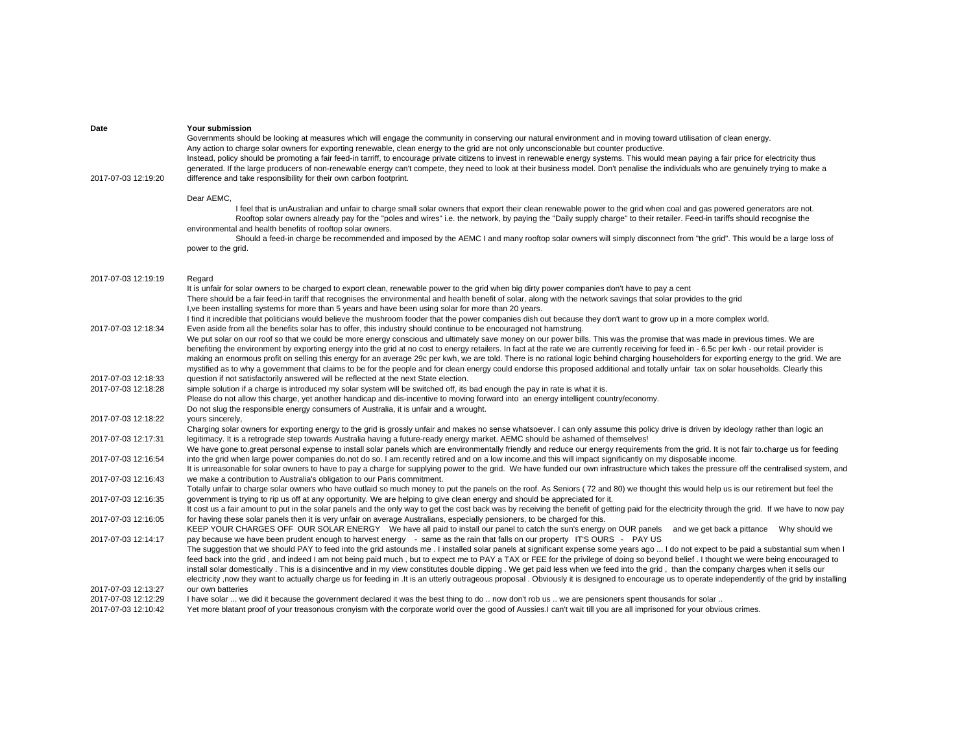| Date                                       | Your submission                                                                                                                                                                                                                                                                                                                                                                   |
|--------------------------------------------|-----------------------------------------------------------------------------------------------------------------------------------------------------------------------------------------------------------------------------------------------------------------------------------------------------------------------------------------------------------------------------------|
|                                            | Governments should be looking at measures which will engage the community in conserving our natural environment and in moving toward utilisation of clean energy.                                                                                                                                                                                                                 |
|                                            | Any action to charge solar owners for exporting renewable, clean energy to the grid are not only unconscionable but counter productive.<br>Instead, policy should be promoting a fair feed-in tarriff, to encourage private citizens to invest in renewable energy systems. This would mean paying a fair price for electricity thus                                              |
|                                            | generated. If the large producers of non-renewable energy can't compete, they need to look at their business model. Don't penalise the individuals who are genuinely trying to make a                                                                                                                                                                                             |
| 2017-07-03 12:19:20                        | difference and take responsibility for their own carbon footprint.                                                                                                                                                                                                                                                                                                                |
|                                            | Dear AEMC,                                                                                                                                                                                                                                                                                                                                                                        |
|                                            | I feel that is unAustralian and unfair to charge small solar owners that export their clean renewable power to the grid when coal and gas powered generators are not.                                                                                                                                                                                                             |
|                                            | Rooftop solar owners already pay for the "poles and wires" i.e. the network, by paying the "Daily supply charge" to their retailer. Feed-in tariffs should recognise the                                                                                                                                                                                                          |
|                                            | environmental and health benefits of rooftop solar owners.<br>Should a feed-in charge be recommended and imposed by the AEMC I and many rooftop solar owners will simply disconnect from "the grid". This would be a large loss of                                                                                                                                                |
|                                            | power to the grid.                                                                                                                                                                                                                                                                                                                                                                |
|                                            |                                                                                                                                                                                                                                                                                                                                                                                   |
| 2017-07-03 12:19:19                        | Regard                                                                                                                                                                                                                                                                                                                                                                            |
|                                            | It is unfair for solar owners to be charged to export clean, renewable power to the grid when big dirty power companies don't have to pay a cent                                                                                                                                                                                                                                  |
|                                            | There should be a fair feed-in tariff that recognises the environmental and health benefit of solar, along with the network savings that solar provides to the grid<br>I, ve been installing systems for more than 5 years and have been using solar for more than 20 years.                                                                                                      |
|                                            | I find it incredible that politicians would believe the mushroom fooder that the power companies dish out because they don't want to grow up in a more complex world.                                                                                                                                                                                                             |
| 2017-07-03 12:18:34                        | Even aside from all the benefits solar has to offer, this industry should continue to be encouraged not hamstrung.                                                                                                                                                                                                                                                                |
|                                            | We put solar on our roof so that we could be more energy conscious and ultimately save money on our power bills. This was the promise that was made in previous times. We are                                                                                                                                                                                                     |
|                                            | benefiting the environment by exporting energy into the grid at no cost to energy retailers. In fact at the rate we are currently receiving for feed in - 6.5c per kwh - our retail provider is                                                                                                                                                                                   |
|                                            | making an enormous profit on selling this energy for an average 29c per kwh, we are told. There is no rational logic behind charging householders for exporting energy to the grid. We are                                                                                                                                                                                        |
|                                            | mystified as to why a government that claims to be for the people and for clean energy could endorse this proposed additional and totally unfair tax on solar households. Clearly this                                                                                                                                                                                            |
| 2017-07-03 12:18:33<br>2017-07-03 12:18:28 | question if not satisfactorily answered will be reflected at the next State election.<br>simple solution if a charge is introduced my solar system will be switched off, its bad enough the pay in rate is what it is.                                                                                                                                                            |
|                                            | Please do not allow this charge, yet another handicap and dis-incentive to moving forward into an energy intelligent country/economy.                                                                                                                                                                                                                                             |
|                                            | Do not slug the responsible energy consumers of Australia, it is unfair and a wrought.                                                                                                                                                                                                                                                                                            |
| 2017-07-03 12:18:22                        | yours sincerely,                                                                                                                                                                                                                                                                                                                                                                  |
|                                            | Charging solar owners for exporting energy to the grid is grossly unfair and makes no sense whatsoever. I can only assume this policy drive is driven by ideology rather than logic an                                                                                                                                                                                            |
| 2017-07-03 12:17:31                        | legitimacy. It is a retrograde step towards Australia having a future-ready energy market. AEMC should be ashamed of themselves!                                                                                                                                                                                                                                                  |
|                                            | We have gone to great personal expense to install solar panels which are environmentally friendly and reduce our energy requirements from the grid. It is not fair to charge us for feeding                                                                                                                                                                                       |
| 2017-07-03 12:16:54                        | into the grid when large power companies do not do so. I am recently retired and on a low income and this will impact significantly on my disposable income.                                                                                                                                                                                                                      |
| 2017-07-03 12:16:43                        | It is unreasonable for solar owners to have to pay a charge for supplying power to the grid. We have funded our own infrastructure which takes the pressure off the centralised system, and<br>we make a contribution to Australia's obligation to our Paris commitment.                                                                                                          |
|                                            | Totally unfair to charge solar owners who have outlaid so much money to put the panels on the roof. As Seniors (72 and 80) we thought this would help us is our retirement but feel the                                                                                                                                                                                           |
| 2017-07-03 12:16:35                        | government is trying to rip us off at any opportunity. We are helping to give clean energy and should be appreciated for it.                                                                                                                                                                                                                                                      |
|                                            | It cost us a fair amount to put in the solar panels and the only way to get the cost back was by receiving the benefit of getting paid for the electricity through the grid. If we have to now pay                                                                                                                                                                                |
| 2017-07-03 12:16:05                        | for having these solar panels then it is very unfair on average Australians, especially pensioners, to be charged for this.                                                                                                                                                                                                                                                       |
|                                            | KEEP YOUR CHARGES OFF OUR SOLAR ENERGY We have all paid to install our panel to catch the sun's energy on OUR panels and we get back a pittance Why should we                                                                                                                                                                                                                     |
| 2017-07-03 12:14:17                        | pay because we have been prudent enough to harvest energy - same as the rain that falls on our property IT'S OURS - PAY US                                                                                                                                                                                                                                                        |
|                                            | The suggestion that we should PAY to feed into the grid astounds me. I installed solar panels at significant expense some years ago  I do not expect to be paid a substantial sum when I<br>feed back into the grid, and indeed I am not being paid much, but to expect me to PAY a TAX or FEE for the privilege of doing so beyond belief. I thought we were being encouraged to |
|                                            | install solar domestically . This is a disincentive and in my view constitutes double dipping . We get paid less when we feed into the grid, than the company charges when it sells our                                                                                                                                                                                           |
|                                            | electricity ,now they want to actually charge us for feeding in . It is an utterly outrageous proposal . Obviously it is designed to encourage us to operate independently of the grid by installing                                                                                                                                                                              |
| 2017-07-03 12:13:27                        | our own batteries                                                                                                                                                                                                                                                                                                                                                                 |
| 2017-07-03 12:12:29                        | I have solar  we did it because the government declared it was the best thing to do  now don't rob us  we are pensioners spent thousands for solar                                                                                                                                                                                                                                |
| 2017-07-03 12:10:42                        | Yet more blatant proof of your treasonous cronyism with the corporate world over the good of Aussies. I can't wait till you are all imprisoned for your obvious crimes.                                                                                                                                                                                                           |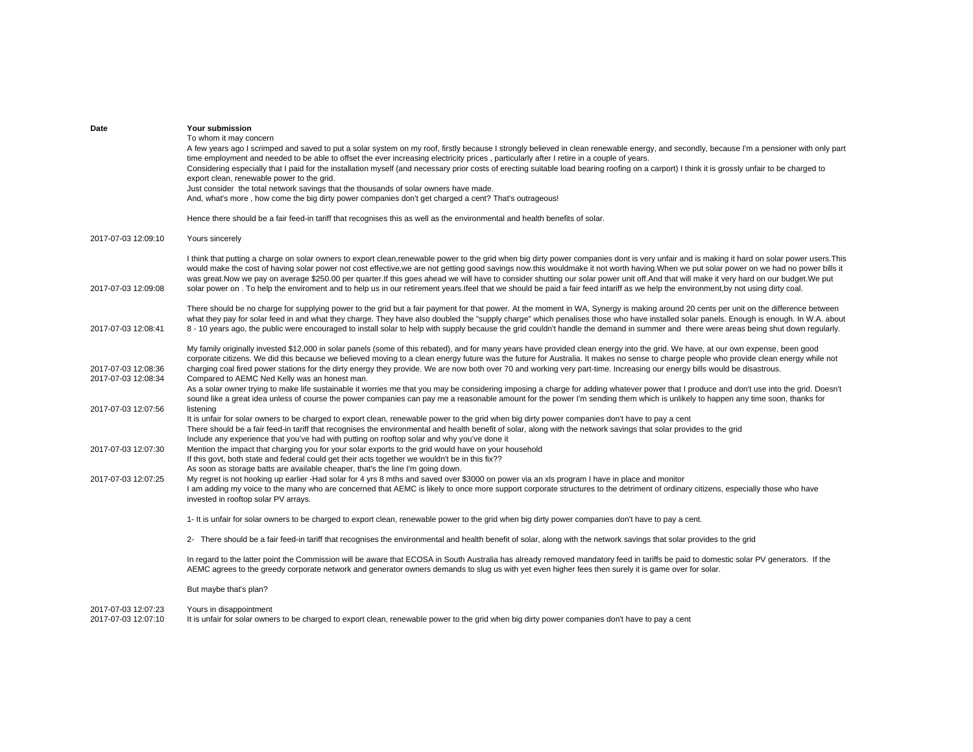| Date                                       | Your submission<br>To whom it may concern<br>A few years ago I scrimped and saved to put a solar system on my roof, firstly because I strongly believed in clean renewable energy, and secondly, because I'm a pensioner with only part<br>time employment and needed to be able to offset the ever increasing electricity prices, particularly after I retire in a couple of years.<br>Considering especially that I paid for the installation myself (and necessary prior costs of erecting suitable load bearing roofing on a carport) I think it is grossly unfair to be charged to<br>export clean, renewable power to the grid.<br>Just consider the total network savings that the thousands of solar owners have made.<br>And, what's more, how come the big dirty power companies don't get charged a cent? That's outrageous! |
|--------------------------------------------|-----------------------------------------------------------------------------------------------------------------------------------------------------------------------------------------------------------------------------------------------------------------------------------------------------------------------------------------------------------------------------------------------------------------------------------------------------------------------------------------------------------------------------------------------------------------------------------------------------------------------------------------------------------------------------------------------------------------------------------------------------------------------------------------------------------------------------------------|
| 2017-07-03 12:09:10                        | Hence there should be a fair feed-in tariff that recognises this as well as the environmental and health benefits of solar.                                                                                                                                                                                                                                                                                                                                                                                                                                                                                                                                                                                                                                                                                                             |
|                                            | Yours sincerely                                                                                                                                                                                                                                                                                                                                                                                                                                                                                                                                                                                                                                                                                                                                                                                                                         |
| 2017-07-03 12:09:08                        | I think that putting a charge on solar owners to export clean,renewable power to the grid when big dirty power companies dont is very unfair and is making it hard on solar power users. This<br>would make the cost of having solar power not cost effective, we are not getting good savings now.this wouldmake it not worth having. When we put solar power on we had no power bills it<br>was great.Now we pay on average \$250.00 per quarter.If this goes ahead we will have to consider shutting our solar power unit off.And that will make it very hard on our budget.We put<br>solar power on . To help the enviroment and to help us in our retirement years lfeel that we should be paid a fair feed intariff as we help the environment, by not using dirty coal.                                                          |
| 2017-07-03 12:08:41                        | There should be no charge for supplying power to the grid but a fair payment for that power. At the moment in WA, Synergy is making around 20 cents per unit on the difference between<br>what they pay for solar feed in and what they charge. They have also doubled the "supply charge" which penalises those who have installed solar panels. Enough is enough. In W.A. about<br>8 - 10 years ago, the public were encouraged to install solar to help with supply because the grid couldn't handle the demand in summer and there were areas being shut down regularly.                                                                                                                                                                                                                                                            |
| 2017-07-03 12:08:36                        | My family originally invested \$12,000 in solar panels (some of this rebated), and for many years have provided clean energy into the grid. We have, at our own expense, been good<br>corporate citizens. We did this because we believed moving to a clean energy future was the future for Australia. It makes no sense to charge people who provide clean energy while not<br>charging coal fired power stations for the dirty energy they provide. We are now both over 70 and working very part-time. Increasing our energy bills would be disastrous.                                                                                                                                                                                                                                                                             |
| 2017-07-03 12:08:34                        | Compared to AEMC Ned Kelly was an honest man.<br>As a solar owner trying to make life sustainable it worries me that you may be considering imposing a charge for adding whatever power that I produce and don't use into the grid. Doesn't<br>sound like a great idea unless of course the power companies can pay me a reasonable amount for the power I'm sending them which is unlikely to happen any time soon, thanks for                                                                                                                                                                                                                                                                                                                                                                                                         |
| 2017-07-03 12:07:56                        | listening<br>It is unfair for solar owners to be charged to export clean, renewable power to the grid when big dirty power companies don't have to pay a cent<br>There should be a fair feed-in tariff that recognises the environmental and health benefit of solar, along with the network savings that solar provides to the grid<br>Include any experience that you've had with putting on rooftop solar and why you've done it                                                                                                                                                                                                                                                                                                                                                                                                     |
| 2017-07-03 12:07:30                        | Mention the impact that charging you for your solar exports to the grid would have on your household<br>If this govt, both state and federal could get their acts together we wouldn't be in this fix??<br>As soon as storage batts are available cheaper, that's the line I'm going down.                                                                                                                                                                                                                                                                                                                                                                                                                                                                                                                                              |
| 2017-07-03 12:07:25                        | My regret is not hooking up earlier -Had solar for 4 yrs 8 mths and saved over \$3000 on power via an xls program I have in place and monitor<br>I am adding my voice to the many who are concerned that AEMC is likely to once more support corporate structures to the detriment of ordinary citizens, especially those who have<br>invested in rooftop solar PV arrays.                                                                                                                                                                                                                                                                                                                                                                                                                                                              |
|                                            | 1- It is unfair for solar owners to be charged to export clean, renewable power to the grid when big dirty power companies don't have to pay a cent.                                                                                                                                                                                                                                                                                                                                                                                                                                                                                                                                                                                                                                                                                    |
|                                            | 2- There should be a fair feed-in tariff that recognises the environmental and health benefit of solar, along with the network savings that solar provides to the grid                                                                                                                                                                                                                                                                                                                                                                                                                                                                                                                                                                                                                                                                  |
|                                            | In regard to the latter point the Commission will be aware that ECOSA in South Australia has already removed mandatory feed in tariffs be paid to domestic solar PV generators. If the<br>AEMC agrees to the greedy corporate network and generator owners demands to slug us with yet even higher fees then surely it is game over for solar.                                                                                                                                                                                                                                                                                                                                                                                                                                                                                          |
|                                            | But maybe that's plan?                                                                                                                                                                                                                                                                                                                                                                                                                                                                                                                                                                                                                                                                                                                                                                                                                  |
| 2017-07-03 12:07:23<br>2017-07-03 12:07:10 | Yours in disappointment<br>It is unfair for solar owners to be charged to export clean, renewable power to the grid when big dirty power companies don't have to pay a cent                                                                                                                                                                                                                                                                                                                                                                                                                                                                                                                                                                                                                                                             |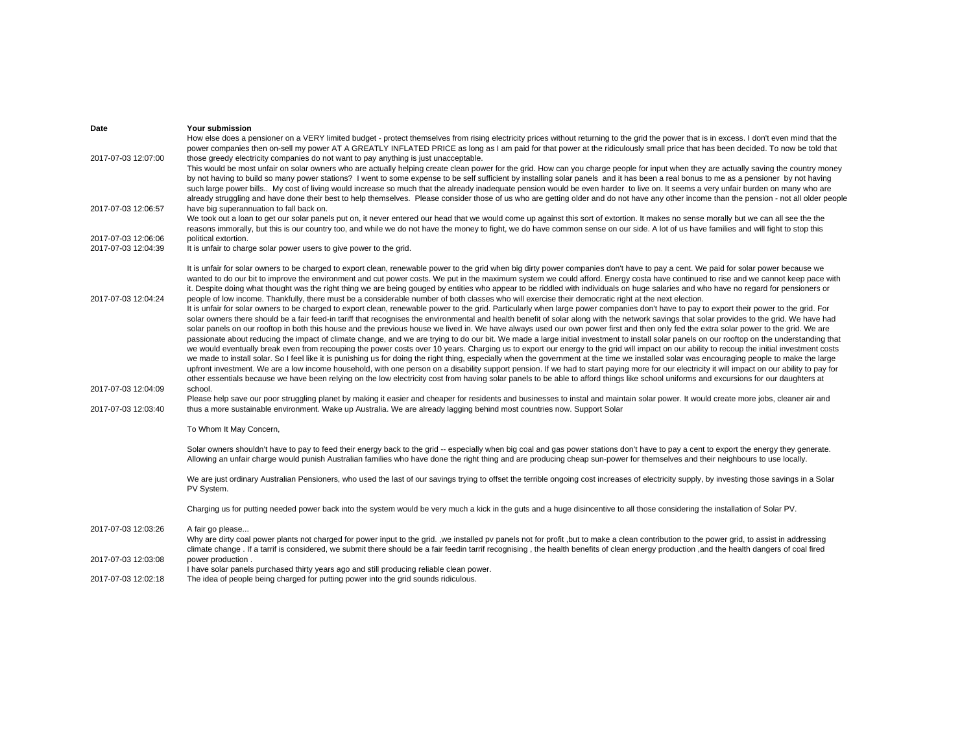| Date                                       | <b>Your submission</b>                                                                                                                                                                                                                                                                                                                                                                                                                                                                                                                                                                          |
|--------------------------------------------|-------------------------------------------------------------------------------------------------------------------------------------------------------------------------------------------------------------------------------------------------------------------------------------------------------------------------------------------------------------------------------------------------------------------------------------------------------------------------------------------------------------------------------------------------------------------------------------------------|
| 2017-07-03 12:07:00                        | How else does a pensioner on a VERY limited budget - protect themselves from rising electricity prices without returning to the grid the power that is in excess. I don't even mind that the<br>power companies then on-sell my power AT A GREATLY INFLATED PRICE as long as I am paid for that power at the ridiculously small price that has been decided. To now be told that<br>those greedy electricity companies do not want to pay anything is just unacceptable.                                                                                                                        |
|                                            | This would be most unfair on solar owners who are actually helping create clean power for the grid. How can you charge people for input when they are actually saving the country money<br>by not having to build so many power stations? I went to some expense to be self sufficient by installing solar panels and it has been a real bonus to me as a pensioner by not having                                                                                                                                                                                                               |
|                                            | such large power bills My cost of living would increase so much that the already inadequate pension would be even harder to live on. It seems a very unfair burden on many who are<br>already struggling and have done their best to help themselves. Please consider those of us who are getting older and do not have any other income than the pension - not all older people                                                                                                                                                                                                                |
| 2017-07-03 12:06:57                        | have big superannuation to fall back on.<br>We took out a loan to get our solar panels put on, it never entered our head that we would come up against this sort of extortion. It makes no sense morally but we can all see the the<br>reasons immorally, but this is our country too, and while we do not have the money to fight, we do have common sense on our side. A lot of us have families and will fight to stop this                                                                                                                                                                  |
| 2017-07-03 12:06:06<br>2017-07-03 12:04:39 | political extortion.<br>It is unfair to charge solar power users to give power to the grid.                                                                                                                                                                                                                                                                                                                                                                                                                                                                                                     |
|                                            | It is unfair for solar owners to be charged to export clean, renewable power to the grid when big dirty power companies don't have to pay a cent. We paid for solar power because we                                                                                                                                                                                                                                                                                                                                                                                                            |
| 2017-07-03 12:04:24                        | wanted to do our bit to improve the environment and cut power costs. We put in the maximum system we could afford. Energy costa have continued to rise and we cannot keep pace with<br>it. Despite doing what thought was the right thing we are being gouged by entities who appear to be riddled with individuals on huge salaries and who have no regard for pensioners or<br>people of low income. Thankfully, there must be a considerable number of both classes who will exercise their democratic right at the next election.                                                           |
|                                            | It is unfair for solar owners to be charged to export clean, renewable power to the grid. Particularly when large power companies don't have to pay to export their power to the grid. For<br>solar owners there should be a fair feed-in tariff that recognises the environmental and health benefit of solar along with the network savings that solar provides to the grid. We have had                                                                                                                                                                                                      |
|                                            | solar panels on our rooftop in both this house and the previous house we lived in. We have always used our own power first and then only fed the extra solar power to the grid. We are<br>passionate about reducing the impact of climate change, and we are trying to do our bit. We made a large initial investment to install solar panels on our rooftop on the understanding that                                                                                                                                                                                                          |
|                                            | we would eventually break even from recouping the power costs over 10 years. Charging us to export our energy to the grid will impact on our ability to recoup the initial investment costs<br>we made to install solar. So I feel like it is punishing us for doing the right thing, especially when the government at the time we installed solar was encouraging people to make the large<br>upfront investment. We are a low income household, with one person on a disability support pension. If we had to start paying more for our electricity it will impact on our ability to pay for |
| 2017-07-03 12:04:09                        | other essentials because we have been relying on the low electricity cost from having solar panels to be able to afford things like school uniforms and excursions for our daughters at<br>school.                                                                                                                                                                                                                                                                                                                                                                                              |
| 2017-07-03 12:03:40                        | Please help save our poor struggling planet by making it easier and cheaper for residents and businesses to instal and maintain solar power. It would create more jobs, cleaner air and<br>thus a more sustainable environment. Wake up Australia. We are already lagging behind most countries now. Support Solar                                                                                                                                                                                                                                                                              |
|                                            | To Whom It May Concern,                                                                                                                                                                                                                                                                                                                                                                                                                                                                                                                                                                         |
|                                            | Solar owners shouldn't have to pay to feed their energy back to the grid -- especially when big coal and gas power stations don't have to pay a cent to export the energy they generate.<br>Allowing an unfair charge would punish Australian families who have done the right thing and are producing cheap sun-power for themselves and their neighbours to use locally.                                                                                                                                                                                                                      |
|                                            | We are just ordinary Australian Pensioners, who used the last of our savings trying to offset the terrible ongoing cost increases of electricity supply, by investing those savings in a Solar<br>PV System.                                                                                                                                                                                                                                                                                                                                                                                    |
|                                            | Charging us for putting needed power back into the system would be very much a kick in the guts and a huge disincentive to all those considering the installation of Solar PV.                                                                                                                                                                                                                                                                                                                                                                                                                  |
| 2017-07-03 12:03:26                        | A fair go please<br>Why are dirty coal power plants not charged for power input to the grid. ,we installed pv panels not for profit, but to make a clean contribution to the power grid, to assist in addressing<br>climate change. If a tarrif is considered, we submit there should be a fair feedin tarrif recognising, the health benefits of clean energy production, and the health dangers of coal fired                                                                                                                                                                                 |
| 2017-07-03 12:03:08                        | power production.<br>I have solar panels purchased thirty years ago and still producing reliable clean power.                                                                                                                                                                                                                                                                                                                                                                                                                                                                                   |
| 2017.07.0312.021                           | The idea of neonle being charged for putting nower into the grid sounds ridiculous                                                                                                                                                                                                                                                                                                                                                                                                                                                                                                              |

2017-07-03 12:02:18 The idea of people being charged for putting power into the grid sounds ridiculous.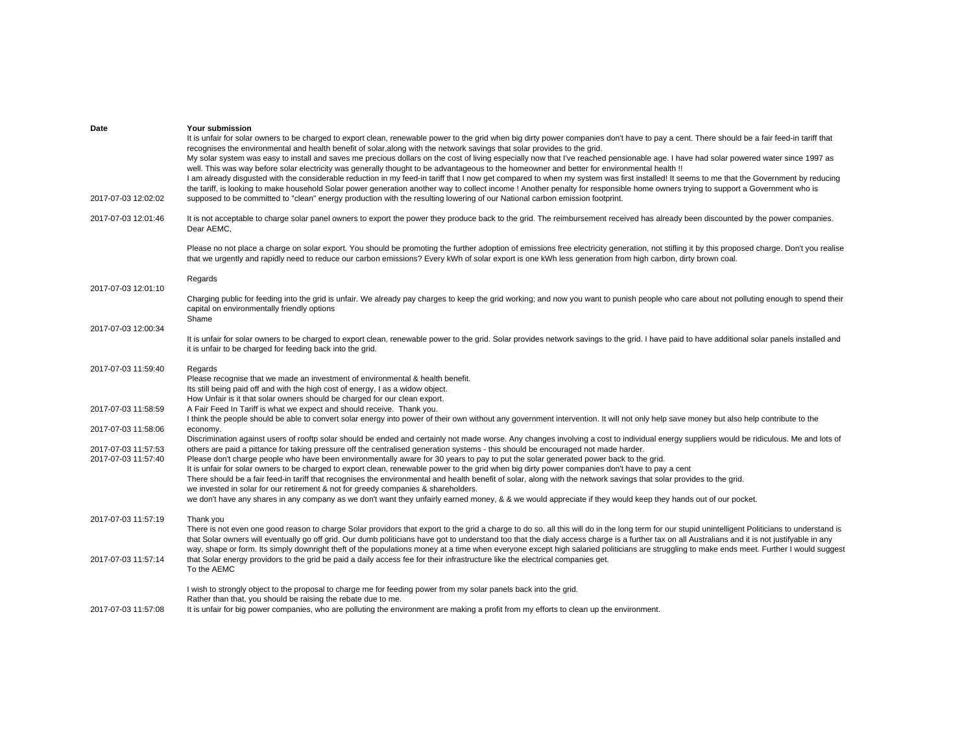| Date                | Your submission                                                                                                                                                                                                                                            |
|---------------------|------------------------------------------------------------------------------------------------------------------------------------------------------------------------------------------------------------------------------------------------------------|
|                     | It is unfair for solar owners to be charged to export clean, renewable power to the grid when big dirty power companies don't have to pay a cent. There should be a fair feed-in tariff that                                                               |
|                     | recognises the environmental and health benefit of solar, along with the network savings that solar provides to the grid.                                                                                                                                  |
|                     | My solar system was easy to install and saves me precious dollars on the cost of living especially now that I've reached pensionable age. I have had solar powered water since 1997 as                                                                     |
|                     | well. This was way before solar electricity was generally thought to be advantageous to the homeowner and better for environmental health!                                                                                                                 |
|                     | I am already disqusted with the considerable reduction in my feed-in tariff that I now get compared to when my system was first installed! It seems to me that the Government by reducing                                                                  |
|                     | the tariff, is looking to make household Solar power generation another way to collect income ! Another penalty for responsible home owners trying to support a Government who is                                                                          |
| 2017-07-03 12:02:02 | supposed to be committed to "clean" energy production with the resulting lowering of our National carbon emission footprint.                                                                                                                               |
|                     |                                                                                                                                                                                                                                                            |
| 2017-07-03 12:01:46 | It is not acceptable to charge solar panel owners to export the power they produce back to the grid. The reimbursement received has already been discounted by the power companies.                                                                        |
|                     | Dear AEMC,                                                                                                                                                                                                                                                 |
|                     |                                                                                                                                                                                                                                                            |
|                     | Please no not place a charge on solar export. You should be promoting the further adoption of emissions free electricity generation, not stifling it by this proposed charge. Don't you realise                                                            |
|                     | that we urgently and rapidly need to reduce our carbon emissions? Every kWh of solar export is one kWh less generation from high carbon, dirty brown coal.                                                                                                 |
|                     |                                                                                                                                                                                                                                                            |
| 2017-07-03 12:01:10 | Regards                                                                                                                                                                                                                                                    |
|                     | Charging public for feeding into the grid is unfair. We already pay charges to keep the grid working; and now you want to punish people who care about not polluting enough to spend their                                                                 |
|                     | capital on environmentally friendly options                                                                                                                                                                                                                |
|                     | Shame                                                                                                                                                                                                                                                      |
| 2017-07-03 12:00:34 |                                                                                                                                                                                                                                                            |
|                     | It is unfair for solar owners to be charged to export clean, renewable power to the grid. Solar provides network savings to the grid. I have paid to have additional solar panels installed and                                                            |
|                     | it is unfair to be charged for feeding back into the grid.                                                                                                                                                                                                 |
|                     |                                                                                                                                                                                                                                                            |
| 2017-07-03 11:59:40 | Regards                                                                                                                                                                                                                                                    |
|                     | Please recognise that we made an investment of environmental & health benefit.                                                                                                                                                                             |
|                     | Its still being paid off and with the high cost of energy, I as a widow object.                                                                                                                                                                            |
|                     | How Unfair is it that solar owners should be charged for our clean export.                                                                                                                                                                                 |
| 2017-07-03 11:58:59 | A Fair Feed In Tariff is what we expect and should receive. Thank you.                                                                                                                                                                                     |
|                     | I think the people should be able to convert solar energy into power of their own without any government intervention. It will not only help save money but also help contribute to the                                                                    |
| 2017-07-03 11:58:06 | economy.                                                                                                                                                                                                                                                   |
|                     | Discrimination against users of rooftp solar should be ended and certainly not made worse. Any changes involving a cost to individual energy suppliers would be ridiculous. Me and lots of                                                                 |
| 2017-07-03 11:57:53 | others are paid a pittance for taking pressure off the centralised generation systems - this should be encouraged not made harder.                                                                                                                         |
| 2017-07-03 11:57:40 | Please don't charge people who have been environmentally aware for 30 years to pay to put the solar generated power back to the grid.                                                                                                                      |
|                     | It is unfair for solar owners to be charged to export clean, renewable power to the grid when big dirty power companies don't have to pay a cent                                                                                                           |
|                     | There should be a fair feed-in tariff that recognises the environmental and health benefit of solar, along with the network savings that solar provides to the grid.<br>we invested in solar for our retirement & not for greedy companies & shareholders. |
|                     | we don't have any shares in any company as we don't want they unfairly earned money, & & we would appreciate if they would keep they hands out of our pocket.                                                                                              |
|                     |                                                                                                                                                                                                                                                            |
| 2017-07-03 11:57:19 | Thank you                                                                                                                                                                                                                                                  |
|                     | There is not even one good reason to charge Solar providors that export to the grid a charge to do so. all this will do in the long term for our stupid unintelligent Politicians to understand is                                                         |
|                     | that Solar owners will eventually go off grid. Our dumb politicians have got to understand too that the dialy access charge is a further tax on all Australians and it is not justifyable in any                                                           |
|                     | way, shape or form. Its simply downright theft of the populations money at a time when everyone except high salaried politicians are struggling to make ends meet. Further I would suggest                                                                 |
| 2017-07-03 11:57:14 | that Solar energy providors to the grid be paid a daily access fee for their infrastructure like the electrical companies get.                                                                                                                             |
|                     | To the AEMC                                                                                                                                                                                                                                                |
|                     |                                                                                                                                                                                                                                                            |
|                     | I wish to strongly object to the proposal to charge me for feeding power from my solar panels back into the grid.                                                                                                                                          |
|                     | Rather than that, you should be raising the rebate due to me.                                                                                                                                                                                              |
| 2017-07-03 11:57:08 | It is unfair for big power companies, who are polluting the environment are making a profit from my efforts to clean up the environment.                                                                                                                   |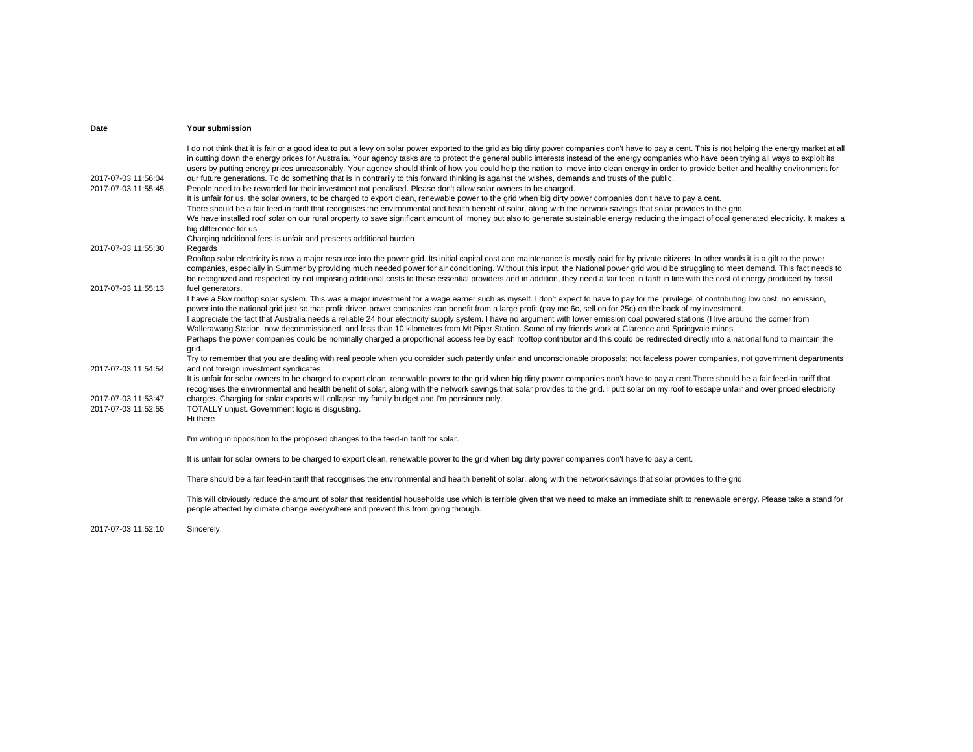| Date                                       | Your submission                                                                                                                                                                                                                                                                                                                                                                                                                                                                                                                                                                                                                                                                                                                                                                                                                                                                                                                                                                                                                                                                                                                                                                                                                                                                                                                                                                                                                                                                                        |
|--------------------------------------------|--------------------------------------------------------------------------------------------------------------------------------------------------------------------------------------------------------------------------------------------------------------------------------------------------------------------------------------------------------------------------------------------------------------------------------------------------------------------------------------------------------------------------------------------------------------------------------------------------------------------------------------------------------------------------------------------------------------------------------------------------------------------------------------------------------------------------------------------------------------------------------------------------------------------------------------------------------------------------------------------------------------------------------------------------------------------------------------------------------------------------------------------------------------------------------------------------------------------------------------------------------------------------------------------------------------------------------------------------------------------------------------------------------------------------------------------------------------------------------------------------------|
| 2017-07-03 11:56:04<br>2017-07-03 11:55:45 | I do not think that it is fair or a good idea to put a levy on solar power exported to the grid as big dirty power companies don't have to pay a cent. This is not helping the energy market at all<br>in cutting down the energy prices for Australia. Your agency tasks are to protect the general public interests instead of the energy companies who have been trying all ways to exploit its<br>users by putting energy prices unreasonably. Your agency should think of how you could help the nation to move into clean energy in order to provide better and healthy environment for<br>our future generations. To do something that is in contrarily to this forward thinking is against the wishes, demands and trusts of the public.<br>People need to be rewarded for their investment not penalised. Please don't allow solar owners to be charged.<br>It is unfair for us, the solar owners, to be charged to export clean, renewable power to the grid when big dirty power companies don't have to pay a cent.<br>There should be a fair feed-in tariff that recognises the environmental and health benefit of solar, along with the network savings that solar provides to the grid.<br>We have installed roof solar on our rural property to save significant amount of money but also to generate sustainable energy reducing the impact of coal generated electricity. It makes a<br>big difference for us.<br>Charging additional fees is unfair and presents additional burden |
| 2017-07-03 11:55:30                        | Regards                                                                                                                                                                                                                                                                                                                                                                                                                                                                                                                                                                                                                                                                                                                                                                                                                                                                                                                                                                                                                                                                                                                                                                                                                                                                                                                                                                                                                                                                                                |
| 2017-07-03 11:55:13                        | Rooftop solar electricity is now a major resource into the power grid. Its initial capital cost and maintenance is mostly paid for by private citizens. In other words it is a gift to the power<br>companies, especially in Summer by providing much needed power for air conditioning. Without this input, the National power grid would be struggling to meet demand. This fact needs to<br>be recognized and respected by not imposing additional costs to these essential providers and in addition, they need a fair feed in tariff in line with the cost of energy produced by fossil<br>fuel generators.                                                                                                                                                                                                                                                                                                                                                                                                                                                                                                                                                                                                                                                                                                                                                                                                                                                                                       |
|                                            | I have a 5kw rooftop solar system. This was a major investment for a wage earner such as myself. I don't expect to have to pay for the 'privilege' of contributing low cost, no emission,<br>power into the national grid just so that profit driven power companies can benefit from a large profit (pay me 6c, sell on for 25c) on the back of my investment.<br>I appreciate the fact that Australia needs a reliable 24 hour electricity supply system. I have no argument with lower emission coal powered stations (I live around the corner from<br>Wallerawang Station, now decommissioned, and less than 10 kilometres from Mt Piper Station. Some of my friends work at Clarence and Springvale mines.<br>Perhaps the power companies could be nominally charged a proportional access fee by each rooftop contributor and this could be redirected directly into a national fund to maintain the<br>grid.<br>Try to remember that you are dealing with real people when you consider such patently unfair and unconscionable proposals; not faceless power companies, not government departments                                                                                                                                                                                                                                                                                                                                                                                            |
| 2017-07-03 11:54:54                        | and not foreign investment syndicates.<br>It is unfair for solar owners to be charged to export clean, renewable power to the grid when big dirty power companies don't have to pay a cent. There should be a fair feed-in tariff that                                                                                                                                                                                                                                                                                                                                                                                                                                                                                                                                                                                                                                                                                                                                                                                                                                                                                                                                                                                                                                                                                                                                                                                                                                                                 |
| 2017-07-03 11:53:47<br>2017-07-03 11:52:55 | recognises the environmental and health benefit of solar, along with the network savings that solar provides to the grid. I putt solar on my roof to escape unfair and over priced electricity<br>charges. Charging for solar exports will collapse my family budget and I'm pensioner only.<br>TOTALLY unjust. Government logic is disgusting.<br>Hi there                                                                                                                                                                                                                                                                                                                                                                                                                                                                                                                                                                                                                                                                                                                                                                                                                                                                                                                                                                                                                                                                                                                                            |
|                                            | I'm writing in opposition to the proposed changes to the feed-in tariff for solar.                                                                                                                                                                                                                                                                                                                                                                                                                                                                                                                                                                                                                                                                                                                                                                                                                                                                                                                                                                                                                                                                                                                                                                                                                                                                                                                                                                                                                     |
|                                            | It is unfair for solar owners to be charged to export clean, renewable power to the grid when big dirty power companies don't have to pay a cent.                                                                                                                                                                                                                                                                                                                                                                                                                                                                                                                                                                                                                                                                                                                                                                                                                                                                                                                                                                                                                                                                                                                                                                                                                                                                                                                                                      |
|                                            | There should be a fair feed-in tariff that recognises the environmental and health benefit of solar, along with the network savings that solar provides to the grid.                                                                                                                                                                                                                                                                                                                                                                                                                                                                                                                                                                                                                                                                                                                                                                                                                                                                                                                                                                                                                                                                                                                                                                                                                                                                                                                                   |
|                                            | This will obviously reduce the amount of solar that residential households use which is terrible given that we need to make an immediate shift to renewable energy. Please take a stand for<br>people affected by climate change everywhere and prevent this from going through.                                                                                                                                                                                                                                                                                                                                                                                                                                                                                                                                                                                                                                                                                                                                                                                                                                                                                                                                                                                                                                                                                                                                                                                                                       |

2017-07-03 11:52:10 Sincerely,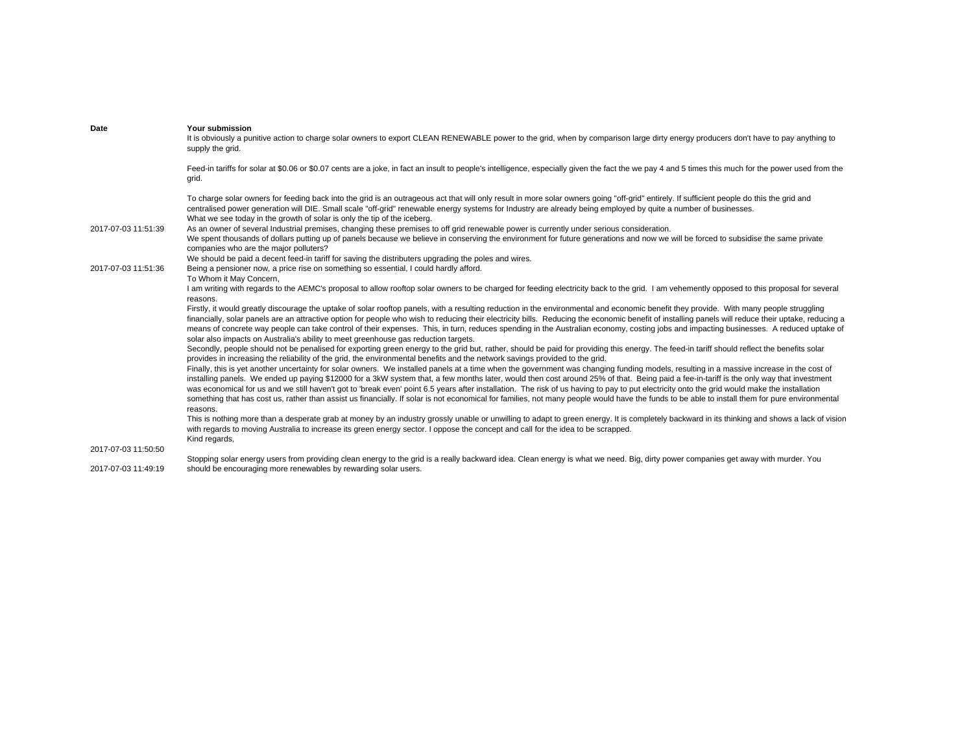| Date                | Your submission<br>It is obviously a punitive action to charge solar owners to export CLEAN RENEWABLE power to the grid, when by comparison large dirty energy producers don't have to pay anything to<br>supply the grid.                                                                                                                                                                                                                                                                                                                                                                                                                                                                                                                                                                        |
|---------------------|---------------------------------------------------------------------------------------------------------------------------------------------------------------------------------------------------------------------------------------------------------------------------------------------------------------------------------------------------------------------------------------------------------------------------------------------------------------------------------------------------------------------------------------------------------------------------------------------------------------------------------------------------------------------------------------------------------------------------------------------------------------------------------------------------|
|                     | Feed-in tariffs for solar at \$0.06 or \$0.07 cents are a joke, in fact an insult to people's intelligence, especially given the fact the we pay 4 and 5 times this much for the power used from the<br>grid.                                                                                                                                                                                                                                                                                                                                                                                                                                                                                                                                                                                     |
| 2017-07-03 11:51:39 | To charge solar owners for feeding back into the grid is an outrageous act that will only result in more solar owners going "off-grid" entirely. If sufficient people do this the grid and<br>centralised power generation will DIE. Small scale "off-grid" renewable energy systems for Industry are already being employed by quite a number of businesses.<br>What we see today in the growth of solar is only the tip of the iceberg.<br>As an owner of several Industrial premises, changing these premises to off grid renewable power is currently under serious consideration.<br>We spent thousands of dollars putting up of panels because we believe in conserving the environment for future generations and now we will be forced to subsidise the same private                      |
| 2017-07-03 11:51:36 | companies who are the major polluters?<br>We should be paid a decent feed-in tariff for saving the distributers upgrading the poles and wires.<br>Being a pensioner now, a price rise on something so essential, I could hardly afford.                                                                                                                                                                                                                                                                                                                                                                                                                                                                                                                                                           |
|                     | To Whom it May Concern,<br>I am writing with regards to the AEMC's proposal to allow rooftop solar owners to be charged for feeding electricity back to the grid. I am vehemently opposed to this proposal for several<br>reasons.                                                                                                                                                                                                                                                                                                                                                                                                                                                                                                                                                                |
|                     | Firstly, it would greatly discourage the uptake of solar rooftop panels, with a resulting reduction in the environmental and economic benefit they provide. With many people struggling<br>financially, solar panels are an attractive option for people who wish to reducing their electricity bills. Reducing the economic benefit of installing panels will reduce their uptake, reducing a<br>means of concrete way people can take control of their expenses. This, in turn, reduces spending in the Australian economy, costing jobs and impacting businesses. A reduced uptake of<br>solar also impacts on Australia's ability to meet greenhouse gas reduction targets.                                                                                                                   |
|                     | Secondly, people should not be penalised for exporting green energy to the grid but, rather, should be paid for providing this energy. The feed-in tariff should reflect the benefits solar<br>provides in increasing the reliability of the grid, the environmental benefits and the network savings provided to the grid.                                                                                                                                                                                                                                                                                                                                                                                                                                                                       |
|                     | Finally, this is yet another uncertainty for solar owners. We installed panels at a time when the government was changing funding models, resulting in a massive increase in the cost of<br>installing panels. We ended up paying \$12000 for a 3kW system that, a few months later, would then cost around 25% of that. Being paid a fee-in-tariff is the only way that investment<br>was economical for us and we still haven't got to 'break even' point 6.5 years after installation. The risk of us having to pay to put electricity onto the grid would make the installation<br>something that has cost us, rather than assist us financially. If solar is not economical for families, not many people would have the funds to be able to install them for pure environmental<br>reasons. |
|                     | This is nothing more than a desperate grab at money by an industry grossly unable or unwilling to adapt to green energy. It is completely backward in its thinking and shows a lack of vision<br>with regards to moving Australia to increase its green energy sector. I oppose the concept and call for the idea to be scrapped.<br>Kind regards,                                                                                                                                                                                                                                                                                                                                                                                                                                                |
| 2017-07-03 11:50:50 | Stopping solar energy users from providing clean energy to the grid is a really backward idea. Clean energy is what we need. Big, dirty power companies get away with murder. You                                                                                                                                                                                                                                                                                                                                                                                                                                                                                                                                                                                                                 |
| 2017-07-03 11:49:19 | should be encouraging more renewables by rewarding solar users.                                                                                                                                                                                                                                                                                                                                                                                                                                                                                                                                                                                                                                                                                                                                   |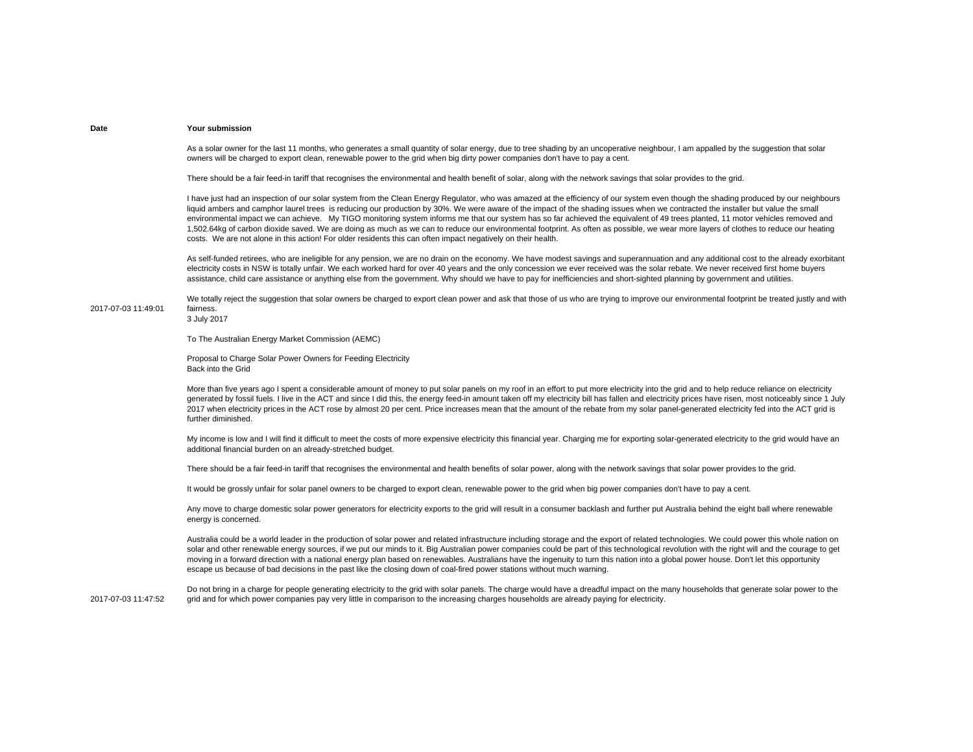As a solar owner for the last 11 months, who generates a small quantity of solar energy, due to tree shading by an uncoperative neighbour, I am appalled by the suggestion that solar owners will be charged to export clean, renewable power to the grid when big dirty power companies don't have to pay a cent.

There should be a fair feed-in tariff that recognises the environmental and health benefit of solar, along with the network savings that solar provides to the grid.

I have just had an inspection of our solar system from the Clean Energy Regulator, who was amazed at the efficiency of our system even though the shading produced by our neighbours liquid ambers and camphor laurel trees is reducing our production by 30%. We were aware of the impact of the shading issues when we contracted the installer but value the small environmental impact we can achieve. My TIGO monitoring system informs me that our system has so far achieved the equivalent of 49 trees planted, 11 motor vehicles removed and 1,502.64kg of carbon dioxide saved. We are doing as much as we can to reduce our environmental footprint. As often as possible, we wear more layers of clothes to reduce our heating costs. We are not alone in this action! For older residents this can often impact negatively on their health.

As self-funded retirees, who are ineligible for any pension, we are no drain on the economy. We have modest sayings and superannuation and any additional cost to the already exorbitant electricity costs in NSW is totally unfair. We each worked hard for over 40 years and the only concession we ever received was the solar rebate. We never received first home buyers assistance, child care assistance or anything else from the government. Why should we have to pay for inefficiencies and short-sighted planning by government and utilities.

2017-07-03 11:49:01We totally reject the suggestion that solar owners be charged to export clean power and ask that those of us who are trying to improve our environmental footprint be treated justly and with fairness.

3 July 2017

To The Australian Energy Market Commission (AEMC)

Proposal to Charge Solar Power Owners for Feeding Electricity Back into the Grid

More than five years ago I spent a considerable amount of money to put solar panels on my roof in an effort to put more electricity into the grid and to help reduce reliance on electricity generated by fossil fuels. I live in the ACT and since I did this, the energy feed-in amount taken off my electricity bill has fallen and electricity prices have risen, most noticeably since 1 July 2017 when electricity prices in the ACT rose by almost 20 per cent. Price increases mean that the amount of the rebate from my solar panel-generated electricity fed into the ACT grid is further diminished.

My income is low and I will find it difficult to meet the costs of more expensive electricity this financial year. Charging me for exporting solar-generated electricity to the grid would have an additional financial burden on an already-stretched budget.

There should be a fair feed-in tariff that recognises the environmental and health benefits of solar power, along with the network savings that solar power provides to the grid.

It would be grossly unfair for solar panel owners to be charged to export clean, renewable power to the grid when big power companies don't have to pay a cent.

Any move to charge domestic solar power generators for electricity exports to the grid will result in a consumer backlash and further put Australia behind the eight ball where renewable energy is concerned.

Australia could be a world leader in the production of solar power and related infrastructure including storage and the export of related technologies. We could power this whole nation on solar and other renewable energy sources, if we put our minds to it. Big Australian power companies could be part of this technological revolution with the right will and the courage to get moving in a forward direction with a national energy plan based on renewables. Australians have the ingenuity to turn this nation into a global power house. Don't let this opportunity escape us because of bad decisions in the past like the closing down of coal-fired power stations without much warning.

2017-07-03 11:47:52Do not bring in a charge for people generating electricity to the grid with solar panels. The charge would have a dreadful impact on the many households that generate solar power to the grid and for which power companies pay very little in comparison to the increasing charges households are already paying for electricity.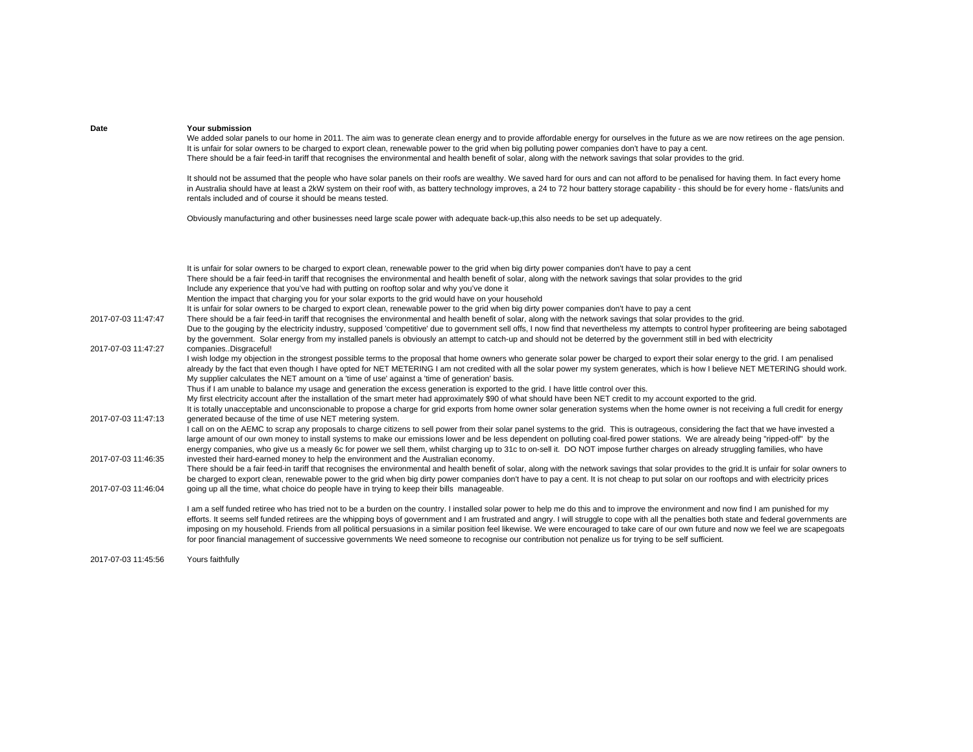| Date                | Your submission<br>We added solar panels to our home in 2011. The aim was to generate clean energy and to provide affordable energy for ourselves in the future as we are now retirees on the age pension.<br>It is unfair for solar owners to be charged to export clean, renewable power to the grid when big polluting power companies don't have to pay a cent.<br>There should be a fair feed-in tariff that recognises the environmental and health benefit of solar, along with the network savings that solar provides to the grid.                                                                                                                                                                                                                                                                                                                                                                                                                                                                               |
|---------------------|---------------------------------------------------------------------------------------------------------------------------------------------------------------------------------------------------------------------------------------------------------------------------------------------------------------------------------------------------------------------------------------------------------------------------------------------------------------------------------------------------------------------------------------------------------------------------------------------------------------------------------------------------------------------------------------------------------------------------------------------------------------------------------------------------------------------------------------------------------------------------------------------------------------------------------------------------------------------------------------------------------------------------|
|                     | It should not be assumed that the people who have solar panels on their roofs are wealthy. We saved hard for ours and can not afford to be penalised for having them. In fact every home<br>in Australia should have at least a 2kW system on their roof with, as battery technology improves, a 24 to 72 hour battery storage capability - this should be for every home - flats/units and<br>rentals included and of course it should be means tested.                                                                                                                                                                                                                                                                                                                                                                                                                                                                                                                                                                  |
|                     | Obviously manufacturing and other businesses need large scale power with adequate back-up, this also needs to be set up adequately.                                                                                                                                                                                                                                                                                                                                                                                                                                                                                                                                                                                                                                                                                                                                                                                                                                                                                       |
|                     | It is unfair for solar owners to be charged to export clean, renewable power to the grid when big dirty power companies don't have to pay a cent<br>There should be a fair feed-in tariff that recognises the environmental and health benefit of solar, along with the network savings that solar provides to the grid<br>Include any experience that you've had with putting on rooftop solar and why you've done it<br>Mention the impact that charging you for your solar exports to the grid would have on your household<br>It is unfair for solar owners to be charged to export clean, renewable power to the grid when big dirty power companies don't have to pay a cent                                                                                                                                                                                                                                                                                                                                        |
| 2017-07-03 11:47:47 | There should be a fair feed-in tariff that recognises the environmental and health benefit of solar, along with the network savings that solar provides to the grid.<br>Due to the gouging by the electricity industry, supposed 'competitive' due to government sell offs, I now find that nevertheless my attempts to control hyper profiteering are being sabotaged<br>by the government. Solar energy from my installed panels is obviously an attempt to catch-up and should not be deterred by the government still in bed with electricity                                                                                                                                                                                                                                                                                                                                                                                                                                                                         |
| 2017-07-03 11:47:27 | companiesDisgraceful!<br>I wish lodge my objection in the strongest possible terms to the proposal that home owners who generate solar power be charged to export their solar energy to the grid. I am penalised<br>already by the fact that even though I have opted for NET METERING I am not credited with all the solar power my system generates, which is how I believe NET METERING should work.<br>My supplier calculates the NET amount on a 'time of use' against a 'time of generation' basis.<br>Thus if I am unable to balance my usage and generation the excess generation is exported to the grid. I have little control over this.<br>My first electricity account after the installation of the smart meter had approximately \$90 of what should have been NET credit to my account exported to the grid.<br>It is totally unacceptable and unconscionable to propose a charge for grid exports from home owner solar generation systems when the home owner is not receiving a full credit for energy |
| 2017-07-03 11:47:13 | generated because of the time of use NET metering system.<br>I call on on the AEMC to scrap any proposals to charge citizens to sell power from their solar panel systems to the grid. This is outrageous, considering the fact that we have invested a<br>large amount of our own money to install systems to make our emissions lower and be less dependent on polluting coal-fired power stations. We are already being "ripped-off" by the<br>energy companies, who give us a measly 6c for power we sell them, whilst charging up to 31c to on-sell it. DO NOT impose further charges on already struggling families, who have                                                                                                                                                                                                                                                                                                                                                                                       |
| 2017-07-03 11:46:35 | invested their hard-earned money to help the environment and the Australian economy.<br>There should be a fair feed-in tariff that recognises the environmental and health benefit of solar, along with the network savings that solar provides to the grid.It is unfair for solar owners to<br>be charged to export clean, renewable power to the grid when big dirty power companies don't have to pay a cent. It is not cheap to put solar on our rooftops and with electricity prices                                                                                                                                                                                                                                                                                                                                                                                                                                                                                                                                 |
| 2017-07-03 11:46:04 | going up all the time, what choice do people have in trying to keep their bills manageable.<br>I am a self funded retiree who has tried not to be a burden on the country. I installed solar power to help me do this and to improve the environment and now find I am punished for my<br>efforts. It seems self funded retirees are the whipping boys of government and I am frustrated and angry. I will struggle to cope with all the penalties both state and federal governments are<br>imposing on my household. Friends from all political persuasions in a similar position feel likewise. We were encouraged to take care of our own future and now we feel we are scapegoats                                                                                                                                                                                                                                                                                                                                    |
|                     | for poor financial management of successive governments We need someone to recognise our contribution not penalize us for trying to be self sufficient.                                                                                                                                                                                                                                                                                                                                                                                                                                                                                                                                                                                                                                                                                                                                                                                                                                                                   |

2017-07-03 11:45:56Yours faithfully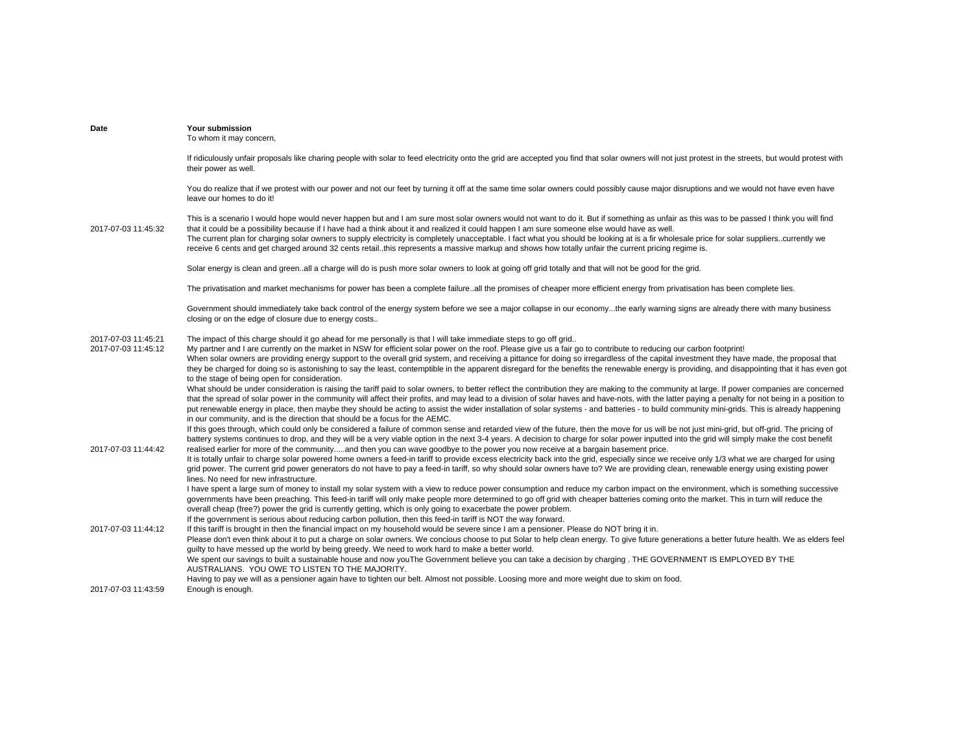| Date                                       | <b>Your submission</b><br>To whom it may concern,                                                                                                                                                                                                                                                                                                                                                                                                                                                                                                                                                                                                                                                                                                                                                                                                                                                                                                                                                                         |
|--------------------------------------------|---------------------------------------------------------------------------------------------------------------------------------------------------------------------------------------------------------------------------------------------------------------------------------------------------------------------------------------------------------------------------------------------------------------------------------------------------------------------------------------------------------------------------------------------------------------------------------------------------------------------------------------------------------------------------------------------------------------------------------------------------------------------------------------------------------------------------------------------------------------------------------------------------------------------------------------------------------------------------------------------------------------------------|
|                                            | If ridiculously unfair proposals like charing people with solar to feed electricity onto the grid are accepted you find that solar owners will not just protest in the streets, but would protest with<br>their power as well.                                                                                                                                                                                                                                                                                                                                                                                                                                                                                                                                                                                                                                                                                                                                                                                            |
|                                            | You do realize that if we protest with our power and not our feet by turning it off at the same time solar owners could possibly cause major disruptions and we would not have even have<br>leave our homes to do it!                                                                                                                                                                                                                                                                                                                                                                                                                                                                                                                                                                                                                                                                                                                                                                                                     |
| 2017-07-03 11:45:32                        | This is a scenario I would hope would never happen but and I am sure most solar owners would not want to do it. But if something as unfair as this was to be passed I think you will find<br>that it could be a possibility because if I have had a think about it and realized it could happen I am sure someone else would have as well.<br>The current plan for charging solar owners to supply electricity is completely unacceptable. I fact what you should be looking at is a fir wholesale price for solar supplierscurrently we<br>receive 6 cents and get charged around 32 cents retail. this represents a massive markup and shows how totally unfair the current pricing regime is.                                                                                                                                                                                                                                                                                                                          |
|                                            | Solar energy is clean and green. all a charge will do is push more solar owners to look at going off grid totally and that will not be good for the grid.                                                                                                                                                                                                                                                                                                                                                                                                                                                                                                                                                                                                                                                                                                                                                                                                                                                                 |
|                                            | The privatisation and market mechanisms for power has been a complete failureall the promises of cheaper more efficient energy from privatisation has been complete lies.                                                                                                                                                                                                                                                                                                                                                                                                                                                                                                                                                                                                                                                                                                                                                                                                                                                 |
|                                            | Government should immediately take back control of the energy system before we see a major collapse in our economythe early warning signs are already there with many business<br>closing or on the edge of closure due to energy costs                                                                                                                                                                                                                                                                                                                                                                                                                                                                                                                                                                                                                                                                                                                                                                                   |
| 2017-07-03 11:45:21<br>2017-07-03 11:45:12 | The impact of this charge should it go ahead for me personally is that I will take immediate steps to go off grid<br>My partner and I are currently on the market in NSW for efficient solar power on the roof. Please give us a fair go to contribute to reducing our carbon footprint!<br>When solar owners are providing energy support to the overall grid system, and receiving a pittance for doing so irregardless of the capital investment they have made, the proposal that<br>they be charged for doing so is astonishing to say the least, contemptible in the apparent disregard for the benefits the renewable energy is providing, and disappointing that it has even got<br>to the stage of being open for consideration.<br>What should be under consideration is raising the tariff paid to solar owners, to better reflect the contribution they are making to the community at large. If power companies are concerned                                                                                |
| 2017-07-03 11:44:42                        | that the spread of solar power in the community will affect their profits, and may lead to a division of solar haves and have-nots, with the latter paying a penalty for not being in a position to<br>put renewable energy in place, then maybe they should be acting to assist the wider installation of solar systems - and batteries - to build community mini-grids. This is already happening<br>in our community, and is the direction that should be a focus for the AEMC.<br>If this goes through, which could only be considered a failure of common sense and retarded view of the future, then the move for us will be not just mini-grid, but off-grid. The pricing of<br>battery systems continues to drop, and they will be a very viable option in the next 3-4 years. A decision to charge for solar power inputted into the grid will simply make the cost benefit<br>realised earlier for more of the communityand then you can wave goodbye to the power you now receive at a bargain basement price. |
|                                            | It is totally unfair to charge solar powered home owners a feed-in tariff to provide excess electricity back into the grid, especially since we receive only 1/3 what we are charged for using<br>grid power. The current grid power generators do not have to pay a feed-in tariff, so why should solar owners have to? We are providing clean, renewable energy using existing power<br>lines. No need for new infrastructure.                                                                                                                                                                                                                                                                                                                                                                                                                                                                                                                                                                                          |
|                                            | I have spent a large sum of money to install my solar system with a view to reduce power consumption and reduce my carbon impact on the environment, which is something successive<br>governments have been preaching. This feed-in tariff will only make people more determined to go off grid with cheaper batteries coming onto the market. This in turn will reduce the<br>overall cheap (free?) power the grid is currently getting, which is only going to exacerbate the power problem.<br>If the government is serious about reducing carbon pollution, then this feed-in tariff is NOT the way forward.                                                                                                                                                                                                                                                                                                                                                                                                          |
| 2017-07-03 11:44:12                        | If this tariff is brought in then the financial impact on my household would be severe since I am a pensioner. Please do NOT bring it in.<br>Please don't even think about it to put a charge on solar owners. We concious choose to put Solar to help clean energy. To give future generations a better future health. We as elders feel<br>guilty to have messed up the world by being greedy. We need to work hard to make a better world.<br>We spent our savings to built a sustainable house and now youThe Government believe you can take a decision by charging . THE GOVERNMENT IS EMPLOYED BY THE                                                                                                                                                                                                                                                                                                                                                                                                              |
|                                            | AUSTRALIANS. YOU OWE TO LISTEN TO THE MAJORITY.<br>Having to pay we will as a pensioner again have to tighten our belt. Almost not possible. Loosing more and more weight due to skim on food.                                                                                                                                                                                                                                                                                                                                                                                                                                                                                                                                                                                                                                                                                                                                                                                                                            |
| 2017-07-03 11:43:59                        | Enough is enough.                                                                                                                                                                                                                                                                                                                                                                                                                                                                                                                                                                                                                                                                                                                                                                                                                                                                                                                                                                                                         |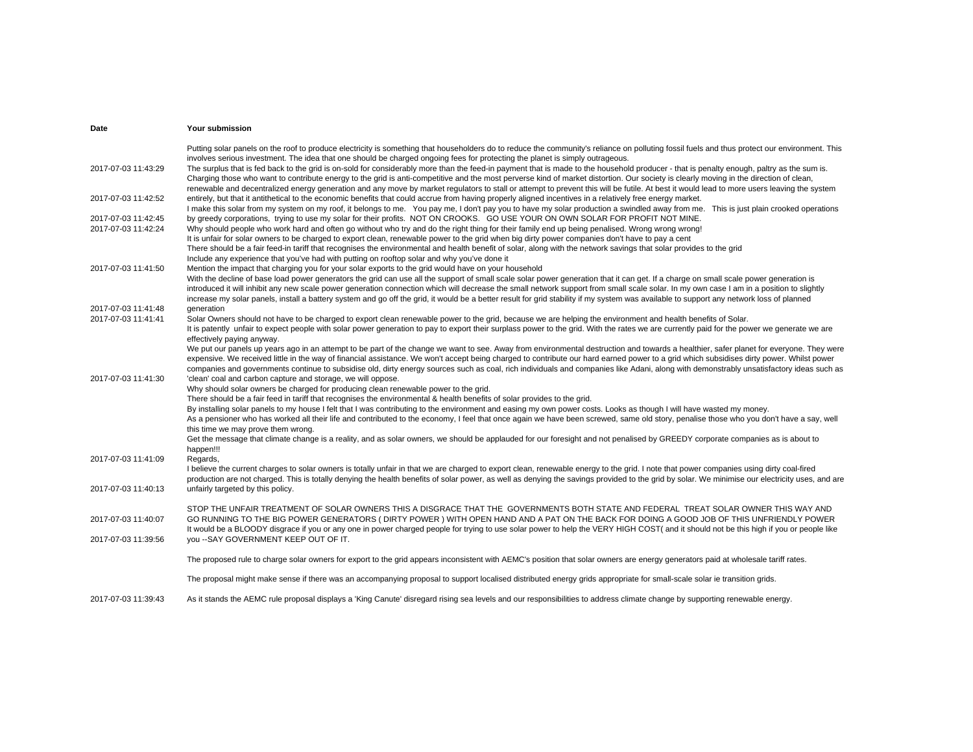| Date                                       | <b>Your submission</b>                                                                                                                                                                                                                                                                                                                                                                                                                                                                                                                                                                                                                                                                                                                                                                                                                                                                                              |
|--------------------------------------------|---------------------------------------------------------------------------------------------------------------------------------------------------------------------------------------------------------------------------------------------------------------------------------------------------------------------------------------------------------------------------------------------------------------------------------------------------------------------------------------------------------------------------------------------------------------------------------------------------------------------------------------------------------------------------------------------------------------------------------------------------------------------------------------------------------------------------------------------------------------------------------------------------------------------|
| 2017-07-03 11:43:29                        | Putting solar panels on the roof to produce electricity is something that householders do to reduce the community's reliance on polluting fossil fuels and thus protect our environment. This<br>involves serious investment. The idea that one should be charged ongoing fees for protecting the planet is simply outrageous.<br>The surplus that is fed back to the grid is on-sold for considerably more than the feed-in payment that is made to the household producer - that is penalty enough, paltry as the sum is.<br>Charging those who want to contribute energy to the grid is anti-competitive and the most perverse kind of market distortion. Our society is clearly moving in the direction of clean,<br>renewable and decentralized energy generation and any move by market regulators to stall or attempt to prevent this will be futile. At best it would lead to more users leaving the system |
| 2017-07-03 11:42:52                        | entirely, but that it antithetical to the economic benefits that could accrue from having properly aligned incentives in a relatively free energy market.<br>I make this solar from my system on my roof, it belongs to me. You pay me, I don't pay you to have my solar production a swindled away from me. This is just plain crooked operations                                                                                                                                                                                                                                                                                                                                                                                                                                                                                                                                                                  |
| 2017-07-03 11:42:45<br>2017-07-03 11:42:24 | by greedy corporations, trying to use my solar for their profits. NOT ON CROOKS. GO USE YOUR ON OWN SOLAR FOR PROFIT NOT MINE.<br>Why should people who work hard and often go without who try and do the right thing for their family end up being penalised. Wrong wrong wrong!                                                                                                                                                                                                                                                                                                                                                                                                                                                                                                                                                                                                                                   |
|                                            | It is unfair for solar owners to be charged to export clean, renewable power to the grid when big dirty power companies don't have to pay a cent<br>There should be a fair feed-in tariff that recognises the environmental and health benefit of solar, along with the network savings that solar provides to the grid<br>Include any experience that you've had with putting on rooftop solar and why you've done it                                                                                                                                                                                                                                                                                                                                                                                                                                                                                              |
| 2017-07-03 11:41:50                        | Mention the impact that charging you for your solar exports to the grid would have on your household<br>With the decline of base load power generators the grid can use all the support of small scale solar power generation that it can get. If a charge on small scale power generation is<br>introduced it will inhibit any new scale power generation connection which will decrease the small network support from small scale solar. In my own case I am in a position to slightly<br>increase my solar panels, install a battery system and go off the grid, it would be a better result for grid stability if my system was available to support any network loss of planned                                                                                                                                                                                                                               |
| 2017-07-03 11:41:48                        | generation                                                                                                                                                                                                                                                                                                                                                                                                                                                                                                                                                                                                                                                                                                                                                                                                                                                                                                          |
| 2017-07-03 11:41:41                        | Solar Owners should not have to be charged to export clean renewable power to the grid, because we are helping the environment and health benefits of Solar.<br>It is patently unfair to expect people with solar power generation to pay to export their surplass power to the grid. With the rates we are currently paid for the power we generate we are<br>effectively paying anyway.                                                                                                                                                                                                                                                                                                                                                                                                                                                                                                                           |
| 2017-07-03 11:41:30                        | We put our panels up years ago in an attempt to be part of the change we want to see. Away from environmental destruction and towards a healthier, safer planet for everyone. They were<br>expensive. We received little in the way of financial assistance. We won't accept being charged to contribute our hard earned power to a grid which subsidises dirty power. Whilst power<br>companies and governments continue to subsidise old, dirty energy sources such as coal, rich individuals and companies like Adani, along with demonstrably unsatisfactory ideas such as<br>'clean' coal and carbon capture and storage, we will oppose.                                                                                                                                                                                                                                                                      |
|                                            | Why should solar owners be charged for producing clean renewable power to the grid.<br>There should be a fair feed in tariff that recognises the environmental & health benefits of solar provides to the grid.<br>By installing solar panels to my house I felt that I was contributing to the environment and easing my own power costs. Looks as though I will have wasted my money.<br>As a pensioner who has worked all their life and contributed to the economy, I feel that once again we have been screwed, same old story, penalise those who you don't have a say, well<br>this time we may prove them wrong.<br>Get the message that climate change is a reality, and as solar owners, we should be applauded for our foresight and not penalised by GREEDY corporate companies as is about to                                                                                                          |
| 2017-07-03 11:41:09                        | happen!!!<br>Regards,<br>I believe the current charges to solar owners is totally unfair in that we are charged to export clean, renewable energy to the grid. I note that power companies using dirty coal-fired                                                                                                                                                                                                                                                                                                                                                                                                                                                                                                                                                                                                                                                                                                   |
| 2017-07-03 11:40:13                        | production are not charged. This is totally denying the health benefits of solar power, as well as denying the savings provided to the grid by solar. We minimise our electricity uses, and are<br>unfairly targeted by this policy.                                                                                                                                                                                                                                                                                                                                                                                                                                                                                                                                                                                                                                                                                |
| 2017-07-03 11:40:07                        | STOP THE UNFAIR TREATMENT OF SOLAR OWNERS THIS A DISGRACE THAT THE GOVERNMENTS BOTH STATE AND FEDERAL TREAT SOLAR OWNER THIS WAY AND<br>GO RUNNING TO THE BIG POWER GENERATORS (DIRTY POWER) WITH OPEN HAND AND A PAT ON THE BACK FOR DOING A GOOD JOB OF THIS UNFRIENDLY POWER                                                                                                                                                                                                                                                                                                                                                                                                                                                                                                                                                                                                                                     |
| 2017-07-03 11:39:56                        | It would be a BLOODY disgrace if you or any one in power charged people for trying to use solar power to help the VERY HIGH COST( and it should not be this high if you or people like<br>you -- SAY GOVERNMENT KEEP OUT OF IT.                                                                                                                                                                                                                                                                                                                                                                                                                                                                                                                                                                                                                                                                                     |
|                                            | The proposed rule to charge solar owners for export to the grid appears inconsistent with AEMC's position that solar owners are energy generators paid at wholesale tariff rates.                                                                                                                                                                                                                                                                                                                                                                                                                                                                                                                                                                                                                                                                                                                                   |
|                                            | The proposal might make sense if there was an accompanying proposal to support localised distributed energy grids appropriate for small-scale solar ie transition grids.                                                                                                                                                                                                                                                                                                                                                                                                                                                                                                                                                                                                                                                                                                                                            |
| 2017-07-03 11:39:43                        | As it stands the AEMC rule proposal displays a 'King Canute' disregard rising sea levels and our responsibilities to address climate change by supporting renewable energy.                                                                                                                                                                                                                                                                                                                                                                                                                                                                                                                                                                                                                                                                                                                                         |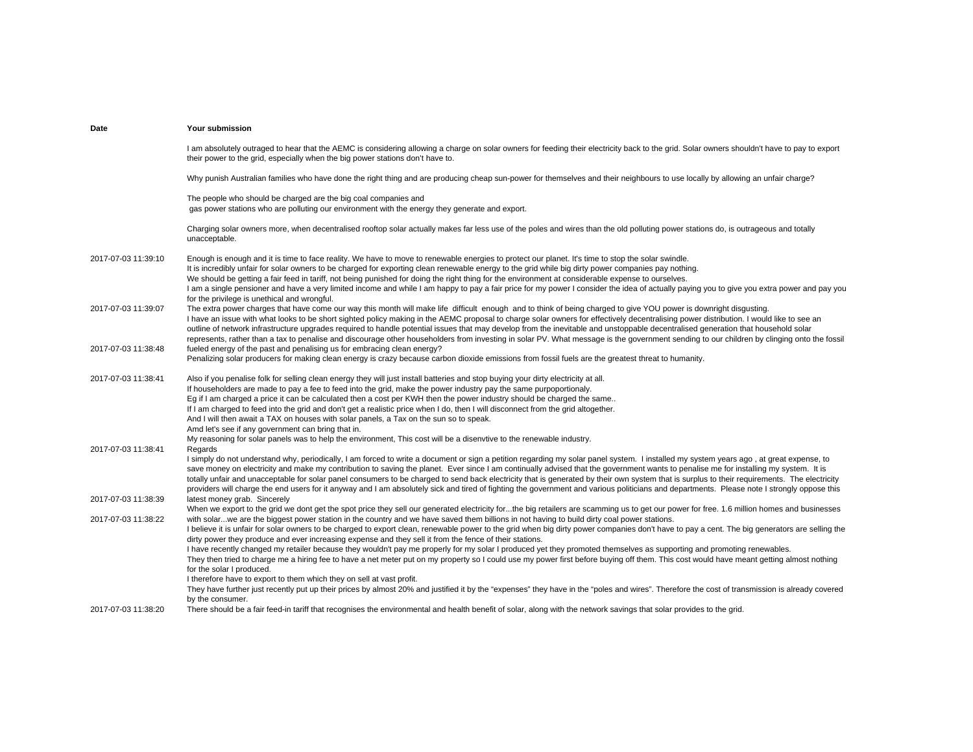| Date                | Your submission                                                                                                                                                                                                                                                                                                                                                                                                                                                                                                                                                                                                                                                                                                                                                                  |
|---------------------|----------------------------------------------------------------------------------------------------------------------------------------------------------------------------------------------------------------------------------------------------------------------------------------------------------------------------------------------------------------------------------------------------------------------------------------------------------------------------------------------------------------------------------------------------------------------------------------------------------------------------------------------------------------------------------------------------------------------------------------------------------------------------------|
|                     | I am absolutely outraged to hear that the AEMC is considering allowing a charge on solar owners for feeding their electricity back to the grid. Solar owners shouldn't have to pay to export<br>their power to the grid, especially when the big power stations don't have to.                                                                                                                                                                                                                                                                                                                                                                                                                                                                                                   |
|                     | Why punish Australian families who have done the right thing and are producing cheap sun-power for themselves and their neighbours to use locally by allowing an unfair charge?                                                                                                                                                                                                                                                                                                                                                                                                                                                                                                                                                                                                  |
|                     | The people who should be charged are the big coal companies and<br>gas power stations who are polluting our environment with the energy they generate and export.                                                                                                                                                                                                                                                                                                                                                                                                                                                                                                                                                                                                                |
|                     | Charging solar owners more, when decentralised rooftop solar actually makes far less use of the poles and wires than the old polluting power stations do, is outrageous and totally<br>unacceptable.                                                                                                                                                                                                                                                                                                                                                                                                                                                                                                                                                                             |
| 2017-07-03 11:39:10 | Enough is enough and it is time to face reality. We have to move to renewable energies to protect our planet. It's time to stop the solar swindle.                                                                                                                                                                                                                                                                                                                                                                                                                                                                                                                                                                                                                               |
|                     | It is incredibly unfair for solar owners to be charged for exporting clean renewable energy to the grid while big dirty power companies pay nothing.                                                                                                                                                                                                                                                                                                                                                                                                                                                                                                                                                                                                                             |
|                     | We should be getting a fair feed in tariff, not being punished for doing the right thing for the environment at considerable expense to ourselves.                                                                                                                                                                                                                                                                                                                                                                                                                                                                                                                                                                                                                               |
|                     | I am a single pensioner and have a very limited income and while I am happy to pay a fair price for my power I consider the idea of actually paying you to give you extra power and pay you<br>for the privilege is unethical and wrongful.                                                                                                                                                                                                                                                                                                                                                                                                                                                                                                                                      |
| 2017-07-03 11:39:07 | The extra power charges that have come our way this month will make life difficult enough and to think of being charged to give YOU power is downright disgusting.<br>I have an issue with what looks to be short sighted policy making in the AEMC proposal to charge solar owners for effectively decentralising power distribution. I would like to see an<br>outline of network infrastructure upgrades required to handle potential issues that may develop from the inevitable and unstoppable decentralised generation that household solar                                                                                                                                                                                                                               |
|                     | represents, rather than a tax to penalise and discourage other householders from investing in solar PV. What message is the government sending to our children by clinging onto the fossil                                                                                                                                                                                                                                                                                                                                                                                                                                                                                                                                                                                       |
| 2017-07-03 11:38:48 | fueled energy of the past and penalising us for embracing clean energy?<br>Penalizing solar producers for making clean energy is crazy because carbon dioxide emissions from fossil fuels are the greatest threat to humanity.                                                                                                                                                                                                                                                                                                                                                                                                                                                                                                                                                   |
| 2017-07-03 11:38:41 | Also if you penalise folk for selling clean energy they will just install batteries and stop buying your dirty electricity at all.                                                                                                                                                                                                                                                                                                                                                                                                                                                                                                                                                                                                                                               |
|                     | If householders are made to pay a fee to feed into the grid, make the power industry pay the same purpoportionaly.                                                                                                                                                                                                                                                                                                                                                                                                                                                                                                                                                                                                                                                               |
|                     | Eq if I am charged a price it can be calculated then a cost per KWH then the power industry should be charged the same                                                                                                                                                                                                                                                                                                                                                                                                                                                                                                                                                                                                                                                           |
|                     | If I am charged to feed into the grid and don't get a realistic price when I do, then I will disconnect from the grid altogether.                                                                                                                                                                                                                                                                                                                                                                                                                                                                                                                                                                                                                                                |
|                     | And I will then await a TAX on houses with solar panels, a Tax on the sun so to speak.                                                                                                                                                                                                                                                                                                                                                                                                                                                                                                                                                                                                                                                                                           |
|                     | Amd let's see if any government can bring that in.                                                                                                                                                                                                                                                                                                                                                                                                                                                                                                                                                                                                                                                                                                                               |
|                     | My reasoning for solar panels was to help the environment, This cost will be a disenvtive to the renewable industry.                                                                                                                                                                                                                                                                                                                                                                                                                                                                                                                                                                                                                                                             |
| 2017-07-03 11:38:41 | Regards                                                                                                                                                                                                                                                                                                                                                                                                                                                                                                                                                                                                                                                                                                                                                                          |
|                     | I simply do not understand why, periodically, I am forced to write a document or sign a petition regarding my solar panel system. I installed my system years ago, at great expense, to<br>save money on electricity and make my contribution to saving the planet. Ever since I am continually advised that the government wants to penalise me for installing my system. It is<br>totally unfair and unacceptable for solar panel consumers to be charged to send back electricity that is generated by their own system that is surplus to their requirements. The electricity<br>providers will charge the end users for it anyway and I am absolutely sick and tired of fighting the government and various politicians and departments. Please note I strongly oppose this |
| 2017-07-03 11:38:39 | latest money grab. Sincerely                                                                                                                                                                                                                                                                                                                                                                                                                                                                                                                                                                                                                                                                                                                                                     |
|                     | When we export to the grid we dont get the spot price they sell our generated electricity forthe big retailers are scamming us to get our power for free. 1.6 million homes and businesses                                                                                                                                                                                                                                                                                                                                                                                                                                                                                                                                                                                       |
| 2017-07-03 11:38:22 | with solarwe are the biggest power station in the country and we have saved them billions in not having to build dirty coal power stations.                                                                                                                                                                                                                                                                                                                                                                                                                                                                                                                                                                                                                                      |
|                     | I believe it is unfair for solar owners to be charged to export clean, renewable power to the grid when big dirty power companies don't have to pay a cent. The big generators are selling the<br>dirty power they produce and ever increasing expense and they sell it from the fence of their stations.                                                                                                                                                                                                                                                                                                                                                                                                                                                                        |
|                     | I have recently changed my retailer because they wouldn't pay me properly for my solar I produced yet they promoted themselves as supporting and promoting renewables.                                                                                                                                                                                                                                                                                                                                                                                                                                                                                                                                                                                                           |
|                     | They then tried to charge me a hiring fee to have a net meter put on my property so I could use my power first before buying off them. This cost would have meant getting almost nothing<br>for the solar I produced.                                                                                                                                                                                                                                                                                                                                                                                                                                                                                                                                                            |
|                     | I therefore have to export to them which they on sell at vast profit.                                                                                                                                                                                                                                                                                                                                                                                                                                                                                                                                                                                                                                                                                                            |
|                     | They have further just recently put up their prices by almost 20% and justified it by the "expenses" they have in the "poles and wires". Therefore the cost of transmission is already covered<br>by the consumer.                                                                                                                                                                                                                                                                                                                                                                                                                                                                                                                                                               |
| 2017-07-03 11:38:20 | There should be a fair feed-in tariff that recognises the environmental and health benefit of solar, along with the network savings that solar provides to the grid.                                                                                                                                                                                                                                                                                                                                                                                                                                                                                                                                                                                                             |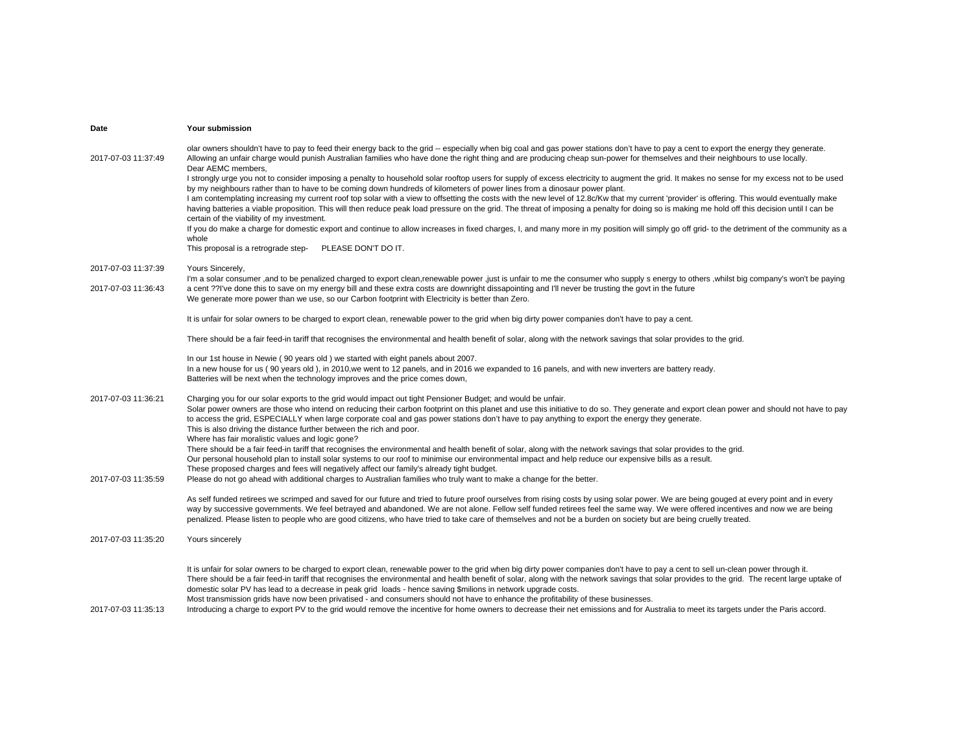| Date                | <b>Your submission</b>                                                                                                                                                                                                                                                                                                                                                                                                                                                                                                                                                                                                                                                                                                                                                                                                                                                                                                                                                                                                                                                                                                                                                                                                                                                                                                                                                                                                                               |
|---------------------|------------------------------------------------------------------------------------------------------------------------------------------------------------------------------------------------------------------------------------------------------------------------------------------------------------------------------------------------------------------------------------------------------------------------------------------------------------------------------------------------------------------------------------------------------------------------------------------------------------------------------------------------------------------------------------------------------------------------------------------------------------------------------------------------------------------------------------------------------------------------------------------------------------------------------------------------------------------------------------------------------------------------------------------------------------------------------------------------------------------------------------------------------------------------------------------------------------------------------------------------------------------------------------------------------------------------------------------------------------------------------------------------------------------------------------------------------|
| 2017-07-03 11:37:49 | olar owners shouldn't have to pay to feed their energy back to the grid -- especially when big coal and gas power stations don't have to pay a cent to export the energy they generate.<br>Allowing an unfair charge would punish Australian families who have done the right thing and are producing cheap sun-power for themselves and their neighbours to use locally.<br>Dear AEMC members,<br>I strongly urge you not to consider imposing a penalty to household solar rooftop users for supply of excess electricity to augment the grid. It makes no sense for my excess not to be used<br>by my neighbours rather than to have to be coming down hundreds of kilometers of power lines from a dinosaur power plant.<br>I am contemplating increasing my current roof top solar with a view to offsetting the costs with the new level of 12.8c/Kw that my current 'provider' is offering. This would eventually make<br>having batteries a viable proposition. This will then reduce peak load pressure on the grid. The threat of imposing a penalty for doing so is making me hold off this decision until I can be<br>certain of the viability of my investment.<br>If you do make a charge for domestic export and continue to allow increases in fixed charges, I, and many more in my position will simply go off grid- to the detriment of the community as a<br>whole<br>This proposal is a retrograde step-<br>PLEASE DON'T DO IT. |
| 2017-07-03 11:37:39 | Yours Sincerely,                                                                                                                                                                                                                                                                                                                                                                                                                                                                                                                                                                                                                                                                                                                                                                                                                                                                                                                                                                                                                                                                                                                                                                                                                                                                                                                                                                                                                                     |
| 2017-07-03 11:36:43 | I'm a solar consumer ,and to be penalized charged to export clean, renewable power ,just is unfair to me the consumer who supply s energy to others , whilst big company's won't be paying<br>a cent ??I've done this to save on my energy bill and these extra costs are downright dissapointing and I'll never be trusting the govt in the future<br>We generate more power than we use, so our Carbon footprint with Electricity is better than Zero.                                                                                                                                                                                                                                                                                                                                                                                                                                                                                                                                                                                                                                                                                                                                                                                                                                                                                                                                                                                             |
|                     | It is unfair for solar owners to be charged to export clean, renewable power to the grid when big dirty power companies don't have to pay a cent.                                                                                                                                                                                                                                                                                                                                                                                                                                                                                                                                                                                                                                                                                                                                                                                                                                                                                                                                                                                                                                                                                                                                                                                                                                                                                                    |
|                     | There should be a fair feed-in tariff that recognises the environmental and health benefit of solar, along with the network savings that solar provides to the grid.                                                                                                                                                                                                                                                                                                                                                                                                                                                                                                                                                                                                                                                                                                                                                                                                                                                                                                                                                                                                                                                                                                                                                                                                                                                                                 |
|                     | In our 1st house in Newie (90 years old) we started with eight panels about 2007.<br>In a new house for us (90 years old), in 2010, we went to 12 panels, and in 2016 we expanded to 16 panels, and with new inverters are battery ready.<br>Batteries will be next when the technology improves and the price comes down,                                                                                                                                                                                                                                                                                                                                                                                                                                                                                                                                                                                                                                                                                                                                                                                                                                                                                                                                                                                                                                                                                                                           |
| 2017-07-03 11:36:21 | Charging you for our solar exports to the grid would impact out tight Pensioner Budget; and would be unfair.<br>Solar power owners are those who intend on reducing their carbon footprint on this planet and use this initiative to do so. They generate and export clean power and should not have to pay<br>to access the grid, ESPECIALLY when large corporate coal and gas power stations don't have to pay anything to export the energy they generate.<br>This is also driving the distance further between the rich and poor.<br>Where has fair moralistic values and logic gone?<br>There should be a fair feed-in tariff that recognises the environmental and health benefit of solar, along with the network savings that solar provides to the grid.<br>Our personal household plan to install solar systems to our roof to minimise our environmental impact and help reduce our expensive bills as a result.                                                                                                                                                                                                                                                                                                                                                                                                                                                                                                                          |
| 2017-07-03 11:35:59 | These proposed charges and fees will negatively affect our family's already tight budget.<br>Please do not go ahead with additional charges to Australian families who truly want to make a change for the better.                                                                                                                                                                                                                                                                                                                                                                                                                                                                                                                                                                                                                                                                                                                                                                                                                                                                                                                                                                                                                                                                                                                                                                                                                                   |
|                     | As self funded retirees we scrimped and saved for our future and tried to future proof ourselves from rising costs by using solar power. We are being gouged at every point and in every<br>way by successive governments. We feel betrayed and abandoned. We are not alone. Fellow self funded retirees feel the same way. We were offered incentives and now we are being<br>penalized. Please listen to people who are good citizens, who have tried to take care of themselves and not be a burden on society but are being cruelly treated.                                                                                                                                                                                                                                                                                                                                                                                                                                                                                                                                                                                                                                                                                                                                                                                                                                                                                                     |
| 2017-07-03 11:35:20 | Yours sincerely                                                                                                                                                                                                                                                                                                                                                                                                                                                                                                                                                                                                                                                                                                                                                                                                                                                                                                                                                                                                                                                                                                                                                                                                                                                                                                                                                                                                                                      |
| 2017-07-03 11:35:13 | It is unfair for solar owners to be charged to export clean, renewable power to the grid when big dirty power companies don't have to pay a cent to sell un-clean power through it.<br>There should be a fair feed-in tariff that recognises the environmental and health benefit of solar, along with the network savings that solar provides to the grid. The recent large uptake of<br>domestic solar PV has lead to a decrease in peak grid loads - hence saving \$milions in network upgrade costs.<br>Most transmission grids have now been privatised - and consumers should not have to enhance the profitability of these businesses.<br>Introducing a charge to export PV to the grid would remove the incentive for home owners to decrease their net emissions and for Australia to meet its targets under the Paris accord.                                                                                                                                                                                                                                                                                                                                                                                                                                                                                                                                                                                                             |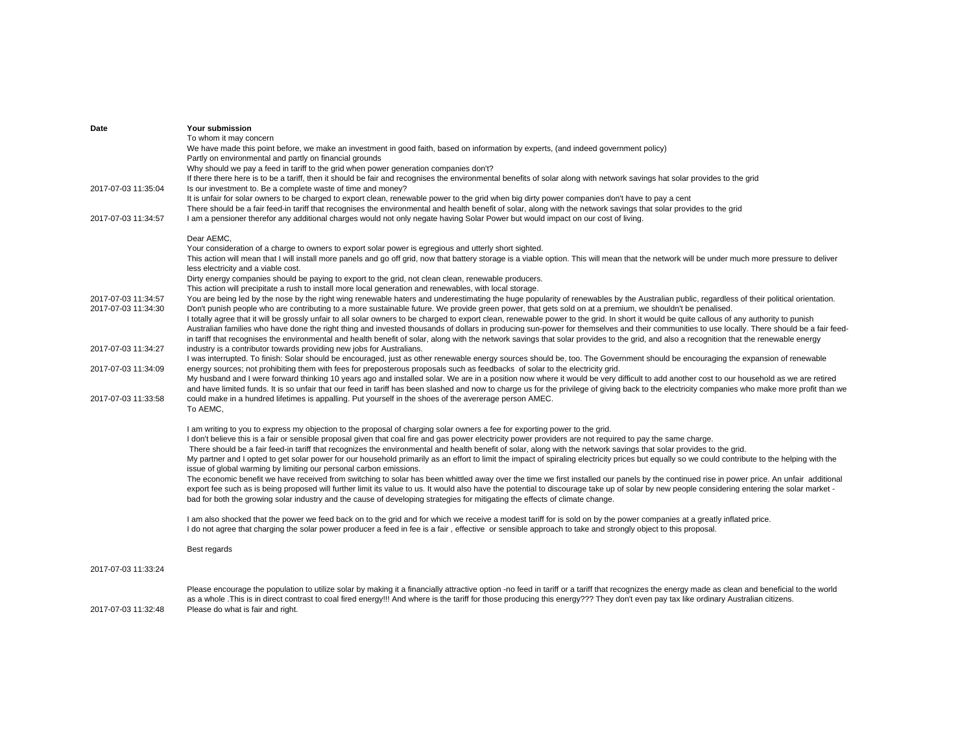|                     | To whom it may concern                                                                                                                                                                                                                 |
|---------------------|----------------------------------------------------------------------------------------------------------------------------------------------------------------------------------------------------------------------------------------|
|                     | We have made this point before, we make an investment in good faith, based on information by experts, (and indeed government policy)                                                                                                   |
|                     | Partly on environmental and partly on financial grounds                                                                                                                                                                                |
|                     | Why should we pay a feed in tariff to the grid when power generation companies don't?                                                                                                                                                  |
|                     | If there there here is to be a tariff, then it should be fair and recognises the environmental benefits of solar along with network savings hat solar provides to the grid                                                             |
| 2017-07-03 11:35:04 | Is our investment to. Be a complete waste of time and money?                                                                                                                                                                           |
|                     | It is unfair for solar owners to be charged to export clean, renewable power to the grid when big dirty power companies don't have to pay a cent                                                                                       |
|                     | There should be a fair feed-in tariff that recognises the environmental and health benefit of solar, along with the network savings that solar provides to the grid                                                                    |
| 2017-07-03 11:34:57 | I am a pensioner therefor any additional charges would not only negate having Solar Power but would impact on our cost of living.                                                                                                      |
|                     |                                                                                                                                                                                                                                        |
|                     | Dear AEMC,<br>Your consideration of a charge to owners to export solar power is egregious and utterly short sighted.                                                                                                                   |
|                     |                                                                                                                                                                                                                                        |
|                     | This action will mean that I will install more panels and go off grid, now that battery storage is a viable option. This will mean that the network will be under much more pressure to deliver<br>less electricity and a viable cost. |
|                     | Dirty energy companies should be paying to export to the grid, not clean clean, renewable producers.                                                                                                                                   |
|                     | This action will precipitate a rush to install more local generation and renewables, with local storage.                                                                                                                               |
| 2017-07-03 11:34:57 | You are being led by the nose by the right wing renewable haters and underestimating the huge popularity of renewables by the Australian public, regardless of their political orientation.                                            |
| 2017-07-03 11:34:30 | Don't punish people who are contributing to a more sustainable future. We provide green power, that gets sold on at a premium, we shouldn't be penalised.                                                                              |
|                     | I totally agree that it will be grossly unfair to all solar owners to be charged to export clean, renewable power to the grid. In short it would be quite callous of any authority to punish                                           |
|                     | Australian families who have done the right thing and invested thousands of dollars in producing sun-power for themselves and their communities to use locally. There should be a fair feed-                                           |
|                     | in tariff that recognises the environmental and health benefit of solar, along with the network savings that solar provides to the grid, and also a recognition that the renewable energy                                              |
| 2017-07-03 11:34:27 | industry is a contributor towards providing new jobs for Australians.                                                                                                                                                                  |
|                     | I was interrupted. To finish: Solar should be encouraged, just as other renewable energy sources should be, too. The Government should be encouraging the expansion of renewable                                                       |
| 2017-07-03 11:34:09 | energy sources; not prohibiting them with fees for preposterous proposals such as feedbacks of solar to the electricity grid.                                                                                                          |
|                     | My husband and I were forward thinking 10 years ago and installed solar. We are in a position now where it would be very difficult to add another cost to our household as we are retired                                              |
|                     | and have limited funds. It is so unfair that our feed in tariff has been slashed and now to charge us for the privilege of giving back to the electricity companies who make more profit than we                                       |
| 2017-07-03 11:33:58 | could make in a hundred lifetimes is appalling. Put yourself in the shoes of the avererage person AMEC.                                                                                                                                |
|                     | To AEMC,                                                                                                                                                                                                                               |
|                     |                                                                                                                                                                                                                                        |
|                     | I am writing to you to express my objection to the proposal of charging solar owners a fee for exporting power to the grid.                                                                                                            |
|                     | I don't believe this is a fair or sensible proposal given that coal fire and gas power electricity power providers are not required to pay the same charge.                                                                            |
|                     | There should be a fair feed-in tariff that recognizes the environmental and health benefit of solar, along with the network savings that solar provides to the grid.                                                                   |
|                     | My partner and I opted to get solar power for our household primarily as an effort to limit the impact of spiraling electricity prices but equally so we could contribute to the helping with the                                      |
|                     | issue of global warming by limiting our personal carbon emissions.                                                                                                                                                                     |
|                     | The economic benefit we have received from switching to solar has been whittled away over the time we first installed our panels by the continued rise in power price. An unfair additional                                            |
|                     | export fee such as is being proposed will further limit its value to us. It would also have the potential to discourage take up of solar by new people considering entering the solar market -                                         |
|                     | bad for both the growing solar industry and the cause of developing strategies for mitigating the effects of climate change.                                                                                                           |
|                     | I am also shocked that the power we feed back on to the grid and for which we receive a modest tariff for is sold on by the power companies at a greatly inflated price.                                                               |
|                     | I do not agree that charging the solar power producer a feed in fee is a fair, effective or sensible approach to take and strongly object to this proposal.                                                                            |
|                     |                                                                                                                                                                                                                                        |
|                     | Best regards                                                                                                                                                                                                                           |
|                     |                                                                                                                                                                                                                                        |
| 2017-07-03 11:33:24 |                                                                                                                                                                                                                                        |
|                     | Please encourage the population to utilize solar by making it a financially attractive option -no feed in tariff or a tariff that recognizes the energy made as clean and beneficial to the world                                      |
|                     | as a whole . This is in direct contrast to coal fired energy!!! And where is the tariff for those producing this energy??? They don't even pay tax like ordinary Australian citizens.                                                  |
| 2017-07-03 11:32:48 | Please do what is fair and right.                                                                                                                                                                                                      |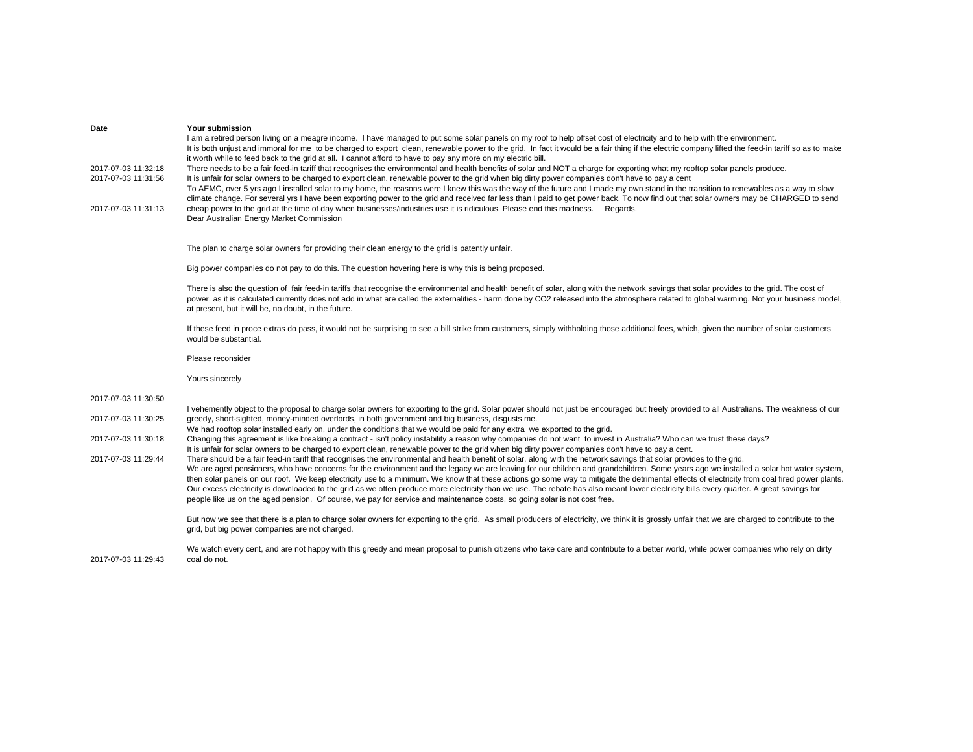| Date                                       | <b>Your submission</b><br>I am a retired person living on a meagre income. I have managed to put some solar panels on my roof to help offset cost of electricity and to help with the environment.<br>It is both unjust and immoral for me to be charged to export clean, renewable power to the grid. In fact it would be a fair thing if the electric company lifted the feed-in tariff so as to make<br>it worth while to feed back to the grid at all. I cannot afford to have to pay any more on my electric bill.                                                                                                                                                                                           |
|--------------------------------------------|-------------------------------------------------------------------------------------------------------------------------------------------------------------------------------------------------------------------------------------------------------------------------------------------------------------------------------------------------------------------------------------------------------------------------------------------------------------------------------------------------------------------------------------------------------------------------------------------------------------------------------------------------------------------------------------------------------------------|
| 2017-07-03 11:32:18<br>2017-07-03 11:31:56 | There needs to be a fair feed-in tariff that recognises the environmental and health benefits of solar and NOT a charge for exporting what my rooftop solar panels produce.<br>It is unfair for solar owners to be charged to export clean, renewable power to the grid when big dirty power companies don't have to pay a cent<br>To AEMC, over 5 yrs ago I installed solar to my home, the reasons were I knew this was the way of the future and I made my own stand in the transition to renewables as a way to slow<br>climate change. For several yrs I have been exporting power to the grid and received far less than I paid to get power back. To now find out that solar owners may be CHARGED to send |
| 2017-07-03 11:31:13                        | cheap power to the grid at the time of day when businesses/industries use it is ridiculous. Please end this madness. Regards.<br>Dear Australian Energy Market Commission                                                                                                                                                                                                                                                                                                                                                                                                                                                                                                                                         |
|                                            | The plan to charge solar owners for providing their clean energy to the grid is patently unfair.                                                                                                                                                                                                                                                                                                                                                                                                                                                                                                                                                                                                                  |
|                                            | Big power companies do not pay to do this. The question hovering here is why this is being proposed.                                                                                                                                                                                                                                                                                                                                                                                                                                                                                                                                                                                                              |
|                                            | There is also the question of fair feed-in tariffs that recognise the environmental and health benefit of solar, along with the network savings that solar provides to the grid. The cost of<br>power, as it is calculated currently does not add in what are called the externalities - harm done by CO2 released into the atmosphere related to global warming. Not your business model,<br>at present, but it will be, no doubt, in the future.                                                                                                                                                                                                                                                                |
|                                            | If these feed in proce extras do pass, it would not be surprising to see a bill strike from customers, simply withholding those additional fees, which, given the number of solar customers<br>would be substantial.                                                                                                                                                                                                                                                                                                                                                                                                                                                                                              |
|                                            | Please reconsider                                                                                                                                                                                                                                                                                                                                                                                                                                                                                                                                                                                                                                                                                                 |
|                                            | Yours sincerely                                                                                                                                                                                                                                                                                                                                                                                                                                                                                                                                                                                                                                                                                                   |
| 2017-07-03 11:30:50                        | I vehemently object to the proposal to charge solar owners for exporting to the grid. Solar power should not just be encouraged but freely provided to all Australians. The weakness of our                                                                                                                                                                                                                                                                                                                                                                                                                                                                                                                       |
| 2017-07-03 11:30:25                        | greedy, short-sighted, money-minded overlords, in both government and big business, disgusts me.<br>We had rooftop solar installed early on, under the conditions that we would be paid for any extra we exported to the grid.                                                                                                                                                                                                                                                                                                                                                                                                                                                                                    |
| 2017-07-03 11:30:18                        | Changing this agreement is like breaking a contract - isn't policy instability a reason why companies do not want to invest in Australia? Who can we trust these days?<br>It is unfair for solar owners to be charged to export clean, renewable power to the grid when big dirty power companies don't have to pay a cent.                                                                                                                                                                                                                                                                                                                                                                                       |
| 2017-07-03 11:29:44                        | There should be a fair feed-in tariff that recognises the environmental and health benefit of solar, along with the network savings that solar provides to the grid.<br>We are aged pensioners, who have concerns for the environment and the legacy we are leaving for our children and grandchildren. Some years ago we installed a solar hot water system,<br>then solar panels on our roof. We keep electricity use to a minimum. We know that these actions go some way to mitigate the detrimental effects of electricity from coal fired power plants.                                                                                                                                                     |
|                                            | Our excess electricity is downloaded to the grid as we often produce more electricity than we use. The rebate has also meant lower electricity bills every quarter. A great savings for<br>people like us on the aged pension. Of course, we pay for service and maintenance costs, so going solar is not cost free.                                                                                                                                                                                                                                                                                                                                                                                              |
|                                            | But now we see that there is a plan to charge solar owners for exporting to the grid. As small producers of electricity, we think it is grossly unfair that we are charged to contribute to the<br>grid, but big power companies are not charged.                                                                                                                                                                                                                                                                                                                                                                                                                                                                 |
| 2017-07-03 11:29:43                        | We watch every cent, and are not happy with this greedy and mean proposal to punish citizens who take care and contribute to a better world, while power companies who rely on dirty<br>coal do not.                                                                                                                                                                                                                                                                                                                                                                                                                                                                                                              |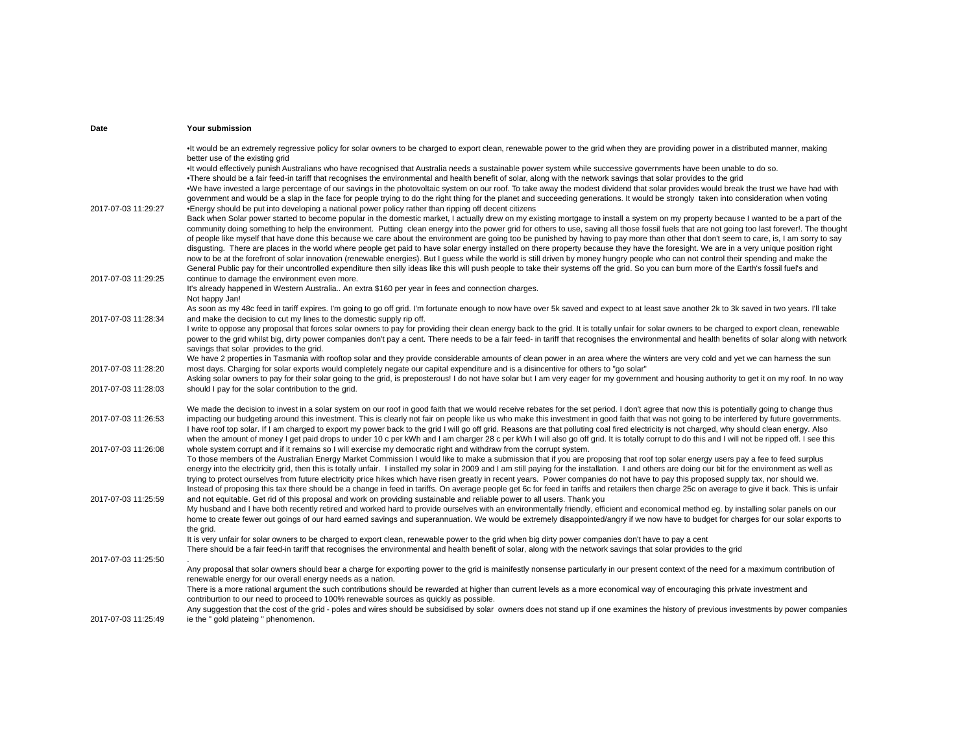| Date                | Your submission                                                                                                                                                                                                                                                                                                                                                                                      |
|---------------------|------------------------------------------------------------------------------------------------------------------------------------------------------------------------------------------------------------------------------------------------------------------------------------------------------------------------------------------------------------------------------------------------------|
|                     | It would be an extremely regressive policy for solar owners to be charged to export clean, renewable power to the grid when they are providing power in a distributed manner, making<br>better use of the existing grid                                                                                                                                                                              |
|                     | •It would effectively punish Australians who have recognised that Australia needs a sustainable power system while successive governments have been unable to do so.                                                                                                                                                                                                                                 |
|                     | . There should be a fair feed-in tariff that recognises the environmental and health benefit of solar, along with the network savings that solar provides to the grid<br>. We have invested a large percentage of our savings in the photovoltaic system on our roof. To take away the modest dividend that solar provides would break the trust we have had with                                    |
|                     | government and would be a slap in the face for people trying to do the right thing for the planet and succeeding generations. It would be strongly taken into consideration when voting                                                                                                                                                                                                              |
| 2017-07-03 11:29:27 | •Energy should be put into developing a national power policy rather than ripping off decent citizens                                                                                                                                                                                                                                                                                                |
|                     | Back when Solar power started to become popular in the domestic market, I actually drew on my existing mortgage to install a system on my property because I wanted to be a part of the<br>community doing something to help the environment. Putting clean energy into the power grid for others to use, saving all those fossil fuels that are not going too last forever!. The thought            |
|                     | of people like myself that have done this because we care about the environment are going too be punished by having to pay more than other that don't seem to care, is, I am sorry to say                                                                                                                                                                                                            |
|                     | disgusting. There are places in the world where people get paid to have solar energy installed on there property because they have the foresight. We are in a very unique position right                                                                                                                                                                                                             |
|                     | now to be at the forefront of solar innovation (renewable energies). But I quess while the world is still driven by money hungry people who can not control their spending and make the<br>General Public pay for their uncontrolled expenditure then silly ideas like this will push people to take their systems off the grid. So you can burn more of the Earth's fossil fuel's and               |
| 2017-07-03 11:29:25 | continue to damage the environment even more.                                                                                                                                                                                                                                                                                                                                                        |
|                     | It's already happened in Western Australia An extra \$160 per year in fees and connection charges.                                                                                                                                                                                                                                                                                                   |
|                     | Not happy Jan!<br>As soon as my 48c feed in tariff expires. I'm going to go off grid. I'm fortunate enough to now have over 5k saved and expect to at least save another 2k to 3k saved in two years. I'll take                                                                                                                                                                                      |
| 2017-07-03 11:28:34 | and make the decision to cut my lines to the domestic supply rip off.                                                                                                                                                                                                                                                                                                                                |
|                     | I write to oppose any proposal that forces solar owners to pay for providing their clean energy back to the grid. It is totally unfair for solar owners to be charged to export clean, renewable<br>power to the grid whilst big, dirty power companies don't pay a cent. There needs to be a fair feed- in tariff that recognises the environmental and health benefits of solar along with network |
|                     | savings that solar provides to the grid.                                                                                                                                                                                                                                                                                                                                                             |
|                     | We have 2 properties in Tasmania with rooftop solar and they provide considerable amounts of clean power in an area where the winters are very cold and yet we can harness the sun                                                                                                                                                                                                                   |
| 2017-07-03 11:28:20 | most days. Charging for solar exports would completely negate our capital expenditure and is a disincentive for others to "go solar"<br>Asking solar owners to pay for their solar going to the grid, is preposterous! I do not have solar but I am very eager for my government and housing authority to get it on my roof. In no way                                                               |
| 2017-07-03 11:28:03 | should I pay for the solar contribution to the grid.                                                                                                                                                                                                                                                                                                                                                 |
|                     | We made the decision to invest in a solar system on our roof in good faith that we would receive rebates for the set period. I don't agree that now this is potentially going to change thus                                                                                                                                                                                                         |
| 2017-07-03 11:26:53 | impacting our budgeting around this investment. This is clearly not fair on people like us who make this investment in good faith that was not going to be interfered by future governments.                                                                                                                                                                                                         |
|                     | I have roof top solar. If I am charged to export my power back to the grid I will go off grid. Reasons are that polluting coal fired electricity is not charged, why should clean energy. Also<br>when the amount of money I get paid drops to under 10 c per kWh and I am charger 28 c per kWh I will also go off grid. It is totally corrupt to do this and I will not be ripped off. I see this   |
| 2017-07-03 11:26:08 | whole system corrupt and if it remains so I will exercise my democratic right and withdraw from the corrupt system.                                                                                                                                                                                                                                                                                  |
|                     | To those members of the Australian Energy Market Commission I would like to make a submission that if you are proposing that roof top solar energy users pay a fee to feed surplus                                                                                                                                                                                                                   |
|                     | energy into the electricity grid, then this is totally unfair. I installed my solar in 2009 and I am still paying for the installation. I and others are doing our bit for the environment as well as<br>trying to protect ourselves from future electricity price hikes which have risen greatly in recent years. Power companies do not have to pay this proposed supply tax, nor should we.       |
|                     | Instead of proposing this tax there should be a change in feed in tariffs. On average people get 6c for feed in tariffs and retailers then charge 25c on average to give it back. This is unfair                                                                                                                                                                                                     |
| 2017-07-03 11:25:59 | and not equitable. Get rid of this proposal and work on providing sustainable and reliable power to all users. Thank you                                                                                                                                                                                                                                                                             |
|                     | My husband and I have both recently retired and worked hard to provide ourselves with an environmentally friendly, efficient and economical method eg. by installing solar panels on our<br>home to create fewer out goings of our hard earned savings and superannuation. We would be extremely disappointed/angry if we now have to budget for charges for our solar exports to                    |
|                     | the arid.                                                                                                                                                                                                                                                                                                                                                                                            |
|                     | It is very unfair for solar owners to be charged to export clean, renewable power to the grid when big dirty power companies don't have to pay a cent                                                                                                                                                                                                                                                |
| 2017-07-03 11:25:50 | There should be a fair feed-in tariff that recognises the environmental and health benefit of solar, along with the network savings that solar provides to the grid                                                                                                                                                                                                                                  |
|                     | Any proposal that solar owners should bear a charge for exporting power to the grid is mainifestly nonsense particularly in our present context of the need for a maximum contribution of                                                                                                                                                                                                            |
|                     | renewable energy for our overall energy needs as a nation.<br>There is a more rational argument the such contributions should be rewarded at higher than current levels as a more economical way of encouraging this private investment and                                                                                                                                                          |
|                     | contriburtion to our need to proceed to 100% renewable sources as quickly as possible.                                                                                                                                                                                                                                                                                                               |
|                     | Any suggestion that the cost of the grid - poles and wires should be subsidised by solar owners does not stand up if one examines the history of previous investments by power companies                                                                                                                                                                                                             |
| 2017-07-03 11:25:49 | ie the " gold plateing " phenomenon.                                                                                                                                                                                                                                                                                                                                                                 |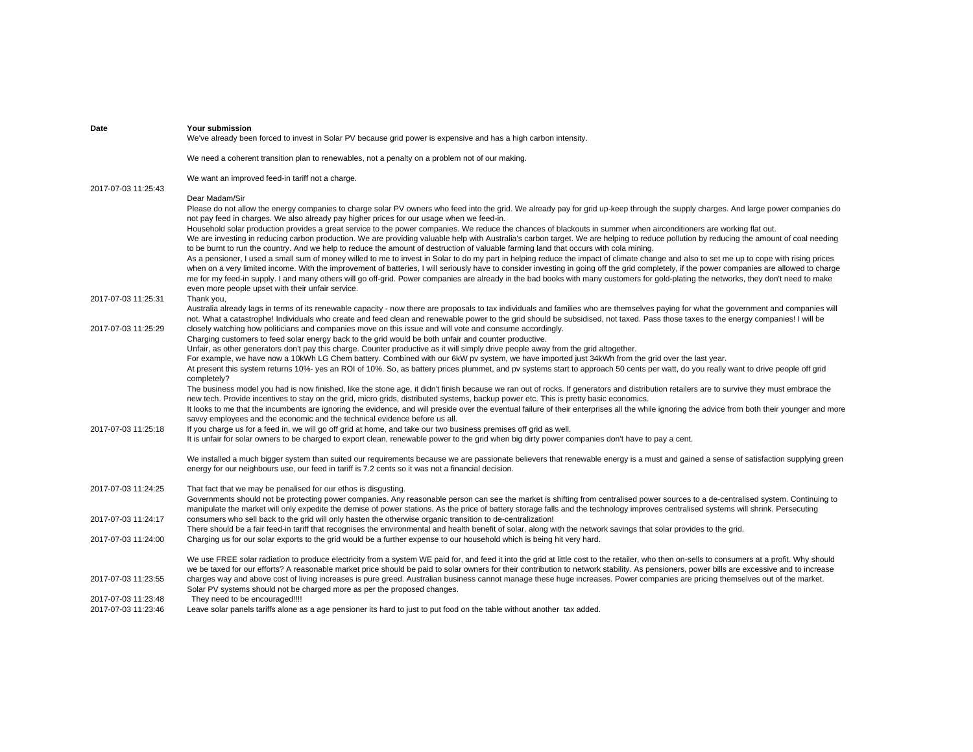| Date                | Your submission<br>We've already been forced to invest in Solar PV because grid power is expensive and has a high carbon intensity.                                                                                                                                                                                                                                                                                                                                                                                                 |
|---------------------|-------------------------------------------------------------------------------------------------------------------------------------------------------------------------------------------------------------------------------------------------------------------------------------------------------------------------------------------------------------------------------------------------------------------------------------------------------------------------------------------------------------------------------------|
|                     | We need a coherent transition plan to renewables, not a penalty on a problem not of our making.                                                                                                                                                                                                                                                                                                                                                                                                                                     |
|                     | We want an improved feed-in tariff not a charge.                                                                                                                                                                                                                                                                                                                                                                                                                                                                                    |
| 2017-07-03 11:25:43 | Dear Madam/Sir                                                                                                                                                                                                                                                                                                                                                                                                                                                                                                                      |
|                     | Please do not allow the energy companies to charge solar PV owners who feed into the grid. We already pay for grid up-keep through the supply charges. And large power companies do<br>not pay feed in charges. We also already pay higher prices for our usage when we feed-in.                                                                                                                                                                                                                                                    |
|                     | Household solar production provides a great service to the power companies. We reduce the chances of blackouts in summer when airconditioners are working flat out.<br>We are investing in reducing carbon production. We are providing valuable help with Australia's carbon target. We are helping to reduce pollution by reducing the amount of coal needing                                                                                                                                                                     |
|                     | to be burnt to run the country. And we help to reduce the amount of destruction of valuable farming land that occurs with cola mining.<br>As a pensioner, I used a small sum of money willed to me to invest in Solar to do my part in helping reduce the impact of climate change and also to set me up to cope with rising prices<br>when on a very limited income. With the improvement of batteries, I will seriously have to consider investing in going off the grid completely, if the power companies are allowed to charge |
|                     | me for my feed-in supply. I and many others will go off-grid. Power companies are already in the bad books with many customers for gold-plating the networks, they don't need to make<br>even more people upset with their unfair service.                                                                                                                                                                                                                                                                                          |
| 2017-07-03 11:25:31 | Thank you,                                                                                                                                                                                                                                                                                                                                                                                                                                                                                                                          |
| 2017-07-03 11:25:29 | Australia already lags in terms of its renewable capacity - now there are proposals to tax individuals and families who are themselves paying for what the government and companies will<br>not. What a catastrophe! Individuals who create and feed clean and renewable power to the grid should be subsidised, not taxed. Pass those taxes to the energy companies! I will be                                                                                                                                                     |
|                     | closely watching how politicians and companies move on this issue and will vote and consume accordingly.<br>Charging customers to feed solar energy back to the grid would be both unfair and counter productive.                                                                                                                                                                                                                                                                                                                   |
|                     | Unfair, as other generators don't pay this charge. Counter productive as it will simply drive people away from the grid altogether.                                                                                                                                                                                                                                                                                                                                                                                                 |
|                     | For example, we have now a 10kWh LG Chem battery. Combined with our 6kW pv system, we have imported just 34kWh from the grid over the last year.<br>At present this system returns 10%- yes an ROI of 10%. So, as battery prices plummet, and py systems start to approach 50 cents per watt, do you really want to drive people off grid                                                                                                                                                                                           |
|                     | completely?<br>The business model you had is now finished, like the stone age, it didn't finish because we ran out of rocks. If generators and distribution retailers are to survive they must embrace the                                                                                                                                                                                                                                                                                                                          |
|                     | new tech. Provide incentives to stay on the grid, micro grids, distributed systems, backup power etc. This is pretty basic economics.                                                                                                                                                                                                                                                                                                                                                                                               |
|                     | It looks to me that the incumbents are ignoring the evidence, and will preside over the eventual failure of their enterprises all the while ignoring the advice from both their younger and more                                                                                                                                                                                                                                                                                                                                    |
| 2017-07-03 11:25:18 | savvy employees and the economic and the technical evidence before us all.<br>If you charge us for a feed in, we will go off grid at home, and take our two business premises off grid as well.                                                                                                                                                                                                                                                                                                                                     |
|                     | It is unfair for solar owners to be charged to export clean, renewable power to the grid when big dirty power companies don't have to pay a cent.                                                                                                                                                                                                                                                                                                                                                                                   |
|                     | We installed a much bigger system than suited our requirements because we are passionate believers that renewable energy is a must and gained a sense of satisfaction supplying green<br>energy for our neighbours use, our feed in tariff is 7.2 cents so it was not a financial decision.                                                                                                                                                                                                                                         |
| 2017-07-03 11:24:25 | That fact that we may be penalised for our ethos is disgusting.                                                                                                                                                                                                                                                                                                                                                                                                                                                                     |
|                     | Governments should not be protecting power companies. Any reasonable person can see the market is shifting from centralised power sources to a de-centralised system. Continuing to                                                                                                                                                                                                                                                                                                                                                 |
|                     | manipulate the market will only expedite the demise of power stations. As the price of battery storage falls and the technology improves centralised systems will shrink. Persecuting                                                                                                                                                                                                                                                                                                                                               |
| 2017-07-03 11:24:17 | consumers who sell back to the grid will only hasten the otherwise organic transition to de-centralization!<br>There should be a fair feed-in tariff that recognises the environmental and health benefit of solar, along with the network savings that solar provides to the grid.                                                                                                                                                                                                                                                 |
| 2017-07-03 11:24:00 | Charging us for our solar exports to the grid would be a further expense to our household which is being hit very hard.                                                                                                                                                                                                                                                                                                                                                                                                             |
|                     | We use FREE solar radiation to produce electricity from a system WE paid for, and feed it into the grid at little cost to the retailer, who then on-sells to consumers at a profit. Why should                                                                                                                                                                                                                                                                                                                                      |
| 2017-07-03 11:23:55 | we be taxed for our efforts? A reasonable market price should be paid to solar owners for their contribution to network stability. As pensioners, power bills are excessive and to increase<br>charges way and above cost of living increases is pure greed. Australian business cannot manage these huge increases. Power companies are pricing themselves out of the market.                                                                                                                                                      |
|                     | Solar PV systems should not be charged more as per the proposed changes.                                                                                                                                                                                                                                                                                                                                                                                                                                                            |
| 2017-07-03 11:23:48 | They need to be encouraged!!!!                                                                                                                                                                                                                                                                                                                                                                                                                                                                                                      |
| 2017-07-03 11:23:46 | Leave solar panels tariffs alone as a age pensioner its hard to just to put food on the table without another tax added.                                                                                                                                                                                                                                                                                                                                                                                                            |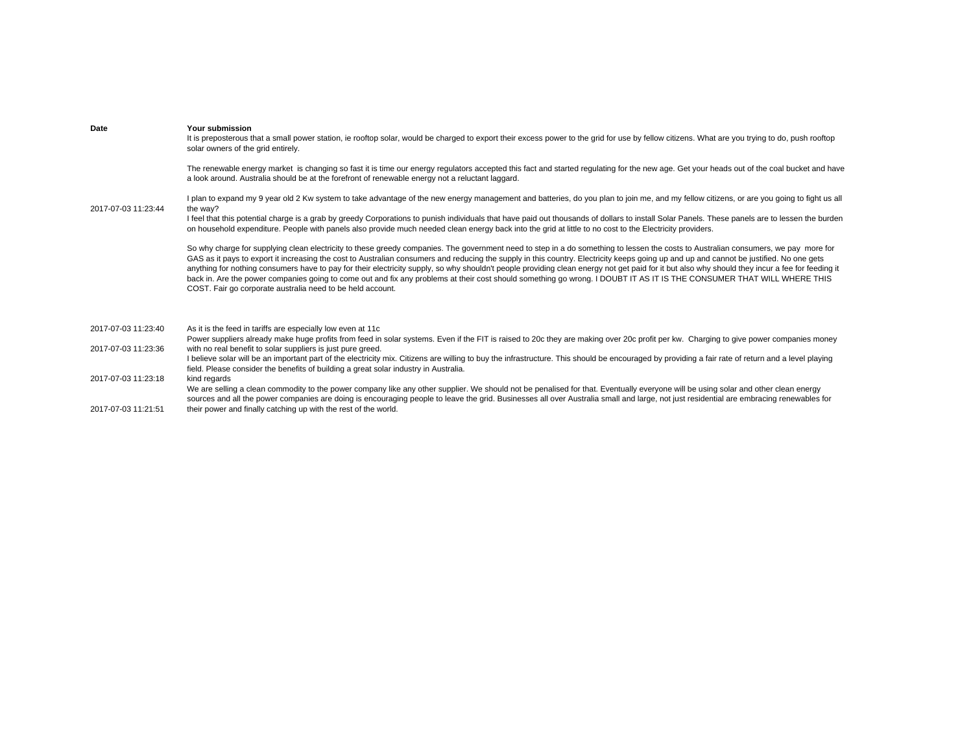| Date                | Your submission<br>It is preposterous that a small power station, ie rooftop solar, would be charged to export their excess power to the grid for use by fellow citizens. What are you trying to do, push rooftop<br>solar owners of the grid entirely.                                                                                                                                                                                                                                                                                                                                                                                                                                                                                                                                                                   |
|---------------------|---------------------------------------------------------------------------------------------------------------------------------------------------------------------------------------------------------------------------------------------------------------------------------------------------------------------------------------------------------------------------------------------------------------------------------------------------------------------------------------------------------------------------------------------------------------------------------------------------------------------------------------------------------------------------------------------------------------------------------------------------------------------------------------------------------------------------|
|                     | The renewable energy market is changing so fast it is time our energy regulators accepted this fact and started regulating for the new age. Get your heads out of the coal bucket and have<br>a look around. Australia should be at the forefront of renewable energy not a reluctant laggard.                                                                                                                                                                                                                                                                                                                                                                                                                                                                                                                            |
| 2017-07-03 11:23:44 | I plan to expand my 9 year old 2 Kw system to take advantage of the new energy management and batteries, do you plan to join me, and my fellow citizens, or are you going to fight us all<br>the way?                                                                                                                                                                                                                                                                                                                                                                                                                                                                                                                                                                                                                     |
|                     | I feel that this potential charge is a grab by greedy Corporations to punish individuals that have paid out thousands of dollars to install Solar Panels. These panels are to lessen the burden<br>on household expenditure. People with panels also provide much needed clean energy back into the grid at little to no cost to the Electricity providers.                                                                                                                                                                                                                                                                                                                                                                                                                                                               |
|                     | So why charge for supplying clean electricity to these greedy companies. The government need to step in a do something to lessen the costs to Australian consumers, we pay more for<br>GAS as it pays to export it increasing the cost to Australian consumers and reducing the supply in this country. Electricity keeps going up and up and cannot be justified. No one gets<br>anything for nothing consumers have to pay for their electricity supply, so why shouldn't people providing clean energy not get paid for it but also why should they incur a fee for feeding it<br>back in. Are the power companies going to come out and fix any problems at their cost should something go wrong. I DOUBT IT AS IT IS THE CONSUMER THAT WILL WHERE THIS<br>COST. Fair go corporate australia need to be held account. |
| 2017-07-03 11:23:40 | As it is the feed in tariffs are especially low even at 11c                                                                                                                                                                                                                                                                                                                                                                                                                                                                                                                                                                                                                                                                                                                                                               |
| 2017-07-03 11:23:36 | Power suppliers already make huge profits from feed in solar systems. Even if the FIT is raised to 20c they are making over 20c profit per kw. Charging to give power companies money<br>with no real benefit to solar suppliers is just pure greed.                                                                                                                                                                                                                                                                                                                                                                                                                                                                                                                                                                      |
|                     | I believe solar will be an important part of the electricity mix. Citizens are willing to buy the infrastructure. This should be encouraged by providing a fair rate of return and a level playing<br>field. Please consider the benefits of building a great solar industry in Australia.                                                                                                                                                                                                                                                                                                                                                                                                                                                                                                                                |
| 2017-07-03 11:23:18 | kind regards<br>We are selling a clean commodity to the power company like any other supplier. We should not be penalised for that. Eventually everyone will be using solar and other clean energy                                                                                                                                                                                                                                                                                                                                                                                                                                                                                                                                                                                                                        |

2017-07-03 11:21:51 sources and all the power companies are doing is encouraging people to leave the grid. Businesses all over Australia small and large, not just residential are embracing renewables for their power and finally catching up with the rest of the world.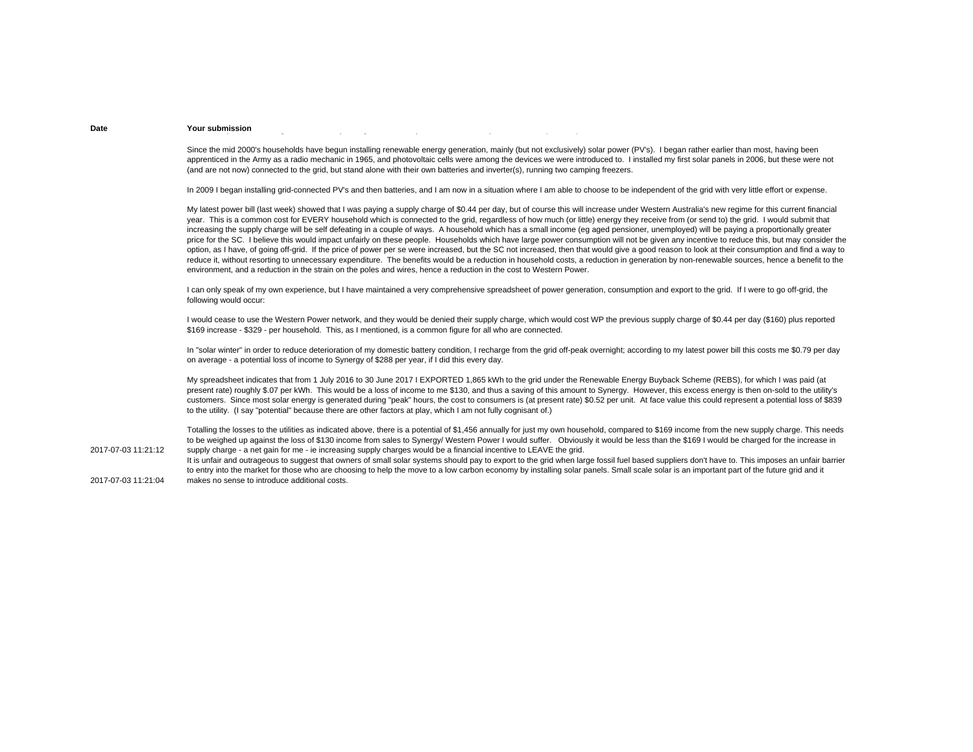#### **Date Your submission** $\mathcal{G}(\mathbf{y})$  y ( ) and ( ) and ( ) and ( ) and ( ) and ( ) and ( ) and ( ) and ( ) and ( ) and ( ) and ( ) and ( ) and ( ) and ( ) and ( ) and ( ) and ( ) and ( ) and ( ) and ( ) and ( ) and ( ) and ( ) and ( ) and ( )

Since the mid 2000's households have begun installing renewable energy generation, mainly (but not exclusively) solar power (PV's). I began rather earlier than most, having been apprenticed in the Army as a radio mechanic in 1965, and photovoltaic cells were among the devices we were introduced to. I installed my first solar panels in 2006, but these were not (and are not now) connected to the grid, but stand alone with their own batteries and inverter(s), running two camping freezers.

In 2009 I began installing grid-connected PV's and then batteries, and I am now in a situation where I am able to choose to be independent of the grid with very little effort or expense.

My latest power bill (last week) showed that I was paying a supply charge of \$0.44 per day, but of course this will increase under Western Australia's new regime for this current financial year. This is a common cost for EVERY household which is connected to the grid, regardless of how much (or little) energy they receive from (or send to) the grid. I would submit that increasing the supply charge will be self defeating in a couple of ways. A household which has a small income (eg aged pensioner, unemployed) will be paying a proportionally greater price for the SC. I believe this would impact unfairly on these people. Households which have large power consumption will not be given any incentive to reduce this, but may consider the option, as I have, of going off-grid. If the price of power per se were increased, but the SC not increased, then that would give a good reason to look at their consumption and find a way to reduce it, without resorting to unnecessary expenditure. The benefits would be a reduction in household costs, a reduction in generation by non-renewable sources, hence a benefit to the environment, and a reduction in the strain on the poles and wires, hence a reduction in the cost to Western Power.

I can only speak of my own experience, but I have maintained a very comprehensive spreadsheet of power generation, consumption and export to the grid. If I were to go off-grid, the following would occur:

I would cease to use the Western Power network, and they would be denied their supply charge, which would cost WP the previous supply charge of \$0.44 per day (\$160) plus reported \$169 increase - \$329 - per household. This, as I mentioned, is a common figure for all who are connected.

In "solar winter" in order to reduce deterioration of my domestic battery condition, I recharge from the grid off-peak overnight; according to my latest power bill this costs me \$0.79 per day on average - a potential loss of income to Synergy of \$288 per year, if I did this every day.

My spreadsheet indicates that from 1 July 2016 to 30 June 2017 I EXPORTED 1,865 kWh to the grid under the Renewable Energy Buyback Scheme (REBS), for which I was paid (at present rate) roughly \$.07 per kWh. This would be a loss of income to me \$130, and thus a saving of this amount to Synergy. However, this excess energy is then on-sold to the utility's customers. Since most solar energy is generated during "peak" hours, the cost to consumers is (at present rate) \$0.52 per unit. At face value this could represent a potential loss of \$839 to the utility. (I say "potential" because there are other factors at play, which I am not fully cognisant of.)

Totalling the losses to the utilities as indicated above, there is a potential of \$1,456 annually for just my own household, compared to \$169 income from the new supply charge. This needs to be weighed up against the loss of \$130 income from sales to Synergy/ Western Power I would suffer. Obviously it would be less than the \$169 I would be charged for the increase in supply charge - a net gain for me - ie increasing supply charges would be a financial incentive to LEAVE the grid.

2017-07-03 11:21:04It is unfair and outrageous to suggest that owners of small solar systems should pay to export to the grid when large fossil fuel based suppliers don't have to. This imposes an unfair barrier to entry into the market for those who are choosing to help the move to a low carbon economy by installing solar panels. Small scale solar is an important part of the future grid and it makes no sense to introduce additional costs.

2017-07-03 11:21:12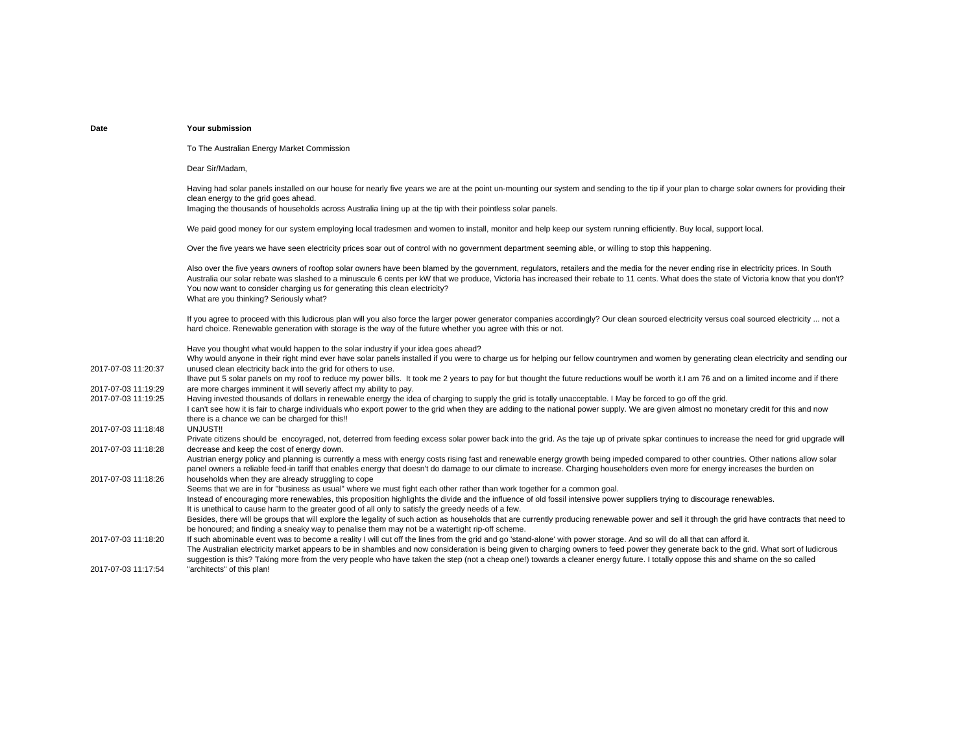# Dear Sir/Madam, clean energy to the grid goes ahead. Imaging the thousands of households across Australia lining up at the tip with their pointless solar panels. You now want to consider charging us for generating this clean electricity? What are you thinking? Seriously what? hard choice. Renewable generation with storage is the way of the future whether you agree with this or not. Have you thought what would happen to the solar industry if your idea goes ahead?

2017-07-03 11:20:37Why would anyone in their right mind ever have solar panels installed if you were to charge us for helping our fellow countrymen and women by generating clean electricity and sending our unused clean electricity back into the grid for others to use. 2017-07-03 11:19:292017-07-03 11:19:25 Ihave put 5 solar panels on my roof to reduce my power bills. It took me 2 years to pay for but thought the future reductions woulf be worth it.I am 76 and on a limited income and if there are more charges imminent it will severly affect my ability to pay. Having invested thousands of dollars in renewable energy the idea of charging to supply the grid is totally unacceptable. I May be forced to go off the grid. 2017-07-03 11:18:48I can't see how it is fair to charge individuals who export power to the grid when they are adding to the national power supply. We are given almost no monetary credit for this and now there is a chance we can be charged for this!! UNJUST!!2017-07-03 11:18:28Private citizens should be encovraged, not, deterred from feeding excess solar power back into the grid. As the taje up of private spkar continues to increase the need for grid upgrade will decrease and keep the cost of energy down. 2017-07-03 11:18:26Austrian energy policy and planning is currently a mess with energy costs rising fast and renewable energy growth being impeded compared to other countries. Other nations allow solar panel owners a reliable feed-in tariff that enables energy that doesn't do damage to our climate to increase. Charging householders even more for energy increases the burden on households when they are already struggling to cope 2017-07-03 11:18:20Seems that we are in for "business as usual" where we must fight each other rather than work together for a common goal. Instead of encouraging more renewables, this proposition highlights the divide and the influence of old fossil intensive power suppliers trying to discourage renewables. It is unethical to cause harm to the greater good of all only to satisfy the greedy needs of a few. Besides, there will be groups that will explore the legality of such action as households that are currently producing renewable power and sell it through the grid have contracts that need to be honoured; and finding a sneaky way to penalise them may not be a watertight rip-off scheme. If such abominable event was to become a reality I will cut off the lines from the grid and go 'stand-alone' with power storage. And so will do all that can afford it. 2017-07-03 11:17:54The Australian electricity market appears to be in shambles and now consideration is being given to charging owners to feed power they generate back to the grid. What sort of ludicrous suggestion is this? Taking more from the very people who have taken the step (not a cheap one!) towards a cleaner energy future. I totally oppose this and shame on the so called "architects" of this plan!

## **Date Your submission**

To The Australian Energy Market Commission

Having had solar panels installed on our house for nearly five years we are at the point un-mounting our system and sending to the tip if your plan to charge solar owners for providing their

We paid good money for our system employing local tradesmen and women to install, monitor and help keep our system running efficiently. Buy local, support local.

Over the five years we have seen electricity prices soar out of control with no government department seeming able, or willing to stop this happening.

Also over the five years owners of rooftop solar owners have been blamed by the government, regulators, retailers and the media for the never ending rise in electricity prices. In South Australia our solar rebate was slashed to a minuscule 6 cents per kW that we produce, Victoria has increased their rebate to 11 cents. What does the state of Victoria know that you don't?

If you agree to proceed with this ludicrous plan will you also force the larger power generator companies accordingly? Our clean sourced electricity versus coal sourced electricity ... not a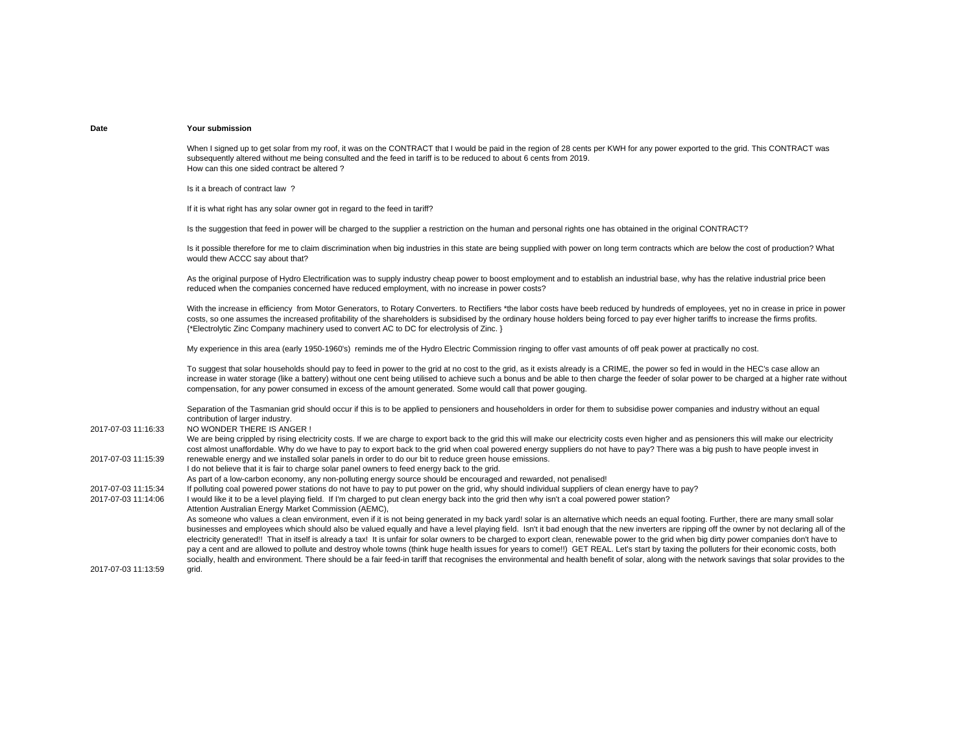When I signed up to get solar from my roof, it was on the CONTRACT that I would be paid in the region of 28 cents per KWH for any power exported to the grid. This CONTRACT was subsequently altered without me being consulted and the feed in tariff is to be reduced to about 6 cents from 2019. How can this one sided contract be altered ?

Is it a breach of contract law ?

If it is what right has any solar owner got in regard to the feed in tariff?

Is the suggestion that feed in power will be charged to the supplier a restriction on the human and personal rights one has obtained in the original CONTRACT?

Is it possible therefore for me to claim discrimination when big industries in this state are being supplied with power on long term contracts which are below the cost of production? What would thew ACCC say about that?

As the original purpose of Hydro Electrification was to supply industry cheap power to boost employment and to establish an industrial base, why has the relative industrial price been reduced when the companies concerned have reduced employment, with no increase in power costs?

With the increase in efficiency from Motor Generators, to Rotary Converters, to Rectifiers \*the labor costs have beeb reduced by hundreds of employees, yet no in crease in price in power costs, so one assumes the increased profitability of the shareholders is subsidised by the ordinary house holders being forced to pay ever higher tariffs to increase the firms profits. {\*Electrolytic Zinc Company machinery used to convert AC to DC for electrolysis of Zinc. }

My experience in this area (early 1950-1960's) reminds me of the Hydro Electric Commission ringing to offer vast amounts of off peak power at practically no cost.

To suggest that solar households should pay to feed in power to the grid at no cost to the grid, as it exists already is a CRIME, the power so fed in would in the HEC's case allow an increase in water storage (like a battery) without one cent being utilised to achieve such a bonus and be able to then charge the feeder of solar power to be charged at a higher rate without compensation, for any power consumed in excess of the amount generated. Some would call that power gouging.

2017-07-03 11:16:33Separation of the Tasmanian grid should occur if this is to be applied to pensioners and householders in order for them to subsidise power companies and industry without an equal contribution of larger industry. NO WONDER THERE IS ANGER !2017-07-03 11:15:39We are being crippled by rising electricity costs. If we are charge to export back to the grid this will make our electricity costs even higher and as pensioners this will make our electricity cost almost unaffordable. Why do we have to pay to export back to the grid when coal powered energy suppliers do not have to pay? There was a big push to have people invest in renewable energy and we installed solar panels in order to do our bit to reduce green house emissions. 2017-07-03 11:15:342017-07-03 11:14:06 I do not believe that it is fair to charge solar panel owners to feed energy back to the grid. As part of a low-carbon economy, any non-polluting energy source should be encouraged and rewarded, not penalised! If polluting coal powered power stations do not have to pay to put power on the grid, why should individual suppliers of clean energy have to pay? I would like it to be a level playing field. If I'm charged to put clean energy back into the grid then why isn't a coal powered power station? 2017-07-03 11:13:59Attention Australian Energy Market Commission (AEMC), As someone who values a clean environment, even if it is not being generated in my back vard! solar is an alternative which needs an equal footing. Further, there are many small solar businesses and employees which should also be valued equally and have a level playing field. Isn't it bad enough that the new inverters are ripping off the owner by not declaring all of the electricity generated!! That in itself is already a tax! It is unfair for solar owners to be charged to export clean, renewable power to the grid when big dirty power companies don't have to pay a cent and are allowed to pollute and destroy whole towns (think huge health issues for years to come!!) GET REAL. Let's start by taxing the polluters for their economic costs, both socially, health and environment. There should be a fair feed-in tariff that recognises the environmental and health benefit of solar, along with the network savings that solar provides to the grid.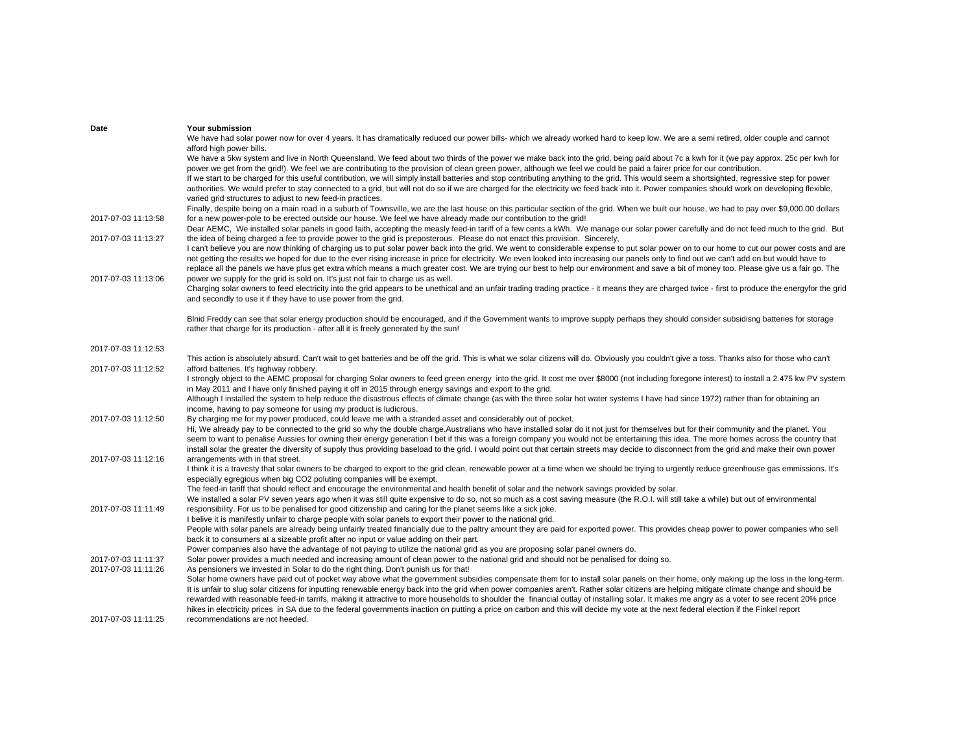| Date                | Your submission                                                                                                                                                                                                                                                     |
|---------------------|---------------------------------------------------------------------------------------------------------------------------------------------------------------------------------------------------------------------------------------------------------------------|
|                     | We have had solar power now for over 4 years. It has dramatically reduced our power bills- which we already worked hard to keep low. We are a semi retired, older couple and cannot                                                                                 |
|                     | afford high power bills.                                                                                                                                                                                                                                            |
|                     | We have a 5kw system and live in North Queensland. We feed about two thirds of the power we make back into the grid, being paid about 7c a kwh for it (we pay approx. 25c per kwh for                                                                               |
|                     | power we get from the grid!). We feel we are contributing to the provision of clean green power, although we feel we could be paid a fairer price for our contribution.                                                                                             |
|                     | If we start to be charged for this useful contribution, we will simply install batteries and stop contributing anything to the grid. This would seem a shortsighted, regressive step for power                                                                      |
|                     | authorities. We would prefer to stay connected to a grid, but will not do so if we are charged for the electricity we feed back into it. Power companies should work on developing flexible,                                                                        |
|                     | varied grid structures to adjust to new feed-in practices.                                                                                                                                                                                                          |
|                     | Finally, despite being on a main road in a suburb of Townsville, we are the last house on this particular section of the grid. When we built our house, we had to pay over \$9,000.00 dollars                                                                       |
| 2017-07-03 11:13:58 | for a new power-pole to be erected outside our house. We feel we have already made our contribution to the grid!                                                                                                                                                    |
|                     | Dear AEMC, We installed solar panels in good faith, accepting the measly feed-in tariff of a few cents a kWh. We manage our solar power carefully and do not feed much to the grid. But                                                                             |
| 2017-07-03 11:13:27 | the idea of being charged a fee to provide power to the grid is preposterous. Please do not enact this provision. Sincerely,                                                                                                                                        |
|                     | I can't believe you are now thinking of charging us to put solar power back into the grid. We went to considerable expense to put solar power on to our home to cut our power costs and are                                                                         |
|                     | not getting the results we hoped for due to the ever rising increase in price for electricity. We even looked into increasing our panels only to find out we can't add on but would have to                                                                         |
|                     | replace all the panels we have plus get extra which means a much greater cost. We are trying our best to help our environment and save a bit of money too. Please give us a fair go. The                                                                            |
| 2017-07-03 11:13:06 | power we supply for the grid is sold on. It's just not fair to charge us as well.                                                                                                                                                                                   |
|                     | Charging solar owners to feed electricity into the grid appears to be unethical and an unfair trading trading practice - it means they are charged twice - first to produce the energy for the grid                                                                 |
|                     | and secondly to use it if they have to use power from the grid.                                                                                                                                                                                                     |
|                     | Blnid Freddy can see that solar energy production should be encouraged, and if the Government wants to improve supply perhaps they should consider subsidisng batteries for storage                                                                                 |
|                     | rather that charge for its production - after all it is freely generated by the sun!                                                                                                                                                                                |
|                     |                                                                                                                                                                                                                                                                     |
| 2017-07-03 11:12:53 |                                                                                                                                                                                                                                                                     |
|                     | This action is absolutely absurd. Can't wait to get batteries and be off the grid. This is what we solar citizens will do. Obviously you couldn't give a toss. Thanks also for those who can't                                                                      |
| 2017-07-03 11:12:52 | afford batteries. It's highway robbery.                                                                                                                                                                                                                             |
|                     | I strongly object to the AEMC proposal for charging Solar owners to feed green energy into the grid. It cost me over \$8000 (not including foregone interest) to install a 2.475 kw PV system                                                                       |
|                     | in May 2011 and I have only finished paying it off in 2015 through energy savings and export to the grid.                                                                                                                                                           |
|                     | Although I installed the system to help reduce the disastrous effects of climate change (as with the three solar hot water systems I have had since 1972) rather than for obtaining an                                                                              |
|                     | income, having to pay someone for using my product is ludicrous.                                                                                                                                                                                                    |
| 2017-07-03 11:12:50 | By charging me for my power produced, could leave me with a stranded asset and considerably out of pocket.                                                                                                                                                          |
|                     | Hi, We already pay to be connected to the grid so why the double charge.Australians who have installed solar do it not just for themselves but for their community and the planet. You                                                                              |
|                     | seem to want to penalise Aussies for owning their energy generation I bet if this was a foreign company you would not be entertaining this idea. The more homes across the country that                                                                             |
| 2017-07-03 11:12:16 | install solar the greater the diversity of supply thus providing baseload to the grid. I would point out that certain streets may decide to disconnect from the grid and make their own power<br>arrangements with in that street.                                  |
|                     |                                                                                                                                                                                                                                                                     |
|                     | I think it is a travesty that solar owners to be charged to export to the grid clean, renewable power at a time when we should be trying to urgently reduce greenhouse gas emmissions. It's<br>especially egregious when big CO2 poluting companies will be exempt. |
|                     | The feed-in tariff that should reflect and encourage the environmental and health benefit of solar and the network savings provided by solar.                                                                                                                       |
|                     | We installed a solar PV seven years ago when it was still quite expensive to do so, not so much as a cost saving measure (the R.O.I. will still take a while) but out of environmental                                                                              |
| 2017-07-03 11:11:49 | responsibility. For us to be penalised for good citizenship and caring for the planet seems like a sick joke.                                                                                                                                                       |
|                     | I belive it is manifestly unfair to charge people with solar panels to export their power to the national grid.                                                                                                                                                     |
|                     | People with solar panels are already being unfairly treated financially due to the paltry amount they are paid for exported power. This provides cheap power to power companies who sell                                                                            |
|                     | back it to consumers at a sizeable profit after no input or value adding on their part.                                                                                                                                                                             |
|                     | Power companies also have the advantage of not paying to utilize the national grid as you are proposing solar panel owners do.                                                                                                                                      |
| 2017-07-03 11:11:37 | Solar power provides a much needed and increasing amount of clean power to the national grid and should not be penalised for doing so.                                                                                                                              |
| 2017-07-03 11:11:26 | As pensioners we invested in Solar to do the right thing. Don't punish us for that!                                                                                                                                                                                 |
|                     | Solar home owners have paid out of pocket way above what the government subsidies compensate them for to install solar panels on their home, only making up the loss in the long-term.                                                                              |
|                     | It is unfair to slug solar citizens for inputting renewable energy back into the grid when power companies aren't. Rather solar citizens are helping mitigate climate change and should be                                                                          |
|                     | rewarded with reasonable feed-in tarrifs, making it attractive to more households to shoulder the financial outlay of installing solar. It makes me angry as a voter to see recent 20% price                                                                        |
|                     | hikes in electricity prices in SA due to the federal governments inaction on putting a price on carbon and this will decide my vote at the next federal election if the Finkel report                                                                               |
| 2017-07-03 11:11:25 | recommendations are not heeded.                                                                                                                                                                                                                                     |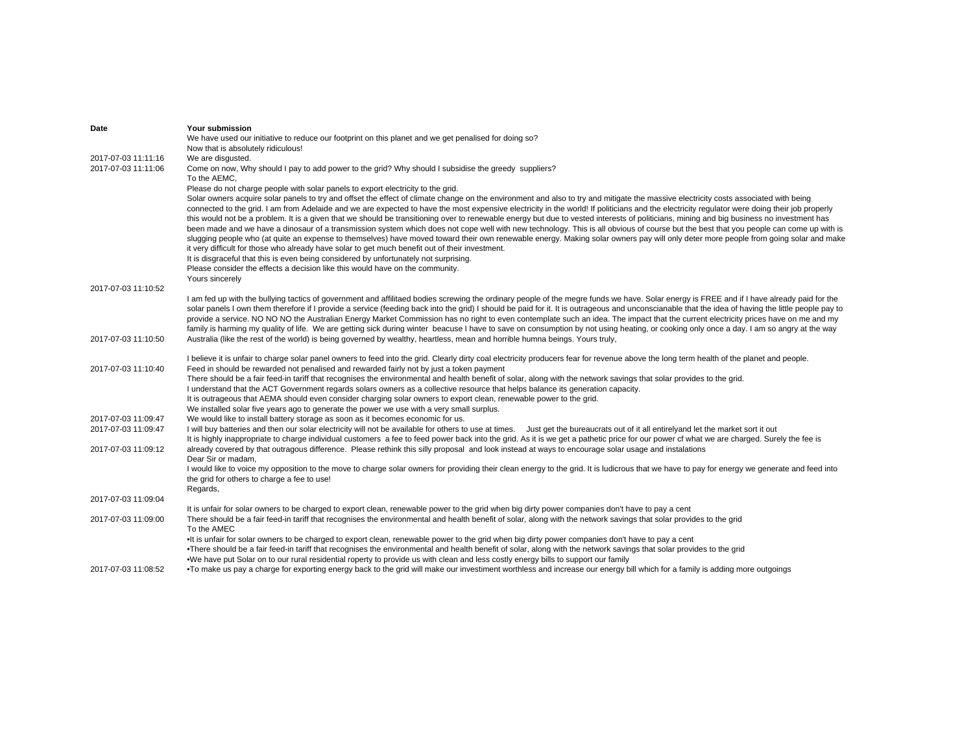| Date                                       | <b>Your submission</b>                                                                                                                                                                                                                                                                                                                                                                                                                                                                                                                                                                                                                                                                                                                                                                                                                                                                                                                                                                                                                                                                                                                                                                                                                           |
|--------------------------------------------|--------------------------------------------------------------------------------------------------------------------------------------------------------------------------------------------------------------------------------------------------------------------------------------------------------------------------------------------------------------------------------------------------------------------------------------------------------------------------------------------------------------------------------------------------------------------------------------------------------------------------------------------------------------------------------------------------------------------------------------------------------------------------------------------------------------------------------------------------------------------------------------------------------------------------------------------------------------------------------------------------------------------------------------------------------------------------------------------------------------------------------------------------------------------------------------------------------------------------------------------------|
|                                            | We have used our initiative to reduce our footprint on this planet and we get penalised for doing so?                                                                                                                                                                                                                                                                                                                                                                                                                                                                                                                                                                                                                                                                                                                                                                                                                                                                                                                                                                                                                                                                                                                                            |
|                                            | Now that is absolutely ridiculous!                                                                                                                                                                                                                                                                                                                                                                                                                                                                                                                                                                                                                                                                                                                                                                                                                                                                                                                                                                                                                                                                                                                                                                                                               |
| 2017-07-03 11:11:16<br>2017-07-03 11:11:06 | We are disgusted.<br>Come on now, Why should I pay to add power to the grid? Why should I subsidise the greedy suppliers?                                                                                                                                                                                                                                                                                                                                                                                                                                                                                                                                                                                                                                                                                                                                                                                                                                                                                                                                                                                                                                                                                                                        |
|                                            | To the AEMC.                                                                                                                                                                                                                                                                                                                                                                                                                                                                                                                                                                                                                                                                                                                                                                                                                                                                                                                                                                                                                                                                                                                                                                                                                                     |
|                                            | Please do not charge people with solar panels to export electricity to the grid.                                                                                                                                                                                                                                                                                                                                                                                                                                                                                                                                                                                                                                                                                                                                                                                                                                                                                                                                                                                                                                                                                                                                                                 |
|                                            | Solar owners acquire solar panels to try and offset the effect of climate change on the environment and also to try and mitigate the massive electricity costs associated with being<br>connected to the grid. I am from Adelaide and we are expected to have the most expensive electricity in the world! If politicians and the electricity regulator were doing their job properly<br>this would not be a problem. It is a given that we should be transitioning over to renewable energy but due to vested interests of politicians, mining and big business no investment has<br>been made and we have a dinosaur of a transmission system which does not cope well with new technology. This is all obvious of course but the best that you people can come up with is<br>slugging people who (at quite an expense to themselves) have moved toward their own renewable energy. Making solar owners pay will only deter more people from going solar and make<br>it very difficult for those who already have solar to get much benefit out of their investment.<br>It is disgraceful that this is even being considered by unfortunately not surprising.<br>Please consider the effects a decision like this would have on the community. |
|                                            | Yours sincerely                                                                                                                                                                                                                                                                                                                                                                                                                                                                                                                                                                                                                                                                                                                                                                                                                                                                                                                                                                                                                                                                                                                                                                                                                                  |
| 2017-07-03 11:10:52                        | I am fed up with the bullying tactics of government and affilitaed bodies screwing the ordinary people of the megre funds we have. Solar energy is FREE and if I have already paid for the                                                                                                                                                                                                                                                                                                                                                                                                                                                                                                                                                                                                                                                                                                                                                                                                                                                                                                                                                                                                                                                       |
|                                            | solar panels I own them therefore if I provide a service (feeding back into the grid) I should be paid for it. It is outrageous and unconscianable that the idea of having the little people pay to<br>provide a service. NO NO NO the Australian Energy Market Commission has no right to even contemplate such an idea. The impact that the current electricity prices have on me and my<br>family is harming my quality of life. We are getting sick during winter beacuse I have to save on consumption by not using heating, or cooking only once a day. I am so angry at the way                                                                                                                                                                                                                                                                                                                                                                                                                                                                                                                                                                                                                                                           |
| 2017-07-03 11:10:50                        | Australia (like the rest of the world) is being governed by wealthy, heartless, mean and horrible humna beings. Yours truly,                                                                                                                                                                                                                                                                                                                                                                                                                                                                                                                                                                                                                                                                                                                                                                                                                                                                                                                                                                                                                                                                                                                     |
|                                            | I believe it is unfair to charge solar panel owners to feed into the grid. Clearly dirty coal electricity producers fear for revenue above the long term health of the planet and people.                                                                                                                                                                                                                                                                                                                                                                                                                                                                                                                                                                                                                                                                                                                                                                                                                                                                                                                                                                                                                                                        |
| 2017-07-03 11:10:40                        | Feed in should be rewarded not penalised and rewarded fairly not by just a token payment                                                                                                                                                                                                                                                                                                                                                                                                                                                                                                                                                                                                                                                                                                                                                                                                                                                                                                                                                                                                                                                                                                                                                         |
|                                            | There should be a fair feed-in tariff that recognises the environmental and health benefit of solar, along with the network savings that solar provides to the grid.                                                                                                                                                                                                                                                                                                                                                                                                                                                                                                                                                                                                                                                                                                                                                                                                                                                                                                                                                                                                                                                                             |
|                                            | I understand that the ACT Government regards solars owners as a collective resource that helps balance its generation capacity.<br>It is outrageous that AEMA should even consider charging solar owners to export clean, renewable power to the grid.                                                                                                                                                                                                                                                                                                                                                                                                                                                                                                                                                                                                                                                                                                                                                                                                                                                                                                                                                                                           |
|                                            | We installed solar five years ago to generate the power we use with a very small surplus.                                                                                                                                                                                                                                                                                                                                                                                                                                                                                                                                                                                                                                                                                                                                                                                                                                                                                                                                                                                                                                                                                                                                                        |
| 2017-07-03 11:09:47                        | We would like to install battery storage as soon as it becomes economic for us.                                                                                                                                                                                                                                                                                                                                                                                                                                                                                                                                                                                                                                                                                                                                                                                                                                                                                                                                                                                                                                                                                                                                                                  |
| 2017-07-03 11:09:47                        | I will buy batteries and then our solar electricity will not be available for others to use at times. Just get the bureaucrats out of it all entirelyand let the market sort it out                                                                                                                                                                                                                                                                                                                                                                                                                                                                                                                                                                                                                                                                                                                                                                                                                                                                                                                                                                                                                                                              |
|                                            | It is highly inappropriate to charge individual customers a fee to feed power back into the grid. As it is we get a pathetic price for our power cf what we are charged. Surely the fee is                                                                                                                                                                                                                                                                                                                                                                                                                                                                                                                                                                                                                                                                                                                                                                                                                                                                                                                                                                                                                                                       |
| 2017-07-03 11:09:12                        | already covered by that outragous difference. Please rethink this silly proposal and look instead at ways to encourage solar usage and instalations                                                                                                                                                                                                                                                                                                                                                                                                                                                                                                                                                                                                                                                                                                                                                                                                                                                                                                                                                                                                                                                                                              |
|                                            | Dear Sir or madam,                                                                                                                                                                                                                                                                                                                                                                                                                                                                                                                                                                                                                                                                                                                                                                                                                                                                                                                                                                                                                                                                                                                                                                                                                               |
|                                            | I would like to voice my opposition to the move to charge solar owners for providing their clean energy to the grid. It is ludicrous that we have to pay for energy we generate and feed into                                                                                                                                                                                                                                                                                                                                                                                                                                                                                                                                                                                                                                                                                                                                                                                                                                                                                                                                                                                                                                                    |
|                                            | the grid for others to charge a fee to use!                                                                                                                                                                                                                                                                                                                                                                                                                                                                                                                                                                                                                                                                                                                                                                                                                                                                                                                                                                                                                                                                                                                                                                                                      |
|                                            | Regards,                                                                                                                                                                                                                                                                                                                                                                                                                                                                                                                                                                                                                                                                                                                                                                                                                                                                                                                                                                                                                                                                                                                                                                                                                                         |
| 2017-07-03 11:09:04                        |                                                                                                                                                                                                                                                                                                                                                                                                                                                                                                                                                                                                                                                                                                                                                                                                                                                                                                                                                                                                                                                                                                                                                                                                                                                  |
|                                            | It is unfair for solar owners to be charged to export clean, renewable power to the grid when big dirty power companies don't have to pay a cent                                                                                                                                                                                                                                                                                                                                                                                                                                                                                                                                                                                                                                                                                                                                                                                                                                                                                                                                                                                                                                                                                                 |
| 2017-07-03 11:09:00                        | There should be a fair feed-in tariff that recognises the environmental and health benefit of solar, along with the network savings that solar provides to the grid<br>To the AMEC                                                                                                                                                                                                                                                                                                                                                                                                                                                                                                                                                                                                                                                                                                                                                                                                                                                                                                                                                                                                                                                               |
|                                            | •It is unfair for solar owners to be charged to export clean, renewable power to the grid when big dirty power companies don't have to pay a cent                                                                                                                                                                                                                                                                                                                                                                                                                                                                                                                                                                                                                                                                                                                                                                                                                                                                                                                                                                                                                                                                                                |
|                                            | •There should be a fair feed-in tariff that recognises the environmental and health benefit of solar, along with the network savings that solar provides to the grid                                                                                                                                                                                                                                                                                                                                                                                                                                                                                                                                                                                                                                                                                                                                                                                                                                                                                                                                                                                                                                                                             |
|                                            | •We have put Solar on to our rural residential roperty to provide us with clean and less costly energy bills to support our family                                                                                                                                                                                                                                                                                                                                                                                                                                                                                                                                                                                                                                                                                                                                                                                                                                                                                                                                                                                                                                                                                                               |
| 2017-07-03 11:08:52                        | . To make us pay a charge for exporting energy back to the grid will make our investiment worthless and increase our energy bill which for a family is adding more outgoings                                                                                                                                                                                                                                                                                                                                                                                                                                                                                                                                                                                                                                                                                                                                                                                                                                                                                                                                                                                                                                                                     |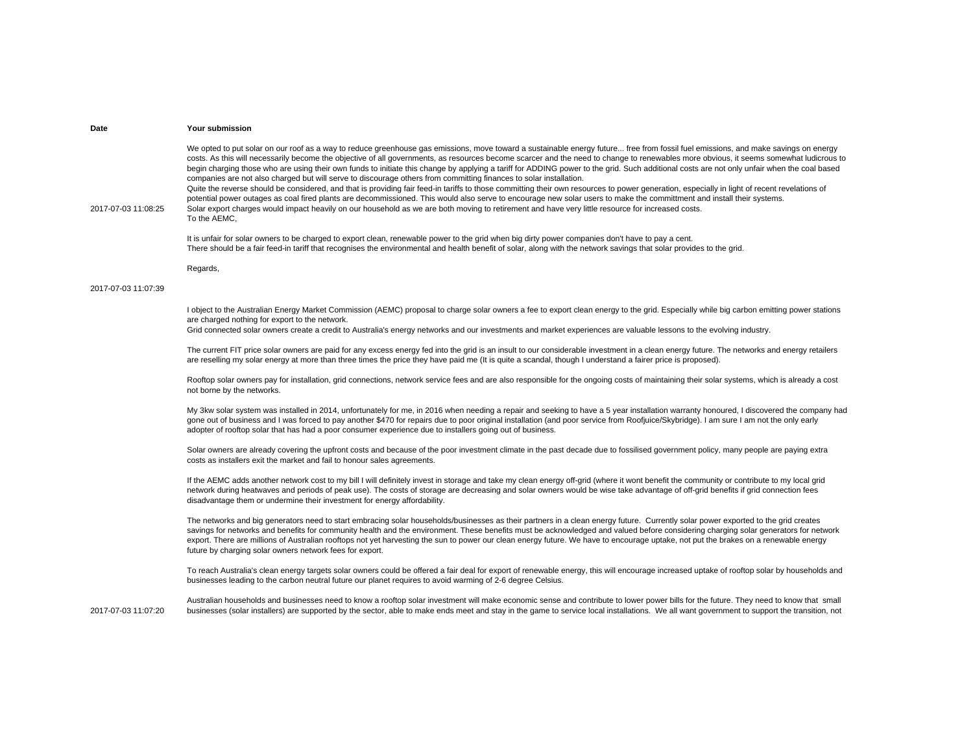We opted to put solar on our roof as a way to reduce greenhouse gas emissions, move toward a sustainable energy future... free from fossil fuel emissions, and make savings on energy costs. As this will necessarily become the objective of all governments, as resources become scarcer and the need to change to renewables more obvious, it seems somewhat ludicrous to begin charging those who are using their own funds to initiate this change by applying a tariff for ADDING power to the grid. Such additional costs are not only unfair when the coal based companies are not also charged but will serve to discourage others from committing finances to solar installation. Quite the reverse should be considered, and that is providing fair feed-in tariffs to those committing their own resources to power generation, especially in light of recent revelations of

2017-07-03 11:08:25

potential power outages as coal fired plants are decommissioned. This would also serve to encourage new solar users to make the committment and install their systems. Solar export charges would impact heavily on our household as we are both moving to retirement and have very little resource for increased costs. To the AEMC,

It is unfair for solar owners to be charged to export clean, renewable power to the grid when big dirty power companies don't have to pay a cent. There should be a fair feed-in tariff that recognises the environmental and health benefit of solar, along with the network savings that solar provides to the grid.

Regards,

 $g_{\rm g}$ 

## 2017-07-03 11:07:39

I object to the Australian Energy Market Commission (AEMC) proposal to charge solar owners a fee to export clean energy to the grid. Especially while big carbon emitting power stations are charged nothing for export to the network.

Grid connected solar owners create a credit to Australia's energy networks and our investments and market experiences are valuable lessons to the evolving industry.

The current FIT price solar owners are paid for any excess energy fed into the grid is an insult to our considerable investment in a clean energy future. The networks and energy retailers are reselling my solar energy at more than three times the price they have paid me (It is quite a scandal, though I understand a fairer price is proposed).

Rooftop solar owners pay for installation, grid connections, network service fees and are also responsible for the ongoing costs of maintaining their solar systems, which is already a cost not borne by the networks.

My 3kw solar system was installed in 2014, unfortunately for me, in 2016 when needing a repair and seeking to have a 5 year installation warranty honoured, I discovered the company had gone out of business and I was forced to pay another \$470 for repairs due to poor original installation (and poor service from Roofjuice/Skybridge). I am sure I am not the only early adopter of rooftop solar that has had a poor consumer experience due to installers going out of business.

Solar owners are already covering the upfront costs and because of the poor investment climate in the past decade due to fossilised government policy, many people are paying extra costs as installers exit the market and fail to honour sales agreements.

If the AEMC adds another network cost to my bill I will definitely invest in storage and take my clean energy off-grid (where it wont benefit the community or contribute to my local grid network during heatwaves and periods of peak use). The costs of storage are decreasing and solar owners would be wise take advantage of off-grid benefits if grid connection fees disadvantage them or undermine their investment for energy affordability.

The networks and big generators need to start embracing solar households/businesses as their partners in a clean energy future. Currently solar power exported to the grid creates savings for networks and benefits for community health and the environment. These benefits must be acknowledged and valued before considering charging solar generators for network export. There are millions of Australian rooftops not yet harvesting the sun to power our clean energy future. We have to encourage uptake, not put the brakes on a renewable energy future by charging solar owners network fees for export.

To reach Australia's clean energy targets solar owners could be offered a fair deal for export of renewable energy, this will encourage increased uptake of rooftop solar by households and businesses leading to the carbon neutral future our planet requires to avoid warming of 2-6 degree Celsius.

Australian households and businesses need to know a rooftop solar investment will make economic sense and contribute to lower power bills for the future. They need to know that small businesses (solar installers) are supported by the sector, able to make ends meet and stay in the game to service local installations. We all want government to support the transition, not

2017-07-03 11:07:20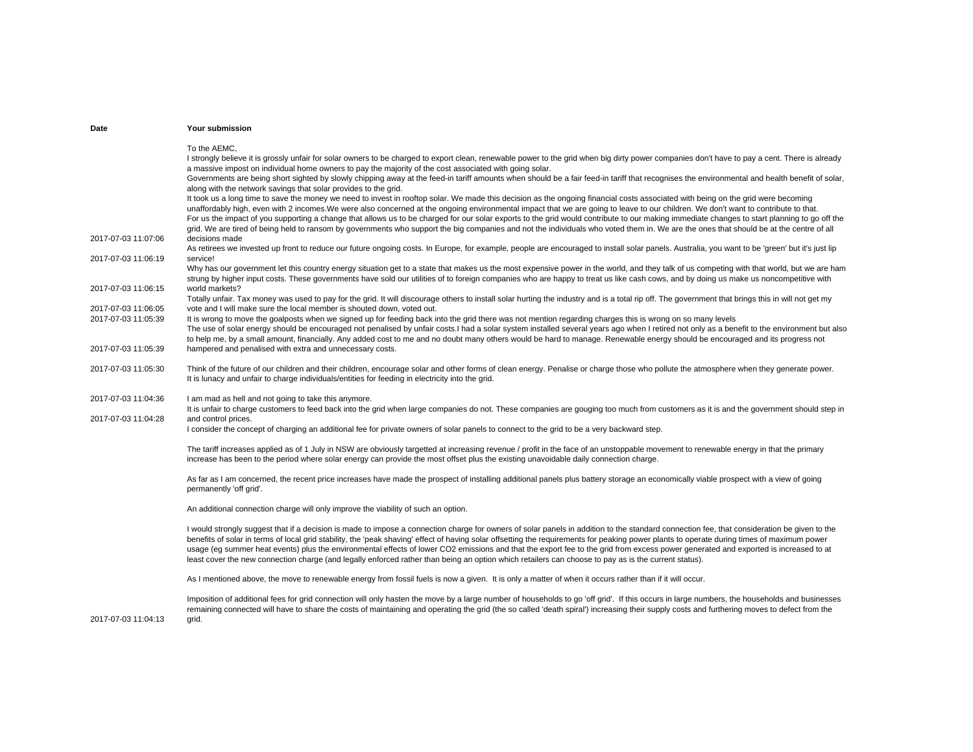| Date                                       | Your submission                                                                                                                                                                                                                                                                                                                                                                                                                                                                                                                                                                                                                                                                                                                                                                                                                                                                                                                                                                                                                                                                                                                                                                                                                                                                                                                                                    |
|--------------------------------------------|--------------------------------------------------------------------------------------------------------------------------------------------------------------------------------------------------------------------------------------------------------------------------------------------------------------------------------------------------------------------------------------------------------------------------------------------------------------------------------------------------------------------------------------------------------------------------------------------------------------------------------------------------------------------------------------------------------------------------------------------------------------------------------------------------------------------------------------------------------------------------------------------------------------------------------------------------------------------------------------------------------------------------------------------------------------------------------------------------------------------------------------------------------------------------------------------------------------------------------------------------------------------------------------------------------------------------------------------------------------------|
|                                            | To the AEMC.<br>I strongly believe it is grossly unfair for solar owners to be charged to export clean, renewable power to the grid when big dirty power companies don't have to pay a cent. There is already<br>a massive impost on individual home owners to pay the majority of the cost associated with going solar.<br>Governments are being short sighted by slowly chipping away at the feed-in tariff amounts when should be a fair feed-in tariff that recognises the environmental and health benefit of solar,<br>along with the network savings that solar provides to the grid.<br>It took us a long time to save the money we need to invest in rooftop solar. We made this decision as the ongoing financial costs associated with being on the grid were becoming<br>unaffordably high, even with 2 incomes. We were also concerned at the ongoing environmental impact that we are going to leave to our children. We don't want to contribute to that.<br>For us the impact of you supporting a change that allows us to be charged for our solar exports to the grid would contribute to our making immediate changes to start planning to go off the<br>grid. We are tired of being held to ransom by governments who support the big companies and not the individuals who voted them in. We are the ones that should be at the centre of all |
| 2017-07-03 11:07:06                        | decisions made<br>As retirees we invested up front to reduce our future ongoing costs. In Europe, for example, people are encouraged to install solar panels. Australia, you want to be 'green' but it's just lip                                                                                                                                                                                                                                                                                                                                                                                                                                                                                                                                                                                                                                                                                                                                                                                                                                                                                                                                                                                                                                                                                                                                                  |
| 2017-07-03 11:06:19                        | service!<br>Why has our government let this country energy situation get to a state that makes us the most expensive power in the world, and they talk of us competing with that world, but we are ham                                                                                                                                                                                                                                                                                                                                                                                                                                                                                                                                                                                                                                                                                                                                                                                                                                                                                                                                                                                                                                                                                                                                                             |
| 2017-07-03 11:06:15                        | strung by higher input costs. These governments have sold our utilities of to foreign companies who are happy to treat us like cash cows, and by doing us make us noncompetitive with<br>world markets?<br>Totally unfair. Tax money was used to pay for the grid. It will discourage others to install solar hurting the industry and is a total rip off. The government that brings this in will not get my                                                                                                                                                                                                                                                                                                                                                                                                                                                                                                                                                                                                                                                                                                                                                                                                                                                                                                                                                      |
| 2017-07-03 11:06:05                        | vote and I will make sure the local member is shouted down, voted out.                                                                                                                                                                                                                                                                                                                                                                                                                                                                                                                                                                                                                                                                                                                                                                                                                                                                                                                                                                                                                                                                                                                                                                                                                                                                                             |
| 2017-07-03 11:05:39                        | It is wrong to move the goalposts when we signed up for feeding back into the grid there was not mention regarding charges this is wrong on so many levels<br>The use of solar energy should be encouraged not penalised by unfair costs. I had a solar system installed several years ago when I retired not only as a benefit to the environment but also<br>to help me, by a small amount, financially. Any added cost to me and no doubt many others would be hard to manage. Renewable energy should be encouraged and its progress not                                                                                                                                                                                                                                                                                                                                                                                                                                                                                                                                                                                                                                                                                                                                                                                                                       |
| 2017-07-03 11:05:39                        | hampered and penalised with extra and unnecessary costs.                                                                                                                                                                                                                                                                                                                                                                                                                                                                                                                                                                                                                                                                                                                                                                                                                                                                                                                                                                                                                                                                                                                                                                                                                                                                                                           |
| 2017-07-03 11:05:30                        | Think of the future of our children and their children, encourage solar and other forms of clean energy. Penalise or charge those who pollute the atmosphere when they generate power.<br>It is lunacy and unfair to charge individuals/entities for feeding in electricity into the grid.                                                                                                                                                                                                                                                                                                                                                                                                                                                                                                                                                                                                                                                                                                                                                                                                                                                                                                                                                                                                                                                                         |
| 2017-07-03 11:04:36<br>2017-07-03 11:04:28 | I am mad as hell and not going to take this anymore.<br>It is unfair to charge customers to feed back into the grid when large companies do not. These companies are gouging too much from customers as it is and the government should step in<br>and control prices.<br>I consider the concept of charging an additional fee for private owners of solar panels to connect to the grid to be a very backward step.                                                                                                                                                                                                                                                                                                                                                                                                                                                                                                                                                                                                                                                                                                                                                                                                                                                                                                                                               |
|                                            | The tariff increases applied as of 1 July in NSW are obviously targetted at increasing revenue / profit in the face of an unstoppable movement to renewable energy in that the primary<br>increase has been to the period where solar energy can provide the most offset plus the existing unavoidable daily connection charge.                                                                                                                                                                                                                                                                                                                                                                                                                                                                                                                                                                                                                                                                                                                                                                                                                                                                                                                                                                                                                                    |
|                                            | As far as I am concerned, the recent price increases have made the prospect of installing additional panels plus battery storage an economically viable prospect with a view of going<br>permanently 'off grid'.                                                                                                                                                                                                                                                                                                                                                                                                                                                                                                                                                                                                                                                                                                                                                                                                                                                                                                                                                                                                                                                                                                                                                   |
|                                            | An additional connection charge will only improve the viability of such an option.                                                                                                                                                                                                                                                                                                                                                                                                                                                                                                                                                                                                                                                                                                                                                                                                                                                                                                                                                                                                                                                                                                                                                                                                                                                                                 |
|                                            | I would strongly suggest that if a decision is made to impose a connection charge for owners of solar panels in addition to the standard connection fee, that consideration be given to the<br>benefits of solar in terms of local grid stability, the 'peak shaving' effect of having solar offsetting the requirements for peaking power plants to operate during times of maximum power<br>usage (eg summer heat events) plus the environmental effects of lower CO2 emissions and that the export fee to the grid from excess power generated and exported is increased to at<br>least cover the new connection charge (and legally enforced rather than being an option which retailers can choose to pay as is the current status).                                                                                                                                                                                                                                                                                                                                                                                                                                                                                                                                                                                                                          |
|                                            | As I mentioned above, the move to renewable energy from fossil fuels is now a given. It is only a matter of when it occurs rather than if it will occur.                                                                                                                                                                                                                                                                                                                                                                                                                                                                                                                                                                                                                                                                                                                                                                                                                                                                                                                                                                                                                                                                                                                                                                                                           |
| 2017-07-03 11:04:13                        | Imposition of additional fees for grid connection will only hasten the move by a large number of households to go 'off grid'. If this occurs in large numbers, the households and businesses<br>remaining connected will have to share the costs of maintaining and operating the grid (the so called 'death spiral') increasing their supply costs and furthering moves to defect from the<br>grid.                                                                                                                                                                                                                                                                                                                                                                                                                                                                                                                                                                                                                                                                                                                                                                                                                                                                                                                                                               |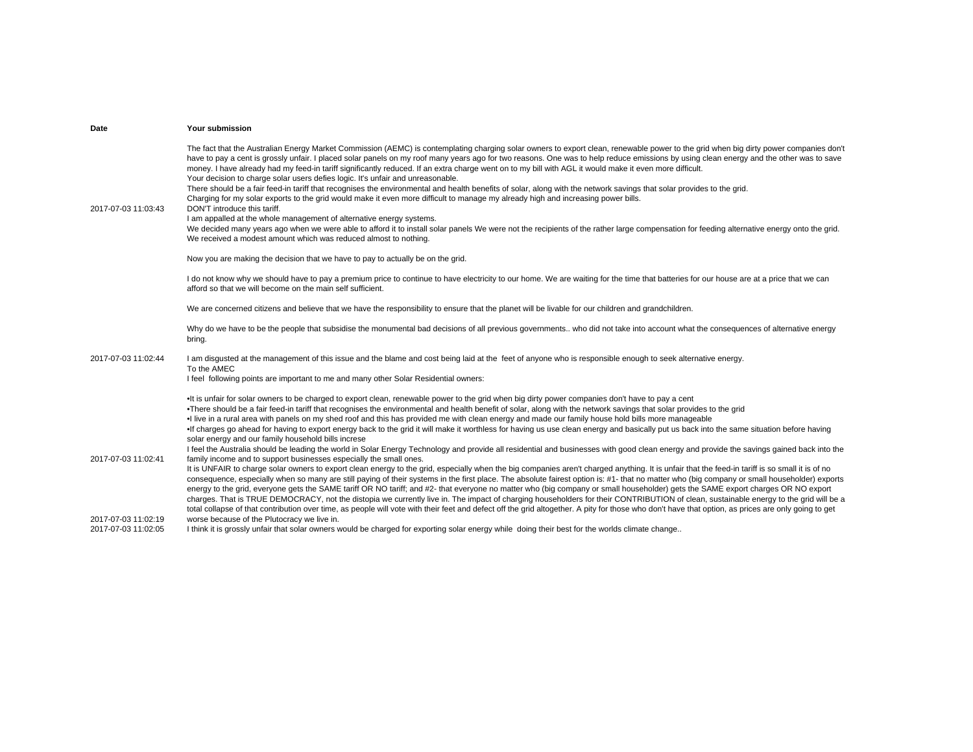| Date                | Your submission                                                                                                                                                                                                                                                                                                                                                                                                                                                                                                                                                                                                                |
|---------------------|--------------------------------------------------------------------------------------------------------------------------------------------------------------------------------------------------------------------------------------------------------------------------------------------------------------------------------------------------------------------------------------------------------------------------------------------------------------------------------------------------------------------------------------------------------------------------------------------------------------------------------|
|                     | The fact that the Australian Energy Market Commission (AEMC) is contemplating charging solar owners to export clean, renewable power to the grid when big dirty power companies don't<br>have to pay a cent is grossly unfair. I placed solar panels on my roof many years ago for two reasons. One was to help reduce emissions by using clean energy and the other was to save<br>money. I have already had my feed-in tariff significantly reduced. If an extra charge went on to my bill with AGL it would make it even more difficult.<br>Your decision to charge solar users defies logic. It's unfair and unreasonable. |
| 2017-07-03 11:03:43 | There should be a fair feed-in tariff that recognises the environmental and health benefits of solar, along with the network savings that solar provides to the grid.<br>Charging for my solar exports to the grid would make it even more difficult to manage my already high and increasing power bills.<br>DON'T introduce this tariff.                                                                                                                                                                                                                                                                                     |
|                     | I am appalled at the whole management of alternative energy systems.<br>We decided many years ago when we were able to afford it to install solar panels We were not the recipients of the rather large compensation for feeding alternative energy onto the grid.<br>We received a modest amount which was reduced almost to nothing.                                                                                                                                                                                                                                                                                         |
|                     | Now you are making the decision that we have to pay to actually be on the grid.                                                                                                                                                                                                                                                                                                                                                                                                                                                                                                                                                |
|                     | I do not know why we should have to pay a premium price to continue to have electricity to our home. We are waiting for the time that batteries for our house are at a price that we can<br>afford so that we will become on the main self sufficient.                                                                                                                                                                                                                                                                                                                                                                         |
|                     | We are concerned citizens and believe that we have the responsibility to ensure that the planet will be livable for our children and grandchildren.                                                                                                                                                                                                                                                                                                                                                                                                                                                                            |
|                     | Why do we have to be the people that subsidise the monumental bad decisions of all previous governments who did not take into account what the consequences of alternative energy<br>bring.                                                                                                                                                                                                                                                                                                                                                                                                                                    |
| 2017-07-03 11:02:44 | I am disgusted at the management of this issue and the blame and cost being laid at the feet of anyone who is responsible enough to seek alternative energy.<br>To the AMEC                                                                                                                                                                                                                                                                                                                                                                                                                                                    |
|                     | I feel following points are important to me and many other Solar Residential owners:                                                                                                                                                                                                                                                                                                                                                                                                                                                                                                                                           |
|                     | . It is unfair for solar owners to be charged to export clean, renewable power to the grid when big dirty power companies don't have to pay a cent<br>. There should be a fair feed-in tariff that recognises the environmental and health benefit of solar, along with the network savings that solar provides to the grid                                                                                                                                                                                                                                                                                                    |
|                     | . I live in a rural area with panels on my shed roof and this has provided me with clean energy and made our family house hold bills more manageable                                                                                                                                                                                                                                                                                                                                                                                                                                                                           |
|                     | . If charges go ahead for having to export energy back to the grid it will make it worthless for having us use clean energy and basically put us back into the same situation before having<br>solar energy and our family household bills increse                                                                                                                                                                                                                                                                                                                                                                             |
| 2017-07-03 11:02:41 | I feel the Australia should be leading the world in Solar Energy Technology and provide all residential and businesses with good clean energy and provide the savings gained back into the<br>family income and to support businesses especially the small ones.                                                                                                                                                                                                                                                                                                                                                               |
|                     | It is UNFAIR to charge solar owners to export clean energy to the grid, especially when the big companies aren't charged anything. It is unfair that the feed-in tariff is so small it is of no                                                                                                                                                                                                                                                                                                                                                                                                                                |
|                     | consequence, especially when so many are still paying of their systems in the first place. The absolute fairest option is: #1- that no matter who (big company or small householder) exports                                                                                                                                                                                                                                                                                                                                                                                                                                   |
|                     | energy to the grid, everyone gets the SAME tariff OR NO tariff; and #2- that everyone no matter who (big company or small householder) gets the SAME export charges OR NO export<br>charges. That is TRUE DEMOCRACY, not the distopia we currently live in. The impact of charging householders for their CONTRIBUTION of clean, sustainable energy to the grid will be a                                                                                                                                                                                                                                                      |
|                     | total collapse of that contribution over time, as people will vote with their feet and defect off the grid altogether. A pity for those who don't have that option, as prices are only going to get                                                                                                                                                                                                                                                                                                                                                                                                                            |
| 2017-07-03 11:02:19 | worse because of the Plutocracy we live in.                                                                                                                                                                                                                                                                                                                                                                                                                                                                                                                                                                                    |
| 2017-07-03 11:02:05 | I think it is grossly unfair that solar owners would be charged for exporting solar energy while doing their best for the worlds climate change                                                                                                                                                                                                                                                                                                                                                                                                                                                                                |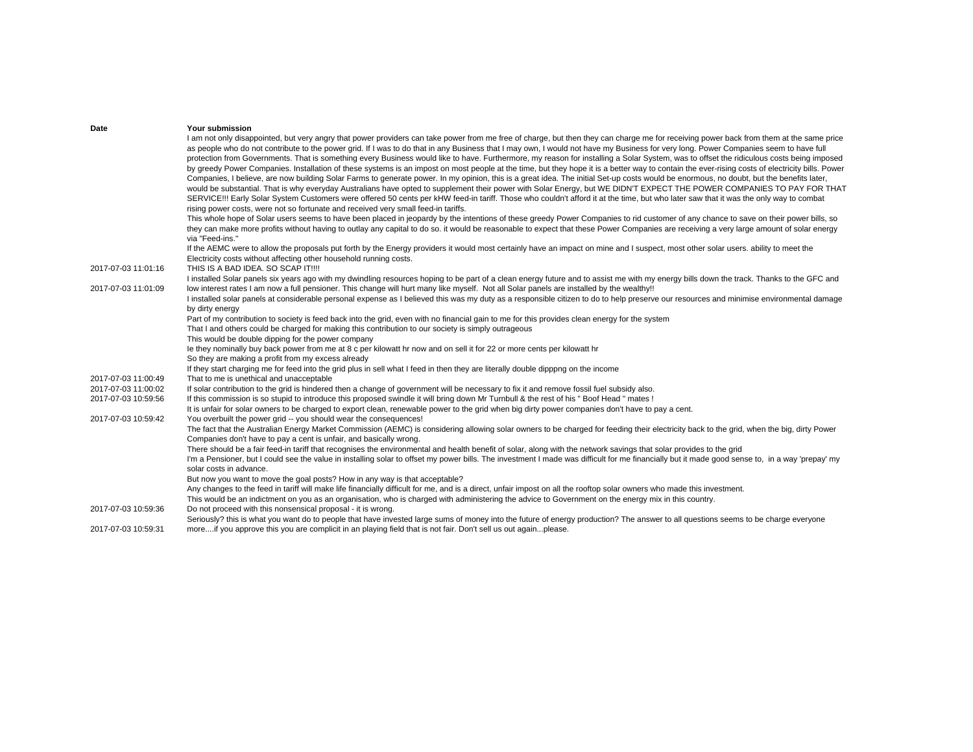| Date                                       | Your submission                                                                                                                                                                                            |
|--------------------------------------------|------------------------------------------------------------------------------------------------------------------------------------------------------------------------------------------------------------|
|                                            | I am not only disappointed, but very angry that power providers can take power from me free of charge, but then they can charge me for receiving power back from them at the same price                    |
|                                            | as people who do not contribute to the power grid. If I was to do that in any Business that I may own, I would not have my Business for very long. Power Companies seem to have full                       |
|                                            | protection from Governments. That is something every Business would like to have. Furthermore, my reason for installing a Solar System, was to offset the ridiculous costs being imposed                   |
|                                            | by greedy Power Companies. Installation of these systems is an impost on most people at the time, but they hope it is a better way to contain the ever-rising costs of electricity bills. Power            |
|                                            | Companies, I believe, are now building Solar Farms to generate power. In my opinion, this is a great idea. The initial Set-up costs would be enormous, no doubt, but the benefits later,                   |
|                                            | would be substantial. That is why everyday Australians have opted to supplement their power with Solar Energy, but WE DIDN'T EXPECT THE POWER COMPANIES TO PAY FOR THAT                                    |
|                                            | SERVICE!!! Early Solar System Customers were offered 50 cents per kHW feed-in tariff. Those who couldn't afford it at the time, but who later saw that it was the only way to combat                       |
|                                            | rising power costs, were not so fortunate and received very small feed-in tariffs.                                                                                                                         |
|                                            | This whole hope of Solar users seems to have been placed in jeopardy by the intentions of these greedy Power Companies to rid customer of any chance to save on their power bills, so                      |
|                                            | they can make more profits without having to outlay any capital to do so. it would be reasonable to expect that these Power Companies are receiving a very large amount of solar energy<br>via "Feed-ins." |
|                                            | If the AEMC were to allow the proposals put forth by the Energy providers it would most certainly have an impact on mine and I suspect, most other solar users. ability to meet the                        |
|                                            | Electricity costs without affecting other household running costs.                                                                                                                                         |
| 2017-07-03 11:01:16                        | THIS IS A BAD IDEA. SO SCAP IT!!!!                                                                                                                                                                         |
|                                            | I installed Solar panels six years ago with my dwindling resources hoping to be part of a clean energy future and to assist me with my energy bills down the track. Thanks to the GFC and                  |
| 2017-07-03 11:01:09                        | low interest rates I am now a full pensioner. This change will hurt many like myself. Not all Solar panels are installed by the wealthy!!                                                                  |
|                                            | I installed solar panels at considerable personal expense as I believed this was my duty as a responsible citizen to do to help preserve our resources and minimise environmental damage                   |
|                                            | by dirty energy                                                                                                                                                                                            |
|                                            | Part of my contribution to society is feed back into the grid, even with no financial gain to me for this provides clean energy for the system                                                             |
|                                            | That I and others could be charged for making this contribution to our society is simply outrageous                                                                                                        |
|                                            | This would be double dipping for the power company                                                                                                                                                         |
|                                            | le they nominally buy back power from me at 8 c per kilowatt hr now and on sell it for 22 or more cents per kilowatt hr                                                                                    |
|                                            | So they are making a profit from my excess already                                                                                                                                                         |
|                                            | If they start charging me for feed into the grid plus in sell what I feed in then they are literally double dipppng on the income                                                                          |
| 2017-07-03 11:00:49<br>2017-07-03 11:00:02 | That to me is unethical and unacceptable<br>If solar contribution to the grid is hindered then a change of government will be necessary to fix it and remove fossil fuel subsidy also.                     |
| 2017-07-03 10:59:56                        | If this commission is so stupid to introduce this proposed swindle it will bring down Mr Turnbull & the rest of his " Boof Head " mates !                                                                  |
|                                            | It is unfair for solar owners to be charged to export clean, renewable power to the grid when big dirty power companies don't have to pay a cent.                                                          |
| 2017-07-03 10:59:42                        | You overbuilt the power grid -- you should wear the consequences!                                                                                                                                          |
|                                            | The fact that the Australian Energy Market Commission (AEMC) is considering allowing solar owners to be charged for feeding their electricity back to the grid, when the big, dirty Power                  |
|                                            | Companies don't have to pay a cent is unfair, and basically wrong.                                                                                                                                         |
|                                            | There should be a fair feed-in tariff that recognises the environmental and health benefit of solar, along with the network savings that solar provides to the grid                                        |
|                                            | I'm a Pensioner, but I could see the value in installing solar to offset my power bills. The investment I made was difficult for me financially but it made good sense to, in a way 'prepay' my            |
|                                            | solar costs in advance.                                                                                                                                                                                    |
|                                            | But now you want to move the goal posts? How in any way is that acceptable?                                                                                                                                |
|                                            | Any changes to the feed in tariff will make life financially difficult for me, and is a direct, unfair impost on all the rooftop solar owners who made this investment.                                    |
|                                            | This would be an indictment on you as an organisation, who is charged with administering the advice to Government on the energy mix in this country.                                                       |
| 2017-07-03 10:59:36                        | Do not proceed with this nonsensical proposal - it is wrong.                                                                                                                                               |
|                                            | Seriously? this is what you want do to people that have invested large sums of money into the future of energy production? The answer to all questions seems to be charge everyone                         |
| 2017-07-03 10:59:31                        | moreif you approve this you are complicit in an playing field that is not fair. Don't sell us out againplease.                                                                                             |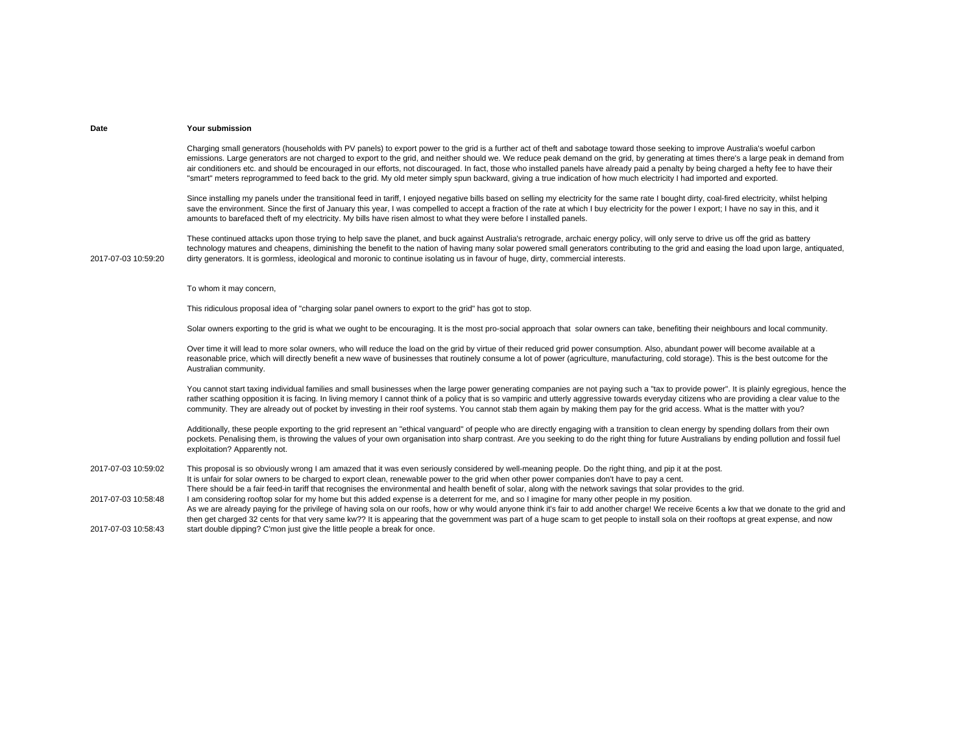Charging small generators (households with PV panels) to export power to the grid is a further act of theft and sabotage toward those seeking to improve Australia's woeful carbon emissions. Large generators are not charged to export to the grid, and neither should we. We reduce peak demand on the grid, by generating at times there's a large peak in demand from air conditioners etc. and should be encouraged in our efforts, not discouraged. In fact, those who installed panels have already paid a penalty by being charged a hefty fee to have their "smart" meters reprogrammed to feed back to the grid. My old meter simply spun backward, giving a true indication of how much electricity I had imported and exported.

Since installing my panels under the transitional feed in tariff, I enjoyed negative bills based on selling my electricity for the same rate I bought dirty, coal-fired electricity, whilst helping save the environment. Since the first of January this year, I was compelled to accept a fraction of the rate at which I buy electricity for the power I export; I have no say in this, and it amounts to barefaced theft of my electricity. My bills have risen almost to what they were before I installed panels.

2017-07-03 10:59:20These continued attacks upon those trying to help save the planet, and buck against Australia's retrograde, archaic energy policy, will only serve to drive us off the grid as battery technology matures and cheapens, diminishing the benefit to the nation of having many solar powered small generators contributing to the grid and easing the load upon large, antiquated, dirty generators. It is gormless, ideological and moronic to continue isolating us in favour of huge, dirty, commercial interests.

To whom it may concern,

This ridiculous proposal idea of "charging solar panel owners to export to the grid" has got to stop.

Solar owners exporting to the grid is what we ought to be encouraging. It is the most pro-social approach that solar owners can take, benefiting their neighbours and local community.

Over time it will lead to more solar owners, who will reduce the load on the grid by virtue of their reduced grid power consumption. Also, abundant power will become available at a reasonable price, which will directly benefit a new wave of businesses that routinely consume a lot of power (agriculture, manufacturing, cold storage). This is the best outcome for the Australian community.

You cannot start taxing individual families and small businesses when the large power generating companies are not paying such a "tax to provide power". It is plainly egregious, hence the rather scathing opposition it is facing. In living memory I cannot think of a policy that is so vampiric and utterly aggressive towards everyday citizens who are providing a clear value to the community. They are already out of pocket by investing in their roof systems. You cannot stab them again by making them pay for the grid access. What is the matter with you?

Additionally, these people exporting to the grid represent an "ethical vanguard" of people who are directly engaging with a transition to clean energy by spending dollars from their own pockets. Penalising them, is throwing the values of your own organisation into sharp contrast. Are you seeking to do the right thing for future Australians by ending pollution and fossil fuel exploitation? Apparently not.

2017-07-03 10:59:02This proposal is so obviously wrong I am amazed that it was even seriously considered by well-meaning people. Do the right thing, and pip it at the post. 2017-07-03 10:58:48It is unfair for solar owners to be charged to export clean, renewable power to the grid when other power companies don't have to pay a cent. There should be a fair feed-in tariff that recognises the environmental and health benefit of solar, along with the network savings that solar provides to the grid. I am considering rooftop solar for my home but this added expense is a deterrent for me, and so I imagine for many other people in my position.

2017-07-03 10:58:43As we are already paying for the privilege of having sola on our roofs, how or why would anyone think it's fair to add another charge! We receive 6cents a kw that we donate to the grid and then get charged 32 cents for that very same kw?? It is appearing that the government was part of a huge scam to get people to install sola on their rooftops at great expense, and now start double dipping? C'mon just give the little people a break for once.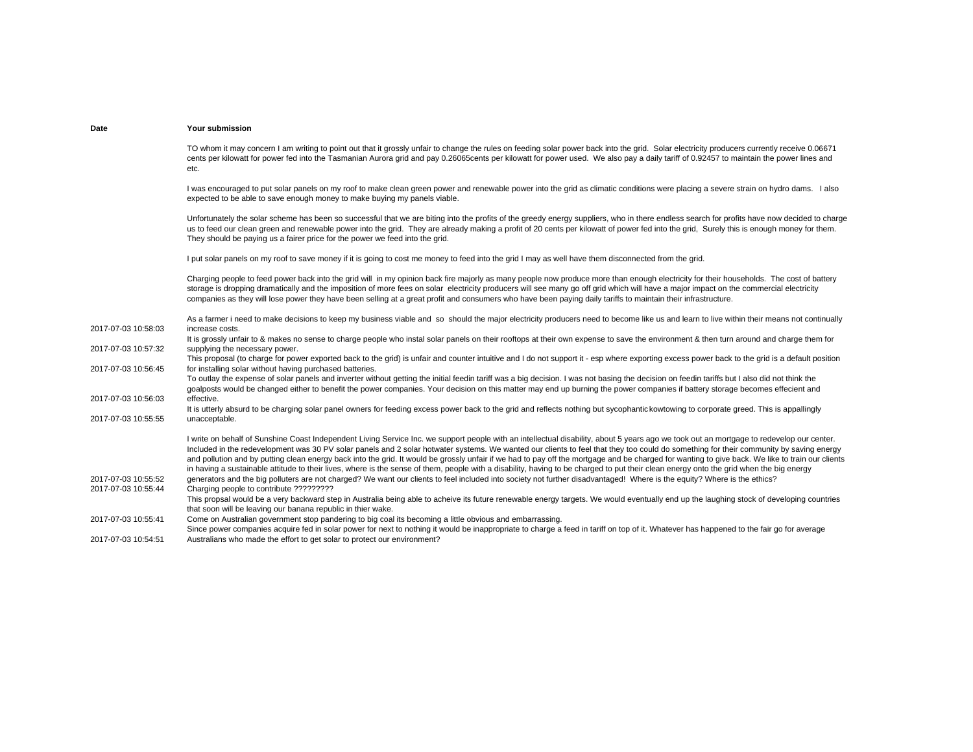TO whom it may concern I am writing to point out that it grossly unfair to change the rules on feeding solar power back into the grid. Solar electricity producers currently receive 0.06671 cents per kilowatt for power fed into the Tasmanian Aurora grid and pay 0.26065cents per kilowatt for power used. We also pay a daily tariff of 0.92457 to maintain the power lines and etc.

I was encouraged to put solar panels on my roof to make clean green power and renewable power into the grid as climatic conditions were placing a severe strain on hydro dams. I also expected to be able to save enough money to make buying my panels viable.

Unfortunately the solar scheme has been so successful that we are biting into the profits of the greedy energy suppliers, who in there endless search for profits have now decided to charge us to feed our clean green and renewable power into the grid. They are already making a profit of 20 cents per kilowatt of power fed into the grid, Surely this is enough money for them. They should be paying us a fairer price for the power we feed into the grid.

I put solar panels on my roof to save money if it is going to cost me money to feed into the grid I may as well have them disconnected from the grid.

Charging people to feed power back into the grid will in my opinion back fire majorly as many people now produce more than enough electricity for their households. The cost of battery storage is dropping dramatically and the imposition of more fees on solar electricity producers will see many go off grid which will have a major impact on the commercial electricity companies as they will lose power they have been selling at a great profit and consumers who have been paying daily tariffs to maintain their infrastructure.

2017-07-03 10:58:03As a farmer i need to make decisions to keep my business viable and so should the major electricity producers need to become like us and learn to live within their means not continually increase costs.2017-07-03 10:57:32It is grossly unfair to & makes no sense to charge people who instal solar panels on their rooftops at their own expense to save the environment & then turn around and charge them for supplying the necessary power. 2017-07-03 10:56:45This proposal (to charge for power exported back to the grid) is unfair and counter intuitive and I do not support it - esp where exporting excess power back to the grid is a default position for installing solar without having purchased batteries. 2017-07-03 10:56:03To outlay the expense of solar panels and inverter without getting the initial feedin tariff was a big decision. I was not basing the decision on feedin tariffs but I also did not think the goalposts would be changed either to benefit the power companies. Your decision on this matter may end up burning the power companies if battery storage becomes effecient and effective.2017-07-03 10:55:55It is utterly absurd to be charging solar panel owners for feeding excess power back to the grid and reflects nothing but sycophantic kowtowing to corporate greed. This is appallingly unacceptable. 2017-07-03 10:55:52I write on behalf of Sunshine Coast Independent Living Service Inc. we support people with an intellectual disability, about 5 years ago we took out an mortgage to redevelop our center. Included in the redevelopment was 30 PV solar panels and 2 solar hotwater systems. We wanted our clients to feel that they too could do something for their community by saving energy and pollution and by putting clean energy back into the grid. It would be grossly unfair if we had to pay off the mortgage and be charged for wanting to give back. We like to train our clients in having a sustainable attitude to their lives, where is the sense of them, people with a disability, having to be charged to put their clean energy onto the grid when the big energy generators and the big polluters are not charged? We want our clients to feel included into society not further disadvantaged! Where is the equity? Where is the ethics? 2017-07-03 10:55:44 Charging people to contribute ????????? 2017-07-03 10:55:41This propsal would be a very backward step in Australia being able to acheive its future renewable energy targets. We would eventually end up the laughing stock of developing countries that soon will be leaving our banana republic in thier wake. Come on Australian government stop pandering to big coal its becoming a little obvious and embarrassing. 2017-07-03 10:54:51Since power companies acquire fed in solar power for next to nothing it would be inappropriate to charge a feed in tariff on top of it. Whatever has happened to the fair go for average Australians who made the effort to get solar to protect our environment?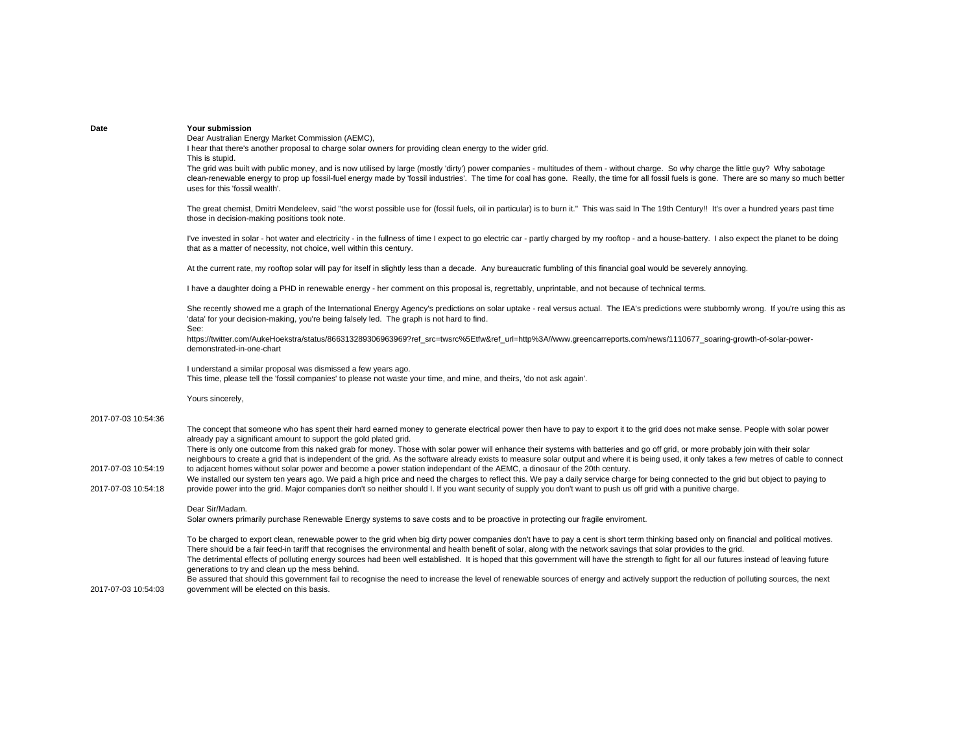Dear Australian Energy Market Commission (AEMC),

I hear that there's another proposal to charge solar owners for providing clean energy to the wider grid. This is stupid.

The grid was built with public money, and is now utilised by large (mostly 'dirty') power companies - multitudes of them - without charge. So why charge the little guy? Why sabotage clean-renewable energy to prop up fossil-fuel energy made by 'fossil industries'. The time for coal has gone. Really, the time for all fossil fuels is gone. There are so many so much better uses for this 'fossil wealth'.

The great chemist, Dmitri Mendeleev, said "the worst possible use for (fossil fuels, oil in particular) is to burn it." This was said In The 19th Century!! It's over a hundred years past time those in decision-making positions took note.

I've invested in solar - hot water and electricity - in the fullness of time I expect to go electric car - partly charged by my rooftop - and a house-battery. I also expect the planet to be doing that as a matter of necessity, not choice, well within this century.

At the current rate, my rooftop solar will pay for itself in slightly less than a decade. Any bureaucratic fumbling of this financial goal would be severely annoying.

I have a daughter doing a PHD in renewable energy - her comment on this proposal is, regrettably, unprintable, and not because of technical terms.

She recently showed me a graph of the International Energy Agency's predictions on solar uptake - real versus actual. The IEA's predictions were stubbornly wrong. If you're using this as 'data' for your decision-making, you're being falsely led. The graph is not hard to find.

See:

https://twitter.com/AukeHoekstra/status/866313289306963969?ref\_src=twsrc%5Etfw&ref\_url=http%3A//www.greencarreports.com/news/1110677\_soaring-growth-of-solar-powerdemonstrated-in-one-chart

I understand a similar proposal was dismissed a few years ago. This time, please tell the 'fossil companies' to please not waste your time, and mine, and theirs, 'do not ask again'.

Yours sincerely,

## 2017-07-03 10:54:36

The concept that someone who has spent their hard earned money to generate electrical power then have to pay to export it to the grid does not make sense. People with solar power already pay a significant amount to support the gold plated grid.

2017-07-03 10:54:19There is only one outcome from this naked grab for money. Those with solar power will enhance their systems with batteries and go off grid, or more probably join with their solar neighbours to create a grid that is independent of the grid. As the software already exists to measure solar output and where it is being used, it only takes a few metres of cable to connect to adjacent homes without solar power and become a power station independant of the AEMC, a dinosaur of the 20th century.

2017-07-03 10:54:18We installed our system ten years ago. We paid a high price and need the charges to reflect this. We pay a daily service charge for being connected to the grid but object to paying to provide power into the grid. Major companies don't so neither should I. If you want security of supply you don't want to push us off grid with a punitive charge.

## Dear Sir/Madam.

Solar owners primarily purchase Renewable Energy systems to save costs and to be proactive in protecting our fragile enviroment.

To be charged to export clean, renewable power to the grid when big dirty power companies don't have to pay a cent is short term thinking based only on financial and political motives. There should be a fair feed-in tariff that recognises the environmental and health benefit of solar, along with the network savings that solar provides to the grid. The detrimental effects of polluting energy sources had been well established. It is hoped that this government will have the strength to fight for all our futures instead of leaving future generations to try and clean up the mess behind.

2017-07-03 10:54:03Be assured that should this government fail to recognise the need to increase the level of renewable sources of energy and actively support the reduction of polluting sources, the next government will be elected on this basis.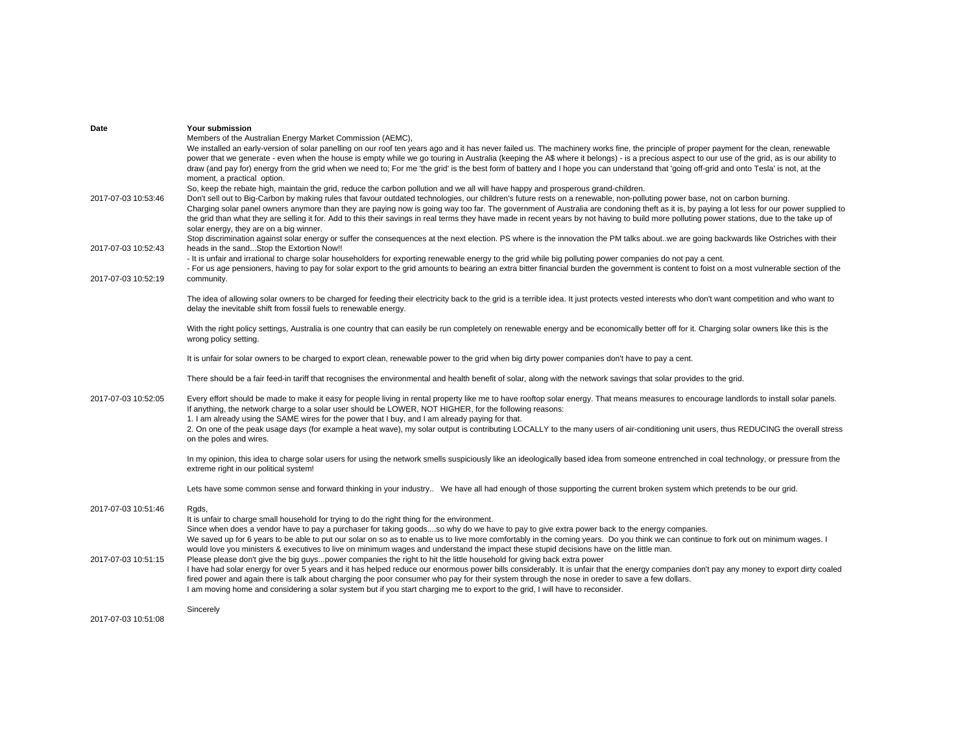| Date                | Your submission                                                                                                                                                                                                                                                                                                                                                             |
|---------------------|-----------------------------------------------------------------------------------------------------------------------------------------------------------------------------------------------------------------------------------------------------------------------------------------------------------------------------------------------------------------------------|
|                     | Members of the Australian Energy Market Commission (AEMC),                                                                                                                                                                                                                                                                                                                  |
|                     | We installed an early-version of solar panelling on our roof ten years ago and it has never failed us. The machinery works fine, the principle of proper payment for the clean, renewable                                                                                                                                                                                   |
|                     | power that we generate - even when the house is empty while we go touring in Australia (keeping the A\$ where it belongs) - is a precious aspect to our use of the grid, as is our ability to                                                                                                                                                                               |
|                     | draw (and pay for) energy from the grid when we need to; For me 'the grid' is the best form of battery and I hope you can understand that 'going off-grid and onto Tesla' is not, at the                                                                                                                                                                                    |
|                     | moment, a practical option.                                                                                                                                                                                                                                                                                                                                                 |
|                     | So, keep the rebate high, maintain the grid, reduce the carbon pollution and we all will have happy and prosperous grand-children.                                                                                                                                                                                                                                          |
| 2017-07-03 10:53:46 | Don't sell out to Big-Carbon by making rules that favour outdated technologies, our children's future rests on a renewable, non-polluting power base, not on carbon burning.<br>Charging solar panel owners anymore than they are paying now is going way too far. The government of Australia are condoning theft as it is, by paying a lot less for our power supplied to |
|                     | the grid than what they are selling it for. Add to this their savings in real terms they have made in recent years by not having to build more polluting power stations, due to the take up of                                                                                                                                                                              |
|                     | solar energy, they are on a big winner.                                                                                                                                                                                                                                                                                                                                     |
|                     | Stop discrimination against solar energy or suffer the consequences at the next election. PS where is the innovation the PM talks about. we are going backwards like Ostriches with their                                                                                                                                                                                   |
| 2017-07-03 10:52:43 | heads in the sandStop the Extortion Now!!                                                                                                                                                                                                                                                                                                                                   |
|                     | - It is unfair and irrational to charge solar householders for exporting renewable energy to the grid while big polluting power companies do not pay a cent.                                                                                                                                                                                                                |
|                     | - For us age pensioners, having to pay for solar export to the grid amounts to bearing an extra bitter financial burden the government is content to foist on a most vulnerable section of the                                                                                                                                                                              |
| 2017-07-03 10:52:19 | community.                                                                                                                                                                                                                                                                                                                                                                  |
|                     |                                                                                                                                                                                                                                                                                                                                                                             |
|                     | The idea of allowing solar owners to be charged for feeding their electricity back to the grid is a terrible idea. It just protects vested interests who don't want competition and who want to                                                                                                                                                                             |
|                     | delay the inevitable shift from fossil fuels to renewable energy.                                                                                                                                                                                                                                                                                                           |
|                     |                                                                                                                                                                                                                                                                                                                                                                             |
|                     | With the right policy settings, Australia is one country that can easily be run completely on renewable energy and be economically better off for it. Charging solar owners like this is the                                                                                                                                                                                |
|                     | wrong policy setting.                                                                                                                                                                                                                                                                                                                                                       |
|                     | It is unfair for solar owners to be charged to export clean, renewable power to the grid when big dirty power companies don't have to pay a cent.                                                                                                                                                                                                                           |
|                     |                                                                                                                                                                                                                                                                                                                                                                             |
|                     | There should be a fair feed-in tariff that recognises the environmental and health benefit of solar, along with the network savings that solar provides to the grid.                                                                                                                                                                                                        |
|                     |                                                                                                                                                                                                                                                                                                                                                                             |
| 2017-07-03 10:52:05 | Every effort should be made to make it easy for people living in rental property like me to have rooftop solar energy. That means measures to encourage landlords to install solar panels.                                                                                                                                                                                  |
|                     | If anything, the network charge to a solar user should be LOWER, NOT HIGHER, for the following reasons:                                                                                                                                                                                                                                                                     |
|                     | 1. I am already using the SAME wires for the power that I buy, and I am already paying for that.                                                                                                                                                                                                                                                                            |
|                     | 2. On one of the peak usage days (for example a heat wave), my solar output is contributing LOCALLY to the many users of air-conditioning unit users, thus REDUCING the overall stress                                                                                                                                                                                      |
|                     | on the poles and wires.                                                                                                                                                                                                                                                                                                                                                     |
|                     | In my opinion, this idea to charge solar users for using the network smells suspiciously like an ideologically based idea from someone entrenched in coal technology, or pressure from the                                                                                                                                                                                  |
|                     | extreme right in our political system!                                                                                                                                                                                                                                                                                                                                      |
|                     |                                                                                                                                                                                                                                                                                                                                                                             |
|                     | Lets have some common sense and forward thinking in your industry We have all had enough of those supporting the current broken system which pretends to be our grid.                                                                                                                                                                                                       |
|                     |                                                                                                                                                                                                                                                                                                                                                                             |
| 2017-07-03 10:51:46 | Rgds,                                                                                                                                                                                                                                                                                                                                                                       |
|                     | It is unfair to charge small household for trying to do the right thing for the environment.                                                                                                                                                                                                                                                                                |
|                     | Since when does a vendor have to pay a purchaser for taking goodsso why do we have to pay to give extra power back to the energy companies.                                                                                                                                                                                                                                 |
|                     | We saved up for 6 years to be able to put our solar on so as to enable us to live more comfortably in the coming years. Do you think we can continue to fork out on minimum wages. I                                                                                                                                                                                        |
| 2017-07-03 10:51:15 | would love you ministers & executives to live on minimum wages and understand the impact these stupid decisions have on the little man.<br>Please please don't give the big guyspower companies the right to hit the little household for giving back extra power                                                                                                           |
|                     | I have had solar energy for over 5 years and it has helped reduce our enormous power bills considerably. It is unfair that the energy companies don't pay any money to export dirty coaled                                                                                                                                                                                  |
|                     | fired power and again there is talk about charging the poor consumer who pay for their system through the nose in oreder to save a few dollars.                                                                                                                                                                                                                             |
|                     | I am moving home and considering a solar system but if you start charging me to export to the grid, I will have to reconsider.                                                                                                                                                                                                                                              |
|                     |                                                                                                                                                                                                                                                                                                                                                                             |
|                     | Sincerely                                                                                                                                                                                                                                                                                                                                                                   |
| 2017-07-03 10:51:08 |                                                                                                                                                                                                                                                                                                                                                                             |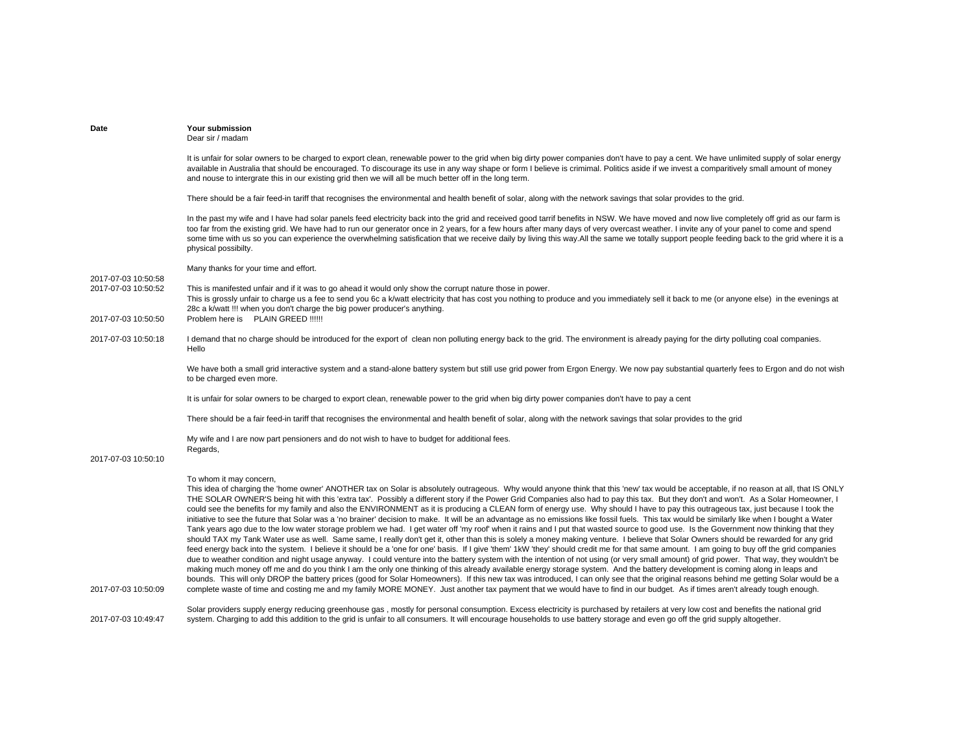| Date                                       | Your submission<br>Dear sir / madam                                                                                                                                                                                                                                                                                                                                                                                                                                                                                                                                                                                                                                                                                                                                                                                                                                                                                                                                                                                                                                                                                                                                                                                                                                                                                                                                                                                                                                                                                                                                                                                                                                                                                                                                                                                                                                                                                                                                                                                                                                                                                                            |
|--------------------------------------------|------------------------------------------------------------------------------------------------------------------------------------------------------------------------------------------------------------------------------------------------------------------------------------------------------------------------------------------------------------------------------------------------------------------------------------------------------------------------------------------------------------------------------------------------------------------------------------------------------------------------------------------------------------------------------------------------------------------------------------------------------------------------------------------------------------------------------------------------------------------------------------------------------------------------------------------------------------------------------------------------------------------------------------------------------------------------------------------------------------------------------------------------------------------------------------------------------------------------------------------------------------------------------------------------------------------------------------------------------------------------------------------------------------------------------------------------------------------------------------------------------------------------------------------------------------------------------------------------------------------------------------------------------------------------------------------------------------------------------------------------------------------------------------------------------------------------------------------------------------------------------------------------------------------------------------------------------------------------------------------------------------------------------------------------------------------------------------------------------------------------------------------------|
|                                            | It is unfair for solar owners to be charged to export clean, renewable power to the grid when big dirty power companies don't have to pay a cent. We have unlimited supply of solar energy<br>available in Australia that should be encouraged. To discourage its use in any way shape or form I believe is crimimal. Politics aside if we invest a comparitively small amount of money<br>and nouse to intergrate this in our existing grid then we will all be much better off in the long term.                                                                                                                                                                                                                                                                                                                                                                                                                                                                                                                                                                                                                                                                                                                                                                                                                                                                                                                                                                                                                                                                                                                                                                                                                                                                                                                                                                                                                                                                                                                                                                                                                                             |
|                                            | There should be a fair feed-in tariff that recognises the environmental and health benefit of solar, along with the network savings that solar provides to the grid.                                                                                                                                                                                                                                                                                                                                                                                                                                                                                                                                                                                                                                                                                                                                                                                                                                                                                                                                                                                                                                                                                                                                                                                                                                                                                                                                                                                                                                                                                                                                                                                                                                                                                                                                                                                                                                                                                                                                                                           |
|                                            | In the past my wife and I have had solar panels feed electricity back into the grid and received good tarrif benefits in NSW. We have moved and now live completely off grid as our farm is<br>too far from the existing grid. We have had to run our generator once in 2 years, for a few hours after many days of very overcast weather. I invite any of your panel to come and spend<br>some time with us so you can experience the overwhelming satisfication that we receive daily by living this way.All the same we totally support people feeding back to the grid where it is a<br>physical possibilty.                                                                                                                                                                                                                                                                                                                                                                                                                                                                                                                                                                                                                                                                                                                                                                                                                                                                                                                                                                                                                                                                                                                                                                                                                                                                                                                                                                                                                                                                                                                               |
|                                            | Many thanks for your time and effort.                                                                                                                                                                                                                                                                                                                                                                                                                                                                                                                                                                                                                                                                                                                                                                                                                                                                                                                                                                                                                                                                                                                                                                                                                                                                                                                                                                                                                                                                                                                                                                                                                                                                                                                                                                                                                                                                                                                                                                                                                                                                                                          |
| 2017-07-03 10:50:58<br>2017-07-03 10:50:52 | This is manifested unfair and if it was to go ahead it would only show the corrupt nature those in power.<br>This is grossly unfair to charge us a fee to send you 6c a k/watt electricity that has cost you nothing to produce and you immediately sell it back to me (or anyone else) in the evenings at<br>28c a k/watt !!! when you don't charge the big power producer's anything.                                                                                                                                                                                                                                                                                                                                                                                                                                                                                                                                                                                                                                                                                                                                                                                                                                                                                                                                                                                                                                                                                                                                                                                                                                                                                                                                                                                                                                                                                                                                                                                                                                                                                                                                                        |
| 2017-07-03 10:50:50                        | Problem here is PLAIN GREED !!!!!!                                                                                                                                                                                                                                                                                                                                                                                                                                                                                                                                                                                                                                                                                                                                                                                                                                                                                                                                                                                                                                                                                                                                                                                                                                                                                                                                                                                                                                                                                                                                                                                                                                                                                                                                                                                                                                                                                                                                                                                                                                                                                                             |
| 2017-07-03 10:50:18                        | I demand that no charge should be introduced for the export of clean non polluting energy back to the grid. The environment is already paying for the dirty polluting coal companies.<br>Hello                                                                                                                                                                                                                                                                                                                                                                                                                                                                                                                                                                                                                                                                                                                                                                                                                                                                                                                                                                                                                                                                                                                                                                                                                                                                                                                                                                                                                                                                                                                                                                                                                                                                                                                                                                                                                                                                                                                                                 |
|                                            | We have both a small grid interactive system and a stand-alone battery system but still use grid power from Ergon Energy. We now pay substantial quarterly fees to Ergon and do not wish<br>to be charged even more.                                                                                                                                                                                                                                                                                                                                                                                                                                                                                                                                                                                                                                                                                                                                                                                                                                                                                                                                                                                                                                                                                                                                                                                                                                                                                                                                                                                                                                                                                                                                                                                                                                                                                                                                                                                                                                                                                                                           |
|                                            | It is unfair for solar owners to be charged to export clean, renewable power to the grid when big dirty power companies don't have to pay a cent                                                                                                                                                                                                                                                                                                                                                                                                                                                                                                                                                                                                                                                                                                                                                                                                                                                                                                                                                                                                                                                                                                                                                                                                                                                                                                                                                                                                                                                                                                                                                                                                                                                                                                                                                                                                                                                                                                                                                                                               |
|                                            | There should be a fair feed-in tariff that recognises the environmental and health benefit of solar, along with the network savings that solar provides to the grid                                                                                                                                                                                                                                                                                                                                                                                                                                                                                                                                                                                                                                                                                                                                                                                                                                                                                                                                                                                                                                                                                                                                                                                                                                                                                                                                                                                                                                                                                                                                                                                                                                                                                                                                                                                                                                                                                                                                                                            |
|                                            | My wife and I are now part pensioners and do not wish to have to budget for additional fees.<br>Regards,                                                                                                                                                                                                                                                                                                                                                                                                                                                                                                                                                                                                                                                                                                                                                                                                                                                                                                                                                                                                                                                                                                                                                                                                                                                                                                                                                                                                                                                                                                                                                                                                                                                                                                                                                                                                                                                                                                                                                                                                                                       |
| 2017-07-03 10:50:10                        |                                                                                                                                                                                                                                                                                                                                                                                                                                                                                                                                                                                                                                                                                                                                                                                                                                                                                                                                                                                                                                                                                                                                                                                                                                                                                                                                                                                                                                                                                                                                                                                                                                                                                                                                                                                                                                                                                                                                                                                                                                                                                                                                                |
| 2017-07-03 10:50:09                        | To whom it may concern,<br>This idea of charging the 'home owner' ANOTHER tax on Solar is absolutely outrageous. Why would anyone think that this 'new' tax would be acceptable, if no reason at all, that IS ONLY<br>THE SOLAR OWNER'S being hit with this 'extra tax'. Possibly a different story if the Power Grid Companies also had to pay this tax. But they don't and won't. As a Solar Homeowner, I<br>could see the benefits for my family and also the ENVIRONMENT as it is producing a CLEAN form of energy use. Why should I have to pay this outrageous tax, just because I took the<br>initiative to see the future that Solar was a 'no brainer' decision to make. It will be an advantage as no emissions like fossil fuels. This tax would be similarly like when I bought a Water<br>Tank years ago due to the low water storage problem we had. I get water off 'my roof' when it rains and I put that wasted source to good use. Is the Government now thinking that they<br>should TAX my Tank Water use as well. Same same, I really don't get it, other than this is solely a money making venture. I believe that Solar Owners should be rewarded for any grid<br>feed energy back into the system. I believe it should be a 'one for one' basis. If I give 'them' 1kW 'they' should credit me for that same amount. I am going to buy off the grid companies<br>due to weather condition and night usage anyway. I could venture into the battery system with the intention of not using (or very small amount) of grid power. That way, they wouldn't be<br>making much money off me and do you think I am the only one thinking of this already available energy storage system. And the battery development is coming along in leaps and<br>bounds. This will only DROP the battery prices (good for Solar Homeowners). If this new tax was introduced, I can only see that the original reasons behind me getting Solar would be a<br>complete waste of time and costing me and my family MORE MONEY. Just another tax payment that we would have to find in our budget. As if times aren't already tough enough. |
| 2017-07-03 10:49:47                        | Solar providers supply energy reducing greenhouse gas, mostly for personal consumption. Excess electricity is purchased by retailers at very low cost and benefits the national grid<br>system. Charging to add this addition to the grid is unfair to all consumers. It will encourage households to use battery storage and even go off the grid supply altogether.                                                                                                                                                                                                                                                                                                                                                                                                                                                                                                                                                                                                                                                                                                                                                                                                                                                                                                                                                                                                                                                                                                                                                                                                                                                                                                                                                                                                                                                                                                                                                                                                                                                                                                                                                                          |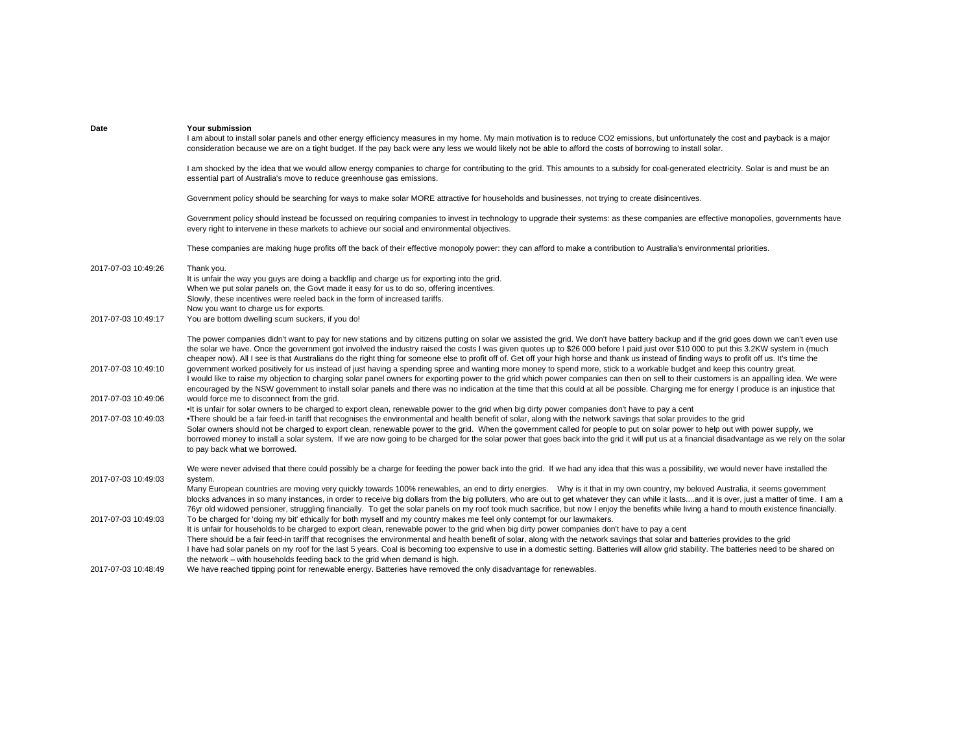| Date                | Your submission<br>I am about to install solar panels and other energy efficiency measures in my home. My main motivation is to reduce CO2 emissions, but unfortunately the cost and payback is a major<br>consideration because we are on a tight budget. If the pay back were any less we would likely not be able to afford the costs of borrowing to install solar.                                                                                                                                                                                                                                                                                                                                                                                          |
|---------------------|------------------------------------------------------------------------------------------------------------------------------------------------------------------------------------------------------------------------------------------------------------------------------------------------------------------------------------------------------------------------------------------------------------------------------------------------------------------------------------------------------------------------------------------------------------------------------------------------------------------------------------------------------------------------------------------------------------------------------------------------------------------|
|                     | I am shocked by the idea that we would allow energy companies to charge for contributing to the grid. This amounts to a subsidy for coal-generated electricity. Solar is and must be an<br>essential part of Australia's move to reduce greenhouse gas emissions.                                                                                                                                                                                                                                                                                                                                                                                                                                                                                                |
|                     | Government policy should be searching for ways to make solar MORE attractive for households and businesses, not trying to create disincentives.                                                                                                                                                                                                                                                                                                                                                                                                                                                                                                                                                                                                                  |
|                     | Government policy should instead be focussed on requiring companies to invest in technology to upgrade their systems: as these companies are effective monopolies, governments have<br>every right to intervene in these markets to achieve our social and environmental objectives.                                                                                                                                                                                                                                                                                                                                                                                                                                                                             |
|                     | These companies are making huge profits off the back of their effective monopoly power: they can afford to make a contribution to Australia's environmental priorities.                                                                                                                                                                                                                                                                                                                                                                                                                                                                                                                                                                                          |
| 2017-07-03 10:49:26 | Thank you.<br>It is unfair the way you guys are doing a backflip and charge us for exporting into the grid.<br>When we put solar panels on, the Govt made it easy for us to do so, offering incentives.<br>Slowly, these incentives were reeled back in the form of increased tariffs.<br>Now you want to charge us for exports.                                                                                                                                                                                                                                                                                                                                                                                                                                 |
| 2017-07-03 10:49:17 | You are bottom dwelling scum suckers, if you do!                                                                                                                                                                                                                                                                                                                                                                                                                                                                                                                                                                                                                                                                                                                 |
| 2017-07-03 10:49:10 | The power companies didn't want to pay for new stations and by citizens putting on solar we assisted the grid. We don't have battery backup and if the grid goes down we can't even use<br>the solar we have. Once the government got involved the industry raised the costs I was given quotes up to \$26 000 before I paid just over \$10 000 to put this 3.2KW system in (much<br>cheaper now). All I see is that Australians do the right thing for someone else to profit off of. Get off your high horse and thank us instead of finding ways to profit off us. It's time the<br>government worked positively for us instead of just having a spending spree and wanting more money to spend more, stick to a workable budget and keep this country great. |
|                     | I would like to raise my objection to charging solar panel owners for exporting power to the grid which power companies can then on sell to their customers is an appalling idea. We were<br>encouraged by the NSW government to install solar panels and there was no indication at the time that this could at all be possible. Charging me for energy I produce is an injustice that                                                                                                                                                                                                                                                                                                                                                                          |
| 2017-07-03 10:49:06 | would force me to disconnect from the grid.<br>It is unfair for solar owners to be charged to export clean, renewable power to the grid when big dirty power companies don't have to pay a cent                                                                                                                                                                                                                                                                                                                                                                                                                                                                                                                                                                  |
| 2017-07-03 10:49:03 | . There should be a fair feed-in tariff that recognises the environmental and health benefit of solar, along with the network savings that solar provides to the grid<br>Solar owners should not be charged to export clean, renewable power to the grid. When the government called for people to put on solar power to help out with power supply, we<br>borrowed money to install a solar system. If we are now going to be charged for the solar power that goes back into the grid it will put us at a financial disadvantage as we rely on the solar<br>to pay back what we borrowed.                                                                                                                                                                      |
|                     | We were never advised that there could possibly be a charge for feeding the power back into the grid. If we had any idea that this was a possibility, we would never have installed the                                                                                                                                                                                                                                                                                                                                                                                                                                                                                                                                                                          |
| 2017-07-03 10:49:03 | system.<br>Many European countries are moving very quickly towards 100% renewables, an end to dirty energies. Why is it that in my own country, my beloved Australia, it seems government<br>blocks advances in so many instances, in order to receive big dollars from the big polluters, who are out to get whatever they can while it lastsand it is over, just a matter of time. I am a<br>76yr old widowed pensioner, struggling financially. To get the solar panels on my roof took much sacrifice, but now I enjoy the benefits while living a hand to mouth existence financially.                                                                                                                                                                      |
| 2017-07-03 10:49:03 | To be charged for 'doing my bit' ethically for both myself and my country makes me feel only contempt for our lawmakers.<br>It is unfair for households to be charged to export clean, renewable power to the grid when big dirty power companies don't have to pay a cent<br>There should be a fair feed-in tariff that recognises the environmental and health benefit of solar, along with the network savings that solar and batteries provides to the grid<br>I have had solar panels on my roof for the last 5 years. Coal is becoming too expensive to use in a domestic setting. Batteries will allow grid stability. The batteries need to be shared on<br>the network – with households feeding back to the grid when demand is high.                  |
| 2017-07-03 10:48:49 | We have reached tipping point for renewable energy. Batteries have removed the only disadvantage for renewables.                                                                                                                                                                                                                                                                                                                                                                                                                                                                                                                                                                                                                                                 |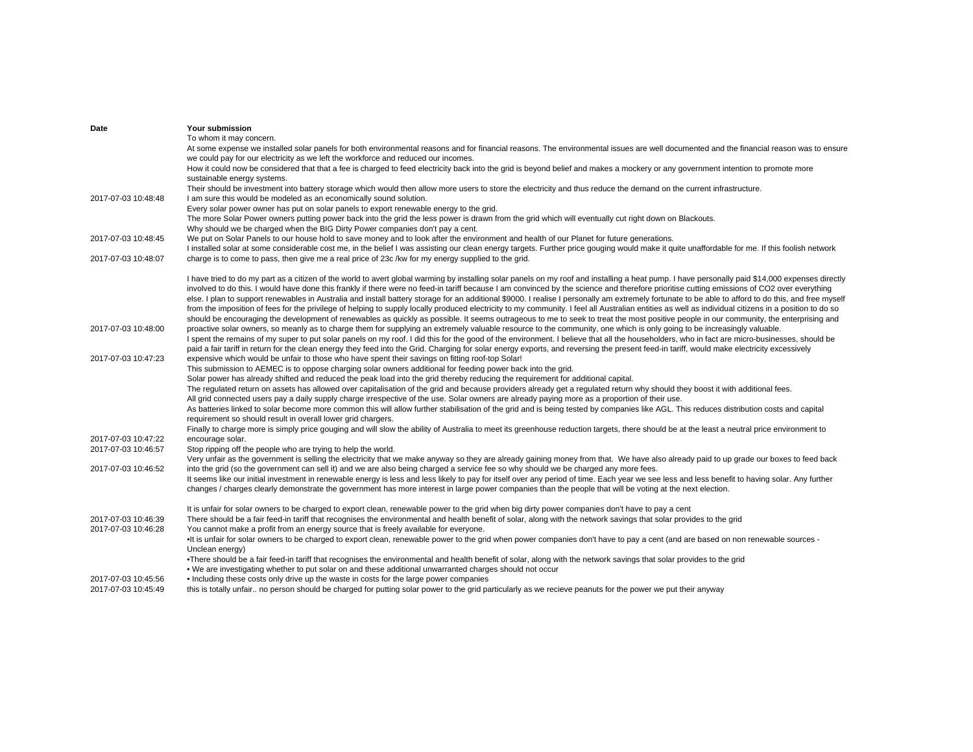| Date                | Your submission                                                                                                                                                                                                                                                                                                                  |
|---------------------|----------------------------------------------------------------------------------------------------------------------------------------------------------------------------------------------------------------------------------------------------------------------------------------------------------------------------------|
|                     | To whom it may concern.                                                                                                                                                                                                                                                                                                          |
|                     | At some expense we installed solar panels for both environmental reasons and for financial reasons. The environmental issues are well documented and the financial reason was to ensure                                                                                                                                          |
|                     | we could pay for our electricity as we left the workforce and reduced our incomes.<br>How it could now be considered that that a fee is charged to feed electricity back into the grid is beyond belief and makes a mockery or any government intention to promote more                                                          |
|                     | sustainable energy systems.                                                                                                                                                                                                                                                                                                      |
|                     | Their should be investment into battery storage which would then allow more users to store the electricity and thus reduce the demand on the current infrastructure.                                                                                                                                                             |
| 2017-07-03 10:48:48 | I am sure this would be modeled as an economically sound solution.                                                                                                                                                                                                                                                               |
|                     | Every solar power owner has put on solar panels to export renewable energy to the grid.                                                                                                                                                                                                                                          |
|                     | The more Solar Power owners putting power back into the grid the less power is drawn from the grid which will eventually cut right down on Blackouts.                                                                                                                                                                            |
|                     | Why should we be charged when the BIG Dirty Power companies don't pay a cent.                                                                                                                                                                                                                                                    |
| 2017-07-03 10:48:45 | We put on Solar Panels to our house hold to save money and to look after the environment and health of our Planet for future generations.                                                                                                                                                                                        |
|                     | I installed solar at some considerable cost me, in the belief I was assisting our clean energy targets. Further price gouging would make it quite unaffordable for me. If this foolish network                                                                                                                                   |
| 2017-07-03 10:48:07 | charge is to come to pass, then give me a real price of 23c /kw for my energy supplied to the grid.                                                                                                                                                                                                                              |
|                     | I have tried to do my part as a citizen of the world to avert global warming by installing solar panels on my roof and installing a heat pump. I have personally paid \$14,000 expenses directly                                                                                                                                 |
|                     | involved to do this. I would have done this frankly if there were no feed-in tariff because I am convinced by the science and therefore prioritise cutting emissions of CO2 over everything                                                                                                                                      |
|                     | else. I plan to support renewables in Australia and install battery storage for an additional \$9000. I realise I personally am extremely fortunate to be able to afford to do this, and free myself                                                                                                                             |
|                     | from the imposition of fees for the privilege of helping to supply locally produced electricity to my community. I feel all Australian entities as well as individual citizens in a position to do so                                                                                                                            |
|                     | should be encouraging the development of renewables as quickly as possible. It seems outrageous to me to seek to treat the most positive people in our community, the enterprising and                                                                                                                                           |
| 2017-07-03 10:48:00 | proactive solar owners, so meanly as to charge them for supplying an extremely valuable resource to the community, one which is only going to be increasingly valuable.                                                                                                                                                          |
|                     | I spent the remains of my super to put solar panels on my roof. I did this for the good of the environment. I believe that all the householders, who in fact are micro-businesses, should be                                                                                                                                     |
|                     | paid a fair tariff in return for the clean energy they feed into the Grid. Charging for solar energy exports, and reversing the present feed-in tariff, would make electricity excessively                                                                                                                                       |
| 2017-07-03 10:47:23 | expensive which would be unfair to those who have spent their savings on fitting roof-top Solar!                                                                                                                                                                                                                                 |
|                     | This submission to AEMEC is to oppose charging solar owners additional for feeding power back into the grid.                                                                                                                                                                                                                     |
|                     | Solar power has already shifted and reduced the peak load into the grid thereby reducing the requirement for additional capital.                                                                                                                                                                                                 |
|                     | The regulated return on assets has allowed over capitalisation of the grid and because providers already get a regulated return why should they boost it with additional fees.<br>All grid connected users pay a daily supply charge irrespective of the use. Solar owners are already paying more as a proportion of their use. |
|                     | As batteries linked to solar become more common this will allow further stabilisation of the grid and is being tested by companies like AGL. This reduces distribution costs and capital                                                                                                                                         |
|                     | requirement so should result in overall lower grid chargers.                                                                                                                                                                                                                                                                     |
|                     | Finally to charge more is simply price gouging and will slow the ability of Australia to meet its greenhouse reduction targets, there should be at the least a neutral price environment to                                                                                                                                      |
| 2017-07-03 10:47:22 | encourage solar.                                                                                                                                                                                                                                                                                                                 |
| 2017-07-03 10:46:57 | Stop ripping off the people who are trying to help the world.                                                                                                                                                                                                                                                                    |
|                     | Very unfair as the government is selling the electricity that we make anyway so they are already gaining money from that. We have also already paid to up grade our boxes to feed back                                                                                                                                           |
| 2017-07-03 10:46:52 | into the grid (so the government can sell it) and we are also being charged a service fee so why should we be charged any more fees.                                                                                                                                                                                             |
|                     | It seems like our initial investment in renewable energy is less and less likely to pay for itself over any period of time. Each year we see less and less benefit to having solar. Any further                                                                                                                                  |
|                     | changes / charges clearly demonstrate the government has more interest in large power companies than the people that will be voting at the next election.                                                                                                                                                                        |
|                     | It is unfair for solar owners to be charged to export clean, renewable power to the grid when big dirty power companies don't have to pay a cent                                                                                                                                                                                 |
| 2017-07-03 10:46:39 | There should be a fair feed-in tariff that recognises the environmental and health benefit of solar, along with the network savings that solar provides to the grid                                                                                                                                                              |
| 2017-07-03 10:46:28 | You cannot make a profit from an energy source that is freely available for everyone.                                                                                                                                                                                                                                            |
|                     | •It is unfair for solar owners to be charged to export clean, renewable power to the grid when power companies don't have to pay a cent (and are based on non renewable sources -                                                                                                                                                |
|                     | Unclean energy)                                                                                                                                                                                                                                                                                                                  |
|                     | . There should be a fair feed-in tariff that recognises the environmental and health benefit of solar, along with the network savings that solar provides to the grid                                                                                                                                                            |
|                     | . We are investigating whether to put solar on and these additional unwarranted charges should not occur                                                                                                                                                                                                                         |
| 2017-07-03 10:45:56 | • Including these costs only drive up the waste in costs for the large power companies                                                                                                                                                                                                                                           |
| 2017-07-03 10:45:49 | this is totally unfair no person should be charged for putting solar power to the grid particularly as we recieve peanuts for the power we put their anyway                                                                                                                                                                      |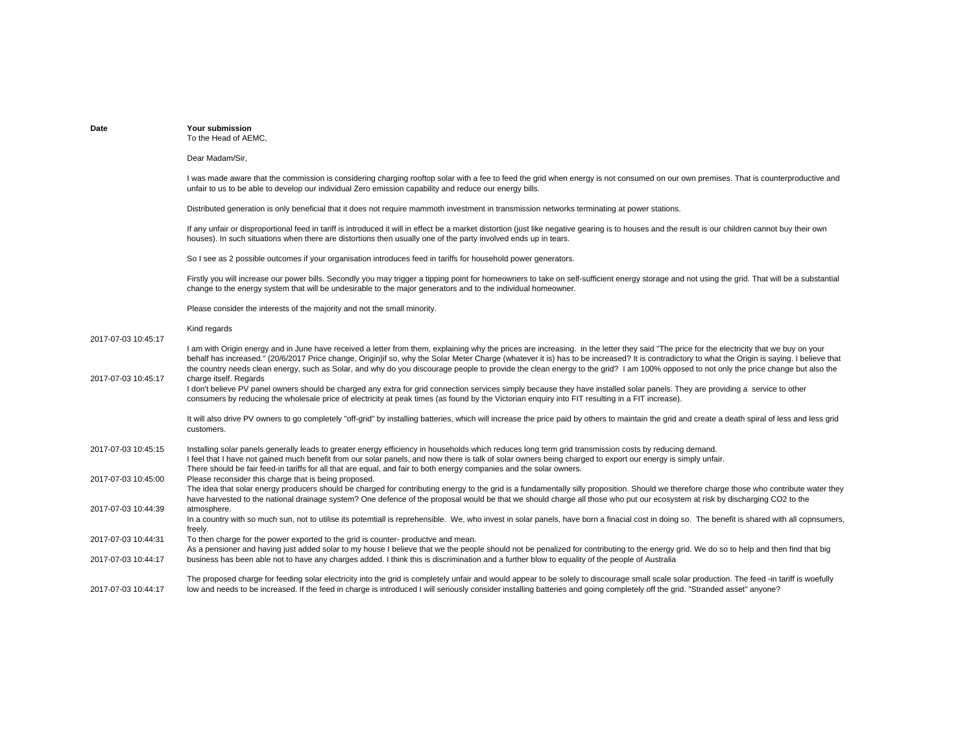| Date                | Your submission<br>To the Head of AEMC.                                                                                                                                                                                                                                                                                                                                                                                                                                                                                                                                               |
|---------------------|---------------------------------------------------------------------------------------------------------------------------------------------------------------------------------------------------------------------------------------------------------------------------------------------------------------------------------------------------------------------------------------------------------------------------------------------------------------------------------------------------------------------------------------------------------------------------------------|
|                     | Dear Madam/Sir,                                                                                                                                                                                                                                                                                                                                                                                                                                                                                                                                                                       |
|                     | I was made aware that the commission is considering charging rooftop solar with a fee to feed the grid when energy is not consumed on our own premises. That is counterproductive and<br>unfair to us to be able to develop our individual Zero emission capability and reduce our energy bills.                                                                                                                                                                                                                                                                                      |
|                     | Distributed generation is only beneficial that it does not require mammoth investment in transmission networks terminating at power stations.                                                                                                                                                                                                                                                                                                                                                                                                                                         |
|                     | If any unfair or disproportional feed in tariff is introduced it will in effect be a market distortion (just like negative gearing is to houses and the result is our children cannot buy their own<br>houses). In such situations when there are distortions then usually one of the party involved ends up in tears.                                                                                                                                                                                                                                                                |
|                     | So I see as 2 possible outcomes if your organisation introduces feed in tariffs for household power generators.                                                                                                                                                                                                                                                                                                                                                                                                                                                                       |
|                     | Firstly you will increase our power bills. Secondly you may trigger a tipping point for homeowners to take on self-sufficient energy storage and not using the grid. That will be a substantial<br>change to the energy system that will be undesirable to the major generators and to the individual homeowner.                                                                                                                                                                                                                                                                      |
|                     | Please consider the interests of the majority and not the small minority.                                                                                                                                                                                                                                                                                                                                                                                                                                                                                                             |
| 2017-07-03 10:45:17 | Kind regards                                                                                                                                                                                                                                                                                                                                                                                                                                                                                                                                                                          |
|                     | I am with Origin energy and in June have received a letter from them, explaining why the prices are increasing. in the letter they said "The price for the electricity that we buy on your<br>behalf has increased." (20/6/2017 Price change, Origin)if so, why the Solar Meter Charge (whatever it is) has to be increased? It is contradictory to what the Origin is saying. I believe that<br>the country needs clean energy, such as Solar, and why do you discourage people to provide the clean energy to the grid? I am 100% opposed to not only the price change but also the |
| 2017-07-03 10:45:17 | charge itself. Regards<br>I don't believe PV panel owners should be charged any extra for grid connection services simply because they have installed solar panels. They are providing a service to other<br>consumers by reducing the wholesale price of electricity at peak times (as found by the Victorian enguiry into FIT resulting in a FIT increase).                                                                                                                                                                                                                         |
|                     | It will also drive PV owners to go completely "off-grid" by installing batteries, which will increase the price paid by others to maintain the grid and create a death spiral of less and less grid<br>customers.                                                                                                                                                                                                                                                                                                                                                                     |
| 2017-07-03 10:45:15 | Installing solar panels generally leads to greater energy efficiency in households which reduces long term grid transmission costs by reducing demand.<br>I feel that I have not gained much benefit from our solar panels, and now there is talk of solar owners being charged to export our energy is simply unfair.<br>There should be fair feed-in tariffs for all that are equal, and fair to both energy companies and the solar owners.                                                                                                                                        |
| 2017-07-03 10:45:00 | Please reconsider this charge that is being proposed.<br>The idea that solar energy producers should be charged for contributing energy to the grid is a fundamentally silly proposition. Should we therefore charge those who contribute water they<br>have harvested to the national drainage system? One defence of the proposal would be that we should charge all those who put our ecosystem at risk by discharging CO2 to the                                                                                                                                                  |
| 2017-07-03 10:44:39 | atmosphere.<br>In a country with so much sun, not to utilise its potemtiall is reprehensible. We, who invest in solar panels, have born a finacial cost in doing so. The benefit is shared with all copnsumers,<br>freely.                                                                                                                                                                                                                                                                                                                                                            |
| 2017-07-03 10:44:31 | To then charge for the power exported to the grid is counter- productve and mean.<br>As a pensioner and having just added solar to my house I believe that we the people should not be penalized for contributing to the energy grid. We do so to help and then find that big                                                                                                                                                                                                                                                                                                         |
| 2017-07-03 10:44:17 | business has been able not to have any charges added. I think this is discrimination and a further blow to equality of the people of Australia                                                                                                                                                                                                                                                                                                                                                                                                                                        |
| 2017-07-03 10:44:17 | The proposed charge for feeding solar electricity into the grid is completely unfair and would appear to be solely to discourage small scale solar production. The feed -in tariff is woefully<br>low and needs to be increased. If the feed in charge is introduced I will seriously consider installing batteries and going completely off the grid. "Stranded asset" anyone?                                                                                                                                                                                                       |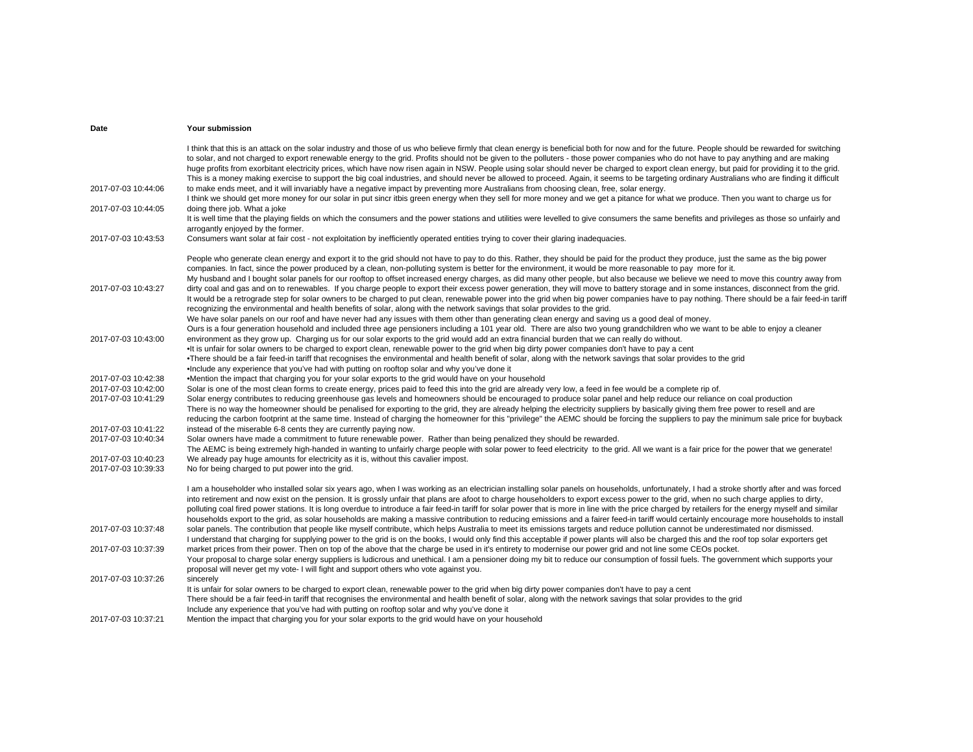|                     | I think that this is an attack on the solar industry and those of us who believe firmly that clean energy is beneficial both for now and for the future. People should be rewarded for switching<br>to solar, and not charged to export renewable energy to the grid. Profits should not be given to the polluters - those power companies who do not have to pay anything and are making<br>huge profits from exorbitant electricity prices, which have now risen again in NSW. People using solar should never be charged to export clean energy, but paid for providing it to the grid.<br>This is a money making exercise to support the big coal industries, and should never be allowed to proceed. Again, it seems to be targeting ordinary Australians who are finding it difficult |
|---------------------|---------------------------------------------------------------------------------------------------------------------------------------------------------------------------------------------------------------------------------------------------------------------------------------------------------------------------------------------------------------------------------------------------------------------------------------------------------------------------------------------------------------------------------------------------------------------------------------------------------------------------------------------------------------------------------------------------------------------------------------------------------------------------------------------|
| 2017-07-03 10:44:06 | to make ends meet, and it will invariably have a negative impact by preventing more Australians from choosing clean, free, solar energy.<br>I think we should get more money for our solar in put sincr itbis green energy when they sell for more money and we get a pitance for what we produce. Then you want to charge us for                                                                                                                                                                                                                                                                                                                                                                                                                                                           |
| 2017-07-03 10:44:05 | doing there job. What a joke<br>It is well time that the playing fields on which the consumers and the power stations and utilities were levelled to give consumers the same benefits and privileges as those so unfairly and                                                                                                                                                                                                                                                                                                                                                                                                                                                                                                                                                               |
| 2017-07-03 10:43:53 | arrogantly enjoyed by the former.<br>Consumers want solar at fair cost - not exploitation by inefficiently operated entities trying to cover their glaring inadequacies.                                                                                                                                                                                                                                                                                                                                                                                                                                                                                                                                                                                                                    |
|                     | People who generate clean energy and export it to the grid should not have to pay to do this. Rather, they should be paid for the product they produce, just the same as the big power<br>companies. In fact, since the power produced by a clean, non-polluting system is better for the environment, it would be more reasonable to pay more for it.<br>My husband and I bought solar panels for our rooftop to offset increased energy charges, as did many other people, but also because we believe we need to move this country away from                                                                                                                                                                                                                                             |
| 2017-07-03 10:43:27 | dirty coal and gas and on to renewables. If you charge people to export their excess power generation, they will move to battery storage and in some instances, disconnect from the grid.<br>It would be a retrograde step for solar owners to be charged to put clean, renewable power into the grid when big power companies have to pay nothing. There should be a fair feed-in tariff<br>recognizing the environmental and health benefits of solar, along with the network savings that solar provides to the grid.                                                                                                                                                                                                                                                                    |
| 2017-07-03 10:43:00 | We have solar panels on our roof and have never had any issues with them other than generating clean energy and saving us a good deal of money.<br>Ours is a four generation household and included three age pensioners including a 101 year old. There are also two young grandchildren who we want to be able to enjoy a cleaner<br>environment as they grow up. Charging us for our solar exports to the grid would add an extra financial burden that we can really do without.                                                                                                                                                                                                                                                                                                        |
|                     | . It is unfair for solar owners to be charged to export clean, renewable power to the grid when big dirty power companies don't have to pay a cent<br>. There should be a fair feed-in tariff that recognises the environmental and health benefit of solar, along with the network savings that solar provides to the grid                                                                                                                                                                                                                                                                                                                                                                                                                                                                 |
|                     | •Include any experience that you've had with putting on rooftop solar and why you've done it                                                                                                                                                                                                                                                                                                                                                                                                                                                                                                                                                                                                                                                                                                |
| 2017-07-03 10:42:38 | •Mention the impact that charging you for your solar exports to the grid would have on your household                                                                                                                                                                                                                                                                                                                                                                                                                                                                                                                                                                                                                                                                                       |
| 2017-07-03 10:42:00 | Solar is one of the most clean forms to create energy, prices paid to feed this into the grid are already very low, a feed in fee would be a complete rip of.                                                                                                                                                                                                                                                                                                                                                                                                                                                                                                                                                                                                                               |
| 2017-07-03 10:41:29 | Solar energy contributes to reducing greenhouse gas levels and homeowners should be encouraged to produce solar panel and help reduce our reliance on coal production<br>There is no way the homeowner should be penalised for exporting to the grid, they are already helping the electricity suppliers by basically giving them free power to resell and are<br>reducing the carbon footprint at the same time. Instead of charging the homeowner for this "privilege" the AEMC should be forcing the suppliers to pay the minimum sale price for buyback                                                                                                                                                                                                                                 |
| 2017-07-03 10:41:22 | instead of the miserable 6-8 cents they are currently paying now.                                                                                                                                                                                                                                                                                                                                                                                                                                                                                                                                                                                                                                                                                                                           |
| 2017-07-03 10:40:34 | Solar owners have made a commitment to future renewable power. Rather than being penalized they should be rewarded.<br>The AEMC is being extremely high-handed in wanting to unfairly charge people with solar power to feed electricity to the grid. All we want is a fair price for the power that we generate!                                                                                                                                                                                                                                                                                                                                                                                                                                                                           |
| 2017-07-03 10:40:23 | We already pay huge amounts for electricity as it is, without this cavalier impost.                                                                                                                                                                                                                                                                                                                                                                                                                                                                                                                                                                                                                                                                                                         |
| 2017-07-03 10:39:33 | No for being charged to put power into the grid.                                                                                                                                                                                                                                                                                                                                                                                                                                                                                                                                                                                                                                                                                                                                            |
|                     | I am a householder who installed solar six years ago, when I was working as an electrician installing solar panels on households, unfortunately, I had a stroke shortly after and was forced<br>into retirement and now exist on the pension. It is grossly unfair that plans are afoot to charge householders to export excess power to the grid, when no such charge applies to dirty,                                                                                                                                                                                                                                                                                                                                                                                                    |
|                     | polluting coal fired power stations. It is long overdue to introduce a fair feed-in tariff for solar power that is more in line with the price charged by retailers for the energy myself and similar                                                                                                                                                                                                                                                                                                                                                                                                                                                                                                                                                                                       |
|                     | households export to the grid, as solar households are making a massive contribution to reducing emissions and a fairer feed-in tariff would certainly encourage more households to install                                                                                                                                                                                                                                                                                                                                                                                                                                                                                                                                                                                                 |
| 2017-07-03 10:37:48 | solar panels. The contribution that people like myself contribute, which helps Australia to meet its emissions targets and reduce pollution cannot be underestimated nor dismissed.<br>I understand that charging for supplying power to the grid is on the books, I would only find this acceptable if power plants will also be charged this and the roof top solar exporters get                                                                                                                                                                                                                                                                                                                                                                                                         |
| 2017-07-03 10:37:39 | market prices from their power. Then on top of the above that the charge be used in it's entirety to modernise our power grid and not line some CEOs pocket.<br>Your proposal to charge solar energy suppliers is ludicrous and unethical. I am a pensioner doing my bit to reduce our consumption of fossil fuels. The government which supports your                                                                                                                                                                                                                                                                                                                                                                                                                                      |
| 2017-07-03 10:37:26 | proposal will never get my vote- I will fight and support others who vote against you.                                                                                                                                                                                                                                                                                                                                                                                                                                                                                                                                                                                                                                                                                                      |
|                     | sincerely<br>It is unfair for solar owners to be charged to export clean, renewable power to the grid when big dirty power companies don't have to pay a cent                                                                                                                                                                                                                                                                                                                                                                                                                                                                                                                                                                                                                               |
|                     | There should be a fair feed-in tariff that recognises the environmental and health benefit of solar, along with the network savings that solar provides to the grid                                                                                                                                                                                                                                                                                                                                                                                                                                                                                                                                                                                                                         |
|                     | Include any experience that you've had with putting on rooftop solar and why you've done it                                                                                                                                                                                                                                                                                                                                                                                                                                                                                                                                                                                                                                                                                                 |
| 2017-07-03 10:37:21 | Mention the impact that charging you for your solar exports to the grid would have on your household                                                                                                                                                                                                                                                                                                                                                                                                                                                                                                                                                                                                                                                                                        |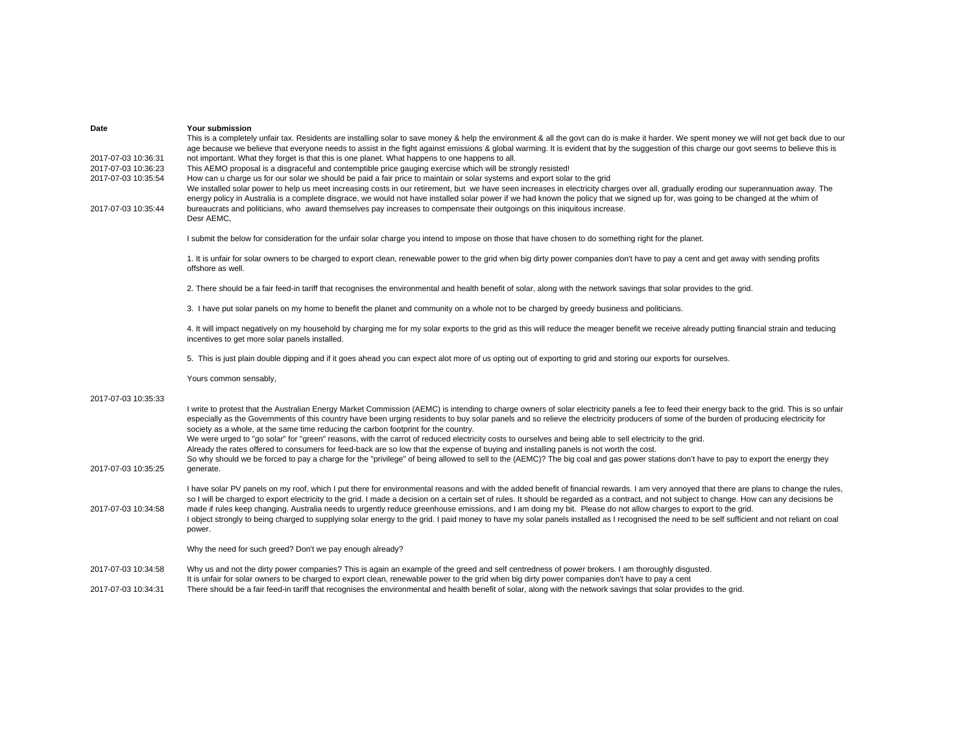| Date                | Your submission                                                                                                                                                                                                                                                                                                                                                                                                                                                                    |
|---------------------|------------------------------------------------------------------------------------------------------------------------------------------------------------------------------------------------------------------------------------------------------------------------------------------------------------------------------------------------------------------------------------------------------------------------------------------------------------------------------------|
|                     | This is a completely unfair tax. Residents are installing solar to save money & help the environment & all the govt can do is make it harder. We spent money we will not get back due to our<br>age because we believe that everyone needs to assist in the fight against emissions & global warming. It is evident that by the suggestion of this charge our govt seems to believe this is                                                                                        |
| 2017-07-03 10:36:31 | not important. What they forget is that this is one planet. What happens to one happens to all.                                                                                                                                                                                                                                                                                                                                                                                    |
| 2017-07-03 10:36:23 | This AEMO proposal is a disgraceful and contemptible price gauging exercise which will be strongly resisted!                                                                                                                                                                                                                                                                                                                                                                       |
| 2017-07-03 10:35:54 | How can u charge us for our solar we should be paid a fair price to maintain or solar systems and export solar to the grid                                                                                                                                                                                                                                                                                                                                                         |
|                     | We installed solar power to help us meet increasing costs in our retirement, but we have seen increases in electricity charges over all, gradually eroding our superannuation away. The                                                                                                                                                                                                                                                                                            |
| 2017-07-03 10:35:44 | energy policy in Australia is a complete disgrace, we would not have installed solar power if we had known the policy that we signed up for, was going to be changed at the whim of<br>bureaucrats and politicians, who award themselves pay increases to compensate their outgoings on this iniquitous increase.                                                                                                                                                                  |
|                     | Desr AEMC,                                                                                                                                                                                                                                                                                                                                                                                                                                                                         |
|                     |                                                                                                                                                                                                                                                                                                                                                                                                                                                                                    |
|                     | I submit the below for consideration for the unfair solar charge you intend to impose on those that have chosen to do something right for the planet.                                                                                                                                                                                                                                                                                                                              |
|                     | 1. It is unfair for solar owners to be charged to export clean, renewable power to the grid when big dirty power companies don't have to pay a cent and get away with sending profits<br>offshore as well.                                                                                                                                                                                                                                                                         |
|                     | 2. There should be a fair feed-in tariff that recognises the environmental and health benefit of solar, along with the network savings that solar provides to the grid.                                                                                                                                                                                                                                                                                                            |
|                     | 3. I have put solar panels on my home to benefit the planet and community on a whole not to be charged by greedy business and politicians.                                                                                                                                                                                                                                                                                                                                         |
|                     | 4. It will impact negatively on my household by charging me for my solar exports to the grid as this will reduce the meager benefit we receive already putting financial strain and teducing<br>incentives to get more solar panels installed.                                                                                                                                                                                                                                     |
|                     | 5. This is just plain double dipping and if it goes ahead you can expect alot more of us opting out of exporting to grid and storing our exports for ourselves.                                                                                                                                                                                                                                                                                                                    |
|                     | Yours common sensably,                                                                                                                                                                                                                                                                                                                                                                                                                                                             |
| 2017-07-03 10:35:33 |                                                                                                                                                                                                                                                                                                                                                                                                                                                                                    |
|                     | I write to protest that the Australian Energy Market Commission (AEMC) is intending to charge owners of solar electricity panels a fee to feed their energy back to the grid. This is so unfair<br>especially as the Governments of this country have been urging residents to buy solar panels and so relieve the electricity producers of some of the burden of producing electricity for<br>society as a whole, at the same time reducing the carbon footprint for the country. |
|                     | We were urged to "go solar" for "green" reasons, with the carrot of reduced electricity costs to ourselves and being able to sell electricity to the grid.                                                                                                                                                                                                                                                                                                                         |
|                     | Already the rates offered to consumers for feed-back are so low that the expense of buying and installing panels is not worth the cost.                                                                                                                                                                                                                                                                                                                                            |
|                     | So why should we be forced to pay a charge for the "privilege" of being allowed to sell to the (AEMC)? The big coal and gas power stations don't have to pay to export the energy they                                                                                                                                                                                                                                                                                             |
| 2017-07-03 10:35:25 | generate.                                                                                                                                                                                                                                                                                                                                                                                                                                                                          |
|                     |                                                                                                                                                                                                                                                                                                                                                                                                                                                                                    |
|                     | I have solar PV panels on my roof, which I put there for environmental reasons and with the added benefit of financial rewards. I am very annoyed that there are plans to change the rules,<br>so I will be charged to export electricity to the grid. I made a decision on a certain set of rules. It should be regarded as a contract, and not subject to change. How can any decisions be                                                                                       |
| 2017-07-03 10:34:58 | made if rules keep changing. Australia needs to urgently reduce greenhouse emissions, and I am doing my bit. Please do not allow charges to export to the grid.                                                                                                                                                                                                                                                                                                                    |
|                     | I object strongly to being charged to supplying solar energy to the grid. I paid money to have my solar panels installed as I recognised the need to be self sufficient and not reliant on coal                                                                                                                                                                                                                                                                                    |
|                     | power.                                                                                                                                                                                                                                                                                                                                                                                                                                                                             |
|                     |                                                                                                                                                                                                                                                                                                                                                                                                                                                                                    |
|                     | Why the need for such greed? Don't we pay enough already?                                                                                                                                                                                                                                                                                                                                                                                                                          |
| 2017-07-03 10:34:58 | Why us and not the dirty power companies? This is again an example of the greed and self centredness of power brokers. I am thoroughly disqusted.                                                                                                                                                                                                                                                                                                                                  |
|                     | It is unfair for solar owners to be charged to export clean, renewable power to the grid when big dirty power companies don't have to pay a cent                                                                                                                                                                                                                                                                                                                                   |
| 2017-07-03 10:34:31 | There should be a fair feed-in tariff that recognises the environmental and health benefit of solar, along with the network savings that solar provides to the grid.                                                                                                                                                                                                                                                                                                               |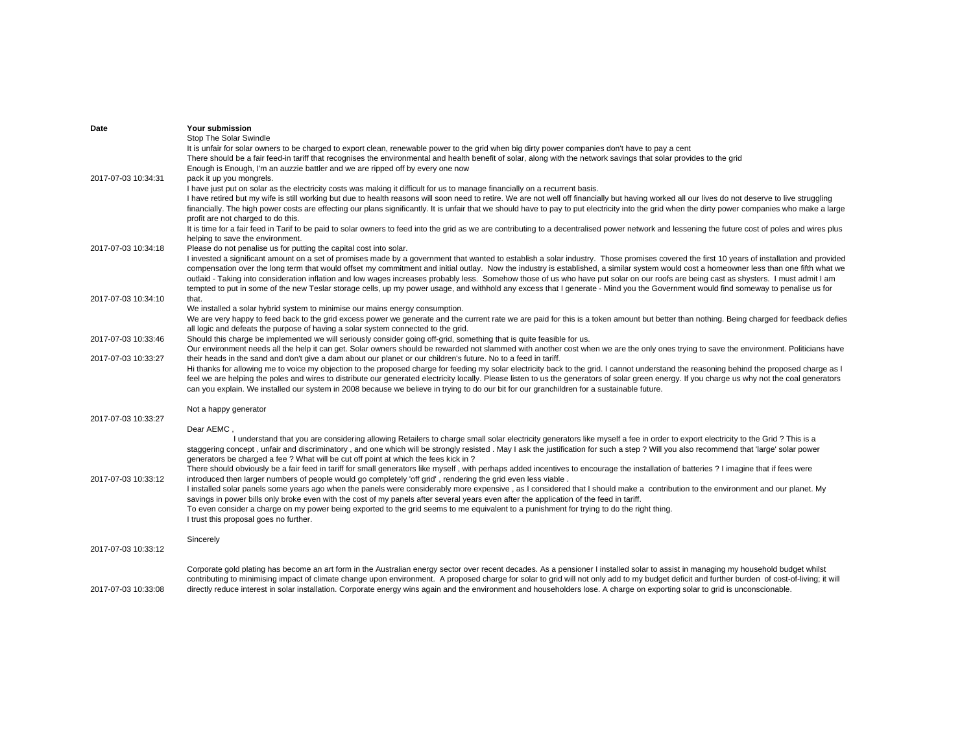| Date                | Your submission                                                                                                                                                                                    |
|---------------------|----------------------------------------------------------------------------------------------------------------------------------------------------------------------------------------------------|
|                     | Stop The Solar Swindle                                                                                                                                                                             |
|                     | It is unfair for solar owners to be charged to export clean, renewable power to the grid when big dirty power companies don't have to pay a cent                                                   |
|                     | There should be a fair feed-in tariff that recognises the environmental and health benefit of solar, along with the network savings that solar provides to the grid                                |
|                     | Enough is Enough, I'm an auzzie battler and we are ripped off by every one now                                                                                                                     |
| 2017-07-03 10:34:31 | pack it up you mongrels.                                                                                                                                                                           |
|                     |                                                                                                                                                                                                    |
|                     | I have just put on solar as the electricity costs was making it difficult for us to manage financially on a recurrent basis.                                                                       |
|                     | I have retired but my wife is still working but due to health reasons will soon need to retire. We are not well off financially but having worked all our lives do not deserve to live struggling  |
|                     | financially. The high power costs are effecting our plans significantly. It is unfair that we should have to pay to put electricity into the grid when the dirty power companies who make a large  |
|                     | profit are not charged to do this.                                                                                                                                                                 |
|                     | It is time for a fair feed in Tarif to be paid to solar owners to feed into the grid as we are contributing to a decentralised power network and lessening the future cost of poles and wires plus |
|                     | helping to save the environment.                                                                                                                                                                   |
| 2017-07-03 10:34:18 | Please do not penalise us for putting the capital cost into solar.                                                                                                                                 |
|                     | I invested a significant amount on a set of promises made by a government that wanted to establish a solar industry. Those promises covered the first 10 years of installation and provided        |
|                     | compensation over the long term that would offset my commitment and initial outlay. Now the industry is established, a similar system would cost a homeowner less than one fifth what we           |
|                     | outlaid - Taking into consideration inflation and low wages increases probably less. Somehow those of us who have put solar on our roofs are being cast as shysters. I must admit I am             |
|                     | tempted to put in some of the new Teslar storage cells, up my power usage, and withhold any excess that I generate - Mind you the Government would find someway to penalise us for                 |
| 2017-07-03 10:34:10 | that.                                                                                                                                                                                              |
|                     |                                                                                                                                                                                                    |
|                     | We installed a solar hybrid system to minimise our mains energy consumption.                                                                                                                       |
|                     | We are very happy to feed back to the grid excess power we generate and the current rate we are paid for this is a token amount but better than nothing. Being charged for feedback defies         |
|                     | all logic and defeats the purpose of having a solar system connected to the grid.                                                                                                                  |
| 2017-07-03 10:33:46 | Should this charge be implemented we will seriously consider going off-grid, something that is quite feasible for us.                                                                              |
|                     | Our environment needs all the help it can get. Solar owners should be rewarded not slammed with another cost when we are the only ones trying to save the environment. Politicians have            |
| 2017-07-03 10:33:27 | their heads in the sand and don't give a dam about our planet or our children's future. No to a feed in tariff.                                                                                    |
|                     | Hi thanks for allowing me to voice my objection to the proposed charge for feeding my solar electricity back to the grid. I cannot understand the reasoning behind the proposed charge as I        |
|                     | feel we are helping the poles and wires to distribute our generated electricity locally. Please listen to us the generators of solar green energy. If you charge us why not the coal generators    |
|                     | can you explain. We installed our system in 2008 because we believe in trying to do our bit for our granchildren for a sustainable future.                                                         |
|                     |                                                                                                                                                                                                    |
|                     | Not a happy generator                                                                                                                                                                              |
| 2017-07-03 10:33:27 |                                                                                                                                                                                                    |
|                     | Dear AEMC,                                                                                                                                                                                         |
|                     | I understand that you are considering allowing Retailers to charge small solar electricity generators like myself a fee in order to export electricity to the Grid? This is a                      |
|                     |                                                                                                                                                                                                    |
|                     | staggering concept, unfair and discriminatory, and one which will be strongly resisted . May I ask the justification for such a step ? Will you also recommend that 'large' solar power            |
|                     | generators be charged a fee? What will be cut off point at which the fees kick in?                                                                                                                 |
|                     | There should obviously be a fair feed in tariff for small generators like myself, with perhaps added incentives to encourage the installation of batteries ? I imagine that if fees were           |
| 2017-07-03 10:33:12 | introduced then larger numbers of people would go completely 'off grid', rendering the grid even less viable.                                                                                      |
|                     | I installed solar panels some years ago when the panels were considerably more expensive, as I considered that I should make a contribution to the environment and our planet. My                  |
|                     | savings in power bills only broke even with the cost of my panels after several years even after the application of the feed in tariff.                                                            |
|                     | To even consider a charge on my power being exported to the grid seems to me equivalent to a punishment for trying to do the right thing.                                                          |
|                     | I trust this proposal goes no further.                                                                                                                                                             |
|                     |                                                                                                                                                                                                    |
|                     | Sincerely                                                                                                                                                                                          |
| 2017-07-03 10:33:12 |                                                                                                                                                                                                    |
|                     |                                                                                                                                                                                                    |
|                     | Corporate gold plating has become an art form in the Australian energy sector over recent decades. As a pensioner I installed solar to assist in managing my household budget whilst               |
|                     | contributing to minimising impact of climate change upon environment. A proposed charge for solar to grid will not only add to my budget deficit and further burden of cost-of-living; it will     |
| 2017-07-03 10:33:08 | directly reduce interest in solar installation. Corporate energy wins again and the environment and householders lose. A charge on exporting solar to grid is unconscionable.                      |
|                     |                                                                                                                                                                                                    |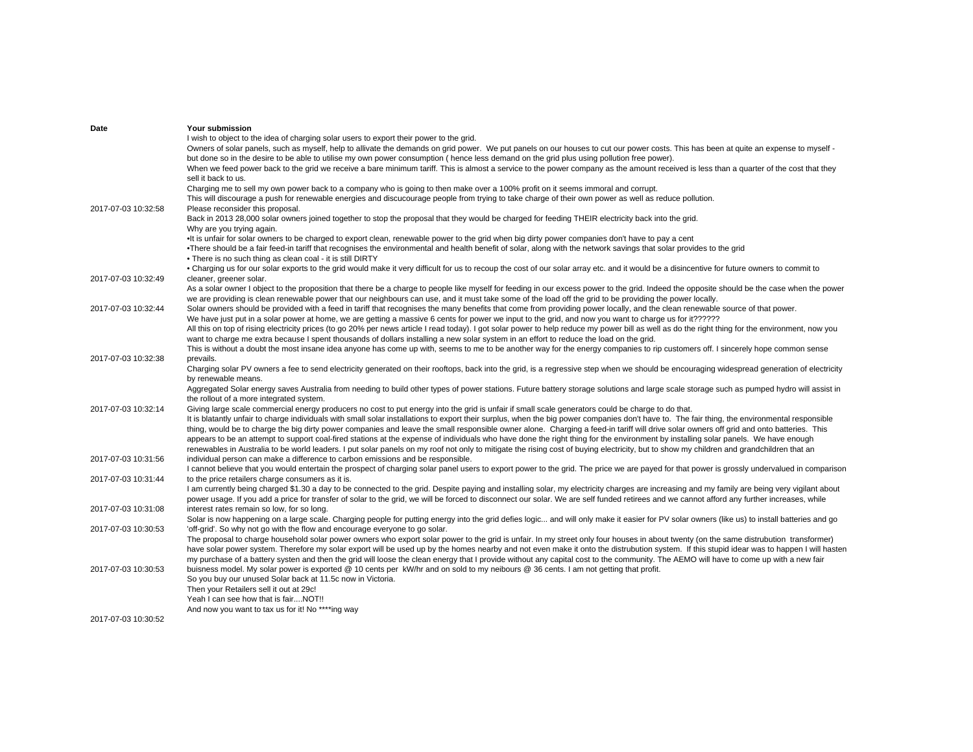| Date                | Your submission                                                                                                                                                                                   |
|---------------------|---------------------------------------------------------------------------------------------------------------------------------------------------------------------------------------------------|
|                     | I wish to object to the idea of charging solar users to export their power to the grid.                                                                                                           |
|                     | Owners of solar panels, such as myself, help to allivate the demands on grid power. We put panels on our houses to cut our power costs. This has been at quite an expense to myself -             |
|                     | but done so in the desire to be able to utilise my own power consumption (hence less demand on the grid plus using pollution free power).                                                         |
|                     | When we feed power back to the grid we receive a bare minimum tariff. This is almost a service to the power company as the amount received is less than a quarter of the cost that they           |
|                     | sell it back to us.                                                                                                                                                                               |
|                     | Charging me to sell my own power back to a company who is going to then make over a 100% profit on it seems immoral and corrupt.                                                                  |
|                     |                                                                                                                                                                                                   |
|                     | This will discourage a push for renewable energies and discucourage people from trying to take charge of their own power as well as reduce pollution.                                             |
| 2017-07-03 10:32:58 | Please reconsider this proposal.                                                                                                                                                                  |
|                     | Back in 2013 28,000 solar owners joined together to stop the proposal that they would be charged for feeding THEIR electricity back into the grid.                                                |
|                     | Why are you trying again.                                                                                                                                                                         |
|                     | •It is unfair for solar owners to be charged to export clean, renewable power to the grid when big dirty power companies don't have to pay a cent                                                 |
|                     | •There should be a fair feed-in tariff that recognises the environmental and health benefit of solar, along with the network savings that solar provides to the grid                              |
|                     | • There is no such thing as clean coal - it is still DIRTY                                                                                                                                        |
|                     | . Charging us for our solar exports to the grid would make it very difficult for us to recoup the cost of our solar array etc. and it would be a disincentive for future owners to commit to      |
| 2017-07-03 10:32:49 | cleaner, greener solar.                                                                                                                                                                           |
|                     | As a solar owner I object to the proposition that there be a charge to people like myself for feeding in our excess power to the grid. Indeed the opposite should be the case when the power      |
|                     | we are providing is clean renewable power that our neighbours can use, and it must take some of the load off the grid to be providing the power locally.                                          |
| 2017-07-03 10:32:44 | Solar owners should be provided with a feed in tariff that recognises the many benefits that come from providing power locally, and the clean renewable source of that power.                     |
|                     | We have just put in a solar power at home, we are getting a massive 6 cents for power we input to the grid, and now you want to charge us for it??????                                            |
|                     | All this on top of rising electricity prices (to go 20% per news article I read today). I got solar power to help reduce my power bill as well as do the right thing for the environment, now you |
|                     |                                                                                                                                                                                                   |
|                     | want to charge me extra because I spent thousands of dollars installing a new solar system in an effort to reduce the load on the grid.                                                           |
|                     | This is without a doubt the most insane idea anyone has come up with, seems to me to be another way for the energy companies to rip customers off. I sincerely hope common sense                  |
| 2017-07-03 10:32:38 | prevails.                                                                                                                                                                                         |
|                     | Charging solar PV owners a fee to send electricity generated on their rooftops, back into the grid, is a regressive step when we should be encouraging widespread generation of electricity       |
|                     | by renewable means.                                                                                                                                                                               |
|                     | Aggregated Solar energy saves Australia from needing to build other types of power stations. Future battery storage solutions and large scale storage such as pumped hydro will assist in         |
|                     | the rollout of a more integrated system.                                                                                                                                                          |
| 2017-07-03 10:32:14 | Giving large scale commercial energy producers no cost to put energy into the grid is unfair if small scale generators could be charge to do that.                                                |
|                     | It is blatantly unfair to charge individuals with small solar installations to export their surplus, when the big power companies don't have to. The fair thing, the environmental responsible    |
|                     | thing, would be to charge the big dirty power companies and leave the small responsible owner alone. Charging a feed-in tariff will drive solar owners off grid and onto batteries. This          |
|                     | appears to be an attempt to support coal-fired stations at the expense of individuals who have done the right thing for the environment by installing solar panels. We have enough                |
|                     | renewables in Australia to be world leaders. I put solar panels on my roof not only to mitigate the rising cost of buying electricity, but to show my children and grandchildren that an          |
| 2017-07-03 10:31:56 | individual person can make a difference to carbon emissions and be responsible.                                                                                                                   |
|                     | I cannot believe that you would entertain the prospect of charging solar panel users to export power to the grid. The price we are payed for that power is grossly undervalued in comparison      |
| 2017-07-03 10:31:44 | to the price retailers charge consumers as it is.                                                                                                                                                 |
|                     | I am currently being charged \$1.30 a day to be connected to the grid. Despite paying and installing solar, my electricity charges are increasing and my family are being very vigilant about     |
|                     | power usage. If you add a price for transfer of solar to the grid, we will be forced to disconnect our solar. We are self funded retirees and we cannot afford any further increases, while       |
| 2017-07-03 10:31:08 | interest rates remain so low, for so long.                                                                                                                                                        |
|                     | Solar is now happening on a large scale. Charging people for putting energy into the grid defies logic and will only make it easier for PV solar owners (like us) to install batteries and go     |
| 2017-07-03 10:30:53 | 'off-grid'. So why not go with the flow and encourage everyone to go solar.                                                                                                                       |
|                     | The proposal to charge household solar power owners who export solar power to the grid is unfair. In my street only four houses in about twenty (on the same distrubution transformer)            |
|                     | have solar power system. Therefore my solar export will be used up by the homes nearby and not even make it onto the distrubution system. If this stupid idear was to happen I will hasten        |
|                     |                                                                                                                                                                                                   |
|                     | my purchase of a battery systen and then the grid will loose the clean energy that I provide without any capital cost to the community. The AEMO will have to come up with a new fair             |
| 2017-07-03 10:30:53 | buisness model. My solar power is exported @ 10 cents per kW/hr and on sold to my neibours @ 36 cents. I am not getting that profit.                                                              |
|                     | So you buy our unused Solar back at 11.5c now in Victoria.                                                                                                                                        |
|                     | Then your Retailers sell it out at 29c!                                                                                                                                                           |
|                     | Yeah I can see how that is fairNOT!!                                                                                                                                                              |
|                     | And now you want to tax us for it! No ****ing way                                                                                                                                                 |
| 2017-07-03 10:30:52 |                                                                                                                                                                                                   |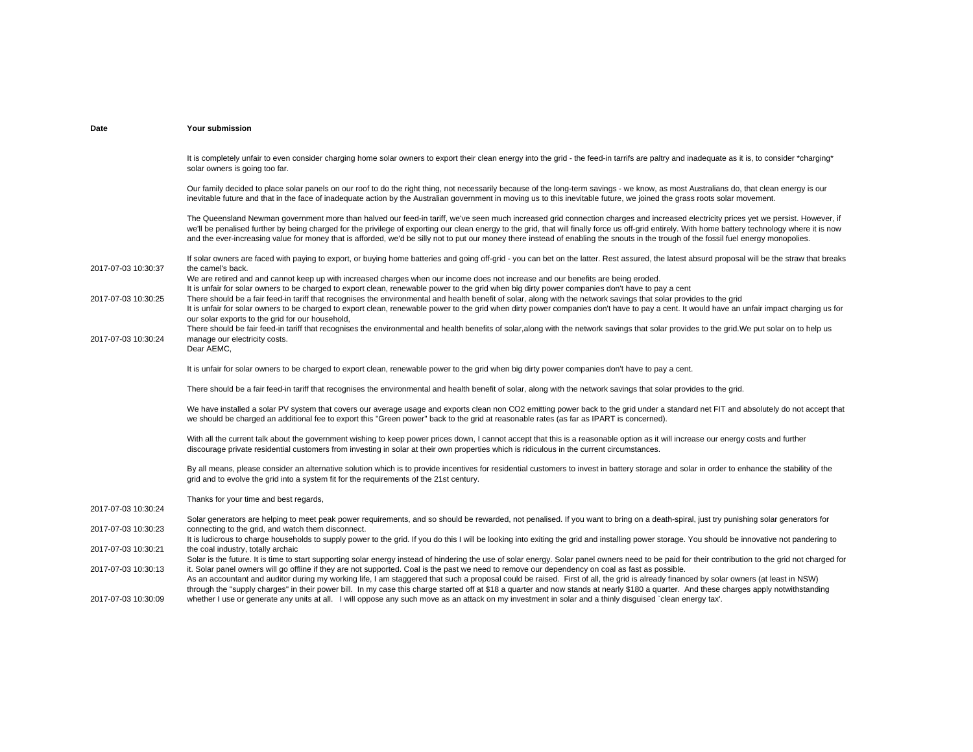| Date                | Your submission                                                                                                                                                                                                                                                                                                                                                                                                                                                                                                                                                                      |
|---------------------|--------------------------------------------------------------------------------------------------------------------------------------------------------------------------------------------------------------------------------------------------------------------------------------------------------------------------------------------------------------------------------------------------------------------------------------------------------------------------------------------------------------------------------------------------------------------------------------|
|                     |                                                                                                                                                                                                                                                                                                                                                                                                                                                                                                                                                                                      |
|                     | It is completely unfair to even consider charging home solar owners to export their clean energy into the grid - the feed-in tarrifs are paltry and inadequate as it is, to consider *charging*<br>solar owners is going too far.                                                                                                                                                                                                                                                                                                                                                    |
|                     | Our family decided to place solar panels on our roof to do the right thing, not necessarily because of the long-term savings - we know, as most Australians do, that clean energy is our<br>inevitable future and that in the face of inadequate action by the Australian government in moving us to this inevitable future, we joined the grass roots solar movement.                                                                                                                                                                                                               |
|                     | The Queensland Newman government more than halved our feed-in tariff, we've seen much increased grid connection charges and increased electricity prices yet we persist. However, if<br>we'll be penalised further by being charged for the privilege of exporting our clean energy to the grid, that will finally force us off-grid entirely. With home battery technology where it is now<br>and the ever-increasing value for money that is afforded, we'd be silly not to put our money there instead of enabling the snouts in the trough of the fossil fuel energy monopolies. |
| 2017-07-03 10:30:37 | If solar owners are faced with paying to export, or buying home batteries and going off-grid - you can bet on the latter. Rest assured, the latest absurd proposal will be the straw that breaks<br>the camel's back.                                                                                                                                                                                                                                                                                                                                                                |
|                     | We are retired and and cannot keep up with increased charges when our income does not increase and our benefits are being eroded.                                                                                                                                                                                                                                                                                                                                                                                                                                                    |
| 2017-07-03 10:30:25 | It is unfair for solar owners to be charged to export clean, renewable power to the grid when big dirty power companies don't have to pay a cent<br>There should be a fair feed-in tariff that recognises the environmental and health benefit of solar, along with the network savings that solar provides to the grid                                                                                                                                                                                                                                                              |
|                     | It is unfair for solar owners to be charged to export clean, renewable power to the grid when dirty power companies don't have to pay a cent. It would have an unfair impact charging us for                                                                                                                                                                                                                                                                                                                                                                                         |
|                     | our solar exports to the grid for our household,                                                                                                                                                                                                                                                                                                                                                                                                                                                                                                                                     |
|                     | There should be fair feed-in tariff that recognises the environmental and health benefits of solar, along with the network savings that solar provides to the grid. We put solar on to help us                                                                                                                                                                                                                                                                                                                                                                                       |
| 2017-07-03 10:30:24 | manage our electricity costs.                                                                                                                                                                                                                                                                                                                                                                                                                                                                                                                                                        |
|                     | Dear AEMC,                                                                                                                                                                                                                                                                                                                                                                                                                                                                                                                                                                           |
|                     | It is unfair for solar owners to be charged to export clean, renewable power to the grid when big dirty power companies don't have to pay a cent.                                                                                                                                                                                                                                                                                                                                                                                                                                    |
|                     | There should be a fair feed-in tariff that recognises the environmental and health benefit of solar, along with the network savings that solar provides to the grid.                                                                                                                                                                                                                                                                                                                                                                                                                 |
|                     | We have installed a solar PV system that covers our average usage and exports clean non CO2 emitting power back to the grid under a standard net FIT and absolutely do not accept that<br>we should be charged an additional fee to export this "Green power" back to the grid at reasonable rates (as far as IPART is concerned).                                                                                                                                                                                                                                                   |
|                     | With all the current talk about the government wishing to keep power prices down, I cannot accept that this is a reasonable option as it will increase our energy costs and further                                                                                                                                                                                                                                                                                                                                                                                                  |
|                     | discourage private residential customers from investing in solar at their own properties which is ridiculous in the current circumstances.                                                                                                                                                                                                                                                                                                                                                                                                                                           |
|                     |                                                                                                                                                                                                                                                                                                                                                                                                                                                                                                                                                                                      |
|                     | By all means, please consider an alternative solution which is to provide incentives for residential customers to invest in battery storage and solar in order to enhance the stability of the                                                                                                                                                                                                                                                                                                                                                                                       |
|                     | grid and to evolve the grid into a system fit for the requirements of the 21st century.                                                                                                                                                                                                                                                                                                                                                                                                                                                                                              |
|                     | Thanks for your time and best regards,                                                                                                                                                                                                                                                                                                                                                                                                                                                                                                                                               |
| 2017-07-03 10:30:24 |                                                                                                                                                                                                                                                                                                                                                                                                                                                                                                                                                                                      |
|                     | Solar generators are helping to meet peak power requirements, and so should be rewarded, not penalised. If you want to bring on a death-spiral, just try punishing solar generators for                                                                                                                                                                                                                                                                                                                                                                                              |
| 2017-07-03 10:30:23 | connecting to the grid, and watch them disconnect.                                                                                                                                                                                                                                                                                                                                                                                                                                                                                                                                   |
|                     | It is ludicrous to charge households to supply power to the grid. If you do this I will be looking into exiting the grid and installing power storage. You should be innovative not pandering to                                                                                                                                                                                                                                                                                                                                                                                     |
| 2017-07-03 10:30:21 | the coal industry, totally archaic<br>Solar is the future. It is time to start supporting solar energy instead of hindering the use of solar energy. Solar panel owners need to be paid for their contribution to the grid not charged for                                                                                                                                                                                                                                                                                                                                           |
| 2017-07-03 10:30:13 | it. Solar panel owners will go offline if they are not supported. Coal is the past we need to remove our dependency on coal as fast as possible.                                                                                                                                                                                                                                                                                                                                                                                                                                     |
|                     | As an accountant and auditor during my working life, I am staggered that such a proposal could be raised. First of all, the grid is already financed by solar owners (at least in NSW)                                                                                                                                                                                                                                                                                                                                                                                               |
|                     | through the "supply charges" in their power bill. In my case this charge started off at \$18 a quarter and now stands at nearly \$180 a quarter. And these charges apply notwithstanding                                                                                                                                                                                                                                                                                                                                                                                             |
| 2017-07-03 10:30:09 | whether I use or generate any units at all. I will oppose any such move as an attack on my investment in solar and a thinly disquised `clean energy tax'.                                                                                                                                                                                                                                                                                                                                                                                                                            |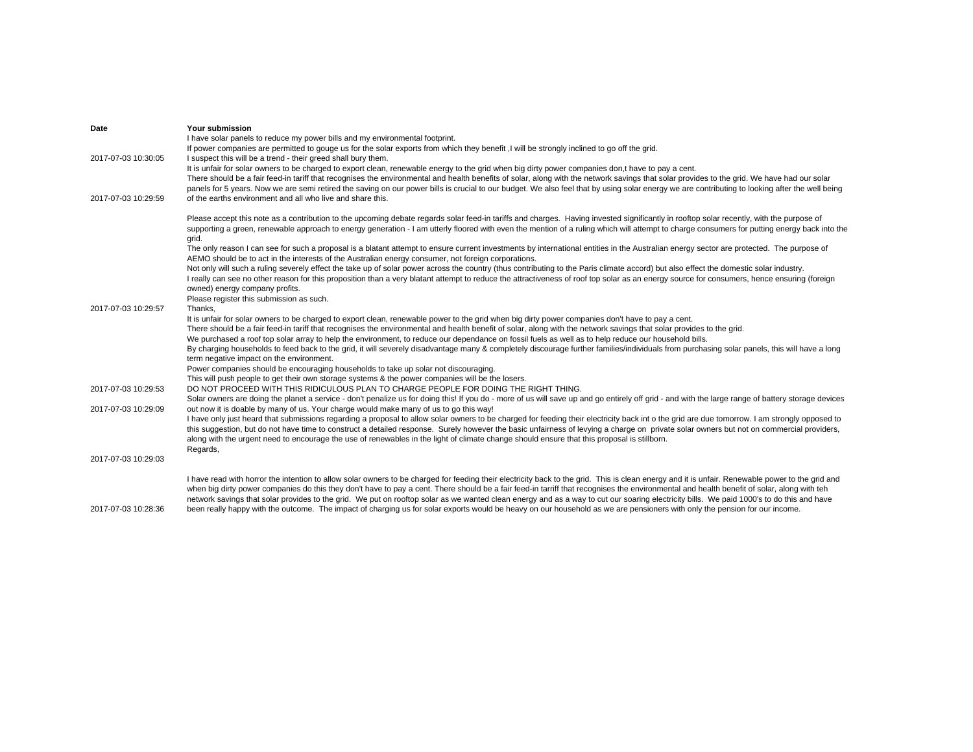| Date                | Your submission                                                                                                                                                                                                                                                                                 |
|---------------------|-------------------------------------------------------------------------------------------------------------------------------------------------------------------------------------------------------------------------------------------------------------------------------------------------|
|                     | I have solar panels to reduce my power bills and my environmental footprint.                                                                                                                                                                                                                    |
|                     | If power companies are permitted to gouge us for the solar exports from which they benefit, I will be strongly inclined to go off the grid.                                                                                                                                                     |
| 2017-07-03 10:30:05 | I suspect this will be a trend - their greed shall bury them.                                                                                                                                                                                                                                   |
|                     | It is unfair for solar owners to be charged to export clean, renewable energy to the grid when big dirty power companies don,t have to pay a cent.                                                                                                                                              |
|                     | There should be a fair feed-in tariff that recognises the environmental and health benefits of solar, along with the network savings that solar provides to the grid. We have had our solar                                                                                                     |
|                     | panels for 5 years. Now we are semi retired the saving on our power bills is crucial to our budget. We also feel that by using solar energy we are contributing to looking after the well being                                                                                                 |
| 2017-07-03 10:29:59 | of the earths environment and all who live and share this.                                                                                                                                                                                                                                      |
|                     | Please accept this note as a contribution to the upcoming debate regards solar feed-in tariffs and charges. Having invested significantly in rooftop solar recently, with the purpose of                                                                                                        |
|                     | supporting a green, renewable approach to energy generation - I am utterly floored with even the mention of a ruling which will attempt to charge consumers for putting energy back into the<br>grid.                                                                                           |
|                     | The only reason I can see for such a proposal is a blatant attempt to ensure current investments by international entities in the Australian energy sector are protected. The purpose of<br>AEMO should be to act in the interests of the Australian energy consumer, not foreign corporations. |
|                     | Not only will such a ruling severely effect the take up of solar power across the country (thus contributing to the Paris climate accord) but also effect the domestic solar industry.                                                                                                          |
|                     | I really can see no other reason for this proposition than a very blatant attempt to reduce the attractiveness of roof top solar as an energy source for consumers, hence ensuring (foreign                                                                                                     |
|                     | owned) energy company profits.                                                                                                                                                                                                                                                                  |
|                     | Please register this submission as such.                                                                                                                                                                                                                                                        |
| 2017-07-03 10:29:57 | Thanks,                                                                                                                                                                                                                                                                                         |
|                     | It is unfair for solar owners to be charged to export clean, renewable power to the grid when big dirty power companies don't have to pay a cent.                                                                                                                                               |
|                     | There should be a fair feed-in tariff that recognises the environmental and health benefit of solar, along with the network savings that solar provides to the grid.                                                                                                                            |
|                     | We purchased a roof top solar array to help the environment, to reduce our dependance on fossil fuels as well as to help reduce our household bills.                                                                                                                                            |
|                     | By charging households to feed back to the grid, it will severely disadvantage many & completely discourage further families/individuals from purchasing solar panels, this will have a long                                                                                                    |
|                     | term negative impact on the environment.                                                                                                                                                                                                                                                        |
|                     | Power companies should be encouraging households to take up solar not discouraging.                                                                                                                                                                                                             |
|                     | This will push people to get their own storage systems & the power companies will be the losers.                                                                                                                                                                                                |
| 2017-07-03 10:29:53 | DO NOT PROCEED WITH THIS RIDICULOUS PLAN TO CHARGE PEOPLE FOR DOING THE RIGHT THING.                                                                                                                                                                                                            |
|                     | Solar owners are doing the planet a service - don't penalize us for doing this! If you do - more of us will save up and go entirely off grid - and with the large range of battery storage devices                                                                                              |
| 2017-07-03 10:29:09 | out now it is doable by many of us. Your charge would make many of us to go this way!                                                                                                                                                                                                           |
|                     | I have only just heard that submissions regarding a proposal to allow solar owners to be charged for feeding their electricity back int o the grid are due tomorrow. I am strongly opposed to                                                                                                   |
|                     | this suggestion, but do not have time to construct a detailed response. Surely however the basic unfairness of levying a charge on private solar owners but not on commercial providers,                                                                                                        |
|                     | along with the urgent need to encourage the use of renewables in the light of climate change should ensure that this proposal is stillborn.                                                                                                                                                     |
|                     | Regards,                                                                                                                                                                                                                                                                                        |
| 2017-07-03 10:29:03 |                                                                                                                                                                                                                                                                                                 |
|                     | I have read with horror the intention to allow solar owners to be charged for feeding their electricity back to the grid. This is clean energy and it is unfair. Renewable power to the grid and                                                                                                |
|                     | when big dirty power companies do this they don't have to pay a cent. There should be a fair feed-in tarriff that recognises the environmental and health benefit of solar, along with teh                                                                                                      |
|                     | network savings that solar provides to the grid. We put on rooftop solar as we wanted clean energy and as a way to cut our soaring electricity bills. We paid 1000's to do this and have                                                                                                        |
| 2017-07-03 10:28:36 | been really happy with the outcome. The impact of charging us for solar exports would be heavy on our household as we are pensioners with only the pension for our income.                                                                                                                      |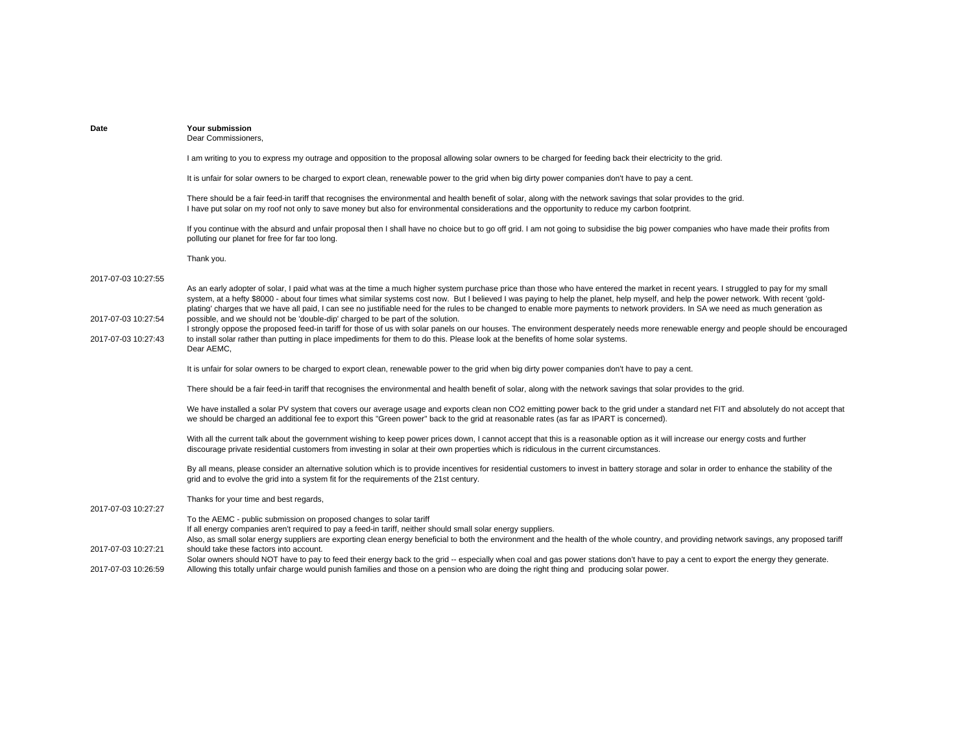| Date                                                              | Your submission<br>Dear Commissioners,                                                                                                                                                                                                                                                                                                                                                                                                                                                                                                                                                                                                                                                                                                                                                                                                                                                                                                                                                                  |
|-------------------------------------------------------------------|---------------------------------------------------------------------------------------------------------------------------------------------------------------------------------------------------------------------------------------------------------------------------------------------------------------------------------------------------------------------------------------------------------------------------------------------------------------------------------------------------------------------------------------------------------------------------------------------------------------------------------------------------------------------------------------------------------------------------------------------------------------------------------------------------------------------------------------------------------------------------------------------------------------------------------------------------------------------------------------------------------|
|                                                                   | I am writing to you to express my outrage and opposition to the proposal allowing solar owners to be charged for feeding back their electricity to the grid.                                                                                                                                                                                                                                                                                                                                                                                                                                                                                                                                                                                                                                                                                                                                                                                                                                            |
|                                                                   | It is unfair for solar owners to be charged to export clean, renewable power to the grid when big dirty power companies don't have to pay a cent.                                                                                                                                                                                                                                                                                                                                                                                                                                                                                                                                                                                                                                                                                                                                                                                                                                                       |
|                                                                   | There should be a fair feed-in tariff that recognises the environmental and health benefit of solar, along with the network savings that solar provides to the grid.<br>I have put solar on my roof not only to save money but also for environmental considerations and the opportunity to reduce my carbon footprint.                                                                                                                                                                                                                                                                                                                                                                                                                                                                                                                                                                                                                                                                                 |
|                                                                   | If you continue with the absurd and unfair proposal then I shall have no choice but to go off grid. I am not going to subsidise the big power companies who have made their profits from<br>polluting our planet for free for far too long.                                                                                                                                                                                                                                                                                                                                                                                                                                                                                                                                                                                                                                                                                                                                                             |
|                                                                   | Thank you.                                                                                                                                                                                                                                                                                                                                                                                                                                                                                                                                                                                                                                                                                                                                                                                                                                                                                                                                                                                              |
| 2017-07-03 10:27:55<br>2017-07-03 10:27:54<br>2017-07-03 10:27:43 | As an early adopter of solar, I paid what was at the time a much higher system purchase price than those who have entered the market in recent years. I struggled to pay for my small<br>system, at a hefty \$8000 - about four times what similar systems cost now. But I believed I was paying to help the planet, help myself, and help the power network. With recent 'gold-<br>plating' charges that we have all paid, I can see no justifiable need for the rules to be changed to enable more payments to network providers. In SA we need as much generation as<br>possible, and we should not be 'double-dip' charged to be part of the solution.<br>I strongly oppose the proposed feed-in tariff for those of us with solar panels on our houses. The environment desperately needs more renewable energy and people should be encouraged<br>to install solar rather than putting in place impediments for them to do this. Please look at the benefits of home solar systems.<br>Dear AEMC, |
|                                                                   | It is unfair for solar owners to be charged to export clean, renewable power to the grid when big dirty power companies don't have to pay a cent.                                                                                                                                                                                                                                                                                                                                                                                                                                                                                                                                                                                                                                                                                                                                                                                                                                                       |
|                                                                   | There should be a fair feed-in tariff that recognises the environmental and health benefit of solar, along with the network savings that solar provides to the grid.                                                                                                                                                                                                                                                                                                                                                                                                                                                                                                                                                                                                                                                                                                                                                                                                                                    |
|                                                                   | We have installed a solar PV system that covers our average usage and exports clean non CO2 emitting power back to the grid under a standard net FIT and absolutely do not accept that<br>we should be charged an additional fee to export this "Green power" back to the grid at reasonable rates (as far as IPART is concerned).                                                                                                                                                                                                                                                                                                                                                                                                                                                                                                                                                                                                                                                                      |
|                                                                   | With all the current talk about the government wishing to keep power prices down, I cannot accept that this is a reasonable option as it will increase our energy costs and further<br>discourage private residential customers from investing in solar at their own properties which is ridiculous in the current circumstances.                                                                                                                                                                                                                                                                                                                                                                                                                                                                                                                                                                                                                                                                       |
|                                                                   | By all means, please consider an alternative solution which is to provide incentives for residential customers to invest in battery storage and solar in order to enhance the stability of the<br>grid and to evolve the grid into a system fit for the requirements of the 21st century.                                                                                                                                                                                                                                                                                                                                                                                                                                                                                                                                                                                                                                                                                                               |
|                                                                   | Thanks for your time and best regards,                                                                                                                                                                                                                                                                                                                                                                                                                                                                                                                                                                                                                                                                                                                                                                                                                                                                                                                                                                  |
| 2017-07-03 10:27:27                                               | To the AEMC - public submission on proposed changes to solar tariff<br>If all energy companies aren't required to pay a feed-in tariff, neither should small solar energy suppliers.<br>Also, as small solar energy suppliers are exporting clean energy beneficial to both the environment and the health of the whole country, and providing network savings, any proposed tariff                                                                                                                                                                                                                                                                                                                                                                                                                                                                                                                                                                                                                     |
| 2017-07-03 10:27:21                                               | should take these factors into account.<br>Solar owners should NOT have to pay to feed their energy back to the grid -- especially when coal and gas power stations don't have to pay a cent to export the energy they generate.                                                                                                                                                                                                                                                                                                                                                                                                                                                                                                                                                                                                                                                                                                                                                                        |
| 2017-07-03 10:26:59                                               | Allowing this totally unfair charge would punish families and those on a pension who are doing the right thing and producing solar power.                                                                                                                                                                                                                                                                                                                                                                                                                                                                                                                                                                                                                                                                                                                                                                                                                                                               |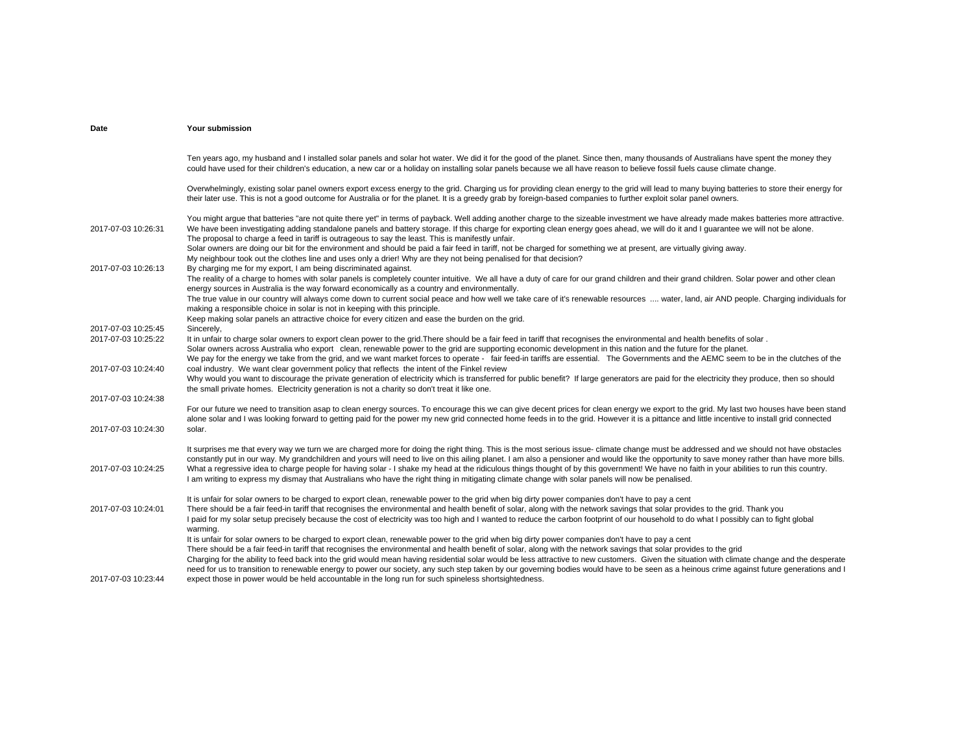| Date                                       | Your submission                                                                                                                                                                                                                                                                                                                                                                                                                                                                                                                                                                                                                                                                                                                              |
|--------------------------------------------|----------------------------------------------------------------------------------------------------------------------------------------------------------------------------------------------------------------------------------------------------------------------------------------------------------------------------------------------------------------------------------------------------------------------------------------------------------------------------------------------------------------------------------------------------------------------------------------------------------------------------------------------------------------------------------------------------------------------------------------------|
|                                            | Ten years ago, my husband and I installed solar panels and solar hot water. We did it for the good of the planet. Since then, many thousands of Australians have spent the money they<br>could have used for their children's education, a new car or a holiday on installing solar panels because we all have reason to believe fossil fuels cause climate change.                                                                                                                                                                                                                                                                                                                                                                          |
|                                            | Overwhelmingly, existing solar panel owners export excess energy to the grid. Charging us for providing clean energy to the grid will lead to many buying batteries to store their energy for<br>their later use. This is not a good outcome for Australia or for the planet. It is a greedy grab by foreign-based companies to further exploit solar panel owners.                                                                                                                                                                                                                                                                                                                                                                          |
| 2017-07-03 10:26:31                        | You might argue that batteries "are not quite there yet" in terms of payback. Well adding another charge to the sizeable investment we have already made makes batteries more attractive.<br>We have been investigating adding standalone panels and battery storage. If this charge for exporting clean energy goes ahead, we will do it and I guarantee we will not be alone.<br>The proposal to charge a feed in tariff is outrageous to say the least. This is manifestly unfair.<br>Solar owners are doing our bit for the environment and should be paid a fair feed in tariff, not be charged for something we at present, are virtually giving away.                                                                                 |
|                                            | My neighbour took out the clothes line and uses only a drier! Why are they not being penalised for that decision?                                                                                                                                                                                                                                                                                                                                                                                                                                                                                                                                                                                                                            |
| 2017-07-03 10:26:13                        | By charging me for my export, I am being discriminated against.<br>The reality of a charge to homes with solar panels is completely counter intuitive. We all have a duty of care for our grand children and their grand children. Solar power and other clean<br>energy sources in Australia is the way forward economically as a country and environmentally.                                                                                                                                                                                                                                                                                                                                                                              |
|                                            | The true value in our country will always come down to current social peace and how well we take care of it's renewable resources  water, land, air AND people. Charging individuals for<br>making a responsible choice in solar is not in keeping with this principle.                                                                                                                                                                                                                                                                                                                                                                                                                                                                      |
|                                            | Keep making solar panels an attractive choice for every citizen and ease the burden on the grid.                                                                                                                                                                                                                                                                                                                                                                                                                                                                                                                                                                                                                                             |
| 2017-07-03 10:25:45<br>2017-07-03 10:25:22 | Sincerely,<br>It in unfair to charge solar owners to export clean power to the grid. There should be a fair feed in tariff that recognises the environmental and health benefits of solar.<br>Solar owners across Australia who export clean, renewable power to the grid are supporting economic development in this nation and the future for the planet.<br>We pay for the energy we take from the grid, and we want market forces to operate - fair feed-in tariffs are essential. The Governments and the AEMC seem to be in the clutches of the                                                                                                                                                                                        |
| 2017-07-03 10:24:40                        | coal industry. We want clear government policy that reflects the intent of the Finkel review<br>Why would you want to discourage the private generation of electricity which is transferred for public benefit? If large generators are paid for the electricity they produce, then so should<br>the small private homes. Electricity generation is not a charity so don't treat it like one.                                                                                                                                                                                                                                                                                                                                                |
| 2017-07-03 10:24:38                        |                                                                                                                                                                                                                                                                                                                                                                                                                                                                                                                                                                                                                                                                                                                                              |
|                                            | For our future we need to transition asap to clean energy sources. To encourage this we can give decent prices for clean energy we export to the grid. My last two houses have been stand<br>alone solar and I was looking forward to getting paid for the power my new grid connected home feeds in to the grid. However it is a pittance and little incentive to install grid connected                                                                                                                                                                                                                                                                                                                                                    |
| 2017-07-03 10:24:30                        | solar.                                                                                                                                                                                                                                                                                                                                                                                                                                                                                                                                                                                                                                                                                                                                       |
| 2017-07-03 10:24:25                        | It surprises me that every way we turn we are charged more for doing the right thing. This is the most serious issue- climate change must be addressed and we should not have obstacles<br>constantly put in our way. My grandchildren and yours will need to live on this ailing planet. I am also a pensioner and would like the opportunity to save money rather than have more bills.<br>What a regressive idea to charge people for having solar - I shake my head at the ridiculous things thought of by this government! We have no faith in your abilities to run this country.<br>I am writing to express my dismay that Australians who have the right thing in mitigating climate change with solar panels will now be penalised. |
| 2017-07-03 10:24:01                        | It is unfair for solar owners to be charged to export clean, renewable power to the grid when big dirty power companies don't have to pay a cent<br>There should be a fair feed-in tariff that recognises the environmental and health benefit of solar, along with the network savings that solar provides to the grid. Thank you<br>I paid for my solar setup precisely because the cost of electricity was too high and I wanted to reduce the carbon footprint of our household to do what I possibly can to fight global                                                                                                                                                                                                                |
|                                            | warming.<br>It is unfair for solar owners to be charged to export clean, renewable power to the grid when big dirty power companies don't have to pay a cent<br>There should be a fair feed-in tariff that recognises the environmental and health benefit of solar, along with the network savings that solar provides to the grid<br>Charging for the ability to feed back into the grid would mean having residential solar would be less attractive to new customers. Given the situation with climate change and the desperate<br>need for us to transition to renewable energy to power our society, any such step taken by our governing bodies would have to be seen as a heinous crime against future generations and I             |
| 2017-07-03 10:23:44                        | expect those in power would be held accountable in the long run for such spineless shortsightedness.                                                                                                                                                                                                                                                                                                                                                                                                                                                                                                                                                                                                                                         |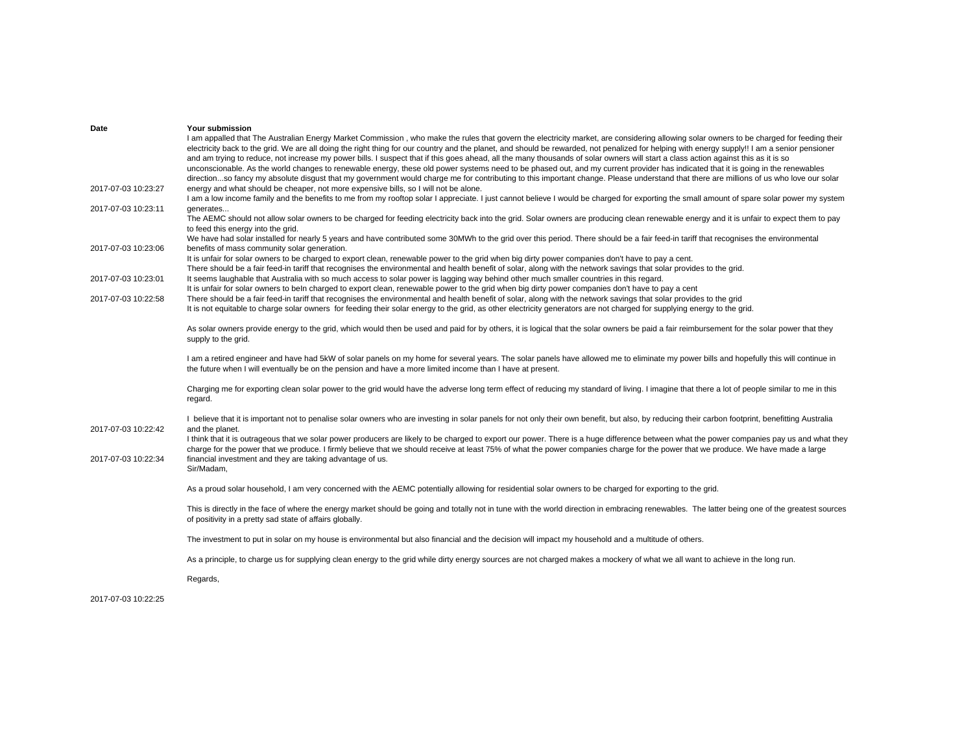| Date                | Your submission                                                                                                                                                                                                                                                                                                                                                                 |
|---------------------|---------------------------------------------------------------------------------------------------------------------------------------------------------------------------------------------------------------------------------------------------------------------------------------------------------------------------------------------------------------------------------|
|                     | I am appalled that The Australian Energy Market Commission, who make the rules that govern the electricity market, are considering allowing solar owners to be charged for feeding their                                                                                                                                                                                        |
|                     | electricity back to the grid. We are all doing the right thing for our country and the planet, and should be rewarded, not penalized for helping with energy supply!! I am a senior pensioner                                                                                                                                                                                   |
|                     | and am trying to reduce, not increase my power bills. I suspect that if this goes ahead, all the many thousands of solar owners will start a class action against this as it is so                                                                                                                                                                                              |
|                     | unconscionable. As the world changes to renewable energy, these old power systems need to be phased out, and my current provider has indicated that it is going in the renewables                                                                                                                                                                                               |
|                     | directionso fancy my absolute disqust that my government would charge me for contributing to this important change. Please understand that there are millions of us who love our solar                                                                                                                                                                                          |
| 2017-07-03 10:23:27 | energy and what should be cheaper, not more expensive bills, so I will not be alone.                                                                                                                                                                                                                                                                                            |
|                     | I am a low income family and the benefits to me from my rooftop solar I appreciate. I just cannot believe I would be charged for exporting the small amount of spare solar power my system                                                                                                                                                                                      |
| 2017-07-03 10:23:11 | generates                                                                                                                                                                                                                                                                                                                                                                       |
|                     | The AEMC should not allow solar owners to be charged for feeding electricity back into the grid. Solar owners are producing clean renewable energy and it is unfair to expect them to pay<br>to feed this energy into the grid.                                                                                                                                                 |
|                     | We have had solar installed for nearly 5 years and have contributed some 30MWh to the grid over this period. There should be a fair feed-in tariff that recognises the environmental                                                                                                                                                                                            |
| 2017-07-03 10:23:06 | benefits of mass community solar generation.                                                                                                                                                                                                                                                                                                                                    |
|                     | It is unfair for solar owners to be charged to export clean, renewable power to the grid when big dirty power companies don't have to pay a cent.                                                                                                                                                                                                                               |
|                     | There should be a fair feed-in tariff that recognises the environmental and health benefit of solar, along with the network savings that solar provides to the grid.                                                                                                                                                                                                            |
| 2017-07-03 10:23:01 | It seems laughable that Australia with so much access to solar power is lagging way behind other much smaller countries in this regard.                                                                                                                                                                                                                                         |
|                     | It is unfair for solar owners to beln charged to export clean, renewable power to the grid when big dirty power companies don't have to pay a cent                                                                                                                                                                                                                              |
| 2017-07-03 10:22:58 | There should be a fair feed-in tariff that recognises the environmental and health benefit of solar, along with the network savings that solar provides to the grid                                                                                                                                                                                                             |
|                     | It is not equitable to charge solar owners for feeding their solar energy to the grid, as other electricity generators are not charged for supplying energy to the grid.                                                                                                                                                                                                        |
|                     |                                                                                                                                                                                                                                                                                                                                                                                 |
|                     | As solar owners provide energy to the grid, which would then be used and paid for by others, it is logical that the solar owners be paid a fair reimbursement for the solar power that they<br>supply to the grid.                                                                                                                                                              |
|                     |                                                                                                                                                                                                                                                                                                                                                                                 |
|                     | I am a retired engineer and have had 5kW of solar panels on my home for several years. The solar panels have allowed me to eliminate my power bills and hopefully this will continue in<br>the future when I will eventually be on the pension and have a more limited income than I have at present.                                                                           |
|                     | Charging me for exporting clean solar power to the grid would have the adverse long term effect of reducing my standard of living. I imagine that there a lot of people similar to me in this                                                                                                                                                                                   |
|                     | regard.                                                                                                                                                                                                                                                                                                                                                                         |
|                     |                                                                                                                                                                                                                                                                                                                                                                                 |
|                     | I believe that it is important not to penalise solar owners who are investing in solar panels for not only their own benefit, but also, by reducing their carbon footprint, benefitting Australia                                                                                                                                                                               |
| 2017-07-03 10:22:42 | and the planet.                                                                                                                                                                                                                                                                                                                                                                 |
|                     | I think that it is outrageous that we solar power producers are likely to be charged to export our power. There is a huge difference between what the power companies pay us and what they<br>charge for the power that we produce. I firmly believe that we should receive at least 75% of what the power companies charge for the power that we produce. We have made a large |
| 2017-07-03 10:22:34 | financial investment and they are taking advantage of us.                                                                                                                                                                                                                                                                                                                       |
|                     |                                                                                                                                                                                                                                                                                                                                                                                 |
|                     | Sir/Madam,                                                                                                                                                                                                                                                                                                                                                                      |
|                     |                                                                                                                                                                                                                                                                                                                                                                                 |
|                     | As a proud solar household, I am very concerned with the AEMC potentially allowing for residential solar owners to be charged for exporting to the grid.                                                                                                                                                                                                                        |
|                     | This is directly in the face of where the energy market should be going and totally not in tune with the world direction in embracing renewables. The latter being one of the greatest sources                                                                                                                                                                                  |
|                     | of positivity in a pretty sad state of affairs globally.                                                                                                                                                                                                                                                                                                                        |
|                     |                                                                                                                                                                                                                                                                                                                                                                                 |
|                     | The investment to put in solar on my house is environmental but also financial and the decision will impact my household and a multitude of others.                                                                                                                                                                                                                             |
|                     |                                                                                                                                                                                                                                                                                                                                                                                 |
|                     | As a principle, to charge us for supplying clean energy to the grid while dirty energy sources are not charged makes a mockery of what we all want to achieve in the long run.                                                                                                                                                                                                  |
|                     |                                                                                                                                                                                                                                                                                                                                                                                 |
|                     | Regards,                                                                                                                                                                                                                                                                                                                                                                        |
|                     |                                                                                                                                                                                                                                                                                                                                                                                 |
|                     |                                                                                                                                                                                                                                                                                                                                                                                 |

2017-07-03 10:22:25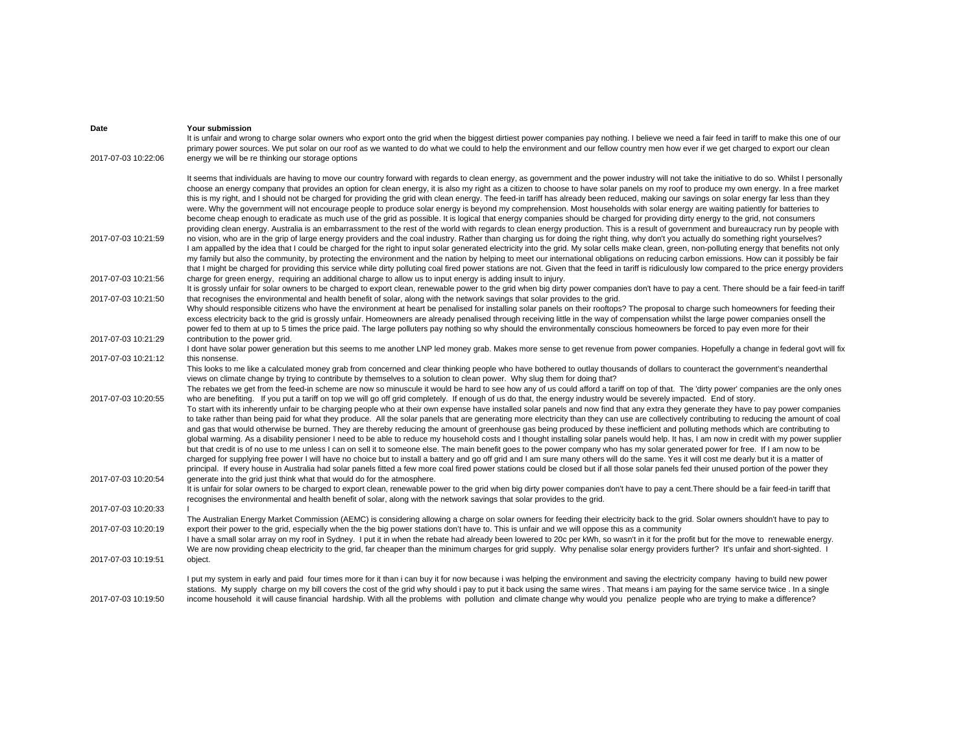| Date                | Your submission<br>It is unfair and wrong to charge solar owners who export onto the grid when the biggest dirtiest power companies pay nothing. I believe we need a fair feed in tariff to make this one of our                                                                                                                                                                                                                                                                                                                                                                                                                                                                                                                                                                                                                                                                                                                                                                                                                                                                                                                                                                                                                                                                                                                                                                                                                                                                                                                                  |
|---------------------|---------------------------------------------------------------------------------------------------------------------------------------------------------------------------------------------------------------------------------------------------------------------------------------------------------------------------------------------------------------------------------------------------------------------------------------------------------------------------------------------------------------------------------------------------------------------------------------------------------------------------------------------------------------------------------------------------------------------------------------------------------------------------------------------------------------------------------------------------------------------------------------------------------------------------------------------------------------------------------------------------------------------------------------------------------------------------------------------------------------------------------------------------------------------------------------------------------------------------------------------------------------------------------------------------------------------------------------------------------------------------------------------------------------------------------------------------------------------------------------------------------------------------------------------------|
| 2017-07-03 10:22:06 | primary power sources. We put solar on our roof as we wanted to do what we could to help the environment and our fellow country men how ever if we get charged to export our clean<br>energy we will be re thinking our storage options                                                                                                                                                                                                                                                                                                                                                                                                                                                                                                                                                                                                                                                                                                                                                                                                                                                                                                                                                                                                                                                                                                                                                                                                                                                                                                           |
|                     | It seems that individuals are having to move our country forward with regards to clean energy, as government and the power industry will not take the initiative to do so. Whilst I personally<br>choose an energy company that provides an option for clean energy, it is also my right as a citizen to choose to have solar panels on my roof to produce my own energy. In a free market<br>this is my right, and I should not be charged for providing the grid with clean energy. The feed-in tariff has already been reduced, making our savings on solar energy far less than they<br>were. Why the government will not encourage people to produce solar energy is beyond my comprehension. Most households with solar energy are waiting patiently for batteries to<br>become cheap enough to eradicate as much use of the grid as possible. It is logical that energy companies should be charged for providing dirty energy to the grid, not consumers<br>providing clean energy. Australia is an embarrassment to the rest of the world with regards to clean energy production. This is a result of government and bureaucracy run by people with                                                                                                                                                                                                                                                                                                                                                                                     |
| 2017-07-03 10:21:59 | no vision, who are in the grip of large energy providers and the coal industry. Rather than charging us for doing the right thing, why don't you actually do something right yourselves?<br>I am appalled by the idea that I could be charged for the right to input solar generated electricity into the grid. My solar cells make clean, green, non-polluting energy that benefits not only<br>my family but also the community, by protecting the environment and the nation by helping to meet our international obligations on reducing carbon emissions. How can it possibly be fair<br>that I might be charged for providing this service while dirty polluting coal fired power stations are not. Given that the feed in tariff is ridiculously low compared to the price energy providers                                                                                                                                                                                                                                                                                                                                                                                                                                                                                                                                                                                                                                                                                                                                                |
| 2017-07-03 10:21:56 | charge for green energy, requiring an additional charge to allow us to input energy is adding insult to injury.<br>It is grossly unfair for solar owners to be charged to export clean, renewable power to the grid when big dirty power companies don't have to pay a cent. There should be a fair feed-in tariff                                                                                                                                                                                                                                                                                                                                                                                                                                                                                                                                                                                                                                                                                                                                                                                                                                                                                                                                                                                                                                                                                                                                                                                                                                |
| 2017-07-03 10:21:50 | that recognises the environmental and health benefit of solar, along with the network savings that solar provides to the grid.<br>Why should responsible citizens who have the environment at heart be penalised for installing solar panels on their rooftops? The proposal to charge such homeowners for feeding their<br>excess electricity back to the grid is grossly unfair. Homeowners are already penalised through receiving little in the way of compensation whilst the large power companies onsell the<br>power fed to them at up to 5 times the price paid. The large polluters pay nothing so why should the environmentally conscious homeowners be forced to pay even more for their                                                                                                                                                                                                                                                                                                                                                                                                                                                                                                                                                                                                                                                                                                                                                                                                                                             |
| 2017-07-03 10:21:29 | contribution to the power grid.<br>I dont have solar power generation but this seems to me another LNP led money grab. Makes more sense to get revenue from power companies. Hopefully a change in federal govt will fix                                                                                                                                                                                                                                                                                                                                                                                                                                                                                                                                                                                                                                                                                                                                                                                                                                                                                                                                                                                                                                                                                                                                                                                                                                                                                                                          |
| 2017-07-03 10:21:12 | this nonsense.<br>This looks to me like a calculated money grab from concerned and clear thinking people who have bothered to outlay thousands of dollars to counteract the government's neanderthal<br>views on climate change by trying to contribute by themselves to a solution to clean power. Why slug them for doing that?<br>The rebates we get from the feed-in scheme are now so minuscule it would be hard to see how any of us could afford a tariff on top of that. The 'dirty power' companies are the only ones                                                                                                                                                                                                                                                                                                                                                                                                                                                                                                                                                                                                                                                                                                                                                                                                                                                                                                                                                                                                                    |
| 2017-07-03 10:20:55 | who are benefiting. If you put a tariff on top we will go off grid completely. If enough of us do that, the energy industry would be severely impacted. End of story.<br>To start with its inherently unfair to be charging people who at their own expense have installed solar panels and now find that any extra they generate they have to pay power companies<br>to take rather than being paid for what they produce. All the solar panels that are generating more electricity than they can use are collectively contributing to reducing the amount of coal<br>and gas that would otherwise be burned. They are thereby reducing the amount of greenhouse gas being produced by these inefficient and polluting methods which are contributing to<br>global warming. As a disability pensioner I need to be able to reduce my household costs and I thought installing solar panels would help. It has, I am now in credit with my power supplier<br>but that credit is of no use to me unless I can on sell it to someone else. The main benefit goes to the power company who has my solar generated power for free. If I am now to be<br>charged for supplying free power I will have no choice but to install a battery and go off grid and I am sure many others will do the same. Yes it will cost me dearly but it is a matter of<br>principal. If every house in Australia had solar panels fitted a few more coal fired power stations could be closed but if all those solar panels fed their unused portion of the power they |
| 2017-07-03 10:20:54 | generate into the grid just think what that would do for the atmosphere.<br>It is unfair for solar owners to be charged to export clean, renewable power to the grid when big dirty power companies don't have to pay a cent. There should be a fair feed-in tariff that<br>recognises the environmental and health benefit of solar, along with the network savings that solar provides to the grid.                                                                                                                                                                                                                                                                                                                                                                                                                                                                                                                                                                                                                                                                                                                                                                                                                                                                                                                                                                                                                                                                                                                                             |
| 2017-07-03 10:20:33 | The Australian Energy Market Commission (AEMC) is considering allowing a charge on solar owners for feeding their electricity back to the grid. Solar owners shouldn't have to pay to                                                                                                                                                                                                                                                                                                                                                                                                                                                                                                                                                                                                                                                                                                                                                                                                                                                                                                                                                                                                                                                                                                                                                                                                                                                                                                                                                             |
| 2017-07-03 10:20:19 | export their power to the grid, especially when the the big power stations don't have to. This is unfair and we will oppose this as a community<br>I have a small solar array on my roof in Sydney. I put it in when the rebate had already been lowered to 20c per kWh, so wasn't in it for the profit but for the move to renewable energy.<br>We are now providing cheap electricity to the grid, far cheaper than the minimum charges for grid supply. Why penalise solar energy providers further? It's unfair and short-sighted. I                                                                                                                                                                                                                                                                                                                                                                                                                                                                                                                                                                                                                                                                                                                                                                                                                                                                                                                                                                                                          |
| 2017-07-03 10:19:51 | object.                                                                                                                                                                                                                                                                                                                                                                                                                                                                                                                                                                                                                                                                                                                                                                                                                                                                                                                                                                                                                                                                                                                                                                                                                                                                                                                                                                                                                                                                                                                                           |
| 2017-07-03 10:19:50 | I put my system in early and paid four times more for it than i can buy it for now because i was helping the environment and saving the electricity company having to build new power<br>stations. My supply charge on my bill covers the cost of the grid why should i pay to put it back using the same wires. That means i am paying for the same service twice. In a single<br>income household it will cause financial hardship. With all the problems with pollution and climate change why would you penalize people who are trying to make a difference?                                                                                                                                                                                                                                                                                                                                                                                                                                                                                                                                                                                                                                                                                                                                                                                                                                                                                                                                                                                  |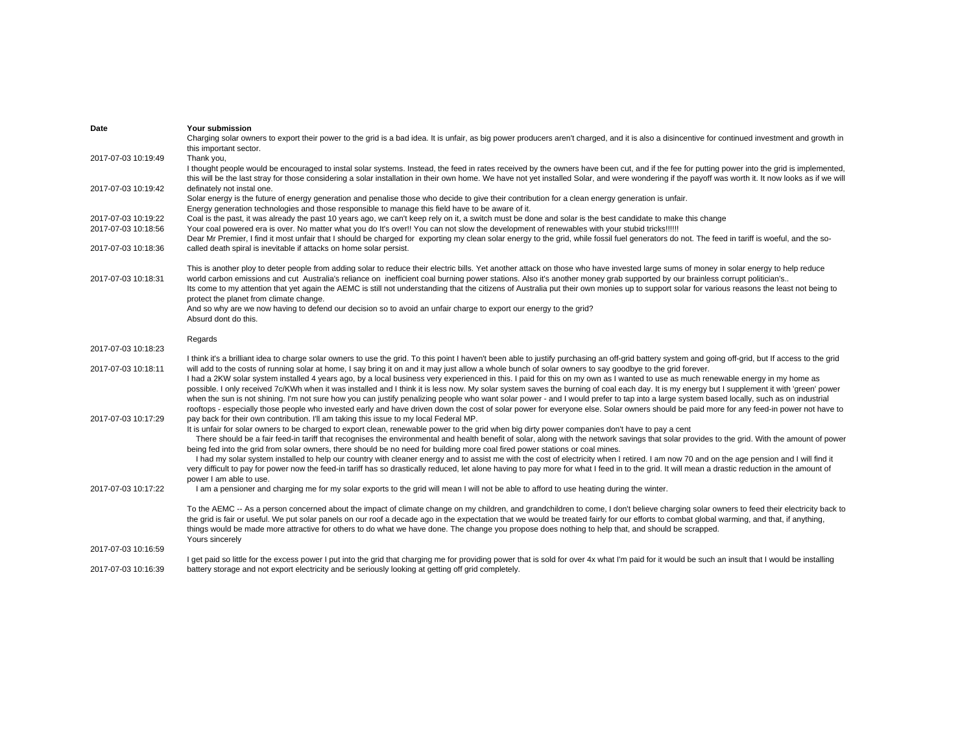| Date                | Your submission                                                                                                                                                                                        |
|---------------------|--------------------------------------------------------------------------------------------------------------------------------------------------------------------------------------------------------|
|                     | Charging solar owners to export their power to the grid is a bad idea. It is unfair, as big power producers aren't charged, and it is also a disincentive for continued investment and growth in       |
|                     | this important sector.                                                                                                                                                                                 |
| 2017-07-03 10:19:49 | Thank you,                                                                                                                                                                                             |
|                     | I thought people would be encouraged to instal solar systems. Instead, the feed in rates received by the owners have been cut, and if the fee for putting power into the grid is implemented,          |
|                     | this will be the last stray for those considering a solar installation in their own home. We have not yet installed Solar, and were wondering if the payoff was worth it. It now looks as if we will   |
| 2017-07-03 10:19:42 | definately not instal one.                                                                                                                                                                             |
|                     | Solar energy is the future of energy generation and penalise those who decide to give their contribution for a clean energy generation is unfair.                                                      |
|                     | Energy generation technologies and those responsible to manage this field have to be aware of it.                                                                                                      |
| 2017-07-03 10:19:22 | Coal is the past, it was already the past 10 years ago, we can't keep rely on it, a switch must be done and solar is the best candidate to make this change                                            |
| 2017-07-03 10:18:56 | Your coal powered era is over. No matter what you do It's over!! You can not slow the development of renewables with your stubid tricks!!!!!!                                                          |
|                     | Dear Mr Premier, I find it most unfair that I should be charged for exporting my clean solar energy to the grid, while fossil fuel generators do not. The feed in tariff is woeful, and the so-        |
| 2017-07-03 10:18:36 | called death spiral is inevitable if attacks on home solar persist.                                                                                                                                    |
|                     |                                                                                                                                                                                                        |
|                     | This is another ploy to deter people from adding solar to reduce their electric bills. Yet another attack on those who have invested large sums of money in solar energy to help reduce                |
| 2017-07-03 10:18:31 | world carbon emissions and cut Australia's reliance on inefficient coal burning power stations. Also it's another money grab supported by our brainless corrupt politician's                           |
|                     | Its come to my attention that yet again the AEMC is still not understanding that the citizens of Australia put their own monies up to support solar for various reasons the least not being to         |
|                     | protect the planet from climate change.                                                                                                                                                                |
|                     | And so why are we now having to defend our decision so to avoid an unfair charge to export our energy to the grid?                                                                                     |
|                     | Absurd dont do this.                                                                                                                                                                                   |
|                     |                                                                                                                                                                                                        |
|                     | Regards                                                                                                                                                                                                |
| 2017-07-03 10:18:23 |                                                                                                                                                                                                        |
|                     | I think it's a brilliant idea to charge solar owners to use the grid. To this point I haven't been able to justify purchasing an off-grid battery system and going off-grid, but If access to the grid |
| 2017-07-03 10:18:11 | will add to the costs of running solar at home, I say bring it on and it may just allow a whole bunch of solar owners to say goodbye to the grid forever.                                              |
|                     | I had a 2KW solar system installed 4 years ago, by a local business very experienced in this. I paid for this on my own as I wanted to use as much renewable energy in my home as                      |
|                     | possible. I only received 7c/KWh when it was installed and I think it is less now. My solar system saves the burning of coal each day. It is my energy but I supplement it with 'green' power          |
|                     | when the sun is not shining. I'm not sure how you can justify penalizing people who want solar power - and I would prefer to tap into a large system based locally, such as on industrial              |
|                     | rooftops - especially those people who invested early and have driven down the cost of solar power for everyone else. Solar owners should be paid more for any feed-in power not have to               |
| 2017-07-03 10:17:29 | pay back for their own contribution. I'll am taking this issue to my local Federal MP.                                                                                                                 |
|                     | It is unfair for solar owners to be charged to export clean, renewable power to the grid when big dirty power companies don't have to pay a cent                                                       |
|                     | There should be a fair feed-in tariff that recognises the environmental and health benefit of solar, along with the network savings that solar provides to the grid. With the amount of power          |
|                     | being fed into the grid from solar owners, there should be no need for building more coal fired power stations or coal mines.                                                                          |
|                     | I had my solar system installed to help our country with cleaner energy and to assist me with the cost of electricity when I retired. I am now 70 and on the age pension and I will find it            |
|                     |                                                                                                                                                                                                        |
|                     | very difficult to pay for power now the feed-in tariff has so drastically reduced, let alone having to pay more for what I feed in to the grid. It will mean a drastic reduction in the amount of      |
|                     | power I am able to use.                                                                                                                                                                                |
| 2017-07-03 10:17:22 | I am a pensioner and charging me for my solar exports to the grid will mean I will not be able to afford to use heating during the winter.                                                             |
|                     |                                                                                                                                                                                                        |
|                     | To the AEMC -- As a person concerned about the impact of climate change on my children, and grandchildren to come, I don't believe charging solar owners to feed their electricity back to             |
|                     | the grid is fair or useful. We put solar panels on our roof a decade ago in the expectation that we would be treated fairly for our efforts to combat global warming, and that, if anything,           |
|                     | things would be made more attractive for others to do what we have done. The change you propose does nothing to help that, and should be scrapped.                                                     |
| 2017-07-03 10:16:59 | Yours sincerely                                                                                                                                                                                        |
|                     |                                                                                                                                                                                                        |
|                     | I get paid so little for the excess power I put into the grid that charging me for providing power that is sold for over 4x what I'm paid for it would be such an insult that I would be installing    |
| 2017-07-03 10:16:39 | battery storage and not export electricity and be seriously looking at getting off grid completely.                                                                                                    |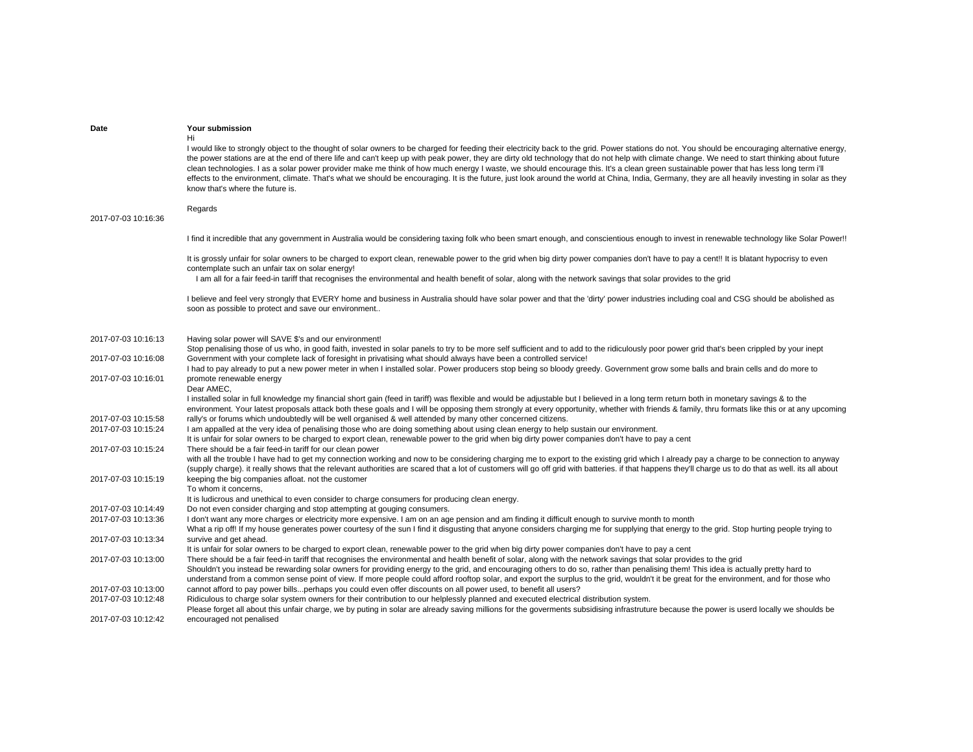| Date                                       | <b>Your submission</b>                                                                                                                                                                                                                                                                                                                                                                                                                                                                                                                                                                                                                                                                                                                                                                                                                     |
|--------------------------------------------|--------------------------------------------------------------------------------------------------------------------------------------------------------------------------------------------------------------------------------------------------------------------------------------------------------------------------------------------------------------------------------------------------------------------------------------------------------------------------------------------------------------------------------------------------------------------------------------------------------------------------------------------------------------------------------------------------------------------------------------------------------------------------------------------------------------------------------------------|
|                                            | Hi<br>I would like to strongly object to the thought of solar owners to be charged for feeding their electricity back to the grid. Power stations do not. You should be encouraging alternative energy,<br>the power stations are at the end of there life and can't keep up with peak power, they are dirty old technology that do not help with climate change. We need to start thinking about future<br>clean technologies. I as a solar power provider make me think of how much energy I waste, we should encourage this. It's a clean green sustainable power that has less long term i'll<br>effects to the environment, climate. That's what we should be encouraging. It is the future, just look around the world at China, India, Germany, they are all heavily investing in solar as they<br>know that's where the future is. |
|                                            | Regards                                                                                                                                                                                                                                                                                                                                                                                                                                                                                                                                                                                                                                                                                                                                                                                                                                    |
| 2017-07-03 10:16:36                        |                                                                                                                                                                                                                                                                                                                                                                                                                                                                                                                                                                                                                                                                                                                                                                                                                                            |
|                                            | I find it incredible that any government in Australia would be considering taxing folk who been smart enough, and conscientious enough to invest in renewable technology like Solar Power!!                                                                                                                                                                                                                                                                                                                                                                                                                                                                                                                                                                                                                                                |
|                                            | It is grossly unfair for solar owners to be charged to export clean, renewable power to the grid when big dirty power companies don't have to pay a cent!! It is blatant hypocrisy to even                                                                                                                                                                                                                                                                                                                                                                                                                                                                                                                                                                                                                                                 |
|                                            | contemplate such an unfair tax on solar energy!<br>I am all for a fair feed-in tariff that recognises the environmental and health benefit of solar, along with the network savings that solar provides to the grid                                                                                                                                                                                                                                                                                                                                                                                                                                                                                                                                                                                                                        |
|                                            | I believe and feel very strongly that EVERY home and business in Australia should have solar power and that the 'dirty' power industries including coal and CSG should be abolished as<br>soon as possible to protect and save our environment                                                                                                                                                                                                                                                                                                                                                                                                                                                                                                                                                                                             |
| 2017-07-03 10:16:13                        | Having solar power will SAVE \$'s and our environment!                                                                                                                                                                                                                                                                                                                                                                                                                                                                                                                                                                                                                                                                                                                                                                                     |
|                                            | Stop penalising those of us who, in good faith, invested in solar panels to try to be more self sufficient and to add to the ridiculously poor power grid that's been crippled by your inept                                                                                                                                                                                                                                                                                                                                                                                                                                                                                                                                                                                                                                               |
| 2017-07-03 10:16:08                        | Government with your complete lack of foresight in privatising what should always have been a controlled service!<br>I had to pay already to put a new power meter in when I installed solar. Power producers stop being so bloody greedy. Government grow some balls and brain cells and do more to                                                                                                                                                                                                                                                                                                                                                                                                                                                                                                                                       |
| 2017-07-03 10:16:01                        | promote renewable energy                                                                                                                                                                                                                                                                                                                                                                                                                                                                                                                                                                                                                                                                                                                                                                                                                   |
|                                            | Dear AMEC.<br>I installed solar in full knowledge my financial short gain (feed in tariff) was flexible and would be adjustable but I believed in a long term return both in monetary savings & to the<br>environment. Your latest proposals attack both these goals and I will be opposing them strongly at every opportunity, whether with friends & family, thru formats like this or at any upcoming                                                                                                                                                                                                                                                                                                                                                                                                                                   |
| 2017-07-03 10:15:58<br>2017-07-03 10:15:24 | rally's or forums which undoubtedly will be well organised & well attended by many other concerned citizens.<br>I am appalled at the very idea of penalising those who are doing something about using clean energy to help sustain our environment.                                                                                                                                                                                                                                                                                                                                                                                                                                                                                                                                                                                       |
|                                            | It is unfair for solar owners to be charged to export clean, renewable power to the grid when big dirty power companies don't have to pay a cent                                                                                                                                                                                                                                                                                                                                                                                                                                                                                                                                                                                                                                                                                           |
| 2017-07-03 10:15:24                        | There should be a fair feed-in tariff for our clean power                                                                                                                                                                                                                                                                                                                                                                                                                                                                                                                                                                                                                                                                                                                                                                                  |
|                                            | with all the trouble I have had to get my connection working and now to be considering charging me to export to the existing grid which I already pay a charge to be connection to anyway<br>(supply charge). it really shows that the relevant authorities are scared that a lot of customers will go off grid with batteries. if that happens they'll charge us to do that as well. its all about                                                                                                                                                                                                                                                                                                                                                                                                                                        |
| 2017-07-03 10:15:19                        | keeping the big companies afloat. not the customer<br>To whom it concerns,                                                                                                                                                                                                                                                                                                                                                                                                                                                                                                                                                                                                                                                                                                                                                                 |
|                                            | It is ludicrous and unethical to even consider to charge consumers for producing clean energy.                                                                                                                                                                                                                                                                                                                                                                                                                                                                                                                                                                                                                                                                                                                                             |
| 2017-07-03 10:14:49                        | Do not even consider charging and stop attempting at gouging consumers.                                                                                                                                                                                                                                                                                                                                                                                                                                                                                                                                                                                                                                                                                                                                                                    |
| 2017-07-03 10:13:36                        | I don't want any more charges or electricity more expensive. I am on an age pension and am finding it difficult enough to survive month to month                                                                                                                                                                                                                                                                                                                                                                                                                                                                                                                                                                                                                                                                                           |
| 2017-07-03 10:13:34                        | What a rip off! If my house generates power courtesy of the sun I find it disgusting that anyone considers charging me for supplying that energy to the grid. Stop hurting people trying to<br>survive and get ahead.                                                                                                                                                                                                                                                                                                                                                                                                                                                                                                                                                                                                                      |
|                                            | It is unfair for solar owners to be charged to export clean, renewable power to the grid when big dirty power companies don't have to pay a cent                                                                                                                                                                                                                                                                                                                                                                                                                                                                                                                                                                                                                                                                                           |
| 2017-07-03 10:13:00                        | There should be a fair feed-in tariff that recognises the environmental and health benefit of solar, along with the network savings that solar provides to the grid<br>Shouldn't you instead be rewarding solar owners for providing energy to the grid, and encouraging others to do so, rather than penalising them! This idea is actually pretty hard to<br>understand from a common sense point of view. If more people could afford rooftop solar, and export the surplus to the grid, wouldn't it be great for the environment, and for those who                                                                                                                                                                                                                                                                                    |
| 2017-07-03 10:13:00                        | cannot afford to pay power billsperhaps you could even offer discounts on all power used, to benefit all users?                                                                                                                                                                                                                                                                                                                                                                                                                                                                                                                                                                                                                                                                                                                            |
| 2017-07-03 10:12:48                        | Ridiculous to charge solar system owners for their contribution to our helplessly planned and executed electrical distribution system.                                                                                                                                                                                                                                                                                                                                                                                                                                                                                                                                                                                                                                                                                                     |
| 2017-07-03 10:12:42                        | Please forget all about this unfair charge, we by puting in solar are already saving millions for the goverments subsidising infrastruture because the power is userd locally we shoulds be<br>encouraged not penalised                                                                                                                                                                                                                                                                                                                                                                                                                                                                                                                                                                                                                    |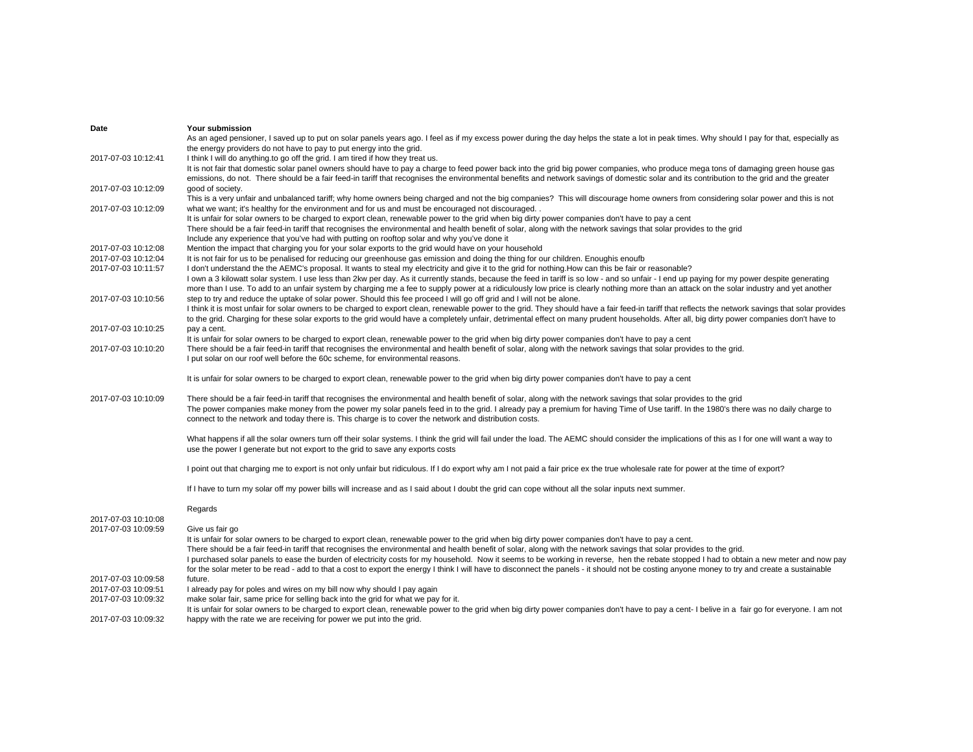| Date                | Your submission                                                                                                                                                                                     |
|---------------------|-----------------------------------------------------------------------------------------------------------------------------------------------------------------------------------------------------|
|                     | As an aged pensioner, I saved up to put on solar panels years ago. I feel as if my excess power during the day helps the state a lot in peak times. Why should I pay for that, especially as        |
|                     | the energy providers do not have to pay to put energy into the grid.                                                                                                                                |
| 2017-07-03 10:12:41 | I think I will do anything to go off the grid. I am tired if how they treat us.                                                                                                                     |
|                     | It is not fair that domestic solar panel owners should have to pay a charge to feed power back into the grid big power companies, who produce mega tons of damaging green house gas                 |
|                     | emissions, do not. There should be a fair feed-in tariff that recognises the environmental benefits and network savings of domestic solar and its contribution to the grid and the greater          |
|                     |                                                                                                                                                                                                     |
| 2017-07-03 10:12:09 | good of society.                                                                                                                                                                                    |
|                     | This is a very unfair and unbalanced tariff; why home owners being charged and not the big companies? This will discourage home owners from considering solar power and this is not                 |
| 2017-07-03 10:12:09 | what we want; it's healthy for the environment and for us and must be encouraged not discouraged. .                                                                                                 |
|                     | It is unfair for solar owners to be charged to export clean, renewable power to the grid when big dirty power companies don't have to pay a cent                                                    |
|                     | There should be a fair feed-in tariff that recognises the environmental and health benefit of solar, along with the network savings that solar provides to the grid                                 |
|                     | Include any experience that you've had with putting on rooftop solar and why you've done it                                                                                                         |
| 2017-07-03 10:12:08 | Mention the impact that charging you for your solar exports to the grid would have on your household                                                                                                |
| 2017-07-03 10:12:04 | It is not fair for us to be penalised for reducing our greenhouse gas emission and doing the thing for our children. Enoughis enoufb                                                                |
|                     |                                                                                                                                                                                                     |
| 2017-07-03 10:11:57 | I don't understand the the AEMC's proposal. It wants to steal my electricity and give it to the grid for nothing. How can this be fair or reasonable?                                               |
|                     | I own a 3 kilowatt solar system. I use less than 2kw per day. As it currently stands, because the feed in tariff is so low - and so unfair - I end up paying for my power despite generating        |
|                     | more than I use. To add to an unfair system by charging me a fee to supply power at a ridiculously low price is clearly nothing more than an attack on the solar industry and yet another           |
| 2017-07-03 10:10:56 | step to try and reduce the uptake of solar power. Should this fee proceed I will go off grid and I will not be alone.                                                                               |
|                     | I think it is most unfair for solar owners to be charged to export clean, renewable power to the grid. They should have a fair feed-in tariff that reflects the network savings that solar provides |
|                     | to the grid. Charging for these solar exports to the grid would have a completely unfair, detrimental effect on many prudent households. After all, big dirty power companies don't have to         |
| 2017-07-03 10:10:25 | pay a cent.                                                                                                                                                                                         |
|                     | It is unfair for solar owners to be charged to export clean, renewable power to the grid when big dirty power companies don't have to pay a cent                                                    |
| 2017-07-03 10:10:20 | There should be a fair feed-in tariff that recognises the environmental and health benefit of solar, along with the network savings that solar provides to the grid.                                |
|                     |                                                                                                                                                                                                     |
|                     | I put solar on our roof well before the 60c scheme, for environmental reasons.                                                                                                                      |
|                     |                                                                                                                                                                                                     |
|                     | It is unfair for solar owners to be charged to export clean, renewable power to the grid when big dirty power companies don't have to pay a cent                                                    |
|                     |                                                                                                                                                                                                     |
| 2017-07-03 10:10:09 | There should be a fair feed-in tariff that recognises the environmental and health benefit of solar, along with the network savings that solar provides to the grid                                 |
|                     | The power companies make money from the power my solar panels feed in to the grid. I already pay a premium for having Time of Use tariff. In the 1980's there was no daily charge to                |
|                     | connect to the network and today there is. This charge is to cover the network and distribution costs.                                                                                              |
|                     |                                                                                                                                                                                                     |
|                     | What happens if all the solar owners turn off their solar systems. I think the grid will fail under the load. The AEMC should consider the implications of this as I for one will want a way to     |
|                     | use the power I generate but not export to the grid to save any exports costs                                                                                                                       |
|                     |                                                                                                                                                                                                     |
|                     | I point out that charging me to export is not only unfair but ridiculous. If I do export why am I not paid a fair price ex the true wholesale rate for power at the time of export?                 |
|                     |                                                                                                                                                                                                     |
|                     | If I have to turn my solar off my power bills will increase and as I said about I doubt the grid can cope without all the solar inputs next summer.                                                 |
|                     |                                                                                                                                                                                                     |
|                     |                                                                                                                                                                                                     |
|                     | Regards                                                                                                                                                                                             |
| 2017-07-03 10:10:08 |                                                                                                                                                                                                     |
| 2017-07-03 10:09:59 | Give us fair go                                                                                                                                                                                     |
|                     | It is unfair for solar owners to be charged to export clean, renewable power to the grid when big dirty power companies don't have to pay a cent.                                                   |
|                     | There should be a fair feed-in tariff that recognises the environmental and health benefit of solar, along with the network savings that solar provides to the grid.                                |
|                     | I purchased solar panels to ease the burden of electricity costs for my household. Now it seems to be working in reverse, hen the rebate stopped I had to obtain a new meter and now pay            |
|                     | for the solar meter to be read - add to that a cost to export the energy I think I will have to disconnect the panels - it should not be costing anyone money to try and create a sustainable       |
| 2017-07-03 10:09:58 | future.                                                                                                                                                                                             |
| 2017-07-03 10:09:51 | I already pay for poles and wires on my bill now why should I pay again                                                                                                                             |
| 2017-07-03 10:09:32 | make solar fair, same price for selling back into the grid for what we pay for it.                                                                                                                  |
|                     |                                                                                                                                                                                                     |
|                     | It is unfair for solar owners to be charged to export clean, renewable power to the grid when big dirty power companies don't have to pay a cent-I belive in a fair go for everyone. I am not       |
| 2017-07-03 10:09:32 | happy with the rate we are receiving for power we put into the grid.                                                                                                                                |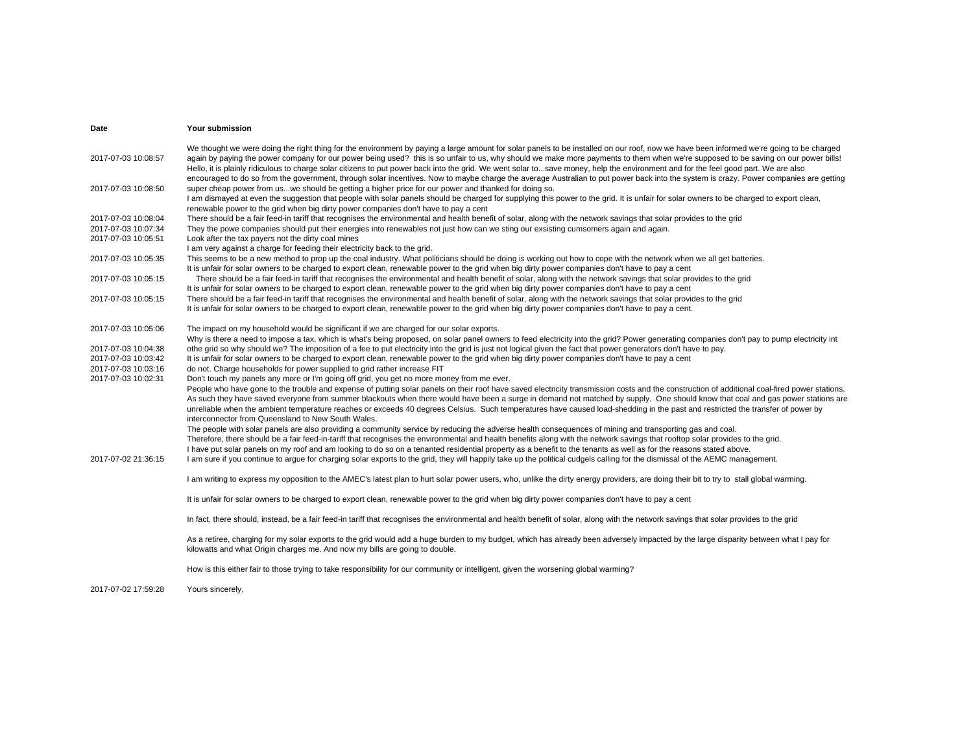| Date                | Your submission                                                                                                                                                                                                                                                                                                                                                                                                                                                                                                                                                                                                                                                                                                                                              |
|---------------------|--------------------------------------------------------------------------------------------------------------------------------------------------------------------------------------------------------------------------------------------------------------------------------------------------------------------------------------------------------------------------------------------------------------------------------------------------------------------------------------------------------------------------------------------------------------------------------------------------------------------------------------------------------------------------------------------------------------------------------------------------------------|
| 2017-07-03 10:08:57 | We thought we were doing the right thing for the environment by paying a large amount for solar panels to be installed on our roof, now we have been informed we're going to be charged<br>again by paying the power company for our power being used? this is so unfair to us, why should we make more payments to them when we're supposed to be saving on our power bills!<br>Hello, it is plainly ridiculous to charge solar citizens to put power back into the grid. We went solar tosave money, help the environment and for the feel good part. We are also<br>encouraged to do so from the government, through solar incentives. Now to maybe charge the average Australian to put power back into the system is crazy. Power companies are getting |
| 2017-07-03 10:08:50 | super cheap power from uswe should be getting a higher price for our power and thanked for doing so.<br>I am dismayed at even the suggestion that people with solar panels should be charged for supplying this power to the grid. It is unfair for solar owners to be charged to export clean,<br>renewable power to the grid when big dirty power companies don't have to pay a cent                                                                                                                                                                                                                                                                                                                                                                       |
| 2017-07-03 10:08:04 | There should be a fair feed-in tariff that recognises the environmental and health benefit of solar, along with the network savings that solar provides to the grid                                                                                                                                                                                                                                                                                                                                                                                                                                                                                                                                                                                          |
| 2017-07-03 10:07:34 | They the powe companies should put their energies into renewables not just how can we sting our exsisting cumsomers again and again.                                                                                                                                                                                                                                                                                                                                                                                                                                                                                                                                                                                                                         |
| 2017-07-03 10:05:51 | Look after the tax payers not the dirty coal mines                                                                                                                                                                                                                                                                                                                                                                                                                                                                                                                                                                                                                                                                                                           |
|                     | I am very against a charge for feeding their electricity back to the grid.                                                                                                                                                                                                                                                                                                                                                                                                                                                                                                                                                                                                                                                                                   |
| 2017-07-03 10:05:35 | This seems to be a new method to prop up the coal industry. What politicians should be doing is working out how to cope with the network when we all get batteries.                                                                                                                                                                                                                                                                                                                                                                                                                                                                                                                                                                                          |
|                     | It is unfair for solar owners to be charged to export clean, renewable power to the grid when big dirty power companies don't have to pay a cent                                                                                                                                                                                                                                                                                                                                                                                                                                                                                                                                                                                                             |
| 2017-07-03 10:05:15 | There should be a fair feed-in tariff that recognises the environmental and health benefit of solar, along with the network savings that solar provides to the grid                                                                                                                                                                                                                                                                                                                                                                                                                                                                                                                                                                                          |
|                     | It is unfair for solar owners to be charged to export clean, renewable power to the grid when big dirty power companies don't have to pay a cent                                                                                                                                                                                                                                                                                                                                                                                                                                                                                                                                                                                                             |
| 2017-07-03 10:05:15 | There should be a fair feed-in tariff that recognises the environmental and health benefit of solar, along with the network savings that solar provides to the grid<br>It is unfair for solar owners to be charged to export clean, renewable power to the grid when big dirty power companies don't have to pay a cent.                                                                                                                                                                                                                                                                                                                                                                                                                                     |
|                     |                                                                                                                                                                                                                                                                                                                                                                                                                                                                                                                                                                                                                                                                                                                                                              |
| 2017-07-03 10:05:06 | The impact on my household would be significant if we are charged for our solar exports.                                                                                                                                                                                                                                                                                                                                                                                                                                                                                                                                                                                                                                                                     |
|                     | Why is there a need to impose a tax, which is what's being proposed, on solar panel owners to feed electricity into the grid? Power generating companies don't pay to pump electricity int                                                                                                                                                                                                                                                                                                                                                                                                                                                                                                                                                                   |
| 2017-07-03 10:04:38 | othe grid so why should we? The imposition of a fee to put electricity into the grid is just not logical given the fact that power generators don't have to pay.                                                                                                                                                                                                                                                                                                                                                                                                                                                                                                                                                                                             |
| 2017-07-03 10:03:42 | It is unfair for solar owners to be charged to export clean, renewable power to the grid when big dirty power companies don't have to pay a cent                                                                                                                                                                                                                                                                                                                                                                                                                                                                                                                                                                                                             |
| 2017-07-03 10:03:16 | do not. Charge households for power supplied to grid rather increase FIT                                                                                                                                                                                                                                                                                                                                                                                                                                                                                                                                                                                                                                                                                     |
| 2017-07-03 10:02:31 | Don't touch my panels any more or I'm going off grid, you get no more money from me ever.                                                                                                                                                                                                                                                                                                                                                                                                                                                                                                                                                                                                                                                                    |
|                     | People who have gone to the trouble and expense of putting solar panels on their roof have saved electricity transmission costs and the construction of additional coal-fired power stations.<br>As such they have saved everyone from summer blackouts when there would have been a surge in demand not matched by supply. One should know that coal and gas power stations are<br>unreliable when the ambient temperature reaches or exceeds 40 degrees Celsius. Such temperatures have caused load-shedding in the past and restricted the transfer of power by<br>interconnector from Queensland to New South Wales.                                                                                                                                     |
|                     | The people with solar panels are also providing a community service by reducing the adverse health consequences of mining and transporting gas and coal.                                                                                                                                                                                                                                                                                                                                                                                                                                                                                                                                                                                                     |
|                     | Therefore, there should be a fair feed-in-tariff that recognises the environmental and health benefits along with the network savings that rooftop solar provides to the grid.                                                                                                                                                                                                                                                                                                                                                                                                                                                                                                                                                                               |
|                     | I have put solar panels on my roof and am looking to do so on a tenanted residential property as a benefit to the tenants as well as for the reasons stated above.                                                                                                                                                                                                                                                                                                                                                                                                                                                                                                                                                                                           |
| 2017-07-02 21:36:15 | I am sure if you continue to argue for charging solar exports to the grid, they will happily take up the political cudgels calling for the dismissal of the AEMC management.                                                                                                                                                                                                                                                                                                                                                                                                                                                                                                                                                                                 |
|                     | I am writing to express my opposition to the AMEC's latest plan to hurt solar power users, who, unlike the dirty energy providers, are doing their bit to try to stall global warming.                                                                                                                                                                                                                                                                                                                                                                                                                                                                                                                                                                       |
|                     | It is unfair for solar owners to be charged to export clean, renewable power to the grid when big dirty power companies don't have to pay a cent                                                                                                                                                                                                                                                                                                                                                                                                                                                                                                                                                                                                             |
|                     | In fact, there should, instead, be a fair feed-in tariff that recognises the environmental and health benefit of solar, along with the network savings that solar provides to the grid                                                                                                                                                                                                                                                                                                                                                                                                                                                                                                                                                                       |
|                     | As a retiree, charging for my solar exports to the grid would add a huge burden to my budget, which has already been adversely impacted by the large disparity between what I pay for<br>kilowatts and what Origin charges me. And now my bills are going to double.                                                                                                                                                                                                                                                                                                                                                                                                                                                                                         |
|                     | How is this either fair to those trying to take responsibility for our community or intelligent, given the worsening global warming?                                                                                                                                                                                                                                                                                                                                                                                                                                                                                                                                                                                                                         |
| 2017-07-02 17:59:28 | Yours sincerely,                                                                                                                                                                                                                                                                                                                                                                                                                                                                                                                                                                                                                                                                                                                                             |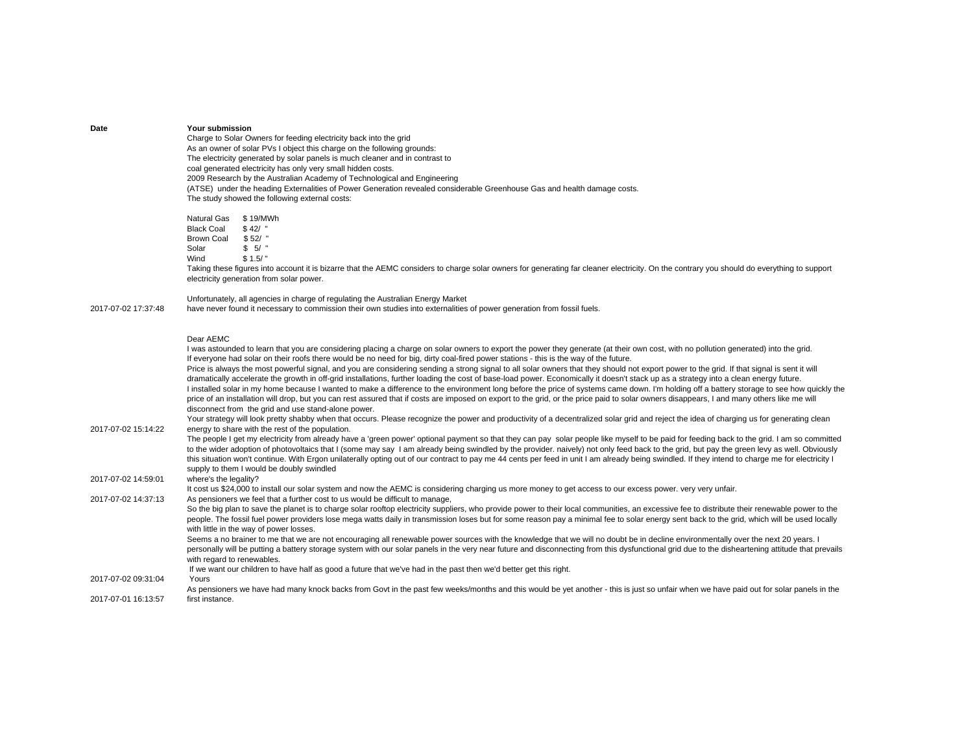| Date                | Your submission<br>Charge to Solar Owners for feeding electricity back into the grid<br>As an owner of solar PVs I object this charge on the following grounds:<br>The electricity generated by solar panels is much cleaner and in contrast to<br>coal generated electricity has only very small hidden costs.<br>2009 Research by the Australian Academy of Technological and Engineering<br>(ATSE) under the heading Externalities of Power Generation revealed considerable Greenhouse Gas and health damage costs.<br>The study showed the following external costs:                                                                                                                                                                                                                                                                                                                                                                                                                                                                                                                                                                                                                                                                                                                                                                                                          |
|---------------------|------------------------------------------------------------------------------------------------------------------------------------------------------------------------------------------------------------------------------------------------------------------------------------------------------------------------------------------------------------------------------------------------------------------------------------------------------------------------------------------------------------------------------------------------------------------------------------------------------------------------------------------------------------------------------------------------------------------------------------------------------------------------------------------------------------------------------------------------------------------------------------------------------------------------------------------------------------------------------------------------------------------------------------------------------------------------------------------------------------------------------------------------------------------------------------------------------------------------------------------------------------------------------------------------------------------------------------------------------------------------------------|
|                     | Natural Gas<br>\$19/MWh<br><b>Black Coal</b><br>\$42/<br><b>Brown Coal</b><br>\$52/<br>\$5/<br>Solar<br>Wind<br>\$1.5/<br>Taking these figures into account it is bizarre that the AEMC considers to charge solar owners for generating far cleaner electricity. On the contrary you should do everything to support<br>electricity generation from solar power.                                                                                                                                                                                                                                                                                                                                                                                                                                                                                                                                                                                                                                                                                                                                                                                                                                                                                                                                                                                                                   |
| 2017-07-02 17:37:48 | Unfortunately, all agencies in charge of regulating the Australian Energy Market<br>have never found it necessary to commission their own studies into externalities of power generation from fossil fuels.                                                                                                                                                                                                                                                                                                                                                                                                                                                                                                                                                                                                                                                                                                                                                                                                                                                                                                                                                                                                                                                                                                                                                                        |
|                     | Dear AEMC<br>I was astounded to learn that you are considering placing a charge on solar owners to export the power they generate (at their own cost, with no pollution generated) into the grid.<br>If everyone had solar on their roofs there would be no need for big, dirty coal-fired power stations - this is the way of the future.<br>Price is always the most powerful signal, and you are considering sending a strong signal to all solar owners that they should not export power to the grid. If that signal is sent it will<br>dramatically accelerate the growth in off-grid installations, further loading the cost of base-load power. Economically it doesn't stack up as a strategy into a clean energy future.<br>I installed solar in my home because I wanted to make a difference to the environment long before the price of systems came down. I'm holding off a battery storage to see how quickly the<br>price of an installation will drop, but you can rest assured that if costs are imposed on export to the grid, or the price paid to solar owners disappears, I and many others like me will<br>disconnect from the grid and use stand-alone power.<br>Your strategy will look pretty shabby when that occurs. Please recognize the power and productivity of a decentralized solar grid and reject the idea of charging us for generating clean |
| 2017-07-02 15:14:22 | energy to share with the rest of the population.<br>The people I get my electricity from already have a 'green power' optional payment so that they can pay solar people like myself to be paid for feeding back to the grid. I am so committed<br>to the wider adoption of photovoltaics that I (some may say I am already being swindled by the provider. naively) not only feed back to the grid, but pay the green levy as well. Obviously<br>this situation won't continue. With Ergon unilaterally opting out of our contract to pay me 44 cents per feed in unit I am already being swindled. If they intend to charge me for electricity I<br>supply to them I would be doubly swindled                                                                                                                                                                                                                                                                                                                                                                                                                                                                                                                                                                                                                                                                                    |
| 2017-07-02 14:59:01 | where's the legality?<br>It cost us \$24,000 to install our solar system and now the AEMC is considering charging us more money to get access to our excess power. very very unfair.                                                                                                                                                                                                                                                                                                                                                                                                                                                                                                                                                                                                                                                                                                                                                                                                                                                                                                                                                                                                                                                                                                                                                                                               |
| 2017-07-02 14:37:13 | As pensioners we feel that a further cost to us would be difficult to manage,<br>So the big plan to save the planet is to charge solar rooftop electricity suppliers, who provide power to their local communities, an excessive fee to distribute their renewable power to the<br>people. The fossil fuel power providers lose mega watts daily in transmission loses but for some reason pay a minimal fee to solar energy sent back to the grid, which will be used locally<br>with little in the way of power losses.<br>Seems a no brainer to me that we are not encouraging all renewable power sources with the knowledge that we will no doubt be in decline environmentally over the next 20 years. I<br>personally will be putting a battery storage system with our solar panels in the very near future and disconnecting from this dysfunctional grid due to the disheartening attitude that prevails                                                                                                                                                                                                                                                                                                                                                                                                                                                                 |
|                     | with regard to renewables.                                                                                                                                                                                                                                                                                                                                                                                                                                                                                                                                                                                                                                                                                                                                                                                                                                                                                                                                                                                                                                                                                                                                                                                                                                                                                                                                                         |
| 2017-07-02 09:31:04 | If we want our children to have half as good a future that we've had in the past then we'd better get this right.<br>Yours<br>As pensioners we have had many knock backs from Govt in the past few weeks/months and this would be yet another - this is just so unfair when we have paid out for solar panels in the                                                                                                                                                                                                                                                                                                                                                                                                                                                                                                                                                                                                                                                                                                                                                                                                                                                                                                                                                                                                                                                               |
| 2017-07-01 16:13:57 | first instance.                                                                                                                                                                                                                                                                                                                                                                                                                                                                                                                                                                                                                                                                                                                                                                                                                                                                                                                                                                                                                                                                                                                                                                                                                                                                                                                                                                    |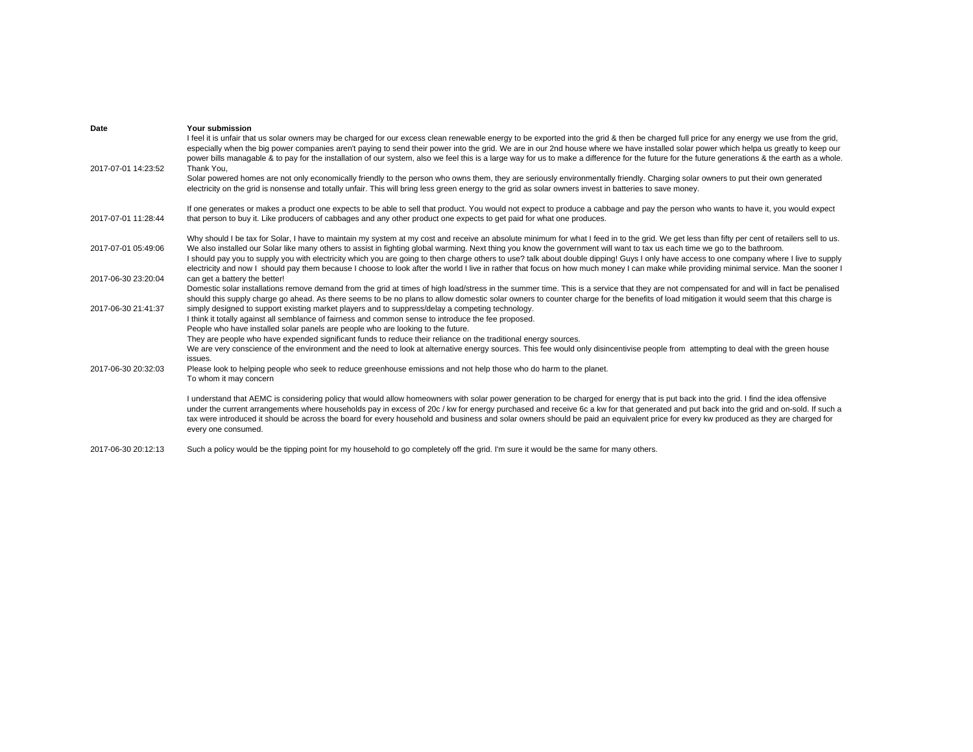| Your submission                                                                                                                                                                                                                                                                                                                                                                                                                                                                                                                                                                                                                                                                                                                                                          |
|--------------------------------------------------------------------------------------------------------------------------------------------------------------------------------------------------------------------------------------------------------------------------------------------------------------------------------------------------------------------------------------------------------------------------------------------------------------------------------------------------------------------------------------------------------------------------------------------------------------------------------------------------------------------------------------------------------------------------------------------------------------------------|
| I feel it is unfair that us solar owners may be charged for our excess clean renewable energy to be exported into the grid & then be charged full price for any energy we use from the grid,<br>especially when the big power companies aren't paying to send their power into the grid. We are in our 2nd house where we have installed solar power which helpa us greatly to keep our<br>power bills managable & to pay for the installation of our system, also we feel this is a large way for us to make a difference for the future for the future generations & the earth as a whole.<br>Thank You,                                                                                                                                                               |
| Solar powered homes are not only economically friendly to the person who owns them, they are seriously environmentally friendly. Charging solar owners to put their own generated<br>electricity on the grid is nonsense and totally unfair. This will bring less green energy to the grid as solar owners invest in batteries to save money.                                                                                                                                                                                                                                                                                                                                                                                                                            |
| If one generates or makes a product one expects to be able to sell that product. You would not expect to produce a cabbage and pay the person who wants to have it, you would expect<br>that person to buy it. Like producers of cabbages and any other product one expects to get paid for what one produces.                                                                                                                                                                                                                                                                                                                                                                                                                                                           |
| Why should I be tax for Solar, I have to maintain my system at my cost and receive an absolute minimum for what I feed in to the grid. We get less than fifty per cent of retailers sell to us.<br>We also installed our Solar like many others to assist in fighting global warming. Next thing you know the government will want to tax us each time we go to the bathroom.<br>I should pay you to supply you with electricity which you are going to then charge others to use? talk about double dipping! Guys I only have access to one company where I live to supply<br>electricity and now I should pay them because I choose to look after the world I live in rather that focus on how much money I can make while providing minimal service. Man the sooner I |
| can get a battery the better!<br>Domestic solar installations remove demand from the grid at times of high load/stress in the summer time. This is a service that they are not compensated for and will in fact be penalised<br>should this supply charge go ahead. As there seems to be no plans to allow domestic solar owners to counter charge for the benefits of load mitigation it would seem that this charge is                                                                                                                                                                                                                                                                                                                                                 |
| simply designed to support existing market players and to suppress/delay a competing technology.<br>I think it totally against all semblance of fairness and common sense to introduce the fee proposed.<br>People who have installed solar panels are people who are looking to the future.                                                                                                                                                                                                                                                                                                                                                                                                                                                                             |
| They are people who have expended significant funds to reduce their reliance on the traditional energy sources.<br>We are very conscience of the environment and the need to look at alternative energy sources. This fee would only disincentivise people from attempting to deal with the green house<br>issues.                                                                                                                                                                                                                                                                                                                                                                                                                                                       |
| Please look to helping people who seek to reduce greenhouse emissions and not help those who do harm to the planet.<br>To whom it may concern                                                                                                                                                                                                                                                                                                                                                                                                                                                                                                                                                                                                                            |
| I understand that AEMC is considering policy that would allow homeowners with solar power generation to be charged for energy that is put back into the grid. I find the idea offensive<br>under the current arrangements where households pay in excess of 20c / kw for energy purchased and receive 6c a kw for that generated and put back into the grid and on-sold. If such a<br>tax were introduced it should be across the board for every household and business and solar owners should be paid an equivalent price for every kw produced as they are charged for<br>every one consumed.                                                                                                                                                                        |
|                                                                                                                                                                                                                                                                                                                                                                                                                                                                                                                                                                                                                                                                                                                                                                          |

2017-06-30 20:12:13 Such a policy would be the tipping point for my household to go completely off the grid. I'm sure it would be the same for many others.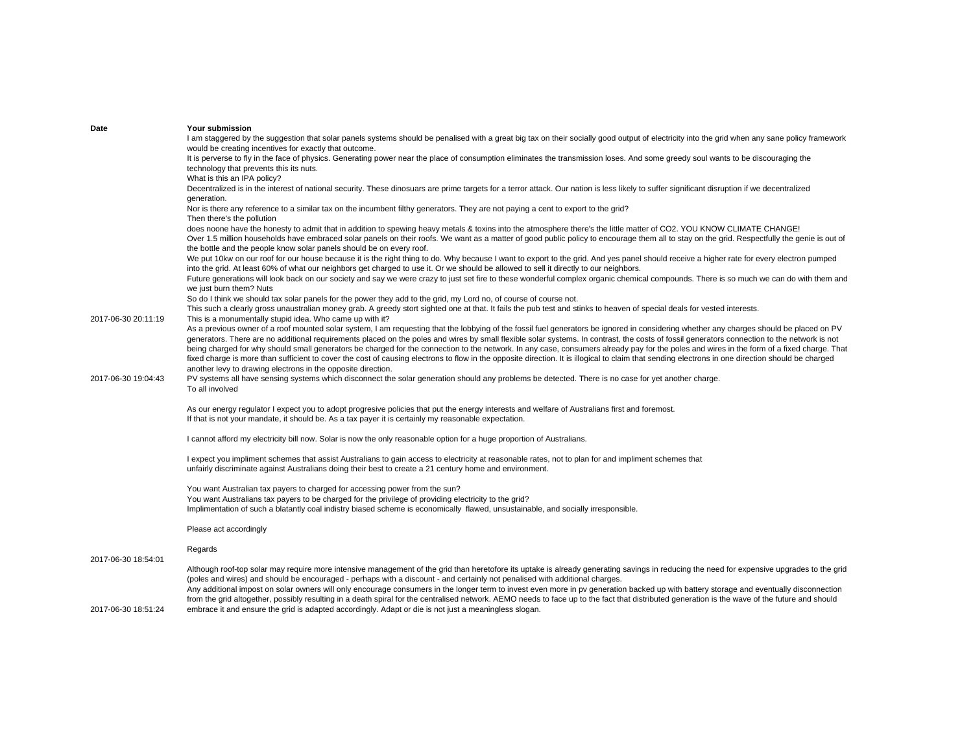| Date                | Your submission                                                                                                                                                                                                                                                                                                                                                                                                                                                                                                      |
|---------------------|----------------------------------------------------------------------------------------------------------------------------------------------------------------------------------------------------------------------------------------------------------------------------------------------------------------------------------------------------------------------------------------------------------------------------------------------------------------------------------------------------------------------|
|                     | I am staggered by the suggestion that solar panels systems should be penalised with a great big tax on their socially good output of electricity into the grid when any sane policy framework                                                                                                                                                                                                                                                                                                                        |
|                     | would be creating incentives for exactly that outcome.<br>It is perverse to fly in the face of physics. Generating power near the place of consumption eliminates the transmission loses. And some greedy soul wants to be discouraging the                                                                                                                                                                                                                                                                          |
|                     | technology that prevents this its nuts.                                                                                                                                                                                                                                                                                                                                                                                                                                                                              |
|                     | What is this an IPA policy?                                                                                                                                                                                                                                                                                                                                                                                                                                                                                          |
|                     | Decentralized is in the interest of national security. These dinosuars are prime targets for a terror attack. Our nation is less likely to suffer significant disruption if we decentralized<br>generation.                                                                                                                                                                                                                                                                                                          |
|                     | Nor is there any reference to a similar tax on the incumbent filthy generators. They are not paying a cent to export to the grid?<br>Then there's the pollution                                                                                                                                                                                                                                                                                                                                                      |
|                     | does noone have the honesty to admit that in addition to spewing heavy metals & toxins into the atmosphere there's the little matter of CO2. YOU KNOW CLIMATE CHANGE!<br>Over 1.5 million households have embraced solar panels on their roofs. We want as a matter of good public policy to encourage them all to stay on the grid. Respectfully the genie is out of                                                                                                                                                |
|                     | the bottle and the people know solar panels should be on every roof.                                                                                                                                                                                                                                                                                                                                                                                                                                                 |
|                     | We put 10kw on our roof for our house because it is the right thing to do. Why because I want to export to the grid. And yes panel should receive a higher rate for every electron pumped<br>into the grid. At least 60% of what our neighbors get charged to use it. Or we should be allowed to sell it directly to our neighbors.                                                                                                                                                                                  |
|                     | Future generations will look back on our society and say we were crazy to just set fire to these wonderful complex organic chemical compounds. There is so much we can do with them and<br>we just burn them? Nuts                                                                                                                                                                                                                                                                                                   |
|                     | So do I think we should tax solar panels for the power they add to the grid, my Lord no, of course of course not.                                                                                                                                                                                                                                                                                                                                                                                                    |
|                     | This such a clearly gross unaustralian money grab. A greedy stort sighted one at that. It fails the pub test and stinks to heaven of special deals for vested interests.                                                                                                                                                                                                                                                                                                                                             |
| 2017-06-30 20:11:19 | This is a monumentally stupid idea. Who came up with it?                                                                                                                                                                                                                                                                                                                                                                                                                                                             |
|                     | As a previous owner of a roof mounted solar system, I am requesting that the lobbying of the fossil fuel generators be ignored in considering whether any charges should be placed on PV<br>generators. There are no additional requirements placed on the poles and wires by small flexible solar systems. In contrast, the costs of fossil generators connection to the network is not                                                                                                                             |
|                     | being charged for why should small generators be charged for the connection to the network. In any case, consumers already pay for the poles and wires in the form of a fixed charge. That                                                                                                                                                                                                                                                                                                                           |
|                     | fixed charge is more than sufficient to cover the cost of causing electrons to flow in the opposite direction. It is illogical to claim that sending electrons in one direction should be charged<br>another levy to drawing electrons in the opposite direction.                                                                                                                                                                                                                                                    |
| 2017-06-30 19:04:43 | PV systems all have sensing systems which disconnect the solar generation should any problems be detected. There is no case for yet another charge.<br>To all involved                                                                                                                                                                                                                                                                                                                                               |
|                     |                                                                                                                                                                                                                                                                                                                                                                                                                                                                                                                      |
|                     | As our energy regulator I expect you to adopt progresive policies that put the energy interests and welfare of Australians first and foremost.<br>If that is not your mandate, it should be. As a tax payer it is certainly my reasonable expectation.                                                                                                                                                                                                                                                               |
|                     | I cannot afford my electricity bill now. Solar is now the only reasonable option for a huge proportion of Australians.                                                                                                                                                                                                                                                                                                                                                                                               |
|                     |                                                                                                                                                                                                                                                                                                                                                                                                                                                                                                                      |
|                     | I expect you impliment schemes that assist Australians to gain access to electricity at reasonable rates, not to plan for and impliment schemes that<br>unfairly discriminate against Australians doing their best to create a 21 century home and environment.                                                                                                                                                                                                                                                      |
|                     | You want Australian tax payers to charged for accessing power from the sun?                                                                                                                                                                                                                                                                                                                                                                                                                                          |
|                     | You want Australians tax payers to be charged for the privilege of providing electricity to the grid?                                                                                                                                                                                                                                                                                                                                                                                                                |
|                     | Implimentation of such a blatantly coal indistry biased scheme is economically flawed, unsustainable, and socially irresponsible.                                                                                                                                                                                                                                                                                                                                                                                    |
|                     | Please act accordingly                                                                                                                                                                                                                                                                                                                                                                                                                                                                                               |
| 2017-06-30 18:54:01 | Regards                                                                                                                                                                                                                                                                                                                                                                                                                                                                                                              |
|                     | Although roof-top solar may require more intensive management of the grid than heretofore its uptake is already generating savings in reducing the need for expensive upgrades to the grid<br>(poles and wires) and should be encouraged - perhaps with a discount - and certainly not penalised with additional charges.<br>Any additional impost on solar owners will only encourage consumers in the longer term to invest even more in pv generation backed up with battery storage and eventually disconnection |
|                     | from the grid altogether, possibly resulting in a death spiral for the centralised network. AEMO needs to face up to the fact that distributed generation is the wave of the future and should                                                                                                                                                                                                                                                                                                                       |

2017-06-30 18:51:24 embrace it and ensure the grid is adapted accordingly. Adapt or die is not just a meaningless slogan.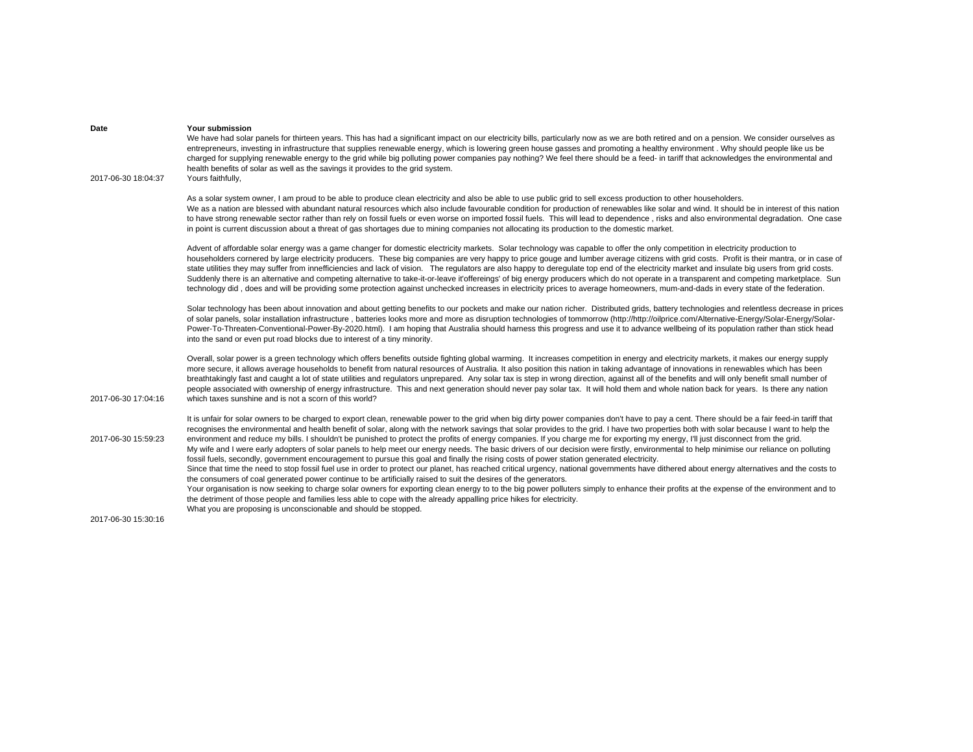| Date                | Your submission<br>We have had solar panels for thirteen years. This has had a significant impact on our electricity bills, particularly now as we are both retired and on a pension. We consider ourselves as<br>entrepreneurs, investing in infrastructure that supplies renewable energy, which is lowering green house gasses and promoting a healthy environment. Why should people like us be<br>charged for supplying renewable energy to the grid while big polluting power companies pay nothing? We feel there should be a feed- in tariff that acknowledges the environmental and<br>health benefits of solar as well as the savings it provides to the grid system.                                                                                                                                                                                                                                                                                                                                                                                                                                                                                                                                                                                                                                                                                                                                                                                                                                                                                                                                                       |
|---------------------|---------------------------------------------------------------------------------------------------------------------------------------------------------------------------------------------------------------------------------------------------------------------------------------------------------------------------------------------------------------------------------------------------------------------------------------------------------------------------------------------------------------------------------------------------------------------------------------------------------------------------------------------------------------------------------------------------------------------------------------------------------------------------------------------------------------------------------------------------------------------------------------------------------------------------------------------------------------------------------------------------------------------------------------------------------------------------------------------------------------------------------------------------------------------------------------------------------------------------------------------------------------------------------------------------------------------------------------------------------------------------------------------------------------------------------------------------------------------------------------------------------------------------------------------------------------------------------------------------------------------------------------|
| 2017-06-30 18:04:37 | Yours faithfully,                                                                                                                                                                                                                                                                                                                                                                                                                                                                                                                                                                                                                                                                                                                                                                                                                                                                                                                                                                                                                                                                                                                                                                                                                                                                                                                                                                                                                                                                                                                                                                                                                     |
|                     | As a solar system owner, I am proud to be able to produce clean electricity and also be able to use public grid to sell excess production to other householders.<br>We as a nation are blessed with abundant natural resources which also include favourable condition for production of renewables like solar and wind. It should be in interest of this nation<br>to have strong renewable sector rather than rely on fossil fuels or even worse on imported fossil fuels. This will lead to dependence, risks and also environmental degradation. One case<br>in point is current discussion about a threat of gas shortages due to mining companies not allocating its production to the domestic market.                                                                                                                                                                                                                                                                                                                                                                                                                                                                                                                                                                                                                                                                                                                                                                                                                                                                                                                         |
|                     | Advent of affordable solar energy was a game changer for domestic electricity markets. Solar technology was capable to offer the only competition in electricity production to<br>householders cornered by large electricity producers. These big companies are very happy to price gouge and lumber average citizens with grid costs. Profit is their mantra, or in case of<br>state utilities they may suffer from innefficiencies and lack of vision. The regulators are also happy to deregulate top end of the electricity market and insulate big users from grid costs.<br>Suddenly there is an alternative and competing alternative to take-it-or-leave it'offereings' of big energy producers which do not operate in a transparent and competing marketplace. Sun<br>technology did, does and will be providing some protection against unchecked increases in electricity prices to average homeowners, mum-and-dads in every state of the federation.                                                                                                                                                                                                                                                                                                                                                                                                                                                                                                                                                                                                                                                                    |
|                     | Solar technology has been about innovation and about getting benefits to our pockets and make our nation richer. Distributed grids, battery technologies and relentless decrease in prices<br>of solar panels, solar installation infrastructure, batteries looks more and more as disruption technologies of tommorrow (http://bitp://oilprice.com/Alternative-Energy/Solar-Energy/Solar-Energy/Solar-<br>Power-To-Threaten-Conventional-Power-By-2020.html). I am hoping that Australia should harness this progress and use it to advance wellbeing of its population rather than stick head<br>into the sand or even put road blocks due to interest of a tiny minority.                                                                                                                                                                                                                                                                                                                                                                                                                                                                                                                                                                                                                                                                                                                                                                                                                                                                                                                                                          |
| 2017-06-30 17:04:16 | Overall, solar power is a green technology which offers benefits outside fighting global warming. It increases competition in energy and electricity markets, it makes our energy supply<br>more secure, it allows average households to benefit from natural resources of Australia. It also position this nation in taking advantage of innovations in renewables which has been<br>breathtakingly fast and caught a lot of state utilities and regulators unprepared. Any solar tax is step in wrong direction, against all of the benefits and will only benefit small number of<br>people associated with ownership of energy infrastructure. This and next generation should never pay solar tax. It will hold them and whole nation back for years. Is there any nation<br>which taxes sunshine and is not a scorn of this world?                                                                                                                                                                                                                                                                                                                                                                                                                                                                                                                                                                                                                                                                                                                                                                                              |
| 2017-06-30 15:59:23 | It is unfair for solar owners to be charged to export clean, renewable power to the grid when big dirty power companies don't have to pay a cent. There should be a fair feed-in tariff that<br>recognises the environmental and health benefit of solar, along with the network savings that solar provides to the grid. I have two properties both with solar because I want to help the<br>environment and reduce my bills. I shouldn't be punished to protect the profits of energy companies. If you charge me for exporting my energy, I'll just disconnect from the grid.<br>My wife and I were early adopters of solar panels to help meet our energy needs. The basic drivers of our decision were firstly, environmental to help minimise our reliance on polluting<br>fossil fuels, secondly, government encouragement to pursue this goal and finally the rising costs of power station generated electricity.<br>Since that time the need to stop fossil fuel use in order to protect our planet, has reached critical urgency, national governments have dithered about energy alternatives and the costs to<br>the consumers of coal generated power continue to be artificially raised to suit the desires of the generators.<br>Your organisation is now seeking to charge solar owners for exporting clean energy to to the big power polluters simply to enhance their profits at the expense of the environment and to<br>the detriment of those people and families less able to cope with the already appalling price hikes for electricity.<br>What you are proposing is unconscionable and should be stopped. |
| 2017-06-30 15:30:16 |                                                                                                                                                                                                                                                                                                                                                                                                                                                                                                                                                                                                                                                                                                                                                                                                                                                                                                                                                                                                                                                                                                                                                                                                                                                                                                                                                                                                                                                                                                                                                                                                                                       |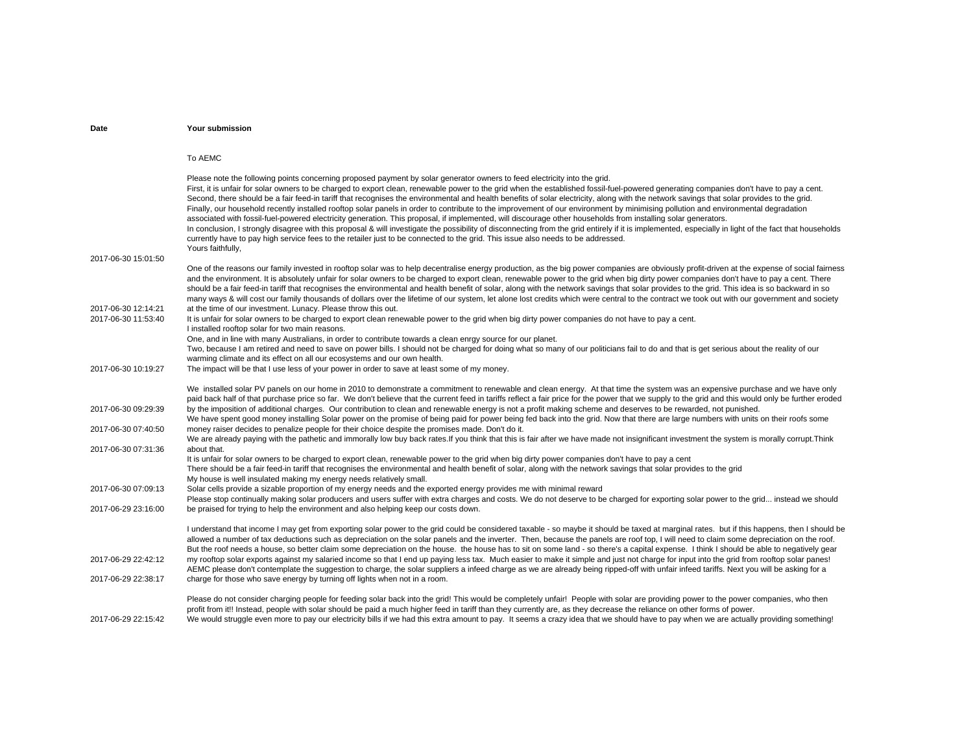| Date                                       | Your submission                                                                                                                                                                                                                                                                                                                                                                                                                                                                                                                                                                                                                                                                                                                                                                                                                                                                                                                                                                                                                                                                                                                                                                                                                            |
|--------------------------------------------|--------------------------------------------------------------------------------------------------------------------------------------------------------------------------------------------------------------------------------------------------------------------------------------------------------------------------------------------------------------------------------------------------------------------------------------------------------------------------------------------------------------------------------------------------------------------------------------------------------------------------------------------------------------------------------------------------------------------------------------------------------------------------------------------------------------------------------------------------------------------------------------------------------------------------------------------------------------------------------------------------------------------------------------------------------------------------------------------------------------------------------------------------------------------------------------------------------------------------------------------|
|                                            |                                                                                                                                                                                                                                                                                                                                                                                                                                                                                                                                                                                                                                                                                                                                                                                                                                                                                                                                                                                                                                                                                                                                                                                                                                            |
|                                            | To AEMC                                                                                                                                                                                                                                                                                                                                                                                                                                                                                                                                                                                                                                                                                                                                                                                                                                                                                                                                                                                                                                                                                                                                                                                                                                    |
| 2017-06-30 15:01:50                        | Please note the following points concerning proposed payment by solar generator owners to feed electricity into the grid.<br>First, it is unfair for solar owners to be charged to export clean, renewable power to the grid when the established fossil-fuel-powered generating companies don't have to pay a cent.<br>Second, there should be a fair feed-in tariff that recognises the environmental and health benefits of solar electricity, along with the network savings that solar provides to the grid.<br>Finally, our household recently installed rooftop solar panels in order to contribute to the improvement of our environment by minimising pollution and environmental degradation<br>associated with fossil-fuel-powered electricity generation. This proposal, if implemented, will discourage other households from installing solar generators.<br>In conclusion, I strongly disagree with this proposal & will investigate the possibility of disconnecting from the grid entirely if it is implemented, especially in light of the fact that households<br>currently have to pay high service fees to the retailer just to be connected to the grid. This issue also needs to be addressed.<br>Yours faithfully, |
|                                            | One of the reasons our family invested in rooftop solar was to help decentralise energy production, as the big power companies are obviously profit-driven at the expense of social fairness                                                                                                                                                                                                                                                                                                                                                                                                                                                                                                                                                                                                                                                                                                                                                                                                                                                                                                                                                                                                                                               |
| 2017-06-30 12:14:21                        | and the environment. It is absolutely unfair for solar owners to be charged to export clean, renewable power to the grid when big dirty power companies don't have to pay a cent. There<br>should be a fair feed-in tariff that recognises the environmental and health benefit of solar, along with the network savings that solar provides to the grid. This idea is so backward in so<br>many ways & will cost our family thousands of dollars over the lifetime of our system, let alone lost credits which were central to the contract we took out with our government and society<br>at the time of our investment. Lunacy. Please throw this out.                                                                                                                                                                                                                                                                                                                                                                                                                                                                                                                                                                                  |
| 2017-06-30 11:53:40                        | It is unfair for solar owners to be charged to export clean renewable power to the grid when big dirty power companies do not have to pay a cent.<br>I installed rooftop solar for two main reasons.                                                                                                                                                                                                                                                                                                                                                                                                                                                                                                                                                                                                                                                                                                                                                                                                                                                                                                                                                                                                                                       |
|                                            | One, and in line with many Australians, in order to contribute towards a clean enrgy source for our planet.                                                                                                                                                                                                                                                                                                                                                                                                                                                                                                                                                                                                                                                                                                                                                                                                                                                                                                                                                                                                                                                                                                                                |
|                                            | Two, because I am retired and need to save on power bills. I should not be charged for doing what so many of our politicians fail to do and that is get serious about the reality of our                                                                                                                                                                                                                                                                                                                                                                                                                                                                                                                                                                                                                                                                                                                                                                                                                                                                                                                                                                                                                                                   |
| 2017-06-30 10:19:27                        | warming climate and its effect on all our ecosystems and our own health.                                                                                                                                                                                                                                                                                                                                                                                                                                                                                                                                                                                                                                                                                                                                                                                                                                                                                                                                                                                                                                                                                                                                                                   |
|                                            | The impact will be that I use less of your power in order to save at least some of my money.                                                                                                                                                                                                                                                                                                                                                                                                                                                                                                                                                                                                                                                                                                                                                                                                                                                                                                                                                                                                                                                                                                                                               |
| 2017-06-30 09:29:39<br>2017-06-30 07:40:50 | We installed solar PV panels on our home in 2010 to demonstrate a commitment to renewable and clean energy. At that time the system was an expensive purchase and we have only<br>paid back half of that purchase price so far. We don't believe that the current feed in tariffs reflect a fair price for the power that we supply to the grid and this would only be further eroded<br>by the imposition of additional charges. Our contribution to clean and renewable energy is not a profit making scheme and deserves to be rewarded, not punished.<br>We have spent good money installing Solar power on the promise of being paid for power being fed back into the grid. Now that there are large numbers with units on their roofs some                                                                                                                                                                                                                                                                                                                                                                                                                                                                                          |
|                                            | money raiser decides to penalize people for their choice despite the promises made. Don't do it.<br>We are already paying with the pathetic and immorally low buy back rates.If you think that this is fair after we have made not insignificant investment the system is morally corrupt. Think                                                                                                                                                                                                                                                                                                                                                                                                                                                                                                                                                                                                                                                                                                                                                                                                                                                                                                                                           |
| 2017-06-30 07:31:36                        | about that.                                                                                                                                                                                                                                                                                                                                                                                                                                                                                                                                                                                                                                                                                                                                                                                                                                                                                                                                                                                                                                                                                                                                                                                                                                |
|                                            | It is unfair for solar owners to be charged to export clean, renewable power to the grid when big dirty power companies don't have to pay a cent<br>There should be a fair feed-in tariff that recognises the environmental and health benefit of solar, along with the network savings that solar provides to the grid<br>My house is well insulated making my energy needs relatively small.                                                                                                                                                                                                                                                                                                                                                                                                                                                                                                                                                                                                                                                                                                                                                                                                                                             |
| 2017-06-30 07:09:13                        | Solar cells provide a sizable proportion of my energy needs and the exported energy provides me with minimal reward                                                                                                                                                                                                                                                                                                                                                                                                                                                                                                                                                                                                                                                                                                                                                                                                                                                                                                                                                                                                                                                                                                                        |
|                                            | Please stop continually making solar producers and users suffer with extra charges and costs. We do not deserve to be charged for exporting solar power to the grid instead we should                                                                                                                                                                                                                                                                                                                                                                                                                                                                                                                                                                                                                                                                                                                                                                                                                                                                                                                                                                                                                                                      |
| 2017-06-29 23:16:00                        | be praised for trying to help the environment and also helping keep our costs down.                                                                                                                                                                                                                                                                                                                                                                                                                                                                                                                                                                                                                                                                                                                                                                                                                                                                                                                                                                                                                                                                                                                                                        |
| 2017-06-29 22:42:12                        | I understand that income I may get from exporting solar power to the grid could be considered taxable - so maybe it should be taxed at marginal rates. but if this happens, then I should be<br>allowed a number of tax deductions such as depreciation on the solar panels and the inverter. Then, because the panels are roof top, I will need to claim some depreciation on the roof.<br>But the roof needs a house, so better claim some depreciation on the house. the house has to sit on some land - so there's a capital expense. I think I should be able to negatively gear<br>my rooftop solar exports against my salaried income so that I end up paying less tax. Much easier to make it simple and just not charge for input into the grid from rooftop solar panes!                                                                                                                                                                                                                                                                                                                                                                                                                                                         |
|                                            | AEMC please don't contemplate the suggestion to charge, the solar suppliers a infeed charge as we are already being ripped-off with unfair infeed tariffs. Next you will be asking for a                                                                                                                                                                                                                                                                                                                                                                                                                                                                                                                                                                                                                                                                                                                                                                                                                                                                                                                                                                                                                                                   |
| 2017-06-29 22:38:17                        | charge for those who save energy by turning off lights when not in a room.                                                                                                                                                                                                                                                                                                                                                                                                                                                                                                                                                                                                                                                                                                                                                                                                                                                                                                                                                                                                                                                                                                                                                                 |
| 2017-06-29 22:15:42                        | Please do not consider charging people for feeding solar back into the grid! This would be completely unfair! People with solar are providing power to the power companies, who then<br>profit from it!! Instead, people with solar should be paid a much higher feed in tariff than they currently are, as they decrease the reliance on other forms of power.<br>We would struggle even more to pay our electricity bills if we had this extra amount to pay. It seems a crazy idea that we should have to pay when we are actually providing something!                                                                                                                                                                                                                                                                                                                                                                                                                                                                                                                                                                                                                                                                                 |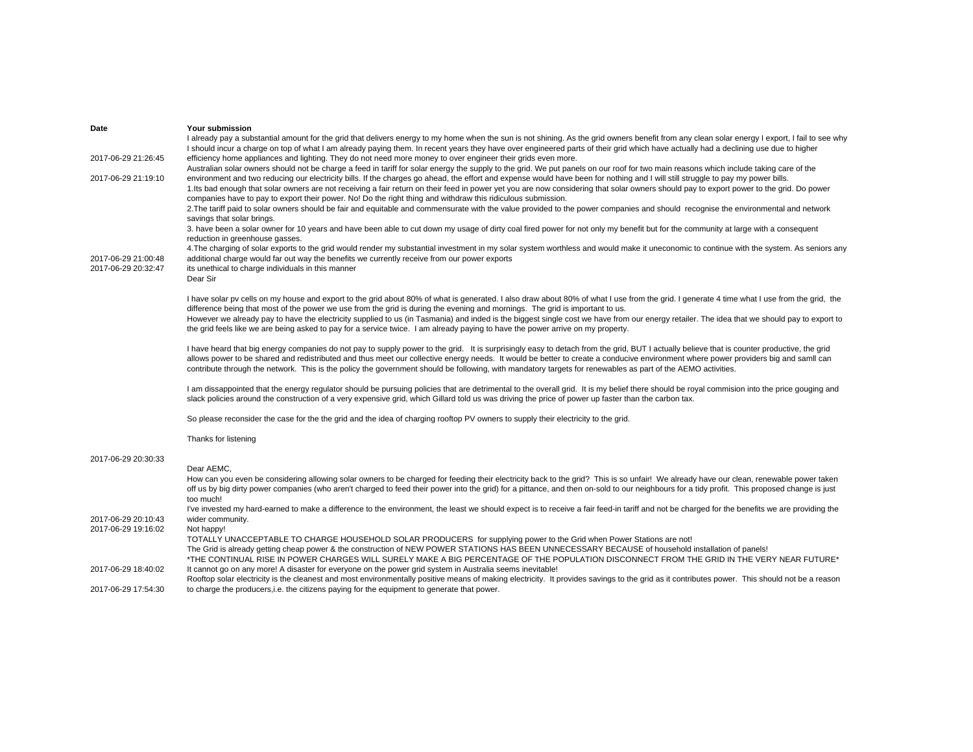| Date                | Your submission                                                                                                                                                                                 |
|---------------------|-------------------------------------------------------------------------------------------------------------------------------------------------------------------------------------------------|
|                     | I already pay a substantial amount for the grid that delivers energy to my home when the sun is not shining. As the grid owners benefit from any clean solar energy I export, I fail to see why |
|                     | I should incur a charge on top of what I am already paying them. In recent years they have over engineered parts of their grid which have actually had a declining use due to higher            |
| 2017-06-29 21:26:45 | efficiency home appliances and lighting. They do not need more money to over engineer their grids even more.                                                                                    |
|                     | Australian solar owners should not be charge a feed in tariff for solar energy the supply to the grid. We put panels on our roof for two main reasons which include taking care of the          |
| 2017-06-29 21:19:10 | environment and two reducing our electricity bills. If the charges go ahead, the effort and expense would have been for nothing and I will still struggle to pay my power bills.                |
|                     | 1. Its bad enough that solar owners are not receiving a fair return on their feed in power yet you are now considering that solar owners should pay to export power to the grid. Do power       |
|                     | companies have to pay to export their power. No! Do the right thing and withdraw this ridiculous submission.                                                                                    |
|                     | 2. The tariff paid to solar owners should be fair and equitable and commensurate with the value provided to the power companies and should recognise the environmental and network              |
|                     | savings that solar brings.                                                                                                                                                                      |
|                     | 3. have been a solar owner for 10 years and have been able to cut down my usage of dirty coal fired power for not only my benefit but for the community at large with a consequent              |
|                     | reduction in greenhouse gasses.                                                                                                                                                                 |
|                     | 4. The charging of solar exports to the grid would render my substantial investment in my solar system worthless and would make it uneconomic to continue with the system. As seniors any       |
| 2017-06-29 21:00:48 | additional charge would far out way the benefits we currently receive from our power exports                                                                                                    |
| 2017-06-29 20:32:47 | its unethical to charge individuals in this manner                                                                                                                                              |
|                     | Dear Sir                                                                                                                                                                                        |
|                     |                                                                                                                                                                                                 |
|                     | I have solar py cells on my house and export to the grid about 80% of what is generated. I also draw about 80% of what I use from the grid. I generate 4 time what I use from the grid, the     |
|                     | difference being that most of the power we use from the grid is during the evening and mornings. The grid is important to us.                                                                   |
|                     | However we already pay to have the electricity supplied to us (in Tasmania) and inded is the biggest single cost we have from our energy retailer. The idea that we should pay to export to     |
|                     | the grid feels like we are being asked to pay for a service twice. I am already paying to have the power arrive on my property.                                                                 |
|                     | I have heard that big energy companies do not pay to supply power to the grid. It is surprisingly easy to detach from the grid, BUT I actually believe that is counter productive, the grid     |
|                     | allows power to be shared and redistributed and thus meet our collective energy needs. It would be better to create a conducive environment where power providers big and samll can             |
|                     | contribute through the network. This is the policy the government should be following, with mandatory targets for renewables as part of the AEMO activities.                                    |
|                     |                                                                                                                                                                                                 |
|                     | I am dissappointed that the energy regulator should be pursuing policies that are detrimental to the overall grid. It is my belief there should be royal commision into the price gouging and   |
|                     | slack policies around the construction of a very expensive grid, which Gillard told us was driving the price of power up faster than the carbon tax.                                            |
|                     |                                                                                                                                                                                                 |
|                     | So please reconsider the case for the the grid and the idea of charging rooftop PV owners to supply their electricity to the grid.                                                              |
|                     |                                                                                                                                                                                                 |
|                     | Thanks for listening                                                                                                                                                                            |
| 2017-06-29 20:30:33 |                                                                                                                                                                                                 |
|                     | Dear AEMC.                                                                                                                                                                                      |
|                     | How can you even be considering allowing solar owners to be charged for feeding their electricity back to the grid? This is so unfair! We already have our clean, renewable power taken         |
|                     | off us by big dirty power companies (who aren't charged to feed their power into the grid) for a pittance, and then on-sold to our neighbours for a tidy profit. This proposed change is just   |
|                     | too much!                                                                                                                                                                                       |
|                     | I've invested my hard-earned to make a difference to the environment, the least we should expect is to receive a fair feed-in tariff and not be charged for the benefits we are providing the   |
| 2017-06-29 20:10:43 | wider community.                                                                                                                                                                                |
| 2017-06-29 19:16:02 | Not happy!                                                                                                                                                                                      |
|                     | TOTALLY UNACCEPTABLE TO CHARGE HOUSEHOLD SOLAR PRODUCERS for supplying power to the Grid when Power Stations are not!                                                                           |
|                     | The Grid is already getting cheap power & the construction of NEW POWER STATIONS HAS BEEN UNNECESSARY BECAUSE of household installation of panels!                                              |
|                     | *THE CONTINUAL RISE IN POWER CHARGES WILL SURELY MAKE A BIG PERCENTAGE OF THE POPULATION DISCONNECT FROM THE GRID IN THE VERY NEAR FUTURE*                                                      |
| 2017-06-29 18:40:02 | It cannot go on any more! A disaster for everyone on the power grid system in Australia seems inevitable!                                                                                       |
|                     | Rooftop solar electricity is the cleanest and most environmentally positive means of making electricity. It provides savings to the grid as it contributes power. This should not be a reason   |
| 2017-06-29 17:54:30 | to charge the producers, i.e. the citizens paying for the equipment to generate that power.                                                                                                     |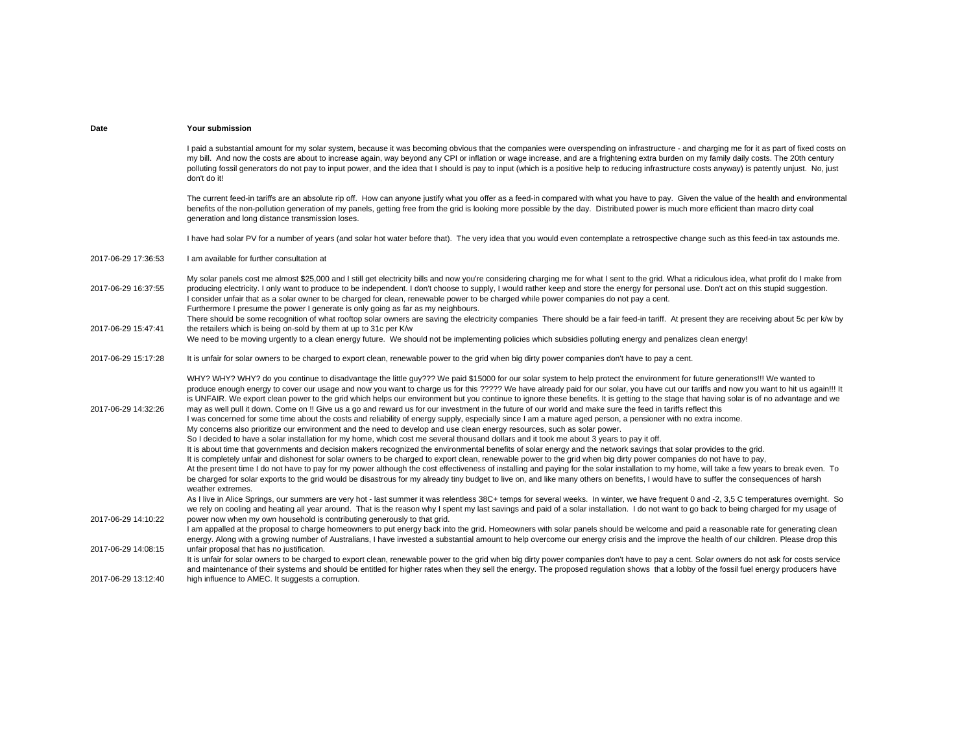I paid a substantial amount for my solar system, because it was becoming obvious that the companies were overspending on infrastructure - and charging me for it as part of fixed costs on my bill. And now the costs are about to increase again, way beyond any CPI or inflation or wage increase, and are a frightening extra burden on my family daily costs. The 20th century polluting fossil generators do not pay to input power, and the idea that I should is pay to input (which is a positive help to reducing infrastructure costs anyway) is patently unjust. No, just don't do it!

The current feed-in tariffs are an absolute rip off. How can anyone justify what you offer as a feed-in compared with what you have to pay. Given the value of the health and environmental benefits of the non-pollution generation of my panels, getting free from the grid is looking more possible by the day. Distributed power is much more efficient than macro dirty coal generation and long distance transmission loses.

I have had solar PV for a number of years (and solar hot water before that). The very idea that you would even contemplate a retrospective change such as this feed-in tax astounds me.

2017-06-29 17:36:53I am available for further consultation at

2017-06-29 16:37:55My solar panels cost me almost \$25,000 and I still get electricity bills and now you're considering charging me for what I sent to the grid. What a ridiculous idea, what profit do I make from producing electricity. I only want to produce to be independent. I don't choose to supply, I would rather keep and store the energy for personal use. Don't act on this stupid suggestion. 2017-06-29 15:47:41I consider unfair that as a solar owner to be charged for clean, renewable power to be charged while power companies do not pay a cent. Furthermore I presume the power I generate is only going as far as my neighbours. There should be some recognition of what rooftop solar owners are saving the electricity companies There should be a fair feed-in tariff. At present they are receiving about 5c per k/w by the retailers which is being on-sold by them at up to 31c per K/w

# We need to be moving urgently to a clean energy future. We should not be implementing policies which subsidies polluting energy and penalizes clean energy!

### 2017-06-29 15:17:28It is unfair for solar owners to be charged to export clean, renewable power to the grid when big dirty power companies don't have to pay a cent.

2017-06-29 14:32:26WHY? WHY? WHY? do you continue to disadvantage the little guy??? We paid \$15000 for our solar system to help protect the environment for future generations!!! We wanted to produce enough energy to cover our usage and now you want to charge us for this ????? We have already paid for our solar, you have cut our tariffs and now you want to hit us again!!! It is UNFAIR. We export clean power to the grid which helps our environment but you continue to ignore these benefits. It is getting to the stage that having solar is of no advantage and we may as well pull it down. Come on !! Give us a go and reward us for our investment in the future of our world and make sure the feed in tariffs reflect this 2017-06-29 14:10:22I was concerned for some time about the costs and reliability of energy supply, especially since I am a mature aged person, a pensioner with no extra income. My concerns also prioritize our environment and the need to develop and use clean energy resources, such as solar power. So I decided to have a solar installation for my home, which cost me several thousand dollars and it took me about 3 years to pay it off. It is about time that governments and decision makers recognized the environmental benefits of solar energy and the network savings that solar provides to the grid. It is completely unfair and dishonest for solar owners to be charged to export clean, renewable power to the grid when big dirty power companies do not have to pay, At the present time I do not have to pay for my power although the cost effectiveness of installing and paying for the solar installation to my home, will take a few years to break even. To be charged for solar exports to the grid would be disastrous for my already tiny budget to live on, and like many others on benefits, I would have to suffer the consequences of harsh weather extremes. As I live in Alice Springs, our summers are very hot - last summer it was relentless 38C+ temps for several weeks. In winter, we have frequent 0 and -2, 3,5 C temperatures overnight. So we rely on cooling and heating all year around. That is the reason why I spent my last sayings and paid of a solar installation. I do not want to go back to being charged for my usage of power now when my own household is contributing generously to that grid. 2017-06-29 14:08:15I am appalled at the proposal to charge homeowners to put energy back into the grid. Homeowners with solar panels should be welcome and paid a reasonable rate for generating clean energy. Along with a growing number of Australians, I have invested a substantial amount to help overcome our energy crisis and the improve the health of our children. Please drop this unfair proposal that has no justification. 2017-06-29 13:12:40It is unfair for solar owners to be charged to export clean, renewable power to the grid when big dirty power companies don't have to pay a cent. Solar owners do not ask for costs service and maintenance of their systems and should be entitled for higher rates when they sell the energy. The proposed regulation shows that a lobby of the fossil fuel energy producers have high influence to AMEC. It suggests a corruption.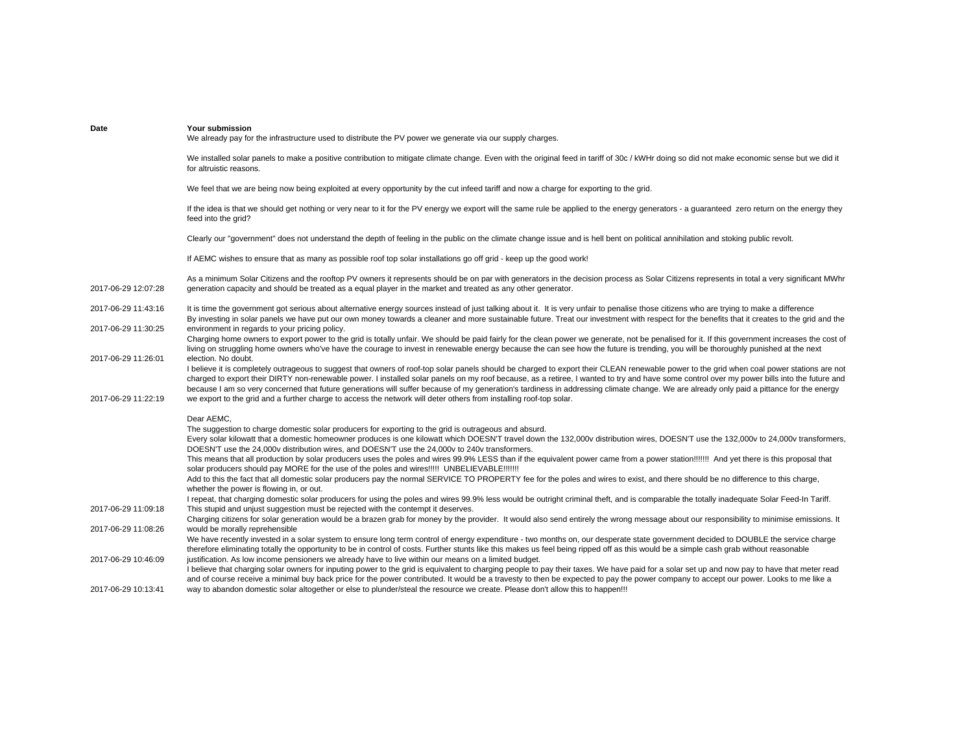| Date                | Your submission<br>We already pay for the infrastructure used to distribute the PV power we generate via our supply charges.                                                                                                                                                                                                                                                                                                                                                                                                                                                                                 |
|---------------------|--------------------------------------------------------------------------------------------------------------------------------------------------------------------------------------------------------------------------------------------------------------------------------------------------------------------------------------------------------------------------------------------------------------------------------------------------------------------------------------------------------------------------------------------------------------------------------------------------------------|
|                     | We installed solar panels to make a positive contribution to mitigate climate change. Even with the original feed in tariff of 30c / kWHr doing so did not make economic sense but we did it<br>for altruistic reasons.                                                                                                                                                                                                                                                                                                                                                                                      |
|                     | We feel that we are being now being exploited at every opportunity by the cut infeed tariff and now a charge for exporting to the grid.                                                                                                                                                                                                                                                                                                                                                                                                                                                                      |
|                     | If the idea is that we should get nothing or very near to it for the PV energy we export will the same rule be applied to the energy generators - a quaranteed zero return on the energy they<br>feed into the grid?                                                                                                                                                                                                                                                                                                                                                                                         |
|                     | Clearly our "government" does not understand the depth of feeling in the public on the climate change issue and is hell bent on political annihilation and stoking public revolt.                                                                                                                                                                                                                                                                                                                                                                                                                            |
|                     | If AEMC wishes to ensure that as many as possible roof top solar installations go off grid - keep up the good work!                                                                                                                                                                                                                                                                                                                                                                                                                                                                                          |
| 2017-06-29 12:07:28 | As a minimum Solar Citizens and the rooftop PV owners it represents should be on par with generators in the decision process as Solar Citizens represents in total a very significant MWhr<br>generation capacity and should be treated as a equal player in the market and treated as any other generator.                                                                                                                                                                                                                                                                                                  |
| 2017-06-29 11:43:16 | It is time the government got serious about alternative energy sources instead of just talking about it. It is very unfair to penalise those citizens who are trying to make a difference<br>By investing in solar panels we have put our own money towards a cleaner and more sustainable future. Treat our investment with respect for the benefits that it creates to the grid and the                                                                                                                                                                                                                    |
| 2017-06-29 11:30:25 | environment in regards to your pricing policy.<br>Charging home owners to export power to the grid is totally unfair. We should be paid fairly for the clean power we generate, not be penalised for it. If this government increases the cost of<br>living on struggling home owners who've have the courage to invest in renewable energy because the can see how the future is trending, you will be thoroughly punished at the next                                                                                                                                                                      |
| 2017-06-29 11:26:01 | election. No doubt.<br>I believe it is completely outrageous to suggest that owners of roof-top solar panels should be charged to export their CLEAN renewable power to the grid when coal power stations are not<br>charged to export their DIRTY non-renewable power. I installed solar panels on my roof because, as a retiree, I wanted to try and have some control over my power bills into the future and<br>because I am so very concerned that future generations will suffer because of my generation's tardiness in addressing climate change. We are already only paid a pittance for the energy |
| 2017-06-29 11:22:19 | we export to the grid and a further charge to access the network will deter others from installing roof-top solar.                                                                                                                                                                                                                                                                                                                                                                                                                                                                                           |
|                     | Dear AEMC.                                                                                                                                                                                                                                                                                                                                                                                                                                                                                                                                                                                                   |
|                     | The suggestion to charge domestic solar producers for exporting to the grid is outrageous and absurd.<br>Every solar kilowatt that a domestic homeowner produces is one kilowatt which DOESN'T travel down the 132,000v distribution wires, DOESN'T use the 132,000v to 24,000v transformers,<br>DOESN'T use the 24,000y distribution wires, and DOESN'T use the 24,000y to 240y transformers.                                                                                                                                                                                                               |
|                     | This means that all production by solar producers uses the poles and wires 99.9% LESS than if the equivalent power came from a power station!!!!!!! And yet there is this proposal that<br>solar producers should pay MORE for the use of the poles and wires!!!!! UNBELIEVABLE!!!!!!!                                                                                                                                                                                                                                                                                                                       |
|                     | Add to this the fact that all domestic solar producers pay the normal SERVICE TO PROPERTY fee for the poles and wires to exist, and there should be no difference to this charge,<br>whether the power is flowing in, or out.                                                                                                                                                                                                                                                                                                                                                                                |
|                     | I repeat, that charging domestic solar producers for using the poles and wires 99.9% less would be outright criminal theft, and is comparable the totally inadequate Solar Feed-In Tariff.                                                                                                                                                                                                                                                                                                                                                                                                                   |
| 2017-06-29 11:09:18 | This stupid and unjust suggestion must be rejected with the contempt it deserves.<br>Charging citizens for solar generation would be a brazen grab for money by the provider. It would also send entirely the wrong message about our responsibility to minimise emissions. It                                                                                                                                                                                                                                                                                                                               |
| 2017-06-29 11:08:26 | would be morally reprehensible                                                                                                                                                                                                                                                                                                                                                                                                                                                                                                                                                                               |
|                     | We have recently invested in a solar system to ensure long term control of energy expenditure - two months on, our desperate state government decided to DOUBLE the service charge<br>therefore eliminating totally the opportunity to be in control of costs. Further stunts like this makes us feel being ripped off as this would be a simple cash grab without reasonable                                                                                                                                                                                                                                |
| 2017-06-29 10:46:09 | justification. As low income pensioners we already have to live within our means on a limited budget.                                                                                                                                                                                                                                                                                                                                                                                                                                                                                                        |
|                     | I believe that charging solar owners for inputing power to the grid is equivalent to charging people to pay their taxes. We have paid for a solar set up and now pay to have that meter read                                                                                                                                                                                                                                                                                                                                                                                                                 |
| 2017-06-29 10:13:41 | and of course receive a minimal buy back price for the power contributed. It would be a travesty to then be expected to pay the power company to accept our power. Looks to me like a<br>way to abandon domestic solar altogether or else to plunder/steal the resource we create. Please don't allow this to happen!!!                                                                                                                                                                                                                                                                                      |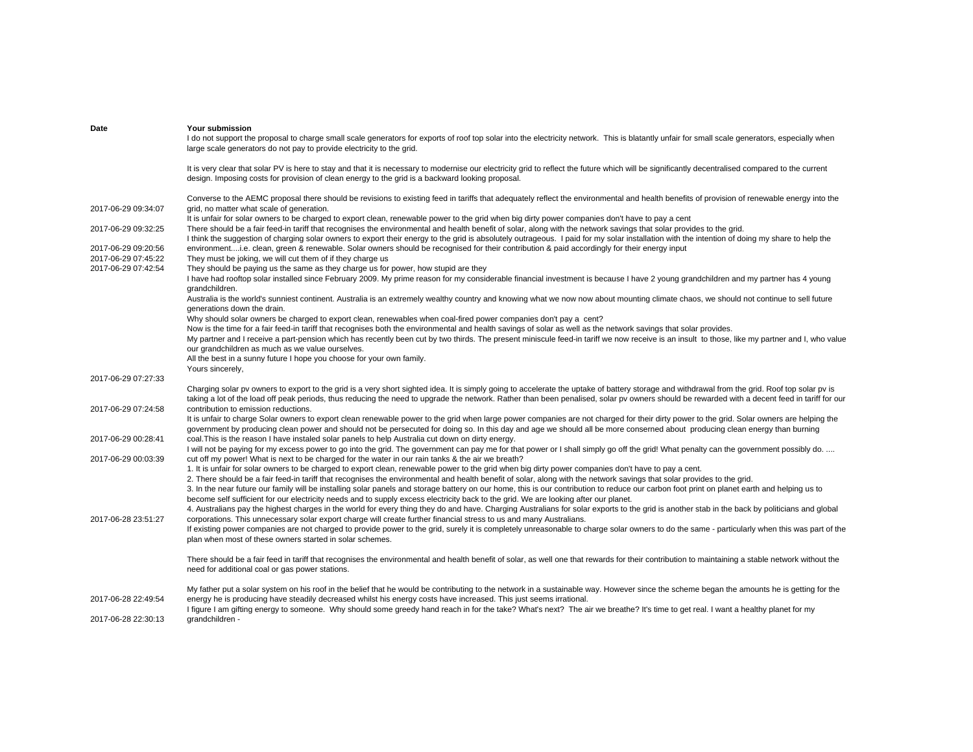| Date                | <b>Your submission</b>                                                                                                                                                                                                                                                                                                                                                 |
|---------------------|------------------------------------------------------------------------------------------------------------------------------------------------------------------------------------------------------------------------------------------------------------------------------------------------------------------------------------------------------------------------|
|                     | I do not support the proposal to charge small scale generators for exports of roof top solar into the electricity network. This is blatantly unfair for small scale generators, especially when<br>large scale generators do not pay to provide electricity to the grid.                                                                                               |
|                     |                                                                                                                                                                                                                                                                                                                                                                        |
|                     | It is very clear that solar PV is here to stay and that it is necessary to modernise our electricity grid to reflect the future which will be significantly decentralised compared to the current<br>design. Imposing costs for provision of clean energy to the grid is a backward looking proposal.                                                                  |
|                     | Converse to the AEMC proposal there should be revisions to existing feed in tariffs that adequately reflect the environmental and health benefits of provision of renewable energy into the                                                                                                                                                                            |
| 2017-06-29 09:34:07 | grid, no matter what scale of generation.                                                                                                                                                                                                                                                                                                                              |
|                     | It is unfair for solar owners to be charged to export clean, renewable power to the grid when big dirty power companies don't have to pay a cent                                                                                                                                                                                                                       |
| 2017-06-29 09:32:25 | There should be a fair feed-in tariff that recognises the environmental and health benefit of solar, along with the network savings that solar provides to the grid.<br>I think the suggestion of charging solar owners to export their energy to the grid is absolutely outrageous. I paid for my solar installation with the intention of doing my share to help the |
| 2017-06-29 09:20:56 | environmenti.e. clean, green & renewable. Solar owners should be recognised for their contribution & paid accordingly for their energy input                                                                                                                                                                                                                           |
| 2017-06-29 07:45:22 | They must be joking, we will cut them of if they charge us                                                                                                                                                                                                                                                                                                             |
| 2017-06-29 07:42:54 | They should be paying us the same as they charge us for power, how stupid are they                                                                                                                                                                                                                                                                                     |
|                     | I have had rooftop solar installed since February 2009. My prime reason for my considerable financial investment is because I have 2 young grandchildren and my partner has 4 young<br>grandchildren.                                                                                                                                                                  |
|                     | Australia is the world's sunniest continent. Australia is an extremely wealthy country and knowing what we now now about mounting climate chaos, we should not continue to sell future<br>generations down the drain.                                                                                                                                                  |
|                     | Why should solar owners be charged to export clean, renewables when coal-fired power companies don't pay a cent?                                                                                                                                                                                                                                                       |
|                     | Now is the time for a fair feed-in tariff that recognises both the environmental and health savings of solar as well as the network savings that solar provides.                                                                                                                                                                                                       |
|                     | My partner and I receive a part-pension which has recently been cut by two thirds. The present miniscule feed-in tariff we now receive is an insult to those, like my partner and I, who value                                                                                                                                                                         |
|                     | our grandchildren as much as we value ourselves.                                                                                                                                                                                                                                                                                                                       |
|                     | All the best in a sunny future I hope you choose for your own family.                                                                                                                                                                                                                                                                                                  |
|                     | Yours sincerely,                                                                                                                                                                                                                                                                                                                                                       |
| 2017-06-29 07:27:33 |                                                                                                                                                                                                                                                                                                                                                                        |
|                     | Charging solar pv owners to export to the grid is a very short sighted idea. It is simply going to accelerate the uptake of battery storage and withdrawal from the grid. Roof top solar pv is                                                                                                                                                                         |
| 2017-06-29 07:24:58 | taking a lot of the load off peak periods, thus reducing the need to upgrade the network. Rather than been penalised, solar pv owners should be rewarded with a decent feed in tariff for our<br>contribution to emission reductions.                                                                                                                                  |
|                     | It is unfair to charge Solar owners to export clean renewable power to the grid when large power companies are not charged for their dirty power to the grid. Solar owners are helping the                                                                                                                                                                             |
|                     | government by producing clean power and should not be persecuted for doing so. In this day and age we should all be more conserned about producing clean energy than burning                                                                                                                                                                                           |
| 2017-06-29 00:28:41 | coal. This is the reason I have instaled solar panels to help Australia cut down on dirty energy.                                                                                                                                                                                                                                                                      |
| 2017-06-29 00:03:39 | I will not be paying for my excess power to go into the grid. The government can pay me for that power or I shall simply go off the grid! What penalty can the government possibly do.<br>cut off my power! What is next to be charged for the water in our rain tanks & the air we breath?                                                                            |
|                     | 1. It is unfair for solar owners to be charged to export clean, renewable power to the grid when big dirty power companies don't have to pay a cent.                                                                                                                                                                                                                   |
|                     | 2. There should be a fair feed-in tariff that recognises the environmental and health benefit of solar, along with the network savings that solar provides to the grid.                                                                                                                                                                                                |
|                     | 3. In the near future our family will be installing solar panels and storage battery on our home, this is our contribution to reduce our carbon foot print on planet earth and helping us to                                                                                                                                                                           |
|                     | become self sufficient for our electricity needs and to supply excess electricity back to the grid. We are looking after our planet.                                                                                                                                                                                                                                   |
|                     | 4. Australians pay the highest charges in the world for every thing they do and have. Charging Australians for solar exports to the grid is another stab in the back by politicians and global                                                                                                                                                                         |
| 2017-06-28 23:51:27 | corporations. This unnecessary solar export charge will create further financial stress to us and many Australians.                                                                                                                                                                                                                                                    |
|                     | If existing power companies are not charged to provide power to the grid, surely it is completely unreasonable to charge solar owners to do the same - particularly when this was part of the                                                                                                                                                                          |
|                     | plan when most of these owners started in solar schemes.                                                                                                                                                                                                                                                                                                               |
|                     | There should be a fair feed in tariff that recognises the environmental and health benefit of solar, as well one that rewards for their contribution to maintaining a stable network without the                                                                                                                                                                       |
|                     | need for additional coal or gas power stations.                                                                                                                                                                                                                                                                                                                        |
|                     | My father put a solar system on his roof in the belief that he would be contributing to the network in a sustainable way. However since the scheme began the amounts he is getting for the                                                                                                                                                                             |
| 2017-06-28 22:49:54 | energy he is producing have steadily decreased whilst his energy costs have increased. This just seems irrational.                                                                                                                                                                                                                                                     |
|                     | I figure I am gifting energy to someone. Why should some greedy hand reach in for the take? What's next? The air we breathe? It's time to get real. I want a healthy planet for my                                                                                                                                                                                     |
| 2017-06-28 22:30:13 | qrandchildren -                                                                                                                                                                                                                                                                                                                                                        |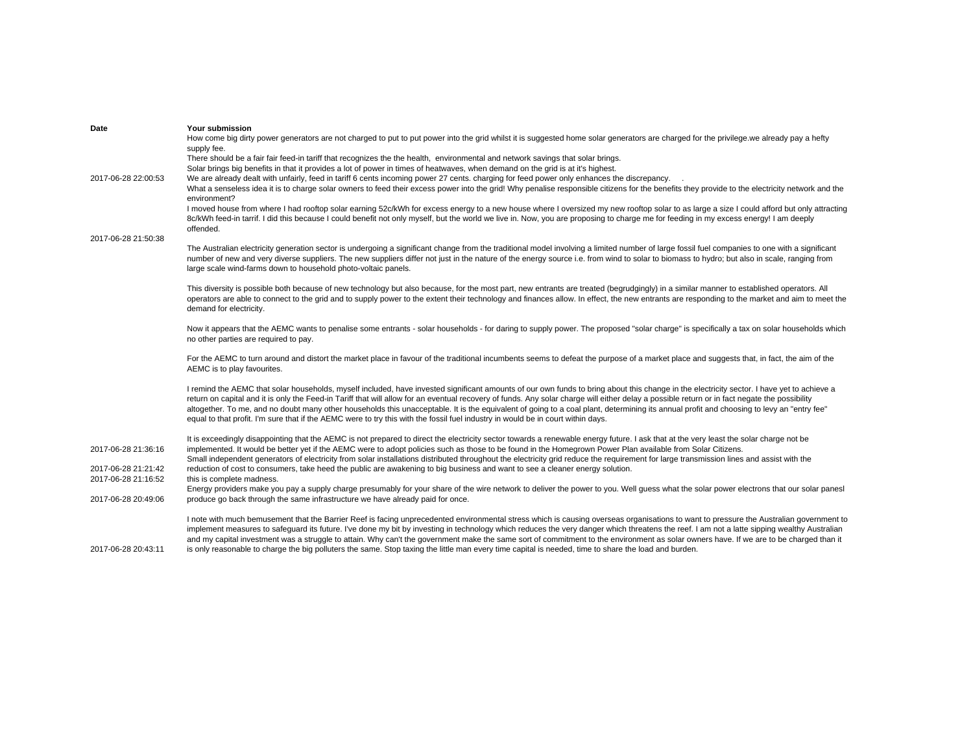| Date                | Your submission                                                                                                                                                                                                                                                                                                                                                                             |
|---------------------|---------------------------------------------------------------------------------------------------------------------------------------------------------------------------------------------------------------------------------------------------------------------------------------------------------------------------------------------------------------------------------------------|
|                     | How come big dirty power generators are not charged to put to put power into the grid whilst it is suggested home solar generators are charged for the privilege we already pay a hefty                                                                                                                                                                                                     |
|                     | supply fee.                                                                                                                                                                                                                                                                                                                                                                                 |
|                     | There should be a fair fair feed-in tariff that recognizes the the health, environmental and network savings that solar brings.                                                                                                                                                                                                                                                             |
|                     | Solar brings big benefits in that it provides a lot of power in times of heatwaves, when demand on the grid is at it's highest.                                                                                                                                                                                                                                                             |
| 2017-06-28 22:00:53 | We are already dealt with unfairly, feed in tariff 6 cents incoming power 27 cents, charging for feed power only enhances the discrepancy.                                                                                                                                                                                                                                                  |
|                     | What a senseless idea it is to charge solar owners to feed their excess power into the grid! Why penalise responsible citizens for the benefits they provide to the electricity network and the<br>environment?                                                                                                                                                                             |
|                     | I moved house from where I had rooftop solar earning 52c/kWh for excess energy to a new house where I oversized my new rooftop solar to as large a size I could afford but only attracting                                                                                                                                                                                                  |
|                     | 8c/kWh feed-in tarrif. I did this because I could benefit not only myself, but the world we live in. Now, you are proposing to charge me for feeding in my excess energy! I am deeply                                                                                                                                                                                                       |
|                     | offended.                                                                                                                                                                                                                                                                                                                                                                                   |
| 2017-06-28 21:50:38 |                                                                                                                                                                                                                                                                                                                                                                                             |
|                     | The Australian electricity generation sector is undergoing a significant change from the traditional model involving a limited number of large fossil fuel companies to one with a significant                                                                                                                                                                                              |
|                     | number of new and very diverse suppliers. The new suppliers differ not just in the nature of the energy source i.e. from wind to solar to biomass to hydro; but also in scale, ranging from                                                                                                                                                                                                 |
|                     | large scale wind-farms down to household photo-voltaic panels.                                                                                                                                                                                                                                                                                                                              |
|                     |                                                                                                                                                                                                                                                                                                                                                                                             |
|                     | This diversity is possible both because of new technology but also because, for the most part, new entrants are treated (begrudgingly) in a similar manner to established operators. All                                                                                                                                                                                                    |
|                     | operators are able to connect to the grid and to supply power to the extent their technology and finances allow. In effect, the new entrants are responding to the market and aim to meet the<br>demand for electricity.                                                                                                                                                                    |
|                     |                                                                                                                                                                                                                                                                                                                                                                                             |
|                     | Now it appears that the AEMC wants to penalise some entrants - solar households - for daring to supply power. The proposed "solar charge" is specifically a tax on solar households which                                                                                                                                                                                                   |
|                     | no other parties are required to pay.                                                                                                                                                                                                                                                                                                                                                       |
|                     |                                                                                                                                                                                                                                                                                                                                                                                             |
|                     | For the AEMC to turn around and distort the market place in favour of the traditional incumbents seems to defeat the purpose of a market place and suggests that, in fact, the aim of the                                                                                                                                                                                                   |
|                     | AEMC is to play favourites.                                                                                                                                                                                                                                                                                                                                                                 |
|                     |                                                                                                                                                                                                                                                                                                                                                                                             |
|                     | I remind the AEMC that solar households, myself included, have invested significant amounts of our own funds to bring about this change in the electricity sector. I have yet to achieve a<br>return on capital and it is only the Feed-in Tariff that will allow for an eventual recovery of funds. Any solar charge will either delay a possible return or in fact negate the possibility |
|                     | altogether. To me, and no doubt many other households this unacceptable. It is the equivalent of going to a coal plant, determining its annual profit and choosing to levy an "entry fee"                                                                                                                                                                                                   |
|                     | equal to that profit. I'm sure that if the AEMC were to try this with the fossil fuel industry in would be in court within days.                                                                                                                                                                                                                                                            |
|                     |                                                                                                                                                                                                                                                                                                                                                                                             |
|                     | It is exceedingly disappointing that the AEMC is not prepared to direct the electricity sector towards a renewable energy future. I ask that at the very least the solar charge not be                                                                                                                                                                                                      |
| 2017-06-28 21:36:16 | implemented. It would be better yet if the AEMC were to adopt policies such as those to be found in the Homegrown Power Plan available from Solar Citizens.                                                                                                                                                                                                                                 |
|                     | Small independent generators of electricity from solar installations distributed throughout the electricity grid reduce the requirement for large transmission lines and assist with the                                                                                                                                                                                                    |
| 2017-06-28 21:21:42 | reduction of cost to consumers, take heed the public are awakening to big business and want to see a cleaner energy solution.                                                                                                                                                                                                                                                               |
| 2017-06-28 21:16:52 | this is complete madness.                                                                                                                                                                                                                                                                                                                                                                   |
|                     | Energy providers make you pay a supply charge presumably for your share of the wire network to deliver the power to you. Well guess what the solar power electrons that our solar panesl                                                                                                                                                                                                    |
| 2017-06-28 20:49:06 | produce go back through the same infrastructure we have already paid for once.                                                                                                                                                                                                                                                                                                              |
|                     | I note with much bemusement that the Barrier Reef is facing unprecedented environmental stress which is causing overseas organisations to want to pressure the Australian government to                                                                                                                                                                                                     |
|                     | implement measures to safequard its future. I've done my bit by investing in technology which reduces the very danger which threatens the reef. I am not a latte sipping wealthy Australian                                                                                                                                                                                                 |
|                     | and my capital investment was a struggle to attain. Why can't the government make the same sort of commitment to the environment as solar owners have. If we are to be charged than it                                                                                                                                                                                                      |
| 2017-06-28 20:43:11 | is only reasonable to charge the big polluters the same. Stop taxing the little man every time capital is needed, time to share the load and burden.                                                                                                                                                                                                                                        |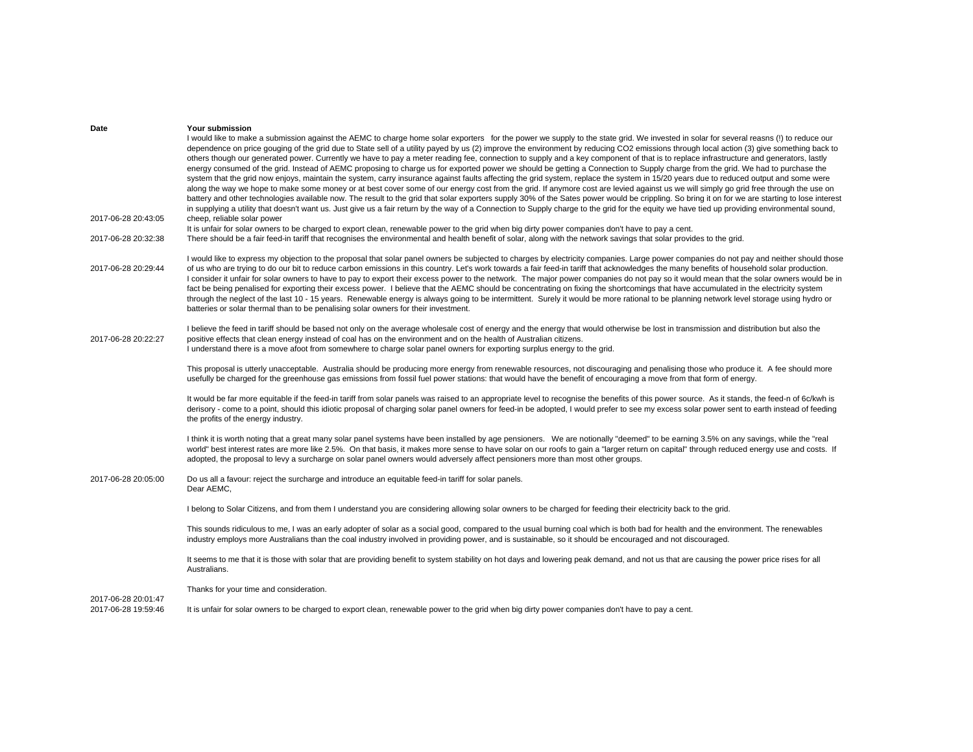| Date                                       | Your submission<br>I would like to make a submission against the AEMC to charge home solar exporters for the power we supply to the state grid. We invested in solar for several reasns (!) to reduce our<br>dependence on price gouging of the grid due to State sell of a utility payed by us (2) improve the environment by reducing CO2 emissions through local action (3) give something back to<br>others though our generated power. Currently we have to pay a meter reading fee, connection to supply and a key component of that is to replace infrastructure and generators, lastly<br>energy consumed of the grid. Instead of AEMC proposing to charge us for exported power we should be getting a Connection to Supply charge from the grid. We had to purchase the<br>system that the grid now enjoys, maintain the system, carry insurance against faults affecting the grid system, replace the system in 15/20 years due to reduced output and some were<br>along the way we hope to make some money or at best cover some of our energy cost from the grid. If anymore cost are levied against us we will simply go grid free through the use on<br>battery and other technologies available now. The result to the grid that solar exporters supply 30% of the Sates power would be crippling. So bring it on for we are starting to lose interest |
|--------------------------------------------|------------------------------------------------------------------------------------------------------------------------------------------------------------------------------------------------------------------------------------------------------------------------------------------------------------------------------------------------------------------------------------------------------------------------------------------------------------------------------------------------------------------------------------------------------------------------------------------------------------------------------------------------------------------------------------------------------------------------------------------------------------------------------------------------------------------------------------------------------------------------------------------------------------------------------------------------------------------------------------------------------------------------------------------------------------------------------------------------------------------------------------------------------------------------------------------------------------------------------------------------------------------------------------------------------------------------------------------------------------------------|
| 2017-06-28 20:43:05                        | in supplying a utility that doesn't want us. Just give us a fair return by the way of a Connection to Supply charge to the grid for the equity we have tied up providing environmental sound,<br>cheep, reliable solar power                                                                                                                                                                                                                                                                                                                                                                                                                                                                                                                                                                                                                                                                                                                                                                                                                                                                                                                                                                                                                                                                                                                                           |
| 2017-06-28 20:32:38                        | It is unfair for solar owners to be charged to export clean, renewable power to the grid when big dirty power companies don't have to pay a cent.<br>There should be a fair feed-in tariff that recognises the environmental and health benefit of solar, along with the network savings that solar provides to the grid.                                                                                                                                                                                                                                                                                                                                                                                                                                                                                                                                                                                                                                                                                                                                                                                                                                                                                                                                                                                                                                              |
| 2017-06-28 20:29:44                        | I would like to express my objection to the proposal that solar panel owners be subjected to charges by electricity companies. Large power companies do not pay and neither should those<br>of us who are trying to do our bit to reduce carbon emissions in this country. Let's work towards a fair feed-in tariff that acknowledges the many benefits of household solar production.<br>I consider it unfair for solar owners to have to pay to export their excess power to the network. The major power companies do not pay so it would mean that the solar owners would be in<br>fact be being penalised for exporting their excess power. I believe that the AEMC should be concentrating on fixing the shortcomings that have accumulated in the electricity system<br>through the neglect of the last 10 - 15 years. Renewable energy is always going to be intermittent. Surely it would be more rational to be planning network level storage using hydro or<br>batteries or solar thermal than to be penalising solar owners for their investment.                                                                                                                                                                                                                                                                                                         |
| 2017-06-28 20:22:27                        | I believe the feed in tariff should be based not only on the average wholesale cost of energy and the energy that would otherwise be lost in transmission and distribution but also the<br>positive effects that clean energy instead of coal has on the environment and on the health of Australian citizens.<br>I understand there is a move afoot from somewhere to charge solar panel owners for exporting surplus energy to the grid.                                                                                                                                                                                                                                                                                                                                                                                                                                                                                                                                                                                                                                                                                                                                                                                                                                                                                                                             |
|                                            | This proposal is utterly unacceptable. Australia should be producing more energy from renewable resources, not discouraging and penalising those who produce it. A fee should more<br>usefully be charged for the greenhouse gas emissions from fossil fuel power stations: that would have the benefit of encouraging a move from that form of energy.                                                                                                                                                                                                                                                                                                                                                                                                                                                                                                                                                                                                                                                                                                                                                                                                                                                                                                                                                                                                                |
|                                            | It would be far more equitable if the feed-in tariff from solar panels was raised to an appropriate level to recognise the benefits of this power source. As it stands, the feed-n of 6c/kwh is<br>derisory - come to a point, should this idiotic proposal of charging solar panel owners for feed-in be adopted, I would prefer to see my excess solar power sent to earth instead of feeding<br>the profits of the energy industry.                                                                                                                                                                                                                                                                                                                                                                                                                                                                                                                                                                                                                                                                                                                                                                                                                                                                                                                                 |
|                                            | I think it is worth noting that a great many solar panel systems have been installed by age pensioners. We are notionally "deemed" to be earning 3.5% on any savings, while the "real<br>world" best interest rates are more like 2.5%. On that basis, it makes more sense to have solar on our roofs to gain a "larger return on capital" through reduced energy use and costs. If<br>adopted, the proposal to levy a surcharge on solar panel owners would adversely affect pensioners more than most other groups.                                                                                                                                                                                                                                                                                                                                                                                                                                                                                                                                                                                                                                                                                                                                                                                                                                                  |
| 2017-06-28 20:05:00                        | Do us all a favour: reject the surcharge and introduce an equitable feed-in tariff for solar panels.<br>Dear AEMC,                                                                                                                                                                                                                                                                                                                                                                                                                                                                                                                                                                                                                                                                                                                                                                                                                                                                                                                                                                                                                                                                                                                                                                                                                                                     |
|                                            | I belong to Solar Citizens, and from them I understand you are considering allowing solar owners to be charged for feeding their electricity back to the grid.                                                                                                                                                                                                                                                                                                                                                                                                                                                                                                                                                                                                                                                                                                                                                                                                                                                                                                                                                                                                                                                                                                                                                                                                         |
|                                            | This sounds ridiculous to me, I was an early adopter of solar as a social good, compared to the usual burning coal which is both bad for health and the environment. The renewables<br>industry employs more Australians than the coal industry involved in providing power, and is sustainable, so it should be encouraged and not discouraged.                                                                                                                                                                                                                                                                                                                                                                                                                                                                                                                                                                                                                                                                                                                                                                                                                                                                                                                                                                                                                       |
|                                            | It seems to me that it is those with solar that are providing benefit to system stability on hot days and lowering peak demand, and not us that are causing the power price rises for all<br>Australians.                                                                                                                                                                                                                                                                                                                                                                                                                                                                                                                                                                                                                                                                                                                                                                                                                                                                                                                                                                                                                                                                                                                                                              |
|                                            | Thanks for your time and consideration.                                                                                                                                                                                                                                                                                                                                                                                                                                                                                                                                                                                                                                                                                                                                                                                                                                                                                                                                                                                                                                                                                                                                                                                                                                                                                                                                |
| 2017-06-28 20:01:47<br>2017-06-28 19:59:46 | It is unfair for solar owners to be charged to export clean, renewable power to the grid when big dirty power companies don't have to pay a cent.                                                                                                                                                                                                                                                                                                                                                                                                                                                                                                                                                                                                                                                                                                                                                                                                                                                                                                                                                                                                                                                                                                                                                                                                                      |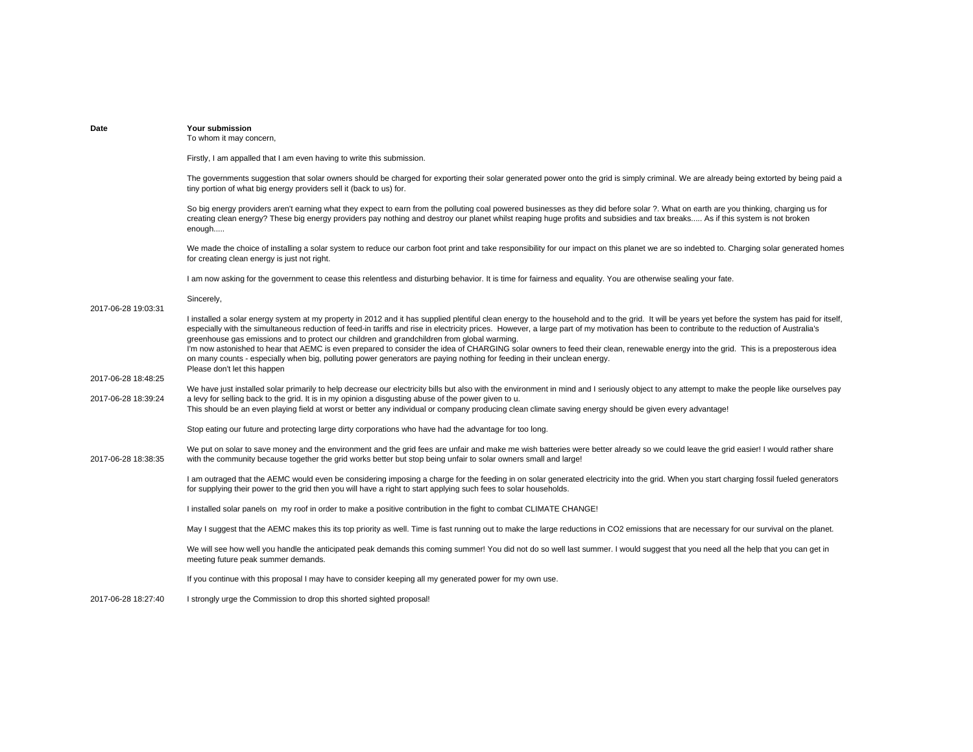| Date                                       | Your submission<br>To whom it may concern,                                                                                                                                                                                                                                                                                                                                                                                                                                                                                                                                                                                                                                                                                                                                                                                                          |
|--------------------------------------------|-----------------------------------------------------------------------------------------------------------------------------------------------------------------------------------------------------------------------------------------------------------------------------------------------------------------------------------------------------------------------------------------------------------------------------------------------------------------------------------------------------------------------------------------------------------------------------------------------------------------------------------------------------------------------------------------------------------------------------------------------------------------------------------------------------------------------------------------------------|
|                                            | Firstly, I am appalled that I am even having to write this submission.                                                                                                                                                                                                                                                                                                                                                                                                                                                                                                                                                                                                                                                                                                                                                                              |
|                                            | The governments suggestion that solar owners should be charged for exporting their solar generated power onto the grid is simply criminal. We are already being extorted by being paid a<br>tiny portion of what big energy providers sell it (back to us) for.                                                                                                                                                                                                                                                                                                                                                                                                                                                                                                                                                                                     |
|                                            | So big energy providers aren't earning what they expect to earn from the polluting coal powered businesses as they did before solar ?. What on earth are you thinking, charging us for<br>creating clean energy? These big energy providers pay nothing and destroy our planet whilst reaping huge profits and subsidies and tax breaks As if this system is not broken<br>enough                                                                                                                                                                                                                                                                                                                                                                                                                                                                   |
|                                            | We made the choice of installing a solar system to reduce our carbon foot print and take responsibility for our impact on this planet we are so indebted to. Charging solar generated homes<br>for creating clean energy is just not right.                                                                                                                                                                                                                                                                                                                                                                                                                                                                                                                                                                                                         |
|                                            | I am now asking for the government to cease this relentless and disturbing behavior. It is time for fairness and equality. You are otherwise sealing your fate.                                                                                                                                                                                                                                                                                                                                                                                                                                                                                                                                                                                                                                                                                     |
|                                            | Sincerely,                                                                                                                                                                                                                                                                                                                                                                                                                                                                                                                                                                                                                                                                                                                                                                                                                                          |
| 2017-06-28 19:03:31                        | I installed a solar energy system at my property in 2012 and it has supplied plentiful clean energy to the household and to the grid. It will be years yet before the system has paid for itself,<br>especially with the simultaneous reduction of feed-in tariffs and rise in electricity prices. However, a large part of my motivation has been to contribute to the reduction of Australia's<br>greenhouse gas emissions and to protect our children and grandchildren from global warming.<br>I'm now astonished to hear that AEMC is even prepared to consider the idea of CHARGING solar owners to feed their clean, renewable energy into the grid. This is a preposterous idea<br>on many counts - especially when big, polluting power generators are paying nothing for feeding in their unclean energy.<br>Please don't let this happen |
| 2017-06-28 18:48:25<br>2017-06-28 18:39:24 | We have just installed solar primarily to help decrease our electricity bills but also with the environment in mind and I seriously object to any attempt to make the people like ourselves pay<br>a levy for selling back to the grid. It is in my opinion a disgusting abuse of the power given to u.<br>This should be an even playing field at worst or better any individual or company producing clean climate saving energy should be given every advantage!                                                                                                                                                                                                                                                                                                                                                                                 |
|                                            | Stop eating our future and protecting large dirty corporations who have had the advantage for too long.                                                                                                                                                                                                                                                                                                                                                                                                                                                                                                                                                                                                                                                                                                                                             |
| 2017-06-28 18:38:35                        | We put on solar to save money and the environment and the grid fees are unfair and make me wish batteries were better already so we could leave the grid easier! I would rather share<br>with the community because together the grid works better but stop being unfair to solar owners small and large!                                                                                                                                                                                                                                                                                                                                                                                                                                                                                                                                           |
|                                            | I am outraged that the AEMC would even be considering imposing a charge for the feeding in on solar generated electricity into the grid. When you start charging fossil fueled generators<br>for supplying their power to the grid then you will have a right to start applying such fees to solar households.                                                                                                                                                                                                                                                                                                                                                                                                                                                                                                                                      |
|                                            | I installed solar panels on my roof in order to make a positive contribution in the fight to combat CLIMATE CHANGE!                                                                                                                                                                                                                                                                                                                                                                                                                                                                                                                                                                                                                                                                                                                                 |
|                                            | May I suggest that the AEMC makes this its top priority as well. Time is fast running out to make the large reductions in CO2 emissions that are necessary for our survival on the planet.                                                                                                                                                                                                                                                                                                                                                                                                                                                                                                                                                                                                                                                          |
|                                            | We will see how well you handle the anticipated peak demands this coming summer! You did not do so well last summer. I would suggest that you need all the help that you can get in<br>meeting future peak summer demands.                                                                                                                                                                                                                                                                                                                                                                                                                                                                                                                                                                                                                          |
|                                            | If you continue with this proposal I may have to consider keeping all my generated power for my own use.                                                                                                                                                                                                                                                                                                                                                                                                                                                                                                                                                                                                                                                                                                                                            |
| 2017-06-28 18:27:40                        | I strongly urge the Commission to drop this shorted sighted proposal!                                                                                                                                                                                                                                                                                                                                                                                                                                                                                                                                                                                                                                                                                                                                                                               |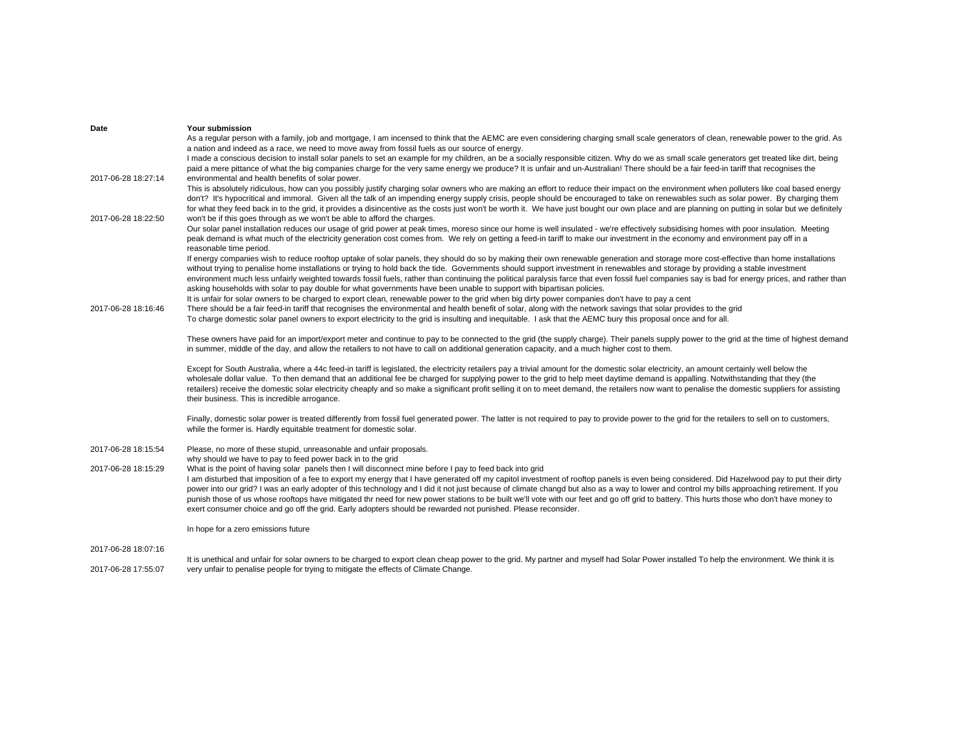| Date                | Your submission                                                                                                                                                                                                                                                                                                                                                                                                                                                                                                                                                                                                                                                                                                                                                                                                                                                                         |
|---------------------|-----------------------------------------------------------------------------------------------------------------------------------------------------------------------------------------------------------------------------------------------------------------------------------------------------------------------------------------------------------------------------------------------------------------------------------------------------------------------------------------------------------------------------------------------------------------------------------------------------------------------------------------------------------------------------------------------------------------------------------------------------------------------------------------------------------------------------------------------------------------------------------------|
|                     | As a regular person with a family, job and mortgage, I am incensed to think that the AEMC are even considering charging small scale generators of clean, renewable power to the grid. As                                                                                                                                                                                                                                                                                                                                                                                                                                                                                                                                                                                                                                                                                                |
|                     | a nation and indeed as a race, we need to move away from fossil fuels as our source of energy.                                                                                                                                                                                                                                                                                                                                                                                                                                                                                                                                                                                                                                                                                                                                                                                          |
|                     | I made a conscious decision to install solar panels to set an example for my children, an be a socially responsible citizen. Why do we as small scale generators get treated like dirt, being                                                                                                                                                                                                                                                                                                                                                                                                                                                                                                                                                                                                                                                                                           |
| 2017-06-28 18:27:14 | paid a mere pittance of what the big companies charge for the very same energy we produce? It is unfair and un-Australian! There should be a fair feed-in tariff that recognises the<br>environmental and health benefits of solar power.                                                                                                                                                                                                                                                                                                                                                                                                                                                                                                                                                                                                                                               |
|                     | This is absolutely ridiculous, how can you possibly justify charging solar owners who are making an effort to reduce their impact on the environment when polluters like coal based energy<br>don't? It's hypocritical and immoral. Given all the talk of an impending energy supply crisis, people should be encouraged to take on renewables such as solar power. By charging them<br>for what they feed back in to the grid, it provides a disincentive as the costs just won't be worth it. We have just bought our own place and are planning on putting in solar but we definitely                                                                                                                                                                                                                                                                                                |
| 2017-06-28 18:22:50 | won't be if this goes through as we won't be able to afford the charges.                                                                                                                                                                                                                                                                                                                                                                                                                                                                                                                                                                                                                                                                                                                                                                                                                |
|                     | Our solar panel installation reduces our usage of grid power at peak times, moreso since our home is well insulated - we're effectively subsidising homes with poor insulation. Meeting<br>peak demand is what much of the electricity generation cost comes from. We rely on getting a feed-in tariff to make our investment in the economy and environment pay off in a<br>reasonable time period.                                                                                                                                                                                                                                                                                                                                                                                                                                                                                    |
|                     | If energy companies wish to reduce rooftop uptake of solar panels, they should do so by making their own renewable generation and storage more cost-effective than home installations<br>without trying to penalise home installations or trying to hold back the tide. Governments should support investment in renewables and storage by providing a stable investment<br>environment much less unfairly weighted towards fossil fuels, rather than continuing the political paralysis farce that even fossil fuel companies say is bad for energy prices, and rather than<br>asking households with solar to pay double for what governments have been unable to support with bipartisan policies.                                                                                                                                                                                   |
|                     | It is unfair for solar owners to be charged to export clean, renewable power to the grid when big dirty power companies don't have to pay a cent                                                                                                                                                                                                                                                                                                                                                                                                                                                                                                                                                                                                                                                                                                                                        |
| 2017-06-28 18:16:46 | There should be a fair feed-in tariff that recognises the environmental and health benefit of solar, along with the network savings that solar provides to the grid                                                                                                                                                                                                                                                                                                                                                                                                                                                                                                                                                                                                                                                                                                                     |
|                     | To charge domestic solar panel owners to export electricity to the grid is insulting and inequitable. I ask that the AEMC bury this proposal once and for all.                                                                                                                                                                                                                                                                                                                                                                                                                                                                                                                                                                                                                                                                                                                          |
|                     | These owners have paid for an import/export meter and continue to pay to be connected to the grid (the supply charge). Their panels supply power to the grid at the time of highest demand<br>in summer, middle of the day, and allow the retailers to not have to call on additional generation capacity, and a much higher cost to them.                                                                                                                                                                                                                                                                                                                                                                                                                                                                                                                                              |
|                     | Except for South Australia, where a 44c feed-in tariff is legislated, the electricity retailers pay a trivial amount for the domestic solar electricity, an amount certainly well below the<br>wholesale dollar value. To then demand that an additional fee be charged for supplying power to the grid to help meet daytime demand is appalling. Notwithstanding that they (the<br>retailers) receive the domestic solar electricity cheaply and so make a significant profit selling it on to meet demand, the retailers now want to penalise the domestic suppliers for assisting<br>their business. This is incredible arrogance.                                                                                                                                                                                                                                                   |
|                     | Finally, domestic solar power is treated differently from fossil fuel generated power. The latter is not required to pay to provide power to the grid for the retailers to sell on to customers,<br>while the former is. Hardly equitable treatment for domestic solar.                                                                                                                                                                                                                                                                                                                                                                                                                                                                                                                                                                                                                 |
| 2017-06-28 18:15:54 | Please, no more of these stupid, unreasonable and unfair proposals.                                                                                                                                                                                                                                                                                                                                                                                                                                                                                                                                                                                                                                                                                                                                                                                                                     |
| 2017-06-28 18:15:29 | why should we have to pay to feed power back in to the grid<br>What is the point of having solar panels then I will disconnect mine before I pay to feed back into grid<br>I am disturbed that imposition of a fee to export my energy that I have generated off my capitol investment of rooftop panels is even being considered. Did Hazelwood pay to put their dirty<br>power into our grid? I was an early adopter of this technology and I did it not just because of climate changd but also as a way to lower and control my bills approaching retirement. If you<br>punish those of us whose rooftops have mitigated thr need for new power stations to be built we'll vote with our feet and go off grid to battery. This hurts those who don't have money to<br>exert consumer choice and go off the grid. Early adopters should be rewarded not punished. Please reconsider. |
|                     | In hope for a zero emissions future                                                                                                                                                                                                                                                                                                                                                                                                                                                                                                                                                                                                                                                                                                                                                                                                                                                     |
| 2017-06-28 18:07:16 | It is unethical and unfair for solar owners to be charged to export clean cheap power to the grid. My partner and myself had Solar Power installed To help the environment. We think it is                                                                                                                                                                                                                                                                                                                                                                                                                                                                                                                                                                                                                                                                                              |

2017-06-28 17:55:07 very unfair to penalise people for trying to mitigate the effects of Climate Change.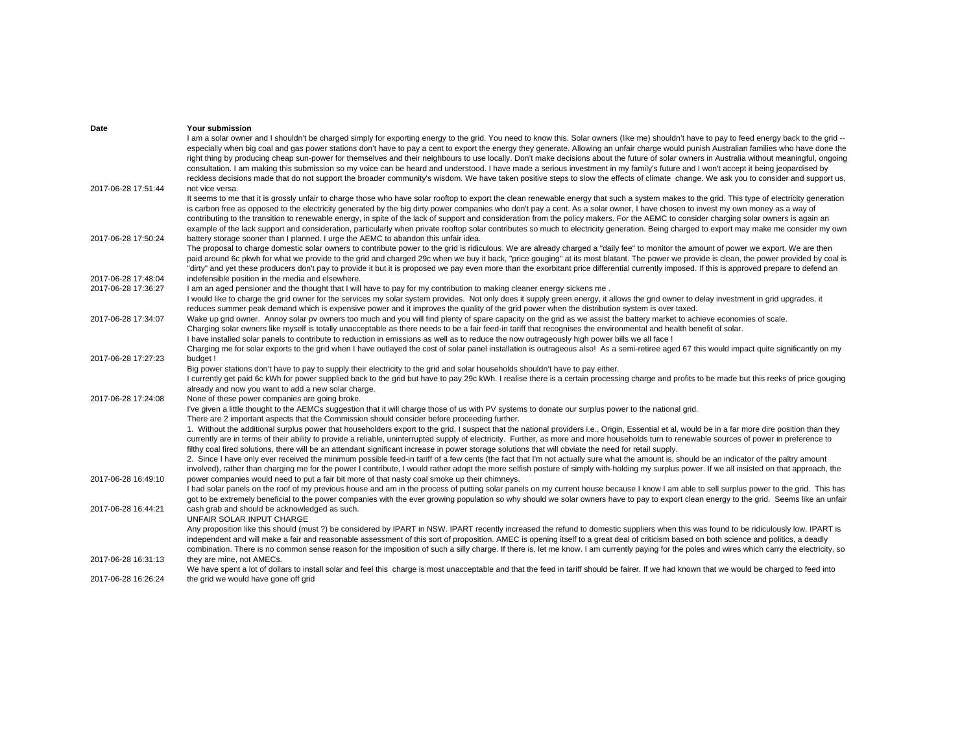| Date                | Your submission                                                                                                                                                                                                                                                                                                                                                                          |
|---------------------|------------------------------------------------------------------------------------------------------------------------------------------------------------------------------------------------------------------------------------------------------------------------------------------------------------------------------------------------------------------------------------------|
|                     | I am a solar owner and I shouldn't be charged simply for exporting energy to the grid. You need to know this. Solar owners (like me) shouldn't have to pay to feed energy back to the grid --                                                                                                                                                                                            |
|                     | especially when big coal and gas power stations don't have to pay a cent to export the energy they generate. Allowing an unfair charge would punish Australian families who have done the<br>right thing by producing cheap sun-power for themselves and their neighbours to use locally. Don't make decisions about the future of solar owners in Australia without meaningful, ongoing |
|                     | consultation. I am making this submission so my voice can be heard and understood. I have made a serious investment in my family's future and I won't accept it being jeopardised by                                                                                                                                                                                                     |
|                     | reckless decisions made that do not support the broader community's wisdom. We have taken positive steps to slow the effects of climate change. We ask you to consider and support us,                                                                                                                                                                                                   |
| 2017-06-28 17:51:44 | not vice versa.                                                                                                                                                                                                                                                                                                                                                                          |
|                     | It seems to me that it is grossly unfair to charge those who have solar rooftop to export the clean renewable energy that such a system makes to the grid. This type of electricity generation                                                                                                                                                                                           |
|                     | is carbon free as opposed to the electricity generated by the big dirty power companies who don't pay a cent. As a solar owner, I have chosen to invest my own money as a way of                                                                                                                                                                                                         |
|                     | contributing to the transition to renewable energy, in spite of the lack of support and consideration from the policy makers. For the AEMC to consider charging solar owners is again an                                                                                                                                                                                                 |
|                     | example of the lack support and consideration, particularly when private rooftop solar contributes so much to electricity generation. Being charged to export may make me consider my own                                                                                                                                                                                                |
| 2017-06-28 17:50:24 | battery storage sooner than I planned. I urge the AEMC to abandon this unfair idea.                                                                                                                                                                                                                                                                                                      |
|                     | The proposal to charge domestic solar owners to contribute power to the grid is ridiculous. We are already charged a "daily fee" to monitor the amount of power we export. We are then                                                                                                                                                                                                   |
|                     | paid around 6c pkwh for what we provide to the grid and charged 29c when we buy it back, "price gouging" at its most blatant. The power we provide is clean, the power provided by coal is                                                                                                                                                                                               |
|                     | "dirty" and yet these producers don't pay to provide it but it is proposed we pay even more than the exorbitant price differential currently imposed. If this is approved prepare to defend an                                                                                                                                                                                           |
| 2017-06-28 17:48:04 | indefensible position in the media and elsewhere.                                                                                                                                                                                                                                                                                                                                        |
| 2017-06-28 17:36:27 | I am an aged pensioner and the thought that I will have to pay for my contribution to making cleaner energy sickens me.                                                                                                                                                                                                                                                                  |
|                     | I would like to charge the grid owner for the services my solar system provides. Not only does it supply green energy, it allows the grid owner to delay investment in grid upgrades, it                                                                                                                                                                                                 |
|                     | reduces summer peak demand which is expensive power and it improves the quality of the grid power when the distribution system is over taxed.                                                                                                                                                                                                                                            |
| 2017-06-28 17:34:07 | Wake up grid owner. Annoy solar py owners too much and you will find plenty of spare capacity on the grid as we assist the battery market to achieve economies of scale.                                                                                                                                                                                                                 |
|                     | Charging solar owners like myself is totally unacceptable as there needs to be a fair feed-in tariff that recognises the environmental and health benefit of solar.                                                                                                                                                                                                                      |
|                     | I have installed solar panels to contribute to reduction in emissions as well as to reduce the now outrageously high power bills we all face !<br>Charging me for solar exports to the grid when I have outlayed the cost of solar panel installation is outrageous also! As a semi-retiree aged 67 this would impact quite significantly on my                                          |
| 2017-06-28 17:27:23 | budget!                                                                                                                                                                                                                                                                                                                                                                                  |
|                     | Big power stations don't have to pay to supply their electricity to the grid and solar households shouldn't have to pay either.                                                                                                                                                                                                                                                          |
|                     | I currently get paid 6c kWh for power supplied back to the grid but have to pay 29c kWh. I realise there is a certain processing charge and profits to be made but this reeks of price gouging                                                                                                                                                                                           |
|                     | already and now you want to add a new solar charge.                                                                                                                                                                                                                                                                                                                                      |
| 2017-06-28 17:24:08 | None of these power companies are going broke.                                                                                                                                                                                                                                                                                                                                           |
|                     | I've given a little thought to the AEMCs suggestion that it will charge those of us with PV systems to donate our surplus power to the national grid.                                                                                                                                                                                                                                    |
|                     | There are 2 important aspects that the Commission should consider before proceeding further.                                                                                                                                                                                                                                                                                             |
|                     | 1. Without the additional surplus power that householders export to the grid, I suspect that the national providers i.e., Origin, Essential et al, would be in a far more dire position than they                                                                                                                                                                                        |
|                     | currently are in terms of their ability to provide a reliable, uninterrupted supply of electricity. Further, as more and more households turn to renewable sources of power in preference to                                                                                                                                                                                             |
|                     | filthy coal fired solutions, there will be an attendant significant increase in power storage solutions that will obviate the need for retail supply.                                                                                                                                                                                                                                    |
|                     | 2. Since I have only ever received the minimum possible feed-in tariff of a few cents (the fact that I'm not actually sure what the amount is, should be an indicator of the paltry amount                                                                                                                                                                                               |
|                     | involved), rather than charging me for the power I contribute, I would rather adopt the more selfish posture of simply with-holding my surplus power. If we all insisted on that approach, the                                                                                                                                                                                           |
| 2017-06-28 16:49:10 | power companies would need to put a fair bit more of that nasty coal smoke up their chimneys.                                                                                                                                                                                                                                                                                            |
|                     | I had solar panels on the roof of my previous house and am in the process of putting solar panels on my current house because I know I am able to sell surplus power to the grid. This has                                                                                                                                                                                               |
|                     | got to be extremely beneficial to the power companies with the ever growing population so why should we solar owners have to pay to export clean energy to the grid. Seems like an unfair                                                                                                                                                                                                |
| 2017-06-28 16:44:21 | cash grab and should be acknowledged as such.                                                                                                                                                                                                                                                                                                                                            |
|                     | UNFAIR SOLAR INPUT CHARGE                                                                                                                                                                                                                                                                                                                                                                |
|                     | Any proposition like this should (must ?) be considered by IPART in NSW. IPART recently increased the refund to domestic suppliers when this was found to be ridiculously low. IPART is<br>independent and will make a fair and reasonable assessment of this sort of proposition. AMEC is opening itself to a great deal of criticism based on both science and politics, a deadly      |
|                     |                                                                                                                                                                                                                                                                                                                                                                                          |
| 2017-06-28 16:31:13 | combination. There is no common sense reason for the imposition of such a silly charge. If there is, let me know. I am currently paying for the poles and wires which carry the electricity, so<br>they are mine, not AMECs.                                                                                                                                                             |
|                     | We have spent a lot of dollars to install solar and feel this charge is most unacceptable and that the feed in tariff should be fairer. If we had known that we would be charged to feed into                                                                                                                                                                                            |
| 2017-06-28 16:26:24 | the grid we would have gone off grid                                                                                                                                                                                                                                                                                                                                                     |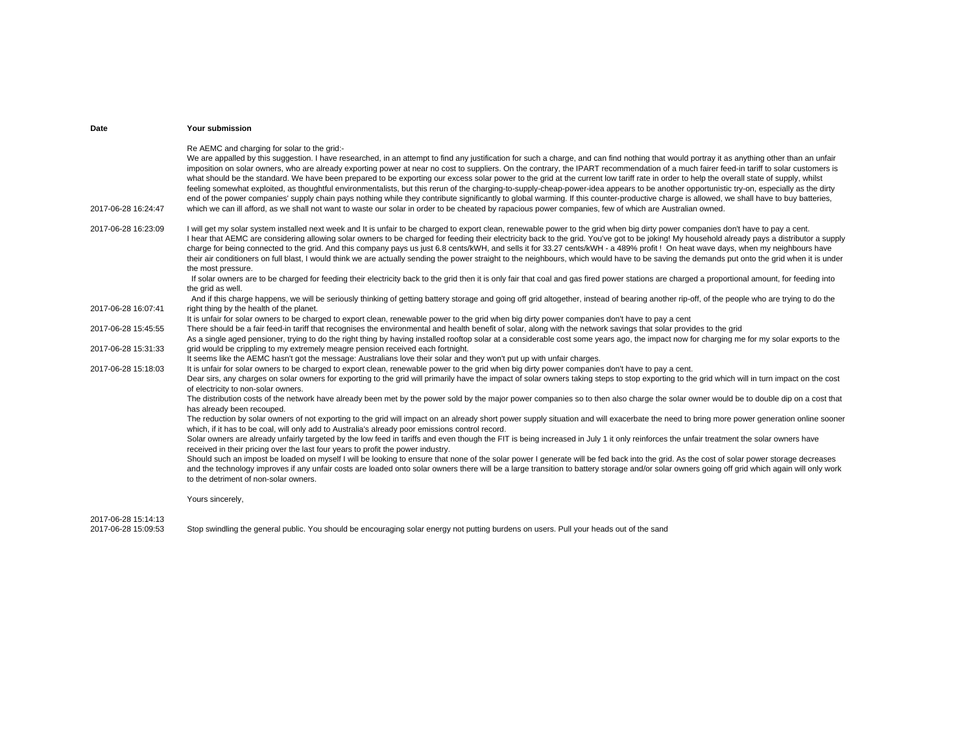| Date                | Your submission                                                                                                                                                                                                                                                                                                                                                                                                                                                                                                                                                                                                                                                                                                                                                                                                                                                                                                                                                                                                                                                                                                                                                                                 |
|---------------------|-------------------------------------------------------------------------------------------------------------------------------------------------------------------------------------------------------------------------------------------------------------------------------------------------------------------------------------------------------------------------------------------------------------------------------------------------------------------------------------------------------------------------------------------------------------------------------------------------------------------------------------------------------------------------------------------------------------------------------------------------------------------------------------------------------------------------------------------------------------------------------------------------------------------------------------------------------------------------------------------------------------------------------------------------------------------------------------------------------------------------------------------------------------------------------------------------|
| 2017-06-28 16:24:47 | Re AEMC and charging for solar to the grid:-<br>We are appalled by this suggestion. I have researched, in an attempt to find any justification for such a charge, and can find nothing that would portray it as anything other than an unfair<br>imposition on solar owners, who are already exporting power at near no cost to suppliers. On the contrary, the IPART recommendation of a much fairer feed-in tariff to solar customers is<br>what should be the standard. We have been prepared to be exporting our excess solar power to the grid at the current low tariff rate in order to help the overall state of supply, whilst<br>feeling somewhat exploited, as thoughtful environmentalists, but this rerun of the charging-to-supply-cheap-power-idea appears to be another opportunistic try-on, especially as the dirty<br>end of the power companies' supply chain pays nothing while they contribute significantly to global warming. If this counter-productive charge is allowed, we shall have to buy batteries,<br>which we can ill afford, as we shall not want to waste our solar in order to be cheated by rapacious power companies, few of which are Australian owned. |
| 2017-06-28 16:23:09 | I will get my solar system installed next week and It is unfair to be charged to export clean, renewable power to the grid when big dirty power companies don't have to pay a cent.<br>I hear that AEMC are considering allowing solar owners to be charged for feeding their electricity back to the grid. You've got to be joking! My household already pays a distributor a supply<br>charge for being connected to the grid. And this company pays us just 6.8 cents/kWH, and sells it for 33.27 cents/kWH - a 489% profit ! On heat wave days, when my neighbours have<br>their air conditioners on full blast, I would think we are actually sending the power straight to the neighbours, which would have to be saving the demands put onto the grid when it is under<br>the most pressure.<br>If solar owners are to be charged for feeding their electricity back to the grid then it is only fair that coal and gas fired power stations are charged a proportional amount, for feeding into<br>the grid as well.                                                                                                                                                                    |
| 2017-06-28 16:07:41 | And if this charge happens, we will be seriously thinking of getting battery storage and going off grid altogether, instead of bearing another rip-off, of the people who are trying to do the<br>right thing by the health of the planet.                                                                                                                                                                                                                                                                                                                                                                                                                                                                                                                                                                                                                                                                                                                                                                                                                                                                                                                                                      |
|                     | It is unfair for solar owners to be charged to export clean, renewable power to the grid when big dirty power companies don't have to pay a cent                                                                                                                                                                                                                                                                                                                                                                                                                                                                                                                                                                                                                                                                                                                                                                                                                                                                                                                                                                                                                                                |
| 2017-06-28 15:45:55 | There should be a fair feed-in tariff that recognises the environmental and health benefit of solar, along with the network savings that solar provides to the grid<br>As a single aged pensioner, trying to do the right thing by having installed rooftop solar at a considerable cost some years ago, the impact now for charging me for my solar exports to the                                                                                                                                                                                                                                                                                                                                                                                                                                                                                                                                                                                                                                                                                                                                                                                                                             |
| 2017-06-28 15:31:33 | grid would be crippling to my extremely meagre pension received each fortnight.<br>It seems like the AEMC hasn't got the message: Australians love their solar and they won't put up with unfair charges.                                                                                                                                                                                                                                                                                                                                                                                                                                                                                                                                                                                                                                                                                                                                                                                                                                                                                                                                                                                       |
| 2017-06-28 15:18:03 | It is unfair for solar owners to be charged to export clean, renewable power to the grid when big dirty power companies don't have to pay a cent.                                                                                                                                                                                                                                                                                                                                                                                                                                                                                                                                                                                                                                                                                                                                                                                                                                                                                                                                                                                                                                               |
|                     | Dear sirs, any charges on solar owners for exporting to the grid will primarily have the impact of solar owners taking steps to stop exporting to the grid which will in turn impact on the cost<br>of electricity to non-solar owners.                                                                                                                                                                                                                                                                                                                                                                                                                                                                                                                                                                                                                                                                                                                                                                                                                                                                                                                                                         |
|                     | The distribution costs of the network have already been met by the power sold by the major power companies so to then also charge the solar owner would be to double dip on a cost that<br>has already been recouped.                                                                                                                                                                                                                                                                                                                                                                                                                                                                                                                                                                                                                                                                                                                                                                                                                                                                                                                                                                           |
|                     | The reduction by solar owners of not exporting to the grid will impact on an already short power supply situation and will exacerbate the need to bring more power generation online sooner<br>which, if it has to be coal, will only add to Australia's already poor emissions control record.                                                                                                                                                                                                                                                                                                                                                                                                                                                                                                                                                                                                                                                                                                                                                                                                                                                                                                 |
|                     | Solar owners are already unfairly targeted by the low feed in tariffs and even though the FIT is being increased in July 1 it only reinforces the unfair treatment the solar owners have<br>received in their pricing over the last four years to profit the power industry.                                                                                                                                                                                                                                                                                                                                                                                                                                                                                                                                                                                                                                                                                                                                                                                                                                                                                                                    |
|                     | Should such an impost be loaded on myself I will be looking to ensure that none of the solar power I generate will be fed back into the grid. As the cost of solar power storage decreases<br>and the technology improves if any unfair costs are loaded onto solar owners there will be a large transition to battery storage and/or solar owners going off grid which again will only work<br>to the detriment of non-solar owners.                                                                                                                                                                                                                                                                                                                                                                                                                                                                                                                                                                                                                                                                                                                                                           |
|                     | Yours sincerely,                                                                                                                                                                                                                                                                                                                                                                                                                                                                                                                                                                                                                                                                                                                                                                                                                                                                                                                                                                                                                                                                                                                                                                                |

2017-06-28 15:14:13

2017-06-28 15:09:53 Stop swindling the general public. You should be encouraging solar energy not putting burdens on users. Pull your heads out of the sand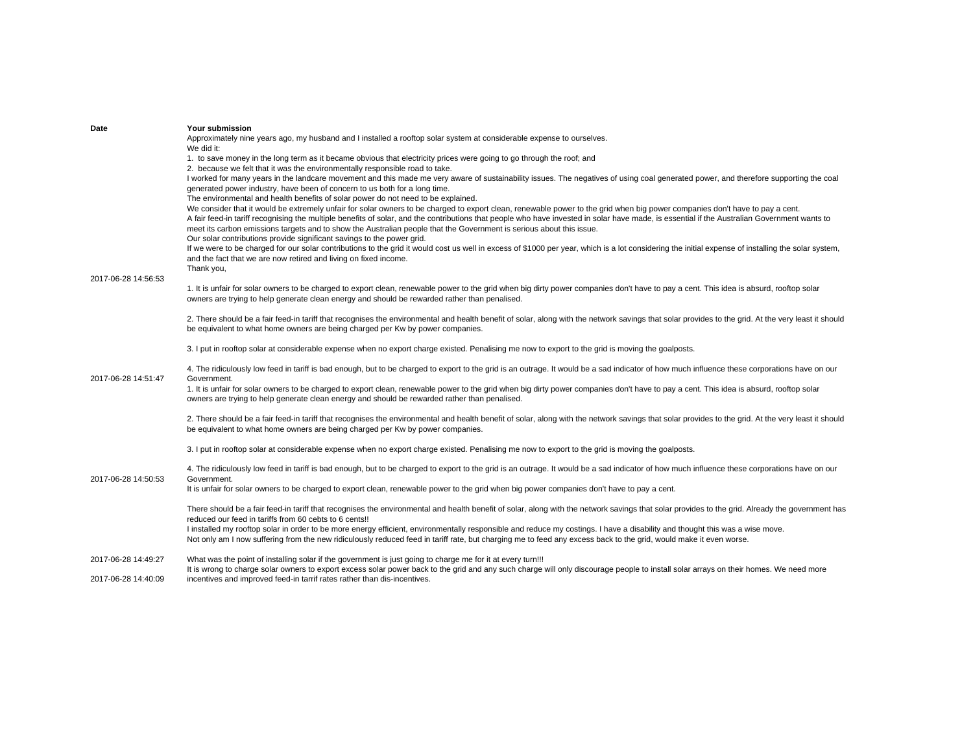| Date                | Your submission                                                                                                                                                                                                                                                                                                                                                                                                                                                                                                                                                                                                                                                                                                                                                                                                                                                            |
|---------------------|----------------------------------------------------------------------------------------------------------------------------------------------------------------------------------------------------------------------------------------------------------------------------------------------------------------------------------------------------------------------------------------------------------------------------------------------------------------------------------------------------------------------------------------------------------------------------------------------------------------------------------------------------------------------------------------------------------------------------------------------------------------------------------------------------------------------------------------------------------------------------|
|                     | Approximately nine years ago, my husband and I installed a rooftop solar system at considerable expense to ourselves.<br>We did it:                                                                                                                                                                                                                                                                                                                                                                                                                                                                                                                                                                                                                                                                                                                                        |
|                     | 1. to save money in the long term as it became obvious that electricity prices were going to go through the roof; and                                                                                                                                                                                                                                                                                                                                                                                                                                                                                                                                                                                                                                                                                                                                                      |
|                     | 2. because we felt that it was the environmentally responsible road to take.<br>I worked for many years in the landcare movement and this made me very aware of sustainability issues. The negatives of using coal generated power, and therefore supporting the coal                                                                                                                                                                                                                                                                                                                                                                                                                                                                                                                                                                                                      |
|                     | generated power industry, have been of concern to us both for a long time.                                                                                                                                                                                                                                                                                                                                                                                                                                                                                                                                                                                                                                                                                                                                                                                                 |
|                     | The environmental and health benefits of solar power do not need to be explained.<br>We consider that it would be extremely unfair for solar owners to be charged to export clean, renewable power to the grid when big power companies don't have to pay a cent.<br>A fair feed-in tariff recognising the multiple benefits of solar, and the contributions that people who have invested in solar have made, is essential if the Australian Government wants to<br>meet its carbon emissions targets and to show the Australian people that the Government is serious about this issue.<br>Our solar contributions provide significant savings to the power grid.<br>If we were to be charged for our solar contributions to the grid it would cost us well in excess of \$1000 per year, which is a lot considering the initial expense of installing the solar system, |
|                     | and the fact that we are now retired and living on fixed income.<br>Thank you,                                                                                                                                                                                                                                                                                                                                                                                                                                                                                                                                                                                                                                                                                                                                                                                             |
| 2017-06-28 14:56:53 | 1. It is unfair for solar owners to be charged to export clean, renewable power to the grid when big dirty power companies don't have to pay a cent. This idea is absurd, rooftop solar<br>owners are trying to help generate clean energy and should be rewarded rather than penalised.                                                                                                                                                                                                                                                                                                                                                                                                                                                                                                                                                                                   |
|                     | 2. There should be a fair feed-in tariff that recognises the environmental and health benefit of solar, along with the network savings that solar provides to the grid. At the very least it should<br>be equivalent to what home owners are being charged per Kw by power companies.                                                                                                                                                                                                                                                                                                                                                                                                                                                                                                                                                                                      |
|                     | 3. I put in rooftop solar at considerable expense when no export charge existed. Penalising me now to export to the grid is moving the goalposts.                                                                                                                                                                                                                                                                                                                                                                                                                                                                                                                                                                                                                                                                                                                          |
| 2017-06-28 14:51:47 | 4. The ridiculously low feed in tariff is bad enough, but to be charged to export to the grid is an outrage. It would be a sad indicator of how much influence these corporations have on our<br>Government.                                                                                                                                                                                                                                                                                                                                                                                                                                                                                                                                                                                                                                                               |
|                     | 1. It is unfair for solar owners to be charged to export clean, renewable power to the grid when big dirty power companies don't have to pay a cent. This idea is absurd, rooftop solar<br>owners are trying to help generate clean energy and should be rewarded rather than penalised.                                                                                                                                                                                                                                                                                                                                                                                                                                                                                                                                                                                   |
|                     | 2. There should be a fair feed-in tariff that recognises the environmental and health benefit of solar, along with the network savings that solar provides to the grid. At the very least it should<br>be equivalent to what home owners are being charged per Kw by power companies.                                                                                                                                                                                                                                                                                                                                                                                                                                                                                                                                                                                      |
|                     | 3. I put in rooftop solar at considerable expense when no export charge existed. Penalising me now to export to the grid is moving the goalposts.                                                                                                                                                                                                                                                                                                                                                                                                                                                                                                                                                                                                                                                                                                                          |
| 2017-06-28 14:50:53 | 4. The ridiculously low feed in tariff is bad enough, but to be charged to export to the grid is an outrage. It would be a sad indicator of how much influence these corporations have on our<br>Government.<br>It is unfair for solar owners to be charged to export clean, renewable power to the grid when big power companies don't have to pay a cent.                                                                                                                                                                                                                                                                                                                                                                                                                                                                                                                |
|                     |                                                                                                                                                                                                                                                                                                                                                                                                                                                                                                                                                                                                                                                                                                                                                                                                                                                                            |
|                     | There should be a fair feed-in tariff that recognises the environmental and health benefit of solar, along with the network savings that solar provides to the grid. Already the government has<br>reduced our feed in tariffs from 60 cebts to 6 cents!!                                                                                                                                                                                                                                                                                                                                                                                                                                                                                                                                                                                                                  |
|                     | I installed my rooftop solar in order to be more energy efficient, environmentally responsible and reduce my costings. I have a disability and thought this was a wise move.<br>Not only am I now suffering from the new ridiculously reduced feed in tariff rate, but charging me to feed any excess back to the grid, would make it even worse.                                                                                                                                                                                                                                                                                                                                                                                                                                                                                                                          |
| 2017-06-28 14:49:27 | What was the point of installing solar if the government is just going to charge me for it at every turn!!!                                                                                                                                                                                                                                                                                                                                                                                                                                                                                                                                                                                                                                                                                                                                                                |
| 2017-06-28 14:40:09 | It is wrong to charge solar owners to export excess solar power back to the grid and any such charge will only discourage people to install solar arrays on their homes. We need more<br>incentives and improved feed-in tarrif rates rather than dis-incentives.                                                                                                                                                                                                                                                                                                                                                                                                                                                                                                                                                                                                          |
|                     |                                                                                                                                                                                                                                                                                                                                                                                                                                                                                                                                                                                                                                                                                                                                                                                                                                                                            |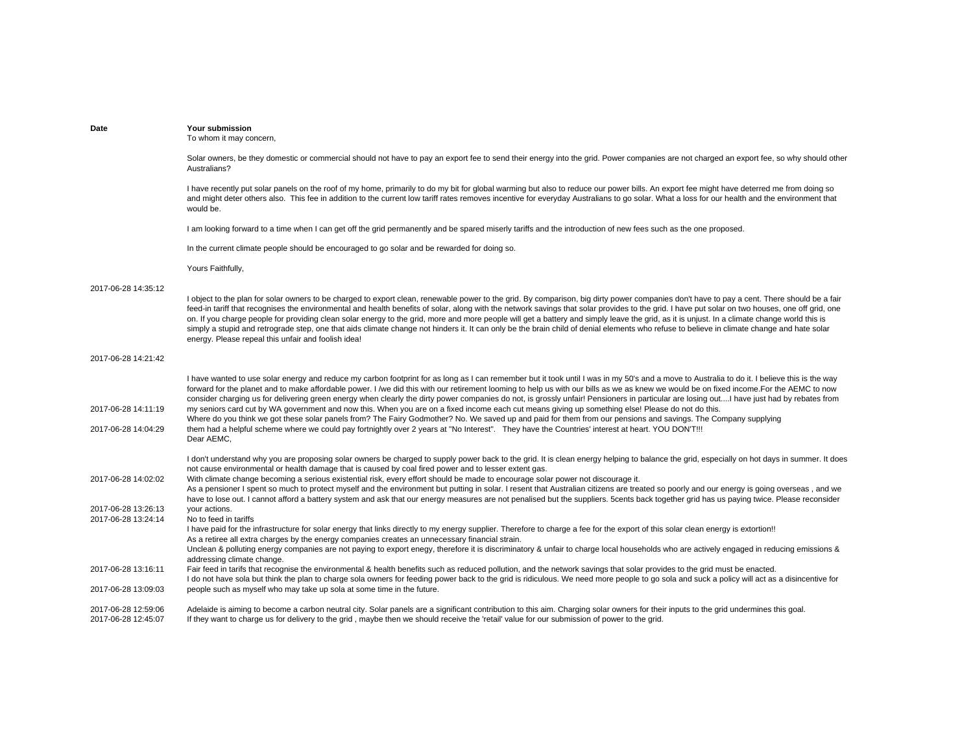| Date                | Your submission<br>To whom it may concern,                                                                                                                                                                                                                                                                                                                                                                                                                                                                                                                                                                                                                                                                                                                                                                                                                                                                    |
|---------------------|---------------------------------------------------------------------------------------------------------------------------------------------------------------------------------------------------------------------------------------------------------------------------------------------------------------------------------------------------------------------------------------------------------------------------------------------------------------------------------------------------------------------------------------------------------------------------------------------------------------------------------------------------------------------------------------------------------------------------------------------------------------------------------------------------------------------------------------------------------------------------------------------------------------|
|                     | Solar owners, be they domestic or commercial should not have to pay an export fee to send their energy into the grid. Power companies are not charged an export fee, so why should other<br>Australians?                                                                                                                                                                                                                                                                                                                                                                                                                                                                                                                                                                                                                                                                                                      |
|                     | I have recently put solar panels on the roof of my home, primarily to do my bit for global warming but also to reduce our power bills. An export fee might have deterred me from doing so<br>and might deter others also. This fee in addition to the current low tariff rates removes incentive for everyday Australians to go solar. What a loss for our health and the environment that<br>would be.                                                                                                                                                                                                                                                                                                                                                                                                                                                                                                       |
|                     | I am looking forward to a time when I can get off the grid permanently and be spared miserly tariffs and the introduction of new fees such as the one proposed.                                                                                                                                                                                                                                                                                                                                                                                                                                                                                                                                                                                                                                                                                                                                               |
|                     | In the current climate people should be encouraged to go solar and be rewarded for doing so.                                                                                                                                                                                                                                                                                                                                                                                                                                                                                                                                                                                                                                                                                                                                                                                                                  |
|                     | Yours Faithfully,                                                                                                                                                                                                                                                                                                                                                                                                                                                                                                                                                                                                                                                                                                                                                                                                                                                                                             |
| 2017-06-28 14:35:12 |                                                                                                                                                                                                                                                                                                                                                                                                                                                                                                                                                                                                                                                                                                                                                                                                                                                                                                               |
|                     | I object to the plan for solar owners to be charged to export clean, renewable power to the grid. By comparison, big dirty power companies don't have to pay a cent. There should be a fair<br>feed-in tariff that recognises the environmental and health benefits of solar, along with the network savings that solar provides to the grid. I have put solar on two houses, one off grid, one<br>on. If you charge people for providing clean solar energy to the grid, more and more people will get a battery and simply leave the grid, as it is unjust. In a climate change world this is<br>simply a stupid and retrograde step, one that aids climate change not hinders it. It can only be the brain child of denial elements who refuse to believe in climate change and hate solar<br>energy. Please repeal this unfair and foolish idea!                                                          |
| 2017-06-28 14:21:42 |                                                                                                                                                                                                                                                                                                                                                                                                                                                                                                                                                                                                                                                                                                                                                                                                                                                                                                               |
| 2017-06-28 14:11:19 | I have wanted to use solar energy and reduce my carbon footprint for as long as I can remember but it took until I was in my 50's and a move to Australia to do it. I believe this is the way<br>forward for the planet and to make affordable power. I /we did this with our retirement looming to help us with our bills as we as knew we would be on fixed income. For the AEMC to now<br>consider charging us for delivering green energy when clearly the dirty power companies do not, is grossly unfair! Pensioners in particular are losing outI have just had by rebates from<br>my seniors card cut by WA government and now this. When you are on a fixed income each cut means giving up something else! Please do not do this.<br>Where do you think we got these solar panels from? The Fairy Godmother? No. We saved up and paid for them from our pensions and savings. The Company supplying |
| 2017-06-28 14:04:29 | them had a helpful scheme where we could pay fortnightly over 2 years at "No Interest". They have the Countries' interest at heart. YOU DON'T!!!<br>Dear AEMC,                                                                                                                                                                                                                                                                                                                                                                                                                                                                                                                                                                                                                                                                                                                                                |
|                     | I don't understand why you are proposing solar owners be charged to supply power back to the grid. It is clean energy helping to balance the grid, especially on hot days in summer. It does<br>not cause environmental or health damage that is caused by coal fired power and to lesser extent gas.                                                                                                                                                                                                                                                                                                                                                                                                                                                                                                                                                                                                         |
| 2017-06-28 14:02:02 | With climate change becoming a serious existential risk, every effort should be made to encourage solar power not discourage it.<br>As a pensioner I spent so much to protect myself and the environment but putting in solar. I resent that Australian citizens are treated so poorly and our energy is going overseas, and we<br>have to lose out. I cannot afford a battery system and ask that our energy measures are not penalised but the suppliers. 5cents back together grid has us paying twice. Please reconsider                                                                                                                                                                                                                                                                                                                                                                                  |
| 2017-06-28 13:26:13 | your actions.                                                                                                                                                                                                                                                                                                                                                                                                                                                                                                                                                                                                                                                                                                                                                                                                                                                                                                 |
| 2017-06-28 13:24:14 | No to feed in tariffs<br>I have paid for the infrastructure for solar energy that links directly to my energy supplier. Therefore to charge a fee for the export of this solar clean energy is extortion!!<br>As a retiree all extra charges by the energy companies creates an unnecessary financial strain.                                                                                                                                                                                                                                                                                                                                                                                                                                                                                                                                                                                                 |
|                     | Unclean & polluting energy companies are not paying to export enegy, therefore it is discriminatory & unfair to charge local households who are actively engaged in reducing emissions &<br>addressing climate change.                                                                                                                                                                                                                                                                                                                                                                                                                                                                                                                                                                                                                                                                                        |
| 2017-06-28 13:16:11 | Fair feed in tarifs that recognise the environmental & health benefits such as reduced pollution, and the network savings that solar provides to the grid must be enacted.<br>I do not have sola but think the plan to charge sola owners for feeding power back to the grid is ridiculous. We need more people to go sola and suck a policy will act as a disincentive for                                                                                                                                                                                                                                                                                                                                                                                                                                                                                                                                   |
| 2017-06-28 13:09:03 | people such as myself who may take up sola at some time in the future.                                                                                                                                                                                                                                                                                                                                                                                                                                                                                                                                                                                                                                                                                                                                                                                                                                        |
| 2017-06-28 12:59:06 | Adelaide is aiming to become a carbon neutral city. Solar panels are a significant contribution to this aim. Charging solar owners for their inputs to the grid undermines this goal.                                                                                                                                                                                                                                                                                                                                                                                                                                                                                                                                                                                                                                                                                                                         |

2017-06-28 12:45:07 If they want to charge us for delivery to the grid , maybe then we should receive the 'retail' value for our submission of power to the grid.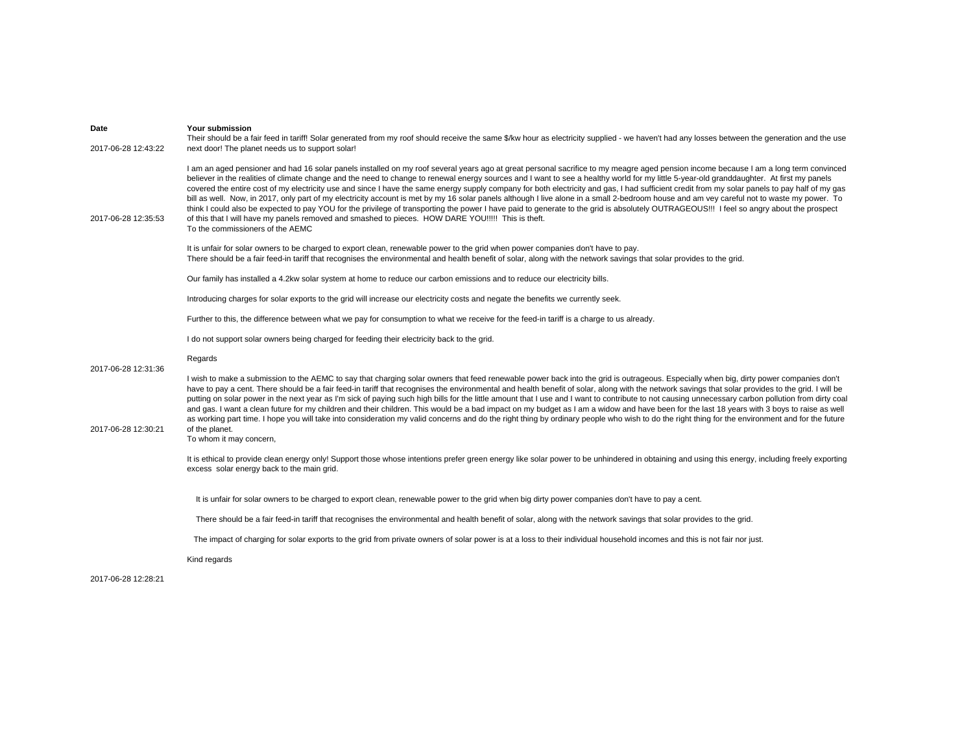| Date<br>2017-06-28 12:43:22 | <b>Your submission</b><br>Their should be a fair feed in tariff! Solar generated from my roof should receive the same \$/kw hour as electricity supplied - we haven't had any losses between the generation and the use<br>next door! The planet needs us to support solar!                                                                                                                                                                                                                                                                                                                                                                                                                                                                                                                                                                                                                                                                                                                                                                                                                                              |
|-----------------------------|--------------------------------------------------------------------------------------------------------------------------------------------------------------------------------------------------------------------------------------------------------------------------------------------------------------------------------------------------------------------------------------------------------------------------------------------------------------------------------------------------------------------------------------------------------------------------------------------------------------------------------------------------------------------------------------------------------------------------------------------------------------------------------------------------------------------------------------------------------------------------------------------------------------------------------------------------------------------------------------------------------------------------------------------------------------------------------------------------------------------------|
| 2017-06-28 12:35:53         | I am an aged pensioner and had 16 solar panels installed on my roof several years ago at great personal sacrifice to my meagre aged pension income because I am a long term convinced<br>believer in the realities of climate change and the need to change to renewal energy sources and I want to see a healthy world for my little 5-year-old granddaughter. At first my panels<br>covered the entire cost of my electricity use and since I have the same energy supply company for both electricity and gas, I had sufficient credit from my solar panels to pay half of my gas<br>bill as well. Now, in 2017, only part of my electricity account is met by my 16 solar panels although I live alone in a small 2-bedroom house and am vey careful not to waste my power. To<br>think I could also be expected to pay YOU for the privilege of transporting the power I have paid to generate to the grid is absolutely OUTRAGEOUS!!! I feel so angry about the prospect<br>of this that I will have my panels removed and smashed to pieces. HOW DARE YOU!!!!! This is theft.<br>To the commissioners of the AEMC |
|                             | It is unfair for solar owners to be charged to export clean, renewable power to the grid when power companies don't have to pay.<br>There should be a fair feed-in tariff that recognises the environmental and health benefit of solar, along with the network savings that solar provides to the grid.                                                                                                                                                                                                                                                                                                                                                                                                                                                                                                                                                                                                                                                                                                                                                                                                                 |
|                             | Our family has installed a 4.2kw solar system at home to reduce our carbon emissions and to reduce our electricity bills.                                                                                                                                                                                                                                                                                                                                                                                                                                                                                                                                                                                                                                                                                                                                                                                                                                                                                                                                                                                                |
|                             | Introducing charges for solar exports to the grid will increase our electricity costs and negate the benefits we currently seek.                                                                                                                                                                                                                                                                                                                                                                                                                                                                                                                                                                                                                                                                                                                                                                                                                                                                                                                                                                                         |
|                             | Further to this, the difference between what we pay for consumption to what we receive for the feed-in tariff is a charge to us already.                                                                                                                                                                                                                                                                                                                                                                                                                                                                                                                                                                                                                                                                                                                                                                                                                                                                                                                                                                                 |
|                             | I do not support solar owners being charged for feeding their electricity back to the grid.                                                                                                                                                                                                                                                                                                                                                                                                                                                                                                                                                                                                                                                                                                                                                                                                                                                                                                                                                                                                                              |
| 2017-06-28 12:31:36         | Regards                                                                                                                                                                                                                                                                                                                                                                                                                                                                                                                                                                                                                                                                                                                                                                                                                                                                                                                                                                                                                                                                                                                  |
|                             | I wish to make a submission to the AEMC to say that charging solar owners that feed renewable power back into the grid is outrageous. Especially when big, dirty power companies don't                                                                                                                                                                                                                                                                                                                                                                                                                                                                                                                                                                                                                                                                                                                                                                                                                                                                                                                                   |
| 2017-06-28 12:30:21         | have to pay a cent. There should be a fair feed-in tariff that recognises the environmental and health benefit of solar, along with the network savings that solar provides to the grid. I will be<br>putting on solar power in the next year as I'm sick of paying such high bills for the little amount that I use and I want to contribute to not causing unnecessary carbon pollution from dirty coal<br>and gas. I want a clean future for my children and their children. This would be a bad impact on my budget as I am a widow and have been for the last 18 years with 3 boys to raise as well<br>as working part time. I hope you will take into consideration my valid concerns and do the right thing by ordinary people who wish to do the right thing for the environment and for the future<br>of the planet.<br>To whom it may concern,                                                                                                                                                                                                                                                                 |
|                             | It is ethical to provide clean energy only! Support those whose intentions prefer green energy like solar power to be unhindered in obtaining and using this energy, including freely exporting<br>excess solar energy back to the main grid.                                                                                                                                                                                                                                                                                                                                                                                                                                                                                                                                                                                                                                                                                                                                                                                                                                                                            |
|                             | It is unfair for solar owners to be charged to export clean, renewable power to the grid when big dirty power companies don't have to pay a cent.                                                                                                                                                                                                                                                                                                                                                                                                                                                                                                                                                                                                                                                                                                                                                                                                                                                                                                                                                                        |
|                             | There should be a fair feed-in tariff that recognises the environmental and health benefit of solar, along with the network savings that solar provides to the grid.                                                                                                                                                                                                                                                                                                                                                                                                                                                                                                                                                                                                                                                                                                                                                                                                                                                                                                                                                     |
|                             | The impact of charging for solar exports to the grid from private owners of solar power is at a loss to their individual household incomes and this is not fair nor just.                                                                                                                                                                                                                                                                                                                                                                                                                                                                                                                                                                                                                                                                                                                                                                                                                                                                                                                                                |
|                             |                                                                                                                                                                                                                                                                                                                                                                                                                                                                                                                                                                                                                                                                                                                                                                                                                                                                                                                                                                                                                                                                                                                          |

2017-06-28 12:28:21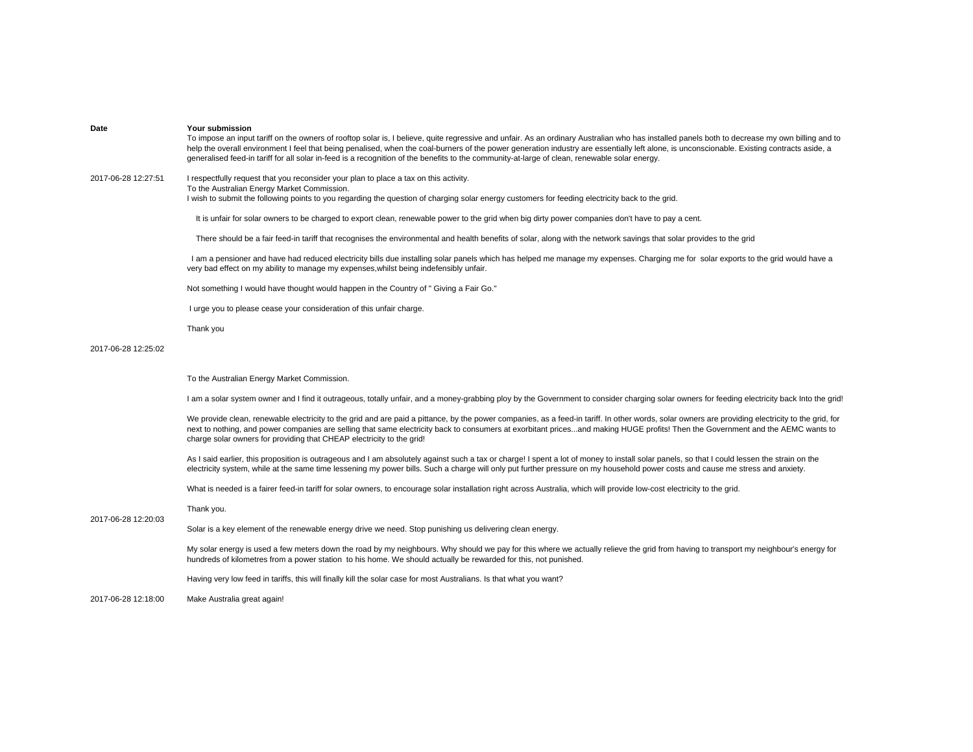| Date                | <b>Your submission</b><br>To impose an input tariff on the owners of rooftop solar is, I believe, quite regressive and unfair. As an ordinary Australian who has installed panels both to decrease my own billing and to<br>help the overall environment I feel that being penalised, when the coal-burners of the power generation industry are essentially left alone, is unconscionable. Existing contracts aside, a<br>generalised feed-in tariff for all solar in-feed is a recognition of the benefits to the community-at-large of clean, renewable solar energy. |
|---------------------|--------------------------------------------------------------------------------------------------------------------------------------------------------------------------------------------------------------------------------------------------------------------------------------------------------------------------------------------------------------------------------------------------------------------------------------------------------------------------------------------------------------------------------------------------------------------------|
| 2017-06-28 12:27:51 | I respectfully request that you reconsider your plan to place a tax on this activity.<br>To the Australian Energy Market Commission.<br>I wish to submit the following points to you regarding the question of charging solar energy customers for feeding electricity back to the grid.                                                                                                                                                                                                                                                                                 |
|                     | It is unfair for solar owners to be charged to export clean, renewable power to the grid when big dirty power companies don't have to pay a cent.                                                                                                                                                                                                                                                                                                                                                                                                                        |
|                     | There should be a fair feed-in tariff that recognises the environmental and health benefits of solar, along with the network savings that solar provides to the grid                                                                                                                                                                                                                                                                                                                                                                                                     |
|                     | I am a pensioner and have had reduced electricity bills due installing solar panels which has helped me manage my expenses. Charging me for solar exports to the grid would have a<br>very bad effect on my ability to manage my expenses, whilst being indefensibly unfair.                                                                                                                                                                                                                                                                                             |
|                     | Not something I would have thought would happen in the Country of " Giving a Fair Go."                                                                                                                                                                                                                                                                                                                                                                                                                                                                                   |
|                     | I urge you to please cease your consideration of this unfair charge.                                                                                                                                                                                                                                                                                                                                                                                                                                                                                                     |
|                     | Thank you                                                                                                                                                                                                                                                                                                                                                                                                                                                                                                                                                                |
| 2017-06-28 12:25:02 |                                                                                                                                                                                                                                                                                                                                                                                                                                                                                                                                                                          |
|                     | To the Australian Energy Market Commission.                                                                                                                                                                                                                                                                                                                                                                                                                                                                                                                              |
|                     | I am a solar system owner and I find it outrageous, totally unfair, and a money-grabbing ploy by the Government to consider charging solar owners for feeding electricity back Into the grid!                                                                                                                                                                                                                                                                                                                                                                            |
|                     |                                                                                                                                                                                                                                                                                                                                                                                                                                                                                                                                                                          |
|                     | We provide clean, renewable electricity to the grid and are paid a pittance, by the power companies, as a feed-in tariff. In other words, solar owners are providing electricity to the grid, for<br>next to nothing, and power companies are selling that same electricity back to consumers at exorbitant pricesand making HUGE profits! Then the Government and the AEMC wants to<br>charge solar owners for providing that CHEAP electricity to the grid!                                                                                                            |
|                     | As I said earlier, this proposition is outrageous and I am absolutely against such a tax or charge! I spent a lot of money to install solar panels, so that I could lessen the strain on the<br>electricity system, while at the same time lessening my power bills. Such a charge will only put further pressure on my household power costs and cause me stress and anxiety.                                                                                                                                                                                           |
|                     | What is needed is a fairer feed-in tariff for solar owners, to encourage solar installation right across Australia, which will provide low-cost electricity to the grid.                                                                                                                                                                                                                                                                                                                                                                                                 |
|                     | Thank you.                                                                                                                                                                                                                                                                                                                                                                                                                                                                                                                                                               |
| 2017-06-28 12:20:03 | Solar is a key element of the renewable energy drive we need. Stop punishing us delivering clean energy.                                                                                                                                                                                                                                                                                                                                                                                                                                                                 |
|                     | My solar energy is used a few meters down the road by my neighbours. Why should we pay for this where we actually relieve the grid from having to transport my neighbour's energy for<br>hundreds of kilometres from a power station to his home. We should actually be rewarded for this, not punished.                                                                                                                                                                                                                                                                 |
|                     | Having very low feed in tariffs, this will finally kill the solar case for most Australians. Is that what you want?                                                                                                                                                                                                                                                                                                                                                                                                                                                      |